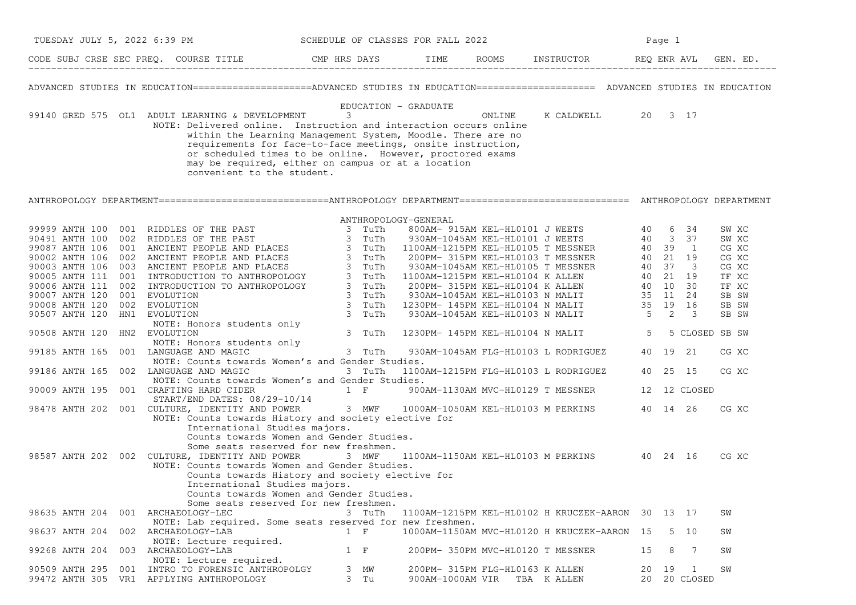| TUESDAY JULY 5, 2022 6:39 PM |                                                                                                                                                                                                                                                                                                                                                                                                     | SCHEDULE OF CLASSES FOR FALL 2022 |                                                     |        |                                                   | Page 1   |                       |                                  |
|------------------------------|-----------------------------------------------------------------------------------------------------------------------------------------------------------------------------------------------------------------------------------------------------------------------------------------------------------------------------------------------------------------------------------------------------|-----------------------------------|-----------------------------------------------------|--------|---------------------------------------------------|----------|-----------------------|----------------------------------|
|                              | CODE SUBJ CRSE SEC PREQ. COURSE TITLE CMP HRS DAYS TIME ROOMS INSTRUCTOR REQ ENR AVL GEN. ED.                                                                                                                                                                                                                                                                                                       |                                   |                                                     |        |                                                   |          |                       |                                  |
|                              | ADVANCED STUDIES IN EDUCATION====================ADVANCED STUDIES IN EDUCATION===================== ADVANCED STUDIES IN EDUCATION                                                                                                                                                                                                                                                                   |                                   |                                                     |        |                                                   |          |                       |                                  |
|                              | 99140 GRED 575 OL1 ADULT LEARNING & DEVELOPMENT<br>NOTE: Delivered online. Instruction and interaction occurs online<br>within the Learning Management System, Moodle. There are no<br>requirements for face-to-face meetings, onsite instruction,<br>or scheduled times to be online. However, proctored exams<br>may be required, either on campus or at a location<br>convenient to the student. | EDUCATION - GRADUATE<br>3         |                                                     | ONLINE | K CALDWELL 20 3 17                                |          |                       |                                  |
|                              | ANTHROPOLOGY DEPARTMENT============================ANTHROPOLOGY DEPARTMENT=============================== ANTHROPOLOGY DEPARTMENT                                                                                                                                                                                                                                                                   |                                   |                                                     |        |                                                   |          |                       |                                  |
|                              |                                                                                                                                                                                                                                                                                                                                                                                                     | ANTHROPOLOGY-GENERAL              |                                                     |        |                                                   |          |                       |                                  |
|                              |                                                                                                                                                                                                                                                                                                                                                                                                     |                                   |                                                     |        |                                                   |          |                       | SW XC<br>SW XC<br>CG XC<br>CG XC |
|                              |                                                                                                                                                                                                                                                                                                                                                                                                     |                                   |                                                     |        |                                                   |          |                       | CG XC<br>TF XC<br>TF XC<br>SB SW |
| 90508 ANTH 120 HN2 EVOLUTION |                                                                                                                                                                                                                                                                                                                                                                                                     | 3 TuTh                            |                                                     |        | 1230PM-145PM KEL-HL0104 N MALIT 5 5 CLOSED SB SW  |          |                       | SB SW<br>SB SW                   |
|                              | NOTE: Honors students only<br>99185 ANTH 165 001 LANGUAGE AND MAGIC                                                                                                                                                                                                                                                                                                                                 | and the first state<br>3 TuTh     |                                                     |        | 930AM-1045AM FLG-HL0103 L RODRIGUEZ               |          | 40 19 21              | CG XC                            |
|                              | NOTE: Counts towards Women's and Gender Studies.<br>99186 ANTH 165 002 LANGUAGE AND MAGIC<br>NOTE: Counts towards Women's and Gender Studies.                                                                                                                                                                                                                                                       | 3 TuTh                            |                                                     |        | 1100AM-1215PM FLG-HL0103 L RODRIGUEZ              |          | 40 25 15              | CG XC                            |
|                              | 90009 ANTH 195 001 CRAFTING HARD CIDER<br>START/END DATES: 08/29-10/14<br>98478 ANTH 202 001 CULTURE, IDENTITY AND POWER 3 MWF 1000AM-1050AM KEL-HL0103 M PERKINS 40 14 26                                                                                                                                                                                                                          | $1 \tF$                           |                                                     |        | 900AM-1130AM MVC-HL0129 T MESSNER                 |          | 12 12 CLOSED          |                                  |
|                              | NOTE: Counts towards History and society elective for<br>International Studies majors.<br>Counts towards Women and Gender Studies.<br>Some seats reserved for new freshmen.                                                                                                                                                                                                                         |                                   |                                                     |        |                                                   |          |                       | CG XC                            |
|                              | 98587 ANTH 202 002 CULTURE, IDENTITY AND POWER<br>NOTE: Counts towards Women and Gender Studies.<br>Counts towards History and society elective for<br>International Studies majors.<br>Counts towards Women and Gender Studies.<br>Some seats reserved for new freshmen.                                                                                                                           | 3 MWF                             |                                                     |        | 1100AM-1150AM KEL-HL0103 M PERKINS 40 24 16       |          |                       | CG XC                            |
| 98635 ANTH 204               | 001 ARCHAEOLOGY-LEC<br>NOTE: Lab required. Some seats reserved for new freshmen.                                                                                                                                                                                                                                                                                                                    | 3 TuTh                            |                                                     |        | 1100AM-1215PM KEL-HL0102 H KRUCZEK-AARON 30 13 17 |          |                       | SW                               |
| 98637 ANTH 204               | 002 ARCHAEOLOGY-LAB<br>NOTE: Lecture required.                                                                                                                                                                                                                                                                                                                                                      | $1 \quad F$                       |                                                     |        | 1000AM-1150AM MVC-HL0120 H KRUCZEK-AARON 15       |          | 5 10                  | SW                               |
| 99268 ANTH 204               | 003 ARCHAEOLOGY-LAB<br>NOTE: Lecture required.                                                                                                                                                                                                                                                                                                                                                      | $1 \quad F$                       |                                                     |        | 200PM- 350PM MVC-HL0120 T MESSNER                 | 15       | 8<br>-7               | SW                               |
| 90509 ANTH 295<br>001        | INTRO TO FORENSIC ANTHROPOLGY<br>99472 ANTH 305 VR1 APPLYING ANTHROPOLOGY                                                                                                                                                                                                                                                                                                                           | 3<br>МW<br>3 Tu                   | 200PM- 315PM FLG-HL0163 K ALLEN<br>900AM-1000AM VIR |        | TBA KALLEN                                        | 20<br>20 | 19<br>-1<br>20 CLOSED | SW                               |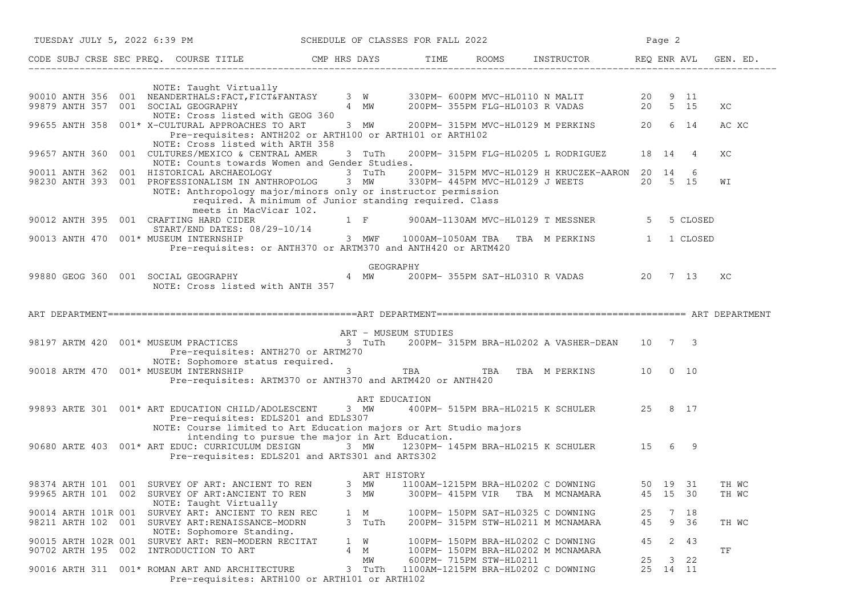| TUESDAY JULY 5, 2022 6:39 PM |                                                                                                                                                                                                                                           | SCHEDULE OF CLASSES FOR FALL 2022 |                                                                      |                                                                                          | Page 2                   |                |
|------------------------------|-------------------------------------------------------------------------------------------------------------------------------------------------------------------------------------------------------------------------------------------|-----------------------------------|----------------------------------------------------------------------|------------------------------------------------------------------------------------------|--------------------------|----------------|
|                              |                                                                                                                                                                                                                                           |                                   |                                                                      |                                                                                          |                          |                |
|                              | NOTE: Taught Virtually                                                                                                                                                                                                                    |                                   |                                                                      |                                                                                          |                          |                |
|                              | 90010 ANTH 356 001 NEANDERTHALS:FACT,FICT&FANTASY 3 W 330PM- 600PM MVC-HL0110 N MALIT 20 9 11<br>99879 ANTH 357 001 SOCIAL GEOGRAPHY 4 MW 200PM- 355PM FLG-HL0103 R VADAS 20 5 15<br>NOTE: Cross listed with GEOG 360                     |                                   |                                                                      |                                                                                          |                          | ХC             |
|                              | 99655 ANTH 358 001* X-CULTURAL APPROACHES TO ART 3 MW<br>Pre-requisites: ANTH202 or ARTH100 or ARTH101 or ARTH102<br>NOTE: Cross listed with ARTH 358                                                                                     |                                   |                                                                      | 200PM-315PM MVC-HL0129 M PERKINS 20 6 14                                                 |                          | AC XC          |
| 99657 ANTH 360               | 001 CULTURES/MEXICO & CENTRAL AMER<br>NOTE: Counts towards Women and Gender Studies.                                                                                                                                                      | 3 TuTh                            |                                                                      | 200PM- 315PM FLG-HL0205 L RODRIGUEZ                                                      | 18 14<br>4               | XC             |
| 90011 ANTH 362               | 001 HISTORICAL ARCHAEOLOGY<br>98230 ANTH 393 001 PROFESSIONALISM IN ANTHROPOLOG 3 MW<br>NOTE: Anthropology major/minors only or instructor permission<br>required. A minimum of Junior standing required. Class<br>meets in MacVicar 102. | 3 TuTh                            |                                                                      | 200PM- 315PM MVC-HL0129 H KRUCZEK-AARON 20 14<br>330PM- 445PM MVC-HL0129 J WEETS 20 5 15 | 6                        | WI             |
|                              | 90012 ANTH 395 001 CRAFTING HARD CIDER<br>START/END DATES: 08/29-10/14                                                                                                                                                                    |                                   |                                                                      | 1 F 900AM-1130AM MVC-HL0129 T MESSNER                                                    | 5 CLOSED<br>5            |                |
|                              | 90013 ANTH 470 001* MUSEUM INTERNSHIP<br>Pre-requisites: or ANTH370 or ARTM370 and ANTH420 or ARTM420                                                                                                                                     |                                   |                                                                      | 3 MWF 1000AM-1050AM TBA TBA M PERKINS                                                    | 1<br>1 CLOSED            |                |
|                              | 99880 GEOG 360 001 SOCIAL GEOGRAPHY 4 MW<br>NOTE: Cross listed with ANTH 357                                                                                                                                                              | GEOGRAPHY                         |                                                                      | 200PM-355PM SAT-HL0310 R VADAS 20 7 13                                                   |                          | XC             |
|                              |                                                                                                                                                                                                                                           |                                   |                                                                      |                                                                                          |                          |                |
|                              | 98197 ARTM 420 001* MUSEUM PRACTICES<br>Pre-requisites: ANTH270 or ARTM270                                                                                                                                                                | ART - MUSEUM STUDIES              |                                                                      | 3 TuTh 200PM-315PM BRA-HL0202 A VASHER-DEAN 10 7 3                                       |                          |                |
|                              | NOTE: Sophomore status required.<br>90018 ARTM 470 001* MUSEUM INTERNSHIP 3 3 TBA TBA TBA TBA M PERKINS 10 0 10<br>Pre-requisites: ARTM370 or ANTH370 and ARTM420 or ANTH420                                                              |                                   |                                                                      |                                                                                          |                          |                |
|                              | 99893 ARTE 301 001* ART EDUCATION CHILD/ADOLESCENT 3 MW 400PM- 515PM BRA-HL0215 K SCHULER 25 8 17<br>Pre-requisites: EDLS201 and EDLS307<br>NOTE: Course limited to Art Education majors or Art Studio majors                             | ART EDUCATION                     |                                                                      |                                                                                          |                          |                |
|                              | intending to pursue the major in Art Education.<br>90680 ARTE 403 001* ART EDUC: CURRICULUM DESIGN 3 MW 1230PM-145PM BRA-HL0215 K SCHULER 15 6 9<br>Pre-requisites: EDLS201 and ARTS301 and ARTS302                                       |                                   |                                                                      |                                                                                          |                          |                |
|                              | 98374 ARTH 101 001 SURVEY OF ART: ANCIENT TO REN 3 MW 1100AM-1215PM BRA-HL0202 C DOWNING 50 19 31<br>99965 ARTH 101 002 SURVEY OF ART:ANCIENT TO REN<br>NOTE: Taught Virtually                                                            | ART HISTORY<br>3 MW               |                                                                      | 300PM- 415PM VIR TBA M MCNAMARA                                                          | 45 15 30                 | TH WC<br>TH WC |
|                              | 90014 ARTH 101R 001 SURVEY ART: ANCIENT TO REN REC<br>98211 ARTH 102 001 SURVEY ART:RENAISSANCE-MODRN                                                                                                                                     | 1 M<br>3 TuTh                     |                                                                      | 100PM- 150PM SAT-HL0325 C DOWNING<br>200PM- 315PM STW-HL0211 M MCNAMARA                  | 25<br>7 18<br>45<br>9 36 | TH WC          |
|                              | NOTE: Sophomore Standing.<br>90015 ARTH 102R 001 SURVEY ART: REN-MODERN RECITAT<br>90702 ARTH 195 002 INTRODUCTION TO ART                                                                                                                 | 1 W<br>4 M                        |                                                                      | 100PM- 150PM BRA-HL0202 C DOWNING<br>100PM- 150PM BRA-HL0202 M MCNAMARA                  | 2 43<br>45               | ΤF             |
|                              | 90016 ARTH 311 001* ROMAN ART AND ARCHITECTURE<br>Pre-requisites: ARTH100 or ARTH101 or ARTH102                                                                                                                                           | MW                                | 600PM- 715PM STW-HL0211<br>3 TuTh 1100AM-1215PM BRA-HL0202 C DOWNING |                                                                                          | 25<br>3 22<br>25 14 11   |                |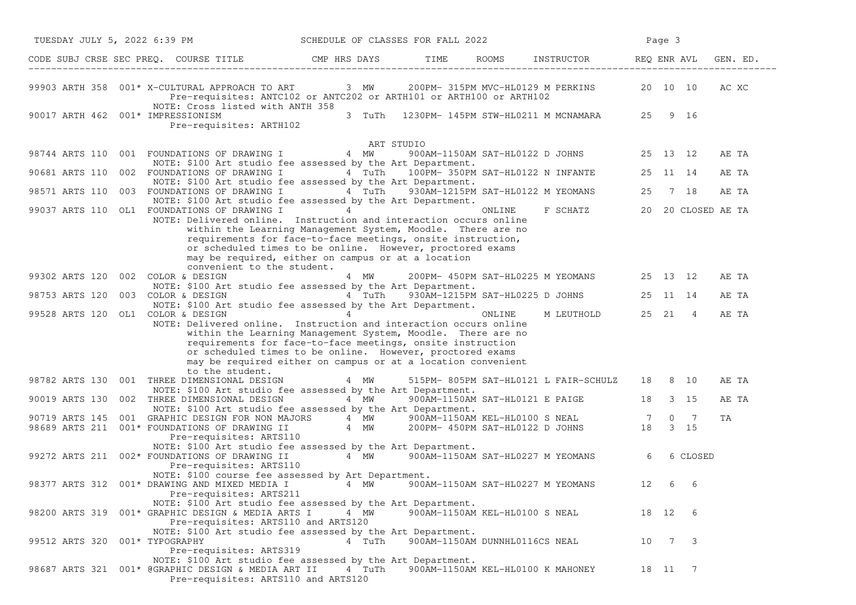| TUESDAY JULY 5, 2022 6:39 PM                                                                                                                                                                                                                                                                                                                                       | SCHEDULE OF CLASSES FOR FALL 2022                |                                |        |                                               |    | Page 3  |              |          |
|--------------------------------------------------------------------------------------------------------------------------------------------------------------------------------------------------------------------------------------------------------------------------------------------------------------------------------------------------------------------|--------------------------------------------------|--------------------------------|--------|-----------------------------------------------|----|---------|--------------|----------|
| CODE SUBJ CRSE SEC PREQ. COURSE TITLE THE ROOMS TIME ROOMS INSTRUCTOR REQ ENR AVL GE CODE SUBJ CRSE SEC PREQ.                                                                                                                                                                                                                                                      |                                                  |                                |        |                                               |    |         |              | GEN. ED. |
| 99903 ARTH 358 001* X-CULTURAL APPROACH TO ART 3 MW 200PM-315PM MVC-HL0129 M PERKINS<br>Pre-requisites: ANTC102 or ANTC202 or ARTH101 or ARTH100 or ARTH102<br>NOTE: Cross listed with ANTH 358                                                                                                                                                                    |                                                  |                                |        |                                               |    |         | 20 10 10     | AC XC    |
| 90017 ARTH 462 001* IMPRESSIONISM<br>Pre-requisites: ARTH102                                                                                                                                                                                                                                                                                                       | 3 TuTh                                           |                                |        | 1230PM- 145PM STW-HL0211 M MCNAMARA           |    | 25 9 16 |              |          |
|                                                                                                                                                                                                                                                                                                                                                                    | ART STUDIO                                       |                                |        |                                               |    |         |              |          |
| 001 FOUNDATIONS OF DRAWING I 4 MW<br>98744 ARTS 110<br>NOTE: \$100 Art studio fee assessed by the Art Department.                                                                                                                                                                                                                                                  |                                                  |                                |        | 900AM-1150AM SAT-HL0122 D JOHNS 25 13 12      |    |         |              | AE TA    |
| 002 FOUNDATIONS OF DRAWING I<br>90681 ARTS 110                                                                                                                                                                                                                                                                                                                     | 4 TuTh 100PM-350PM SAT-HL0122 N INFANTE 25 11 14 |                                |        |                                               |    |         |              | AE TA    |
| NOTE: \$100 Art studio fee assessed by the Art Department.<br>98571 ARTS 110 003 FOUNDATIONS OF DRAWING I 4 TuTh 930AM-1215PM SAT-HL0122 M YEOMANS<br>NOTE: \$100 Art studio fee assessed by the Art Department.                                                                                                                                                   |                                                  |                                |        |                                               | 25 |         | 7 18         | AE TA    |
| 99037 ARTS 110 OL1 FOUNDATIONS OF DRAWING I                                                                                                                                                                                                                                                                                                                        | $\overline{4}$                                   |                                | ONLINE | F SCHATZ 20 20 CLOSED AE TA                   |    |         |              |          |
| NOTE: Delivered online. Instruction and interaction occurs online<br>within the Learning Management System, Moodle. There are no<br>requirements for face-to-face meetings, onsite instruction,<br>or scheduled times to be online. However, proctored exams<br>may be required, either on campus or at a location<br>convenient to the student.                   |                                                  |                                |        |                                               |    |         |              |          |
| 99302 ARTS 120<br>002 COLOR & DESIGN                                                                                                                                                                                                                                                                                                                               | 4 MW                                             |                                |        | 200PM- 450PM SAT-HL0225 M YEOMANS 25 13 12    |    |         |              | AE TA    |
| NOTE: \$100 Art studio fee assessed by the Art Department.<br>003 COLOR & DESIGN $4$ TuTh 930AM-1215PM SAT-HL0225 D JOHNS 25 11 14<br>98753 ARTS 120<br>NOTE: \$100 Art studio fee assessed by the Art Department.                                                                                                                                                 |                                                  |                                |        |                                               |    |         |              | AE TA    |
| 99528 ARTS 120 OL1 COLOR & DESIGN 4<br>NOTE: Delivered online. Instruction and interaction occurs online<br>within the Learning Management System, Moodle. There are no<br>requirements for face-to-face meetings, onsite instruction<br>or scheduled times to be online. However, proctored exams<br>may be required either on campus or at a location convenient |                                                  |                                | ONLINE | M LEUTHOLD 25 21 4                            |    |         |              | AE TA    |
| to the student.<br>98782 ARTS 130 001 THREE DIMENSIONAL DESIGN                                                                                                                                                                                                                                                                                                     | 4 MW                                             |                                |        | 515PM- 805PM SAT-HL0121 L FAIR-SCHULZ 18 8 10 |    |         |              | AE TA    |
| NOTE: \$100 Art studio fee assessed by the Art Department.<br>90019 ARTS 130<br>002 THREE DIMENSIONAL DESIGN<br>NOTE: \$100 Art studio fee assessed by the Art Department.                                                                                                                                                                                         | 4 MW 900AM-1150AM SAT-HL0121 E PAIGE 18          |                                |        |                                               |    |         | 3 15         | AE TA    |
| 001 GRAPHIC DESIGN FOR NON MAJORS 4 MW 900AM-1150AM KEL-HL0100 S NEAL 7<br>001* FOUNDATIONS OF DRAWING II 4 MW 200PM-450PM SAT-HL0122 D JOHNS 18<br>90719 ARTS 145                                                                                                                                                                                                 |                                                  |                                |        |                                               |    |         | $0 \qquad 7$ | ΤA       |
| 98689 ARTS 211 001* FOUNDATIONS OF DRAWING II<br>Pre-requisites: ARTS110<br>NOTE: \$100 Art studio fee assessed by the Art Department.                                                                                                                                                                                                                             |                                                  |                                |        |                                               |    |         | 3 15         |          |
| 99272 ARTS 211 002* FOUNDATIONS OF DRAWING II<br>Pre-requisites: ARTS110<br>NOTE: \$100 course fee assessed by Art Department.                                                                                                                                                                                                                                     |                                                  |                                |        | 4 MW 900AM-1150AM SAT-HL0227 M YEOMANS 6      |    |         | 6 CLOSED     |          |
| 98377 ARTS 312  001* DRAWING AND MIXED MEDIA I 4 MW<br>Pre-requisites: ARTS211                                                                                                                                                                                                                                                                                     |                                                  |                                |        | 900AM-1150AM SAT-HL0227 M YEOMANS             | 12 | 6       | 6            |          |
| NOTE: \$100 Art studio fee assessed by the Art Department.<br>98200 ARTS 319 001* GRAPHIC DESIGN & MEDIA ARTS I<br>Pre-requisites: ARTS110 and ARTS120                                                                                                                                                                                                             | 4 MW                                             |                                |        | 900AM-1150AM KEL-HL0100 S NEAL                |    | 18 12 6 |              |          |
| NOTE: \$100 Art studio fee assessed by the Art Department.<br>99512 ARTS 320 001* TYPOGRAPHY<br>Pre-requisites: ARTS319                                                                                                                                                                                                                                            | 4 TuTh                                           | 900AM-1150AM DUNNHL0116CS NEAL |        |                                               | 10 |         | 7 3          |          |
| NOTE: \$100 Art studio fee assessed by the Art Department.<br>98687 ARTS 321 001* @GRAPHIC DESIGN & MEDIA ART II<br>Pre-requisites: ARTS110 and ARTS120                                                                                                                                                                                                            | 4 TuTh                                           |                                |        | 900AM-1150AM KEL-HL0100 K MAHONEY             |    | 18 11 7 |              |          |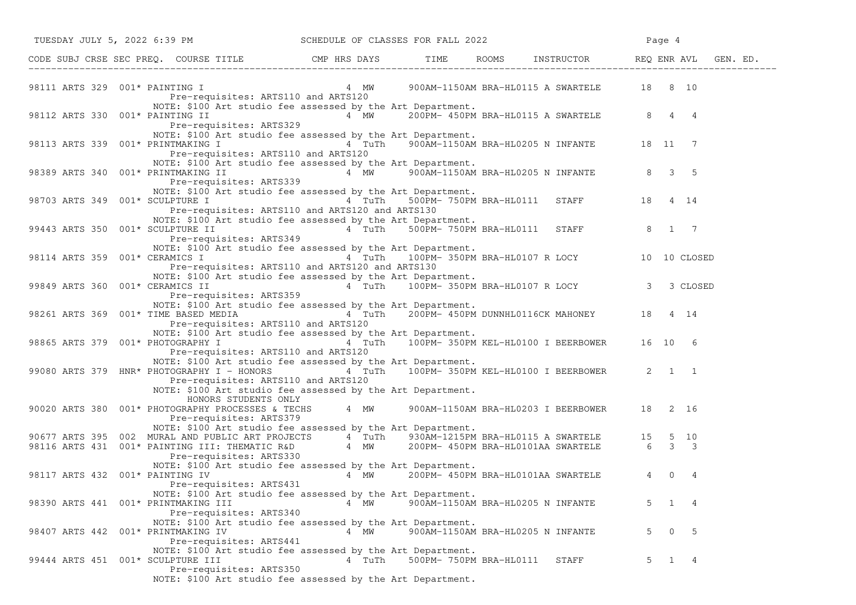| TUESDAY JULY 5, 2022 6:39 PM SCHEDULE OF CLASSES FOR FALL 2022                                                                                                                                                                                                                             |                                     |                         |                                   |                                                                                                            | Page 4              |               |
|--------------------------------------------------------------------------------------------------------------------------------------------------------------------------------------------------------------------------------------------------------------------------------------------|-------------------------------------|-------------------------|-----------------------------------|------------------------------------------------------------------------------------------------------------|---------------------|---------------|
| CODE SUBJ CRSE SEC PREQ. COURSE TITLE CMP HRS DAYS TIME ROOMS INSTRUCTOR REQ ENR AVL GEN. ED.                                                                                                                                                                                              |                                     |                         |                                   |                                                                                                            |                     |               |
| 98111 ARTS 329 001* PAINTING I CHARLER AND MANUEL A MW 900AM-1150AM BRA-HLO115 A SWARTELE 18 8 10<br>Pre-requisites: ARTS110 and ARTS120                                                                                                                                                   |                                     |                         |                                   |                                                                                                            |                     |               |
| NOTE: \$100 Art studio fee assessed by the Art Department.<br>98112 ARTS 330 001* PAINTING II<br>Pre-requisites: ARTS329                                                                                                                                                                   |                                     |                         |                                   | $4$ MW 200PM-450PM BRA-HL0115 A SWARTELE 8 4 4                                                             |                     |               |
| NOTE: \$100 Art studio fee assessed by the Art Department.<br>98113 ARTS 339 001* PRINTMAKING I 300 4 TuTh 900AM-1150AM BRA-HL0205 N INFANTE 18 11 7<br>Pre-requisites: ARTS110 and ARTS120                                                                                                |                                     |                         |                                   |                                                                                                            |                     |               |
| NOTE: \$100 Art studio fee assessed by the Art Department.<br>98389 ARTS 340 $001*$ PRINTMAKING II $\begin{array}{ccc} 4 & 4 \end{array}$ MW 900AM-1150AM BRA-HL0205 N INFANTE 8 3 5<br>Pre-requisites: ARTS339                                                                            |                                     |                         |                                   |                                                                                                            |                     |               |
| NOTE: \$100 Art studio fee assessed by the Art Department.<br>Pre-requisites: ARTS110 and ARTS120 and ARTS130                                                                                                                                                                              | 4 TuTh                              |                         |                                   | 500PM-750PM BRA-HL0111 STAFF 18 4 14                                                                       |                     |               |
| NOTE: \$100 Art studio fee assessed by the Art Department.<br>99443 ARTS 350 001* SCULPTURE II<br>Pre-requisites: ARTS349                                                                                                                                                                  | 4 TuTh 500PM-750PM BRA-HL0111 STAFF |                         |                                   |                                                                                                            | 8 1 7               |               |
| NOTE: \$100 Art studio fee assessed by the Art Department.<br>98114 ARTS 359 001* CERAMICS I<br>Pre-requisites: ARTS110 and ARTS120 and ARTS130                                                                                                                                            |                                     |                         |                                   | 4 TuTh 100PM-350PM BRA-HL0107 R LOCY 10 10 CLOSED                                                          |                     |               |
| NOTE: \$100 Art studio fee assessed by the Art Department.<br>99849 ARTS 360 001* CERAMICS II<br>Pre-requisites: ARTS359                                                                                                                                                                   |                                     |                         |                                   | d by the Art Department.<br>4   TuTh      100PM- 350PM BRA-HL0107 R LOCY                     3    3 CLOSED |                     |               |
| NOTE: \$100 Art studio fee assessed by the Art Department.<br>98261 ARTS 369 001* TIME BASED MEDIA 64 TuTh 200PM-450PM DUNNHL0116CK MAHONEY 18 4 14<br>Pre-requisites: ARTS110 and ARTS120                                                                                                 |                                     |                         |                                   |                                                                                                            |                     |               |
| NOTE: \$100 Art studio fee assessed by the Art Department.<br>98865 ARTS 379 001* PHOTOGRAPHY I<br>Pre-requisites: ARTS110 and ARTS120                                                                                                                                                     |                                     |                         |                                   | 4 TuTh 100PM-350PM KEL-HL0100 I BEERBOWER 16 10 6                                                          |                     |               |
| NOTE: \$100 Art studio fee assessed by the Art Department.<br>99080 ARTS 379 HNR* PHOTOGRAPHY I - HONORS<br>Pre-requisites: ARTS110 and ARTS120<br>NOTE: \$100 Art studio fee assessed by the Art Department.                                                                              |                                     |                         |                                   | 4 TuTh   100PM-   350PM   KEL-HL0100   I   BEERBOWER   2   1   1                                           |                     |               |
| HONORS STUDENTS ONLY<br>90020 ARTS 380 001* PHOTOGRAPHY PROCESSES & TECHS 4 MW 900AM-1150AM BRA-HL0203 I BEERBOWER 18 2 16<br>Pre-requisites: ARTS379                                                                                                                                      |                                     |                         |                                   |                                                                                                            |                     |               |
| NOTE: \$100 Art studio fee assessed by the Art Department.<br>90677 ARTS 395 002 MURAL AND PUBLIC ART PROJECTS 4 TuTh 930AM-1215PM BRA-HL0115 A SWARTELE 15 5 10<br>98116 ARTS 431 001* PAINTING III: THEMATIC R&D 4 MW 200PM-450PM BRA-HL0101AA SWARTELE 6 3 3<br>Pre-requisites: ARTS330 |                                     |                         |                                   |                                                                                                            |                     |               |
| NOTE: \$100 Art studio fee assessed by the Art Department.<br>98117 ARTS 432 001* PAINTING IV<br>Pre-requisites: ARTS431                                                                                                                                                                   | 4 MW                                |                         |                                   | 200PM- 450PM BRA-HL0101AA SWARTELE 4                                                                       |                     | $\Omega$<br>4 |
| NOTE: \$100 Art studio fee assessed by the Art Department.<br>98390 ARTS 441 001* PRINTMAKING III<br>Pre-requisites: ARTS340                                                                                                                                                               | 4 MW                                |                         | 900AM-1150AM BRA-HL0205 N INFANTE |                                                                                                            | 5<br>$\mathbf{1}$   | - 4           |
| NOTE: \$100 Art studio fee assessed by the Art Department.<br>98407 ARTS 442 001* PRINTMAKING IV<br>Pre-requisites: ARTS441                                                                                                                                                                | 4 MW                                |                         | 900AM-1150AM BRA-HL0205 N INFANTE |                                                                                                            | 5<br>$\overline{0}$ | 5             |
| NOTE: \$100 Art studio fee assessed by the Art Department.<br>99444 ARTS 451 001* SCULPTURE III<br>Pre-requisites: ARTS350<br>NOTE: \$100 Art studio fee assessed by the Art Department.                                                                                                   | 4 TuTh                              | 500PM- 750PM BRA-HL0111 |                                   | STAFF                                                                                                      | $\mathbf{1}$<br>5   | -4            |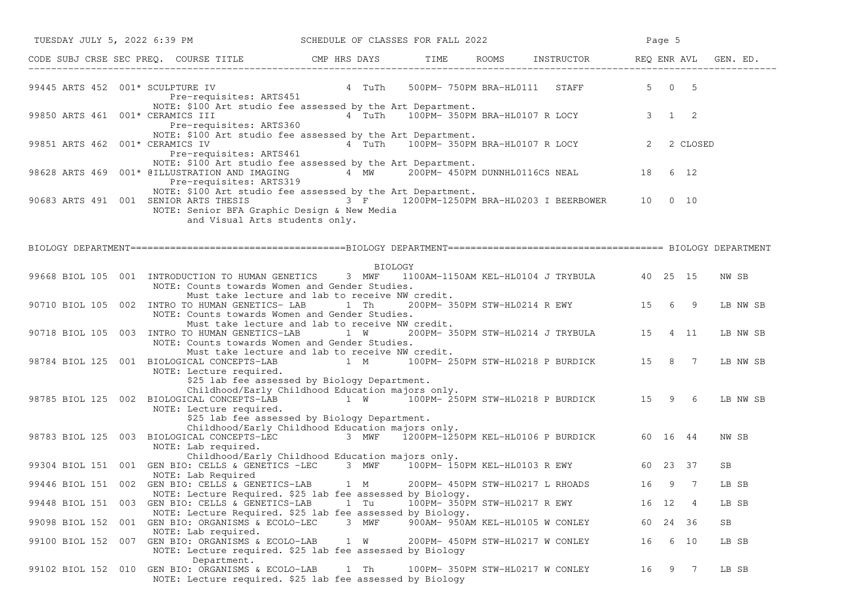|                | TUESDAY JULY 5, 2022 6:39 PM SCHEDULE OF CLASSES FOR FALL 2022                                                                                                                                                          |                                                            |                                  |                                          |       | Page 5        |          |          |
|----------------|-------------------------------------------------------------------------------------------------------------------------------------------------------------------------------------------------------------------------|------------------------------------------------------------|----------------------------------|------------------------------------------|-------|---------------|----------|----------|
|                | CODE SUBJ CRSE SEC PREQ. COURSE TITLE THE ROOMS INSTRUCTOR REQ ENR AVL GEN. ED.                                                                                                                                         |                                                            |                                  |                                          |       |               |          |          |
|                | 99445 ARTS 452 $001*$ SCULPTURE IV $4$ TuTh 500PM- 750PM BRA-HL0111 STAFF<br>Pre-requisites: ARTS451                                                                                                                    |                                                            |                                  |                                          |       | $5 \t 0 \t 5$ |          |          |
|                | NOTE: \$100 Art studio fee assessed by the Art Department.<br>99850 ARTS 461 001* CERAMICS III<br>Pre-requisites: ARTS360                                                                                               | 2 a TuTh 100PM-350PM BRA-HL0107 R LOCY 3 1 2               |                                  |                                          |       |               |          |          |
|                | NOTE: \$100 Art studio fee assessed by the Art Department.<br>99851 ARTS 462 001* CERAMICS IV<br>Pre-requisites: ARTS461                                                                                                | 4 TuTh 100PM-350PM BRA-HL0107 R LOCY 2                     |                                  |                                          |       |               | 2 CLOSED |          |
|                | NOTE: \$100 Art studio fee assessed by the Art Department.<br>98628 ARTS 469 001* @ILLUSTRATION AND IMAGING $4 \nightharpoonup W$ 200PM-450PM DUNNHL0116CS NEAL 18 6 12<br>Pre-requisites: ARTS319                      |                                                            |                                  |                                          |       |               |          |          |
|                | NOTE: \$100 Art studio fee assessed by the Art Department.<br>90683 ARTS 491 001 SENIOR ARTS THESIS<br>NOTE: Senior BFA Graphic Design & New Media<br>and Visual Arts students only.                                    | $3 \text{ F}$ 1200PM-1250PM BRA-HL0203 I BEERBOWER 10 0 10 |                                  |                                          |       |               |          |          |
|                |                                                                                                                                                                                                                         |                                                            |                                  |                                          |       |               |          |          |
|                |                                                                                                                                                                                                                         | BIOLOGY                                                    |                                  |                                          |       |               |          |          |
|                | 99668 BIOL 105 001 INTRODUCTION TO HUMAN GENETICS 3 MWF 1100AM-1150AM KEL-HL0104 J TRYBULA 40 25 15<br>NOTE: Counts towards Women and Gender Studies.<br>Must take lecture and lab to receive NW credit.                |                                                            |                                  |                                          |       |               |          | NW SB    |
|                | 90710 BIOL 105 002 INTRO TO HUMAN GENETICS- LAB 1 Th 200PM-350PM STW-HL0214 R EWY 15 6 9<br>NOTE: Counts towards Women and Gender Studies.                                                                              |                                                            |                                  |                                          |       |               |          | LB NW SB |
|                | Must take lecture and lab to receive NW credit.<br>90718 BIOL 105 003 INTRO TO HUMAN GENETICS-LAB<br>NOTE: Counts towards Women and Gender Studies.                                                                     | 1 W                                                        |                                  | 200PM-350PM STW-HL0214 J TRYBULA 15 4 11 |       |               |          | LB NW SB |
|                | Must take lecture and lab to receive NW credit.<br>98784 BIOL 125 001 BIOLOGICAL CONCEPTS-LAB 1 M 100PM-250PM STW-HL0218 P BURDICK 15 8 7<br>NOTE: Lecture required.                                                    |                                                            |                                  |                                          |       |               |          | LB NW SB |
|                | \$25 lab fee assessed by Biology Department.<br>Childhood/Early Childhood Education majors only.<br>98785 BIOL 125 002 BIOLOGICAL CONCEPTS-LAB 1 W 100PM- 250PM STW-HL0218 P BURDICK 15 9 6<br>NOTE: Lecture required.  |                                                            |                                  |                                          |       |               |          | LB NW SB |
|                | \$25 lab fee assessed by Biology Department.<br>Childhood/Early Childhood Education majors only.<br>98783 BIOL 125 003 BIOLOGICAL CONCEPTS-LEC 3 MWF 1200PM-1250PM KEL-HL0106 P BURDICK 60 16 44<br>NOTE: Lab required. |                                                            |                                  |                                          |       |               |          | NW SB    |
|                | Childhood/Early Childhood Education majors only.<br>99304 BIOL 151 001 GEN BIO: CELLS & GENETICS -LEC 3 MWF 100PM-150PM KEL-HL0103 R EWY 60 23 37<br>NOTE: Lab Required                                                 |                                                            |                                  |                                          |       |               |          | SB       |
|                | 99446 BIOL 151 002 GEN BIO: CELLS & GENETICS-LAB 1 M 200PM-450PM STW-HL0217 L RHOADS                                                                                                                                    |                                                            |                                  |                                          |       | 16 9 7        |          | LB SB    |
|                | NOTE: Lecture Required. \$25 lab fee assessed by Biology.<br>99448 BIOL 151 003 GEN BIO: CELLS & GENETICS-LAB                                                                                                           | 1 Tu                                                       | 100PM- 350PM STW-HL0217 R EWY    |                                          | 16 12 |               | 4        | LB SB    |
| 99098 BIOL 152 | NOTE: Lecture Required. \$25 lab fee assessed by Biology.<br>001 GEN BIO: ORGANISMS & ECOLO-LEC<br>NOTE: Lab required.                                                                                                  | 3 MWF                                                      | 900AM- 950AM KEL-HL0105 W CONLEY |                                          | 60 -  | 24 36         |          | SB       |
|                | 99100 BIOL 152 007 GEN BIO: ORGANISMS & ECOLO-LAB<br>NOTE: Lecture required. \$25 lab fee assessed by Biology                                                                                                           | 1 W                                                        | 200PM- 450PM STW-HL0217 W CONLEY |                                          | 16    |               | 6 10     | LB SB    |
|                | Department.<br>99102 BIOL 152 010 GEN BIO: ORGANISMS & ECOLO-LAB<br>NOTE: Lecture required. \$25 lab fee assessed by Biology                                                                                            | 1 Th                                                       | 100PM- 350PM STW-HL0217 W CONLEY |                                          | 16    |               | 9 7      | LB SB    |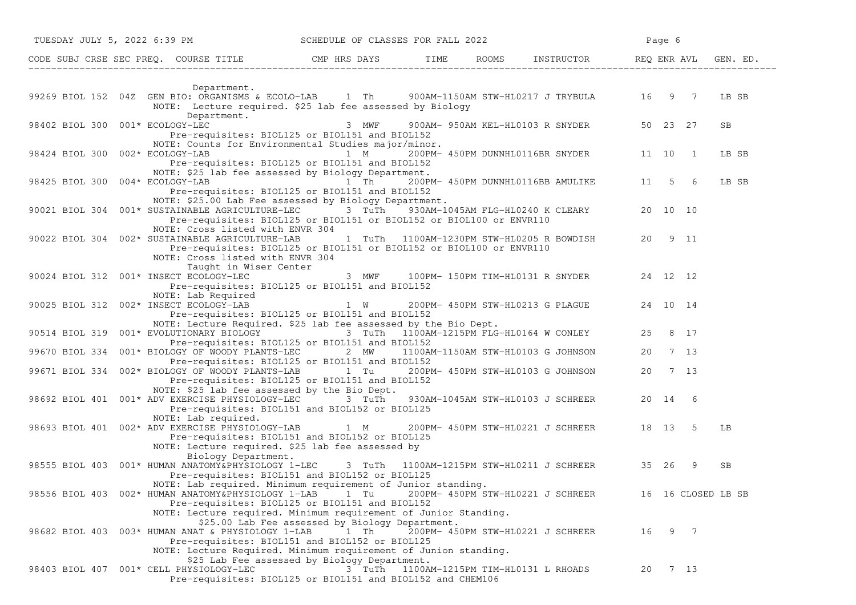|                                         | TUESDAY JULY 5, 2022 6:39 PM SCHEDULE OF CLASSES FOR FALL 2022                                                                                                                                                                                                                                    |       |                                          |                                                         | Page 6 |                    |       |
|-----------------------------------------|---------------------------------------------------------------------------------------------------------------------------------------------------------------------------------------------------------------------------------------------------------------------------------------------------|-------|------------------------------------------|---------------------------------------------------------|--------|--------------------|-------|
|                                         | CODE SUBJ CRSE SEC PREQ. COURSE TITLE THE ROOMS INSTRUCTOR REQ ENR AVL GEN. ED.                                                                                                                                                                                                                   |       |                                          |                                                         |        |                    |       |
|                                         |                                                                                                                                                                                                                                                                                                   |       |                                          |                                                         |        |                    |       |
|                                         | Department.<br>99269 BIOL 152 04Z GEN BIO: ORGANISMS & ECOLO-LAB 1 Th 900AM-1150AM STW-HL0217 J TRYBULA 16 9 7 LB SB<br>NOTE: Lecture required. \$25 lab fee assessed by Biology<br>Department.                                                                                                   |       |                                          |                                                         |        |                    |       |
| 98402 BIOL 300 001* ECOLOGY-LEC         | Pre-requisites: BIOL125 or BIOL151 and BIOL152<br>NOTE: Counts for Environmental Studies major/minor.                                                                                                                                                                                             | 3 MWF |                                          | 900AM- 950AM KEL-HL0103 R SNYDER 50 23 27               |        |                    | SB    |
|                                         | 98424 BIOL 300 002* ECOLOGY-LAB 1 M 200PM-450PM DUNNHL0116BR SNYDER 11 10 1<br>Pre-requisites: BIOL125 or BIOL151 and BIOL152<br>NOTE: \$25 lab fee assessed by Biology Department.                                                                                                               |       |                                          |                                                         |        |                    | LB SB |
|                                         | 98425 BIOL 300 004* ECOLOGY-LAB 1 Th<br>Pre-requisites: BIOL125 or BIOL151 and BIOL152<br>NOTE: \$25.00 Lab Fee assessed by Biology Department.                                                                                                                                                   |       |                                          | 200PM- 450PM DUNNHL0116BB AMULIKE 11 5 6                |        |                    | LB SB |
|                                         | 90021 BIOL 304 001* SUSTAINABLE AGRICULTURE-LEC 3 TuTh 930AM-1045AM FLG-HL0240 K CLEARY 20 10 10<br>Pre-requisites: BIOL125 or BIOL151 or BIOL152 or BIOL100 or ENVR110<br>NOTE: Cross listed with ENVR 304                                                                                       |       |                                          |                                                         |        |                    |       |
|                                         | 90022 BIOL 304 002* SUSTAINABLE AGRICULTURE-LAB 1 TuTh 1100AM-1230PM STW-HL0205 R BOWDISH 20 9 11<br>Pre-requisites: BIOL125 or BIOL151 or BIOL152 or BIOL100 or ENVR110<br>NOTE: Cross listed with ENVR 304<br>Taught in Wiser Center                                                            |       |                                          |                                                         |        |                    |       |
|                                         | 90024 BIOL 312 001* INSECT ECOLOGY-LEC 3 MWF 100PM-150PM TIM-HL0131 R SNYDER 24 12 12<br>Pre-requisites: BIOL125 or BIOL151 and BIOL152                                                                                                                                                           |       |                                          |                                                         |        |                    |       |
|                                         | NOTE: Lab Required<br>90025 BIOL 312 002* INSECT ECOLOGY-LAB 1 W 200PM- 450PM STW-HL0213 G PLAGUE 24 10 14<br>Pre-requisites: BIOL125 or BIOL151 and BIOL152                                                                                                                                      |       |                                          |                                                         |        |                    |       |
|                                         | NOTE: Lecture Required. \$25 lab fee assessed by the Bio Dept.<br>90514 BIOL 319 001* EVOLUTIONARY BIOLOGY 3 TuTh 1100AM-1215PM FLG-HL0164 W CONLEY 25 8 17                                                                                                                                       |       |                                          |                                                         |        |                    |       |
|                                         | Pre-requisites: BIOL125 or BIOL151 and BIOL152<br>99670 BIOL 334 001* BIOLOGY OF WOODY PLANTS-LEC 2 MW 1100AM-1150AM STW-HL0103 G JOHNSON<br>Pre-requisites: BIOL125 or BIOL151 and BIOL152                                                                                                       |       |                                          |                                                         |        | 20 7 13            |       |
|                                         | 99671 BIOL 334 002* BIOLOGY OF WOODY PLANTS-LAB 1 Tu 200PM-450PM STW-HL0103 G JOHNSON<br>Pre-requisites: BIOL125 or BIOL151 and BIOL152<br>NOTE: \$25 lab fee assessed by the Bio Dept.                                                                                                           |       |                                          |                                                         |        | 20 7 13            |       |
|                                         | 98692 BIOL 401 001* ADV EXERCISE PHYSIOLOGY-LEC 3 TuTh 930AM-1045AM STW-HL0103 J SCHREER 20 14 6<br>Pre-requisites: BIOL151 and BIOL152 or BIOL125<br>NOTE: Lab required.                                                                                                                         |       |                                          |                                                         |        |                    |       |
|                                         | 98693 BIOL 401 002* ADV EXERCISE PHYSIOLOGY-LAB 1 M 200PM-450PM STW-HL0221 J SCHREER 18 13 5<br>Pre-requisites: BIOL151 and BIOL152 or BIOL125<br>NOTE: Lecture required. \$25 lab fee assessed by<br>Biology Department.                                                                         |       |                                          |                                                         |        |                    | LB    |
|                                         | 98555 BIOL 403 001* HUMAN ANATOMY&PHYSIOLOGY 1-LEC<br>Pre-requisites: BIOL151 and BIOL152 or BIOL125                                                                                                                                                                                              |       |                                          | 3 TuTh   1100AM-1215PM STW-HL0211 J SCHREER   35  26  9 |        |                    | SB    |
|                                         | NOTE: Lab required. Minimum requirement of Junior standing.<br>98556 BIOL 403 002* HUMAN ANATOMY&PHYSIOLOGY 1-LAB 1 Tu<br>Pre-requisites: BIOL125 or BIOL151 and BIOL152                                                                                                                          |       |                                          | 200PM- 450PM STW-HL0221 J SCHREER                       |        | 16 16 CLOSED LB SB |       |
|                                         | NOTE: Lecture required. Minimum requirement of Junior Standing.<br>\$25.00 Lab Fee assessed by Biology Department.<br>98682 BIOL 403 003* HUMAN ANAT & PHYSIOLOGY 1-LAB 1 Th<br>Pre-requisites: BIOL151 and BIOL152 or BIOL125<br>NOTE: Lecture Required. Minimum requirement of Junion standing. |       |                                          | 200PM- 450PM STW-HL0221 J SCHREER                       |        | 16 9 7             |       |
| 98403 BIOL 407 001* CELL PHYSIOLOGY-LEC | \$25 Lab Fee assessed by Biology Department.<br>Pre-requisites: BIOL125 or BIOL151 and BIOL152 and CHEM106                                                                                                                                                                                        |       | 3 TuTh 1100AM-1215PM TIM-HL0131 L RHOADS |                                                         |        | 20 7 13            |       |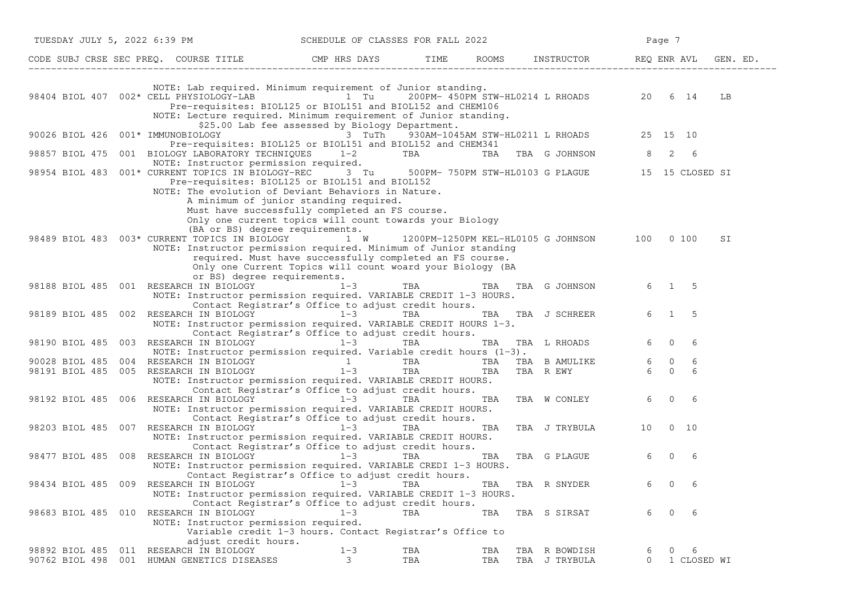| TUESDAY JULY 5, 2022 6:39 PM     |     |                                                                                                                                                                                                                                                                                 | SCHEDULE OF CLASSES FOR FALL 2022                                                                                                                   |                    |            |                                                  |                     | Page 7         |                  |          |  |
|----------------------------------|-----|---------------------------------------------------------------------------------------------------------------------------------------------------------------------------------------------------------------------------------------------------------------------------------|-----------------------------------------------------------------------------------------------------------------------------------------------------|--------------------|------------|--------------------------------------------------|---------------------|----------------|------------------|----------|--|
|                                  |     | CODE SUBJ CRSE SEC PREQ. COURSE TITLE                CMP HRS DAYS          TIME      ROOMS     INSTRUCTOR                                                                                                                                                                       |                                                                                                                                                     |                    |            |                                                  | REQ ENR AVL         |                |                  | GEN. ED. |  |
|                                  |     | NOTE: Lab required. Minimum requirement of Junior standing.<br>98404 BIOL 407 002* CELL PHYSIOLOGY-LAB 1 Tu 200PM-450PM STW-HL0214 L RHOADS 20<br>Pre-requisites: BIOL125 or BIOL151 and BIOL152 and CHEM106<br>NOTE: Lecture required. Minimum requirement of Junior standing. |                                                                                                                                                     |                    |            |                                                  |                     |                | 6 14             | LB       |  |
| 90026 BIOL 426                   |     | 001* IMMUNOBIOLOGY<br>Pre-requisites: BIOL125 or BIOL151 and BIOL152 and CHEM341                                                                                                                                                                                                | \$25.00 Lab fee assessed by Biology Department.<br>3 TuTh                                                                                           |                    |            | 930AM-1045AM STW-HL0211 L RHOADS                 |                     | 25 15 10       |                  |          |  |
| 98857 BIOL 475                   |     | 001 BIOLOGY LABORATORY TECHNIQUES 1-2<br>NOTE: Instructor permission required.                                                                                                                                                                                                  |                                                                                                                                                     | TBA                | TBA        | TBA G JOHNSON                                    | 8                   | 2              | 6                |          |  |
|                                  |     | 98954 BIOL 483        001* CURRENT TOPICS IN BIOLOGY-REC                       3    Tu<br>Pre-requisites: BIOL125 or BIOL151 and BIOL152<br>NOTE: The evolution of Deviant Behaviors in Nature.                                                                                 | A minimum of junior standing required.<br>Must have successfully completed an FS course.<br>Only one current topics will count towards your Biology |                    |            | 500PM- 750PM STW-HL0103 G PLAGUE 15 15 CLOSED SI |                     |                |                  |          |  |
|                                  |     | (BA or BS) degree requirements.<br>98489 BIOL 483 003* CURRENT TOPICS IN BIOLOGY 1 W<br>NOTE: Instructor permission required. Minimum of Junior standing<br>or BS) degree requirements.                                                                                         | required. Must have successfully completed an FS course.<br>Only one Current Topics will count woard your Biology (BA                               |                    |            | 1200PM-1250PM KEL-HL0105 G JOHNSON 100           |                     |                | 0, 100           | SI       |  |
|                                  |     | 98188 BIOL 485 001 RESEARCH IN BIOLOGY<br>NOTE: Instructor permission required. VARIABLE CREDIT 1-3 HOURS.                                                                                                                                                                      | $1 - 3$<br>Contact Registrar's Office to adjust credit hours.                                                                                       | TBA                | TBA        | TBA G JOHNSON                                    | 6                   | $\mathbf{1}$   | - 5              |          |  |
| 98189 BIOL 485                   | 002 | RESEARCH IN BIOLOGY<br>NOTE: Instructor permission required. VARIABLE CREDIT HOURS 1-3.                                                                                                                                                                                         | $1 - 3$                                                                                                                                             | TBA                | TBA        | TBA J SCHREER                                    | 6                   | $\mathbf{1}$   | 5                |          |  |
| 98190 BIOL 485                   | 003 | RESEARCH IN BIOLOGY<br>NOTE: Instructor permission required. Variable credit hours $(1-3)$ .                                                                                                                                                                                    | Contact Registrar's Office to adjust credit hours.<br>$1 - 3$                                                                                       | TBA                | TBA        | TBA L RHOADS                                     | 6                   | $\Omega$       | 6                |          |  |
| 90028 BIOL 485                   | 004 | RESEARCH IN BIOLOGY 1                                                                                                                                                                                                                                                           |                                                                                                                                                     | TBA <b>TRANGER</b> | TBA        | TBA B AMULIKE                                    | 6                   | $\overline{0}$ | 6                |          |  |
| 98191 BIOL 485                   |     | 005 RESEARCH IN BIOLOGY<br>NOTE: Instructor permission required. VARIABLE CREDIT HOURS.                                                                                                                                                                                         | $1 - 3$<br>Contact Registrar's Office to adjust credit hours.                                                                                       | TBA                | TBA        | TBA R EWY                                        | 6                   | $\Omega$       | 6                |          |  |
| 98192 BIOL 485 006               |     | RESEARCH IN BIOLOGY<br>NOTE: Instructor permission required. VARIABLE CREDIT HOURS.                                                                                                                                                                                             | $1 - 3$<br>Contact Registrar's Office to adjust credit hours.                                                                                       | TBA                | TBA        | TBA W CONLEY                                     | 6                   | $\mathbf{0}$   | 6                |          |  |
| 98203 BIOL 485                   | 007 | RESEARCH IN BIOLOGY<br>NOTE: Instructor permission required. VARIABLE CREDIT HOURS.                                                                                                                                                                                             | $1 - 3$<br>Contact Registrar's Office to adjust credit hours.                                                                                       | TBA                | TBA        | TBA J TRYBULA                                    | 10                  |                | $0\quad 10$      |          |  |
| 98477 BIOL 485 008               |     | RESEARCH IN BIOLOGY<br>NOTE: Instructor permission required. VARIABLE CREDI 1-3 HOURS.                                                                                                                                                                                          | $1 - 3$                                                                                                                                             | TBA                | TBA        | TBA G PLAGUE                                     | 6                   | $\Omega$       | 6                |          |  |
| 98434 BIOL 485 009               |     | RESEARCH IN BIOLOGY<br>NOTE: Instructor permission required. VARIABLE CREDIT 1-3 HOURS.                                                                                                                                                                                         | Contact Registrar's Office to adjust credit hours.<br>$1 - 3$<br>Contact Registrar's Office to adjust credit hours.                                 | TBA                | TBA        | TBA R SNYDER                                     | 6                   | $\mathbf{0}$   | 6                |          |  |
|                                  |     | 98683 BIOL 485 010 RESEARCH IN BIOLOGY<br>NOTE: Instructor permission required.<br>adjust credit hours.                                                                                                                                                                         | $1 - 3$<br>Variable credit 1-3 hours. Contact Registrar's Office to                                                                                 | TBA                | TBA        | TBA S SIRSAT                                     | 6                   | $\mathbf{0}$   | 6                |          |  |
| 98892 BIOL 485<br>90762 BIOL 498 |     | 011 RESEARCH IN BIOLOGY<br>001 HUMAN GENETICS DISEASES                                                                                                                                                                                                                          | $1 - 3$<br>3                                                                                                                                        | TBA<br>TBA         | TBA<br>TBA | TBA R BOWDISH<br>TBA J TRYBULA                   | 6<br>$\overline{0}$ | $\circ$        | 6<br>1 CLOSED WI |          |  |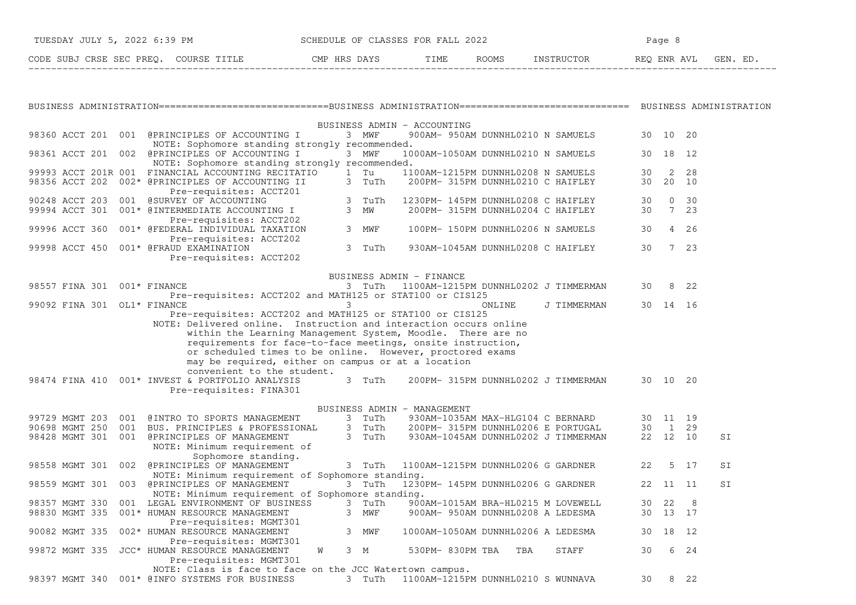| TUESDAY JULY 5, 2022 6:39 PM             | SCHEDULE OF CLASSES FOR FALL 2022 |                      |            | Page                   |  |  |  |
|------------------------------------------|-----------------------------------|----------------------|------------|------------------------|--|--|--|
| CODE SUBJ CRSE SEC PREO.<br>COURSE TITLE | CMP HRS DAYS                      | TIME<br><b>ROOMS</b> | INSTRUCTOR | REO ENR AVL<br>GEN. ED |  |  |  |

−−−−−−−−−−−−−−−−−−−−−−−−−−−−−−−−−−−−−−−−−−−−−−−−−−−−−−−−−−−−−−−−−−−−−−−−−−−−−−−−−−−−−−−−−−−−−−−−−−−−−−−−−−−−−−−−−−−−−−−−−−−−−−−−−−−−

|  |                |     | BUSINESS ADMIN - ACCOUNTING                                                                                |          |                 |              |    |
|--|----------------|-----|------------------------------------------------------------------------------------------------------------|----------|-----------------|--------------|----|
|  |                |     | 98360 ACCT 201 001 @PRINCIPLES OF ACCOUNTING I<br>3 MWF<br>900AM- 950AM DUNNHL0210 N SAMUELS               |          | 30 10 20        |              |    |
|  |                |     | NOTE: Sophomore standing strongly recommended.                                                             |          |                 |              |    |
|  | 98361 ACCT 201 | 002 | @PRINCIPLES OF ACCOUNTING I<br>3 MWF<br>1000AM-1050AM DUNNHL0210 N SAMUELS                                 | 30       | 18              | 12           |    |
|  |                |     | NOTE: Sophomore standing strongly recommended.                                                             |          |                 |              |    |
|  |                |     | 99993 ACCT 201R 001 FINANCIAL ACCOUNTING RECITATIO<br>1 Tu<br>1100AM-1215PM DUNNHL0208 N SAMUELS           | 30       | 2               | 28           |    |
|  |                |     | 98356 ACCT 202 002* @PRINCIPLES OF ACCOUNTING II<br>3 TuTh<br>200PM- 315PM DUNNHL0210 C HAIFLEY            | 30       | 20 10           |              |    |
|  |                |     | Pre-requisites: ACCT201                                                                                    |          |                 | $0 \quad 30$ |    |
|  | 90248 ACCT 203 |     | TuTh<br>001 @SURVEY OF ACCOUNTING<br>1230PM- 145PM DUNNHL0208 C HAIFLEY<br>3<br>3 MW                       | 30<br>30 | $7\overline{ }$ | 23           |    |
|  | 99994 ACCT 301 |     | 001* @INTERMEDIATE ACCOUNTING I<br>200PM- 315PM DUNNHL0204 C HAIFLEY                                       |          |                 |              |    |
|  | 99996 ACCT 360 |     | Pre-requisites: ACCT202<br>001* @FEDERAL INDIVIDUAL TAXATION<br>3 MWF<br>100PM- 150PM DUNNHL0206 N SAMUELS | 30       | 4               | 26           |    |
|  |                |     | Pre-requisites: ACCT202                                                                                    |          |                 |              |    |
|  | 99998 ACCT 450 |     | 3 TuTh<br>001* @FRAUD EXAMINATION<br>930AM-1045AM DUNNHL0208 C HAIFLEY                                     | 30       |                 | $7\quad 23$  |    |
|  |                |     | Pre-requisites: ACCT202                                                                                    |          |                 |              |    |
|  |                |     |                                                                                                            |          |                 |              |    |
|  |                |     | BUSINESS ADMIN - FINANCE                                                                                   |          |                 |              |    |
|  | 98557 FINA 301 |     | 001* FINANCE<br>3 TuTh<br>1100AM-1215PM DUNNHL0202 J TIMMERMAN                                             | 30       | 8               | 22           |    |
|  |                |     | Pre-requisites: ACCT202 and MATH125 or STAT100 or CIS125                                                   |          |                 |              |    |
|  |                |     | 99092 FINA 301 OL1* FINANCE<br>ONLINE<br>J TIMMERMAN                                                       |          | 30 14 16        |              |    |
|  |                |     | Pre-requisites: ACCT202 and MATH125 or STAT100 or CIS125                                                   |          |                 |              |    |
|  |                |     | NOTE: Delivered online. Instruction and interaction occurs online                                          |          |                 |              |    |
|  |                |     | within the Learning Management System, Moodle. There are no                                                |          |                 |              |    |
|  |                |     | requirements for face-to-face meetings, onsite instruction,                                                |          |                 |              |    |
|  |                |     | or scheduled times to be online. However, proctored exams                                                  |          |                 |              |    |
|  |                |     | may be required, either on campus or at a location                                                         |          |                 |              |    |
|  |                |     | convenient to the student.                                                                                 |          |                 |              |    |
|  |                |     | 98474 FINA 410 001* INVEST & PORTFOLIO ANALYSIS<br>3 TuTh<br>200PM- 315PM DUNNHL0202 J TIMMERMAN           |          | 30 10 20        |              |    |
|  |                |     | Pre-requisites: FINA301                                                                                    |          |                 |              |    |
|  |                |     |                                                                                                            |          |                 |              |    |
|  |                |     | BUSINESS ADMIN - MANAGEMENT                                                                                |          |                 |              |    |
|  | 99729 MGMT 203 | 001 | @INTRO TO SPORTS MANAGEMENT<br>3<br>TuTh<br>930AM-1035AM MAX-HLG104 C BERNARD                              |          | 30 11 19        |              |    |
|  | 90698 MGMT 250 | 001 | 3 TuTh<br>BUS. PRINCIPLES & PROFESSIONAL<br>200PM- 315PM DUNNHL0206 E PORTUGAL                             | 30       | $\mathbf{1}$    | 29           |    |
|  | 98428 MGMT 301 | 001 | 3 TuTh<br>@PRINCIPLES OF MANAGEMENT<br>930AM-1045AM DUNNHL0202 J TIMMERMAN                                 |          | 22 12 10        |              | SI |
|  |                |     | NOTE: Minimum requirement of                                                                               |          |                 |              |    |
|  |                |     | Sophomore standing.                                                                                        |          |                 |              |    |
|  | 98558 MGMT 301 | 002 | @PRINCIPLES OF MANAGEMENT<br>3 TuTh<br>1100AM-1215PM DUNNHL0206 G GARDNER                                  | 22       | 5               | 17           | SI |
|  |                |     | NOTE: Minimum requirement of Sophomore standing.                                                           |          |                 |              |    |
|  | 98559 MGMT 301 | 003 | @PRINCIPLES OF MANAGEMENT<br>3 TuTh<br>1230PM- 145PM DUNNHL0206 G GARDNER                                  |          | 22 11 11        |              | ST |
|  |                |     | NOTE: Minimum requirement of Sophomore standing.                                                           |          |                 |              |    |
|  | 98357 MGMT 330 |     | 001 LEGAL ENVIRONMENT OF BUSINESS<br>3 TuTh<br>900AM-1015AM BRA-HL0215 M LOVEWELL                          | 30       | 22              | 8            |    |
|  | 98830 MGMT 335 |     | 3 MWF<br>001* HUMAN RESOURCE MANAGEMENT<br>900AM- 950AM DUNNHL0208 A LEDESMA                               |          | 30 13 17        |              |    |
|  |                |     | Pre-requisites: MGMT301                                                                                    |          |                 |              |    |
|  | 90082 MGMT 335 |     | 002* HUMAN RESOURCE MANAGEMENT<br>3 MWF<br>1000AM-1050AM DUNNHL0206 A LEDESMA                              | 30       | 18              | 12           |    |
|  |                |     | Pre-requisites: MGMT301                                                                                    |          |                 |              |    |
|  | 99872 MGMT 335 |     | JCC* HUMAN RESOURCE MANAGEMENT<br>W<br>3 M<br>530PM- 830PM TBA<br>TBA<br>STAFF                             | 30       | 6               | 24           |    |
|  |                |     | Pre-requisites: MGMT301                                                                                    |          |                 |              |    |
|  |                |     | NOTE: Class is face to face on the JCC Watertown campus.                                                   |          |                 |              |    |
|  |                |     | 1100AM-1215PM DUNNHL0210 S WUNNAVA<br>98397 MGMT 340 001* @INFO SYSTEMS FOR BUSINESS<br>3 TuTh             | 30       | 8               | 22           |    |
|  |                |     |                                                                                                            |          |                 |              |    |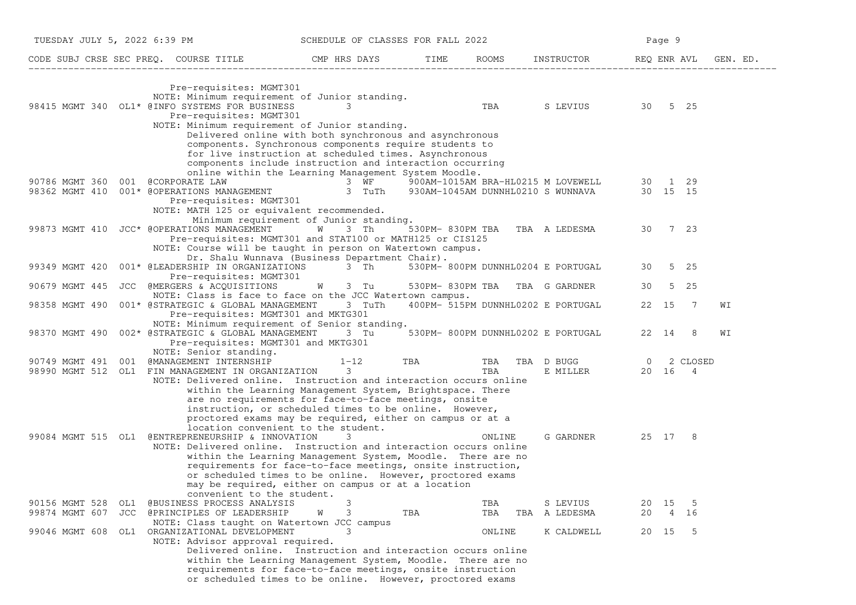| TUESDAY JULY 5, 2022 6:39 PM                                                                                                                                                                           | SCHEDULE OF CLASSES FOR FALL 2022                                                                                                                                                                                                                                                                                                                                                                                                       |                                    |                                    |                        |            |             | Page 9                 |                      |
|--------------------------------------------------------------------------------------------------------------------------------------------------------------------------------------------------------|-----------------------------------------------------------------------------------------------------------------------------------------------------------------------------------------------------------------------------------------------------------------------------------------------------------------------------------------------------------------------------------------------------------------------------------------|------------------------------------|------------------------------------|------------------------|------------|-------------|------------------------|----------------------|
|                                                                                                                                                                                                        |                                                                                                                                                                                                                                                                                                                                                                                                                                         |                                    |                                    |                        |            |             |                        | REQ ENR AVL GEN. ED. |
| Pre-requisites: MGMT301<br>NOTE: Minimum requirement of Junior standing.<br>98415 MGMT 340 OL1* @INFO SYSTEMS FOR BUSINESS<br>Pre-requisites: MGMT301<br>NOTE: Minimum requirement of Junior standing. | $\overline{\phantom{a}}$ 3                                                                                                                                                                                                                                                                                                                                                                                                              |                                    | TBA S LEVIUS 30 5 25               |                        |            |             |                        |                      |
| @CORPORATE LAW<br>90786 MGMT 360 001                                                                                                                                                                   | Delivered online with both synchronous and asynchronous<br>components. Synchronous components require students to<br>for live instruction at scheduled times. Asynchronous<br>components include instruction and interaction occurring<br>online within the Learning Management System Moodle.<br>$\overline{A}$ 3 $\overline{W}$ $\overline{B}$ 900AM-1015AM BRA-HL0215 M LOVEWELL<br>AGEMENT 3 TuTh 930AM-1045AM DUNNHL0210 S WUNNAVA |                                    |                                    |                        |            |             | 30 1 29                |                      |
| 98362 MGMT 410 001* @OPERATIONS MANAGEMENT<br>Pre-requisites: MGMT301<br>NOTE: MATH 125 or equivalent recommended.                                                                                     | Minimum requirement of Junior standing.                                                                                                                                                                                                                                                                                                                                                                                                 |                                    |                                    |                        |            |             | 30 15 15               |                      |
| 99873 MGMT 410 JCC* @OPERATIONS MANAGEMENT<br>Pre-requisites: MGMT301 and STAT100 or MATH125 or CIS125<br>NOTE: Course will be taught in person on Watertown campus.                                   | W 3 Th<br>Dr. Shalu Wunnava (Business Department Chair).                                                                                                                                                                                                                                                                                                                                                                                | 530PM-830PM TBA TBA A LEDESMA      |                                    |                        |            |             | 30 7 23                |                      |
| 001* @LEADERSHIP IN ORGANIZATIONS 3 Th<br>99349 MGMT 420<br>Pre-requisites: MGMT301                                                                                                                    |                                                                                                                                                                                                                                                                                                                                                                                                                                         | 530PM- 800PM DUNNHL0204 E PORTUGAL |                                    |                        |            | 30          | 5 25                   |                      |
| 90679 MGMT 445<br>JCC @MERGERS & ACQUISITIONS<br>NOTE: Class is face to face on the JCC Watertown campus.                                                                                              | W 3 Tu                                                                                                                                                                                                                                                                                                                                                                                                                                  | 530PM-830PM TBA TBA G GARDNER      |                                    |                        |            | 30          | 5 25                   |                      |
| 98358 MGMT 490<br>001* @STRATEGIC & GLOBAL MANAGEMENT<br>Pre-requisites: MGMT301 and MKTG301<br>NOTE: Minimum requirement of Senior standing.                                                          | 3 TuTh                                                                                                                                                                                                                                                                                                                                                                                                                                  |                                    | 400PM- 515PM DUNNHL0202 E PORTUGAL |                        |            | 22 15       | $\overline{7}$         | WI                   |
| 98370 MGMT 490 002* @STRATEGIC & GLOBAL MANAGEMENT 3 Tu 530PM- 800PM DUNNHL0202 E PORTUGAL<br>Pre-requisites: MGMT301 and MKTG301<br>NOTE: Senior standing.                                            |                                                                                                                                                                                                                                                                                                                                                                                                                                         |                                    |                                    |                        |            | 22 14       | - 8                    | WI                   |
| @MANAGEMENT INTERNSHIP<br>90749 MGMT 491<br>001<br>98990 MGMT 512 OL1 FIN MANAGEMENT IN ORGANIZATION<br>NOTE: Delivered online. Instruction and interaction occurs online                              | $1 - 12$<br>$\mathcal{E}$<br>within the Learning Management System, Brightspace. There                                                                                                                                                                                                                                                                                                                                                  | <b>TBA</b>                         | TBA<br>TBA                         | TBA D BUGG<br>E MILLER |            |             | 0 2 CLOSED<br>20 16 4  |                      |
| 99084 MGMT 515 OL1 @ENTREPRENEURSHIP & INNOVATION                                                                                                                                                      | are no requirements for face-to-face meetings, onsite<br>instruction, or scheduled times to be online. However,<br>proctored exams may be required, either on campus or at a<br>location convenient to the student.<br>3                                                                                                                                                                                                                |                                    | ONLINE                             |                        | G GARDNER  |             | 25 17 8                |                      |
| NOTE: Delivered online. Instruction and interaction occurs online                                                                                                                                      | within the Learning Management System, Moodle. There are no<br>requirements for face-to-face meetings, onsite instruction,<br>or scheduled times to be online. However, proctored exams<br>may be required, either on campus or at a location                                                                                                                                                                                           |                                    |                                    |                        |            |             |                        |                      |
| convenient to the student.<br>90156 MGMT 528<br>@BUSINESS PROCESS ANALYSIS<br>OL1                                                                                                                      | 3<br>3                                                                                                                                                                                                                                                                                                                                                                                                                                  |                                    | TBA                                | S LEVIUS               |            | 20 15       | $-5$                   |                      |
| 99874 MGMT 607<br>JCC<br>@PRINCIPLES OF LEADERSHIP<br>NOTE: Class taught on Watertown JCC campus<br>99046 MGMT 608<br>ORGANIZATIONAL DEVELOPMENT<br>OL1                                                | W                                                                                                                                                                                                                                                                                                                                                                                                                                       | TBA                                | TBA<br>ONLINE                      | TBA<br>A LEDESMA       | K CALDWELL | 20<br>20 15 | 16<br>4<br>$5^{\circ}$ |                      |
| NOTE: Advisor approval required.                                                                                                                                                                       | Delivered online. Instruction and interaction occurs online<br>within the Learning Management System, Moodle. There are no<br>requirements for face-to-face meetings, onsite instruction<br>or scheduled times to be online. However, proctored exams                                                                                                                                                                                   |                                    |                                    |                        |            |             |                        |                      |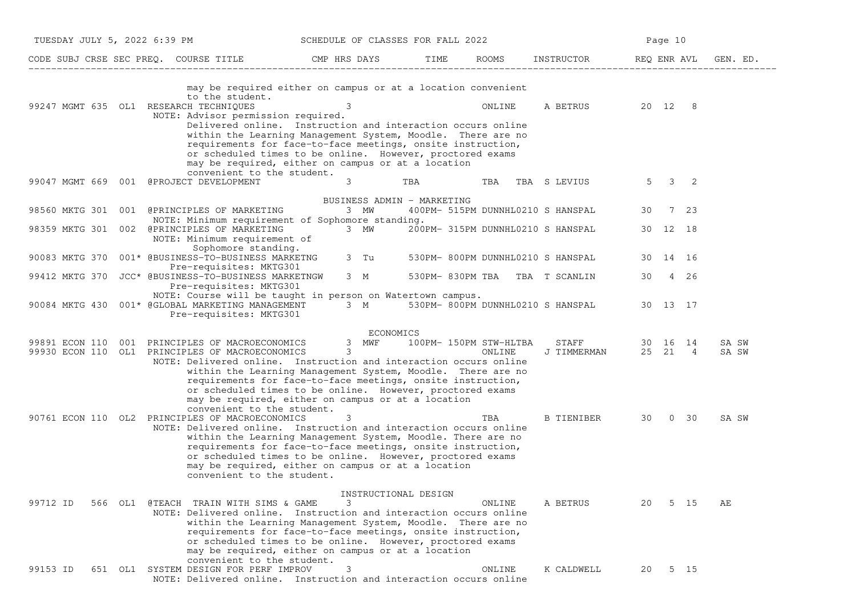| TUESDAY JULY 5, 2022 6:39 PM                                                                                                     | SCHEDULE OF CLASSES FOR FALL 2022                                                                                                                                                                                                                                                                                                                                                                                       |      |                                   |                                      | Page 10 |          |                |
|----------------------------------------------------------------------------------------------------------------------------------|-------------------------------------------------------------------------------------------------------------------------------------------------------------------------------------------------------------------------------------------------------------------------------------------------------------------------------------------------------------------------------------------------------------------------|------|-----------------------------------|--------------------------------------|---------|----------|----------------|
| CODE SUBJ CRSE SEC PREQ. COURSE TITLE THE CMP HRS DAYS                                                                           |                                                                                                                                                                                                                                                                                                                                                                                                                         | TIME |                                   | ROOMS INSTRUCTOR REQ ENR AVL         |         |          | GEN. ED.       |
| to the student.<br>99247 MGMT 635 OL1 RESEARCH TECHNIQUES                                                                        | may be required either on campus or at a location convenient<br>3<br>NOTE: Advisor permission required.<br>Delivered online. Instruction and interaction occurs online<br>within the Learning Management System, Moodle. There are no<br>requirements for face-to-face meetings, onsite instruction,<br>or scheduled times to be online. However, proctored exams<br>may be required, either on campus or at a location |      | ONLINE                            | A BETRUS 20 12 8                     |         |          |                |
| 99047 MGMT 669 001 @PROJECT DEVELOPMENT                                                                                          | convenient to the student.<br>3                                                                                                                                                                                                                                                                                                                                                                                         | TBA  | TBA                               | TBA S LEVIUS                         |         | 5 3 2    |                |
| 98560 MKTG 301 001 @PRINCIPLES OF MARKETING                                                                                      | BUSINESS ADMIN - MARKETING<br>3 MW<br>NOTE: Minimum requirement of Sophomore standing.                                                                                                                                                                                                                                                                                                                                  |      |                                   | 400PM- 515PM DUNNHL0210 S HANSPAL    | 30      | 7 23     |                |
| 98359 MKTG 301 002 @PRINCIPLES OF MARKETING<br>NOTE: Minimum requirement of                                                      | 3 MW                                                                                                                                                                                                                                                                                                                                                                                                                    |      |                                   | 200PM- 315PM DUNNHL0210 S HANSPAL    |         | 30 12 18 |                |
| Sophomore standing.<br>90083 MKTG 370 001* @BUSINESS-TO-BUSINESS MARKETNG 3 Tu 530PM- 800PM DUNNHL0210 S HANSPAL                 |                                                                                                                                                                                                                                                                                                                                                                                                                         |      |                                   |                                      |         | 30 14 16 |                |
| Pre-requisites: MKTG301<br>99412 MKTG 370 JCC* @BUSINESS-TO-BUSINESS MARKETNGW<br>Pre-requisites: MKTG301                        |                                                                                                                                                                                                                                                                                                                                                                                                                         |      | 3 M 530PM-830PM TBA TBA T SCANLIN |                                      |         | 30 4 26  |                |
| 90084 MKTG 430 001* @GLOBAL MARKETING MANAGEMENT<br>Pre-requisites: MKTG301                                                      | NOTE: Course will be taught in person on Watertown campus.                                                                                                                                                                                                                                                                                                                                                              |      |                                   | 3 M 530PM-800PM DUNNHL0210 S HANSPAL |         | 30 13 17 |                |
| 99891 ECON 110 001 PRINCIPLES OF MACROECONOMICS 3 MWF 100PM-150PM STW-HLTBA<br>99930 ECON 110 OL1 PRINCIPLES OF MACROECONOMICS 3 | ECONOMICS<br>NOTE: Delivered online. Instruction and interaction occurs online<br>within the Learning Management System, Moodle. There are no<br>requirements for face-to-face meetings, onsite instruction,<br>or scheduled times to be online. However, proctored exams<br>may be required, either on campus or at a location                                                                                         |      |                                   | <b>STAFF</b><br>J TIMMERMAN 25 21 4  |         | 30 16 14 | SA SW<br>SA SW |
| 90761 ECON 110 OL2 PRINCIPLES OF MACROECONOMICS                                                                                  | convenient to the student.<br>3<br>NOTE: Delivered online. Instruction and interaction occurs online<br>within the Learning Management System, Moodle. There are no<br>requirements for face-to-face meetings, onsite instruction,<br>or scheduled times to be online. However, proctored exams<br>may be required, either on campus or at a location<br>convenient to the student.                                     |      | TBA                               | B TIENIBER 30 0 30                   |         |          | SA SW          |
| 99712 ID<br>566 OL1 @TEACH TRAIN WITH SIMS & GAME                                                                                | INSTRUCTIONAL DESIGN<br>3<br>NOTE: Delivered online. Instruction and interaction occurs online<br>within the Learning Management System, Moodle. There are no<br>requirements for face-to-face meetings, onsite instruction,<br>or scheduled times to be online. However, proctored exams<br>may be required, either on campus or at a location                                                                         |      | ONLINE                            | A BETRUS                             | 20      | 5 15     | AЕ             |
| 99153 ID<br>651 OL1 SYSTEM DESIGN FOR PERF IMPROV                                                                                | convenient to the student.<br>3<br>NOTE: Delivered online. Instruction and interaction occurs online                                                                                                                                                                                                                                                                                                                    |      | ONLINE                            | K CALDWELL                           | 20      | 5 15     |                |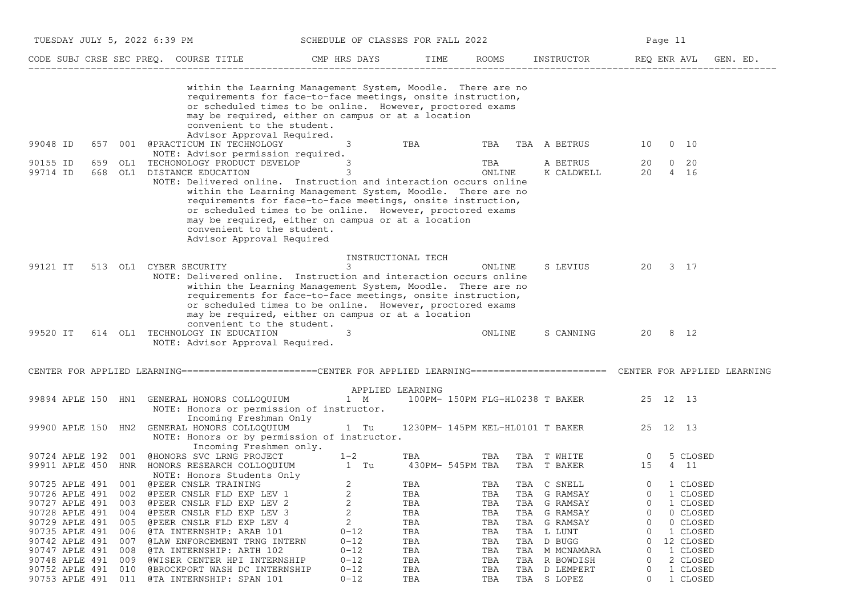|                |     |     | TUESDAY JULY 5, 2022 6:39 PM                                                                                                       | SCHEDULE OF CLASSES FOR FALL 2022                                                                                                                                                                                                             |                    |        |                                  | Page 11                    |          |
|----------------|-----|-----|------------------------------------------------------------------------------------------------------------------------------------|-----------------------------------------------------------------------------------------------------------------------------------------------------------------------------------------------------------------------------------------------|--------------------|--------|----------------------------------|----------------------------|----------|
|                |     |     | CODE SUBJ CRSE SEC PREQ. COURSE TITLE THE CMP HRS DAYS                                                                             |                                                                                                                                                                                                                                               | TIME               |        | ROOMS INSTRUCTOR REQ ENR AVL     |                            | GEN. ED. |
|                |     |     | convenient to the student.<br>Advisor Approval Required.                                                                           | within the Learning Management System, Moodle. There are no<br>requirements for face-to-face meetings, onsite instruction,<br>or scheduled times to be online. However, proctored exams<br>may be required, either on campus or at a location |                    |        |                                  |                            |          |
| 99048 ID       |     |     | 657 001 @PRACTICUM IN TECHNOLOGY                                                                                                   | $3^{\circ}$                                                                                                                                                                                                                                   | TBA                | TBA    | TBA A BETRUS                     | $0\quad 10$<br>10          |          |
| 90155 ID       | 659 |     | NOTE: Advisor permission required.<br>OL1 TECHONOLOGY PRODUCT DEVELOP                                                              | 3                                                                                                                                                                                                                                             |                    | TBA    | A BETRUS                         | 20<br>$0\quad 20$          |          |
| 99714 ID       | 668 |     | OL1 DISTANCE EDUCATION                                                                                                             | 3                                                                                                                                                                                                                                             |                    | ONLINE | K CALDWELL                       | 4 16<br>20                 |          |
|                |     |     | NOTE: Delivered online. Instruction and interaction occurs online<br>convenient to the student.<br>Advisor Approval Required       | within the Learning Management System, Moodle. There are no<br>requirements for face-to-face meetings, onsite instruction,<br>or scheduled times to be online. However, proctored exams<br>may be required, either on campus or at a location |                    |        |                                  |                            |          |
|                |     |     |                                                                                                                                    |                                                                                                                                                                                                                                               | INSTRUCTIONAL TECH |        |                                  |                            |          |
| 99121 IT       |     |     | 513 OL1 CYBER SECURITY<br>NOTE: Delivered online. Instruction and interaction occurs online                                        | 3<br>within the Learning Management System, Moodle. There are no<br>requirements for face-to-face meetings, onsite instruction,<br>or scheduled times to be online. However, proctored exams                                                  |                    | ONLINE | S LEVIUS                         | 3 17<br>20                 |          |
| 99520 IT       |     |     | convenient to the student.<br>614 OL1 TECHNOLOGY IN EDUCATION<br>NOTE: Advisor Approval Required.                                  | may be required, either on campus or at a location<br>3                                                                                                                                                                                       |                    | ONLINE | S CANNING                        | 20 8 12                    |          |
|                |     |     | CENTER FOR APPLIED LEARNING=======================CENTER FOR APPLIED LEARNING========================= CENTER FOR APPLIED LEARNING |                                                                                                                                                                                                                                               |                    |        |                                  |                            |          |
|                |     |     |                                                                                                                                    | APPLIED LEARNING                                                                                                                                                                                                                              |                    |        |                                  |                            |          |
|                |     |     | 99894 APLE 150 HN1 GENERAL HONORS COLLOQUIUM                                                                                       | 1 M                                                                                                                                                                                                                                           |                    |        | 100PM- 150PM FLG-HL0238 T BAKER  | 25 12 13                   |          |
|                |     |     | NOTE: Honors or permission of instructor.                                                                                          |                                                                                                                                                                                                                                               |                    |        |                                  |                            |          |
|                |     |     | Incoming Freshman Only                                                                                                             |                                                                                                                                                                                                                                               |                    |        |                                  |                            |          |
| 99900 APLE 150 |     | HN2 | GENERAL HONORS COLLOQUIUM<br>NOTE: Honors or by permission of instructor.                                                          | 1 Tu                                                                                                                                                                                                                                          |                    |        | 1230PM- 145PM KEL-HL0101 T BAKER | 25 12 13                   |          |
|                |     |     | Incoming Freshmen only.                                                                                                            |                                                                                                                                                                                                                                               |                    |        |                                  |                            |          |
| 90724 APLE 192 |     | 001 | @HONORS SVC LRNG PROJECT                                                                                                           | $1 - 2$                                                                                                                                                                                                                                       | TBA                | TBA    | TBA T WHITE                      | 5 CLOSED<br>$\overline{0}$ |          |
| 99911 APLE 450 |     |     | HNR HONORS RESEARCH COLLOQUIUM                                                                                                     | 1 Tu                                                                                                                                                                                                                                          | 430PM- 545PM TBA   |        | TBA T BAKER                      | 15<br>4 11                 |          |
|                |     |     | NOTE: Honors Students Only                                                                                                         |                                                                                                                                                                                                                                               |                    |        |                                  |                            |          |
|                |     |     | 90725 APLE 491 001 @PEER CNSLR TRAINING                                                                                            | 2                                                                                                                                                                                                                                             | TBA                | TBA    | TBA C SNELL                      | $\mathbf 0$<br>1 CLOSED    |          |
| 90726 APLE 491 |     | 002 | @PEER CNSLR FLD EXP LEV 1                                                                                                          | 2                                                                                                                                                                                                                                             | TBA                | TBA    | TBA G RAMSAY                     | 1 CLOSED<br>0              |          |
| 90727 APLE 491 |     | 003 | @PEER CNSLR FLD EXP LEV 2                                                                                                          | 2                                                                                                                                                                                                                                             | TBA                | TBA    | TBA<br>G RAMSAY                  | 1 CLOSED<br>0              |          |
| 90728 APLE 491 |     | 004 | @PEER CNSLR FLD EXP LEV 3                                                                                                          | 2                                                                                                                                                                                                                                             | TBA                | TBA    | TBA<br>G RAMSAY                  | 0 CLOSED<br>0              |          |
| 90729 APLE 491 |     | 005 | @PEER CNSLR FLD EXP LEV 4                                                                                                          | 2                                                                                                                                                                                                                                             | TBA                | TBA    | TBA<br>G RAMSAY                  | 0 CLOSED<br>0              |          |
| 90735 APLE 491 |     | 006 | @TA INTERNSHIP: ARAB 101                                                                                                           | $0 - 12$                                                                                                                                                                                                                                      | TBA                | TBA    | TBA<br>L LUNT                    | 1 CLOSED<br>0              |          |
| 90742 APLE 491 |     | 007 | <b>@LAW ENFORCEMENT TRNG INTERN</b>                                                                                                | $0 - 12$                                                                                                                                                                                                                                      | TBA                | TBA    | D BUGG<br>TBA                    | 12 CLOSED<br>O             |          |
| 90747 APLE 491 |     | 008 | @TA INTERNSHIP: ARTH 102                                                                                                           | $0 - 12$                                                                                                                                                                                                                                      | TBA                | TBA    | TBA<br>M MCNAMARA                | $\Omega$<br>1 CLOSED       |          |
| 90748 APLE 491 |     | 009 | @WISER CENTER HPI INTERNSHIP                                                                                                       | $0 - 12$                                                                                                                                                                                                                                      | TBA                | TBA    | R BOWDISH<br>TBA                 | 2 CLOSED<br>$\Omega$       |          |
| 90752 APLE 491 |     | 010 | @BROCKPORT WASH DC INTERNSHIP                                                                                                      | $0 - 12$                                                                                                                                                                                                                                      | TBA                | TBA    | D LEMPERT<br>TBA                 | 1 CLOSED<br>0              |          |
| 90753 APLE 491 |     | 011 | @TA INTERNSHIP: SPAN 101                                                                                                           | $0 - 12$                                                                                                                                                                                                                                      | TBA                | TBA    | TBA S LOPEZ                      | 0<br>1 CLOSED              |          |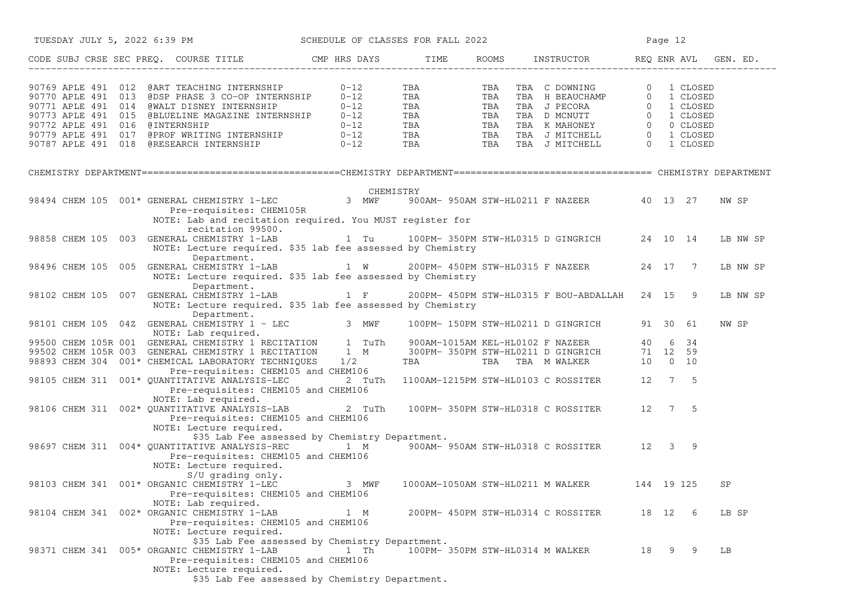| TUESDAY JULY 5, 2022 6:39 PM SCHEDULE OF CLASSES FOR FALL 2022                                                                                                                                                                                                                             |                                                                                                          |                                  | Page 12                                           |    |         |          |  |
|--------------------------------------------------------------------------------------------------------------------------------------------------------------------------------------------------------------------------------------------------------------------------------------------|----------------------------------------------------------------------------------------------------------|----------------------------------|---------------------------------------------------|----|---------|----------|--|
| CODE SUBJ CRSE SEC PREQ. COURSE TITLE THE ROOMS INSTRUCTOR THE ROOMS ENRICH REQ ENR AVL GEN. ED.                                                                                                                                                                                           |                                                                                                          |                                  |                                                   |    |         |          |  |
| 90769 APLE 491 012 @ART TEACHING INTERNSHIP 0-12<br>90769 APLE 491 012 (ART TEACHING INTERNSHIP 0-12<br>90770 APLE 491 013 (BDSP PHASE 3 CO-OP INTERNSHIP 0-12<br>90771 APLE 491 014 (WALT DISNEY INTERNSHIP 0-12<br>90773 APLE 491 015 (BLUELINE MAGAZINE INTERNSHIP 0-12<br>90772 APLE 4 |                                                                                                          |                                  |                                                   |    |         |          |  |
|                                                                                                                                                                                                                                                                                            |                                                                                                          |                                  |                                                   |    |         |          |  |
|                                                                                                                                                                                                                                                                                            |                                                                                                          |                                  |                                                   |    |         |          |  |
| CHEMISTRY CHEMISTRY CHEMISTRY 1-LEC CHEMISTRY 198494 CHEMISTRY 198494 CHEMISTRY 1-LEC 211 F NAZEER 40 13 27<br>Pre-requisites: CHEM105R<br>NOTE: Lab and recitation required. You MUST register for                                                                                        |                                                                                                          |                                  |                                                   |    |         | NW SP    |  |
| recitation 99500.<br>98858 CHEM 105 003 GENERAL CHEMISTRY 1-LAB 1 Tu 100PM-350PM STW-HL0315 D GINGRICH 24 10 14<br>NOTE: Lecture required. \$35 lab fee assessed by Chemistry                                                                                                              |                                                                                                          |                                  |                                                   |    |         | LB NW SP |  |
| Department.<br>98496 CHEM 105 005 GENERAL CHEMISTRY 1-LAB 1 W 200PM- 450PM STW-HL0315 F NAZEER 24 17 7<br>NOTE: Lecture required. \$35 lab fee assessed by Chemistry<br>Department.                                                                                                        |                                                                                                          |                                  |                                                   |    |         | LB NW SP |  |
| 98102 CHEM 105 007 GENERAL CHEMISTRY 1-LAB 1 F 200PM- 450PM STW-HL0315 F BOU-ABDALLAH 24 15 9<br>NOTE: Lecture required. \$35 lab fee assessed by Chemistry<br>Department.                                                                                                                 |                                                                                                          |                                  |                                                   |    |         | LB NW SP |  |
| 98101 CHEM 105 042 GENERAL CHEMISTRY 1 - LEC<br>MOTE: Lab required.<br>99500 CHEM 105R 001 GENERAL CHEMISTRY 1 RECITATION 1 TuTh 900AM-1015AM KEL-HL0102 F NAZEER 40 6 34<br>99502 CHEM 105R 003 GENERAL CHEMISTRY 1 RECITATION 1 M                                                        |                                                                                                          |                                  |                                                   |    |         | NW SP    |  |
|                                                                                                                                                                                                                                                                                            |                                                                                                          |                                  |                                                   |    |         |          |  |
|                                                                                                                                                                                                                                                                                            |                                                                                                          |                                  |                                                   |    |         |          |  |
| 98893 CHEM 304 001* CHEMICAL LABORATORY TECHNIQUES 1/2<br>Pre-requisites: CHEM105 and CHEM106<br>Pre-requisites: CHEM105 and CHEM106                                                                                                                                                       |                                                                                                          |                                  |                                                   |    |         |          |  |
| 98105 CHEM 311 001* QUANTITATIVE ANALYSIS-LEC<br>Pre-requisites: CHEM105 and CHEM106                                                                                                                                                                                                       |                                                                                                          |                                  | 2 TuTh 1100AM-1215PM STW-HL0103 C ROSSITER 12 7 5 |    |         |          |  |
| NOTE: Lab required.<br>98106 CHEM 311 002* QUANTITATIVE ANALYSIS-LAB 2 TuTh 100PM- 350PM STW-HL0318 C ROSSITER 12 7 5<br>Pre-requisites: CHEM105 and CHEM106                                                                                                                               |                                                                                                          |                                  |                                                   |    |         |          |  |
| NOTE: Lecture required.<br>98697 CHEM 311 004* QUANTITATIVE ANALYSIS-REC 1 M <sup>-</sup> 900AM-950AM STW-HL0318 C ROSSITER 12 3 9<br>Pre-requisites: CHEM105 and CHEM106<br>NOTE: Lecture required.                                                                                       | \$35 Lab Fee assessed by Chemistry Department.                                                           |                                  |                                                   |    |         |          |  |
| S/U grading only.<br>S/U grading only.<br>98103 CHEM 341 001* ORGANIC CHEMISTRY 1-LEC       3  MWF   1000AM-1050AM STW-HL0211 M WALKER     144  19 125<br>Pre-requisites: CHEM105 and CHEM106                                                                                              |                                                                                                          |                                  |                                                   |    |         | SP       |  |
| NOTE: Lab required.<br>98104 CHEM 341 002* ORGANIC CHEMISTRY 1-LAB<br>Pre-requisites: CHEM105 and CHEM106<br>NOTE: Lecture required.                                                                                                                                                       | 1 M                                                                                                      |                                  | 200PM- 450PM STW-HL0314 C ROSSITER                |    | 18 12 6 | LB SP    |  |
| 98371 CHEM 341 005* ORGANIC CHEMISTRY 1-LAB<br>Pre-requisites: CHEM105 and CHEM106<br>NOTE: Lecture required.                                                                                                                                                                              | \$35 Lab Fee assessed by Chemistry Department.<br>1 Th<br>\$35 Lab Fee assessed by Chemistry Department. | 100PM- 350PM STW-HL0314 M WALKER |                                                   | 18 | 99      | LB       |  |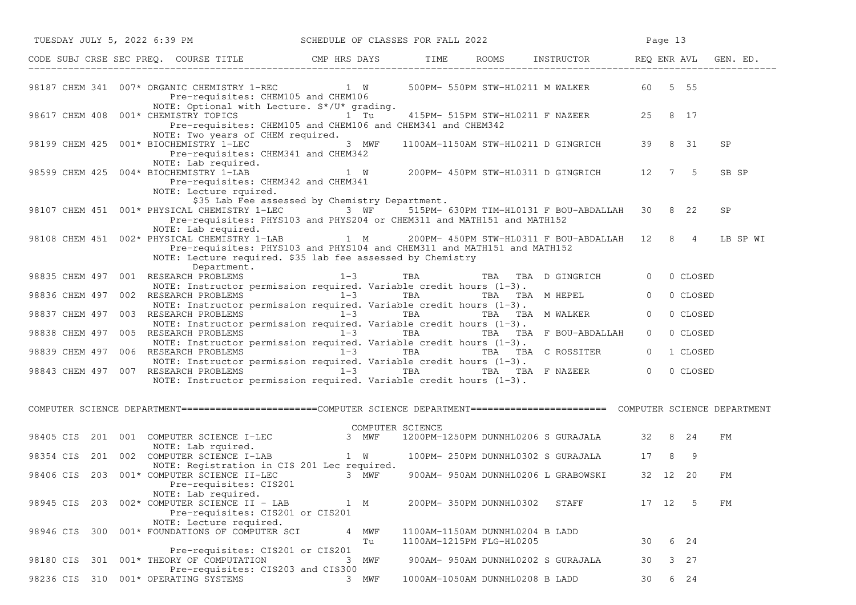|               |  | TUESDAY JULY 5, 2022 6:39 PM SCHEDULE OF CLASSES FOR FALL 2022                                                                                                                                                                                     |     |                  |  |                                                             |                                                  |                | Page 13 |            |           |
|---------------|--|----------------------------------------------------------------------------------------------------------------------------------------------------------------------------------------------------------------------------------------------------|-----|------------------|--|-------------------------------------------------------------|--------------------------------------------------|----------------|---------|------------|-----------|
|               |  | CODE SUBJ CRSE SEC PREQ. COURSE TITLE THE ROOMS INSTRUCTOR REQ ENR AVL GEN. ED.                                                                                                                                                                    |     |                  |  |                                                             |                                                  |                |         |            |           |
|               |  | 98187 CHEM 341 007* ORGANIC CHEMISTRY 1-REC 1 W 500PM- 550PM STW-HL0211 M WALKER 60 5 55<br>Pre-requisites: CHEM105 and CHEM106                                                                                                                    |     |                  |  |                                                             |                                                  |                |         |            |           |
|               |  | NOTE: Optional with Lecture. S*/U* grading.<br>98617 CHEM 408 001* CHEMISTRY TOPICS 1 Tu 415PM-515PM STW-HL0211 F NAZEER 25 8 17<br>Pre-requisites: CHEM105 and CHEM106 and CHEM341 and CHEM342                                                    |     |                  |  |                                                             |                                                  |                |         |            |           |
|               |  | NOTE: Two years of CHEM required.<br>98199 CHEM 425 001* BIOCHEMISTRY 1-LEC 3 MWF<br>Pre-requisites: CHEM341 and CHEM342                                                                                                                           |     |                  |  |                                                             | 1100AM-1150AM STW-HL0211 D GINGRICH 39 8 31      |                |         |            | <b>SP</b> |
|               |  | NOTE: Lab required.<br>98599 CHEM 425 004* BIOCHEMISTRY 1-LAB         1 W    200PM- 450PM STW-HL0311 D GINGRICH    12   7   5<br>Pre-requisites: CHEM342 and CHEM341<br>NOTE: Lecture rquired.                                                     |     |                  |  |                                                             |                                                  |                |         |            | SB SP     |
|               |  | \$35 Lab Fee assessed by Chemistry Department.<br>98107 CHEM 451 001* PHYSICAL CHEMISTRY 1-LEC 3 WF 515PM-630PM TIM-HL0131 F BOU-ABDALLAH 30 8 22<br>Pre-requisites: PHYS103 and PHYS204 or CHEM311 and MATH151 and MATH152<br>NOTE: Lab required. |     |                  |  |                                                             |                                                  |                |         |            | <b>SP</b> |
|               |  | 98108 CHEM 451 002* PHYSICAL CHEMISTRY 1-LAB<br>Pre-requisites: PHYS103 and PHYS104 and CHEM311 and MATH151 and MATH152<br>NOTE: Lecture required. \$35 lab fee assessed by Chemistry                                                              |     |                  |  |                                                             | 1 M 200PM-450PM STW-HL0311 F BOU-ABDALLAH 12 8 4 |                |         |            | LB SP WI  |
|               |  | Department.<br>98835 CHEM 497 001 RESEARCH PROBLEMS                                                                                                                                                                                                |     |                  |  |                                                             | 1-3 TBA TBA TBA D GINGRICH                       |                |         | 0 0 CLOSED |           |
|               |  | NOTE: Instructor permission required. Variable credit hours (1-3).<br>98836 CHEM 497 002 RESEARCH PROBLEMS $1-3$ TBA TBA TBA TBA M HEPEL<br>NOTE: Instructor permission required. Variable credit hours (1-3).                                     |     |                  |  |                                                             |                                                  | $\overline{0}$ |         | 0 CLOSED   |           |
|               |  | 98837 CHEM 497 003 RESEARCH PROBLEMS $1-3$ TBA TBA TBA TBA M WALKER                                                                                                                                                                                |     |                  |  |                                                             |                                                  | $\overline{0}$ |         | 0 CLOSED   |           |
|               |  | NOTE: Instructor permission required. Variable credit hours (1-3).<br>98838 CHEM 497 005 RESEARCH PROBLEMS $1-3$ TBA TBA TBA TBA F BOU-ABDALLAH                                                                                                    |     |                  |  |                                                             |                                                  | 0              |         | 0 CLOSED   |           |
|               |  | NOTE: Instructor permission required. Variable credit hours (1-3).<br>98839 CHEM 497 006 RESEARCH PROBLEMS $1-3$                                                                                                                                   |     |                  |  |                                                             | TBA TBA TBA C ROSSITER                           |                |         | 0 1 CLOSED |           |
|               |  | NOTE: Instructor permission required. Variable credit hours (1-3).<br>98843 CHEM 497 007 RESEARCH PROBLEMS 1-3 TBA TBA TBA TBA TBA F NAZEER 0 0 CLOSED<br>NOTE: Instructor permission required. Variable credit hours (1-3).                       |     |                  |  |                                                             |                                                  |                |         |            |           |
|               |  | COMPUTER SCIENCE DEPARTMENT=======================COMPUTER SCIENCE DEPARTMENT=========================== COMPUTER SCIENCE DEPARTMENT                                                                                                               |     |                  |  |                                                             |                                                  |                |         |            |           |
|               |  | 98405 CIS 201 001 COMPUTER SCIENCE I-LEC 3 MWF 1200PM-1250PM DUNNHL0206 S GURAJALA 32 8 24<br>NOTE: Lab rquired.                                                                                                                                   |     | COMPUTER SCIENCE |  |                                                             |                                                  |                |         |            | FМ        |
|               |  | 98354 CIS 201 002 COMPUTER SCIENCE I-LAB                                                                                                                                                                                                           | 1 W |                  |  |                                                             | 100PM-250PM DUNNHL0302 S GURAJALA 17 8 9         |                |         |            |           |
|               |  | NOTE: Registration in CIS 201 Lec required.<br>98406 CIS 203 001* COMPUTER SCIENCE II-LEC<br>Pre-requisites: CIS201                                                                                                                                |     | 3 MWF            |  |                                                             | 900AM- 950AM DUNNHL0206 L GRABOWSKI 32 12 20     |                |         |            | FМ        |
|               |  | NOTE: Lab required.<br>98945 CIS 203 002* COMPUTER SCIENCE II - LAB<br>Pre-requisites: CIS201 or CIS201<br>NOTE: Lecture required.                                                                                                                 |     | 1 M              |  | 200PM-350PM DUNNHL0302 STAFF                                |                                                  |                | 17 12   | -5         | FM        |
|               |  | 98946 CIS 300 001* FOUNDATIONS OF COMPUTER SCI                                                                                                                                                                                                     |     | 4 MWF<br>Tu      |  | 1100AM-1150AM DUNNHL0204 B LADD<br>1100AM-1215PM FLG-HL0205 |                                                  | 30             |         | 6 24       |           |
| 98180 CIS     |  | Pre-requisites: CIS201 or CIS201<br>301 001* THEORY OF COMPUTATION                                                                                                                                                                                 |     | 3 MWF            |  |                                                             | 900AM- 950AM DUNNHL0202 S GURAJALA               | 30             |         | 3 27       |           |
| 98236 CIS 310 |  | Pre-requisites: CIS203 and CIS300<br>001* OPERATING SYSTEMS                                                                                                                                                                                        |     | 3 MWF            |  | 1000AM-1050AM DUNNHL0208 B LADD                             |                                                  | 30             |         | 6 24       |           |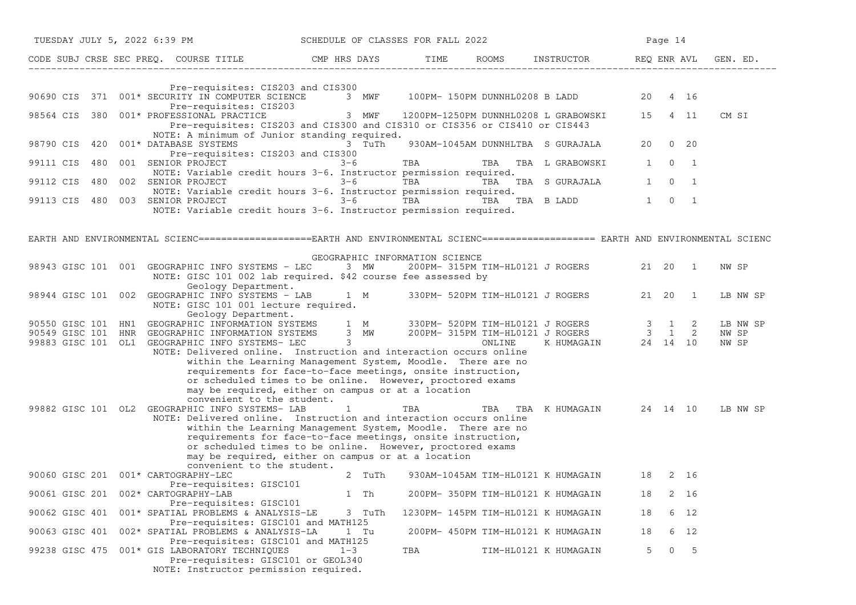| TUESDAY JULY 5, 2022 6:39 PM                                                                                                       | SCHEDULE OF CLASSES FOR FALL 2022                                                                                                                                                                                                                                                                                  |                    |                                                                                                                                            |       | Page 14             |                |                |
|------------------------------------------------------------------------------------------------------------------------------------|--------------------------------------------------------------------------------------------------------------------------------------------------------------------------------------------------------------------------------------------------------------------------------------------------------------------|--------------------|--------------------------------------------------------------------------------------------------------------------------------------------|-------|---------------------|----------------|----------------|
| CODE SUBJ CRSE SEC PREQ. COURSE TITLE THE CMP HRS DAYS                                                                             |                                                                                                                                                                                                                                                                                                                    |                    | TIME ROOMS INSTRUCTOR REQ ENRAVL                                                                                                           |       |                     |                | GEN. ED.       |
| Pre-requisites: CIS203 and CIS300                                                                                                  |                                                                                                                                                                                                                                                                                                                    |                    |                                                                                                                                            |       |                     |                |                |
| 371 001* SECURITY IN COMPUTER SCIENCE<br>90690 CIS<br>Pre-requisites: CIS203                                                       | 3 MWF                                                                                                                                                                                                                                                                                                              |                    | 100PM- 150PM DUNNHL0208 B LADD                                                                                                             | 20    |                     | 4 16           |                |
| 380<br>001* PROFESSIONAL PRACTICE<br>98564 CIS                                                                                     | 3 MWF<br>Pre-requisites: CIS203 and CIS300 and CIS310 or CIS356 or CIS410 or CIS443                                                                                                                                                                                                                                |                    | 1200PM-1250PM DUNNHL0208 L GRABOWSKI                                                                                                       | 15    |                     | 4 11           | CM SI          |
| 001* DATABASE SYSTEMS<br>98790 CIS<br>420<br>Pre-requisites: CIS203 and CIS300                                                     | NOTE: A minimum of Junior standing required.<br>3 TuTh                                                                                                                                                                                                                                                             |                    | 930AM-1045AM DUNNHLTBA S GURAJALA                                                                                                          | 20    |                     | $0\quad 20$    |                |
| 001 SENIOR PROJECT<br>99111 CIS<br>480                                                                                             | $3 - 6$                                                                                                                                                                                                                                                                                                            | TBA <b>TRANGER</b> | TBA TBA L GRABOWSKI 1                                                                                                                      |       |                     | $0 \quad 1$    |                |
| 480<br>002 SENIOR PROJECT<br>99112 CIS                                                                                             | NOTE: Variable credit hours 3-6. Instructor permission required.<br>$3 - 6$                                                                                                                                                                                                                                        | TBA <b>TRANGER</b> | TBA TBA S GURAJALA                                                                                                                         | 1     | $\Omega$            | $\overline{1}$ |                |
| 99113 CIS<br>480<br>003 SENIOR PROJECT                                                                                             | NOTE: Variable credit hours 3-6. Instructor permission required.<br>$3 - 6$<br>NOTE: Variable credit hours 3-6. Instructor permission required.                                                                                                                                                                    | TBA                | TBA TBA B LADD                                                                                                                             |       | $1 \quad 0 \quad 1$ |                |                |
|                                                                                                                                    |                                                                                                                                                                                                                                                                                                                    |                    |                                                                                                                                            |       |                     |                |                |
| EARTH AND ENVIRONMENTAL SCIENC===================EARTH AND ENVIRONMENTAL SCIENC==================== EARTH AND ENVIRONMENTAL SCIENC |                                                                                                                                                                                                                                                                                                                    |                    |                                                                                                                                            |       |                     |                |                |
|                                                                                                                                    | GEOGRAPHIC INFORMATION SCIENCE                                                                                                                                                                                                                                                                                     |                    |                                                                                                                                            |       |                     |                |                |
| 98943 GISC 101 001 GEOGRAPHIC INFO SYSTEMS - LEC<br>Geology Department.                                                            | 3 MW<br>NOTE: GISC 101 002 lab required. \$42 course fee assessed by                                                                                                                                                                                                                                               |                    | 200PM- 315PM TIM-HL0121 J ROGERS                                                                                                           |       | 21  20  1           |                | NW SP          |
| 98944 GISC 101 002 GEOGRAPHIC INFO SYSTEMS - LAB<br>NOTE: GISC 101 001 lecture required.                                           | 1 M                                                                                                                                                                                                                                                                                                                |                    | 330PM- 520PM TIM-HL0121 J ROGERS                                                                                                           | 21 20 |                     | $\overline{1}$ | LB NW SP       |
| Geology Department.<br>90550 GISC 101 HN1                                                                                          | GEOGRAPHIC INFORMATION SYSTEMS 1 M 330PM- 520PM TIM-HL0121 J ROGERS 3 1                                                                                                                                                                                                                                            |                    |                                                                                                                                            |       |                     | 2              | LB NW SP       |
| 90549 GISC 101 HNR<br>GEOGRAPHIC INFORMATION SYSTEMS<br>99883 GISC 101 OL1 GEOGRAPHIC INFO SYSTEMS- LEC                            | $\frac{1}{3}$ MW<br>$3 \sim$                                                                                                                                                                                                                                                                                       |                    | $\begin{tabular}{lllllllllll} 200PM- 315PM & TIM-HLO121 & J ROGERS & 3 & 1 & 2 \\ & & ONLINE & K HUMAGAIN & 24 & 14 & 10 \\ \end{tabular}$ |       |                     |                | NW SP<br>NW SP |
| convenient to the student.                                                                                                         | NOTE: Delivered online. Instruction and interaction occurs online<br>within the Learning Management System, Moodle. There are no<br>requirements for face-to-face meetings, onsite instruction,<br>or scheduled times to be online. However, proctored exams<br>may be required, either on campus or at a location |                    |                                                                                                                                            |       |                     |                |                |
| 99882 GISC 101 OL2 GEOGRAPHIC INFO SYSTEMS- LAB                                                                                    | 1                                                                                                                                                                                                                                                                                                                  | TBA                | TBA TBA KHUMAGAIN 24 14 10                                                                                                                 |       |                     |                | LB NW SP       |
| convenient to the student.                                                                                                         | NOTE: Delivered online. Instruction and interaction occurs online<br>within the Learning Management System, Moodle. There are no<br>requirements for face-to-face meetings, onsite instruction,<br>or scheduled times to be online. However, proctored exams<br>may be required, either on campus or at a location |                    |                                                                                                                                            |       |                     |                |                |
| 90060 GISC 201 001* CARTOGRAPHY-LEC                                                                                                | 2 TuTh                                                                                                                                                                                                                                                                                                             |                    | 930AM-1045AM TIM-HL0121 K HUMAGAIN 18                                                                                                      |       |                     | 2 16           |                |
| Pre-requisites: GISC101<br>90061 GISC 201 002* CARTOGRAPHY-LAB<br>Pre-requisites: GISC101                                          | 1 Th                                                                                                                                                                                                                                                                                                               |                    | 200PM- 350PM TIM-HL0121 K HUMAGAIN                                                                                                         | 18    |                     | 2 16           |                |
| 001* SPATIAL PROBLEMS & ANALYSIS-LE<br>90062 GISC 401                                                                              | 3 TuTh<br>Pre-requisites: GISC101 and MATH125                                                                                                                                                                                                                                                                      |                    | 1230PM- 145PM TIM-HL0121 K HUMAGAIN                                                                                                        | 18    |                     | 6 12           |                |
| 002* SPATIAL PROBLEMS & ANALYSIS-LA<br>90063 GISC 401                                                                              | 1 Tu<br>Pre-requisites: GISC101 and MATH125                                                                                                                                                                                                                                                                        |                    | 200PM- 450PM TIM-HL0121 K HUMAGAIN                                                                                                         | 18    |                     | 6 12           |                |
| 001* GIS LABORATORY TECHNIQUES<br>99238 GISC 475<br>Pre-requisites: GISC101 or GEOL340<br>NOTE: Instructor permission required.    | $1 - 3$                                                                                                                                                                                                                                                                                                            | TBA                | TIM-HL0121 K HUMAGAIN                                                                                                                      | 5     | $\overline{0}$      | $-5$           |                |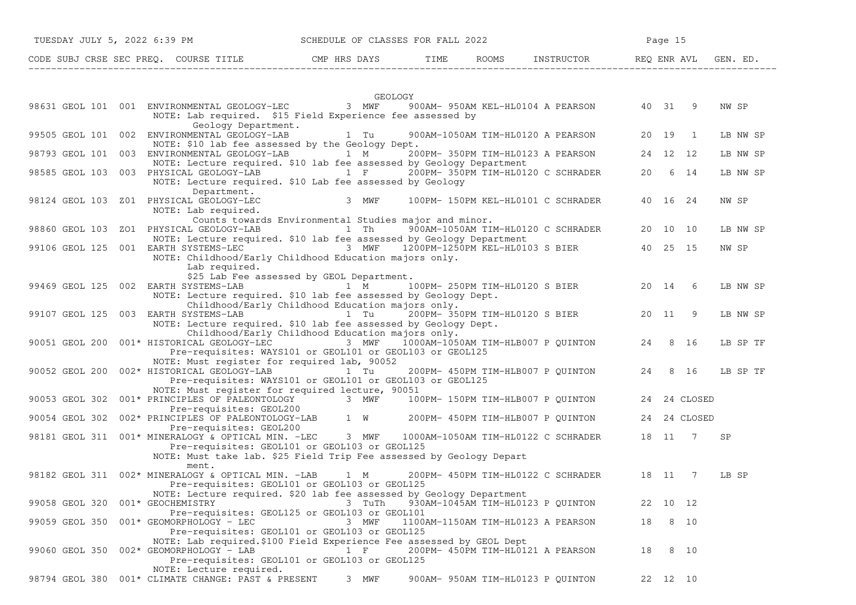| TUESDAY JULY 5, 2022 6:39 PM          | SCHEDULE OF CLASSES FOR FALL 2022 |      |       | Page 15    |                      |  |  |  |  |
|---------------------------------------|-----------------------------------|------|-------|------------|----------------------|--|--|--|--|
| CODE SUBJ CRSE SEC PREO. COURSE TITLE | CMP HRS DAYS                      | TIME | ROOMS | INSTRUCTOR | REO ENR AVL GEN. ED. |  |  |  |  |

|                |     | GEOLOGY                                                                                                                                                                                                              |       |          |                |          |
|----------------|-----|----------------------------------------------------------------------------------------------------------------------------------------------------------------------------------------------------------------------|-------|----------|----------------|----------|
|                |     | 98631 GEOL 101 001 ENVIRONMENTAL GEOLOGY-LEC<br>3 MWF<br>900AM- 950AM KEL-HL0104 A PEARSON<br>NOTE: Lab required. \$15 Field Experience fee assessed by                                                              | 40 31 |          | 9              | NW SP    |
| 99505 GEOL 101 | 002 | Geology Department.<br>ENVIRONMENTAL GEOLOGY-LAB<br>1 Tu<br>900AM-1050AM TIM-HL0120 A PEARSON<br>NOTE: \$10 lab fee assessed by the Geology Dept.                                                                    | 20    | 19       | 1              | LB NW SP |
| 98793 GEOL 101 | 003 | ENVIRONMENTAL GEOLOGY-LAB<br>200PM- 350PM TIM-HL0123 A PEARSON<br>1 M<br>NOTE: Lecture required. \$10 lab fee assessed by Geology Department                                                                         | 24    | 12 12    |                | LB NW SP |
| 98585 GEOL 103 |     | 003 PHYSICAL GEOLOGY-LAB<br>$1 \quad F$<br>200PM- 350PM TIM-HL0120 C SCHRADER<br>NOTE: Lecture required. \$10 Lab fee assessed by Geology<br>Department.                                                             | 20    | 6        | 14             | LB NW SP |
| 98124 GEOL 103 | Z01 | PHYSICAL GEOLOGY-LEC<br>3 MWF<br>100PM- 150PM KEL-HL0101 C SCHRADER<br>NOTE: Lab required.<br>Counts towards Environmental Studies major and minor.                                                                  | 40    | 16 24    |                | NW SP    |
| 98860 GEOL 103 |     | 900AM-1050AM TIM-HL0120 C SCHRADER<br>ZO1 PHYSICAL GEOLOGY-LAB<br>1 Th<br>NOTE: Lecture required. \$10 lab fee assessed by Geology Department                                                                        | 20    | 10 10    |                | LB NW SP |
| 99106 GEOL 125 |     | 001 EARTH SYSTEMS-LEC<br>3 MWF<br>1200PM-1250PM KEL-HL0103 S BIER<br>NOTE: Childhood/Early Childhood Education majors only.<br>Lab required.                                                                         | 40    | 25       | 15             | NW SP    |
|                |     | \$25 Lab Fee assessed by GEOL Department.                                                                                                                                                                            |       |          |                |          |
| 99469 GEOL 125 | 002 | 100PM- 250PM TIM-HL0120 S BIER<br>EARTH SYSTEMS-LAB<br>1 M<br>NOTE: Lecture required. \$10 lab fee assessed by Geology Dept.                                                                                         | 20 14 |          | 6              | LB NW SP |
| 99107 GEOL 125 |     | Childhood/Early Childhood Education majors only.<br>003 EARTH SYSTEMS-LAB<br>1 Tu<br>200PM- 350PM TIM-HL0120 S BIER<br>NOTE: Lecture required. \$10 lab fee assessed by Geology Dept.                                | 20    | 11       | 9              | LB NW SP |
| 90051 GEOL 200 |     | Childhood/Early Childhood Education majors only.<br>001* HISTORICAL GEOLOGY-LEC<br>3 MWF<br>1000AM-1050AM TIM-HLB007 P QUINTON<br>Pre-requisites: WAYS101 or GEOL101 or GEOL103 or GEOL125                           | 24    |          | 8 16           | LB SP TF |
| 90052 GEOL 200 |     | NOTE: Must register for required lab, 90052<br>002* HISTORICAL GEOLOGY-LAB<br>1 Tu<br>200PM- 450PM TIM-HLB007 P QUINTON<br>Pre-requisites: WAYS101 or GEOL101 or GEOL103 or GEOL125                                  | 24    |          | 8 16           | LB SP TF |
| 90053 GEOL 302 |     | NOTE: Must register for required lecture, 90051<br>001* PRINCIPLES OF PALEONTOLOGY<br>3 MWF<br>100PM- 150PM TIM-HLB007 P QUINTON                                                                                     | 24    |          | 24 CLOSED      |          |
| 90054 GEOL 302 |     | Pre-requisites: GEOL200<br>002* PRINCIPLES OF PALEONTOLOGY-LAB<br>1 W<br>200PM- 450PM TIM-HLB007 P QUINTON<br>Pre-requisites: GEOL200                                                                                | 24    |          | 24 CLOSED      |          |
| 98181 GEOL 311 |     | 001* MINERALOGY & OPTICAL MIN. -LEC<br>3 MWF<br>1000AM-1050AM TIM-HL0122 C SCHRADER<br>Pre-requisites: GEOL101 or GEOL103 or GEOL125<br>NOTE: Must take lab. \$25 Field Trip Fee assessed by Geology Depart<br>ment. | 18    | - 11     | $\overline{7}$ | SP       |
| 98182 GEOL 311 |     | 002* MINERALOGY & OPTICAL MIN. -LAB<br>200PM- 450PM TIM-HL0122 C SCHRADER<br>1 M<br>Pre-requisites: GEOL101 or GEOL103 or GEOL125<br>NOTE: Lecture required. \$20 lab fee assessed by Geology Department             | 18    | 11       | 7              | LB SP    |
| 99058 GEOL 320 |     | 001* GEOCHEMISTRY<br>930AM-1045AM TIM-HL0123 P QUINTON<br>3 TuTh<br>Pre-requisites: GEOL125 or GEOL103 or GEOL101                                                                                                    | 22    | 10 12    |                |          |
| 99059 GEOL 350 |     | 001* GEOMORPHOLOGY - LEC<br>3 MWF<br>1100AM-1150AM TIM-HL0123 A PEARSON<br>Pre-requisites: GEOL101 or GEOL103 or GEOL125<br>NOTE: Lab required. \$100 Field Experience Fee assessed by GEOL Dept                     | 18    | 8        | 10             |          |
| 99060 GEOL 350 |     | 002* GEOMORPHOLOGY - LAB<br>$1 \quad F$<br>200PM- 450PM TIM-HL0121 A PEARSON<br>Pre-requisites: GEOL101 or GEOL103 or GEOL125                                                                                        | 18    |          | 8 10           |          |
| 98794 GEOL 380 |     | NOTE: Lecture required.<br>001* CLIMATE CHANGE: PAST & PRESENT<br>3 MWF<br>900AM- 950AM TIM-HL0123 P OUINTON                                                                                                         |       | 22 12 10 |                |          |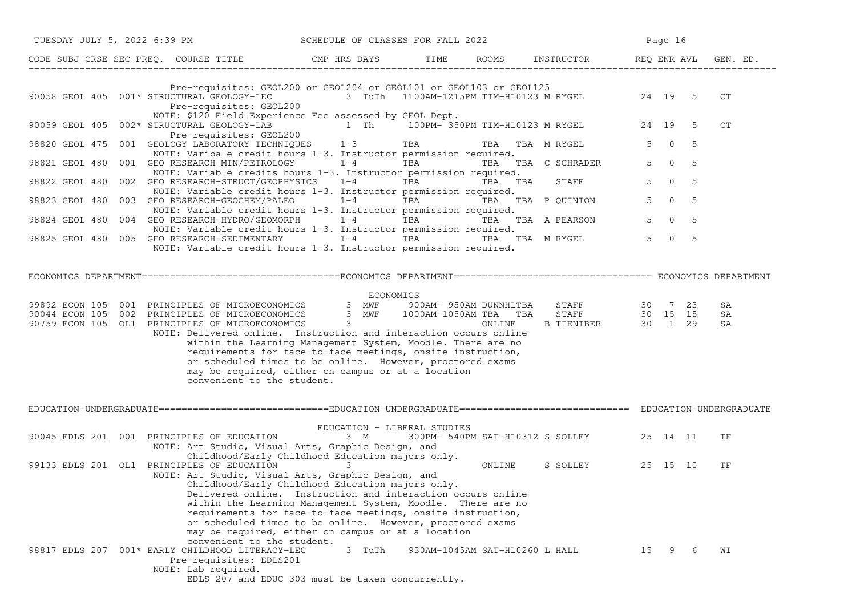| TUESDAY JULY 5, 2022 6:39 PM |                                                                                                    | SCHEDULE OF CLASSES FOR FALL 2022                                                                                                                                                                                                                                                                                                                                                                                                                                                                                                                                                        |           |                                |                                           |                | Page 16        |     |                |
|------------------------------|----------------------------------------------------------------------------------------------------|------------------------------------------------------------------------------------------------------------------------------------------------------------------------------------------------------------------------------------------------------------------------------------------------------------------------------------------------------------------------------------------------------------------------------------------------------------------------------------------------------------------------------------------------------------------------------------------|-----------|--------------------------------|-------------------------------------------|----------------|----------------|-----|----------------|
|                              |                                                                                                    | CODE SUBJ CRSE SEC PREQ. COURSE TITLE THE CMP HRS DAYS TIME                                                                                                                                                                                                                                                                                                                                                                                                                                                                                                                              |           |                                | ROOMS INSTRUCTOR REQ ENR AVL              |                |                |     | GEN. ED.       |
|                              | Pre-requisites: GEOL200                                                                            | Pre-requisites: GEOL200 or GEOL204 or GEOL101 or GEOL103 or GEOL125<br>90058 GEOL 405 001* STRUCTURAL GEOLOGY-LEC 3 TuTh 1100AM-1215PM TIM-HL0123 M RYGEL 24 19 5                                                                                                                                                                                                                                                                                                                                                                                                                        |           |                                |                                           |                |                |     | CT             |
| 90059 GEOL 405               | 002* STRUCTURAL GEOLOGY-LAB                                                                        | NOTE: \$120 Field Experience Fee assessed by GEOL Dept.<br>1 Th 100PM- 350PM TIM-HL0123 M RYGEL 24 19                                                                                                                                                                                                                                                                                                                                                                                                                                                                                    |           |                                |                                           |                |                | - 5 | CT             |
|                              | Pre-requisites: GEOL200                                                                            | 98820 GEOL 475 001 GEOLOGY LABORATORY TECHNIQUES 1-3 TBA<br>NOTE: Varibale credit hours 1-3. Instructor permission required.                                                                                                                                                                                                                                                                                                                                                                                                                                                             |           |                                | TBA TBA M RYGEL                           | 5 <sup>7</sup> | $\overline{0}$ | 5   |                |
| 98821 GEOL 480               |                                                                                                    | 001 GEO RESEARCH-MIN/PETROLOGY 1-4<br>NOTE: Variable credits hours 1-3. Instructor permission required.                                                                                                                                                                                                                                                                                                                                                                                                                                                                                  |           |                                | TBA TBA TBA C SCHRADER                    |                | $5 \t 0 \t 5$  |     |                |
| 98822 GEOL 480               |                                                                                                    | 002 GEORESEARCH-STRUCT/GEOPHYSICS 1-4 TBA TBA TBA TBA<br>NOTE: Variable credit hours 1-3. Instructor permission required.                                                                                                                                                                                                                                                                                                                                                                                                                                                                |           |                                | <b>STAFF</b>                              | $5^{\circ}$    | $\overline{0}$ | - 5 |                |
| 98823 GEOL 480               |                                                                                                    | 003 GEO RESEARCH-GEOCHEM/PALEO $1-4$ TBA TBA TBA P QUINTON<br>NOTE: Variable credit hours 1-3. Instructor permission required.                                                                                                                                                                                                                                                                                                                                                                                                                                                           |           |                                |                                           |                | $5 \t 0 \t 5$  |     |                |
|                              |                                                                                                    | 98824 GEOL 480 004 GEO RESEARCH-HYDRO/GEOMORPH 1-4 TBA TBA TBA TBA A PEARSON<br>NOTE: Variable credit hours 1-3. Instructor permission required.                                                                                                                                                                                                                                                                                                                                                                                                                                         |           |                                |                                           |                | $5 \t 0 \t 5$  |     |                |
|                              |                                                                                                    | 98825 GEOL 480 005 GEO RESEARCH-SEDIMENTARY 1-4 TBA TBA TBA TBA M RYGEL<br>NOTE: Variable credit hours 1-3. Instructor permission required.                                                                                                                                                                                                                                                                                                                                                                                                                                              |           |                                |                                           |                | $5 \t 0 \t 5$  |     |                |
|                              |                                                                                                    |                                                                                                                                                                                                                                                                                                                                                                                                                                                                                                                                                                                          |           |                                |                                           |                |                |     |                |
|                              |                                                                                                    | 99892 ECON 105 001 PRINCIPLES OF MICROECONOMICS 3 MWF 900AM-950AM DUNNHLTBA STAFF 30 7 23<br>90044 ECON 105 002 PRINCIPLES OF MICROECONOMICS 3 MWF 1000AM-1050AM TBA TBA STAFF 30 15 15<br>90759 ECON 105 OL1 PRINCIPLES OF MICROECO<br>NOTE: Delivered online. Instruction and interaction occurs online<br>within the Learning Management System, Moodle. There are no<br>requirements for face-to-face meetings, onsite instruction,<br>or scheduled times to be online. However, proctored exams<br>may be required, either on campus or at a location<br>convenient to the student. | ECONOMICS |                                |                                           |                |                |     | SA<br>SA<br>SA |
|                              |                                                                                                    |                                                                                                                                                                                                                                                                                                                                                                                                                                                                                                                                                                                          |           |                                |                                           |                |                |     |                |
|                              | 90045 EDLS 201 001 PRINCIPLES OF EDUCATION                                                         | EDUCATION - LIBERAL STUDIES<br>3 M<br>NOTE: Art Studio, Visual Arts, Graphic Design, and                                                                                                                                                                                                                                                                                                                                                                                                                                                                                                 |           |                                | 300PM- 540PM SAT-HL0312 S SOLLEY 25 14 11 |                |                |     | TF             |
|                              | 99133 EDLS 201 OL1 PRINCIPLES OF EDUCATION                                                         | Childhood/Early Childhood Education majors only.<br>3<br>NOTE: Art Studio, Visual Arts, Graphic Design, and<br>Childhood/Early Childhood Education majors only.<br>Delivered online. Instruction and interaction occurs online<br>within the Learning Management System, Moodle. There are no<br>requirements for face-to-face meetings, onsite instruction,<br>or scheduled times to be online. However, proctored exams<br>may be required, either on campus or at a location<br>convenient to the student.                                                                            |           | ONLINE                         | S SOLLEY 25 15 10                         |                |                |     | TF             |
|                              | 98817 EDLS 207 001* EARLY CHILDHOOD LITERACY-LEC<br>Pre-requisites: EDLS201<br>NOTE: Lab required. | 3 TuTh<br>EDLS 207 and EDUC 303 must be taken concurrently.                                                                                                                                                                                                                                                                                                                                                                                                                                                                                                                              |           | 930AM-1045AM SAT-HL0260 L HALL |                                           | 15             | 9              | - 6 | WΙ             |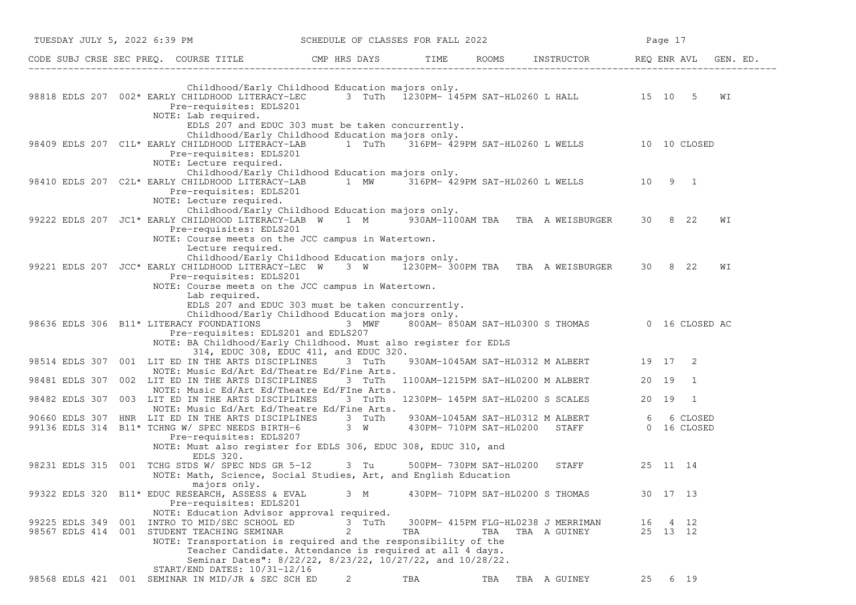| TUESDAY JULY 5, 2022 6:39 PM |                                                                                                                                                                                                                                                                              | SCHEDULE OF CLASSES FOR FALL 2022 |      |                         |                                                                   |          | Page 17  |                         |          |
|------------------------------|------------------------------------------------------------------------------------------------------------------------------------------------------------------------------------------------------------------------------------------------------------------------------|-----------------------------------|------|-------------------------|-------------------------------------------------------------------|----------|----------|-------------------------|----------|
|                              | CODE SUBJ CRSE SEC PREQ. COURSE TITLE THE CMP HRS DAYS                                                                                                                                                                                                                       |                                   | TIME |                         | ROOMS INSTRUCTOR REQ ENR AVL                                      |          |          |                         | GEN. ED. |
|                              | Childhood/Early Childhood Education majors only.<br>98818 EDLS 207 002* EARLY CHILDHOOD LITERACY-LEC 3 TuTh 1230PM-145PM SAT-HL0260 L HALL 3 15 10 5<br>Pre-requisites: EDLS201<br>NOTE: Lab required.                                                                       |                                   |      |                         |                                                                   |          |          |                         | WΙ       |
|                              | EDLS 207 and EDUC 303 must be taken concurrently.<br>Childhood/Early Childhood Education majors only.<br>98409 EDLS 207 C1L* EARLY CHILDHOOD LITERACY-LAB 1 TuTh<br>Pre-requisites: EDLS201<br>NOTE: Lecture required.                                                       |                                   |      |                         | 316PM- 429PM SAT-HL0260 L WELLS 10 10 CLOSED                      |          |          |                         |          |
|                              | Childhood/Early Childhood Education majors only.<br>98410 EDLS 207 C2L* EARLY CHILDHOOD LITERACY-LAB 1 MW 316PM-429PM SAT-HL0260 L WELLS 10 9 1<br>Pre-requisites: EDLS201<br>NOTE: Lecture required.                                                                        |                                   |      |                         |                                                                   |          |          |                         |          |
|                              | Childhood/Early Childhood Education majors only.<br>99222 EDLS 207 JC1* EARLY CHILDHOOD LITERACY-LAB W 1 M 930AM-1100AM TBA TBA A WEISBURGER 30 8 22<br>Pre-requisites: EDLS201<br>NOTE: Course meets on the JCC campus in Watertown.                                        |                                   |      |                         |                                                                   |          |          |                         | WΙ       |
|                              | Lecture required.<br>Childhood/Early Childhood Education majors only.<br>99221 EDLS 207 JCC* EARLY CHILDHOOD LITERACY-LEC W 3 W 1230PM-300PM TBA TBA A WEISBURGER<br>Pre-requisites: EDLS201<br>NOTE: Course meets on the JCC campus in Watertown.                           |                                   |      |                         |                                                                   |          | 30 8 22  |                         | WΙ       |
|                              | Lab required.<br>EDLS 207 and EDUC 303 must be taken concurrently.<br>Childhood/Early Childhood Education majors only.<br>98636 EDLS 306 B11* LITERACY FOUNDATIONS<br>Pre-requisites: EDLS201 and EDLS207<br>NOTE: BA Childhood/Early Childhood. Must also register for EDLS | 3 MWF                             |      |                         | 800AM-850AM SAT-HL0300 S THOMAS 0 16 CLOSED AC                    |          |          |                         |          |
|                              | 314, EDUC 308, EDUC 411, and EDUC 320.<br>98514 EDLS 307 001 LIT ED IN THE ARTS DISCIPLINES 3 TuTh                                                                                                                                                                           |                                   |      |                         | 930AM-1045AM SAT-HL0312 M ALBERT 19 17 2                          |          |          |                         |          |
| 98481 EDLS 307               | NOTE: Music Ed/Art Ed/Theatre Ed/Fine Arts.<br>002 LIT ED IN THE ARTS DISCIPLINES                                                                                                                                                                                            | 3 TuTh                            |      |                         | 1100AM-1215PM SAT-HL0200 M ALBERT                                 | 20 19    |          | $\overline{1}$          |          |
|                              | NOTE: Music Ed/Art Ed/Theatre Ed/FIne Arts.<br>98482 EDLS 307 003 LIT ED IN THE ARTS DISCIPLINES                                                                                                                                                                             | 3 TuTh                            |      |                         | 1230PM- 145PM SAT-HL0200 S SCALES                                 | 20 19    |          | - 1                     |          |
|                              | NOTE: Music Ed/Art Ed/Theatre Ed/Fine Arts.<br>90660 EDLS 307 HNR LIT ED IN THE ARTS DISCIPLINES<br>99136 EDLS 314 B11* TCHNG W/ SPEC NEEDS BIRTH-6<br>Pre-requisites: EDLS207<br>NOTE: Must also register for EDLS 306, EDUC 308, EDUC 310, and                             | 3 TuTh<br>3 W                     |      |                         | 930AM-1045AM SAT-HL0312 M ALBERT<br>430PM- 710PM SAT-HL0200 STAFF | 6 —      |          | 6 CLOSED<br>0 16 CLOSED |          |
|                              | EDLS 320.<br>98231 EDLS 315 001 TCHG STDS W/ SPEC NDS GR 5-12 3 Tu<br>NOTE: Math, Science, Social Studies, Art, and English Education                                                                                                                                        |                                   |      | 500PM- 730PM SAT-HL0200 | STAFF                                                             | 25 11 14 |          |                         |          |
|                              | majors only.<br>99322 EDLS 320 B11* EDUC RESEARCH, ASSESS & EVAL<br>Pre-requisites: EDLS201                                                                                                                                                                                  | 3 M                               |      |                         | 430PM- 710PM SAT-HL0200 S THOMAS                                  |          | 30 17 13 |                         |          |
| 99225 EDLS 349               | NOTE: Education Advisor approval required.<br>001 INTRO TO MID/SEC SCHOOL ED<br>98567 EDLS 414 001 STUDENT TEACHING SEMINAR<br>NOTE: Transportation is required and the responsibility of the<br>Teacher Candidate. Attendance is required at all 4 days.                    | 3 TuTh<br>2                       | TBA  | TBA                     | 300PM- 415PM FLG-HL0238 J MERRIMAN<br>TBA A GUINEY                | 16       | 25 13 12 | 4 12                    |          |
|                              | Seminar Dates": 8/22/22, 8/23/22, 10/27/22, and 10/28/22.<br>START/END DATES: 10/31-12/16<br>98568 EDLS 421 001 SEMINAR IN MID/JR & SEC SCH ED                                                                                                                               | 2                                 | TBA  | TBA                     | TBA A GUINEY                                                      | 25       |          | 6 19                    |          |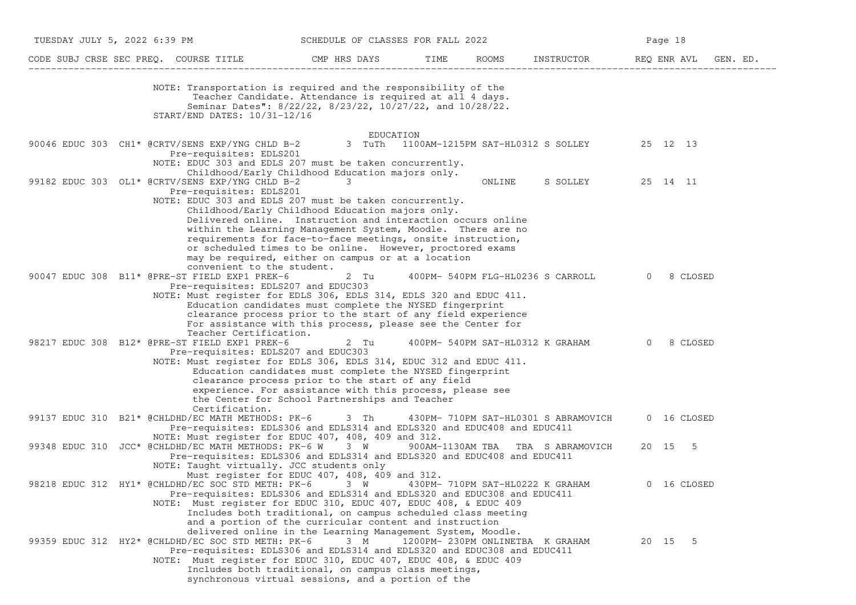| TUESDAY JULY 5, 2022 6:39 PM |  |                                                                                                                    | SCHEDULE OF CLASSES FOR FALL 2022                                                                                                                                                                                                                                                                                                                                                                                                |        |                                                   |          | Page 18 |             |  |
|------------------------------|--|--------------------------------------------------------------------------------------------------------------------|----------------------------------------------------------------------------------------------------------------------------------------------------------------------------------------------------------------------------------------------------------------------------------------------------------------------------------------------------------------------------------------------------------------------------------|--------|---------------------------------------------------|----------|---------|-------------|--|
|                              |  |                                                                                                                    | CODE SUBJ CRSE SEC PREQ. COURSE TITLE CMP HRS DAYS TIME ROOMS INSTRUCTOR REQ ENR AVL GEN. ED.                                                                                                                                                                                                                                                                                                                                    |        |                                                   |          |         |             |  |
|                              |  | START/END DATES: 10/31-12/16                                                                                       | NOTE: Transportation is required and the responsibility of the<br>Teacher Candidate. Attendance is required at all 4 days.<br>Seminar Dates": 8/22/22, 8/23/22, 10/27/22, and 10/28/22.                                                                                                                                                                                                                                          |        |                                                   |          |         |             |  |
|                              |  |                                                                                                                    | EDUCATION                                                                                                                                                                                                                                                                                                                                                                                                                        |        |                                                   |          |         |             |  |
|                              |  | 90046 EDUC 303 CH1* @CRTV/SENS EXP/YNG CHLD B-2<br>Pre-requisites: EDLS201                                         | NOTE: EDUC 303 and EDLS 207 must be taken concurrently.<br>Childhood/Early Childhood Education majors only.                                                                                                                                                                                                                                                                                                                      |        | 3 TuTh 1100AM-1215PM SAT-HL0312 S SOLLEY 25 12 13 |          |         |             |  |
|                              |  | 99182 EDUC 303 OL1* @CRTV/SENS EXP/YNG CHLD B-2<br>Pre-requisites: EDLS201                                         | 3<br>NOTE: EDUC 303 and EDLS 207 must be taken concurrently.<br>Childhood/Early Childhood Education majors only.<br>Delivered online. Instruction and interaction occurs online<br>within the Learning Management System, Moodle. There are no<br>requirements for face-to-face meetings, onsite instruction,<br>or scheduled times to be online. However, proctored exams<br>may be required, either on campus or at a location | ONLINE | S SOLLEY 25 14 11                                 |          |         |             |  |
|                              |  | convenient to the student.<br>90047 EDUC 308 B11* @PRE-ST FIELD EXP1 PREK-6<br>Pre-requisites: EDLS207 and EDUC303 | 2 Tu<br>NOTE: Must register for EDLS 306, EDLS 314, EDLS 320 and EDUC 411.<br>Education candidates must complete the NYSED fingerprint<br>clearance process prior to the start of any field experience<br>For assistance with this process, please see the Center for                                                                                                                                                            |        | 400PM- 540PM FLG-HL0236 S CARROLL 0               |          |         | 8 CLOSED    |  |
|                              |  | Teacher Certification.<br>98217 EDUC 308 B12* @PRE-ST FIELD EXP1 PREK-6<br>Pre-requisites: EDLS207 and EDUC303     | 2 Tu<br>NOTE: Must register for EDLS 306, EDLS 314, EDUC 312 and EDUC 411.<br>Education candidates must complete the NYSED fingerprint<br>clearance process prior to the start of any field<br>experience. For assistance with this process, please see<br>the Center for School Partnerships and Teacher                                                                                                                        |        | 400PM- 540PM SAT-HL0312 K GRAHAM                  | $\Omega$ |         | 8 CLOSED    |  |
|                              |  | Certification.<br>99137 EDUC 310 B21* @CHLDHD/EC MATH METHODS: PK-6                                                | 3 Th<br>Pre-requisites: EDLS306 and EDLS314 and EDLS320 and EDUC408 and EDUC411                                                                                                                                                                                                                                                                                                                                                  |        | 430PM- 710PM SAT-HL0301 S ABRAMOVICH              |          |         | 0 16 CLOSED |  |
|                              |  | NOTE: Taught virtually. JCC students only                                                                          | NOTE: Must register for EDUC 407, 408, 409 and 312.<br>99348 EDUC 310 JCC* @CHLDHD/EC MATH METHODS: PK-6 W 3 W 900AM-1130AM TBA TBA S ABRAMOVICH 20 15 5<br>Pre-requisites: EDLS306 and EDLS314 and EDLS320 and EDUC408 and EDUC411                                                                                                                                                                                              |        |                                                   |          |         |             |  |
|                              |  |                                                                                                                    | Must register for EDUC 407, 408, 409 and 312.<br>98218 EDUC 312 HY1* @CHLDHD/EC SOC STD METH: PK-6 3 W 430PM- 710PM SAT-HL0222 K GRAHAM<br>Pre-requisites: EDLS306 and EDLS314 and EDLS320 and EDUC308 and EDUC411<br>NOTE: Must register for EDUC 310, EDUC 407, EDUC 408, & EDUC 409<br>Includes both traditional, on campus scheduled class meeting<br>and a portion of the curricular content and instruction                |        |                                                   |          |         | 0 16 CLOSED |  |
|                              |  | 99359 EDUC 312 HY2* @CHLDHD/EC SOC STD METH: PK-6                                                                  | delivered online in the Learning Management System, Moodle.<br>$3 \, M$<br>Pre-requisites: EDLS306 and EDLS314 and EDLS320 and EDUC308 and EDUC411<br>NOTE: Must register for EDUC 310, EDUC 407, EDUC 408, & EDUC 409<br>Includes both traditional, on campus class meetings,<br>synchronous virtual sessions, and a portion of the                                                                                             |        | 1200PM- 230PM ONLINETBA K GRAHAM                  |          | 20 15 5 |             |  |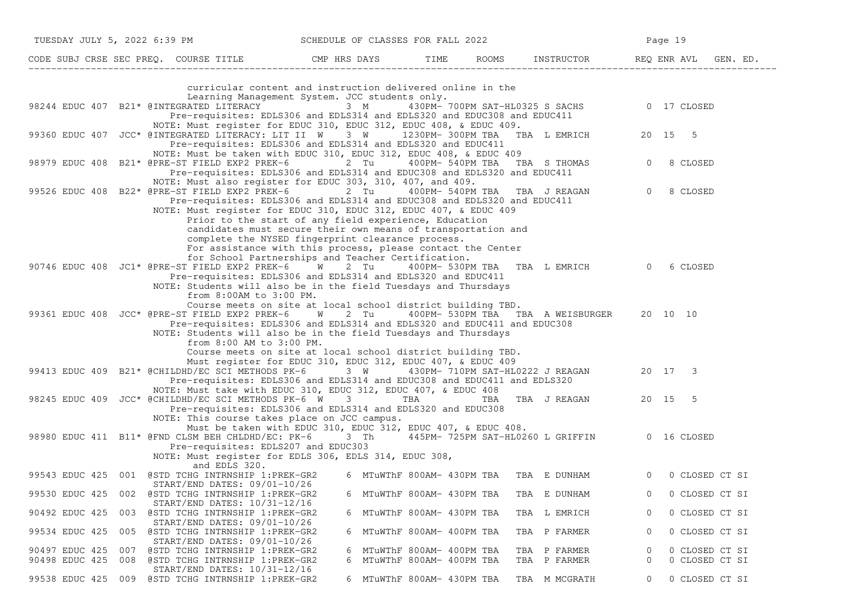| TUESDAY JULY 5, 2022 6:39 PM                                                                         |                                                                                                                                                                                                                                                                                                                                                                                          | SCHEDULE OF CLASSES FOR FALL 2022 |                                                      |                                                           | Page 19      |                                  |
|------------------------------------------------------------------------------------------------------|------------------------------------------------------------------------------------------------------------------------------------------------------------------------------------------------------------------------------------------------------------------------------------------------------------------------------------------------------------------------------------------|-----------------------------------|------------------------------------------------------|-----------------------------------------------------------|--------------|----------------------------------|
| CODE SUBJ CRSE SEC PREQ. COURSE TITLE THE ROOMS INSTRUCTOR REQ ENR AVL GEN. ED.                      |                                                                                                                                                                                                                                                                                                                                                                                          |                                   |                                                      |                                                           |              |                                  |
|                                                                                                      | curricular content and instruction delivered online in the                                                                                                                                                                                                                                                                                                                               |                                   |                                                      |                                                           |              |                                  |
| 98244 EDUC 407 B21* @INTEGRATED LITERACY 3 M                                                         | Learning Management System. JCC students only.<br>Pre-requisites: EDLS306 and EDLS314 and EDLS320 and EDUC308 and EDUC411<br>NOTE: Must register for EDUC 310, EDUC 312, EDUC 408, & EDUC 409.                                                                                                                                                                                           |                                   |                                                      | 430PM- 700PM SAT-HL0325 S SACHS 0 17 CLOSED               |              |                                  |
| 99360 EDUC 407 JCC* @INTEGRATED LITERACY: LIT II W 3 W 1230PM-300PM TBA TBA L EMRICH 20 15 5         | Pre-requisites: EDLS306 and EDLS314 and EDLS320 and EDUC411<br>NOTE: Must be taken with EDUC 310, EDUC 312, EDUC 408, & EDUC 409                                                                                                                                                                                                                                                         |                                   |                                                      |                                                           |              |                                  |
| 98979 EDUC 408                                                                                       | B21* @PRE-ST FIELD EXP2 PREK-6 2 Tu<br>Pre-requisites: EDLS306 and EDLS314 and EDUC308 and EDLS320 and EDUC411<br>NOTE: Must also register for EDUC 303, 310, 407, and 409.                                                                                                                                                                                                              |                                   | 400PM- 540PM TBA                                     | TBA S THOMAS                                              | $\circ$      | 8 CLOSED                         |
| 99526 EDUC 408 B22* @PRE-ST FIELD EXP2 PREK-6 2 Tu                                                   | Pre-requisites: EDLS306 and EDLS314 and EDUC308 and EDLS320 and EDUC411<br>NOTE: Must register for EDUC 310, EDUC 312, EDUC 407, & EDUC 409<br>Prior to the start of any field experience, Education<br>candidates must secure their own means of transportation and<br>complete the NYSED fingerprint clearance process.<br>For assistance with this process, please contact the Center |                                   |                                                      | 400PM-540PM TBA TBA J REAGAN 0 8 CLOSED                   |              |                                  |
| 90746 EDUC 408 JC1* @PRE-ST FIELD EXP2 PREK-6 W 2 Tu                                                 | for School Partnerships and Teacher Certification.<br>Pre-requisites: EDLS306 and EDLS314 and EDLS320 and EDUC411<br>NOTE: Students will also be in the field Tuesdays and Thursdays<br>from 8:00AM to 3:00 PM.                                                                                                                                                                          |                                   |                                                      | 400PM- 530PM TBA TBA L EMRICH 0 6 CLOSED                  |              |                                  |
| 99361 EDUC 408 JCC* @PRE-ST FIELD EXP2 PREK-6 W 2 Tu                                                 | Course meets on site at local school district building TBD.<br>Pre-requisites: EDLS306 and EDLS314 and EDLS320 and EDUC411 and EDUC308<br>NOTE: Students will also be in the field Tuesdays and Thursdays<br>from 8:00 AM to 3:00 PM.<br>Course meets on site at local school district building TBD.                                                                                     |                                   |                                                      | 400PM- 530PM TBA TBA A WEISBURGER 20 10 10                |              |                                  |
| 99413 EDUC 409 B21* @CHILDHD/EC SCI METHODS PK-6                                                     | Must register for EDUC 310, EDUC 312, EDUC 407, & EDUC 409<br>Pre-requisites: EDLS306 and EDLS314 and EDUC308 and EDUC411 and EDLS320                                                                                                                                                                                                                                                    | 3 W                               |                                                      | 430PM- 710PM SAT-HL0222 J REAGAN 20 17 3                  |              |                                  |
| 98245 EDUC 409 JCC* @CHILDHD/EC SCI METHODS PK-6 W 3 3 TBA TBA TBA J REAGAN 20 15 5                  | NOTE: Must take with EDUC 310, EDUC 312, EDUC 407, & EDUC 408<br>Pre-requisites: EDLS306 and EDLS314 and EDLS320 and EDUC308                                                                                                                                                                                                                                                             |                                   |                                                      |                                                           |              |                                  |
| 98980 EDUC 411 B11* @FND CLSM BEH CHLDHD/EC: PK-6 3 Th 445PM- 725PM SAT-HL0260 L GRIFFIN 0 16 CLOSED | NOTE: This course takes place on JCC campus.<br>Must be taken with EDUC 310, EDUC 312, EDUC 407, & EDUC 408.<br>Pre-requisites: EDLS207 and EDUC303<br>NOTE: Must register for EDLS 306, EDLS 314, EDUC 308,                                                                                                                                                                             |                                   |                                                      |                                                           |              |                                  |
| 99543 EDUC 425 001 @STD TCHG INTRNSHIP 1:PREK-GR2                                                    | and EDLS 320.                                                                                                                                                                                                                                                                                                                                                                            |                                   |                                                      | 6 MTuWThF 800AM- 430PM TBA TBA E DUNHAM 60 0 CLOSED CT SI |              |                                  |
| 99530 EDUC 425<br>002                                                                                | START/END DATES: 09/01-10/26<br>@STD TCHG INTRNSHIP 1:PREK-GR2<br>START/END DATES: 10/31-12/16                                                                                                                                                                                                                                                                                           |                                   | 6 MTuWThF 800AM- 430PM TBA                           | TBA E DUNHAM                                              | $\mathbf 0$  | 0 CLOSED CT SI                   |
| 90492 EDUC 425<br>003                                                                                | @STD TCHG INTRNSHIP 1:PREK-GR2<br>$START/END$ DATES: $09/01-10/26$                                                                                                                                                                                                                                                                                                                       |                                   | 6 MTuWThF 800AM- 430PM TBA                           | TBA L EMRICH                                              | $\mathbf{0}$ | 0 CLOSED CT SI                   |
| 99534 EDUC 425<br>005                                                                                | @STD TCHG INTRNSHIP 1:PREK-GR2<br>START/END DATES: 09/01-10/26                                                                                                                                                                                                                                                                                                                           |                                   | 6 MTuWThF 800AM- 400PM TBA                           | TBA P FARMER                                              | 0            | 0 CLOSED CT SI                   |
| 90497 EDUC 425<br>007<br>90498 EDUC 425<br>008                                                       | @STD TCHG INTRNSHIP 1:PREK-GR2<br>@STD TCHG INTRNSHIP 1:PREK-GR2<br>START/END DATES: 10/31-12/16                                                                                                                                                                                                                                                                                         | 6<br>6                            | MTuWThF 800AM- 400PM TBA<br>MTuWThF 800AM- 400PM TBA | TBA P FARMER<br>TBA P FARMER                              | 0<br>0       | 0 CLOSED CT SI<br>0 CLOSED CT SI |
| 99538 EDUC 425<br>009                                                                                | @STD TCHG INTRNSHIP 1:PREK-GR2                                                                                                                                                                                                                                                                                                                                                           |                                   | 6 MTuWThF 800AM- 430PM TBA                           | TBA M MCGRATH                                             | 0            | 0 CLOSED CT SI                   |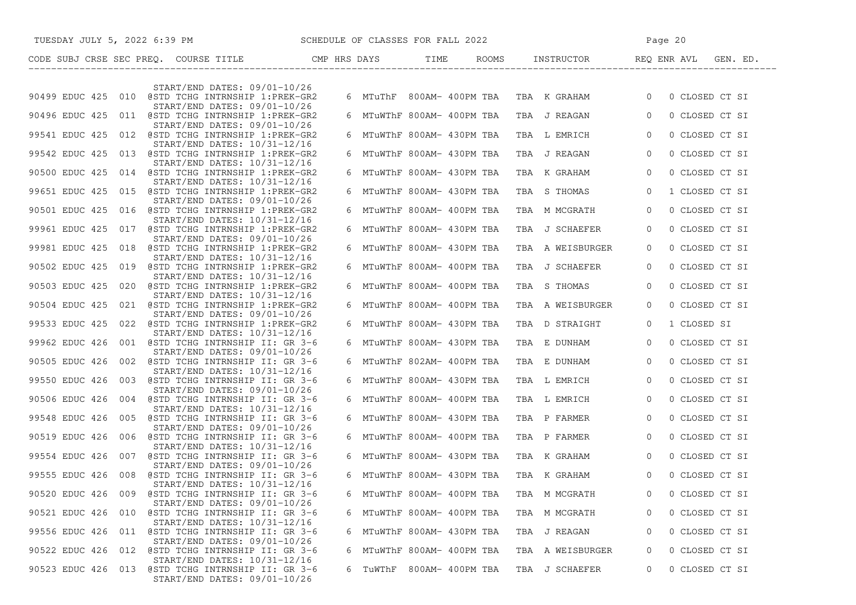|                    | TUESDAY JULY 5, 2022 6:39 PM SCHEDULE OF CLASSES FOR FALL 2022                    |   |                            |  |                          | Page 20 |                                             |                |                |  |
|--------------------|-----------------------------------------------------------------------------------|---|----------------------------|--|--------------------------|---------|---------------------------------------------|----------------|----------------|--|
|                    |                                                                                   |   |                            |  |                          |         |                                             |                |                |  |
|                    | START/END DATES: 09/01-10/26                                                      |   |                            |  |                          |         |                                             |                |                |  |
|                    | 90499 EDUC 425 010 @STD TCHG INTRNSHIP 1:PREK-GR2                                 |   |                            |  |                          |         | 6 MTuThF 800AM-400PM TBA TBA K GRAHAM 0     |                | 0 CLOSED CT SI |  |
|                    | START/END DATES: 09/01-10/26<br>90496 EDUC 425 011 @STD TCHG INTRNSHIP 1:PREK-GR2 |   |                            |  |                          |         | 6 MTuWThF 800AM- 400PM TBA   TBA  J REAGAN  | $\Omega$       | 0 CLOSED CT SI |  |
|                    | START/END DATES: 09/01-10/26<br>99541 EDUC 425 012 @STD TCHG INTRNSHIP 1:PREK-GR2 |   | 6 MTuWThF 800AM- 430PM TBA |  |                          |         | TBA L EMRICH                                | $\overline{0}$ | 0 CLOSED CT SI |  |
|                    | START/END DATES: 10/31-12/16<br>99542 EDUC 425 013 @STD TCHG INTRNSHIP 1:PREK-GR2 |   | 6 MTuWThF 800AM- 430PM TBA |  |                          |         | TBA J REAGAN                                | $\overline{0}$ | 0 CLOSED CT SI |  |
|                    | START/END DATES: 10/31-12/16<br>90500 EDUC 425 014 @STD TCHG INTRNSHIP 1:PREK-GR2 |   | 6 MTuWThF 800AM- 430PM TBA |  |                          |         | TBA K GRAHAM                                | $\overline{0}$ | 0 CLOSED CT SI |  |
|                    | START/END DATES: 10/31-12/16<br>99651 EDUC 425 015 @STD TCHG INTRNSHIP 1:PREK-GR2 |   | 6 MTuWThF 800AM- 430PM TBA |  |                          |         | TBA S THOMAS                                | $\circ$        | 1 CLOSED CT SI |  |
|                    | START/END DATES: 09/01-10/26                                                      |   |                            |  |                          |         |                                             |                |                |  |
|                    | 90501 EDUC 425 016 @STD TCHG INTRNSHIP 1:PREK-GR2<br>START/END DATES: 10/31-12/16 |   | 6 MTuWThF 800AM- 400PM TBA |  |                          |         | TBA M MCGRATH                               | $\overline{0}$ | 0 CLOSED CT SI |  |
|                    | 99961 EDUC 425 017 @STD TCHG INTRNSHIP 1:PREK-GR2<br>START/END DATES: 09/01-10/26 |   | 6 MTuWThF 800AM- 430PM TBA |  |                          |         | TBA J SCHAEFER                              | $\Omega$       | 0 CLOSED CT SI |  |
|                    | 99981 EDUC 425 018 @STD TCHG INTRNSHIP 1:PREK-GR2<br>START/END DATES: 10/31-12/16 |   | 6 MTuWThF 800AM- 430PM TBA |  |                          |         | TBA A WEISBURGER                            | $\Omega$       | 0 CLOSED CT SI |  |
|                    | 90502 EDUC 425 019 @STD TCHG INTRNSHIP 1:PREK-GR2<br>START/END DATES: 10/31-12/16 |   | 6 MTuWThF 800AM- 400PM TBA |  |                          |         | TBA J SCHAEFER                              | $\Omega$       | 0 CLOSED CT SI |  |
|                    | 90503 EDUC 425 020 @STD TCHG INTRNSHIP 1:PREK-GR2                                 |   | 6 MTuWThF 800AM- 400PM TBA |  |                          |         | TBA S THOMAS                                | $\Omega$       | 0 CLOSED CT SI |  |
|                    | START/END DATES: 10/31-12/16<br>90504 EDUC 425 021 @STD TCHG INTRNSHIP 1:PREK-GR2 |   | 6 MTuWThF 800AM- 400PM TBA |  |                          |         | TBA A WEISBURGER                            | $\Omega$       | 0 CLOSED CT SI |  |
|                    | START/END DATES: 09/01-10/26<br>99533 EDUC 425 022 @STD TCHG INTRNSHIP 1:PREK-GR2 |   | 6 MTuWThF 800AM- 430PM TBA |  |                          |         | TBA D STRAIGHT                              | $\Omega$       | 1 CLOSED SI    |  |
|                    | START/END DATES: 10/31-12/16<br>99962 EDUC 426 001 @STD TCHG INTRNSHIP II: GR 3-6 |   | 6 MTuWThF 800AM- 430PM TBA |  |                          |         | TBA E DUNHAM                                | $\overline{0}$ | 0 CLOSED CT SI |  |
|                    | START/END DATES: 09/01-10/26<br>90505 EDUC 426 002 @STD TCHG INTRNSHIP II: GR 3-6 |   | 6 MTuWThF 802AM- 400PM TBA |  |                          |         | TBA E DUNHAM                                | $\overline{0}$ | 0 CLOSED CT SI |  |
|                    | START/END DATES: 10/31-12/16<br>99550 EDUC 426 003 @STD TCHG INTRNSHIP II: GR 3-6 |   | 6 MTuWThF 800AM- 430PM TBA |  |                          |         |                                             | $\overline{0}$ | 0 CLOSED CT SI |  |
|                    | $START/END$ DATES: $09/01-10/26$                                                  |   |                            |  |                          |         | TBA L EMRICH                                |                |                |  |
|                    | 90506 EDUC 426 004 @STD TCHG INTRNSHIP II: GR 3-6<br>START/END DATES: 10/31-12/16 |   | 6 MTuWThF 800AM- 400PM TBA |  |                          |         | TBA L EMRICH                                | $\overline{0}$ | 0 CLOSED CT SI |  |
|                    | 99548 EDUC 426 005 @STD TCHG INTRNSHIP II: GR 3-6<br>START/END DATES: 09/01-10/26 |   | 6 MTuWThF 800AM- 430PM TBA |  |                          |         | TBA P FARMER                                | $\overline{0}$ | 0 CLOSED CT SI |  |
|                    | 90519 EDUC 426 006 @STD TCHG INTRNSHIP II: GR 3-6<br>START/END DATES: 10/31-12/16 |   | 6 MTuWThF 800AM- 400PM TBA |  |                          |         | TBA P FARMER                                | $\overline{0}$ | 0 CLOSED CT SI |  |
|                    | 99554 EDUC 426 007 @STD TCHG INTRNSHIP II: GR 3-6<br>START/END DATES: 09/01-10/26 |   | 6 MTuWThF 800AM- 430PM TBA |  |                          |         | TBA K GRAHAM                                | $\overline{0}$ | 0 CLOSED CT SI |  |
|                    | 99555 EDUC 426 008 @STD TCHG INTRNSHIP II: GR 3-6                                 |   |                            |  |                          |         | 6 MTuWThF 800AM- 430PM TBA   TBA   K GRAHAM | $\Omega$       | 0 CLOSED CT SI |  |
| 90520 EDUC 426 009 | START/END DATES: 10/31-12/16<br>@STD TCHG INTRNSHIP II: GR 3-6                    | 6 |                            |  | MTuWThF 800AM- 400PM TBA |         | TBA M MCGRATH                               | 0              | 0 CLOSED CT SI |  |
|                    | START/END DATES: 09/01-10/26<br>90521 EDUC 426 010 @STD TCHG INTRNSHIP II: GR 3-6 |   | 6 MTuWThF 800AM- 400PM TBA |  |                          |         | TBA M MCGRATH                               | $\Omega$       | 0 CLOSED CT SI |  |
|                    | START/END DATES: 10/31-12/16<br>99556 EDUC 426 011 @STD TCHG INTRNSHIP II: GR 3-6 |   | 6 MTuWThF 800AM- 430PM TBA |  |                          |         | TBA J REAGAN                                | 0              | 0 CLOSED CT SI |  |
|                    | START/END DATES: 09/01-10/26<br>90522 EDUC 426 012 @STD TCHG INTRNSHIP II: GR 3-6 | 6 | MTuWThF 800AM- 400PM TBA   |  |                          |         | TBA A WEISBURGER                            | 0              | 0 CLOSED CT SI |  |
|                    | START/END DATES: 10/31-12/16                                                      |   |                            |  |                          |         |                                             |                |                |  |
|                    | 90523 EDUC 426 013 @STD TCHG INTRNSHIP II: GR 3-6<br>START/END DATES: 09/01-10/26 |   | 6 TuWThF                   |  | 800AM- 400PM TBA         |         | TBA J SCHAEFER                              | 0              | 0 CLOSED CT SI |  |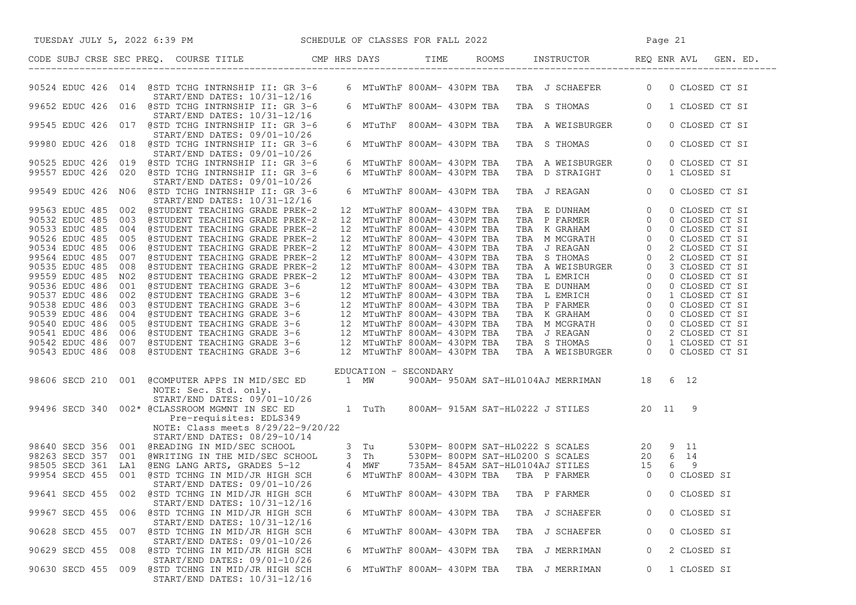| TUESDAY JULY 5, 2022 6:39 PM SCHEDULE OF CLASSES FOR FALL 2022<br>CODE SUBJ CRSE SEC PREQ. COURSE TITLE CMP HRS DAYS TIME ROOMS INSTRUCTOR REQ ENR AVL GEN. ED.                                                                      |                       |                            |  |                                             |                |                |  |
|--------------------------------------------------------------------------------------------------------------------------------------------------------------------------------------------------------------------------------------|-----------------------|----------------------------|--|---------------------------------------------|----------------|----------------|--|
|                                                                                                                                                                                                                                      |                       |                            |  |                                             |                |                |  |
| 90524 EDUC 426 014 @STD TCHG INTRNSHIP II: GR 3-6<br>START/END DATES: 10/31-12/16                                                                                                                                                    |                       |                            |  | 6 MTuWThF 800AM- 430PM TBA TBA J SCHAEFER 0 |                | 0 CLOSED CT SI |  |
| 99652 EDUC 426 016 @STD TCHG INTRNSHIP II: GR 3-6<br>START/END DATES: 10/31-12/16                                                                                                                                                    |                       |                            |  | 6 MTuWThF 800AM- 430PM TBA TBA S THOMAS 0   |                | 1 CLOSED CT SI |  |
| 99545 EDUC 426 017 @STD TCHG INTRNSHIP II: GR 3-6<br>START/END DATES: 09/01-10/26                                                                                                                                                    |                       | 6 MTuThF 800AM-430PM TBA   |  | TBA A WEISBURGER                            | $\circ$        | 0 CLOSED CT SI |  |
| 99980 EDUC 426 018 @STD TCHG INTRNSHIP II: GR 3-6<br>START/END DATES: 09/01-10/26                                                                                                                                                    |                       | 6 MTuWThF 800AM- 430PM TBA |  | TBA S THOMAS                                | $\overline{0}$ | 0 CLOSED CT SI |  |
| 90525 EDUC 426 019 @STD TCHG INTRNSHIP II: GR 3-6                                                                                                                                                                                    |                       | 6 MTuWThF 800AM- 430PM TBA |  | TBA AWEISBURGER 0<br>TBA DSTRAIGHT 0        |                | 0 CLOSED CT SI |  |
| 99557 EDUC 426 020 @STD TCHG INTRNSHIP II: GR 3-6<br>START/END DATES: 09/01-10/26                                                                                                                                                    |                       | 6 MTuWThF 800AM- 430PM TBA |  |                                             |                | 1 CLOSED SI    |  |
| 99549 EDUC 426 N06 @STD TCHG INTRNSHIP II: GR 3-6<br>START/END DATES: 10/31-12/16                                                                                                                                                    |                       | 6 MTuWThF 800AM- 430PM TBA |  | TBA J REAGAN 0                              |                | 0 CLOSED CT SI |  |
|                                                                                                                                                                                                                                      |                       |                            |  |                                             |                |                |  |
|                                                                                                                                                                                                                                      |                       |                            |  |                                             |                |                |  |
|                                                                                                                                                                                                                                      |                       |                            |  |                                             |                |                |  |
|                                                                                                                                                                                                                                      |                       |                            |  |                                             |                |                |  |
|                                                                                                                                                                                                                                      |                       |                            |  |                                             |                |                |  |
|                                                                                                                                                                                                                                      |                       |                            |  |                                             |                |                |  |
|                                                                                                                                                                                                                                      |                       |                            |  |                                             |                |                |  |
|                                                                                                                                                                                                                                      |                       |                            |  |                                             |                |                |  |
|                                                                                                                                                                                                                                      |                       |                            |  |                                             |                |                |  |
|                                                                                                                                                                                                                                      |                       |                            |  |                                             |                |                |  |
|                                                                                                                                                                                                                                      |                       |                            |  |                                             |                |                |  |
|                                                                                                                                                                                                                                      |                       |                            |  |                                             |                |                |  |
|                                                                                                                                                                                                                                      |                       |                            |  |                                             |                |                |  |
|                                                                                                                                                                                                                                      |                       |                            |  |                                             |                |                |  |
|                                                                                                                                                                                                                                      |                       |                            |  |                                             |                |                |  |
|                                                                                                                                                                                                                                      |                       |                            |  |                                             |                |                |  |
|                                                                                                                                                                                                                                      | EDUCATION - SECONDARY |                            |  |                                             |                |                |  |
| 98606 SECD 210 001 @COMPUTER APPS IN MID/SEC ED 1 MW 900AM-950AM SAT-HL0104AJ MERRIMAN 18 6 12<br>NOTE: Sec. Std. only.                                                                                                              |                       |                            |  |                                             |                |                |  |
| START/END DATES: 09/01-10/26<br>99496 SECD 340 002* @CLASSROOM MGMN IN SEC ED 1 TuTh 800AM-915AM SAT-HL0222 J STILES 20 11                                                                                                           |                       |                            |  |                                             |                | - 9            |  |
| Pre-requisites: EDLS349<br>NOTE: Class meets 8/29/22-9/20/22                                                                                                                                                                         |                       |                            |  |                                             |                |                |  |
| START/END DATES: 08/29-10/14                                                                                                                                                                                                         |                       |                            |  |                                             |                |                |  |
|                                                                                                                                                                                                                                      |                       |                            |  |                                             |                |                |  |
| 98640 SECD 356 001 @READING IN MID/SEC SCHOOL 3 Tu 530PM-800PM SAT-HL0222 S SCALES 20 9 11<br>98263 SECD 357 001 @WRITING IN THE MID/SEC SCHOOL 3 Th 530PM-800PM SAT-HL0200 S SCALES 20 6 14<br>98505 SECD 361 LA1 @ENG LANG ARTS, G |                       |                            |  |                                             |                |                |  |
|                                                                                                                                                                                                                                      |                       |                            |  |                                             |                |                |  |
|                                                                                                                                                                                                                                      |                       |                            |  |                                             |                | 0 CLOSED SI    |  |
| START/END DATES: 09/01-10/26                                                                                                                                                                                                         |                       |                            |  |                                             |                |                |  |
| 99641 SECD 455 002 @STD TCHNG IN MID/JR HIGH SCH<br>START/END DATES: 10/31-12/16                                                                                                                                                     | 6                     | MTuWThF 800AM- 430PM TBA   |  | TBA P FARMER                                | 0              | 0 CLOSED SI    |  |
| 99967 SECD 455<br>006 @STD TCHNG IN MID/JR HIGH SCH<br>$START/END$ DATES: $10/31-12/16$                                                                                                                                              |                       | 6 MTuWThF 800AM- 430PM TBA |  | TBA J SCHAEFER                              | 0              | 0 CLOSED SI    |  |
| 90628 SECD 455 007 @STD TCHNG IN MID/JR HIGH SCH<br>START/END DATES: 09/01-10/26                                                                                                                                                     |                       | 6 MTuWThF 800AM- 430PM TBA |  | TBA J SCHAEFER                              | 0              | 0 CLOSED SI    |  |
| 008 @STD TCHNG IN MID/JR HIGH SCH<br>90629 SECD 455                                                                                                                                                                                  |                       | 6 MTuWThF 800AM- 430PM TBA |  | TBA J MERRIMAN                              | 0              | 2 CLOSED SI    |  |
| START/END DATES: 09/01-10/26<br>90630 SECD 455 009<br>@STD TCHNG IN MID/JR HIGH SCH<br>START/END DATES: 10/31-12/16                                                                                                                  |                       | 6 MTuWThF 800AM- 430PM TBA |  | TBA J MERRIMAN                              | 0              | 1 CLOSED SI    |  |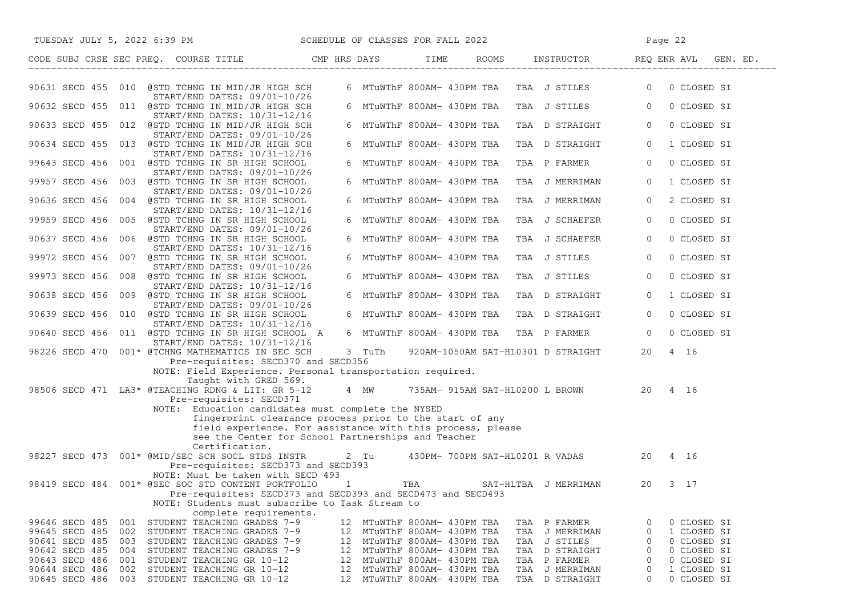| TUESDAY JULY 5, 2022 6:39 PM                                                                                                        | SCHEDULE OF CLASSES FOR FALL 2022                                                                                     |                             |                                           | Page 22                       |
|-------------------------------------------------------------------------------------------------------------------------------------|-----------------------------------------------------------------------------------------------------------------------|-----------------------------|-------------------------------------------|-------------------------------|
| CODE SUBJ CRSE SEC PREQ. COURSE TITLE CMP HRS DAYS TIME ROOMS INSTRUCTOR REQ ENR AVL GEN. ED.                                       |                                                                                                                       |                             |                                           |                               |
| 90631 SECD 455 010 @STD TCHNG IN MID/JR HIGH SCH                                                                                    |                                                                                                                       |                             | 6 MTuWThF 800AM- 430PM TBA  TBA  J STILES | $\overline{0}$<br>0 CLOSED SI |
| START/END DATES: 09/01-10/26<br>90632 SECD 455 011 @STD TCHNG IN MID/JR HIGH SCH                                                    |                                                                                                                       | 6 MTuWThF 800AM- 430PM TBA  | TBA J STILES                              | $\overline{0}$<br>0 CLOSED SI |
| START/END DATES: 10/31-12/16<br>90633 SECD 455 012 @STD TCHNG IN MID/JR HIGH SCH                                                    |                                                                                                                       | 6 MTuWThF 800AM- 430PM TBA  | TBA D STRAIGHT                            | $\overline{0}$<br>0 CLOSED SI |
| START/END DATES: 09/01-10/26<br>90634 SECD 455 013 @STD TCHNG IN MID/JR HIGH SCH                                                    |                                                                                                                       | 6 MTuWThF 800AM- 430PM TBA  | TBA D STRAIGHT                            | 1 CLOSED SI<br>$\circ$        |
| START/END DATES: 10/31-12/16<br>99643 SECD 456 001 @STD TCHNG IN SR HIGH SCHOOL                                                     |                                                                                                                       | 6 MTuWThF 800AM- 430PM TBA  | TBA P FARMER                              | 0 CLOSED SI<br>$\circ$        |
| START/END DATES: 09/01-10/26<br>99957 SECD 456 003 @STD TCHNG IN SR HIGH SCHOOL                                                     |                                                                                                                       | 6 MTuWThF 800AM- 430PM TBA  | TBA J MERRIMAN                            | 1 CLOSED SI<br>$\circ$        |
| START/END DATES: 09/01-10/26<br>90636 SECD 456 004 @STD TCHNG IN SR HIGH SCHOOL                                                     |                                                                                                                       | 6 MTuWThF 800AM- 430PM TBA  | TBA J MERRIMAN                            | 2 CLOSED SI<br>$\circ$        |
| START/END DATES: 10/31-12/16<br>99959 SECD 456 005 @STD TCHNG IN SR HIGH SCHOOL                                                     |                                                                                                                       | 6 MTuWThF 800AM- 430PM TBA  | TBA J SCHAEFER                            | 0 CLOSED SI<br>$\overline{0}$ |
| START/END DATES: 09/01-10/26<br>90637 SECD 456 006 @STD TCHNG IN SR HIGH SCHOOL                                                     |                                                                                                                       | 6 MTuWThF 800AM- 430PM TBA  | TBA J SCHAEFER                            | 0 CLOSED SI<br>$\circ$        |
| START/END DATES: 10/31-12/16<br>99972 SECD 456 007 @STD TCHNG IN SR HIGH SCHOOL                                                     |                                                                                                                       | 6 MTuWThF 800AM- 430PM TBA  | TBA J STILES                              | 0 CLOSED SI<br>$\overline{0}$ |
| START/END DATES: 09/01-10/26<br>99973 SECD 456 008 @STD TCHNG IN SR HIGH SCHOOL                                                     |                                                                                                                       | 6 MTuWThF 800AM- 430PM TBA  | TBA J STILES                              | 0 CLOSED SI<br>$\circ$        |
| START/END DATES: 10/31-12/16<br>90638 SECD 456 009 @STD TCHNG IN SR HIGH SCHOOL                                                     |                                                                                                                       | 6 MTuWThF 800AM- 430PM TBA  | TBA D STRAIGHT                            | 1 CLOSED SI<br>$\overline{0}$ |
| START/END DATES: 09/01-10/26<br>90639 SECD 456 010 @STD TCHNG IN SR HIGH SCHOOL                                                     |                                                                                                                       | 6 MTuWThF 800AM- 430PM TBA  |                                           | 0 CLOSED SI<br>$\overline{0}$ |
| START/END DATES: 10/31-12/16                                                                                                        |                                                                                                                       |                             | TBA D STRAIGHT                            |                               |
| 90640 SECD 456 011 @STD TCHNG IN SR HIGH SCHOOL A<br>START/END DATES: 10/31-12/16                                                   |                                                                                                                       | 6 MTuWThF 800AM- 430PM TBA  | TBA P FARMER                              | $\overline{0}$<br>0 CLOSED SI |
| 98226 SECD 470 001* @TCHNG MATHEMATICS IN SEC SCH<br>Pre-requisites: SECD370 and SECD356                                            | 3 TuTh                                                                                                                |                             | 920AM-1050AM SAT-HL0301 D STRAIGHT        | 20<br>4 16                    |
| NOTE: Field Experience. Personal transportation required.<br>Taught with GRED 569.                                                  |                                                                                                                       |                             |                                           |                               |
| 98506 SECD 471 LA3* @TEACHING RDNG & LIT: GR 5-12 4 MW 735AM- 915AM SAT-HL0200 L BROWN 20 4 16<br>Pre-requisites: SECD371           |                                                                                                                       |                             |                                           |                               |
| NOTE: Education candidates must complete the NYSED                                                                                  |                                                                                                                       |                             |                                           |                               |
|                                                                                                                                     | fingerprint clearance process prior to the start of any<br>field experience. For assistance with this process, please |                             |                                           |                               |
| Certification.                                                                                                                      | see the Center for School Partnerships and Teacher                                                                    |                             |                                           |                               |
| 98227 SECD 473 001* @MID/SEC SCH SOCL STDS INSTR 2 Tu 430PM-700PM SAT-HL0201 R VADAS 20 4 16<br>Pre-requisites: SECD373 and SECD393 |                                                                                                                       |                             |                                           |                               |
| NOTE: Must be taken with SECD 493<br>98419 SECD 484 001* @SEC SOC STD CONTENT PORTFOLIO                                             |                                                                                                                       | TBA SAT-HLTBA J MERRIMAN    |                                           | $3 \t17$<br>20                |
| Pre-requisites: SECD373 and SECD393 and SECD473 and SECD493<br>NOTE: Students must subscribe to Task Stream to                      |                                                                                                                       |                             |                                           |                               |
| complete requirements.<br>STUDENT TEACHING GRADES 7-9<br>99646 SECD 485<br>001                                                      |                                                                                                                       | 12 MTuWThF 800AM- 430PM TBA | TBA P FARMER                              | 0 CLOSED SI                   |
| 99645 SECD 485<br>STUDENT TEACHING GRADES 7-9<br>002                                                                                |                                                                                                                       | 12 MTuWThF 800AM- 430PM TBA | TBA J MERRIMAN                            | 1 CLOSED SI<br>0              |
| 90641 SECD 485<br>003<br>STUDENT TEACHING GRADES 7-9                                                                                | 12                                                                                                                    | MTuWThF 800AM- 430PM TBA    | TBA J STILES                              | 0 CLOSED SI<br>0              |
| 90642 SECD 485<br>004<br>STUDENT TEACHING GRADES 7-9                                                                                | 12                                                                                                                    | MTuWThF 800AM- 430PM TBA    | TBA D STRAIGHT                            | 0 CLOSED SI<br>0              |
| 90643 SECD 486<br>001<br>STUDENT TEACHING GR 10-12                                                                                  | 12                                                                                                                    | MTuWThF 800AM- 430PM TBA    | TBA P FARMER                              | 0<br>0 CLOSED SI              |
| 90644 SECD 486<br>002<br>STUDENT TEACHING GR 10-12                                                                                  | 12                                                                                                                    | MTuWThF 800AM- 430PM TBA    | TBA J MERRIMAN                            | 1 CLOSED SI<br>0              |
| 90645 SECD 486<br>003 STUDENT TEACHING GR 10-12                                                                                     |                                                                                                                       | 12 MTuWThF 800AM- 430PM TBA | TBA D STRAIGHT                            | 0 CLOSED SI<br>$\mathbf 0$    |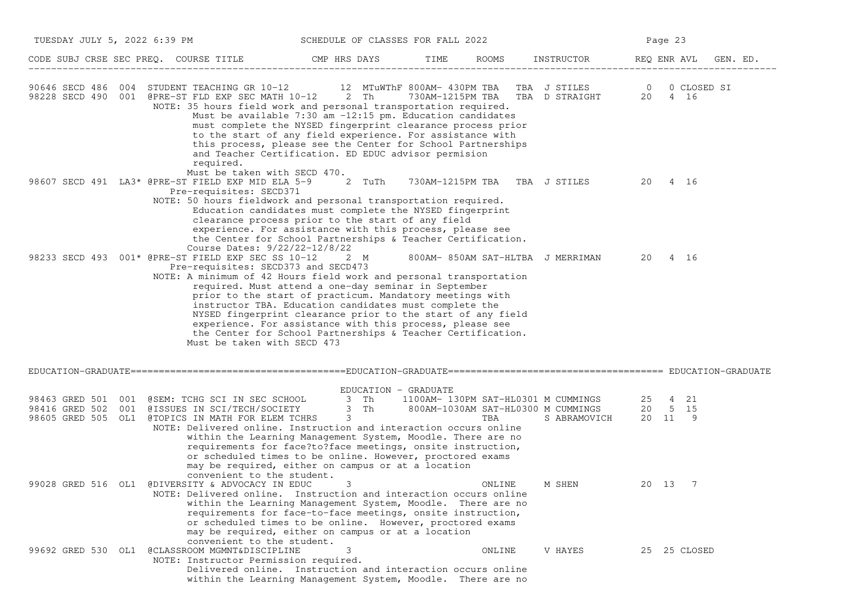| TUESDAY JULY 5, 2022 6:39 PM<br>SCHEDULE OF CLASSES FOR FALL 2022                                                                                                                                                                                                                                                           |                                                                                                                                                                                                                                                                                                                                                                      |      |        |                                  | Page 23     |                |  |  |
|-----------------------------------------------------------------------------------------------------------------------------------------------------------------------------------------------------------------------------------------------------------------------------------------------------------------------------|----------------------------------------------------------------------------------------------------------------------------------------------------------------------------------------------------------------------------------------------------------------------------------------------------------------------------------------------------------------------|------|--------|----------------------------------|-------------|----------------|--|--|
| CODE SUBJ CRSE SEC PREQ. COURSE TITLE THE CMP HRS DAYS                                                                                                                                                                                                                                                                      |                                                                                                                                                                                                                                                                                                                                                                      | TIME |        | ROOMS INSTRUCTOR                 | REQ ENR AVL | GEN. ED.       |  |  |
| 90646 SECD 486 004 STUDENT TEACHING GR 10-12 12 MTuWThF 800AM-430PM TBA TBA J STILES 0 0 CLOSED SI<br>98228 SECD 490 001 @PRE-ST FLD EXP SEC MATH 10-12 2 Th 730AM-1215PM TBA TBA D STRAIGHT 20 4 16<br>NOTE: 35 hours field work and personal transportation required.<br>required.<br>Must be taken with SECD 470.        | Must be available 7:30 am -12:15 pm. Education candidates<br>must complete the NYSED fingerprint clearance process prior<br>to the start of any field experience. For assistance with<br>this process, please see the Center for School Partnerships<br>and Teacher Certification. ED EDUC advisor permision                                                         |      |        |                                  |             |                |  |  |
| 98607 SECD 491 LA3* @PRE-ST FIELD EXP MID ELA 5-9<br>Pre-requisites: SECD371<br>NOTE: 50 hours fieldwork and personal transportation required.<br>Course Dates: 9/22/22-12/8/22                                                                                                                                             | 2 TuTh<br>Education candidates must complete the NYSED fingerprint<br>clearance process prior to the start of any field<br>experience. For assistance with this process, please see<br>the Center for School Partnerships & Teacher Certification.                                                                                                                   |      |        | 730AM-1215PM TBA TBA J STILES    | 20 4 16     |                |  |  |
| 98233 SECD 493 001* @PRE-ST FIELD EXP SEC SS 10-12 2 M<br>Pre-requisites: SECD373 and SECD473<br>NOTE: A minimum of 42 Hours field work and personal transportation<br>Must be taken with SECD 473                                                                                                                          | required. Must attend a one-day seminar in September<br>prior to the start of practicum. Mandatory meetings with<br>instructor TBA. Education candidates must complete the<br>NYSED fingerprint clearance prior to the start of any field<br>experience. For assistance with this process, please see<br>the Center for School Partnerships & Teacher Certification. |      |        | 800AM-850AM SAT-HLTBA J MERRIMAN | 20 4 16     |                |  |  |
|                                                                                                                                                                                                                                                                                                                             |                                                                                                                                                                                                                                                                                                                                                                      |      |        |                                  |             |                |  |  |
| 98463 GRED 501 001 @SEM: TCHG SCI IN SEC SCHOOL 3 Th 1100AM-130PM SAT-HL0301 M CUMMINGS 25 4 21<br>98416 GRED 502 001 @ISSUES IN SCI/TECH/SOCIETY 3 Th 800AM-1030AM SAT-HL0300 M CUMMINGS 20 5 15<br>98605 GRED 505 OL1 @TOPICS IN MATH FOR ELEM TCHRS<br>NOTE: Delivered online. Instruction and interaction occurs online | EDUCATION - GRADUATE<br>$3$ Th<br>$3^{\circ}$<br>within the Learning Management System, Moodle. There are no<br>requirements for face?to?face meetings, onsite instruction,<br>or scheduled times to be online. However, proctored exams<br>may be required, either on campus or at a location                                                                       |      | TBA    | S ABRAMOVICH 20 11 9             |             |                |  |  |
| convenient to the student.<br>99028 GRED 516 OL1 @DIVERSITY & ADVOCACY IN EDUC<br>NOTE: Delivered online. Instruction and interaction occurs online<br>convenient to the student.                                                                                                                                           | 3<br>within the Learning Management System, Moodle. There are no<br>requirements for face-to-face meetings, onsite instruction,<br>or scheduled times to be online. However, proctored exams<br>may be required, either on campus or at a location                                                                                                                   |      | ONLINE | M SHEN                           | 20 13       | $\overline{7}$ |  |  |
| 99692 GRED 530 OL1 @CLASSROOM MGMNT&DISCIPLINE<br>NOTE: Instructor Permission required.                                                                                                                                                                                                                                     | 3<br>Delivered online. Instruction and interaction occurs online<br>within the Learning Management System, Moodle. There are no                                                                                                                                                                                                                                      |      | ONLINE | V HAYES                          |             | 25 25 CLOSED   |  |  |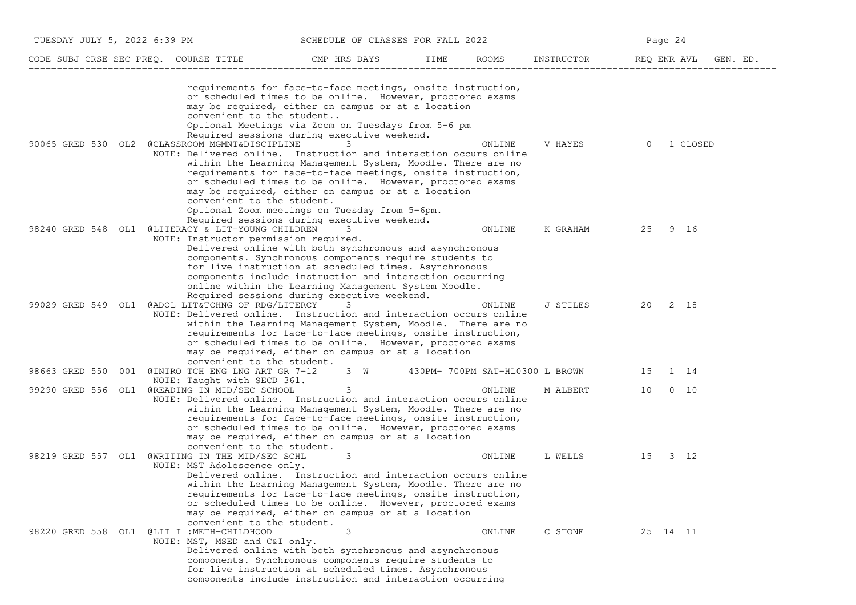| TUESDAY JULY 5, 2022 6:39 PM<br>SCHEDULE OF CLASSES FOR FALL 2022 |                                                                                                                                                             |                                                                                                                                                                                                                                                                                                                                                                                                                                                                                                                                      |      |        | Page 24    |             |             |  |
|-------------------------------------------------------------------|-------------------------------------------------------------------------------------------------------------------------------------------------------------|--------------------------------------------------------------------------------------------------------------------------------------------------------------------------------------------------------------------------------------------------------------------------------------------------------------------------------------------------------------------------------------------------------------------------------------------------------------------------------------------------------------------------------------|------|--------|------------|-------------|-------------|--|
|                                                                   | CODE SUBJ CRSE SEC PREQ. COURSE TITLE THE CMP HRS DAYS                                                                                                      |                                                                                                                                                                                                                                                                                                                                                                                                                                                                                                                                      | TIME | ROOMS  | INSTRUCTOR | REQ ENR AVL | GEN. ED.    |  |
| 90065 GRED 530 OL2                                                | convenient to the student<br>@CLASSROOM MGMNT&DISCIPLINE<br>NOTE: Delivered online. Instruction and interaction occurs online<br>convenient to the student. | requirements for face-to-face meetings, onsite instruction,<br>or scheduled times to be online. However, proctored exams<br>may be required, either on campus or at a location<br>Optional Meetings via Zoom on Tuesdays from 5-6 pm<br>Required sessions during executive weekend.<br>within the Learning Management System, Moodle. There are no<br>requirements for face-to-face meetings, onsite instruction,<br>or scheduled times to be online. However, proctored exams<br>may be required, either on campus or at a location |      | ONLINE | V HAYES    | $\Omega$    | 1 CLOSED    |  |
| 98240 GRED 548 OL1                                                | @LITERACY & LIT-YOUNG CHILDREN<br>NOTE: Instructor permission required.                                                                                     | Optional Zoom meetings on Tuesday from 5-6pm.<br>Required sessions during executive weekend.<br>3<br>Delivered online with both synchronous and asynchronous<br>components. Synchronous components require students to                                                                                                                                                                                                                                                                                                               |      | ONLINE | K GRAHAM   | 25          | 9 16        |  |
|                                                                   | 99029 GRED 549 OL1 @ADOL LIT&TCHNG OF RDG/LITERCY<br>NOTE: Delivered online. Instruction and interaction occurs online<br>convenient to the student.        | for live instruction at scheduled times. Asynchronous<br>components include instruction and interaction occurring<br>online within the Learning Management System Moodle.<br>Required sessions during executive weekend.<br>3<br>within the Learning Management System, Moodle. There are no<br>requirements for face-to-face meetings, onsite instruction,<br>or scheduled times to be online. However, proctored exams<br>may be required, either on campus or at a location                                                       |      | ONLINE | J STILES   | 20          | 2 18        |  |
|                                                                   | 98663 GRED 550 001 @INTRO TCH ENG LNG ART GR 7-12<br>NOTE: Taught with SECD 361.                                                                            | 3 W 430PM-700PM SAT-HL0300 L BROWN                                                                                                                                                                                                                                                                                                                                                                                                                                                                                                   |      |        |            | 15          | 1 14        |  |
|                                                                   | 99290 GRED 556 OL1 @READING IN MID/SEC SCHOOL<br>NOTE: Delivered online. Instruction and interaction occurs online                                          | 3<br>within the Learning Management System, Moodle. There are no<br>requirements for face-to-face meetings, onsite instruction,<br>or scheduled times to be online. However, proctored exams<br>may be required, either on campus or at a location                                                                                                                                                                                                                                                                                   |      | ONLINE | M ALBERT   | 10          | $0\quad 10$ |  |
| 98219 GRED 557 OL1                                                | convenient to the student.<br>@WRITING IN THE MID/SEC SCHL<br>NOTE: MST Adolescence only.                                                                   | 3<br>Delivered online. Instruction and interaction occurs online<br>within the Learning Management System, Moodle. There are no<br>requirements for face-to-face meetings, onsite instruction,<br>or scheduled times to be online. However, proctored exams<br>may be required, either on campus or at a location                                                                                                                                                                                                                    |      | ONLINE | L WELLS    | 15          | $3 \t12$    |  |
|                                                                   | convenient to the student.<br>98220 GRED 558 OL1 @LIT I:METH-CHILDHOOD<br>NOTE: MST, MSED and C&I only.                                                     | 3<br>Delivered online with both synchronous and asynchronous<br>components. Synchronous components require students to<br>for live instruction at scheduled times. Asynchronous<br>components include instruction and interaction occurring                                                                                                                                                                                                                                                                                          |      | ONLINE | C STONE    | 25 14 11    |             |  |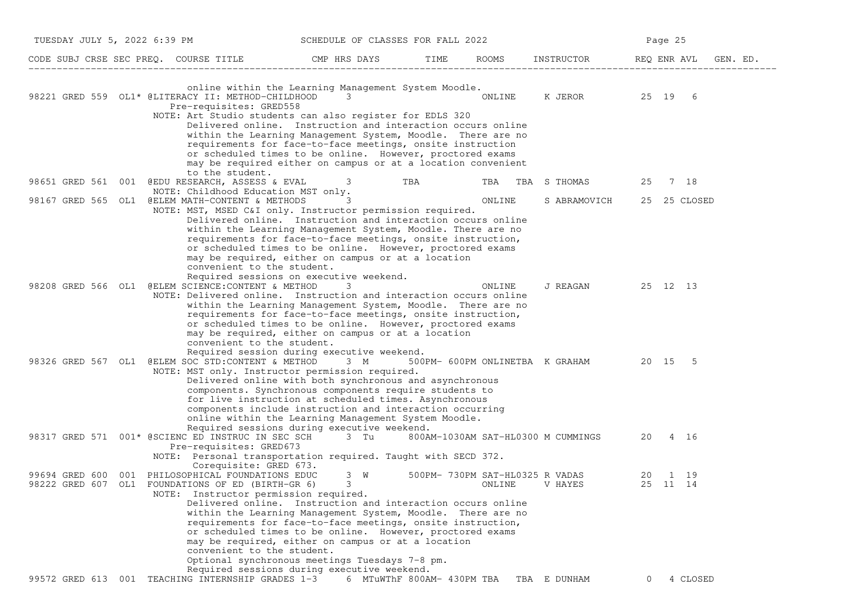| TUESDAY JULY 5, 2022 6:39 PM     |                                                                                                                                                                                   | SCHEDULE OF CLASSES FOR FALL 2022                                                                                                                                                                                                                                                                                                                                                  |     |                                           |                                         |          | Page 25             |  |
|----------------------------------|-----------------------------------------------------------------------------------------------------------------------------------------------------------------------------------|------------------------------------------------------------------------------------------------------------------------------------------------------------------------------------------------------------------------------------------------------------------------------------------------------------------------------------------------------------------------------------|-----|-------------------------------------------|-----------------------------------------|----------|---------------------|--|
|                                  | CODE SUBJ CRSE SEC PREQ. COURSE TITLE THE CMP HRS DAYS                                                                                                                            |                                                                                                                                                                                                                                                                                                                                                                                    |     |                                           | TIME ROOMS INSTRUCTOR REQ ENRAVL        |          | GEN. ED.            |  |
|                                  | 98221 GRED 559 OL1* @LITERACY II: METHOD-CHILDHOOD<br>Pre-requisites: GRED558<br>NOTE: Art Studio students can also register for EDLS 320                                         | online within the Learning Management System Moodle.<br>3<br>Delivered online. Instruction and interaction occurs online<br>within the Learning Management System, Moodle. There are no<br>requirements for face-to-face meetings, onsite instruction<br>or scheduled times to be online. However, proctored exams<br>may be required either on campus or at a location convenient |     | ONLINE                                    | K JEROR 25 19 6                         |          |                     |  |
|                                  | to the student.<br>98651 GRED 561 001 @EDU RESEARCH, ASSESS & EVAL 3                                                                                                              |                                                                                                                                                                                                                                                                                                                                                                                    | TBA | TBA                                       | TBA S THOMAS                            | 25       | 7 18                |  |
|                                  | NOTE: Childhood Education MST only.<br>98167 GRED 565 OL1 @ELEM MATH-CONTENT & METHODS<br>NOTE: MST, MSED C&I only. Instructor permission required.<br>convenient to the student. | Delivered online. Instruction and interaction occurs online<br>within the Learning Management System, Moodle. There are no<br>requirements for face-to-face meetings, onsite instruction,<br>or scheduled times to be online. However, proctored exams<br>may be required, either on campus or at a location                                                                       |     | ONLINE                                    | S ABRAMOVICH                            |          | 25 25 CLOSED        |  |
|                                  | 98208 GRED 566 OL1 @ELEM SCIENCE:CONTENT & METHOD<br>NOTE: Delivered online. Instruction and interaction occurs online<br>convenient to the student.                              | Required sessions on executive weekend.<br>3<br>within the Learning Management System, Moodle. There are no<br>requirements for face-to-face meetings, onsite instruction,<br>or scheduled times to be online. However, proctored exams<br>may be required, either on campus or at a location                                                                                      |     | ONLINE                                    | J REAGAN 25 12 13                       |          |                     |  |
|                                  | 98326 GRED 567 OL1 @ELEM SOC STD:CONTENT & METHOD<br>NOTE: MST only. Instructor permission required.                                                                              | Required session during executive weekend.<br>3 M<br>Delivered online with both synchronous and asynchronous<br>components. Synchronous components require students to<br>for live instruction at scheduled times. Asynchronous<br>components include instruction and interaction occurring<br>online within the Learning Management System Moodle.                                |     |                                           | 500PM- 600PM ONLINETBA K GRAHAM 20 15 5 |          |                     |  |
|                                  | 98317 GRED 571 001* @SCIENC ED INSTRUC IN SEC SCH<br>Pre-requisites: GRED673<br>NOTE: Personal transportation required. Taught with SECD 372.                                     | Required sessions during executive weekend.<br>3 Tu                                                                                                                                                                                                                                                                                                                                |     |                                           | 800AM-1030AM SAT-HL0300 M CUMMINGS      | 20       | 4 16                |  |
| 99694 GRED 600<br>98222 GRED 607 | Corequisite: GRED 673.<br>001 PHILOSOPHICAL FOUNDATIONS EDUC<br>OL1 FOUNDATIONS OF ED (BIRTH-GR 6)<br>NOTE: Instructor permission required.<br>convenient to the student.         | 3 W<br>$3 \sim$<br>Delivered online. Instruction and interaction occurs online<br>within the Learning Management System, Moodle. There are no<br>requirements for face-to-face meetings, onsite instruction,<br>or scheduled times to be online. However, proctored exams<br>may be required, either on campus or at a location<br>Optional synchronous meetings Tuesdays 7-8 pm.  |     | 500PM- 730PM SAT-HL0325 R VADAS<br>ONLINE | V HAYES                                 |          | 20 1 19<br>25 11 14 |  |
|                                  | 99572 GRED 613 001 TEACHING INTERNSHIP GRADES 1-3 6 MTuWThF 800AM- 430PM TBA TBA E DUNHAM                                                                                         | Required sessions during executive weekend.                                                                                                                                                                                                                                                                                                                                        |     |                                           |                                         | $\Omega$ | 4 CLOSED            |  |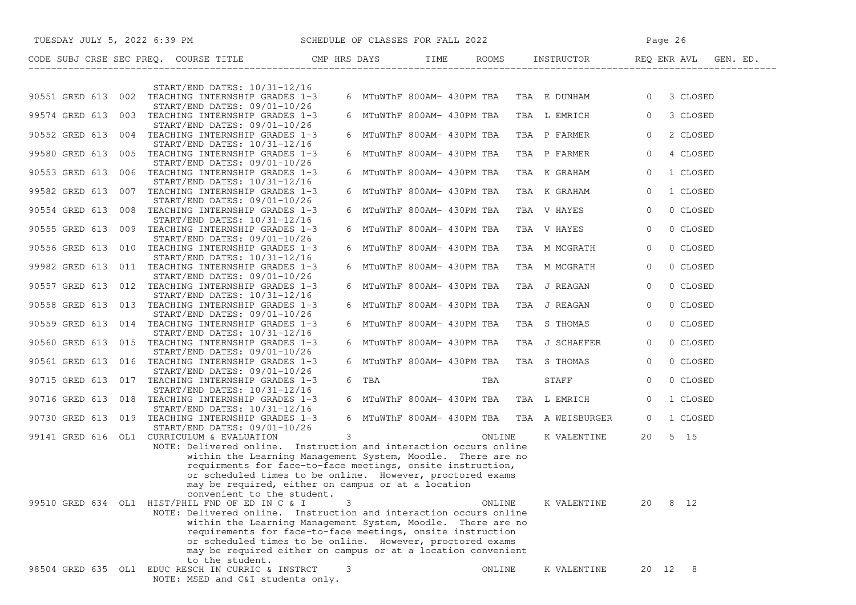| TUESDAY JULY 5, 2022 6:39 PM SCHEDULE OF CLASSES FOR FALL 2022                                                                   |                                                                                                                           |                            |                                             | Page 26                               |  |  |
|----------------------------------------------------------------------------------------------------------------------------------|---------------------------------------------------------------------------------------------------------------------------|----------------------------|---------------------------------------------|---------------------------------------|--|--|
| CODE SUBJ CRSE SEC PREQ. COURSE TITLE THE CMP HRS DAYS TIME ROOMS INSTRUCTOR REQ                                                 |                                                                                                                           |                            |                                             | ROOMS INSTRUCTOR REQ ENR AVL GEN. ED. |  |  |
| START/END DATES: 10/31-12/16                                                                                                     |                                                                                                                           |                            |                                             |                                       |  |  |
| 90551 GRED 613 002 TEACHING INTERNSHIP GRADES 1-3<br>START/END DATES: 09/01-10/26                                                |                                                                                                                           |                            | 6 MTuWThF 800AM- 430PM TBA  TBA  E  DUNHAM  | 3 CLOSED<br>$\overline{0}$            |  |  |
| 99574 GRED 613 003 TEACHING INTERNSHIP GRADES 1-3<br>START/END DATES: 09/01-10/26                                                |                                                                                                                           | 6 MTuWThF 800AM- 430PM TBA | TBA L EMRICH                                | 3 CLOSED<br>$\overline{0}$            |  |  |
| 90552 GRED 613 004 TEACHING INTERNSHIP GRADES 1-3<br>START/END DATES: 10/31-12/16                                                |                                                                                                                           | 6 MTuWThF 800AM- 430PM TBA | TBA P FARMER                                | $\circ$<br>2 CLOSED                   |  |  |
| 99580 GRED 613 005 TEACHING INTERNSHIP GRADES 1-3<br>START/END DATES: 09/01-10/26                                                |                                                                                                                           | 6 MTuWThF 800AM- 430PM TBA | TBA P FARMER                                | $\circ$<br>4 CLOSED                   |  |  |
| 90553 GRED 613 006 TEACHING INTERNSHIP GRADES 1-3                                                                                |                                                                                                                           | 6 MTuWThF 800AM- 430PM TBA | TBA K GRAHAM                                | 1 CLOSED<br>0                         |  |  |
| START/END DATES: 10/31-12/16<br>99582 GRED 613 007 TEACHING INTERNSHIP GRADES 1-3                                                |                                                                                                                           | 6 MTuWThF 800AM- 430PM TBA | TBA K GRAHAM                                | 1 CLOSED<br>$\overline{0}$            |  |  |
| START/END DATES: 09/01-10/26<br>90554 GRED 613 008 TEACHING INTERNSHIP GRADES 1-3                                                |                                                                                                                           | 6 MTuWThF 800AM- 430PM TBA | TBA V HAYES                                 | 0 CLOSED<br>$\overline{0}$            |  |  |
| START/END DATES: 10/31-12/16<br>90555 GRED 613 009 TEACHING INTERNSHIP GRADES 1-3                                                |                                                                                                                           | 6 MTuWThF 800AM- 430PM TBA | TBA V HAYES                                 | $\circ$<br>0 CLOSED                   |  |  |
| START/END DATES: 09/01-10/26<br>90556 GRED 613 010 TEACHING INTERNSHIP GRADES 1-3                                                |                                                                                                                           | 6 MTuWThF 800AM- 430PM TBA | TBA M MCGRATH                               | 0 CLOSED<br>$\circ$                   |  |  |
| START/END DATES: 10/31-12/16<br>99982 GRED 613 011 TEACHING INTERNSHIP GRADES 1-3                                                |                                                                                                                           | 6 MTuWThF 800AM- 430PM TBA | TBA M MCGRATH                               | 0 CLOSED<br>0                         |  |  |
| START/END DATES: 09/01-10/26<br>90557 GRED 613 012 TEACHING INTERNSHIP GRADES 1-3                                                |                                                                                                                           | 6 MTuWThF 800AM- 430PM TBA | TBA J REAGAN                                | 0 CLOSED<br>0                         |  |  |
| START/END DATES: 10/31-12/16<br>90558 GRED 613 013 TEACHING INTERNSHIP GRADES 1-3                                                |                                                                                                                           | 6 MTuWThF 800AM- 430PM TBA | TBA J REAGAN                                | 0 CLOSED<br>0                         |  |  |
| START/END DATES: 09/01-10/26<br>90559 GRED 613 014 TEACHING INTERNSHIP GRADES 1-3                                                |                                                                                                                           | 6 MTuWThF 800AM- 430PM TBA | TBA S THOMAS                                | $\circ$<br>0 CLOSED                   |  |  |
| START/END DATES: 10/31-12/16<br>90560 GRED 613 015 TEACHING INTERNSHIP GRADES 1-3                                                |                                                                                                                           | 6 MTuWThF 800AM- 430PM TBA | TBA J SCHAEFER                              | 0 CLOSED<br>$\overline{0}$            |  |  |
| START/END DATES: 09/01-10/26<br>90561 GRED 613 016 TEACHING INTERNSHIP GRADES 1-3                                                |                                                                                                                           | 6 MTuWThF 800AM- 430PM TBA | TBA S THOMAS                                | 0 CLOSED<br>$\circ$                   |  |  |
| START/END DATES: 09/01-10/26<br>90715 GRED 613 017 TEACHING INTERNSHIP GRADES 1-3                                                | 6 TBA                                                                                                                     | TBA                        | <b>STAFF</b>                                | 0 CLOSED<br>0                         |  |  |
| $START/END$ DATES: $10/31-12/16$<br>90716 GRED 613 018 TEACHING INTERNSHIP GRADES 1-3                                            |                                                                                                                           | 6 MTuWThF 800AM- 430PM TBA | TBA L EMRICH                                | $\circ$<br>1 CLOSED                   |  |  |
| $START/END$ DATES: $10/31-12/16$<br>90730 GRED 613 019 TEACHING INTERNSHIP GRADES 1-3                                            |                                                                                                                           |                            | 6 MTuWThF 800AM- 430PM TBA TBA A WEISBURGER | 1 CLOSED<br>$\mathbf{0}$              |  |  |
| START/END DATES: 09/01-10/26<br>99141 GRED 616 OL1 CURRICULUM & EVALUATION                                                       | $3^{\circ}$                                                                                                               | ONLINE                     | K VALENTINE                                 | $5$ 15<br>20                          |  |  |
| NOTE: Delivered online. Instruction and interaction occurs online<br>within the Learning Management System, Moodle. There are no |                                                                                                                           |                            |                                             |                                       |  |  |
| requirments for face-to-face meetings, onsite instruction,<br>or scheduled times to be online. However, proctored exams          |                                                                                                                           |                            |                                             |                                       |  |  |
| may be required, either on campus or at a location<br>convenient to the student.                                                 |                                                                                                                           |                            |                                             |                                       |  |  |
| 99510 GRED 634 OL1 HIST/PHIL FND OF ED IN C & I<br>NOTE: Delivered online. Instruction and interaction occurs online             | 3                                                                                                                         | ONLINE                     | K VALENTINE                                 | 8 12<br>20                            |  |  |
|                                                                                                                                  | within the Learning Management System, Moodle. There are no<br>requirements for face-to-face meetings, onsite instruction |                            |                                             |                                       |  |  |
| or scheduled times to be online. However, proctored exams<br>may be required either on campus or at a location convenient        |                                                                                                                           |                            |                                             |                                       |  |  |
| to the student.<br>98504 GRED 635 OL1 EDUC RESCH IN CURRIC & INSTRCT                                                             | 3                                                                                                                         | ONLINE                     | K VALENTINE                                 | 20 12 8                               |  |  |
| NOTE: MSED and C&I students only.                                                                                                |                                                                                                                           |                            |                                             |                                       |  |  |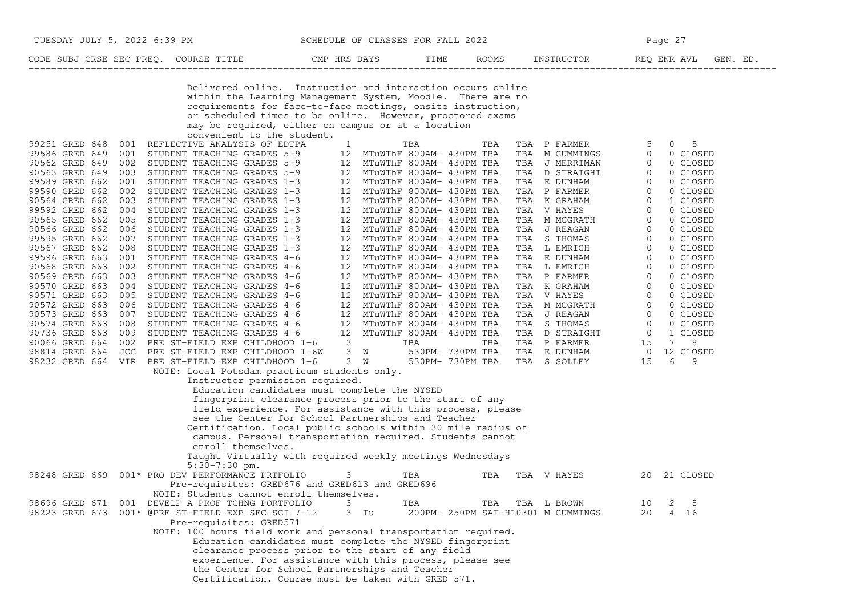| TUESDAY JULY 5, 2022 6:39 PM                                                                                                                                                                                                                                                                                                                                                                                                                                                                                                                                                                                                                                                  | SCHEDULE OF CLASSES FOR FALL 2022                                                                                                                                                                                                                                                                                                                        |                                                                                                                                                                                     |                                                          |                                                                                                                                                                                                                                                                  | Page 27                                                                                                         |
|-------------------------------------------------------------------------------------------------------------------------------------------------------------------------------------------------------------------------------------------------------------------------------------------------------------------------------------------------------------------------------------------------------------------------------------------------------------------------------------------------------------------------------------------------------------------------------------------------------------------------------------------------------------------------------|----------------------------------------------------------------------------------------------------------------------------------------------------------------------------------------------------------------------------------------------------------------------------------------------------------------------------------------------------------|-------------------------------------------------------------------------------------------------------------------------------------------------------------------------------------|----------------------------------------------------------|------------------------------------------------------------------------------------------------------------------------------------------------------------------------------------------------------------------------------------------------------------------|-----------------------------------------------------------------------------------------------------------------|
| CODE SUBJ CRSE SEC PREQ. COURSE TITLE THE RIS DAYS TIME ROOMS INSTRUCTOR THE REQ ENRAVL                                                                                                                                                                                                                                                                                                                                                                                                                                                                                                                                                                                       |                                                                                                                                                                                                                                                                                                                                                          |                                                                                                                                                                                     |                                                          |                                                                                                                                                                                                                                                                  | GEN. ED.                                                                                                        |
| convenient to the student.<br>99251 GRED 648<br>001 REFLECTIVE ANALYSIS OF EDTPA<br>99586 GRED 649<br>90562 GRED 649<br>90563 GRED 649                                                                                                                                                                                                                                                                                                                                                                                                                                                                                                                                        | Delivered online. Instruction and interaction occurs online<br>within the Learning Management System, Moodle. There are no<br>requirements for face-to-face meetings, onsite instruction,<br>or scheduled times to be online. However, proctored exams<br>may be required, either on campus or at a location<br>$\mathbf{1}$                             | TBA                                                                                                                                                                                 | TBA                                                      | TBA P FARMER<br>$5 -$<br>TBA M CUMMINGS<br>$\overline{0}$<br>$\begin{matrix} 0 \\ 0 \end{matrix}$<br>TBA J MERRIMAN<br>TBA D STRAIGHT                                                                                                                            | 5<br>0<br>0 CLOSED<br>0 CLOSED<br>0 CLOSED                                                                      |
| 001 STUDENT TEACHING GRADES 5-9 12 MTUWThF 800AM- 430PM TEA<br>002 STUDENT TEACHING GRADES 5-9 12 MTUWThF 800AM- 430PM TEA<br>003 STUDENT TEACHING GRADES 5-9 12 MTUWThF 800AM- 430PM TEA<br>001 STUDENT TEACHING GRADES 1-3 12 MTUW<br>99589 GRED 662<br>99590 GRED 662<br>90564 GRED 662<br>003<br>STUDENT TEACHING GRADES 1-3<br>99592 GRED 662<br>004<br>STUDENT TEACHING GRADES 1-3<br>90565 GRED 662<br>005<br>STUDENT TEACHING GRADES 1-3<br>90566 GRED 662<br>STUDENT TEACHING GRADES 1-3<br>006<br>99595 GRED 662<br>007<br>STUDENT TEACHING GRADES 1-3<br>90567 GRED 662<br>008<br>STUDENT TEACHING GRADES 1-3<br>99596 GRED 663<br>001 STUDENT TEACHING GRADES 4-6 | 12 MTuWThF 800AM- 430PM TBA<br>12                                                                                                                                                                                                                                                                                                                        | 12 MTuWThF 800AM- 430PM TBA<br>12 MTuWThF 800AM- 430PM TBA<br>MTuWThF 800AM- 430PM TBA<br>12 MTuWThF 800AM- 430PM TBA<br>12 MTuWThF 800AM- 430PM TBA<br>12 MTuWThF 800AM- 430PM TBA | TBA E DUNHAM                                             | $\begin{matrix} 1 & 0 \\ 0 & 0 \end{matrix}$<br>$\overline{0}$<br>TBA P FARMER 0<br>TBA K GRAHAM 0<br>TBA V HAYES 0<br>TBA M MCGRATH 0<br>TBA J REAGAN 0<br>TBA J REAGAN 0<br>TRA S THOMAS 0                                                                     | 0 CLOSED<br>0 CLOSED<br>1 CLOSED<br>0 CLOSED<br>0 CLOSED<br>0 CLOSED<br>0 CLOSED<br>0 CLOSED<br>0 CLOSED        |
| 90568 GRED 663<br>STUDENT TEACHING GRADES 4-6<br>002<br>90569 GRED 663<br>003<br>STUDENT TEACHING GRADES 4-6<br>90570 GRED 663<br>004 STUDENT TEACHING GRADES 4-6<br>005 STUDENT TEACHING GRADES 4-6<br>006 STUDENT TEACHING GRADES 4-6<br>006 STUDENT TEACHING GRADES 4-6<br>007 STUDENT TEACHING GRADES 4-6<br>007 STUDENT TEACHING GRADES 4-6<br>008 STUDENT TEACHING GRADES 4-6<br>009 STUDENT TEACHING GRA<br>90571 GRED 663<br>90572 GRED 663<br>90573 GRED 663<br>90574 GRED 663<br>90736 GRED 663<br>90066 GRED 664                                                                                                                                                   | 12 MTuWThF 800AM- 430PM TBA<br>12 MTuWThF 800AM- 430PM TBA                                                                                                                                                                                                                                                                                               | 12 MTuWThF 800AM- 430PM TBA                                                                                                                                                         |                                                          | TBA JREAGAN<br>TBA STHOMAS<br>TBA LEMRICH<br>TBA E DUNHAM<br>TBA E DUNHAM<br>TBA E MRICH<br>TBA PEARMER<br>TBA PEARMER<br>TBA KGRAHAM<br>TBA VHAYES<br>TBA JREAGAN<br>TBA JREAGAN<br>TBA STHOMAS<br>TBA STHOMAS<br>TBA PEARMER<br>TBA PEARMER<br>TBA PEARMER<br> | 0 CLOSED<br>0 CLOSED<br>0 CLOSED<br>0 CLOSED<br>0 CLOSED<br>0 CLOSED<br>0 CLOSED<br>1 CLOSED<br>8<br>$7\degree$ |
| PRE ST-FIELD EXP CHILDHOOD 1-6W 3 W<br>98814 GRED 664<br>JCC<br>98232 GRED 664 VIR PRE ST-FIELD EXP CHILDHOOD 1-6 3 W 530PM-730PM TBA<br>NOTE: Local Potsdam practicum students only.<br>Instructor permission required.                                                                                                                                                                                                                                                                                                                                                                                                                                                      | Education candidates must complete the NYSED<br>fingerprint clearance process prior to the start of any<br>field experience. For assistance with this process, please<br>see the Center for School Partnerships and Teacher<br>Certification. Local public schools within 30 mile radius of<br>campus. Personal transportation required. Students cannot | 530PM- 730PM TBA                                                                                                                                                                    |                                                          |                                                                                                                                                                                                                                                                  | 12 CLOSED<br>6<br>9                                                                                             |
| enroll themselves.<br>$5:30-7:30$ pm.                                                                                                                                                                                                                                                                                                                                                                                                                                                                                                                                                                                                                                         | Taught Virtually with required weekly meetings Wednesdays                                                                                                                                                                                                                                                                                                |                                                                                                                                                                                     |                                                          |                                                                                                                                                                                                                                                                  |                                                                                                                 |
| 98248 GRED 669 001* PRO DEV PERFORMANCE PRTFOLIO<br>Pre-requisites: GRED676 and GRED613 and GRED696<br>NOTE: Students cannot enroll themselves.                                                                                                                                                                                                                                                                                                                                                                                                                                                                                                                               | $3 \sim$                                                                                                                                                                                                                                                                                                                                                 | TBA                                                                                                                                                                                 | TBA<br>TBA V HAYES                                       |                                                                                                                                                                                                                                                                  | 20 21 CLOSED                                                                                                    |
| 001 DEVELP A PROF TCHNG PORTFOLIO<br>98696 GRED 671<br>98223 GRED 673 001* @PRE ST-FIELD EXP SEC SCI 7-12<br>Pre-requisites: GRED571<br>NOTE: 100 hours field work and personal transportation required.                                                                                                                                                                                                                                                                                                                                                                                                                                                                      | 3<br>3 Tu<br>Education candidates must complete the NYSED fingerprint<br>clearance process prior to the start of any field<br>experience. For assistance with this process, please see                                                                                                                                                                   | TBA                                                                                                                                                                                 | TBA<br>TBA L BROWN<br>200PM- 250PM SAT-HL0301 M CUMMINGS | 10<br>20                                                                                                                                                                                                                                                         | 8<br>2<br>4 16                                                                                                  |
|                                                                                                                                                                                                                                                                                                                                                                                                                                                                                                                                                                                                                                                                               | the Center for School Partnerships and Teacher<br>Certification. Course must be taken with GRED 571.                                                                                                                                                                                                                                                     |                                                                                                                                                                                     |                                                          |                                                                                                                                                                                                                                                                  |                                                                                                                 |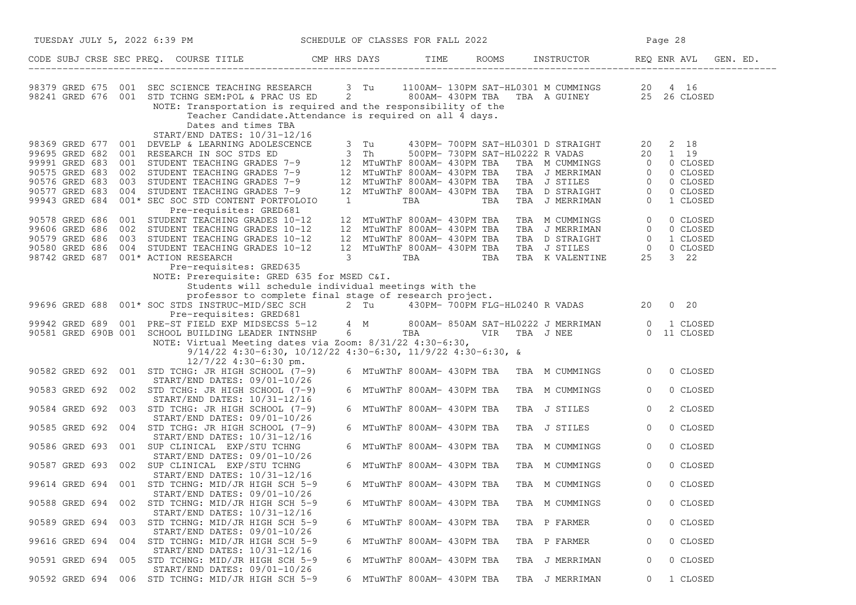| TUESDAY JULY 5, 2022 6:39 PM SCHEDULE OF CLASSES FOR FALL 2022<br>CODE SUBJ CRSE SEC PREQ. COURSE TITLE THE THE THE ROOMS INSTRUCTOR THE REQ ENR AVL GEN<br>GEN. ED.<br>98379 GRED 675 001 SEC SCIENCE TEACHING RESEARCH 3 Tu 1100AM-130PM SAT-HL0301 M CUMMINGS 20 4 16<br>98241 GRED 676 001 STD TCHNG SEM:POL & PRAC US ED 2 3 800AM-430PM TBA TBA A GUINEY 25 26 CLOSED<br>NOTE: Transportation is required and the responsibility of the<br>Teacher Candidate. Attendance is required on all 4 days.<br>Dates and times TBA<br>START/END DATES: 10/31-12/16                                                                                                 |
|------------------------------------------------------------------------------------------------------------------------------------------------------------------------------------------------------------------------------------------------------------------------------------------------------------------------------------------------------------------------------------------------------------------------------------------------------------------------------------------------------------------------------------------------------------------------------------------------------------------------------------------------------------------|
|                                                                                                                                                                                                                                                                                                                                                                                                                                                                                                                                                                                                                                                                  |
|                                                                                                                                                                                                                                                                                                                                                                                                                                                                                                                                                                                                                                                                  |
| 31 430PM - 700PM SAT-HL0301 D STRAIGHT<br>96369 GRED 677 001 DEVELP & LEARNING ADOLESCENCE<br>99991 GRED 683 001 STUDENT TEACHING GRADES 7-9<br>99991 GRED 683 002 STUDENT TEACHING GRADES 7-9<br>90575 GRED 683 002 STUDENT TEACHING                                                                                                                                                                                                                                                                                                                                                                                                                            |
| Pre-requisites: GRED681<br>90578 GRED 686 001 STUDENT TEACHING GRADES 10-12<br>TBA M CUMMINGS 0<br>0 CLOSED<br>12 MTuWThF 800AM- 430PM TBA<br>12 MTuWThF 800AM- 430PM TBA TBA J MERRIMAN 0<br>12 MTuWThF 800AM- 430PM TBA TBA D STRAIGHT 0<br>12 MTuWThF 800AM- 430PM TBA TBA J STILES 0<br>3 TBA TBA TBA K VALENTINE 25<br>99606 GRED 686 002 STUDENT TEACHING GRADES 10-12<br>0 CLOSED<br>90579 GRED 686 003 STUDENT TEACHING GRADES 10-12<br>1 CLOSED<br>90580 GRED 686<br>004<br>STUDENT TEACHING GRADES 10-12<br>0 CLOSED<br>98742 GRED 687<br>001* ACTION RESEARCH<br>$3\quad 22$<br>Pre-requisites: GRED635<br>NOTE: Prerequisite: GRED 635 for MSED C&I. |
| Students will schedule individual meetings with the                                                                                                                                                                                                                                                                                                                                                                                                                                                                                                                                                                                                              |
| professor to complete final stage of research project.<br>99696 GRED 688 001* SOC STDS INSTRUC-MID/SEC SCH 2 Tu 430PM- 700PM FLG-HL0240 R VADAS 20<br>$0\quad 20$                                                                                                                                                                                                                                                                                                                                                                                                                                                                                                |
| 001* SOC STDS INSTRUCTING SURFORE SOME<br>Pre-requisites: GRED681<br>001 PRE-ST FIELD EXP MIDSECSS 5-12 4 M 800AM- 850AM SAT-HL0222 J MERRIMAN 0 1 CLOSED<br>001 SCHOOL RUILDING LEADER INTNSHP 6 TBA VIR TBA J NEE 0 11 CLOSED<br>99942 GRED 689<br>90581 GRED 690B 001 SCHOOL BUILDING LEADER INTNSHP                                                                                                                                                                                                                                                                                                                                                          |
| $9/14/22$ 4:30-6:30, 10/12/22 4:30-6:30, 11/9/22 4:30-6:30, &<br>$12/7/22$ 4:30-6:30 pm.                                                                                                                                                                                                                                                                                                                                                                                                                                                                                                                                                                         |
| 90582 GRED 692 001 STD TCHG: JR HIGH SCHOOL (7-9)<br>6 MTuWThF 800AM- 430PM TBA  TBA  M CUMMINGS<br>$\overline{0}$<br>0 CLOSED<br>START/END DATES: 09/01-10/26                                                                                                                                                                                                                                                                                                                                                                                                                                                                                                   |
| 90583 GRED 692 002 STD TCHG: JR HIGH SCHOOL (7-9)<br>6 MTuWThF 800AM- 430PM TBA<br>TBA M CUMMINGS<br>$\circ$<br>0 CLOSED<br>$START/END$ DATES: $10/31-12/16$                                                                                                                                                                                                                                                                                                                                                                                                                                                                                                     |
| 90584 GRED 692 003 STD TCHG: JR HIGH SCHOOL (7-9)<br>2 CLOSED<br>6 MTuWThF 800AM- 430PM TBA<br>TBA J STILES<br>$\circ$                                                                                                                                                                                                                                                                                                                                                                                                                                                                                                                                           |
| $START/END$ DATES: $09/01-10/26$<br>90585 GRED 692 004 STD TCHG: JR HIGH SCHOOL (7-9)<br>6 MTuWThF 800AM- 430PM TBA<br>TBA J STILES<br>$\circ$<br>0 CLOSED                                                                                                                                                                                                                                                                                                                                                                                                                                                                                                       |
| START/END DATES: 10/31-12/16<br>90586 GRED 693 001 SUP CLINICAL EXP/STU TCHNG<br>0 CLOSED<br>6 MTuWThF 800AM- 430PM TBA<br>TBA M CUMMINGS<br>$\circ$                                                                                                                                                                                                                                                                                                                                                                                                                                                                                                             |
| START/END DATES: 09/01-10/26<br>90587 GRED 693 002 SUP CLINICAL EXP/STU TCHNG<br>6 MTuWThF 800AM- 430PM TBA<br>0 CLOSED<br>TBA M CUMMINGS<br>$\overline{0}$                                                                                                                                                                                                                                                                                                                                                                                                                                                                                                      |
| $START/END$ DATES: $10/31-12/16$<br>99614 GRED 694 001 STD TCHNG: MID/JR HIGH SCH 5-9<br>0 CLOSED<br>6 MTuWThF 800AM- 430PM TBA<br>TBA M CUMMINGS<br>$\overline{0}$                                                                                                                                                                                                                                                                                                                                                                                                                                                                                              |
| START/END DATES: 09/01-10/26<br>90588 GRED 694 002<br>STD TCHNG: MID/JR HIGH SCH 5-9<br>6 MTuWThF 800AM- 430PM TBA<br>0 CLOSED<br>TBA M CUMMINGS                                                                                                                                                                                                                                                                                                                                                                                                                                                                                                                 |
| START/END DATES: 10/31-12/16<br>90589 GRED 694 003<br>STD TCHNG: MID/JR HIGH SCH 5-9<br>6 MTuWThF 800AM- 430PM TBA<br>TBA P FARMER<br>0 CLOSED<br>0                                                                                                                                                                                                                                                                                                                                                                                                                                                                                                              |
| START/END DATES: 09/01-10/26<br>99616 GRED 694<br>STD TCHNG: MID/JR HIGH SCH 5-9<br>6 MTuWThF 800AM- 430PM TBA<br>0 CLOSED<br>004<br>TBA P FARMER<br>0                                                                                                                                                                                                                                                                                                                                                                                                                                                                                                           |
| START/END DATES: 10/31-12/16<br>90591 GRED 694 005 STD TCHNG: MID/JR HIGH SCH 5-9<br>6 MTuWThF 800AM- 430PM TBA<br>0 CLOSED<br>TBA J MERRIMAN<br>0                                                                                                                                                                                                                                                                                                                                                                                                                                                                                                               |
| START/END DATES: 09/01-10/26<br>STD TCHNG: MID/JR HIGH SCH 5-9<br>1 CLOSED<br>90592 GRED 694<br>006<br>6 MTuWThF 800AM- 430PM TBA<br>TBA J MERRIMAN<br>0                                                                                                                                                                                                                                                                                                                                                                                                                                                                                                         |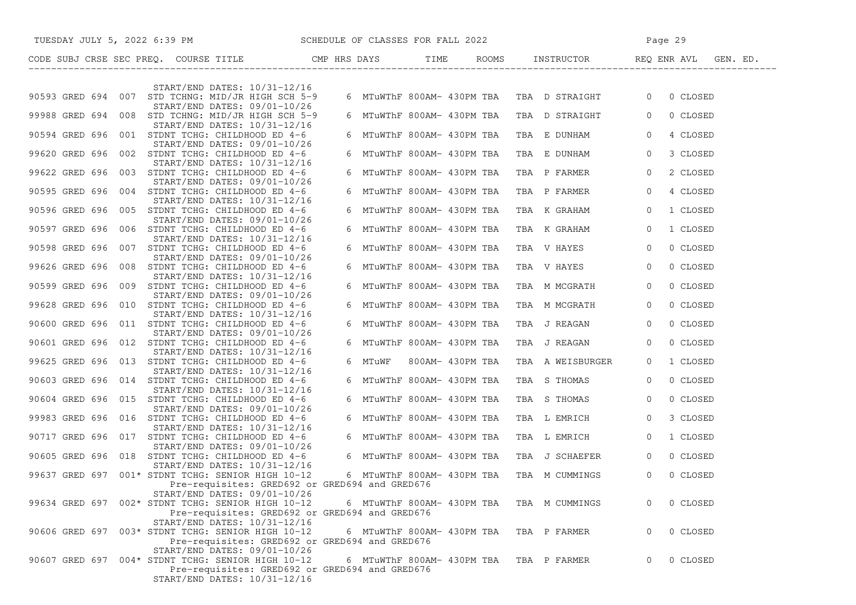| TUESDAY JULY 5, 2022 6:39 PM SCHEDULE OF CLASSES FOR FALL 2022                                                                                                      |                            |                                             | Page 29                    |
|---------------------------------------------------------------------------------------------------------------------------------------------------------------------|----------------------------|---------------------------------------------|----------------------------|
| CODE SUBJ CRSE SEC PREQ. COURSE TITLE THE CMP HRS DAYS TIME ROLL TIME ROLL TIME                                                                                     |                            |                                             |                            |
|                                                                                                                                                                     |                            |                                             |                            |
| START/END DATES: 10/31-12/16<br>90593 GRED 694 007 STD TCHNG: MID/JR HIGH SCH 5-9<br>START/END DATES: 09/01-10/26                                                   |                            | 6 MTUWThF 800AM- 430PM TBA TBA D STRAIGHT 0 | 0 CLOSED                   |
| 99988 GRED 694 008 STD TCHNG: MID/JR HIGH SCH 5-9<br>START/END DATES: 10/31-12/16                                                                                   |                            | 6 MTuWThF 800AM- 430PM TBA TBA D STRAIGHT 0 | 0 CLOSED                   |
| 90594 GRED 696 001 STDNT TCHG: CHILDHOOD ED 4-6<br>START/END DATES: 09/01-10/26                                                                                     | 6 MTuWThF 800AM- 430PM TBA | TBA E DUNHAM                                | $\overline{0}$<br>4 CLOSED |
| 99620 GRED 696 002 STDNT TCHG: CHILDHOOD ED 4-6<br>START/END DATES: 10/31-12/16                                                                                     | 6 MTuWThF 800AM- 430PM TBA | TBA E DUNHAM                                | $\overline{0}$<br>3 CLOSED |
| 99622 GRED 696 003 STDNT TCHG: CHILDHOOD ED 4-6<br>START/END DATES: 09/01-10/26                                                                                     | 6 MTuWThF 800AM- 430PM TBA | TBA P FARMER                                | $\circ$<br>2 CLOSED        |
| 90595 GRED 696 004 STDNT TCHG: CHILDHOOD ED 4-6<br>START/END DATES: 10/31-12/16                                                                                     | 6 MTuWThF 800AM- 430PM TBA | TBA P FARMER                                | $\overline{0}$<br>4 CLOSED |
| 90596 GRED 696 005 STDNT TCHG: CHILDHOOD ED 4-6<br>$START/END$ DATES: $09/01-10/26$                                                                                 | 6 MTuWThF 800AM- 430PM TBA | TBA K GRAHAM                                | 1 CLOSED<br>$\overline{0}$ |
| 90597 GRED 696 006 STDNT TCHG: CHILDHOOD ED 4-6<br>START/END DATES: 10/31-12/16                                                                                     | 6 MTuWThF 800AM- 430PM TBA | TBA K GRAHAM                                | $\overline{0}$<br>1 CLOSED |
| 90598 GRED 696 007 STDNT TCHG: CHILDHOOD ED 4-6<br>$START/END$ DATES: $09/01-10/26$                                                                                 | 6 MTuWThF 800AM- 430PM TBA | TBA V HAYES                                 | $\overline{0}$<br>0 CLOSED |
| 99626 GRED 696 008 STDNT TCHG: CHILDHOOD ED 4-6<br>START/END DATES: 10/31-12/16                                                                                     | 6 MTuWThF 800AM- 430PM TBA | TBA V HAYES                                 | $\overline{0}$<br>0 CLOSED |
| 90599 GRED 696 009 STDNT TCHG: CHILDHOOD ED 4-6<br>START/END DATES: 09/01-10/26                                                                                     | 6 MTuWThF 800AM- 430PM TBA | TBA M MCGRATH                               | 0 CLOSED<br>$\overline{0}$ |
| 99628 GRED 696 010 STDNT TCHG: CHILDHOOD ED 4-6<br>START/END DATES: 10/31-12/16                                                                                     | 6 MTuWThF 800AM- 430PM TBA | TBA M MCGRATH                               | 0 CLOSED<br>$\overline{0}$ |
| 90600 GRED 696 011 STDNT TCHG: CHILDHOOD ED 4-6<br>START/END DATES: 09/01-10/26                                                                                     | 6 MTuWThF 800AM- 430PM TBA | TBA J REAGAN                                | $\overline{0}$<br>0 CLOSED |
| 90601 GRED 696 012 STDNT TCHG: CHILDHOOD ED 4-6<br>START/END DATES: 10/31-12/16                                                                                     | 6 MTuWThF 800AM- 430PM TBA | TBA J REAGAN                                | $\overline{0}$<br>0 CLOSED |
| 99625 GRED 696 013 STDNT TCHG: CHILDHOOD ED 4-6<br>START/END DATES: 10/31-12/16                                                                                     | 6 MTuWF 800AM-430PM TBA    | TBA A WEISBURGER                            | 1 CLOSED<br>$\overline{0}$ |
| 90603 GRED 696 014 STDNT TCHG: CHILDHOOD ED 4-6<br>START/END DATES: 10/31-12/16                                                                                     | 6 MTuWThF 800AM- 430PM TBA | TBA S THOMAS                                | 0 CLOSED<br>$\overline{0}$ |
| 90604 GRED 696 015 STDNT TCHG: CHILDHOOD ED 4-6<br>$START/END$ DATES: $09/01-10/26$                                                                                 | 6 MTuWThF 800AM- 430PM TBA | TBA S THOMAS                                | $\overline{0}$<br>0 CLOSED |
| 99983 GRED 696 016 STDNT TCHG: CHILDHOOD ED 4-6<br>START/END DATES: 10/31-12/16                                                                                     | 6 MTuWThF 800AM- 430PM TBA | TBA L EMRICH                                | $\overline{0}$<br>3 CLOSED |
| 90717 GRED 696 017 STDNT TCHG: CHILDHOOD ED 4-6<br>START/END DATES: 09/01-10/26                                                                                     | 6 MTuWThF 800AM- 430PM TBA | TBA L EMRICH                                | $\circ$<br>1 CLOSED        |
| 90605 GRED 696 018 STDNT TCHG: CHILDHOOD ED 4-6<br>START/END DATES: 10/31-12/16                                                                                     |                            | 6 MTuWThF 800AM- 430PM TBA TBA J SCHAEFER   | 0 CLOSED<br>$\overline{0}$ |
| 99637 GRED 697 001* STDNT TCHG: SENIOR HIGH 10-12<br>Pre-requisites: GRED692 or GRED694 and GRED676<br>START/END DATES: 09/01-10/26                                 |                            | 6 MTuWThF 800AM- 430PM TBA TBA M CUMMINGS   | 0 CLOSED<br>$\circ$        |
| 99634 GRED 697 002* STDNT TCHG: SENIOR HIGH 10-12<br>Pre-requisites: GRED692 or GRED694 and GRED676<br>START/END DATES: 10/31-12/16                                 | 6 MTuWThF 800AM- 430PM TBA | TBA M CUMMINGS                              | 0 CLOSED                   |
| 90606 GRED 697 003* STDNT TCHG: SENIOR HIGH 10-12<br>Pre-requisites: GRED692 or GRED694 and GRED676                                                                 | 6 MTuWThF 800AM- 430PM TBA | TBA P FARMER                                | 0 CLOSED<br>0              |
| START/END DATES: 09/01-10/26<br>90607 GRED 697 004* STDNT TCHG: SENIOR HIGH 10-12<br>Pre-requisites: GRED692 or GRED694 and GRED676<br>START/END DATES: 10/31-12/16 | 6 MTuWThF 800AM- 430PM TBA | TBA P FARMER                                | 0 CLOSED<br>$\Omega$       |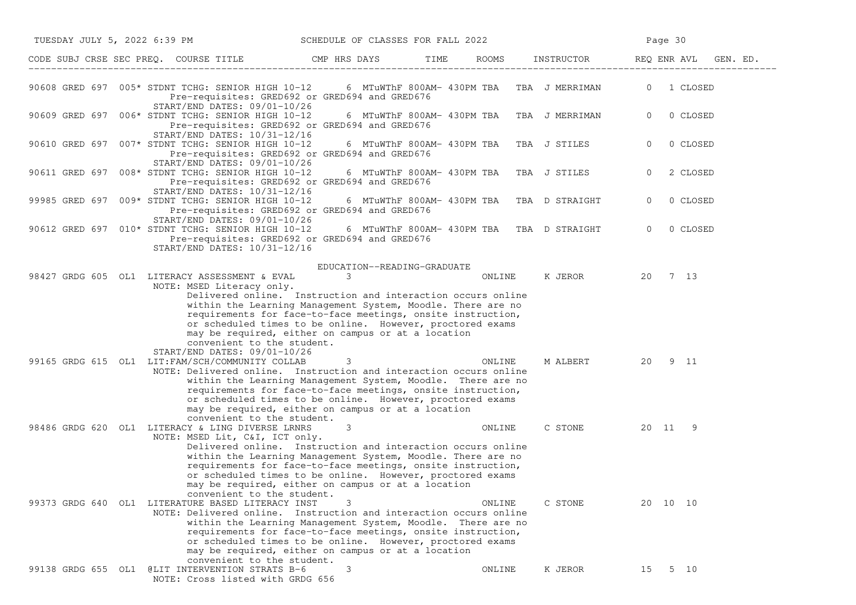| TUESDAY JULY 5, 2022 6:39 PM                           |                                                                                                                                                                                                                                                                                                                                                                                | SCHEDULE OF CLASSES FOR FALL 2022          |      |        |                                                      | Page 30        |            |
|--------------------------------------------------------|--------------------------------------------------------------------------------------------------------------------------------------------------------------------------------------------------------------------------------------------------------------------------------------------------------------------------------------------------------------------------------|--------------------------------------------|------|--------|------------------------------------------------------|----------------|------------|
| CODE SUBJ CRSE SEC PREQ. COURSE TITLE THE CMP HRS DAYS |                                                                                                                                                                                                                                                                                                                                                                                |                                            | TIME |        | ROOMS INSTRUCTOR                                     | REQ ENR AVL    | GEN. ED.   |
|                                                        | Pre-requisites: GRED692 or GRED694 and GRED676<br>START/END DATES: 09/01-10/26                                                                                                                                                                                                                                                                                                 |                                            |      |        | 6  MTuWThF  800AM-  430PM  TBA     TBA   J  MERRIMAN |                | 0 1 CLOSED |
| 90609 GRED 697 006* STDNT TCHG: SENIOR HIGH 10-12      | Pre-requisites: GRED692 or GRED694 and GRED676<br>START/END DATES: 10/31-12/16                                                                                                                                                                                                                                                                                                 |                                            |      |        | 6 MTuWThF 800AM- 430PM TBA TBA J MERRIMAN            | $\overline{0}$ | 0 CLOSED   |
| 90610 GRED 697 007* STDNT TCHG: SENIOR HIGH 10-12      | Pre-requisites: GRED692 or GRED694 and GRED676<br>START/END DATES: 09/01-10/26                                                                                                                                                                                                                                                                                                 | 6 MTuWThF 800AM- 430PM TBA                 |      |        | TBA J STILES                                         | $\overline{0}$ | 0 CLOSED   |
| 90611 GRED 697 008* STDNT TCHG: SENIOR HIGH 10-12      | Pre-requisites: GRED692 or GRED694 and GRED676<br>START/END DATES: 10/31-12/16                                                                                                                                                                                                                                                                                                 | 6 MTuWThF 800AM- 430PM TBA                 |      |        | TBA J STILES                                         | $\overline{0}$ | 2 CLOSED   |
| 99985 GRED 697 009* STDNT TCHG: SENIOR HIGH 10-12      | Pre-requisites: GRED692 or GRED694 and GRED676<br>START/END DATES: 09/01-10/26                                                                                                                                                                                                                                                                                                 | 6 MTuWThF 800AM- 430PM TBA                 |      |        | TBA D STRAIGHT                                       | $\overline{0}$ | 0 CLOSED   |
| 90612 GRED 697 010* STDNT TCHG: SENIOR HIGH 10-12      | Pre-requisites: GRED692 or GRED694 and GRED676<br>START/END DATES: 10/31-12/16                                                                                                                                                                                                                                                                                                 |                                            |      |        | 6 MTuWThF 800AM- 430PM TBA TBA D STRAIGHT            | $\overline{0}$ | 0 CLOSED   |
| 98427 GRDG 605 OL1 LITERACY ASSESSMENT & EVAL          | NOTE: MSED Literacy only.<br>Delivered online. Instruction and interaction occurs online<br>within the Learning Management System, Moodle. There are no<br>requirements for face-to-face meetings, onsite instruction,<br>or scheduled times to be online. However, proctored exams<br>may be required, either on campus or at a location<br>convenient to the student.        | EDUCATION--READING-GRADUATE<br>$3^{\circ}$ |      | ONLINE | K JEROR 20 7 13                                      |                |            |
| 99165 GRDG 615 OL1 LIT: FAM/SCH/COMMUNITY COLLAB       | START/END DATES: 09/01-10/26<br>NOTE: Delivered online. Instruction and interaction occurs online<br>within the Learning Management System, Moodle. There are no<br>requirements for face-to-face meetings, onsite instruction,<br>or scheduled times to be online. However, proctored exams<br>may be required, either on campus or at a location                             | $\overline{\mathbf{3}}$                    |      | ONLINE | M ALBERT 20 9 11                                     |                |            |
| 98486 GRDG 620 OL1 LITERACY & LING DIVERSE LRNRS       | convenient to the student.<br>NOTE: MSED Lit, C&I, ICT only.<br>Delivered online. Instruction and interaction occurs online<br>within the Learning Management System, Moodle. There are no<br>requirements for face-to-face meetings, onsite instruction,<br>or scheduled times to be online. However, proctored exams<br>may be required, either on campus or at a location   | 3                                          |      | ONLINE | C STONE                                              | 20 11 9        |            |
| 99373 GRDG 640 OL1 LITERATURE BASED LITERACY INST      | convenient to the student.<br>NOTE: Delivered online. Instruction and interaction occurs online<br>within the Learning Management System, Moodle. There are no<br>requirements for face-to-face meetings, onsite instruction,<br>or scheduled times to be online. However, proctored exams<br>may be required, either on campus or at a location<br>convenient to the student. | 3                                          |      | ONLINE | C STONE                                              | 20 10 10       |            |
| 99138 GRDG 655 OL1 @LIT INTERVENTION STRATS B-6        | NOTE: Cross listed with GRDG 656                                                                                                                                                                                                                                                                                                                                               | 3                                          |      | ONLINE | K JEROR                                              | 15             | 5 10       |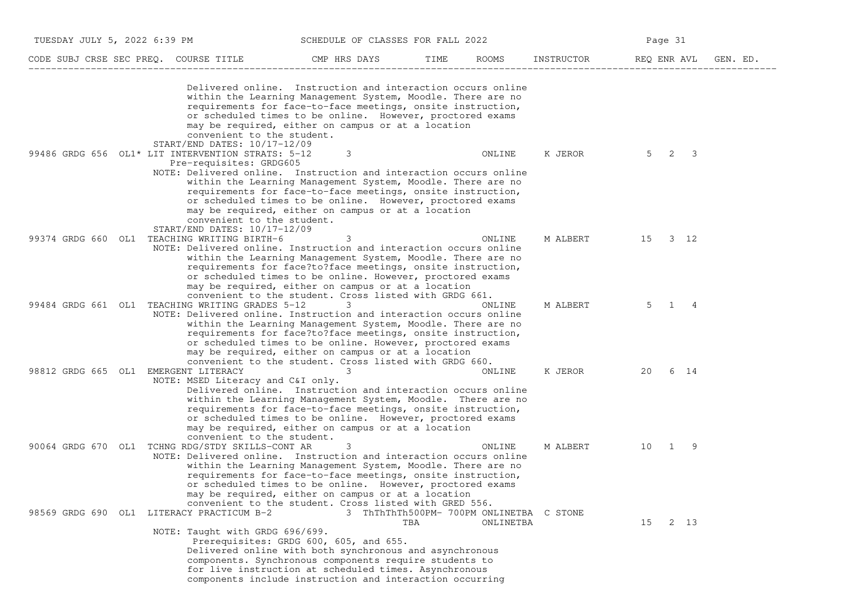| TUESDAY JULY 5, 2022 6:39 PM                                                                                                               |                                                                                                                                                                                                                                                                                                                                                                                   | SCHEDULE OF CLASSES FOR FALL 2022               |           |            | Page 31 |         |                      |
|--------------------------------------------------------------------------------------------------------------------------------------------|-----------------------------------------------------------------------------------------------------------------------------------------------------------------------------------------------------------------------------------------------------------------------------------------------------------------------------------------------------------------------------------|-------------------------------------------------|-----------|------------|---------|---------|----------------------|
| CODE SUBJ CRSE SEC PREQ. COURSE TITLE                                                                                                      | CMP HRS DAYS                                                                                                                                                                                                                                                                                                                                                                      | TIME                                            | ROOMS     | INSTRUCTOR |         |         | REQ ENR AVL GEN. ED. |
| convenient to the student.<br>START/END DATES: 10/17-12/09                                                                                 | Delivered online. Instruction and interaction occurs online<br>within the Learning Management System, Moodle. There are no<br>requirements for face-to-face meetings, onsite instruction,<br>or scheduled times to be online. However, proctored exams<br>may be required, either on campus or at a location                                                                      |                                                 |           |            |         |         |                      |
| 99486 GRDG 656 OL1* LIT INTERVENTION STRATS: 5-12<br>Pre-requisites: GRDG605<br>convenient to the student.<br>START/END DATES: 10/17-12/09 | 3<br>NOTE: Delivered online. Instruction and interaction occurs online<br>within the Learning Management System, Moodle. There are no<br>requirements for face-to-face meetings, onsite instruction,<br>or scheduled times to be online. However, proctored exams<br>may be required, either on campus or at a location                                                           |                                                 | ONLINE    | K JEROR    | $5 -$   | 3<br>2  |                      |
| 99374 GRDG 660 OL1 TEACHING WRITING BIRTH-6                                                                                                | 3<br>NOTE: Delivered online. Instruction and interaction occurs online<br>within the Learning Management System, Moodle. There are no<br>requirements for face?to?face meetings, onsite instruction,<br>or scheduled times to be online. However, proctored exams<br>may be required, either on campus or at a location<br>convenient to the student. Cross listed with GRDG 661. |                                                 | ONLINE    | M ALBERT   |         | 15 3 12 |                      |
| 99484 GRDG 661 OL1 TEACHING WRITING GRADES 5-12                                                                                            | 3<br>NOTE: Delivered online. Instruction and interaction occurs online<br>within the Learning Management System, Moodle. There are no<br>requirements for face?to?face meetings, onsite instruction,<br>or scheduled times to be online. However, proctored exams<br>may be required, either on campus or at a location<br>convenient to the student. Cross listed with GRDG 660. |                                                 | ONLINE    | M ALBERT   | 5       | 1 4     |                      |
| 98812 GRDG 665 OL1 EMERGENT LITERACY<br>NOTE: MSED Literacy and C&I only.<br>convenient to the student.                                    | 3<br>Delivered online. Instruction and interaction occurs online<br>within the Learning Management System, Moodle. There are no<br>requirements for face-to-face meetings, onsite instruction,<br>or scheduled times to be online. However, proctored exams<br>may be required, either on campus or at a location                                                                 |                                                 | ONLINE    | K JEROR    | 20      | 6 14    |                      |
| 90064 GRDG 670 OL1<br>TCHNG RDG/STDY SKILLS-CONT AR                                                                                        | 3<br>NOTE: Delivered online. Instruction and interaction occurs online<br>within the Learning Management System, Moodle. There are no<br>requirements for face-to-face meetings, onsite instruction,<br>or scheduled times to be online. However, proctored exams<br>may be required, either on campus or at a location<br>convenient to the student. Cross listed with GRED 556. |                                                 | ONLINE    | M ALBERT   |         | 10 1 9  |                      |
| 98569 GRDG 690<br>LITERACY PRACTICUM B-2<br>OL1<br>NOTE: Taught with GRDG 696/699.                                                         | Prerequisites: GRDG 600, 605, and 655.<br>Delivered online with both synchronous and asynchronous<br>components. Synchronous components require students to<br>for live instruction at scheduled times. Asynchronous<br>components include instruction and interaction occurring                                                                                                  | 3 ThThThTh500PM- 700PM ONLINETBA C STONE<br>TBA | ONLINETBA |            | 15      | 2 13    |                      |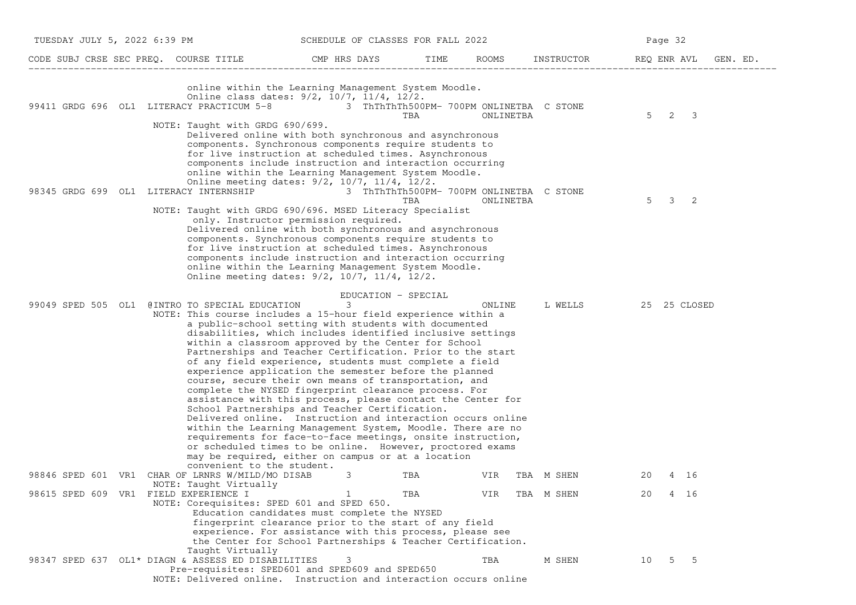| TUESDAY JULY 5, 2022 6:39 PM                                                                                                                                               | SCHEDULE OF CLASSES FOR FALL 2022                                                                                                                                                                                                                                                                                                                                                                                                                                                                                                                                                                                                                                                                                                                                                                                                                                                                                                             |                                                 |           |            | Page 32                                     |
|----------------------------------------------------------------------------------------------------------------------------------------------------------------------------|-----------------------------------------------------------------------------------------------------------------------------------------------------------------------------------------------------------------------------------------------------------------------------------------------------------------------------------------------------------------------------------------------------------------------------------------------------------------------------------------------------------------------------------------------------------------------------------------------------------------------------------------------------------------------------------------------------------------------------------------------------------------------------------------------------------------------------------------------------------------------------------------------------------------------------------------------|-------------------------------------------------|-----------|------------|---------------------------------------------|
| CODE SUBJ CRSE SEC PREQ. COURSE TITLE                                                                                                                                      | CMP HRS DAYS                                                                                                                                                                                                                                                                                                                                                                                                                                                                                                                                                                                                                                                                                                                                                                                                                                                                                                                                  | TIME                                            | ROOMS     | INSTRUCTOR | REQ ENR AVL<br>GEN. ED.                     |
| 99411 GRDG 696 OL1 LITERACY PRACTICUM 5-8 3 ThThThTh500PM- 700PM ONLINETBA C STONE<br>NOTE: Taught with GRDG 690/699.                                                      | online within the Learning Management System Moodle.<br>Online class dates: 9/2, 10/7, 11/4, 12/2.                                                                                                                                                                                                                                                                                                                                                                                                                                                                                                                                                                                                                                                                                                                                                                                                                                            | TBA                                             | ONLINETBA |            | $5^{\circ}$<br>2<br>$\overline{\mathbf{3}}$ |
| 98345 GRDG 699 OL1 LITERACY INTERNSHIP                                                                                                                                     | Delivered online with both synchronous and asynchronous<br>components. Synchronous components require students to<br>for live instruction at scheduled times. Asynchronous<br>components include instruction and interaction occurring<br>online within the Learning Management System Moodle.<br>Online meeting dates: 9/2, 10/7, 11/4, 12/2.                                                                                                                                                                                                                                                                                                                                                                                                                                                                                                                                                                                                | 3 ThThThTh500PM- 700PM ONLINETBA C STONE<br>TBA | ONLINETBA |            | 5<br>3<br>2                                 |
| NOTE: Taught with GRDG 690/696. MSED Literacy Specialist                                                                                                                   | only. Instructor permission required.<br>Delivered online with both synchronous and asynchronous<br>components. Synchronous components require students to<br>for live instruction at scheduled times. Asynchronous<br>components include instruction and interaction occurring<br>online within the Learning Management System Moodle.<br>Online meeting dates: 9/2, 10/7, 11/4, 12/2.                                                                                                                                                                                                                                                                                                                                                                                                                                                                                                                                                       |                                                 |           |            |                                             |
| 99049 SPED 505 OL1<br>@INTRO TO SPECIAL EDUCATION<br>NOTE: This course includes a 15-hour field experience within a                                                        | EDUCATION - SPECIAL<br>3<br>a public-school setting with students with documented<br>disabilities, which includes identified inclusive settings<br>within a classroom approved by the Center for School<br>Partnerships and Teacher Certification. Prior to the start<br>of any field experience, students must complete a field<br>experience application the semester before the planned<br>course, secure their own means of transportation, and<br>complete the NYSED fingerprint clearance process. For<br>assistance with this process, please contact the Center for<br>School Partnerships and Teacher Certification.<br>Delivered online. Instruction and interaction occurs online<br>within the Learning Management System, Moodle. There are no<br>requirements for face-to-face meetings, onsite instruction,<br>or scheduled times to be online. However, proctored exams<br>may be required, either on campus or at a location |                                                 | ONLINE    | L WELLS    | 25 25 CLOSED                                |
| convenient to the student.<br>98846 SPED 601 VR1<br>CHAR OF LRNRS W/MILD/MO DISAB                                                                                          | 3                                                                                                                                                                                                                                                                                                                                                                                                                                                                                                                                                                                                                                                                                                                                                                                                                                                                                                                                             | TBA                                             | VIR       | TBA M SHEN | 4 16<br>20                                  |
| NOTE: Taught Virtually<br>98615 SPED 609 VR1 FIELD EXPERIENCE I<br>NOTE: Corequisites: SPED 601 and SPED 650.<br>Taught Virtually                                          | $\mathbf{1}$<br>Education candidates must complete the NYSED<br>fingerprint clearance prior to the start of any field<br>experience. For assistance with this process, please see<br>the Center for School Partnerships & Teacher Certification.                                                                                                                                                                                                                                                                                                                                                                                                                                                                                                                                                                                                                                                                                              | TBA                                             | VIR       | TBA M SHEN | 4 16<br>20                                  |
| 98347 SPED 637 OL1* DIAGN & ASSESS ED DISABILITIES<br>Pre-requisites: SPED601 and SPED609 and SPED650<br>NOTE: Delivered online. Instruction and interaction occurs online | 3                                                                                                                                                                                                                                                                                                                                                                                                                                                                                                                                                                                                                                                                                                                                                                                                                                                                                                                                             |                                                 | TBA       | M SHEN     | 5 5<br>10                                   |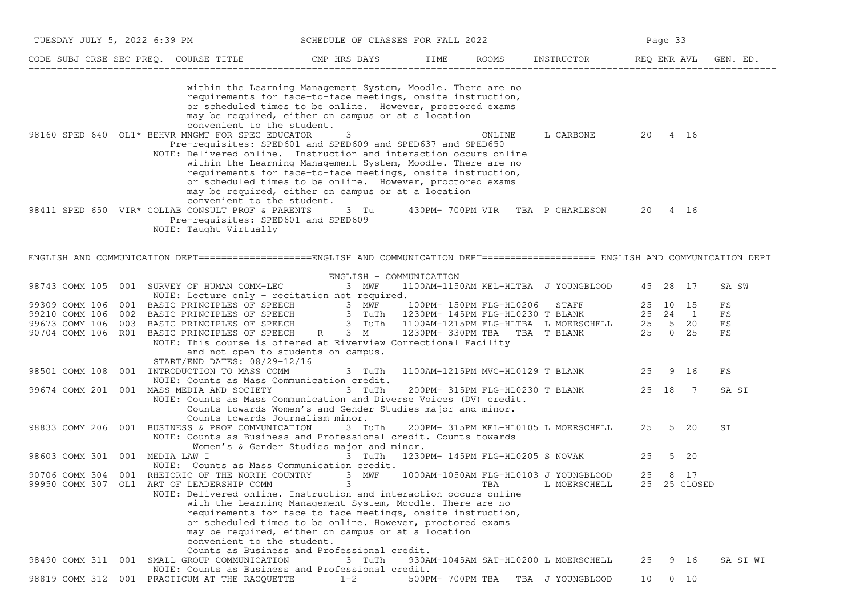| TUESDAY JULY 5, 2022 6:39 PM                                                                                                                                                                                                               | SCHEDULE OF CLASSES FOR FALL 2022                                                                                                                                                                                                                                                                                                                                                                               |                                 |        | Page 33                               |              |                |          |  |
|--------------------------------------------------------------------------------------------------------------------------------------------------------------------------------------------------------------------------------------------|-----------------------------------------------------------------------------------------------------------------------------------------------------------------------------------------------------------------------------------------------------------------------------------------------------------------------------------------------------------------------------------------------------------------|---------------------------------|--------|---------------------------------------|--------------|----------------|----------|--|
|                                                                                                                                                                                                                                            |                                                                                                                                                                                                                                                                                                                                                                                                                 |                                 |        |                                       |              |                |          |  |
| 98160 SPED 640 OL1* BEHVR MNGMT FOR SPEC EDUCATOR                                                                                                                                                                                          | within the Learning Management System, Moodle. There are no<br>requirements for face-to-face meetings, onsite instruction,<br>or scheduled times to be online. However, proctored exams<br>may be required, either on campus or at a location<br>convenient to the student.<br>3                                                                                                                                |                                 | ONLINE | L CARBONE                             | 20 4 16      |                |          |  |
|                                                                                                                                                                                                                                            | Pre-requisites: SPED601 and SPED609 and SPED637 and SPED650<br>NOTE: Delivered online. Instruction and interaction occurs online<br>within the Learning Management System, Moodle. There are no<br>requirements for face-to-face meetings, onsite instruction,<br>or scheduled times to be online. However, proctored exams<br>may be required, either on campus or at a location<br>convenient to the student. |                                 |        |                                       |              |                |          |  |
| 98411 SPED 650 VIR* COLLAB CONSULT PROF & PARENTS<br>NOTE: Taught Virtually                                                                                                                                                                | 3 Tu<br>Pre-requisites: SPED601 and SPED609                                                                                                                                                                                                                                                                                                                                                                     |                                 |        | 430PM-700PM VIR TBA P CHARLESON       | 20 4 16      |                |          |  |
| ENGLISH AND COMMUNICATION DEPT===================ENGLISH AND COMMUNICATION DEPT==================== ENGLISH AND COMMUNICATION DEPT                                                                                                         |                                                                                                                                                                                                                                                                                                                                                                                                                 |                                 |        |                                       |              |                |          |  |
|                                                                                                                                                                                                                                            | ENGLISH - COMMUNICATION                                                                                                                                                                                                                                                                                                                                                                                         |                                 |        |                                       |              |                |          |  |
| 98743 COMM 105 001 SURVEY OF HUMAN COMM-LEC                                                                                                                                                                                                | 3 MWF<br>NOTE: Lecture only - recitation not required.                                                                                                                                                                                                                                                                                                                                                          |                                 |        | 1100AM-1150AM KEL-HLTBA J YOUNGBLOOD  | 45 28 17     |                | SA SW    |  |
| 99309 COMM 106 001 BASIC PRINCIPLES OF SPEECH<br>99210 COMM 106 002 BASIC PRINCIPLES OF SPEECH<br>99673 COMM 106 003 BASIC PRINCIPLES OF SPEECH<br>90704 COMM 106 R01 BASIC PRINCIPLES OF SPEECH<br>90704 COMM 106 R01 BASIC PRINCIPLES OF |                                                                                                                                                                                                                                                                                                                                                                                                                 |                                 |        |                                       |              |                | FS       |  |
|                                                                                                                                                                                                                                            |                                                                                                                                                                                                                                                                                                                                                                                                                 |                                 |        |                                       |              |                | FS       |  |
|                                                                                                                                                                                                                                            |                                                                                                                                                                                                                                                                                                                                                                                                                 |                                 |        |                                       |              |                | FS       |  |
|                                                                                                                                                                                                                                            |                                                                                                                                                                                                                                                                                                                                                                                                                 |                                 |        |                                       |              |                | FS       |  |
|                                                                                                                                                                                                                                            | NOTE: This course is offered at Riverview Correctional Facility                                                                                                                                                                                                                                                                                                                                                 |                                 |        |                                       |              |                |          |  |
|                                                                                                                                                                                                                                            | and not open to students on campus.                                                                                                                                                                                                                                                                                                                                                                             |                                 |        |                                       |              |                |          |  |
| START/END DATES: 08/29-12/16                                                                                                                                                                                                               |                                                                                                                                                                                                                                                                                                                                                                                                                 |                                 |        |                                       |              |                |          |  |
| 98501 COMM 108<br>001 INTRODUCTION TO MASS COMM                                                                                                                                                                                            | 3 TuTh                                                                                                                                                                                                                                                                                                                                                                                                          |                                 |        | 1100AM-1215PM MVC-HL0129 T BLANK      | 25           | 9 16           | FS       |  |
|                                                                                                                                                                                                                                            | NOTE: Counts as Mass Communication credit.                                                                                                                                                                                                                                                                                                                                                                      |                                 |        |                                       |              |                |          |  |
| 001 MASS MEDIA AND SOCIETY<br>99674 COMM 201                                                                                                                                                                                               | 3 TuTh<br>NOTE: Counts as Mass Communication and Diverse Voices (DV) credit.                                                                                                                                                                                                                                                                                                                                    | 200PM- 315PM FLG-HL0230 T BLANK |        |                                       | 25 18        | $\overline{7}$ | SA SI    |  |
|                                                                                                                                                                                                                                            | Counts towards Women's and Gender Studies major and minor.                                                                                                                                                                                                                                                                                                                                                      |                                 |        |                                       |              |                |          |  |
|                                                                                                                                                                                                                                            | Counts towards Journalism minor.                                                                                                                                                                                                                                                                                                                                                                                |                                 |        |                                       |              |                |          |  |
| 98833 COMM 206 001 BUSINESS & PROF COMMUNICATION                                                                                                                                                                                           | 3 TuTh                                                                                                                                                                                                                                                                                                                                                                                                          |                                 |        | 200PM- 315PM KEL-HL0105 L MOERSCHELL  | 25 5 20      |                | SI       |  |
|                                                                                                                                                                                                                                            | NOTE: Counts as Business and Professional credit. Counts towards                                                                                                                                                                                                                                                                                                                                                |                                 |        |                                       |              |                |          |  |
|                                                                                                                                                                                                                                            | Women's & Gender Studies major and minor.                                                                                                                                                                                                                                                                                                                                                                       |                                 |        |                                       |              |                |          |  |
| 98603 COMM 301 001 MEDIA LAW I                                                                                                                                                                                                             | 3 TuTh                                                                                                                                                                                                                                                                                                                                                                                                          |                                 |        | 1230PM- 145PM FLG-HL0205 S NOVAK      | 25           | 5 20           |          |  |
|                                                                                                                                                                                                                                            | NOTE: Counts as Mass Communication credit.                                                                                                                                                                                                                                                                                                                                                                      |                                 |        |                                       |              |                |          |  |
| 90706 COMM 304<br>001                                                                                                                                                                                                                      | RHETORIC OF THE NORTH COUNTRY 3 MWF                                                                                                                                                                                                                                                                                                                                                                             |                                 |        | 1000AM-1050AM FLG-HL0103 J YOUNGBLOOD | 25           | 8 17           |          |  |
| 99950 COMM 307 OL1 ART OF LEADERSHIP COMM                                                                                                                                                                                                  | $\overline{\mathbf{3}}$<br>NOTE: Delivered online. Instruction and interaction occurs online                                                                                                                                                                                                                                                                                                                    |                                 | TBA    | L MOERSCHELL                          | 25 25 CLOSED |                |          |  |
|                                                                                                                                                                                                                                            | with the Learning Management System, Moodle. There are no                                                                                                                                                                                                                                                                                                                                                       |                                 |        |                                       |              |                |          |  |
|                                                                                                                                                                                                                                            | requirements for face to face meetings, onsite instruction,                                                                                                                                                                                                                                                                                                                                                     |                                 |        |                                       |              |                |          |  |
|                                                                                                                                                                                                                                            | or scheduled times to be online. However, proctored exams                                                                                                                                                                                                                                                                                                                                                       |                                 |        |                                       |              |                |          |  |
|                                                                                                                                                                                                                                            | may be required, either on campus or at a location                                                                                                                                                                                                                                                                                                                                                              |                                 |        |                                       |              |                |          |  |
|                                                                                                                                                                                                                                            | convenient to the student.                                                                                                                                                                                                                                                                                                                                                                                      |                                 |        |                                       |              |                |          |  |
|                                                                                                                                                                                                                                            | Counts as Business and Professional credit.                                                                                                                                                                                                                                                                                                                                                                     |                                 |        |                                       |              |                |          |  |
| 98490 COMM 311 001 SMALL GROUP COMMUNICATION                                                                                                                                                                                               | 3 TuTh                                                                                                                                                                                                                                                                                                                                                                                                          |                                 |        | 930AM-1045AM SAT-HL0200 L MOERSCHELL  | 25           | 9 16           | SA SI WI |  |
|                                                                                                                                                                                                                                            | NOTE: Counts as Business and Professional credit.                                                                                                                                                                                                                                                                                                                                                               |                                 |        |                                       |              |                |          |  |
| 98819 COMM 312 001 PRACTICUM AT THE RACOUETTE                                                                                                                                                                                              | $1 - 2$                                                                                                                                                                                                                                                                                                                                                                                                         |                                 |        | 500PM-700PM TBA TBA J YOUNGBLOOD      | 10 0 10      |                |          |  |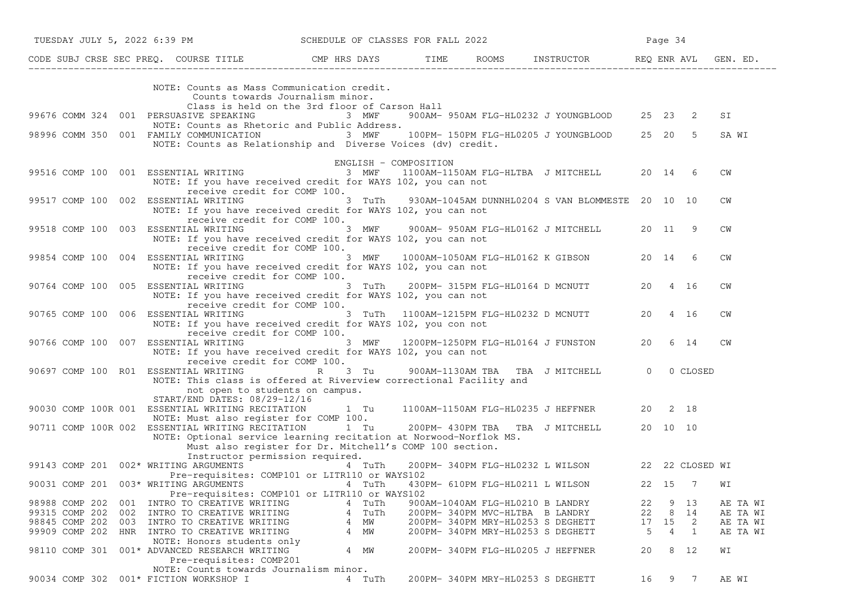|                       | TUESDAY JULY 5, 2022 6:39 PM                                                                                                               | SCHEDULE OF CLASSES FOR FALL 2022                       |                                   |                                                  |    | Page 34  |     |           |          |
|-----------------------|--------------------------------------------------------------------------------------------------------------------------------------------|---------------------------------------------------------|-----------------------------------|--------------------------------------------------|----|----------|-----|-----------|----------|
|                       | CODE SUBJ CRSE SEC PREQ. COURSE TITLE THE ROOMS INSTRUCTOR REQ ENR AVL GEN. ED.                                                            |                                                         |                                   |                                                  |    |          |     |           |          |
|                       | NOTE: Counts as Mass Communication credit.<br>Counts towards Journalism minor.                                                             |                                                         |                                   |                                                  |    |          |     |           |          |
|                       | 99676 COMM 324 001 PERSUASIVE SPEAKING<br>NOTE: Counts as Rhetoric and Public Address.                                                     | Class is held on the 3rd floor of Carson Hall<br>3 MWF  |                                   | 900AM- 950AM FLG-HL0232 J YOUNGBLOOD 25 23 2     |    |          |     | SI        |          |
|                       | 98996 COMM 350 001 FAMILY COMMUNICATION 3 MWF<br>NOTE: Counts as Relationship and Diverse Voices (dv) credit.                              |                                                         |                                   | 100PM- 150PM FLG-HL0205 J YOUNGBLOOD 25 20 5     |    |          |     | SA WI     |          |
|                       |                                                                                                                                            | ENGLISH - COMPOSITION                                   |                                   |                                                  |    |          |     |           |          |
|                       | 99516 COMP 100 001 ESSENTIAL WRITING<br>NOTE: If you have received credit for WAYS 102, you can not                                        | 3 MWF                                                   |                                   | 1100AM-1150AM FLG-HLTBA J MITCHELL 20 14 6       |    |          |     | CM        |          |
|                       | receive credit for COMP 100.<br>99517 COMP 100 002 ESSENTIAL WRITING<br>NOTE: If you have received credit for WAYS 102, you can not        | 3 TuTh                                                  |                                   | 930AM-1045AM DUNNHL0204 S VAN BLOMMESTE 20 10 10 |    |          |     | <b>CW</b> |          |
|                       | receive credit for COMP 100.<br>99518 COMP 100 003 ESSENTIAL WRITING<br>NOTE: If you have received credit for WAYS 102, you can not        |                                                         |                                   | 3 MWF 900AM-950AM FLG-HL0162 J MITCHELL 20 11    |    |          | -9  | CM        |          |
| 99854 COMP 100 004    | receive credit for COMP 100.<br>ESSENTIAL WRITING<br>NOTE: If you have received credit for WAYS 102, you can not                           | 3 MWF                                                   |                                   | 1000AM-1050AM FLG-HL0162 K GIBSON 20 14          |    |          | - 6 | CM        |          |
|                       | receive credit for COMP 100.<br>90764 COMP 100 005 ESSENTIAL WRITING<br>NOTE: If you have received credit for WAYS 102, you can not        | 3 TuTh                                                  |                                   | 200PM- 315PM FLG-HL0164 D MCNUTT                 |    | 20 4 16  |     | <b>CW</b> |          |
|                       | receive credit for COMP 100.<br>90765 COMP 100 006 ESSENTIAL WRITING<br>NOTE: If you have received credit for WAYS 102, you con not        |                                                         |                                   | 3 TuTh 1100AM-1215PM FLG-HL0232 D MCNUTT 20 4 16 |    |          |     | CM        |          |
|                       | receive credit for COMP 100.<br>90766 COMP 100 007 ESSENTIAL WRITING<br>NOTE: If you have received credit for WAYS 102, you can not        | 3 MWF                                                   |                                   | 1200PM-1250PM FLG-HL0164 J FUNSTON               |    | 20 6 14  |     | CW        |          |
|                       | receive credit for COMP 100.<br>90697 COMP 100 R01 ESSENTIAL WRITING<br>NOTE: This class is offered at Riverview correctional Facility and | 3 Tu<br>$\mathbb{R}$ and $\mathbb{R}$                   |                                   | 900AM-1130AM TBA TBA J MITCHELL 0 0 CLOSED       |    |          |     |           |          |
|                       | not open to students on campus.                                                                                                            |                                                         |                                   |                                                  |    |          |     |           |          |
|                       | START/END DATES: 08/29-12/16<br>90030 COMP 100R 001 ESSENTIAL WRITING RECITATION 1 Tu 1100AM-1150AM FLG-HL0235 J HEFFNER 20 2 18           |                                                         |                                   |                                                  |    |          |     |           |          |
|                       | NOTE: Must also register for COMP 100.<br>90711 COMP 100R 002 ESSENTIAL WRITING RECITATION 1 Tu 200PM-430PM TBA TBA J MITCHELL             |                                                         |                                   |                                                  |    | 20 10 10 |     |           |          |
|                       | NOTE: Optional service learning recitation at Norwood-Norflok MS.                                                                          | Must also register for Dr. Mitchell's COMP 100 section. |                                   |                                                  |    |          |     |           |          |
|                       | Instructor permission required.<br>99143 COMP 201 002* WRITING ARGUMENTS                                                                   | 4 TuTh                                                  |                                   | 200PM-340PM FLG-HL0232 L WILSON 22 22 CLOSED WI  |    |          |     |           |          |
|                       | Pre-requisites: COMP101 or LITR110 or WAYS102                                                                                              |                                                         |                                   |                                                  |    |          |     |           |          |
|                       | 90031 COMP 201 003* WRITING ARGUMENTS 4 TuTh 430PM-610PM FLG-HL0211 L WILSON<br>Pre-requisites: COMP101 or LITR110 or WAYS102              |                                                         |                                   |                                                  |    | 22 15 7  |     | WI        |          |
| 98988 COMP 202        | 001 INTRO TO CREATIVE WRITING                                                                                                              | 4 TuTh                                                  | 900AM-1040AM FLG-HL0210 B LANDRY  |                                                  | 22 | 9        | 13  |           | AE TA WI |
| 99315 COMP 202<br>002 | INTRO TO CREATIVE WRITING                                                                                                                  | 4 TuTh                                                  | 200PM-340PM MVC-HLTBA B LANDRY    |                                                  | 22 | 8        | 14  |           | AE TA WI |
| 98845 COMP 202<br>003 | INTRO TO CREATIVE WRITING                                                                                                                  | 4 MW                                                    | 200PM- 340PM MRY-HL0253 S DEGHETT |                                                  | 17 | 15       | -2  |           | AE TA WI |
| 99909 COMP 202        | HNR INTRO TO CREATIVE WRITING<br>NOTE: Honors students only                                                                                | 4 MW                                                    | 200PM- 340PM MRY-HL0253 S DEGHETT |                                                  | 5  | 4        | 1   |           | AE TA WI |
| 98110 COMP 301        | 001* ADVANCED RESEARCH WRITING<br>Pre-requisites: COMP201                                                                                  | 4 MW                                                    | 200PM- 340PM FLG-HL0205 J HEFFNER |                                                  | 20 | 8        | 12  | WΙ        |          |
|                       | NOTE: Counts towards Journalism minor.<br>90034 COMP 302 001* FICTION WORKSHOP I                                                           | 4 TuTh                                                  | 200PM- 340PM MRY-HL0253 S DEGHETT |                                                  | 16 |          | 9 7 | AE WI     |          |
|                       |                                                                                                                                            |                                                         |                                   |                                                  |    |          |     |           |          |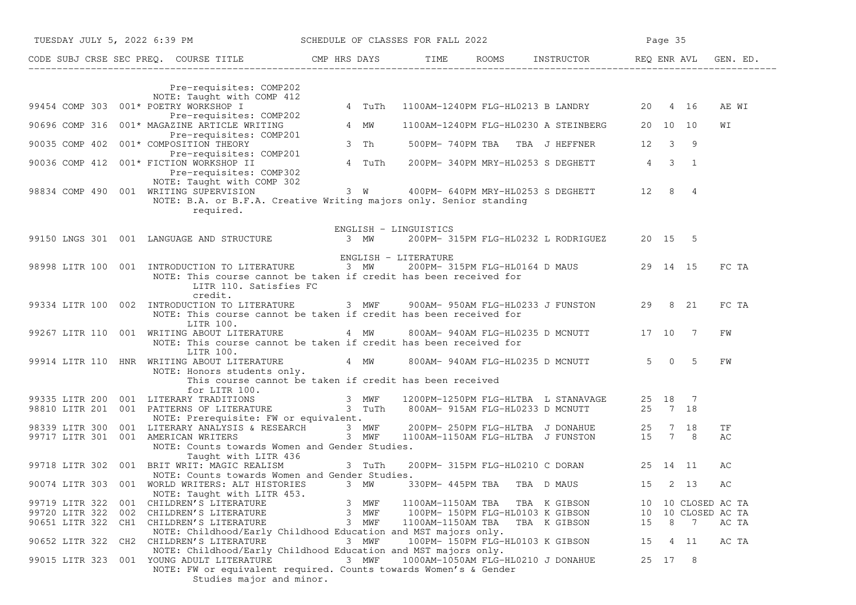|                                                                                                                             | TUESDAY JULY 5, 2022 6:39 PM SCHEDULE OF CLASSES FOR FALL 2022                                                                                                                       | Page 35                                        |  |  |  |
|-----------------------------------------------------------------------------------------------------------------------------|--------------------------------------------------------------------------------------------------------------------------------------------------------------------------------------|------------------------------------------------|--|--|--|
|                                                                                                                             | CODE SUBJ CRSE SEC PREQ. COURSE TITLE TIME TIME ROOMS INSTRUCTOR REQ ENR AVL GEN. ED.                                                                                                |                                                |  |  |  |
| Pre-requisites: COMP202<br>NOTE: Taught with COMP 412<br>99454 COMP 303 001* POETRY WORKSHOP I                              | 4 TuTh<br>1100AM-1240PM FLG-HL0213 B LANDRY 20 4 16                                                                                                                                  | AE WI                                          |  |  |  |
| Pre-requisites: COMP202<br>90696 COMP 316 001* MAGAZINE ARTICLE WRITING                                                     | 4 MW<br>1100AM-1240PM FLG-HL0230 A STEINBERG 20 10 10                                                                                                                                | WΙ                                             |  |  |  |
| Pre-requisites: COMP201<br>90035 COMP 402 001* COMPOSITION THEORY                                                           | 3 Th<br>500PM-740PM TBA TBA J HEFFNER 12                                                                                                                                             | $3^{\circ}$ 9                                  |  |  |  |
| Pre-requisites: COMP201<br>90036 COMP 412 001* FICTION WORKSHOP II<br>Pre-requisites: COMP302<br>NOTE: Taught with COMP 302 | 200PM-340PM MRY-HL0253 S DEGHETT 4 3 1<br>4 TuTh                                                                                                                                     |                                                |  |  |  |
| 98834 COMP 490 001 WRITING SUPERVISION<br>required.                                                                         | 3 W 400PM- 640PM MRY-HL0253 S DEGHETT 12 8 4<br>NOTE: B.A. or B.F.A. Creative Writing majors only. Senior standing                                                                   |                                                |  |  |  |
|                                                                                                                             | ENGLISH - LINGUISTICS                                                                                                                                                                |                                                |  |  |  |
| 99150 LNGS 301 001 LANGUAGE AND STRUCTURE 3 MW                                                                              | 200PM- 315PM FLG-HL0232 L RODRIGUEZ 20 15 5                                                                                                                                          |                                                |  |  |  |
|                                                                                                                             | ENGLISH - LITERATURE                                                                                                                                                                 |                                                |  |  |  |
| 98998 LITR 100 001 INTRODUCTION TO LITERATURE 3 MW<br>LITR 110. Satisfies FC<br>credit.                                     | 200PM- 315PM FLG-HL0164 D MAUS 29 14 15<br>NOTE: This course cannot be taken if credit has been received for                                                                         | FC TA                                          |  |  |  |
| 99334 LITR 100 002 INTRODUCTION TO LITERATURE<br>LITR 100.                                                                  | 3 MWF 900AM-950AM FLG-HL0233 J FUNSTON 29 8 21<br>NOTE: This course cannot be taken if credit has been received for                                                                  | FC TA                                          |  |  |  |
| 99267 LITR 110 001 WRITING ABOUT LITERATURE<br>LITR 100.                                                                    | 800AM-940AM FLG-HL0235 D MCNUTT 17 10 7<br>4 MW<br>NOTE: This course cannot be taken if credit has been received for                                                                 | FW                                             |  |  |  |
| NOTE: Honors students only.<br>for LITR 100.                                                                                | 99914 LITR 110 HNR WRITING ABOUT LITERATURE 4 MW 800AM-940AM FLG-HL0235 D MCNUTT<br>This course cannot be taken if credit has been received                                          | $5 \t 0 \t 5$<br>FW                            |  |  |  |
|                                                                                                                             | 99335 LITR 200 001 LITERARY TRADITIONS 3 MWF 1200PM-1250PM FLG-HLTBA L STANAVAGE 25 18 7<br>98810 LITR 201 001 PATTERNS OF LITERATURE 3 TuTh 800AM-915AM FLG-HL0233 D MCNUTT 25 7 18 |                                                |  |  |  |
| NOTE: Prerequisite: FW or equivalent.                                                                                       |                                                                                                                                                                                      |                                                |  |  |  |
| NOTE: Counts towards Women and Gender Studies.                                                                              | 98339 LITR 300 001 LITERARY ANALYSIS & RESEARCH 3 MWF 200PM-250PM FLG-HLTBA J DONAHUE 25 7 18<br>99717 LITR 301 001 AMERICAN WRITERS 3 MWF 1100AM-1150AM FLG-HLTBA J FUNSTON 15 7 8  | ΤF<br>AС                                       |  |  |  |
| Taught with LITR 436<br>99718 LITR 302 001 BRIT WRIT: MAGIC REALISM<br>NOTE: Counts towards Women and Gender Studies.       | 200PM- 315PM FLG-HL0210 C DORAN 25 14 11<br>3 TuTh                                                                                                                                   | AС                                             |  |  |  |
| 90074 LITR 303 001 WORLD WRITERS: ALT HISTORIES 3 MW<br>NOTE: Taught with LITR 453.                                         | 330PM- 445PM TBA<br>TBA D MAUS                                                                                                                                                       | AC<br>15<br>2 13                               |  |  |  |
| 99719 LITR 322<br>CHILDREN'S LITERATURE<br>001                                                                              | 3<br>MWF<br>1100AM-1150AM TBA<br>TBA K GIBSON                                                                                                                                        | 10 CLOSED AC TA<br>10                          |  |  |  |
| 99720 LITR 322 002<br>CHILDREN'S LITERATURE                                                                                 | 3 MWF<br>100PM- 150PM FLG-HL0103 K GIBSON                                                                                                                                            | 10 CLOSED AC TA<br>10                          |  |  |  |
| 90651 LITR 322 CH1 CHILDREN'S LITERATURE                                                                                    | 3 MWF<br>1100AM-1150AM TBA<br>TBA K GIBSON<br>NOTE: Childhood/Early Childhood Education and MST majors only.                                                                         | 8 7<br>15<br>AC TA                             |  |  |  |
| 90652 LITR 322<br>CH2 CHILDREN'S LITERATURE<br>001 YOUNG ADULT LITERATURE<br>99015 LITR 323                                 | 3 MWF<br>100PM- 150PM FLG-HL0103 K GIBSON<br>NOTE: Childhood/Early Childhood Education and MST majors only.<br>3 MWF<br>1000AM-1050AM FLG-HL0210 J DONAHUE                           | 15<br>4 11<br>AC TA<br>25 17<br>8 <sup>8</sup> |  |  |  |
| Studies major and minor.                                                                                                    | NOTE: FW or equivalent required. Counts towards Women's & Gender                                                                                                                     |                                                |  |  |  |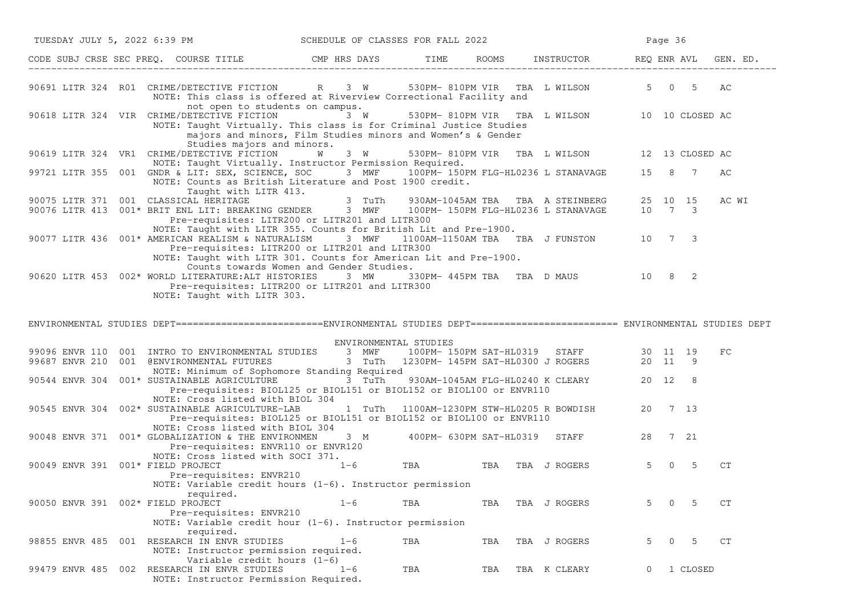| TUESDAY JULY 5, 2022 6:39 PM SCHEDULE OF CLASSES FOR FALL 2022 |  |                                                                                                                                                                                                                                              |                       |     | Page 36 |                                              |   |                         |          |          |
|----------------------------------------------------------------|--|----------------------------------------------------------------------------------------------------------------------------------------------------------------------------------------------------------------------------------------------|-----------------------|-----|---------|----------------------------------------------|---|-------------------------|----------|----------|
|                                                                |  | CODE SUBJ CRSE SEC PREQ. COURSE TITLE THE CMP HRS DAYS TIME ROOMS INSTRUCTOR REQ ENR AVL                                                                                                                                                     |                       |     |         |                                              |   |                         |          | GEN. ED. |
|                                                                |  | 90691 LITR 324 RO1 CRIME/DETECTIVE FICTION R 3 W 530PM-810PM VIR TBA LWILSON 5 0 5<br>NOTE: This class is offered at Riverview Correctional Facility and<br>not open to students on campus.                                                  |                       |     |         |                                              |   |                         |          | AC       |
|                                                                |  | 90618 LITR 324 VIR CRIME/DETECTIVE FICTION<br>NOTE: Taught Virtually. This class is for Criminal Justice Studies<br>majors and minors, Film Studies minors and Women's & Gender<br>Studies majors and minors.                                | 3 W                   |     |         | 530PM-810PM VIR TBA L WILSON 10 10 CLOSED AC |   |                         |          |          |
|                                                                |  | 90619 LITR 324 VR1 CRIME/DETECTIVE FICTION<br>NOTE: Taught Virtually. Instructor Permission Required.                                                                                                                                        | <b>W</b> 3 W          |     |         | 530PM-810PM VIR TBA L WILSON 12 13 CLOSED AC |   |                         |          |          |
|                                                                |  | 99721 LITR 355 001 GNDR & LIT: SEX, SCIENCE, SOC 3 MWF 100PM-150PM FLG-HL0236 L STANAVAGE 15 8 7<br>NOTE: Counts as British Literature and Post 1900 credit.<br>Taught with LITR 413.                                                        |                       |     |         |                                              |   |                         |          | АC       |
| 90075 LITR 371 001 CLASSICAL HERITAGE                          |  | 90076 LITR 413 001* BRIT ENL LIT: BREAKING GENDER 3 MWF 100PM-150PM FLG-HL0236 L STANAVAGE 10 7 3<br>Pre-requisites: LITR200 or LITR201 and LITR300                                                                                          | 3 TuTh                |     |         | 930AM-1045AM TBA TBA A STEINBERG 25 10 15    |   |                         |          | AC WI    |
|                                                                |  | NOTE: Taught with LITR 355. Counts for British Lit and Pre-1900.<br>90077 LITR 436 001* AMERICAN REALISM & NATURALISM<br>Pre-requisites: LITR200 or LITR201 and LITR300<br>NOTE: Taught with LITR 301. Counts for American Lit and Pre-1900. | 3 MWF                 |     |         | 1100AM-1150AM TBA TBA J FUNSTON 10 7 3       |   |                         |          |          |
|                                                                |  | Counts towards Women and Gender Studies.<br>90620 LITR 453 002* WORLD LITERATURE: ALT HISTORIES 3 MW 330PM-445PM TBA TBA D MAUS 10 8 2<br>Pre-requisites: LITR200 or LITR201 and LITR300<br>NOTE: Taught with LITR 303.                      |                       |     |         |                                              |   |                         |          |          |
|                                                                |  | ENVIRONMENTAL STUDIES DEPT========================ENVIRONMENTAL STUDIES DEPT======================== ENVIRONMENTAL STUDIES DEPT                                                                                                              |                       |     |         |                                              |   |                         |          |          |
|                                                                |  |                                                                                                                                                                                                                                              | ENVIRONMENTAL STUDIES |     |         |                                              |   |                         |          |          |
|                                                                |  | 99096 ENVR 110 001 INTRO TO ENVIRONMENTAL STUDIES 3 MWF 100PM-150PM SAT-HL0319 STAFF 30 11 19<br>99687 ENVR 210 001 @ENVIRONMENTAL FUTURES 3 TuTh 1230PM-145PM SAT-HL0300 JROGERS 20 11 9<br>NOTE: Minimum of Sophomore Standing Required    |                       |     |         |                                              |   |                         |          | FC       |
|                                                                |  | 90544 ENVR 304 001* SUSTAINABLE AGRICULTURE 3 TuTh<br>Pre-requisites: BIOL125 or BIOL151 or BIOL152 or BIOL100 or ENVR110<br>NOTE: Cross listed with BIOL 304                                                                                |                       |     |         | 930AM-1045AM FLG-HL0240 K CLEARY 20 12 8     |   |                         |          |          |
|                                                                |  | 90545 ENVR 304 002* SUSTAINABLE AGRICULTURE-LAB 1 TuTh 1100AM-1230PM STW-HL0205 R BOWDISH 20 7 13<br>Pre-requisites: BIOL125 or BIOL151 or BIOL152 or BIOL100 or ENVR110<br>NOTE: Cross listed with BIOL 304                                 |                       |     |         |                                              |   |                         |          |          |
|                                                                |  | 90048 ENVR 371 001* GLOBALIZATION & THE ENVIRONMEN 3 M 400PM- 630PM SAT-HL0319 STAFF 28 7 21<br>Pre-requisites: ENVR110 or ENVR120<br>NOTE: Cross listed with SOCI 371.                                                                      |                       |     |         |                                              |   |                         |          |          |
| 90049 ENVR 391 001* FIELD PROJECT                              |  | Pre-requisites: ENVR210<br>NOTE: Variable credit hours $(1-6)$ . Instructor permission                                                                                                                                                       |                       |     |         | <sup>1-6</sup> TBA TBA TBA JROGERS           |   | $5^{\circ}$<br>$\Omega$ | -5       | CT       |
| 90050 ENVR 391 002* FIELD PROJECT                              |  | required.<br>Pre-requisites: ENVR210<br>NOTE: Variable credit hour (1-6). Instructor permission                                                                                                                                              | $1 - 6$               | TBA | TBA     | TBA J ROGERS                                 | 5 | $\Omega$                | 5        | CT.      |
| 98855 ENVR 485 001                                             |  | required.<br>RESEARCH IN ENVR STUDIES<br>NOTE: Instructor permission required.                                                                                                                                                               | $1 - 6$               | TBA | TBA     | TBA J ROGERS                                 | 5 | $\overline{0}$          | -5       | CT       |
|                                                                |  | Variable credit hours $(1-6)$<br>99479 ENVR 485 002 RESEARCH IN ENVR STUDIES<br>NOTE: Instructor Permission Required.                                                                                                                        | $1 - 6$               | TBA | TBA     | TBA K CLEARY                                 |   |                         | 1 CLOSED |          |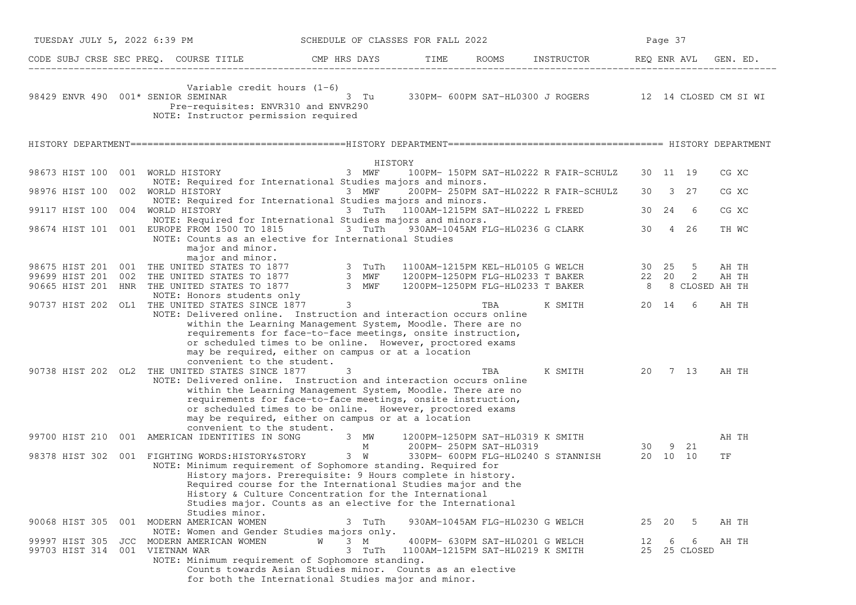|                                    | TUESDAY JULY 5, 2022 6:39 PM                                                                                                                                                                                                        | SCHEDULE OF CLASSES FOR FALL 2022                                                                                                                                                                                                                  |                                                                     |                                                        |                 | Page 37 |                   |       |
|------------------------------------|-------------------------------------------------------------------------------------------------------------------------------------------------------------------------------------------------------------------------------------|----------------------------------------------------------------------------------------------------------------------------------------------------------------------------------------------------------------------------------------------------|---------------------------------------------------------------------|--------------------------------------------------------|-----------------|---------|-------------------|-------|
|                                    | CODE SUBJ CRSE SEC PREQ. COURSE TITLE THE ROOMS TIME ROOMS INSTRUCTOR REQ ENR AVL GEN. ED.                                                                                                                                          |                                                                                                                                                                                                                                                    |                                                                     |                                                        |                 |         |                   |       |
| 98429 ENVR 490 001* SENIOR SEMINAR | Variable credit hours $(1-6)$<br>Pre-requisites: ENVR310 and ENVR290<br>NOTE: Instructor permission required                                                                                                                        | 3 Tu                                                                                                                                                                                                                                               |                                                                     | 330PM- 600PM SAT-HL0300 J ROGERS 12 14 CLOSED CM SI WI |                 |         |                   |       |
|                                    |                                                                                                                                                                                                                                     |                                                                                                                                                                                                                                                    |                                                                     |                                                        |                 |         |                   |       |
|                                    |                                                                                                                                                                                                                                     | HISTORY                                                                                                                                                                                                                                            |                                                                     |                                                        |                 |         |                   |       |
| 98673 HIST 100 001 WORLD HISTORY   |                                                                                                                                                                                                                                     | 3 MWF                                                                                                                                                                                                                                              |                                                                     | 100PM- 150PM SAT-HL0222 R FAIR-SCHULZ                  |                 |         | 30 11 19          | CG XC |
|                                    | NOTE: Required for International Studies majors and minors.<br>98976 HIST 100 002 WORLD HISTORY 3 MWF<br>NOTE: Required for International Studies majors and minors.                                                                |                                                                                                                                                                                                                                                    |                                                                     | 200PM- 250PM SAT-HL0222 R FAIR-SCHULZ                  |                 |         | 30 3 27           | CG XC |
| 99117 HIST 100 004 WORLD HISTORY   |                                                                                                                                                                                                                                     | 3 TuTh 1100AM-1215PM SAT-HL0222 L FREED                                                                                                                                                                                                            |                                                                     |                                                        |                 |         | 30  24  6         | CG XC |
|                                    | NOTE: Required for International Studies majors and minors.                                                                                                                                                                         |                                                                                                                                                                                                                                                    |                                                                     |                                                        |                 |         |                   |       |
|                                    | 98674 HIST 101 001 EUROPE FROM 1500 TO 1815 3 TuTh<br>NOTE: Counts as an elective for International Studies<br>major and minor.<br>major and minor.                                                                                 |                                                                                                                                                                                                                                                    |                                                                     | 930AM-1045AM FLG-HL0236 G CLARK                        | 30              |         | 4 26              | TH WC |
|                                    |                                                                                                                                                                                                                                     |                                                                                                                                                                                                                                                    |                                                                     |                                                        |                 |         |                   | AH TH |
|                                    | 98675 HIST 201 001 THE UNITED STATES TO 1877 3 TuTh 1100AM-1215PM KEL-HL0105 G WELCH 30 25 5<br>99699 HIST 201 002 THE UNITED STATES TO 1877 3 MWF 1200PM-1250PM FLG-HL0233 T BAKER 22 20 2<br>90665 HIST 201 HNR THE UNITED STATES |                                                                                                                                                                                                                                                    |                                                                     | 1200PM-1250PM FLG-HL0233 T BAKER 8 8 CLOSED AH TH      |                 |         |                   | AH TH |
|                                    | NOTE: Honors students only                                                                                                                                                                                                          | $\overline{\mathbf{3}}$                                                                                                                                                                                                                            |                                                                     |                                                        |                 |         |                   |       |
|                                    | 90737 HIST 202 OL1 THE UNITED STATES SINCE 1877<br>NOTE: Delivered online. Instruction and interaction occurs online<br>convenient to the student.                                                                                  | within the Learning Management System, Moodle. There are no<br>requirements for face-to-face meetings, onsite instruction,<br>or scheduled times to be online. However, proctored exams<br>may be required, either on campus or at a location      | TBA                                                                 | K SMITH                                                |                 |         | 20 14 6           | AH TH |
|                                    | 90738 HIST 202 OL2 THE UNITED STATES SINCE 1877<br>NOTE: Delivered online. Instruction and interaction occurs online<br>convenient to the student.                                                                                  | 3<br>within the Learning Management System, Moodle. There are no<br>requirements for face-to-face meetings, onsite instruction,<br>or scheduled times to be online. However, proctored exams<br>may be required, either on campus or at a location | TBA                                                                 | K SMITH                                                |                 |         | 20 7 13           | AH TH |
|                                    | 99700 HIST 210 001 AMERICAN IDENTITIES IN SONG 3 MW                                                                                                                                                                                 | M                                                                                                                                                                                                                                                  | 1200PM-1250PM SAT-HL0319 K SMITH<br>200PM- 250PM SAT-HL0319         |                                                        | $30 \t 9 \t 21$ |         |                   | AH TH |
|                                    | 98378 HIST 302 001 FIGHTING WORDS: HISTORY&STORY 3 W<br>NOTE: Minimum requirement of Sophomore standing. Required for<br>Studies minor.                                                                                             | History majors. Prerequisite: 9 Hours complete in history.<br>Required course for the International Studies major and the<br>History & Culture Concentration for the International<br>Studies major. Counts as an elective for the International   |                                                                     | 330PM- 600PM FLG-HL0240 S STANNISH 20 10 10            |                 |         |                   | TF    |
|                                    | 90068 HIST 305 001 MODERN AMERICAN WOMEN<br>NOTE: Women and Gender Studies majors only.                                                                                                                                             | 3 TuTh                                                                                                                                                                                                                                             | 930AM-1045AM FLG-HL0230 G WELCH                                     |                                                        | 25 20           |         | - 5               | AH TH |
| 99703 HIST 314 001 VIETNAM WAR     | 99997 HIST 305 JCC MODERN AMERICAN WOMEN<br>NOTE: Minimum requirement of Sophomore standing.                                                                                                                                        | W<br>3 M<br>3 TuTh<br>Counts towards Asian Studies minor. Counts as an elective<br>for both the International Studies major and minor.                                                                                                             | 400PM- 630PM SAT-HL0201 G WELCH<br>1100AM-1215PM SAT-HL0219 K SMITH |                                                        | 12              | - 6     | 6<br>25 25 CLOSED | AH TH |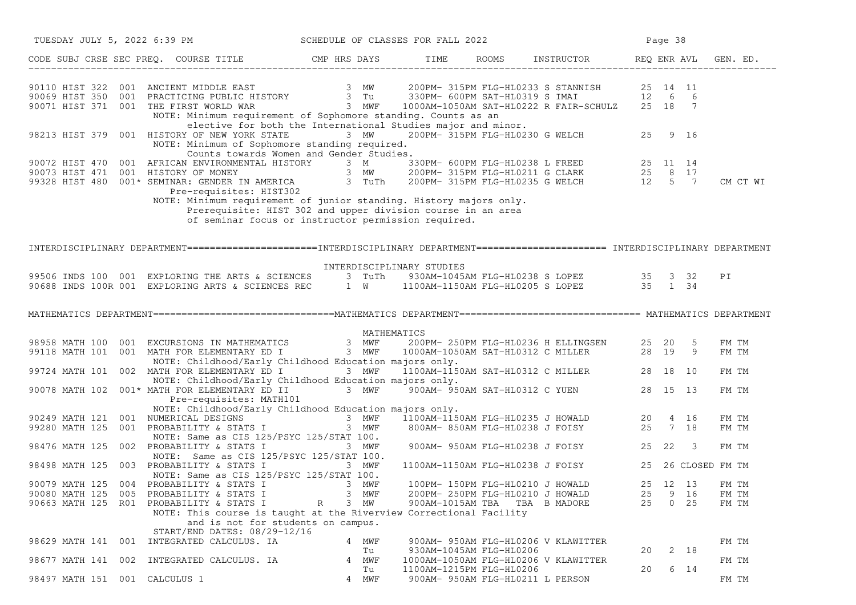| TUESDAY JULY 5, 2022 6:39 PM                                                                                                                                                                                                         |                                                                                                                                                                                                                                                                 |               | SCHEDULE OF CLASSES FOR FALL 2022                                                        |                                  |                                                                                      |                      | Page 38 |                     |                         |
|--------------------------------------------------------------------------------------------------------------------------------------------------------------------------------------------------------------------------------------|-----------------------------------------------------------------------------------------------------------------------------------------------------------------------------------------------------------------------------------------------------------------|---------------|------------------------------------------------------------------------------------------|----------------------------------|--------------------------------------------------------------------------------------|----------------------|---------|---------------------|-------------------------|
| CODE SUBJ CRSE SEC PREQ. COURSE TITLE CMP HRS DAYS TIME ROOMS INSTRUCTOR REQ ENR AVL GEN. ED.                                                                                                                                        |                                                                                                                                                                                                                                                                 |               |                                                                                          |                                  |                                                                                      |                      |         |                     |                         |
| 90110 HIST 322 001 ANCIENT MIDDLE EAST 3 MW 200PM-315PM FLG-HL0233 S STANNISH 25 14 11<br>90069 HIST 350 001 PRACTICING PUBLIC HISTORY 3 Tu 330PM-600PM SAT-HL0319 S IMAI 12 6 6<br>90071 HIST 371 001 THE FIRST WORLD WAR 3 MWF 100 | NOTE: Minimum requirement of Sophomore standing. Counts as an                                                                                                                                                                                                   |               |                                                                                          |                                  |                                                                                      |                      |         |                     |                         |
| 98213 HIST 379 001 HISTORY OF NEW YORK STATE                                                                                                                                                                                         | elective for both the International Studies major and minor.<br>NOTE: Minimum of Sophomore standing required.                                                                                                                                                   | 3 MW          |                                                                                          |                                  | ng. counts as an<br>idies major and minor.<br>200PM-315PM FLG-HL0230 G WELCH 25 9 16 |                      |         |                     |                         |
| 90072 HIST 470 001 AFRICAN ENVIRONMENTAL HISTORY 3 M<br>90073 HIST 471 001 HISTORY OF MONEY 3 MW 200PM-315PM FLG-HL0211 G CLARK 25 8 17<br>99328 HIST 480 001* SEMINAR: GENDER IN AMERICA 3 TuTh 200PM-315PM FLG-HL0235 G WELCH 12 5 | Counts towards Women and Gender Studies.<br>Pre-requisites: HIST302<br>NOTE: Minimum requirement of junior standing. History majors only.<br>Prerequisite: HIST 302 and upper division course in an area<br>of seminar focus or instructor permission required. |               |                                                                                          |                                  |                                                                                      |                      |         |                     | CM CT WI                |
| INTERDISCIPLINARY DEPARTMENT========================INTERDISCIPLINARY DEPARTMENT======================= INTERDISCIPLINARY DEPARTMENT                                                                                                 |                                                                                                                                                                                                                                                                 |               |                                                                                          |                                  |                                                                                      |                      |         |                     |                         |
| 99506 INDS 100 001 EXPLORING THE ARTS & SCIENCES 3 TUTh 930AM-1045AM FLG-HL0238 S LOPEZ 35 32<br>90688 INDS 100R 001 EXPLORING ARTS & SCIENCES REC 1 W 1100AM-1150AM FLG-HL0205 S LOPEZ 35 1 34                                      | INTERDISCIPLINARY STUDIES                                                                                                                                                                                                                                       |               |                                                                                          |                                  |                                                                                      |                      |         |                     | PI                      |
| MATHEMATICS DEPARTMENT===============================MATHEMATICS DEPARTMENT============================== MATHEMATICS DEPARTMENT                                                                                                     |                                                                                                                                                                                                                                                                 |               |                                                                                          |                                  |                                                                                      |                      |         |                     |                         |
| 98958 MATH 100 001 EXCURSIONS IN MATHEMATICS 3 MWF 200PM-250PM FLG-HL0236 H ELLINGSEN 25 20 5<br>99118 MATH 101 001 MATH FOR ELEMENTARY ED I 3 MWF 1000AM-1050AM SAT-HL0312 C MILLER 28 19 9                                         | NOTE: Childhood/Early Childhood Education majors only.                                                                                                                                                                                                          | MATHEMATICS   |                                                                                          |                                  |                                                                                      |                      |         |                     | FM TM<br>FM TM          |
| 99724 MATH 101 002 MATH FOR ELEMENTARY ED I                                                                                                                                                                                          | 3 MWF<br>NOTE: Childhood/Early Childhood Education majors only.                                                                                                                                                                                                 |               |                                                                                          |                                  | ajors only.<br>1100AM-1150AM SAT-HL0312 C MILLER 28 18 10                            |                      |         |                     | FM TM                   |
| 90078 MATH 102 001* MATH FOR ELEMENTARY ED II 3 MWF <sup>5</sup> 900AM- 950AM SAT-HL0312 C YUEN 28 15 13                                                                                                                             | Pre-requisites: MATH101                                                                                                                                                                                                                                         |               |                                                                                          |                                  |                                                                                      |                      |         |                     | FM TM                   |
| NOTE: Childhood/Early Childhood Education majors only.<br>90249 MATH 121 001 NUMERICAL DESIGNS 3 MWF 1100AM-1150AM FLG-HL0235 J HOWALD 20 4 16<br>99280 MATH 125 001 PROBABILITY & STATS I 3 MWF 800AM-850AM FLG-HL0238 J FOISY 25 7 | NOTE: Childhood/Early Childhood Education majors only.<br>NOTE: Same as CIS 125/PSYC 125/STAT 100.                                                                                                                                                              |               |                                                                                          |                                  |                                                                                      |                      |         |                     | FM TM<br>FM TM          |
| 98476 MATH 125 002 PROBABILITY & STATS I 3 MWF                                                                                                                                                                                       | NOTE: Same as CIS 125/PSYC 125/STAT 100.                                                                                                                                                                                                                        |               |                                                                                          |                                  | 900AM- 950AM FLG-HL0238 J FOISY 25 22 3                                              |                      |         |                     | FM TM                   |
| 98498 MATH 125 003 PROBABILITY & STATS I                                                                                                                                                                                             | 3 MWF<br>NOTE: Same as CIS 125/PSYC 125/STAT 100.                                                                                                                                                                                                               |               |                                                                                          |                                  | 1100AM-1150AM FLG-HL0238 J FOISY 25 26 CLOSED FM TM                                  |                      |         |                     |                         |
| 90079 MATH 125 004 PROBABILITY & STATS I 3 MWF<br>90080 MATH 125 005 PROBABILITY & STATS I<br>90663 MATH 125 R01 PROBABILITY & STATS I                                                                                               | R<br>NOTE: This course is taught at the Riverview Correctional Facility<br>and is not for students on campus.<br>START/END DATES: 08/29-12/16                                                                                                                   | 3 MWF<br>3 MW | 100PM- 150PM FLG-HL0210 J HOWALD<br>200PM- 250PM FLG-HL0210 J HOWALD<br>900AM-1015AM TBA |                                  | TBA B MADORE                                                                         | 25 12 13<br>25<br>25 |         | 9 16<br>$0\quad 25$ | FM TM<br>FM TM<br>FM TM |
| 98629 MATH 141 001 INTEGRATED CALCULUS. IA                                                                                                                                                                                           |                                                                                                                                                                                                                                                                 | 4 MWF<br>Tu   | 930AM-1045AM FLG-HL0206                                                                  |                                  | 900AM- 950AM FLG-HL0206 V KLAWITTER                                                  | 20                   |         | 2 18                | FM TM                   |
| 98677 MATH 141 002 INTEGRATED CALCULUS. IA                                                                                                                                                                                           |                                                                                                                                                                                                                                                                 | 4 MWF<br>Tu   | 1100AM-1215PM FLG-HL0206                                                                 |                                  | 1000AM-1050AM FLG-HL0206 V KLAWITTER                                                 | 20                   |         | 6 14                | FM TM                   |
| 98497 MATH 151 001 CALCULUS 1                                                                                                                                                                                                        |                                                                                                                                                                                                                                                                 | 4 MWF         |                                                                                          | 900AM- 950AM FLG-HL0211 L PERSON |                                                                                      |                      |         |                     | FM TM                   |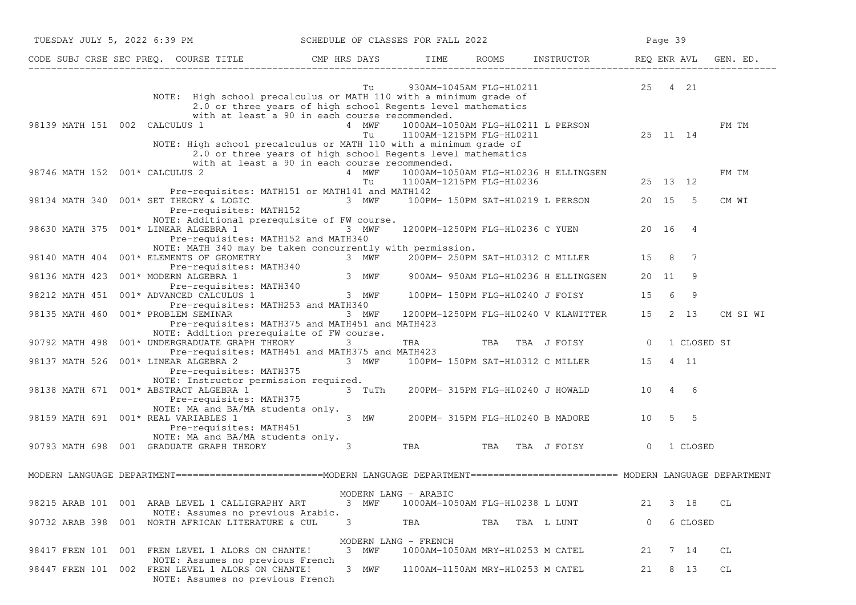| TUESDAY JULY 5, 2022 6:39 PM SCHEDULE OF CLASSES FOR FALL 2022                                                                                                                                                                                          |                                                                                                                        |                                  |                         |                                            |                | Page 39  |             |          |
|---------------------------------------------------------------------------------------------------------------------------------------------------------------------------------------------------------------------------------------------------------|------------------------------------------------------------------------------------------------------------------------|----------------------------------|-------------------------|--------------------------------------------|----------------|----------|-------------|----------|
| CODE SUBJ CRSE SEC PREQ. COURSE TITLE THE ROOMS INSTRUCTOR REQ ENR AVL GEN. ED.                                                                                                                                                                         |                                                                                                                        |                                  |                         |                                            |                |          |             |          |
| NOTE: High school precalculus or MATH 110 with a minimum grade of                                                                                                                                                                                       | Tu<br>2.0 or three years of high school Regents level mathematics                                                      |                                  | 930AM-1045AM FLG-HL0211 |                                            | 25 4 21        |          |             |          |
| 98139 MATH 151 002 CALCULUS 1                                                                                                                                                                                                                           | with at least a 90 in each course recommended.<br>4 MWF<br>Tu                                                          | 1100AM-1215PM FLG-HL0211         |                         | 1000AM-1050AM FLG-HL0211 L PERSON<br>ERSON |                | 25 11 14 |             | FM TM    |
| NOTE: High school precalculus or MATH 110 with a minimum grade of<br>98746 MATH 152 001* CALCULUS 2                                                                                                                                                     | 2.0 or three years of high school Regents level mathematics<br>with at least a 90 in each course recommended.<br>4 MWF |                                  |                         | 1000AM-1050AM FLG-HL0236 H ELLINGSEN       |                |          |             | FM TM    |
| Pre-requisites: MATH151 or MATH141 and MATH142                                                                                                                                                                                                          | Tu                                                                                                                     | 1100AM-1215PM FLG-HL0236         |                         |                                            |                | 25 13 12 |             |          |
| 98134 MATH 340 001* SET THEORY & LOGIC<br>Pre-requisites: MATH152                                                                                                                                                                                       | 3 MWF 100PM-150PM SAT-HL0219 L PERSON                                                                                  |                                  |                         |                                            |                | 20 15 5  |             | CM WI    |
| NOTE: Additional prerequisite of FW course.<br>98630 MATH 375 001* LINEAR ALGEBRA 1 3 MWF<br>Pre-requisites: MATH152 and MATH340                                                                                                                        |                                                                                                                        |                                  |                         | 1200PM-1250PM FLG-HL0236 C YUEN            |                | 20 16 4  |             |          |
| NOTE: MATH 340 may be taken concurrently with permission.<br>98140 MATH 404 001* ELEMENTS OF GEOMETRY                                                                                                                                                   |                                                                                                                        |                                  |                         | 200PM- 250PM SAT-HL0312 C MILLER           | 15 8           |          | 7           |          |
| $1001*$ ELEMENTS OF GEOMETRY 3 MWF 200PM-250PM SAT-HL0312 C MILLER<br>Pre-requisites: MATH340<br>001* MODERN ALGEBRA 1 3 MWF 900AM-950AM FLG-HL0236 H ELLINGSEN<br>Pre-requisites: MATH340<br>001* ADVANCED CALCULUS 1 3 MWF 100PM-15<br>98136 MATH 423 |                                                                                                                        |                                  |                         |                                            | 20 11          |          | - 9         |          |
| 98212 MATH 451 001* ADVANCED CALCULUS 1<br>Pre-requisites: MATH253 and MATH340                                                                                                                                                                          |                                                                                                                        |                                  |                         |                                            | 15             | - 6      | 9           |          |
| 98135 MATH 460 001* PROBLEM SEMINAR<br>Pre-requisites: MATH375 and MATH451 and MATH423                                                                                                                                                                  | 3 MWF                                                                                                                  |                                  |                         | 1200PM-1250PM FLG-HL0240 V KLAWITTER       | 15             | 2 13     |             | CM SI WI |
| NOTE: Addition prerequisite of FW course.<br>90792 MATH 498 001* UNDERGRADUATE GRAPH THEORY                                                                                                                                                             | 3                                                                                                                      |                                  |                         | TBA TBA TBA J FOISY 0                      |                |          | 1 CLOSED SI |          |
| Pre-requisites: MATH451 and MATH375 and MATH423<br>98137 MATH 526 001* LINEAR ALGEBRA 2 3 MWF<br>Pre-requisites: MATH375                                                                                                                                |                                                                                                                        |                                  |                         | 100PM- 150PM SAT-HL0312 C MILLER           | 15             | 4 11     |             |          |
| NOTE: Instructor permission required.<br>98138 MATH 671 001* ABSTRACT ALGEBRA 1<br>Pre-requisites: MATH375                                                                                                                                              |                                                                                                                        |                                  |                         |                                            |                |          |             |          |
| NOTE: MA and BA/MA students only.<br>98159 MATH 691 001* REAL VARIABLES 1<br>Pre-requisites: MATH451                                                                                                                                                    | $3$ MW                                                                                                                 |                                  |                         | 200PM- 315PM FLG-HL0240 B MADORE           |                | 10 5 5   |             |          |
| NOTE: MA and BA/MA students only.<br>90793 MATH 698 001 GRADUATE GRAPH THEORY 3                                                                                                                                                                         |                                                                                                                        |                                  |                         | TBA TBA TBA J FOISY                        | $\overline{0}$ |          | 1 CLOSED    |          |
| MODERN LANGUAGE DEPARTMENT=========================MODERN LANGUAGE DEPARTMENT======================== MODERN LANGUAGE DEPARTMENT                                                                                                                        |                                                                                                                        |                                  |                         |                                            |                |          |             |          |
| 98215 ARAB 101 001 ARAB LEVEL 1 CALLIGRAPHY ART                                                                                                                                                                                                         | MODERN LANG - ARABIC<br>3 MWF                                                                                          | 1000AM-1050AM FLG-HL0238 L LUNT  |                         |                                            | 21             | 3 18     |             | СL       |
| NOTE: Assumes no previous Arabic.<br>001 NORTH AFRICAN LITERATURE & CUL<br>90732 ARAB 398                                                                                                                                                               | 3                                                                                                                      | TBA                              | TBA                     | TBA L LUNT                                 | 0              |          | 6 CLOSED    |          |
| 98417 FREN 101<br>001 FREN LEVEL 1 ALORS ON CHANTE!                                                                                                                                                                                                     | MODERN LANG - FRENCH<br>3 MWF                                                                                          | 1000AM-1050AM MRY-HL0253 M CATEL |                         |                                            | 21             | 7 14     |             | СL       |
| NOTE: Assumes no previous French<br>98447 FREN 101 002 FREN LEVEL 1 ALORS ON CHANTE!<br>NOTE: Assumes no previous French                                                                                                                                | 3 MWF                                                                                                                  | 1100AM-1150AM MRY-HL0253 M CATEL |                         |                                            | 21             | 8 13     |             | СL       |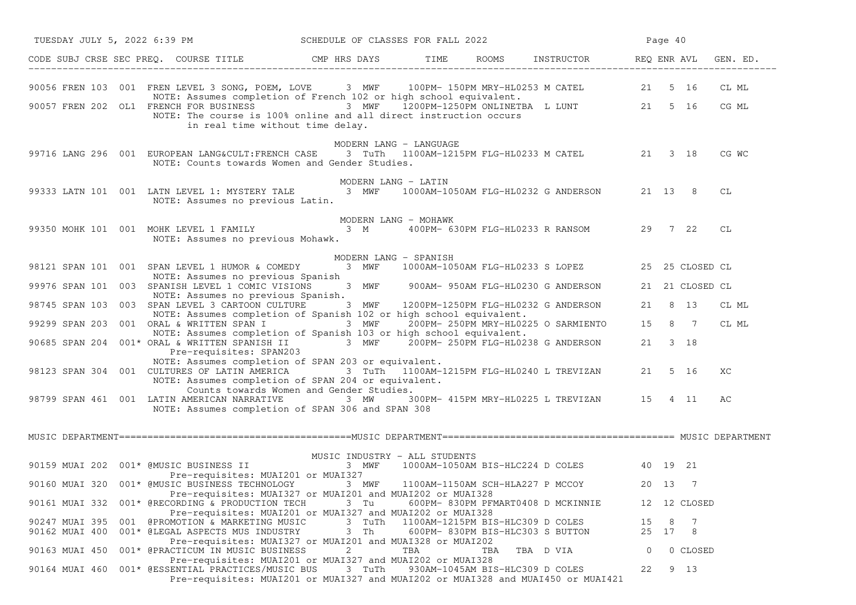|                | TUESDAY JULY 5, 2022 6:39 PM SCHEDULE OF CLASSES FOR FALL 2022                                                                                                                                                                                            |                        |                                  |     |                                                  |          | Page 40   |                 |       |
|----------------|-----------------------------------------------------------------------------------------------------------------------------------------------------------------------------------------------------------------------------------------------------------|------------------------|----------------------------------|-----|--------------------------------------------------|----------|-----------|-----------------|-------|
|                | CODE SUBJ CRSE SEC PREQ. COURSE TITLE THE ROOMS INSTRUCTOR THE ROOMS ENRICH REQ ENR AVL GEN. ED.                                                                                                                                                          |                        |                                  |     |                                                  |          |           |                 |       |
|                | 90056 FREN 103 001 FREN LEVEL 3 SONG, POEM, LOVE 3 MWF 100PM-150PM MRY-HL0253 M CATEL 21 5 16<br>NOTE: Assumes completion of French 102 or high school equivalent.<br>90057 FREN 202 OL1 FRENCH FOR BUSINESS 3 MWF 1200PM-1250PM ONLINETBA L LUNT 21 5 16 |                        |                                  |     |                                                  |          |           |                 | CL ML |
|                | NOTE: The course is 100% online and all direct instruction occurs<br>in real time without time delay.                                                                                                                                                     |                        |                                  |     |                                                  |          |           |                 | CG ML |
|                | 99716 LANG 296 001 EUROPEAN LANG&CULT: FRENCH CASE 3 TuTh 1100AM-1215PM FLG-HL0233 M CATEL 21 3 18<br>NOTE: Counts towards Women and Gender Studies.                                                                                                      | MODERN LANG - LANGUAGE |                                  |     |                                                  |          |           |                 | CG WC |
|                | 99333 LATN 101 001 LATN LEVEL 1: MYSTERY TALE 3 MWF<br>NOTE: Assumes no previous Latin.                                                                                                                                                                   | MODERN LANG - LATIN    |                                  |     | 1000AM-1050AM FLG-HL0232 G ANDERSON 21 13 8      |          |           |                 | CL    |
|                | 99350 MOHK 101 001 MOHK LEVEL 1 FAMILY 3 M 400PM- 630PM FLG-HL0233 R RANSOM 29 7 22<br>NOTE: Assumes no previous Mohawk.                                                                                                                                  | MODERN LANG - MOHAWK   |                                  |     |                                                  |          |           |                 | СL    |
|                |                                                                                                                                                                                                                                                           | MODERN LANG - SPANISH  |                                  |     |                                                  |          |           |                 |       |
|                | 98121 SPAN 101 001 SPAN LEVEL 1 HUMOR & COMEDY<br>NOTE: Assumes no previous Spanish                                                                                                                                                                       | 3 MWF                  |                                  |     | 1000AM-1050AM FLG-HL0233 S LOPEZ 25 25 CLOSED CL |          |           |                 |       |
|                | 99976 SPAN 101 003 SPANISH LEVEL 1 COMIC VISIONS<br>NOTE: Assumes no previous Spanish.                                                                                                                                                                    |                        |                                  |     | 3 MWF 900AM-950AM FLG-HL0230 G ANDERSON          |          |           | 21 21 CLOSED CL |       |
|                | 98745 SPAN 103 003 SPAN LEVEL 3 CARTOON CULTURE<br>NOTE: Assumes completion of Spanish 102 or high school equivalent.                                                                                                                                     |                        |                                  |     | 3 MWF 1200PM-1250PM FLG-HL0232 G ANDERSON        |          | 21 8 13   |                 | CL ML |
|                | 99299 SPAN 203 001 ORAL & WRITTEN SPAN I <sup>3</sup> MWF 200PM-250PM MRY-HL0225 O SARMIENTO 15 8 7                                                                                                                                                       |                        |                                  |     |                                                  |          |           |                 | CL ML |
|                | NOTE: Assumes completion of Spanish 103 or high school equivalent.<br>90685 SPAN 204 001* ORAL & WRITTEN SPANISH II $\overline{3}$ MWF $\overline{2}$ 00PM- 250PM FLG-HL0238 G ANDERSON<br>Pre-requisites: SPAN203                                        |                        |                                  |     |                                                  |          | 21 3 18   |                 |       |
|                | NOTE: Assumes completion of SPAN 203 or equivalent.<br>98123 SPAN 304 001 CULTURES OF LATIN AMERICA 3 TuTh 1100AM-1215PM FLG-HL0240 L TREVIZAN<br>NOTE: Assumes completion of SPAN 204 or equivalent.                                                     |                        |                                  |     |                                                  | 21 5 16  |           |                 | ХC    |
|                | Counts towards Women and Gender Studies.<br>98799 SPAN 461 001 LATIN AMERICAN NARRATIVE 3 MW 300PM-415PM MRY-HL0225 L TREVIZAN 15 4 11<br>NOTE: Assumes completion of SPAN 306 and SPAN 308                                                               |                        |                                  |     |                                                  |          |           |                 | АC    |
|                |                                                                                                                                                                                                                                                           |                        |                                  |     |                                                  |          |           |                 |       |
|                | ${\tt MUSIC \; INDUSTRY \; - \; ALL \; STUDENTS} \label{eq:MUSIC INDUSTRY - ALL STUDENTS {\tt MUSIC \; INDUSTRY \; - \; ALL \; STUDENTS} \nonumber$<br>Pre-requisites: MUAI201 or MUAI327                                                                 |                        |                                  |     | 1000AM-1050AM BIS-HLC224 D COLES 40 19 21        |          |           |                 |       |
|                | 90160 MUAI 320 001* @MUSIC BUSINESS TECHNOLOGY 3 MWF 1100AM-1150AM SCH-HLA227 P MCCOY<br>Pre-requisites: MUAI327 or MUAI201 and MUAI202 or MUAI328                                                                                                        |                        |                                  |     |                                                  | 20 13    |           |                 |       |
|                | 90161 MUAI 332 001* @RECORDING & PRODUCTION TECH<br>Pre-requisites: MUAI201 or MUAI327 and MUAI202 or MUAI328                                                                                                                                             | 3 Tu                   |                                  |     | 600PM- 830PM PFMART0408 D MCKINNIE               |          |           | 12 12 CLOSED    |       |
| 90247 MUAI 395 | 001 @PROMOTION & MARKETING MUSIC<br>90162 MUAI 400 001* @LEGAL ASPECTS MUS INDUSTRY<br>Pre-requisites: MUAI327 or MUAI201 and MUAI328 or MUAI202                                                                                                          | 3 TuTh<br>3 Th         | 1100AM-1215PM BIS-HLC309 D COLES |     | 600PM-830PM BIS-HLC303 S BUTTON                  | 15<br>25 | 8<br>17 8 | - 7             |       |
| 90163 MUAI 450 | 001* @PRACTICUM IN MUSIC BUSINESS                                                                                                                                                                                                                         | 2                      | TBA                              | TBA | TBA D VIA                                        | $\circ$  |           | 0 CLOSED        |       |
| 90164 MUAI 460 | Pre-requisites: MUAI201 or MUAI327 and MUAI202 or MUAI328<br>001* @ESSENTIAL PRACTICES/MUSIC BUS<br>Pre-requisites: MUAI201 or MUAI327 and MUAI202 or MUAI328 and MUAI450 or MUAI421                                                                      | 3 TuTh                 |                                  |     | 930AM-1045AM BIS-HLC309 D COLES                  | 22       |           | 9 13            |       |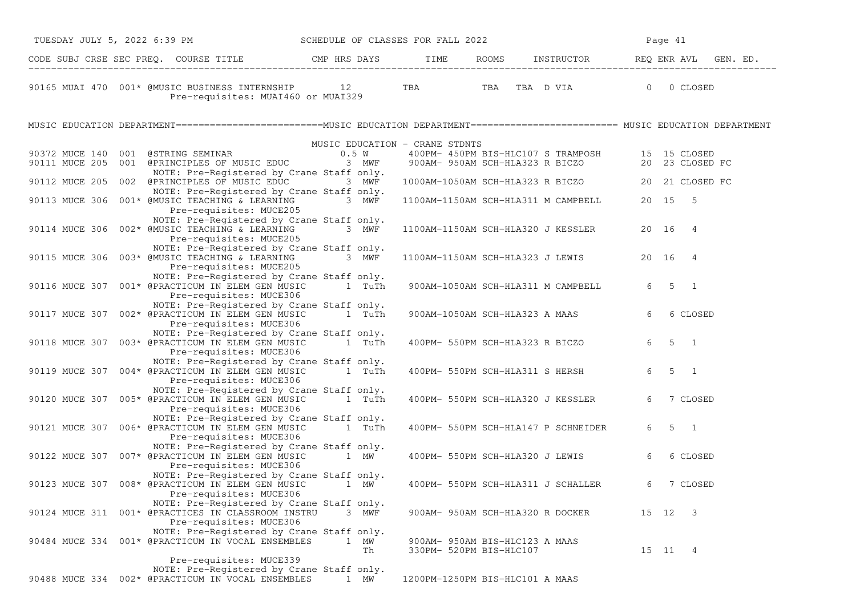| CODE SUBJ CRSE SEC PREQ. COURSE TITLE THE ROOMS INSTRUCTOR REQ ENR AVL GEN. ED.<br>TBA TBA TBA D VIA 0 0 CLOSED<br>90165 MUAI 470 001* @MUSIC BUSINESS INTERNSHIP 12<br>Pre-requisites: MUAI460 or MUAI329<br>MUSIC EDUCATION DEPARTMENT=========================MUSIC EDUCATION DEPARTMENT======================== MUSIC EDUCATION DEPARTMENT<br>MUSIC EDUCATION - CRANE STDNTS<br>$\begin{tabular}{lllllllllll} \bf 400PM & \tt 450PM & \tt BIS-HLC107 & \tt S & \tt TRAMPOSH & & \tt 15 & \tt 15 & \tt CLOSED \\ \bf 900AM- & \tt 950AM & \tt SCH-HLA323 & \tt R & \tt BICZO & & \tt 20 & \tt 23 & \tt CLOSED & \tt FC \\ \end{tabular}$<br>NOTE: Pre-Registered by Crane Staff only.<br>1000AM-1050AM SCH-HLA323 R BICZO 20 21 CLOSED FC<br>90112 MUCE 205 002 @PRINCIPLES OF MUSIC EDUC<br>3 MWF<br>NOTE: Pre-Registered by Crane Staff only.<br>20 15 5<br>90113 MUCE 306 001* @MUSIC TEACHING & LEARNING 3 MWF<br>1100AM-1150AM SCH-HLA311 M CAMPBELL<br>Pre-requisites: MUCE205<br>NOTE: Pre-Registered by Crane Staff only.<br>90114 MUCE 306 002* @MUSIC TEACHING & LEARNING<br>3 MWF<br>1100AM-1150AM SCH-HLA320 J KESSLER<br>20 16 4<br>Pre-requisites: MUCE205<br>NOTE: Pre-Registered by Crane Staff only.<br>3 MWF<br>1100AM-1150AM SCH-HLA323 J LEWIS<br>90115 MUCE 306 003* @MUSIC TEACHING & LEARNING<br>20 16 4<br>Pre-requisites: MUCE205<br>NOTE: Pre-Registered by Crane Staff only.<br>90116 MUCE 307 001* @PRACTICUM IN ELEM GEN MUSIC<br>1 TuTh<br>900AM-1050AM SCH-HLA311 M CAMPBELL<br>6<br>5 1<br>Pre-requisites: MUCE306<br>NOTE: Pre-Registered by Crane Staff only.<br>90117 MUCE 307 002* @PRACTICUM IN ELEM GEN MUSIC 1 TuTh<br>6<br>6 CLOSED<br>900AM-1050AM SCH-HLA323 A MAAS<br>Pre-requisites: MUCE306<br>NOTE: Pre-Registered by Crane Staff only.<br>6<br>$5 \quad 1$<br>90118 MUCE 307 003* @PRACTICUM IN ELEM GEN MUSIC<br>1 TuTh<br>400PM- 550PM SCH-HLA323 R BICZO<br>Pre-requisites: MUCE306<br>NOTE: Pre-Registered by Crane Staff only.<br>6<br>$5 \quad 1$<br>400PM- 550PM SCH-HLA311 S HERSH<br>90119 MUCE 307 004* @PRACTICUM IN ELEM GEN MUSIC<br>1 TuTh<br>Pre-requisites: MUCE306<br>NOTE: Pre-Registered by Crane Staff only.<br>90120 MUCE 307 005* @PRACTICUM IN ELEM GEN MUSIC 1 TuTh<br>7 CLOSED<br>400PM- 550PM SCH-HLA320 J KESSLER<br>6<br>Pre-requisites: MUCE306<br>NOTE: Pre-Registered by Crane Staff only.<br>$5 \quad 1$<br>90121 MUCE 307 006* @PRACTICUM IN ELEM GEN MUSIC<br>1 TuTh<br>400PM- 550PM SCH-HLA147 P SCHNEIDER<br>6<br>Pre-requisites: MUCE306<br>NOTE: Pre-Registered by Crane Staff only.<br>6 CLOSED<br>90122 MUCE 307 007* @PRACTICUM IN ELEM GEN MUSIC<br>1 MW<br>400PM- 550PM SCH-HLA320 J LEWIS<br>6<br>Pre-requisites: MUCE306<br>NOTE: Pre-Registered by Crane Staff only.<br>90123 MUCE 307 008* @PRACTICUM IN ELEM GEN MUSIC 1 MW<br>400PM- 550PM SCH-HLA311 J SCHALLER<br>7 CLOSED<br>6<br>Pre-requisites: MUCE306<br>NOTE: Pre-Registered by Crane Staff only.<br>90124 MUCE 311 001* @PRACTICES IN CLASSROOM INSTRU<br>3 MWF<br>15 12 3<br>900AM- 950AM SCH-HLA320 R DOCKER<br>Pre-requisites: MUCE306<br>NOTE: Pre-Registered by Crane Staff only.<br>90484 MUCE 334 001* @PRACTICUM IN VOCAL ENSEMBLES<br>1<br>МW<br>900AM- 950AM BIS-HLC123 A MAAS<br>330PM- 520PM BIS-HLC107<br>15 11 4<br>Th<br>Pre-requisites: MUCE339<br>NOTE: Pre-Registered by Crane Staff only.<br>90488 MUCE 334 002* @PRACTICUM IN VOCAL ENSEMBLES<br>1200PM-1250PM BIS-HLC101 A MAAS<br>1 MW | TUESDAY JULY 5, 2022 6:39 PM SCHEDULE OF CLASSES FOR FALL 2022 |  |  | Page 41 |
|--------------------------------------------------------------------------------------------------------------------------------------------------------------------------------------------------------------------------------------------------------------------------------------------------------------------------------------------------------------------------------------------------------------------------------------------------------------------------------------------------------------------------------------------------------------------------------------------------------------------------------------------------------------------------------------------------------------------------------------------------------------------------------------------------------------------------------------------------------------------------------------------------------------------------------------------------------------------------------------------------------------------------------------------------------------------------------------------------------------------------------------------------------------------------------------------------------------------------------------------------------------------------------------------------------------------------------------------------------------------------------------------------------------------------------------------------------------------------------------------------------------------------------------------------------------------------------------------------------------------------------------------------------------------------------------------------------------------------------------------------------------------------------------------------------------------------------------------------------------------------------------------------------------------------------------------------------------------------------------------------------------------------------------------------------------------------------------------------------------------------------------------------------------------------------------------------------------------------------------------------------------------------------------------------------------------------------------------------------------------------------------------------------------------------------------------------------------------------------------------------------------------------------------------------------------------------------------------------------------------------------------------------------------------------------------------------------------------------------------------------------------------------------------------------------------------------------------------------------------------------------------------------------------------------------------------------------------------------------------------------------------------------------------------------------------------------------------------------------------------------------------------------------------------------------------------------------------------------------------------------------------------------------------------------------------------------------------------------------------------------------------------------------------------------------------------------------------------------|----------------------------------------------------------------|--|--|---------|
|                                                                                                                                                                                                                                                                                                                                                                                                                                                                                                                                                                                                                                                                                                                                                                                                                                                                                                                                                                                                                                                                                                                                                                                                                                                                                                                                                                                                                                                                                                                                                                                                                                                                                                                                                                                                                                                                                                                                                                                                                                                                                                                                                                                                                                                                                                                                                                                                                                                                                                                                                                                                                                                                                                                                                                                                                                                                                                                                                                                                                                                                                                                                                                                                                                                                                                                                                                                                                                                                          |                                                                |  |  |         |
|                                                                                                                                                                                                                                                                                                                                                                                                                                                                                                                                                                                                                                                                                                                                                                                                                                                                                                                                                                                                                                                                                                                                                                                                                                                                                                                                                                                                                                                                                                                                                                                                                                                                                                                                                                                                                                                                                                                                                                                                                                                                                                                                                                                                                                                                                                                                                                                                                                                                                                                                                                                                                                                                                                                                                                                                                                                                                                                                                                                                                                                                                                                                                                                                                                                                                                                                                                                                                                                                          |                                                                |  |  |         |
|                                                                                                                                                                                                                                                                                                                                                                                                                                                                                                                                                                                                                                                                                                                                                                                                                                                                                                                                                                                                                                                                                                                                                                                                                                                                                                                                                                                                                                                                                                                                                                                                                                                                                                                                                                                                                                                                                                                                                                                                                                                                                                                                                                                                                                                                                                                                                                                                                                                                                                                                                                                                                                                                                                                                                                                                                                                                                                                                                                                                                                                                                                                                                                                                                                                                                                                                                                                                                                                                          |                                                                |  |  |         |
|                                                                                                                                                                                                                                                                                                                                                                                                                                                                                                                                                                                                                                                                                                                                                                                                                                                                                                                                                                                                                                                                                                                                                                                                                                                                                                                                                                                                                                                                                                                                                                                                                                                                                                                                                                                                                                                                                                                                                                                                                                                                                                                                                                                                                                                                                                                                                                                                                                                                                                                                                                                                                                                                                                                                                                                                                                                                                                                                                                                                                                                                                                                                                                                                                                                                                                                                                                                                                                                                          |                                                                |  |  |         |
|                                                                                                                                                                                                                                                                                                                                                                                                                                                                                                                                                                                                                                                                                                                                                                                                                                                                                                                                                                                                                                                                                                                                                                                                                                                                                                                                                                                                                                                                                                                                                                                                                                                                                                                                                                                                                                                                                                                                                                                                                                                                                                                                                                                                                                                                                                                                                                                                                                                                                                                                                                                                                                                                                                                                                                                                                                                                                                                                                                                                                                                                                                                                                                                                                                                                                                                                                                                                                                                                          |                                                                |  |  |         |
|                                                                                                                                                                                                                                                                                                                                                                                                                                                                                                                                                                                                                                                                                                                                                                                                                                                                                                                                                                                                                                                                                                                                                                                                                                                                                                                                                                                                                                                                                                                                                                                                                                                                                                                                                                                                                                                                                                                                                                                                                                                                                                                                                                                                                                                                                                                                                                                                                                                                                                                                                                                                                                                                                                                                                                                                                                                                                                                                                                                                                                                                                                                                                                                                                                                                                                                                                                                                                                                                          |                                                                |  |  |         |
|                                                                                                                                                                                                                                                                                                                                                                                                                                                                                                                                                                                                                                                                                                                                                                                                                                                                                                                                                                                                                                                                                                                                                                                                                                                                                                                                                                                                                                                                                                                                                                                                                                                                                                                                                                                                                                                                                                                                                                                                                                                                                                                                                                                                                                                                                                                                                                                                                                                                                                                                                                                                                                                                                                                                                                                                                                                                                                                                                                                                                                                                                                                                                                                                                                                                                                                                                                                                                                                                          |                                                                |  |  |         |
|                                                                                                                                                                                                                                                                                                                                                                                                                                                                                                                                                                                                                                                                                                                                                                                                                                                                                                                                                                                                                                                                                                                                                                                                                                                                                                                                                                                                                                                                                                                                                                                                                                                                                                                                                                                                                                                                                                                                                                                                                                                                                                                                                                                                                                                                                                                                                                                                                                                                                                                                                                                                                                                                                                                                                                                                                                                                                                                                                                                                                                                                                                                                                                                                                                                                                                                                                                                                                                                                          |                                                                |  |  |         |
|                                                                                                                                                                                                                                                                                                                                                                                                                                                                                                                                                                                                                                                                                                                                                                                                                                                                                                                                                                                                                                                                                                                                                                                                                                                                                                                                                                                                                                                                                                                                                                                                                                                                                                                                                                                                                                                                                                                                                                                                                                                                                                                                                                                                                                                                                                                                                                                                                                                                                                                                                                                                                                                                                                                                                                                                                                                                                                                                                                                                                                                                                                                                                                                                                                                                                                                                                                                                                                                                          |                                                                |  |  |         |
|                                                                                                                                                                                                                                                                                                                                                                                                                                                                                                                                                                                                                                                                                                                                                                                                                                                                                                                                                                                                                                                                                                                                                                                                                                                                                                                                                                                                                                                                                                                                                                                                                                                                                                                                                                                                                                                                                                                                                                                                                                                                                                                                                                                                                                                                                                                                                                                                                                                                                                                                                                                                                                                                                                                                                                                                                                                                                                                                                                                                                                                                                                                                                                                                                                                                                                                                                                                                                                                                          |                                                                |  |  |         |
|                                                                                                                                                                                                                                                                                                                                                                                                                                                                                                                                                                                                                                                                                                                                                                                                                                                                                                                                                                                                                                                                                                                                                                                                                                                                                                                                                                                                                                                                                                                                                                                                                                                                                                                                                                                                                                                                                                                                                                                                                                                                                                                                                                                                                                                                                                                                                                                                                                                                                                                                                                                                                                                                                                                                                                                                                                                                                                                                                                                                                                                                                                                                                                                                                                                                                                                                                                                                                                                                          |                                                                |  |  |         |
|                                                                                                                                                                                                                                                                                                                                                                                                                                                                                                                                                                                                                                                                                                                                                                                                                                                                                                                                                                                                                                                                                                                                                                                                                                                                                                                                                                                                                                                                                                                                                                                                                                                                                                                                                                                                                                                                                                                                                                                                                                                                                                                                                                                                                                                                                                                                                                                                                                                                                                                                                                                                                                                                                                                                                                                                                                                                                                                                                                                                                                                                                                                                                                                                                                                                                                                                                                                                                                                                          |                                                                |  |  |         |
|                                                                                                                                                                                                                                                                                                                                                                                                                                                                                                                                                                                                                                                                                                                                                                                                                                                                                                                                                                                                                                                                                                                                                                                                                                                                                                                                                                                                                                                                                                                                                                                                                                                                                                                                                                                                                                                                                                                                                                                                                                                                                                                                                                                                                                                                                                                                                                                                                                                                                                                                                                                                                                                                                                                                                                                                                                                                                                                                                                                                                                                                                                                                                                                                                                                                                                                                                                                                                                                                          |                                                                |  |  |         |
|                                                                                                                                                                                                                                                                                                                                                                                                                                                                                                                                                                                                                                                                                                                                                                                                                                                                                                                                                                                                                                                                                                                                                                                                                                                                                                                                                                                                                                                                                                                                                                                                                                                                                                                                                                                                                                                                                                                                                                                                                                                                                                                                                                                                                                                                                                                                                                                                                                                                                                                                                                                                                                                                                                                                                                                                                                                                                                                                                                                                                                                                                                                                                                                                                                                                                                                                                                                                                                                                          |                                                                |  |  |         |
|                                                                                                                                                                                                                                                                                                                                                                                                                                                                                                                                                                                                                                                                                                                                                                                                                                                                                                                                                                                                                                                                                                                                                                                                                                                                                                                                                                                                                                                                                                                                                                                                                                                                                                                                                                                                                                                                                                                                                                                                                                                                                                                                                                                                                                                                                                                                                                                                                                                                                                                                                                                                                                                                                                                                                                                                                                                                                                                                                                                                                                                                                                                                                                                                                                                                                                                                                                                                                                                                          |                                                                |  |  |         |
|                                                                                                                                                                                                                                                                                                                                                                                                                                                                                                                                                                                                                                                                                                                                                                                                                                                                                                                                                                                                                                                                                                                                                                                                                                                                                                                                                                                                                                                                                                                                                                                                                                                                                                                                                                                                                                                                                                                                                                                                                                                                                                                                                                                                                                                                                                                                                                                                                                                                                                                                                                                                                                                                                                                                                                                                                                                                                                                                                                                                                                                                                                                                                                                                                                                                                                                                                                                                                                                                          |                                                                |  |  |         |
|                                                                                                                                                                                                                                                                                                                                                                                                                                                                                                                                                                                                                                                                                                                                                                                                                                                                                                                                                                                                                                                                                                                                                                                                                                                                                                                                                                                                                                                                                                                                                                                                                                                                                                                                                                                                                                                                                                                                                                                                                                                                                                                                                                                                                                                                                                                                                                                                                                                                                                                                                                                                                                                                                                                                                                                                                                                                                                                                                                                                                                                                                                                                                                                                                                                                                                                                                                                                                                                                          |                                                                |  |  |         |
|                                                                                                                                                                                                                                                                                                                                                                                                                                                                                                                                                                                                                                                                                                                                                                                                                                                                                                                                                                                                                                                                                                                                                                                                                                                                                                                                                                                                                                                                                                                                                                                                                                                                                                                                                                                                                                                                                                                                                                                                                                                                                                                                                                                                                                                                                                                                                                                                                                                                                                                                                                                                                                                                                                                                                                                                                                                                                                                                                                                                                                                                                                                                                                                                                                                                                                                                                                                                                                                                          |                                                                |  |  |         |
|                                                                                                                                                                                                                                                                                                                                                                                                                                                                                                                                                                                                                                                                                                                                                                                                                                                                                                                                                                                                                                                                                                                                                                                                                                                                                                                                                                                                                                                                                                                                                                                                                                                                                                                                                                                                                                                                                                                                                                                                                                                                                                                                                                                                                                                                                                                                                                                                                                                                                                                                                                                                                                                                                                                                                                                                                                                                                                                                                                                                                                                                                                                                                                                                                                                                                                                                                                                                                                                                          |                                                                |  |  |         |
|                                                                                                                                                                                                                                                                                                                                                                                                                                                                                                                                                                                                                                                                                                                                                                                                                                                                                                                                                                                                                                                                                                                                                                                                                                                                                                                                                                                                                                                                                                                                                                                                                                                                                                                                                                                                                                                                                                                                                                                                                                                                                                                                                                                                                                                                                                                                                                                                                                                                                                                                                                                                                                                                                                                                                                                                                                                                                                                                                                                                                                                                                                                                                                                                                                                                                                                                                                                                                                                                          |                                                                |  |  |         |
|                                                                                                                                                                                                                                                                                                                                                                                                                                                                                                                                                                                                                                                                                                                                                                                                                                                                                                                                                                                                                                                                                                                                                                                                                                                                                                                                                                                                                                                                                                                                                                                                                                                                                                                                                                                                                                                                                                                                                                                                                                                                                                                                                                                                                                                                                                                                                                                                                                                                                                                                                                                                                                                                                                                                                                                                                                                                                                                                                                                                                                                                                                                                                                                                                                                                                                                                                                                                                                                                          |                                                                |  |  |         |
|                                                                                                                                                                                                                                                                                                                                                                                                                                                                                                                                                                                                                                                                                                                                                                                                                                                                                                                                                                                                                                                                                                                                                                                                                                                                                                                                                                                                                                                                                                                                                                                                                                                                                                                                                                                                                                                                                                                                                                                                                                                                                                                                                                                                                                                                                                                                                                                                                                                                                                                                                                                                                                                                                                                                                                                                                                                                                                                                                                                                                                                                                                                                                                                                                                                                                                                                                                                                                                                                          |                                                                |  |  |         |
|                                                                                                                                                                                                                                                                                                                                                                                                                                                                                                                                                                                                                                                                                                                                                                                                                                                                                                                                                                                                                                                                                                                                                                                                                                                                                                                                                                                                                                                                                                                                                                                                                                                                                                                                                                                                                                                                                                                                                                                                                                                                                                                                                                                                                                                                                                                                                                                                                                                                                                                                                                                                                                                                                                                                                                                                                                                                                                                                                                                                                                                                                                                                                                                                                                                                                                                                                                                                                                                                          |                                                                |  |  |         |
|                                                                                                                                                                                                                                                                                                                                                                                                                                                                                                                                                                                                                                                                                                                                                                                                                                                                                                                                                                                                                                                                                                                                                                                                                                                                                                                                                                                                                                                                                                                                                                                                                                                                                                                                                                                                                                                                                                                                                                                                                                                                                                                                                                                                                                                                                                                                                                                                                                                                                                                                                                                                                                                                                                                                                                                                                                                                                                                                                                                                                                                                                                                                                                                                                                                                                                                                                                                                                                                                          |                                                                |  |  |         |
|                                                                                                                                                                                                                                                                                                                                                                                                                                                                                                                                                                                                                                                                                                                                                                                                                                                                                                                                                                                                                                                                                                                                                                                                                                                                                                                                                                                                                                                                                                                                                                                                                                                                                                                                                                                                                                                                                                                                                                                                                                                                                                                                                                                                                                                                                                                                                                                                                                                                                                                                                                                                                                                                                                                                                                                                                                                                                                                                                                                                                                                                                                                                                                                                                                                                                                                                                                                                                                                                          |                                                                |  |  |         |
|                                                                                                                                                                                                                                                                                                                                                                                                                                                                                                                                                                                                                                                                                                                                                                                                                                                                                                                                                                                                                                                                                                                                                                                                                                                                                                                                                                                                                                                                                                                                                                                                                                                                                                                                                                                                                                                                                                                                                                                                                                                                                                                                                                                                                                                                                                                                                                                                                                                                                                                                                                                                                                                                                                                                                                                                                                                                                                                                                                                                                                                                                                                                                                                                                                                                                                                                                                                                                                                                          |                                                                |  |  |         |
|                                                                                                                                                                                                                                                                                                                                                                                                                                                                                                                                                                                                                                                                                                                                                                                                                                                                                                                                                                                                                                                                                                                                                                                                                                                                                                                                                                                                                                                                                                                                                                                                                                                                                                                                                                                                                                                                                                                                                                                                                                                                                                                                                                                                                                                                                                                                                                                                                                                                                                                                                                                                                                                                                                                                                                                                                                                                                                                                                                                                                                                                                                                                                                                                                                                                                                                                                                                                                                                                          |                                                                |  |  |         |
|                                                                                                                                                                                                                                                                                                                                                                                                                                                                                                                                                                                                                                                                                                                                                                                                                                                                                                                                                                                                                                                                                                                                                                                                                                                                                                                                                                                                                                                                                                                                                                                                                                                                                                                                                                                                                                                                                                                                                                                                                                                                                                                                                                                                                                                                                                                                                                                                                                                                                                                                                                                                                                                                                                                                                                                                                                                                                                                                                                                                                                                                                                                                                                                                                                                                                                                                                                                                                                                                          |                                                                |  |  |         |
|                                                                                                                                                                                                                                                                                                                                                                                                                                                                                                                                                                                                                                                                                                                                                                                                                                                                                                                                                                                                                                                                                                                                                                                                                                                                                                                                                                                                                                                                                                                                                                                                                                                                                                                                                                                                                                                                                                                                                                                                                                                                                                                                                                                                                                                                                                                                                                                                                                                                                                                                                                                                                                                                                                                                                                                                                                                                                                                                                                                                                                                                                                                                                                                                                                                                                                                                                                                                                                                                          |                                                                |  |  |         |
|                                                                                                                                                                                                                                                                                                                                                                                                                                                                                                                                                                                                                                                                                                                                                                                                                                                                                                                                                                                                                                                                                                                                                                                                                                                                                                                                                                                                                                                                                                                                                                                                                                                                                                                                                                                                                                                                                                                                                                                                                                                                                                                                                                                                                                                                                                                                                                                                                                                                                                                                                                                                                                                                                                                                                                                                                                                                                                                                                                                                                                                                                                                                                                                                                                                                                                                                                                                                                                                                          |                                                                |  |  |         |
|                                                                                                                                                                                                                                                                                                                                                                                                                                                                                                                                                                                                                                                                                                                                                                                                                                                                                                                                                                                                                                                                                                                                                                                                                                                                                                                                                                                                                                                                                                                                                                                                                                                                                                                                                                                                                                                                                                                                                                                                                                                                                                                                                                                                                                                                                                                                                                                                                                                                                                                                                                                                                                                                                                                                                                                                                                                                                                                                                                                                                                                                                                                                                                                                                                                                                                                                                                                                                                                                          |                                                                |  |  |         |
|                                                                                                                                                                                                                                                                                                                                                                                                                                                                                                                                                                                                                                                                                                                                                                                                                                                                                                                                                                                                                                                                                                                                                                                                                                                                                                                                                                                                                                                                                                                                                                                                                                                                                                                                                                                                                                                                                                                                                                                                                                                                                                                                                                                                                                                                                                                                                                                                                                                                                                                                                                                                                                                                                                                                                                                                                                                                                                                                                                                                                                                                                                                                                                                                                                                                                                                                                                                                                                                                          |                                                                |  |  |         |
|                                                                                                                                                                                                                                                                                                                                                                                                                                                                                                                                                                                                                                                                                                                                                                                                                                                                                                                                                                                                                                                                                                                                                                                                                                                                                                                                                                                                                                                                                                                                                                                                                                                                                                                                                                                                                                                                                                                                                                                                                                                                                                                                                                                                                                                                                                                                                                                                                                                                                                                                                                                                                                                                                                                                                                                                                                                                                                                                                                                                                                                                                                                                                                                                                                                                                                                                                                                                                                                                          |                                                                |  |  |         |
|                                                                                                                                                                                                                                                                                                                                                                                                                                                                                                                                                                                                                                                                                                                                                                                                                                                                                                                                                                                                                                                                                                                                                                                                                                                                                                                                                                                                                                                                                                                                                                                                                                                                                                                                                                                                                                                                                                                                                                                                                                                                                                                                                                                                                                                                                                                                                                                                                                                                                                                                                                                                                                                                                                                                                                                                                                                                                                                                                                                                                                                                                                                                                                                                                                                                                                                                                                                                                                                                          |                                                                |  |  |         |
|                                                                                                                                                                                                                                                                                                                                                                                                                                                                                                                                                                                                                                                                                                                                                                                                                                                                                                                                                                                                                                                                                                                                                                                                                                                                                                                                                                                                                                                                                                                                                                                                                                                                                                                                                                                                                                                                                                                                                                                                                                                                                                                                                                                                                                                                                                                                                                                                                                                                                                                                                                                                                                                                                                                                                                                                                                                                                                                                                                                                                                                                                                                                                                                                                                                                                                                                                                                                                                                                          |                                                                |  |  |         |
|                                                                                                                                                                                                                                                                                                                                                                                                                                                                                                                                                                                                                                                                                                                                                                                                                                                                                                                                                                                                                                                                                                                                                                                                                                                                                                                                                                                                                                                                                                                                                                                                                                                                                                                                                                                                                                                                                                                                                                                                                                                                                                                                                                                                                                                                                                                                                                                                                                                                                                                                                                                                                                                                                                                                                                                                                                                                                                                                                                                                                                                                                                                                                                                                                                                                                                                                                                                                                                                                          |                                                                |  |  |         |
|                                                                                                                                                                                                                                                                                                                                                                                                                                                                                                                                                                                                                                                                                                                                                                                                                                                                                                                                                                                                                                                                                                                                                                                                                                                                                                                                                                                                                                                                                                                                                                                                                                                                                                                                                                                                                                                                                                                                                                                                                                                                                                                                                                                                                                                                                                                                                                                                                                                                                                                                                                                                                                                                                                                                                                                                                                                                                                                                                                                                                                                                                                                                                                                                                                                                                                                                                                                                                                                                          |                                                                |  |  |         |
|                                                                                                                                                                                                                                                                                                                                                                                                                                                                                                                                                                                                                                                                                                                                                                                                                                                                                                                                                                                                                                                                                                                                                                                                                                                                                                                                                                                                                                                                                                                                                                                                                                                                                                                                                                                                                                                                                                                                                                                                                                                                                                                                                                                                                                                                                                                                                                                                                                                                                                                                                                                                                                                                                                                                                                                                                                                                                                                                                                                                                                                                                                                                                                                                                                                                                                                                                                                                                                                                          |                                                                |  |  |         |
|                                                                                                                                                                                                                                                                                                                                                                                                                                                                                                                                                                                                                                                                                                                                                                                                                                                                                                                                                                                                                                                                                                                                                                                                                                                                                                                                                                                                                                                                                                                                                                                                                                                                                                                                                                                                                                                                                                                                                                                                                                                                                                                                                                                                                                                                                                                                                                                                                                                                                                                                                                                                                                                                                                                                                                                                                                                                                                                                                                                                                                                                                                                                                                                                                                                                                                                                                                                                                                                                          |                                                                |  |  |         |
|                                                                                                                                                                                                                                                                                                                                                                                                                                                                                                                                                                                                                                                                                                                                                                                                                                                                                                                                                                                                                                                                                                                                                                                                                                                                                                                                                                                                                                                                                                                                                                                                                                                                                                                                                                                                                                                                                                                                                                                                                                                                                                                                                                                                                                                                                                                                                                                                                                                                                                                                                                                                                                                                                                                                                                                                                                                                                                                                                                                                                                                                                                                                                                                                                                                                                                                                                                                                                                                                          |                                                                |  |  |         |
|                                                                                                                                                                                                                                                                                                                                                                                                                                                                                                                                                                                                                                                                                                                                                                                                                                                                                                                                                                                                                                                                                                                                                                                                                                                                                                                                                                                                                                                                                                                                                                                                                                                                                                                                                                                                                                                                                                                                                                                                                                                                                                                                                                                                                                                                                                                                                                                                                                                                                                                                                                                                                                                                                                                                                                                                                                                                                                                                                                                                                                                                                                                                                                                                                                                                                                                                                                                                                                                                          |                                                                |  |  |         |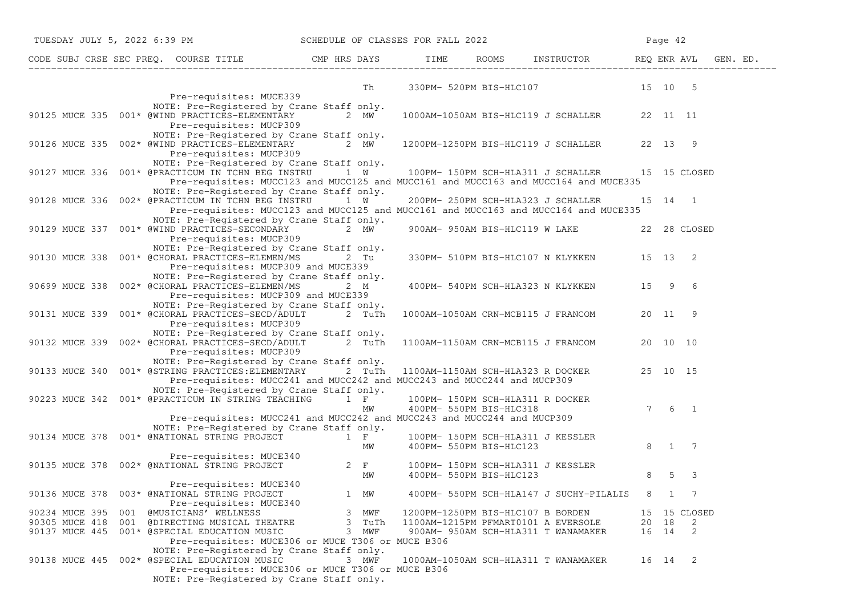| TUESDAY JULY 5, 2022 6:39 PM SCHEDULE OF CLASSES FOR FALL 2022                                                                                                                                                   |                                                                                            |                                   |                                              |          | Page 42               |                            |
|------------------------------------------------------------------------------------------------------------------------------------------------------------------------------------------------------------------|--------------------------------------------------------------------------------------------|-----------------------------------|----------------------------------------------|----------|-----------------------|----------------------------|
|                                                                                                                                                                                                                  |                                                                                            |                                   |                                              |          |                       |                            |
| Pre-requisites: MUCE339                                                                                                                                                                                          |                                                                                            |                                   | Th 330PM- 520PM BIS-HLC107 15 10 5           |          |                       |                            |
| NOTE: Pre-Registered by Crane Staff only.<br>90125 MUCE 335 001* @WIND PRACTICES-ELEMENTARY 2 MW<br>Pre-requisites: MUCP309                                                                                      |                                                                                            |                                   | 1000AM-1050AM BIS-HLC119 J SCHALLER 22 11 11 |          |                       |                            |
| NOTE: Pre-Registered by Crane Staff only.<br>90126 MUCE 335 002* @WIND PRACTICES-ELEMENTARY 2 MW<br>Pre-requisites: MUCP309                                                                                      |                                                                                            |                                   | 1200PM-1250PM BIS-HLC119 J SCHALLER 22 13 9  |          |                       |                            |
| NOTE: Pre-Registered by Crane Staff only.<br>90127 MUCE 336 001* @PRACTICUM IN TCHN BEG INSTRU 1 W <sup>1</sup> 100PM-150PM SCH-HLA311 J SCHALLER                                                                | Pre-requisites: MUCC123 and MUCC125 and MUCC161 and MUCC163 and MUCC164 and MUCE335        |                                   |                                              |          |                       | 15 15 CLOSED               |
| NOTE: Pre-Registered by Crane Staff only.<br>90128 MUCE 336 002* @PRACTICUM IN TCHN BEG INSTRU                                                                                                                   | 1 W<br>Pre-requisites: MUCC123 and MUCC125 and MUCC161 and MUCC163 and MUCC164 and MUCE335 |                                   | 200PM- 250PM SCH-HLA323 J SCHALLER           | 15 14 1  |                       |                            |
| NOTE: Pre-Registered by Crane Staff only.<br>90129 MUCE 337 001* @WIND PRACTICES-SECONDARY 2 MW<br>Pre-requisites: MUCP309                                                                                       |                                                                                            |                                   | 900AM- 950AM BIS-HLC119 W LAKE 22 28 CLOSED  |          |                       |                            |
| NOTE: Pre-Registered by Crane Staff only.<br>90130 MUCE 338  001* @CHORAL PRACTICES-ELEMEN/MS  2  Tu<br>Pre-requisites: MUCP309 and MUCE339                                                                      |                                                                                            |                                   | 330PM- 510PM BIS-HLC107 N KLYKKEN 15 13 2    |          |                       |                            |
| NOTE: Pre-Registered by Crane Staff only.<br>90699 MUCE 338 002* @CHORAL PRACTICES-ELEMEN/MS<br>Pre-requisites: MUCP309 and MUCE339                                                                              | 2 M                                                                                        |                                   | 400PM- 540PM SCH-HLA323 N KLYKKEN 15 9 6     |          |                       |                            |
| NOTE: Pre-Registered by Crane Staff only.<br>90131 MUCE 339 001* @CHORAL PRACTICES-SECD/ADULT 2 TuTh 1000AM-1050AM CRN-MCB115 J FRANCOM 20 11 9<br>Pre-requisites: MUCP309                                       |                                                                                            |                                   |                                              |          |                       |                            |
| NOTE: Pre-Registered by Crane Staff only.<br>90132 MUCE 339 002* @CHORAL PRACTICES-SECD/ADULT 2 TuTh<br>Pre-requisites: MUCP309                                                                                  |                                                                                            |                                   | 1100AM-1150AM CRN-MCB115 J FRANCOM           | 20 10 10 |                       |                            |
| NOTE: Pre-Registered by Crane Staff only.<br>90133 MUCE 340 001* @STRING PRACTICES: ELEMENTARY 2 TuTh                                                                                                            | Pre-requisites: MUCC241 and MUCC242 and MUCC243 and MUCC244 and MUCP309                    |                                   | 1100AM-1150AM SCH-HLA323 R DOCKER 25 10 15   |          |                       |                            |
| NOTE: Pre-Registered by Crane Staff only.<br>90223 MUCE 342  001* @PRACTICUM IN STRING TEACHING 1 F                                                                                                              | MW                                                                                         | 400PM- 550PM BIS-HLC318           | 100PM- 150PM SCH-HLA311 R DOCKER             |          | $7 \qquad 6 \qquad 1$ |                            |
|                                                                                                                                                                                                                  | Pre-requisites: MUCC241 and MUCC242 and MUCC243 and MUCC244 and MUCP309                    |                                   |                                              |          |                       |                            |
| NOTE: Pre-Registered by Crane Staff only.<br>90134 MUCE 378 001* @NATIONAL STRING PROJECT $\begin{array}{ccc} 1 & F & 100PM- 150PM & SCH-HLA311 & J KESSLER \ \texttt{MW} & 400PM- 550PM BIS-HLC123 \end{array}$ |                                                                                            |                                   |                                              |          | 8 1 7                 |                            |
| Pre-requisites: MUCE340<br>90135 MUCE 378 002* @NATIONAL STRING PROJECT 2 F 100PM-150PM SCH-HLA311 J KESSLER<br>-<br>Pre-requisites: MUCE340<br>TIONAL STRING PRACE                                              |                                                                                            | 400PM- 550PM BIS-HLC123           |                                              | 8        | .5                    | $\overline{3}$             |
| 90136 MUCE 378<br>003* @NATIONAL STRING PROJECT<br>Pre-requisites: MUCE340                                                                                                                                       | 1 MW                                                                                       |                                   | 400PM- 550PM SCH-HLA147 J SUCHY-PILALIS      | 8        |                       |                            |
| 001 @MUSICIANS' WELLNESS<br>90234 MUCE 395                                                                                                                                                                       | 3 MWF                                                                                      | 1200PM-1250PM BIS-HLC107 B BORDEN |                                              |          |                       | 15 15 CLOSED               |
| 90305 MUCE 418 001 @DIRECTING MUSICAL THEATRE                                                                                                                                                                    | 3 TuTh                                                                                     |                                   | 1100AM-1215PM PFMART0101 A EVERSOLE          | 20 18    |                       | 2                          |
| 90137 MUCE 445 001* @SPECIAL EDUCATION MUSIC                                                                                                                                                                     | 3 MWF<br>Pre-requisites: MUCE306 or MUCE T306 or MUCE B306                                 |                                   | 900AM- 950AM SCH-HLA311 T WANAMAKER          | 16 14    |                       | $\overline{\phantom{0}}^2$ |
| NOTE: Pre-Registered by Crane Staff only.<br>90138 MUCE 445 002* @SPECIAL EDUCATION MUSIC<br>NOTE: Pre-Registered by Crane Staff only.                                                                           | 3 MWF<br>Pre-requisites: MUCE306 or MUCE T306 or MUCE B306                                 |                                   | 1000AM-1050AM SCH-HLA311 T WANAMAKER         | 16 14 2  |                       |                            |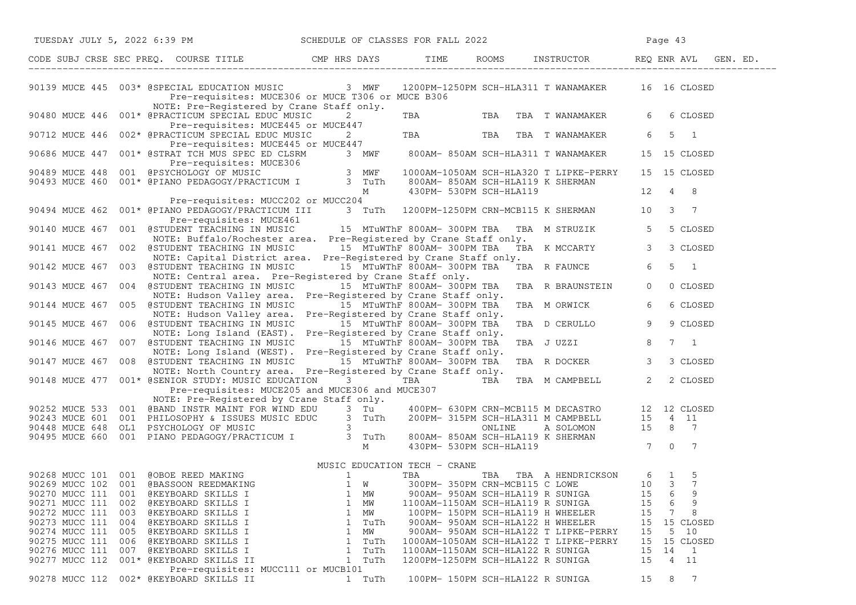|                |     | TUESDAY JULY 5, 2022 6:39 PM SCHEDULE OF CLASSES FOR FALL 2022                                                                                                                                                                                                          |                                                                    |                             |                                                                             |                 | Page 43                 |
|----------------|-----|-------------------------------------------------------------------------------------------------------------------------------------------------------------------------------------------------------------------------------------------------------------------------|--------------------------------------------------------------------|-----------------------------|-----------------------------------------------------------------------------|-----------------|-------------------------|
|                |     | CODE SUBJ CRSE SEC PREQ. COURSE TITLE CMP HRS DAYS TIME ROOMS INSTRUCTOR REQ ENR AVL GEN. ED.                                                                                                                                                                           |                                                                    |                             |                                                                             |                 |                         |
|                |     | Pre-requisites: MUCE306 or MUCE T306 or MUCE B306                                                                                                                                                                                                                       | 3 MWF                                                              |                             | 1200PM-1250PM SCH-HLA311 T WANAMAKER 16 16 CLOSED                           |                 |                         |
|                |     | NOTE: Pre-Registered by Crane Staff only.<br>90480 MUCE 446 001* @PRACTICUM SPECIAL EDUC MUSIC<br>Pre-requisites: MUCE445 or MUCE447                                                                                                                                    | $2 \left( \frac{1}{2} \right)$                                     |                             | TBA TBA TBA TWANAMAKER                                                      | 6               | 6 CLOSED                |
|                |     | 90712 MUCE 446 002* @PRACTICUM SPECIAL EDUC MUSIC<br>ACTICUM SPECIAL EDUC MUSIC 2<br>Pre-requisites: MUCE445 or MUCE447                                                                                                                                                 |                                                                    |                             | TBA TBA TBA TWANAMAKER                                                      | 6               | $5 \quad 1$             |
|                |     | 001* @STRAT TCH MUS SPEC ED CLSRM 3 MWF 800AM-850AM SCH-HLA311 T WANAMAKER<br>90686 MUCE 447 001* @STRAT TCH MUS SERGE LAD CRISIC<br>Pre-requisites: MUCE306<br>90489 MUCE 448 001 @PSYCHOLOGY OF MUSIC 3 MWF<br>90493 MUCE 460 001* @PIANO PEDAGOGY/PRACTICUM I 3 TuTh |                                                                    |                             |                                                                             |                 | 15 15 CLOSED            |
|                |     |                                                                                                                                                                                                                                                                         |                                                                    |                             | 1000AM-1050AM SCH-HLA320 T LIPKE-PERRY<br>800AM- 850AM SCH-HLA119 K SHERMAN |                 | 15 15 CLOSED            |
|                |     | Pre-requisites: MUCC202 or MUCC204                                                                                                                                                                                                                                      |                                                                    | 430PM- 530PM SCH-HLA119     |                                                                             | 12              | 4 8                     |
|                |     | 90494 MUCE 462 001* @PIANO PEDAGOGY/PRACTICUM III 3 TuTh 1200PM-1250PM CRN-MCB115 K SHERMAN 10 3 7<br>Pre-requisites: MUCE461                                                                                                                                           |                                                                    |                             |                                                                             |                 |                         |
|                |     | 90140 MUCE 467 001 @STUDENT TEACHING IN MUSIC 15 MTuWThF 800AM-300PM TBA<br>NOTE: Buffalo/Rochester area. Pre-Registered by Crane Staff only.                                                                                                                           |                                                                    |                             | TBA M STRUZIK                                                               | $5\overline{)}$ | 5 CLOSED                |
|                |     | 90141 MUCE 467 002 @STUDENT TEACHING IN MUSIC 15 MTuWThF 800AM-300PM TBA<br>NOTE: Capital District area. Pre-Registered by Crane Staff only.                                                                                                                            |                                                                    |                             | TBA K MCCARTY                                                               | $\mathbf{3}$    | 3 CLOSED                |
|                |     | 90142 MUCE 467 003 @STUDENT TEACHING IN MUSIC<br>NOTE: Central area. Pre-Registered by Crane Staff only.<br>90143 MUCE 467 004 @STUDENT TEACHING IN MUSIC                                                                                                               | 15 MTuWThF 800AM- 300PM TBA<br>15 MTuWThF 800AM- 300PM TBA         |                             | TBA R FAUNCE<br>TBA R BRAUNSTEIN                                            | 6<br>$\circ$    | $5 \quad 1$<br>0 CLOSED |
|                |     | NOTE: Hudson Valley area. Pre-Registered by Crane Staff only.<br>90144 MUCE 467 005 @STUDENT TEACHING IN MUSIC                                                                                                                                                          |                                                                    | 15 MTuWThF 800AM- 300PM TBA | TBA M ORWICK                                                                | 6               | 6 CLOSED                |
| 90145 MUCE 467 |     | NOTE: Hudson Valley area.<br>006 @STUDENT TEACHING IN MUSIC                                                                                                                                                                                                             | Pre-Registered by Crane Staff only.<br>15 MTuWThF 800AM- 300PM TBA |                             | TBA D CERULLO                                                               | 9               | 9 CLOSED                |
|                |     | NOTE: Long Island (EAST). Pre-Registered by Crane Staff only.<br>90146 MUCE 467 007 @STUDENT TEACHING IN MUSIC                                                                                                                                                          |                                                                    | 15 MTuWThF 800AM- 300PM TBA | TBA J UZZI                                                                  | 8               | $7 \quad 1$             |
|                |     | NOTE: Long Island (WEST). Pre-Registered by Crane Staff only.<br>90147 MUCE 467 008 @STUDENT TEACHING IN MUSIC 15 MTuWThF 800AM-300PM TBA                                                                                                                               |                                                                    |                             | TBA R DOCKER                                                                | $\mathcal{S}$   | 3 CLOSED                |
|                |     | NOTE: North Country area. Pre-Registered by Crane Staff only.<br>90148 MUCE 477 001* @SENIOR STUDY: MUSIC EDUCATION 3 TBA TBA TBA                                                                                                                                       |                                                                    |                             | TBA M CAMPBELL 2                                                            |                 | 2 CLOSED                |
|                |     | Pre-requisites: MUCE205 and MUCE306 and MUCE307<br>NOTE: Pre-Registered by Crane Staff only.                                                                                                                                                                            |                                                                    |                             |                                                                             |                 |                         |
|                |     |                                                                                                                                                                                                                                                                         |                                                                    |                             |                                                                             |                 |                         |
|                |     |                                                                                                                                                                                                                                                                         |                                                                    |                             |                                                                             |                 |                         |
|                |     |                                                                                                                                                                                                                                                                         |                                                                    |                             |                                                                             |                 |                         |
|                |     | 90252 MUCE 533 001 (BAND INSTR MAINT FOR WIND EDU 3 Tu<br>90243 MUCE 601 001 PHILOSOPH OF MUSIC EDUC 3 TuTh 200PM- 630PM CRN-MCB115 M DECASTRO 12 12 CLOSED<br>90448 MUCE 648 OL1 PSYCHOLOGY OF MUSIC EDUC 3 TuTh 200PM- 315PM SC                                       |                                                                    |                             |                                                                             |                 |                         |
|                |     |                                                                                                                                                                                                                                                                         |                                                                    |                             |                                                                             |                 |                         |
|                |     |                                                                                                                                                                                                                                                                         |                                                                    |                             | TBA TBA A HENDRICKSON 6 1                                                   |                 | 5                       |
|                |     | 90268 MUCC 101 001 @OBOE REED MAKING MUSIC EDUCATION TECH - CRANE<br>90269 MUCC 102 001 @BASSOON REEDMAKING 1 W 300PM-350PM                                                                                                                                             |                                                                    |                             | 300PM- 350PM CRN-MCB115 C LOWE 10 3                                         |                 | 7                       |
| 90270 MUCC 111 | 001 | @KEYBOARD SKILLS I                                                                                                                                                                                                                                                      | МW<br>1                                                            |                             | 900AM- 950AM SCH-HLA119 R SUNIGA                                            | 15              | 9<br>6                  |
| 90271 MUCC 111 | 002 | @KEYBOARD SKILLS I                                                                                                                                                                                                                                                      | 1<br>MW                                                            |                             | 1100AM-1150AM SCH-HLA119 R SUNIGA                                           | 15              | 9<br>6                  |
| 90272 MUCC 111 | 003 | @KEYBOARD SKILLS I                                                                                                                                                                                                                                                      | 1<br>MW                                                            |                             | 100PM- 150PM SCH-HLA119 H WHEELER                                           | 15              | 8<br>7                  |
| 90273 MUCC 111 | 004 | @KEYBOARD SKILLS I                                                                                                                                                                                                                                                      | 1<br>TuTh                                                          |                             | 900AM- 950AM SCH-HLA122 H WHEELER                                           | 15              | 15 CLOSED               |
| 90274 MUCC 111 | 005 | @KEYBOARD SKILLS I                                                                                                                                                                                                                                                      | МW<br>1                                                            |                             | 900AM- 950AM SCH-HLA122 T LIPKE-PERRY                                       | 15              | 5<br>10                 |
| 90275 MUCC 111 | 006 | @KEYBOARD SKILLS I                                                                                                                                                                                                                                                      | TuTh<br>1                                                          |                             | 1000AM-1050AM SCH-HLA122 T LIPKE-PERRY                                      | 15              | 15 CLOSED               |
| 90276 MUCC 111 | 007 | @KEYBOARD SKILLS I                                                                                                                                                                                                                                                      | 1<br>TuTh                                                          |                             | 1100AM-1150AM SCH-HLA122 R SUNIGA                                           | 15              | 14<br>$\mathbf{1}$      |
| 90277 MUCC 112 |     | 001* @KEYBOARD SKILLS II<br>Pre-requisites: MUCC111 or MUCB101                                                                                                                                                                                                          | TuTh<br>1                                                          |                             | 1200PM-1250PM SCH-HLA122 R SUNIGA                                           | 15              | 4<br>11                 |
| 90278 MUCC 112 |     | 002* @KEYBOARD SKILLS II                                                                                                                                                                                                                                                | 1 TuTh                                                             |                             | 100PM- 150PM SCH-HLA122 R SUNIGA                                            | 15              | 7<br>8                  |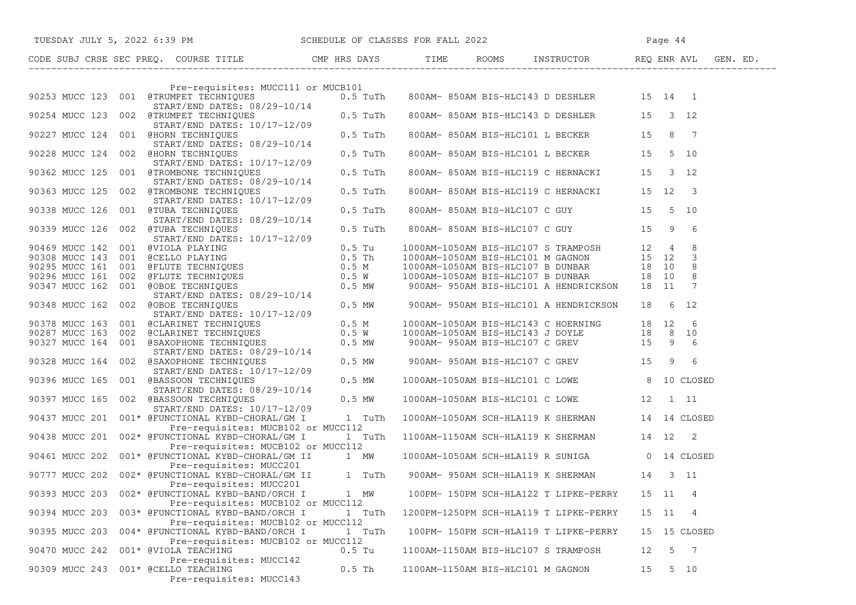| TUESDAY JULY 5, 2022 6:39 PM SCHEDULE OF CLASSES FOR FALL 2022                                                                                                                                                                             |                                                                         |          |                                   |                                                 |       |    |                |  |
|--------------------------------------------------------------------------------------------------------------------------------------------------------------------------------------------------------------------------------------------|-------------------------------------------------------------------------|----------|-----------------------------------|-------------------------------------------------|-------|----|----------------|--|
| CODE SUBJ CRSE SEC PREQ. COURSE TITLE THE ROOMS INSTRUCTOR REQ ENR AVL GEN. ED.                                                                                                                                                            |                                                                         |          |                                   |                                                 |       |    |                |  |
|                                                                                                                                                                                                                                            | Pre-requisites: MUCC111 or MUCB101                                      |          |                                   |                                                 |       |    |                |  |
| 90253 MUCC 123 001 @TRUMPET TECHNIQUES<br>START/END DATES: 08/29-10/14<br>90254 MUCC 123 002 @TRUMPET TECHNIQUES<br>90227 MUCC 124 001 @HORN TECHNIQUES<br>90227 MUCC 124 001 @HORN TECHNIQUES<br>90227 MUCC 124 001 @HORN TECHNIQUES<br>9 |                                                                         |          |                                   |                                                 |       |    |                |  |
|                                                                                                                                                                                                                                            |                                                                         |          |                                   |                                                 |       |    |                |  |
|                                                                                                                                                                                                                                            | START/END DATES: 08/29-10/14                                            |          |                                   |                                                 |       |    |                |  |
| 90228 MUCC 124 002 @HORN TECHNIQUES 61/17-12/09<br>90362 MUCC 125 001 @TROMBONE TECHNIQUES 61.5 Turn<br>90363 MUCC 125 002 @TROMBONE TECHNIQUES 61/17-12/09<br>90363 MUCC 125 002 @TROMBONE TECHNIQUES 61/17-12/09<br>90338 MUCC 126 0     |                                                                         |          |                                   | 800AM-850AM BIS-HLC101 L BECKER 15 5 10         |       |    |                |  |
|                                                                                                                                                                                                                                            |                                                                         |          |                                   | 800AM-850AM BIS-HLC119 C HERNACKI 15 3 12       |       |    |                |  |
|                                                                                                                                                                                                                                            |                                                                         |          |                                   | 800AM-850AM BIS-HLC119 C HERNACKI 15 12 3       |       |    |                |  |
|                                                                                                                                                                                                                                            |                                                                         |          |                                   | 800AM-850AM BIS-HLC107 C GUY 15 5 10            |       |    |                |  |
| START/END DATES: 08/29-10/14<br>90339 MUCC 126 002 @TUBA TECHNIQUES 08/29-10/14                                                                                                                                                            | START/END DATES: 10/17-12/09                                            |          |                                   | 800AM-850AM BIS-HLC107 C GUY 15 9 6             |       |    |                |  |
|                                                                                                                                                                                                                                            |                                                                         |          |                                   |                                                 |       |    |                |  |
|                                                                                                                                                                                                                                            |                                                                         |          |                                   |                                                 |       |    |                |  |
|                                                                                                                                                                                                                                            |                                                                         |          |                                   |                                                 |       |    |                |  |
|                                                                                                                                                                                                                                            |                                                                         |          |                                   |                                                 |       |    |                |  |
| 90469 MUCC 142 001 @VIOLA PLAYING<br>90308 MUCC 143 001 @CELLO PLAYING<br>90295 MUCC 161 001 @FLUTE TECHNIQUES<br>90296 MUCC 161 002 @FLUTE TECHNIQUES<br>90296 MUCC 161 002 @FLUTE TECHNIQUES<br>90347 MUCC 162 001 @OBOE TECHNIQUES<br>9 |                                                                         |          |                                   |                                                 |       |    |                |  |
| 90348 MUCC 162 002 @OBOE TECHNIQUES                                                                                                                                                                                                        | START/END DATES: 10/17-12/09                                            |          |                                   |                                                 |       |    |                |  |
|                                                                                                                                                                                                                                            |                                                                         |          |                                   |                                                 |       |    |                |  |
|                                                                                                                                                                                                                                            |                                                                         |          |                                   |                                                 |       |    |                |  |
|                                                                                                                                                                                                                                            |                                                                         |          |                                   |                                                 |       |    |                |  |
| 90378 MUCC 163 001 (CLARINET TECHNIQUES 0.5 M<br>90287 MUCC 163 002 (CLARINET TECHNIQUES 0.5 M<br>90327 MUCC 164 001 (GARINET TECHNIQUES 0.5 M<br>90327 MUCC 164 001 (GARINET TECHNIQUES 0.5 MW 900AM-1050AM BIS-HLC107 C GREV 15 9        |                                                                         |          |                                   |                                                 |       |    |                |  |
| START/END DATES: 08/29-10/14<br>90397 MUCC 165 002 @BASSOON TECHNIQUES 0.5 MW                                                                                                                                                              |                                                                         |          |                                   | 1000AM-1050AM BIS-HLC101 C LOWE 8 10 CLOSED     |       |    |                |  |
|                                                                                                                                                                                                                                            | START/END DATES: 10/17-12/09                                            |          |                                   | 1000AM-1050AM BIS-HLC101 C LOWE 12 1 11         |       |    |                |  |
| 90437 MUCC 201 001* @FUNCTIONAL KYBD-CHORAL/GM I 1 TuTh                                                                                                                                                                                    | Pre-requisites: MUCB102 or MUCC112                                      |          |                                   | 1000AM-1050AM SCH-HLA119 K SHERMAN 14 14 CLOSED |       |    |                |  |
| 90438 MUCC 201 002* @FUNCTIONAL KYBD-CHORAL/GM I 1 TuTh                                                                                                                                                                                    | Pre-requisites: MUCB102 or MUCC112                                      |          |                                   | 1100AM-1150AM SCH-HLA119 K SHERMAN 14 12 2      |       |    |                |  |
| 90461 MUCC 202 001* @FUNCTIONAL KYBD-CHORAL/GM II 1 MW                                                                                                                                                                                     | Pre-requisites: MUCC201                                                 |          |                                   | 1000AM-1050AM SCH-HLA119 R SUNIGA 0 14 CLOSED   |       |    |                |  |
| 90777 MUCC 202 002* @FUNCTIONAL KYBD-CHORAL/GM II 1 TuTh 900AM-950AM SCH-HLA119 K SHERMAN 14 3 11                                                                                                                                          | Pre-requisites: MUCC201                                                 |          |                                   |                                                 |       |    |                |  |
| 90393 MUCC 203                                                                                                                                                                                                                             | 002* @FUNCTIONAL KYBD-BAND/ORCH I<br>Pre-requisites: MUCB102 or MUCC112 | 1 MW     |                                   | 100PM- 150PM SCH-HLA122 T LIPKE-PERRY           | 15    | 11 | 4              |  |
| 90394 MUCC 203                                                                                                                                                                                                                             | 003* @FUNCTIONAL KYBD-BAND/ORCH I<br>Pre-requisites: MUCB102 or MUCC112 | 1 TuTh   |                                   | 1200PM-1250PM SCH-HLA119 T LIPKE-PERRY          | 15 11 |    | 4              |  |
| 90395 MUCC 203                                                                                                                                                                                                                             | 004* @FUNCTIONAL KYBD-BAND/ORCH I<br>Pre-requisites: MUCB102 or MUCC112 | 1 TuTh   |                                   | 100PM- 150PM SCH-HLA119 T LIPKE-PERRY           | 15    |    | 15 CLOSED      |  |
| 90470 MUCC 242<br>001* @VIOLA TEACHING                                                                                                                                                                                                     | Pre-requisites: MUCC142                                                 | $0.5$ Tu |                                   | 1100AM-1150AM BIS-HLC107 S TRAMPOSH             | 12    | 5  | $\overline{7}$ |  |
| 90309 MUCC 243 001* @CELLO TEACHING                                                                                                                                                                                                        | Pre-requisites: MUCC143                                                 | $0.5$ Th | 1100AM-1150AM BIS-HLC101 M GAGNON |                                                 | 15    |    | 5 10           |  |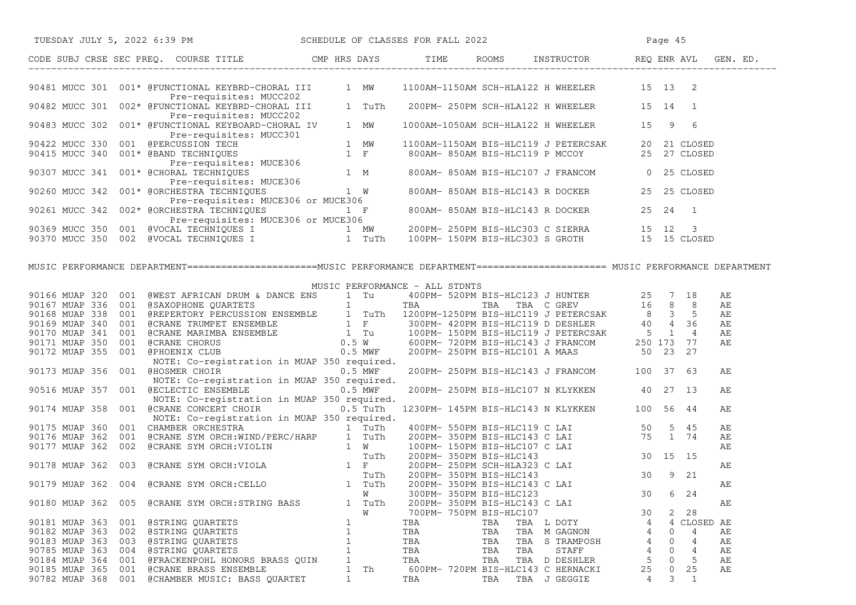| TUESDAY JULY 5, 2022 6:39 PM SCHEDULE OF CLASSES FOR FALL 2022                                                                                                                                                                                                                                |                                |     |                                                          |                                              |                | Page 45           |           |  |
|-----------------------------------------------------------------------------------------------------------------------------------------------------------------------------------------------------------------------------------------------------------------------------------------------|--------------------------------|-----|----------------------------------------------------------|----------------------------------------------|----------------|-------------------|-----------|--|
| CODE SUBJ CRSE SEC PREQ. COURSE TITLE THE CMP HRS DAYS TIME ROOMS INSTRUCTOR REQ ENR AVL GEN. ED.                                                                                                                                                                                             |                                |     |                                                          |                                              |                |                   |           |  |
|                                                                                                                                                                                                                                                                                               |                                |     |                                                          |                                              |                |                   |           |  |
| 90481 MUCC 301 001* @FUNCTIONAL KEYBRD-CHORAL III 1 MW 1100AM-1150AM SCH-HLA122 H WHEELER 15 13 2<br>Pre-requisites: MUCC202<br>90482 MUCC 301 002* @FUNCTIONAL KEYBRD-CHORAL III 1 TuTh 200PM- 250PM SCH-HLA122 H WHEELER 15 14 1<br>Pre-requisites: MUCC202                                 |                                |     |                                                          |                                              |                |                   |           |  |
| 90483 MUCC 302 001* @FUNCTIONAL KEYBOARD-CHORAL IV 1 MW<br>PERIOD BETACLUS CONTROLLING PRE-PERIOD BETACLES INCREDIBLE PRESSURE PRE-PERIOD BETACLES INCRED 1<br>90422 MUCC 330 001 @EERCUSSION TECH<br>90415 MUCC 340 001* @EARD TECHNIQUES 1 MM 1100AM-1150AM BIS-HLC119 J PETERCSAK 20 21 CL |                                |     |                                                          | 1000AM-1050AM SCH-HLA122 H WHEELER 15 9 6    |                |                   |           |  |
|                                                                                                                                                                                                                                                                                               |                                |     |                                                          |                                              |                |                   |           |  |
|                                                                                                                                                                                                                                                                                               |                                |     |                                                          |                                              |                |                   |           |  |
|                                                                                                                                                                                                                                                                                               |                                |     |                                                          |                                              |                |                   |           |  |
|                                                                                                                                                                                                                                                                                               |                                |     |                                                          |                                              |                |                   |           |  |
|                                                                                                                                                                                                                                                                                               |                                |     |                                                          |                                              |                |                   |           |  |
|                                                                                                                                                                                                                                                                                               |                                |     |                                                          |                                              |                |                   |           |  |
|                                                                                                                                                                                                                                                                                               |                                |     |                                                          |                                              |                |                   |           |  |
|                                                                                                                                                                                                                                                                                               |                                |     |                                                          |                                              |                |                   |           |  |
| Pre-requisites: MUCE306 or MUCE306<br>90369 MUCC 350 001 @VOCAL TECHNIQUES I 1 MW 200PM-250PM BIS-HLC303 C SIERRA 15 12 3<br>90370 MUCC 350 002 @VOCAL TECHNIQUES I 1 TuTh 100PM-150PM BIS-HLC303 S GROTH 15 15 CLOSED                                                                        |                                |     |                                                          |                                              |                |                   |           |  |
|                                                                                                                                                                                                                                                                                               |                                |     |                                                          |                                              |                |                   |           |  |
|                                                                                                                                                                                                                                                                                               |                                |     |                                                          |                                              |                |                   |           |  |
| MUSIC PERFORMANCE DEPARTMENT=======================MUSIC PERFORMANCE DEPARTMENT===================== MUSIC PERFORMANCE DEPARTMENT                                                                                                                                                             |                                |     |                                                          |                                              |                |                   |           |  |
|                                                                                                                                                                                                                                                                                               | MUSIC PERFORMANCE - ALL STDNTS |     |                                                          |                                              |                |                   |           |  |
|                                                                                                                                                                                                                                                                                               |                                |     |                                                          |                                              |                |                   | AE        |  |
|                                                                                                                                                                                                                                                                                               |                                |     |                                                          |                                              |                |                   | AE        |  |
|                                                                                                                                                                                                                                                                                               |                                |     |                                                          |                                              |                |                   | AE        |  |
|                                                                                                                                                                                                                                                                                               |                                |     |                                                          |                                              |                |                   | AE        |  |
|                                                                                                                                                                                                                                                                                               |                                |     |                                                          |                                              |                |                   | AЕ        |  |
|                                                                                                                                                                                                                                                                                               |                                |     |                                                          |                                              |                |                   | AЕ        |  |
|                                                                                                                                                                                                                                                                                               |                                |     |                                                          |                                              |                |                   |           |  |
| NOTE: Co-registration in MUAP 350 required.                                                                                                                                                                                                                                                   |                                |     |                                                          |                                              |                |                   |           |  |
| 90173 MUAP 356 001 @HOSMER CHOIR 0.5 MWF                                                                                                                                                                                                                                                      |                                |     |                                                          | 200PM- 250PM BIS-HLC143 J FRANCOM 100 37 63  |                |                   | AЕ        |  |
| NOTE: Co-registration in MUAP 350 required.<br>90516 MUAP 357 001 @ECLECTIC ENSEMBLE 0.5 MWF                                                                                                                                                                                                  |                                |     |                                                          | 200PM-250PM BIS-HLC107 N KLYKKEN 40 27 13    |                |                   | AE        |  |
| NOTE: Co-registration in MUAP 350 required.                                                                                                                                                                                                                                                   |                                |     |                                                          |                                              |                |                   |           |  |
| 90174 MUAP 358 001 @CRANE CONCERT CHOIR 0.5 TuTh                                                                                                                                                                                                                                              |                                |     |                                                          | 1230PM- 145PM BIS-HLC143 N KLYKKEN 100 56 44 |                |                   | AE        |  |
| NOTE: Co-registration in MUAP 350 required.                                                                                                                                                                                                                                                   |                                |     |                                                          |                                              |                |                   |           |  |
|                                                                                                                                                                                                                                                                                               |                                |     |                                                          |                                              |                |                   | AЕ        |  |
|                                                                                                                                                                                                                                                                                               |                                |     |                                                          |                                              |                |                   | AЕ        |  |
|                                                                                                                                                                                                                                                                                               |                                |     |                                                          |                                              |                |                   | AЕ        |  |
| 90175 MUAP 360 001 CHAMBER ORCHESTRA 1 TUTH 200PM-550PM BIS-HLC119 C LAI 50 5 45<br>90176 MUAP 362 001 @CRANE SYM ORCH:VIOLIN 1 W 100PM-550PM BIS-HLC143 C LAI 75 1 74<br>90177 MUAP 362 002 @CRANE SYM ORCH:VIOLIN 1 W 100PM-150PM                                                           |                                |     |                                                          |                                              |                |                   |           |  |
|                                                                                                                                                                                                                                                                                               |                                |     |                                                          |                                              |                |                   | AЕ        |  |
|                                                                                                                                                                                                                                                                                               |                                |     |                                                          |                                              |                |                   |           |  |
|                                                                                                                                                                                                                                                                                               |                                |     |                                                          |                                              |                |                   | AЕ        |  |
|                                                                                                                                                                                                                                                                                               | W                              |     | 300PM- 350PM BIS-HLC123                                  |                                              | 30             | 6 24              |           |  |
| 90180 MUAP 362 005 @CRANE SYM ORCH:STRING BASS                                                                                                                                                                                                                                                | 1 TuTh<br>W                    |     | 200PM- 350PM BIS-HLC143 C LAI<br>700PM- 750PM BIS-HLC107 |                                              | 30             | 28<br>2           | AЕ        |  |
| 90181 MUAP 363<br>@STRING QUARTETS<br>001                                                                                                                                                                                                                                                     | 1                              | TBA | TBA                                                      | TBA L DOTY                                   | 4              | 4                 | CLOSED AE |  |
| 90182 MUAP 363<br>002<br>@STRING QUARTETS                                                                                                                                                                                                                                                     | $\mathbf{1}$                   | TBA | TBA<br>TBA                                               | M GAGNON                                     | 4              | $\mathbf 0$<br>4  | AЕ        |  |
| 90183 MUAP 363<br>003<br>@STRING QUARTETS                                                                                                                                                                                                                                                     | $\mathbf{1}$                   | TBA | TBA<br>TBA                                               | S TRAMPOSH                                   | 4              | 4<br>0            | АE        |  |
| 90785 MUAP 363<br>004<br>@STRING QUARTETS                                                                                                                                                                                                                                                     | $\mathbf{1}$                   | TBA | TBA<br>TBA                                               | STAFF                                        | $\overline{4}$ | $\mathbf{0}$<br>4 | AЕ        |  |
| 90184 MUAP 364<br>001<br>@FRACKENPOHL HONORS BRASS QUIN                                                                                                                                                                                                                                       | 1                              | TBA | TBA                                                      | TBA D DESHLER                                | 5              | 5<br>0            | AЕ        |  |
| 90185 MUAP 365<br>001<br><b>@CRANE BRASS ENSEMBLE</b>                                                                                                                                                                                                                                         | 1 Th                           |     |                                                          | 600PM- 720PM BIS-HLC143 C HERNACKI           | 25             | 0<br>25           | AЕ        |  |
| 90782 MUAP 368<br>001 @CHAMBER MUSIC: BASS QUARTET                                                                                                                                                                                                                                            | $\mathbf{1}$                   | TBA | TBA                                                      | TBA J GEGGIE                                 | 4              | 3<br>1            |           |  |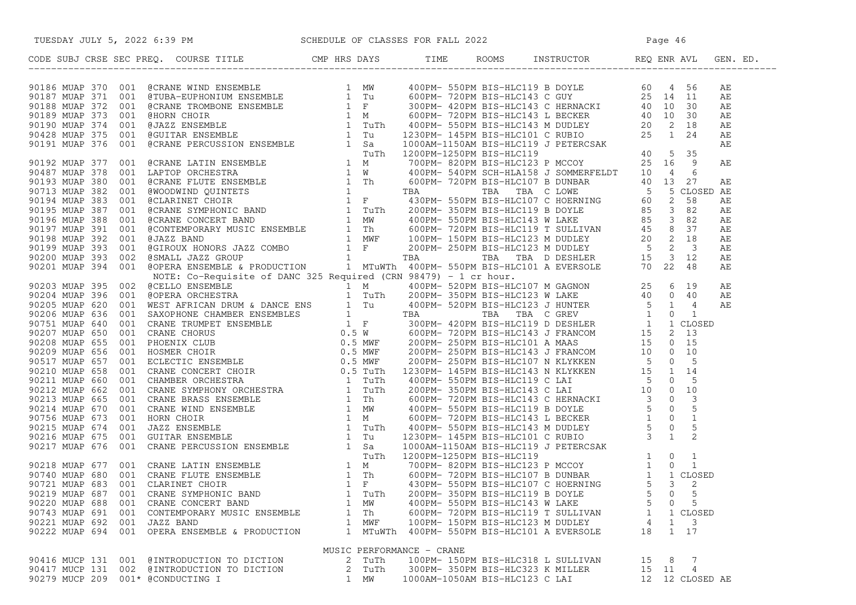|                                   | TUESDAY JULY 5, 2022 6:39 PM SCHEDULE OF CLASSES FOR FALL 2022                                                                                                                                                                                                                                                                                              |      |        |                           |                                |                                             |       |              |                         |  |
|-----------------------------------|-------------------------------------------------------------------------------------------------------------------------------------------------------------------------------------------------------------------------------------------------------------------------------------------------------------------------------------------------------------|------|--------|---------------------------|--------------------------------|---------------------------------------------|-------|--------------|-------------------------|--|
|                                   | CODE SUBJ CRSE SEC PREQ. COURSE TITLE CMP HRS DAYS TIME ROOMS INSTRUCTOR REQ ENR AVL GEN. ED.                                                                                                                                                                                                                                                               |      |        |                           |                                |                                             |       |              |                         |  |
|                                   | 30.1 $\sigma_{\text{M}}$ and $\sigma_{\text{M}}$ and $\sigma_{\text{M}}$ are all $\sigma_{\text{M}}$ and $\sigma_{\text{M}}$ and $\sigma_{\text{M}}$ and $\sigma_{\text{M}}$ and $\sigma_{\text{M}}$ and $\sigma_{\text{M}}$ and $\sigma_{\text{M}}$ are all $\sigma_{\text{M}}$ and $\sigma_{\text{M}}$ and $\sigma_{\text{M}}$ and $\sigma_{\text{M}}$ an |      |        |                           |                                |                                             |       |              |                         |  |
|                                   |                                                                                                                                                                                                                                                                                                                                                             |      |        |                           |                                |                                             |       |              |                         |  |
|                                   |                                                                                                                                                                                                                                                                                                                                                             |      |        |                           |                                |                                             |       |              |                         |  |
|                                   |                                                                                                                                                                                                                                                                                                                                                             |      |        |                           |                                |                                             |       |              |                         |  |
|                                   |                                                                                                                                                                                                                                                                                                                                                             |      |        |                           |                                |                                             |       |              |                         |  |
|                                   |                                                                                                                                                                                                                                                                                                                                                             |      |        |                           |                                |                                             |       |              |                         |  |
|                                   |                                                                                                                                                                                                                                                                                                                                                             |      |        |                           |                                |                                             |       |              |                         |  |
|                                   |                                                                                                                                                                                                                                                                                                                                                             |      |        |                           |                                |                                             |       |              |                         |  |
|                                   |                                                                                                                                                                                                                                                                                                                                                             |      |        |                           |                                |                                             |       |              |                         |  |
|                                   |                                                                                                                                                                                                                                                                                                                                                             |      |        |                           |                                |                                             |       |              |                         |  |
|                                   |                                                                                                                                                                                                                                                                                                                                                             |      |        |                           |                                |                                             |       |              |                         |  |
|                                   |                                                                                                                                                                                                                                                                                                                                                             |      |        |                           |                                |                                             |       |              |                         |  |
|                                   |                                                                                                                                                                                                                                                                                                                                                             |      |        |                           |                                |                                             |       |              |                         |  |
|                                   |                                                                                                                                                                                                                                                                                                                                                             |      |        |                           |                                |                                             |       |              |                         |  |
|                                   |                                                                                                                                                                                                                                                                                                                                                             |      |        |                           |                                |                                             |       |              |                         |  |
|                                   |                                                                                                                                                                                                                                                                                                                                                             |      |        |                           |                                |                                             |       |              |                         |  |
|                                   |                                                                                                                                                                                                                                                                                                                                                             |      |        |                           |                                |                                             |       |              |                         |  |
|                                   |                                                                                                                                                                                                                                                                                                                                                             |      |        |                           |                                |                                             |       |              |                         |  |
|                                   |                                                                                                                                                                                                                                                                                                                                                             |      |        |                           |                                |                                             |       |              |                         |  |
|                                   |                                                                                                                                                                                                                                                                                                                                                             |      |        |                           |                                |                                             |       |              |                         |  |
|                                   |                                                                                                                                                                                                                                                                                                                                                             |      |        |                           |                                |                                             |       |              |                         |  |
|                                   |                                                                                                                                                                                                                                                                                                                                                             |      |        |                           |                                |                                             |       |              |                         |  |
|                                   |                                                                                                                                                                                                                                                                                                                                                             |      |        |                           |                                |                                             |       |              |                         |  |
|                                   |                                                                                                                                                                                                                                                                                                                                                             |      |        |                           |                                |                                             |       |              |                         |  |
|                                   |                                                                                                                                                                                                                                                                                                                                                             |      |        |                           |                                |                                             |       |              |                         |  |
|                                   |                                                                                                                                                                                                                                                                                                                                                             |      |        |                           |                                |                                             |       |              |                         |  |
|                                   |                                                                                                                                                                                                                                                                                                                                                             |      |        |                           |                                |                                             |       |              |                         |  |
|                                   |                                                                                                                                                                                                                                                                                                                                                             |      |        |                           |                                |                                             |       |              |                         |  |
|                                   |                                                                                                                                                                                                                                                                                                                                                             |      |        |                           |                                |                                             |       |              |                         |  |
|                                   |                                                                                                                                                                                                                                                                                                                                                             |      |        |                           |                                |                                             |       |              |                         |  |
|                                   |                                                                                                                                                                                                                                                                                                                                                             |      |        |                           |                                |                                             |       |              |                         |  |
|                                   |                                                                                                                                                                                                                                                                                                                                                             |      |        |                           |                                |                                             |       |              |                         |  |
|                                   |                                                                                                                                                                                                                                                                                                                                                             |      |        |                           |                                |                                             |       |              |                         |  |
|                                   |                                                                                                                                                                                                                                                                                                                                                             |      |        |                           |                                |                                             |       |              |                         |  |
|                                   |                                                                                                                                                                                                                                                                                                                                                             |      |        |                           |                                |                                             |       |              |                         |  |
|                                   |                                                                                                                                                                                                                                                                                                                                                             |      |        |                           |                                |                                             |       |              |                         |  |
|                                   |                                                                                                                                                                                                                                                                                                                                                             |      |        |                           |                                |                                             |       |              |                         |  |
|                                   |                                                                                                                                                                                                                                                                                                                                                             |      |        |                           |                                |                                             |       |              |                         |  |
|                                   |                                                                                                                                                                                                                                                                                                                                                             |      |        |                           |                                |                                             |       |              |                         |  |
|                                   |                                                                                                                                                                                                                                                                                                                                                             |      |        |                           |                                |                                             |       |              |                         |  |
|                                   |                                                                                                                                                                                                                                                                                                                                                             |      |        |                           |                                |                                             |       |              |                         |  |
|                                   |                                                                                                                                                                                                                                                                                                                                                             |      |        |                           |                                |                                             |       |              |                         |  |
|                                   |                                                                                                                                                                                                                                                                                                                                                             |      |        |                           |                                |                                             |       |              |                         |  |
|                                   |                                                                                                                                                                                                                                                                                                                                                             |      |        |                           |                                |                                             |       |              |                         |  |
|                                   |                                                                                                                                                                                                                                                                                                                                                             |      |        |                           |                                |                                             |       |              |                         |  |
|                                   | 90220 MUAP 688 001 CRANE CONCERT BAND                                                                                                                                                                                                                                                                                                                       |      | 1 MW   |                           |                                | 400PM- 550PM BIS-HLC143 W LAKE              | 5     |              | -5<br>0                 |  |
|                                   | 90743 MUAP 691 001 CONTEMPORARY MUSIC ENSEMBLE                                                                                                                                                                                                                                                                                                              | 1 Th |        |                           |                                | 600PM- 720PM BIS-HLC119 T SULLIVAN          | 1     |              | 1 CLOSED                |  |
| 90221 MUAP 692 001 JAZZ BAND      |                                                                                                                                                                                                                                                                                                                                                             |      | 1 MWF  |                           |                                | 100PM- 150PM BIS-HLC123 M DUDLEY            | 4     | $\mathbf{1}$ | $\overline{\mathbf{3}}$ |  |
|                                   | 90222 MUAP 694 001 OPERA ENSEMBLE & PRODUCTION                                                                                                                                                                                                                                                                                                              |      |        |                           |                                | 1 MTuWTh 400PM- 550PM BIS-HLC101 A EVERSOLE | 18    |              | $1 \quad 17$            |  |
|                                   |                                                                                                                                                                                                                                                                                                                                                             |      |        | MUSIC PERFORMANCE - CRANE |                                |                                             |       |              |                         |  |
|                                   | 90416 MUCP 131 001 @INTRODUCTION TO DICTION                                                                                                                                                                                                                                                                                                                 |      | 2 TuTh |                           |                                | 100PM- 150PM BIS-HLC318 L SULLIVAN          | 15    | 8            | -7                      |  |
|                                   | 90417 MUCP 131 002 @INTRODUCTION TO DICTION                                                                                                                                                                                                                                                                                                                 |      | 2 TuTh |                           |                                | 300PM- 350PM BIS-HLC323 K MILLER            | 15 11 |              | $\overline{4}$          |  |
| 90279 MUCP 209 001* @CONDUCTING I |                                                                                                                                                                                                                                                                                                                                                             |      | 1 MW   |                           | 1000AM-1050AM BIS-HLC123 C LAI |                                             |       |              | 12 12 CLOSED AE         |  |
|                                   |                                                                                                                                                                                                                                                                                                                                                             |      |        |                           |                                |                                             |       |              |                         |  |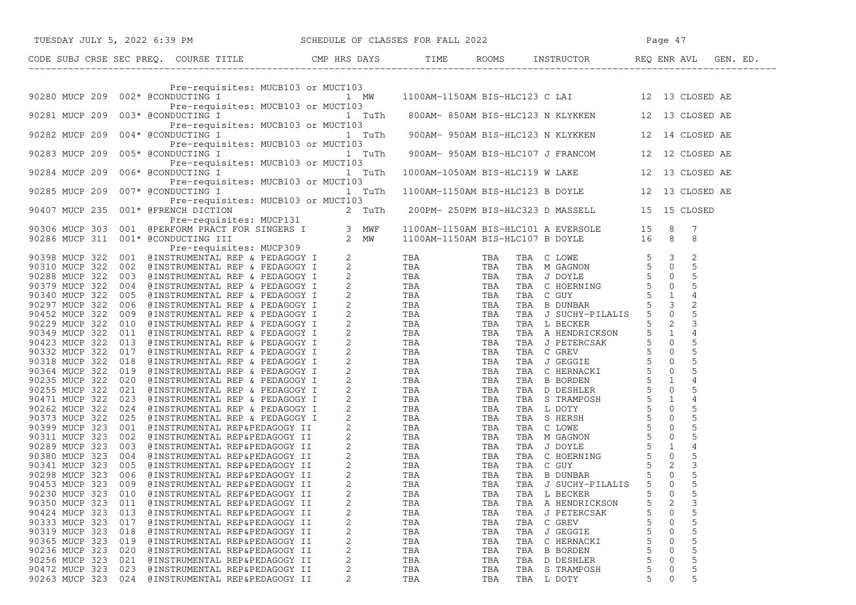| TUESDAY JULY 5, 2022 6:39 PM                                                              | SCHEDULE OF CLASSES FOR FALL 2022<br>Page 47                                                                                                                                                                                 |
|-------------------------------------------------------------------------------------------|------------------------------------------------------------------------------------------------------------------------------------------------------------------------------------------------------------------------------|
| CODE SUBJ CRSE SEC PREQ. COURSE TITLE TILE CMP HRS DAYS TIME ROOMS INSTRUCTOR REQ ENR AVL | GEN. ED.                                                                                                                                                                                                                     |
| Pre-requisites: MUCB103 or MUCT103                                                        |                                                                                                                                                                                                                              |
| Pre-requisites: MUCB103 or MUCT103                                                        | Pre-requisites: MUCBI03 or MUCTI03<br>90280 MUCP 209 002* @CONDUCTING I MW 1100AM-1150AM BIS-HLC123 C LAI 12 13 CLOSED AE                                                                                                    |
| 90281 MUCP 209<br>Pre-requisites: MUCB103 or MUCT103                                      | 003* @CONDUCTING I TUTh 800AM-850AM BIS-HLC123 N KLYKKEN 12 13 CLOSED AE                                                                                                                                                     |
| 004* @CONDUCTING I<br>90282 MUCP 209<br>Pre-requisites: MUCB103 or MUCT103                | ites: MUCB103 or MUCT103<br>1 TuTh 900AM-950AM BIS-HLC123 N KLYKKEN<br>12 14 CLOSED AE                                                                                                                                       |
| 005* @CONDUCTING I<br>90283 MUCP 209<br>Pre-requisites: MUCB103 or MUCT103                | 1 TuTh 900AM-950AM BIS-HLC107 J FRANCOM<br>12 12 CLOSED AE                                                                                                                                                                   |
| 006* @CONDUCTING I<br>90284 MUCP 209<br>1 TuTh<br>Pre-requisites: MUCB103 or MUCT103      | 1000AM-1050AM BIS-HLC119 W LAKE<br>12 13 CLOSED AE                                                                                                                                                                           |
| 007* @CONDUCTING I<br>90285 MUCP 209<br>1 TuTh<br>Pre-requisites: MUCB103 or MUCT103      | 1100AM-1150AM BIS-HLC123 B DOYLE<br>12 13 CLOSED AE                                                                                                                                                                          |
|                                                                                           |                                                                                                                                                                                                                              |
|                                                                                           | 90265 NUC<br>r 209 0074 SCANDUTING 1991 NEW 1100 AM-1150 AM-1150 AM-2210 SIOYLE 12 10 CLOSED AND 1100 AM-1150 AM 2220 2012 SIMPLE THE SUITE COSED AND SERVE THE SUITE COSED AND SERVE THE SUITE COSED AND SERVE THE SUITE CO |
|                                                                                           |                                                                                                                                                                                                                              |
|                                                                                           |                                                                                                                                                                                                                              |
|                                                                                           |                                                                                                                                                                                                                              |
|                                                                                           |                                                                                                                                                                                                                              |
|                                                                                           |                                                                                                                                                                                                                              |
|                                                                                           |                                                                                                                                                                                                                              |
|                                                                                           |                                                                                                                                                                                                                              |
|                                                                                           |                                                                                                                                                                                                                              |
|                                                                                           |                                                                                                                                                                                                                              |
|                                                                                           |                                                                                                                                                                                                                              |
|                                                                                           |                                                                                                                                                                                                                              |
|                                                                                           |                                                                                                                                                                                                                              |
|                                                                                           |                                                                                                                                                                                                                              |
|                                                                                           |                                                                                                                                                                                                                              |
|                                                                                           |                                                                                                                                                                                                                              |
|                                                                                           |                                                                                                                                                                                                                              |
|                                                                                           |                                                                                                                                                                                                                              |
|                                                                                           |                                                                                                                                                                                                                              |
|                                                                                           |                                                                                                                                                                                                                              |
|                                                                                           |                                                                                                                                                                                                                              |
|                                                                                           |                                                                                                                                                                                                                              |
|                                                                                           |                                                                                                                                                                                                                              |
|                                                                                           |                                                                                                                                                                                                                              |
|                                                                                           |                                                                                                                                                                                                                              |
|                                                                                           |                                                                                                                                                                                                                              |
|                                                                                           |                                                                                                                                                                                                                              |
| 2<br>90230 MUCP 323<br>010 @INSTRUMENTAL REP&PEDAGOGY II                                  | 5<br>$\mathbf 0$<br>TBA<br>TBA<br>TBA L BECKER                                                                                                                                                                               |
| 2<br>90350 MUCP 323<br>011<br>@INSTRUMENTAL REP&PEDAGOGY II                               | $\mathsf 3$<br>TBA A HENDRICKSON<br>5<br>2<br>TBA<br>TBA                                                                                                                                                                     |
| 90424 MUCP 323<br>013<br>2<br>@INSTRUMENTAL REP&PEDAGOGY II                               | 5<br>0<br>TBA<br>TBA<br>TBA J PETERCSAK                                                                                                                                                                                      |
| 2<br>90333 MUCP 323<br>017<br>@INSTRUMENTAL REP&PEDAGOGY II                               | $\mathsf S$<br>0<br>TBA C GREV<br>TBA<br>TBA                                                                                                                                                                                 |
| 90319 MUCP 323<br>2<br>018<br>@INSTRUMENTAL REP&PEDAGOGY II                               | 5<br>$\Omega$<br>TBA<br>TBA<br>TBA J GEGGIE                                                                                                                                                                                  |
| 2<br>90365 MUCP 323<br>019<br>@INSTRUMENTAL REP&PEDAGOGY II                               | 5<br>0<br>TBA<br>TBA<br>TBA C HERNACKI                                                                                                                                                                                       |
| 2<br>90236 MUCP 323<br>020<br>@INSTRUMENTAL REP&PEDAGOGY II                               | 5<br>TBA<br>TBA B BORDEN<br>$\Omega$<br>TBA                                                                                                                                                                                  |
| 2<br>90256 MUCP 323<br>021<br>@INSTRUMENTAL REP&PEDAGOGY II                               | 5<br>5<br>0<br>TBA D DESHLER<br>TBA<br>TBA                                                                                                                                                                                   |
| 2<br>90472 MUCP 323 023<br>@INSTRUMENTAL REP&PEDAGOGY II                                  | 5<br>TBA S TRAMPOSH<br>TBA<br>TBA<br>0                                                                                                                                                                                       |
| 90263 MUCP 323 024 @INSTRUMENTAL REP&PEDAGOGY II                                          | 5<br>TBA<br>TBA<br>TBA L DOTY<br>0                                                                                                                                                                                           |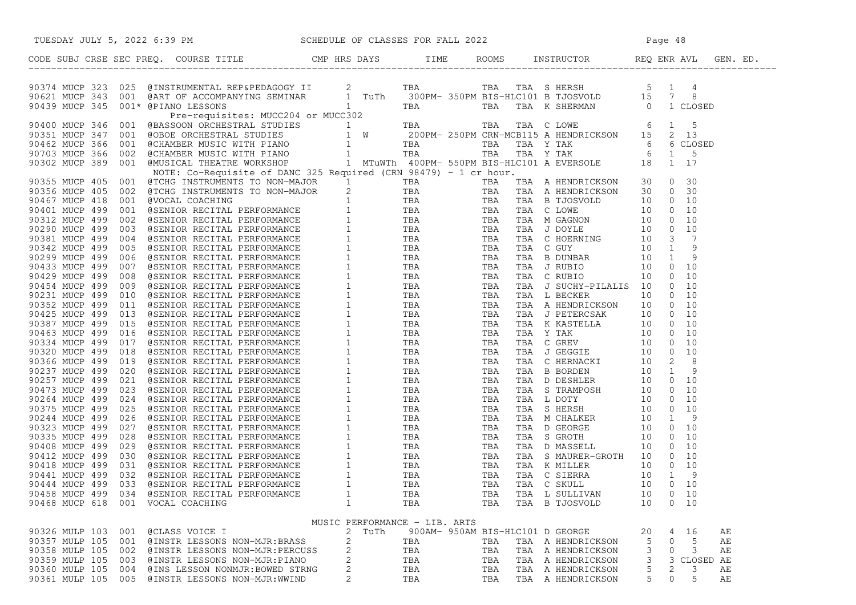| TUESDAY JULY 5, 2022 6:39 PM SCHEDULE OF CLASSES FOR FALL 2022                                                                                                                                                                |                               |     |                                  |                   |                     |
|-------------------------------------------------------------------------------------------------------------------------------------------------------------------------------------------------------------------------------|-------------------------------|-----|----------------------------------|-------------------|---------------------|
| CODE SUBJ CRSE SEC PREQ. COURSE TITLE CMP HRS DAYS TIME ROOMS INSTRUCTOR REQ ENR AVL GEN. ED.                                                                                                                                 |                               |     |                                  |                   |                     |
| CORRESPONDING CONFIDENTIAL CONFIDENTIAL CONFIDENTIAL CONFIDENTIAL CONFIDENTIAL CONFIDENTIAL CONFIDENTIAL CONFIDENTIAL CONFIDENTIAL CONFIDENTIAL CONFIDENTIAL CONFIDENTIAL CONFIDENTIAL CONFIDENTIAL CONFIDENTIAL CONFIDENTIAL |                               |     |                                  |                   |                     |
|                                                                                                                                                                                                                               |                               |     |                                  |                   |                     |
|                                                                                                                                                                                                                               |                               |     |                                  |                   |                     |
|                                                                                                                                                                                                                               |                               |     |                                  |                   |                     |
|                                                                                                                                                                                                                               |                               |     |                                  |                   |                     |
|                                                                                                                                                                                                                               |                               |     |                                  |                   |                     |
|                                                                                                                                                                                                                               |                               |     |                                  |                   |                     |
|                                                                                                                                                                                                                               |                               |     |                                  |                   |                     |
|                                                                                                                                                                                                                               |                               |     |                                  |                   |                     |
|                                                                                                                                                                                                                               |                               |     |                                  |                   |                     |
|                                                                                                                                                                                                                               |                               |     |                                  |                   |                     |
|                                                                                                                                                                                                                               |                               |     |                                  |                   |                     |
|                                                                                                                                                                                                                               |                               |     |                                  |                   |                     |
|                                                                                                                                                                                                                               |                               |     |                                  |                   |                     |
|                                                                                                                                                                                                                               |                               |     |                                  |                   |                     |
|                                                                                                                                                                                                                               |                               |     |                                  |                   |                     |
|                                                                                                                                                                                                                               |                               |     |                                  |                   |                     |
|                                                                                                                                                                                                                               |                               |     |                                  |                   |                     |
|                                                                                                                                                                                                                               |                               |     |                                  |                   |                     |
|                                                                                                                                                                                                                               |                               |     |                                  |                   |                     |
|                                                                                                                                                                                                                               |                               |     |                                  |                   |                     |
|                                                                                                                                                                                                                               |                               |     |                                  |                   |                     |
|                                                                                                                                                                                                                               |                               |     |                                  |                   |                     |
|                                                                                                                                                                                                                               |                               |     |                                  |                   |                     |
|                                                                                                                                                                                                                               |                               |     |                                  |                   |                     |
|                                                                                                                                                                                                                               |                               |     |                                  |                   |                     |
|                                                                                                                                                                                                                               |                               |     |                                  |                   |                     |
|                                                                                                                                                                                                                               |                               |     |                                  |                   |                     |
|                                                                                                                                                                                                                               |                               |     |                                  |                   |                     |
|                                                                                                                                                                                                                               |                               |     |                                  |                   |                     |
|                                                                                                                                                                                                                               |                               |     |                                  |                   |                     |
|                                                                                                                                                                                                                               |                               |     |                                  |                   |                     |
|                                                                                                                                                                                                                               |                               |     |                                  |                   |                     |
|                                                                                                                                                                                                                               |                               |     |                                  |                   |                     |
|                                                                                                                                                                                                                               |                               |     |                                  |                   |                     |
|                                                                                                                                                                                                                               |                               |     |                                  |                   |                     |
|                                                                                                                                                                                                                               |                               |     |                                  |                   |                     |
|                                                                                                                                                                                                                               |                               |     |                                  |                   |                     |
|                                                                                                                                                                                                                               |                               |     |                                  |                   |                     |
|                                                                                                                                                                                                                               |                               |     |                                  |                   |                     |
|                                                                                                                                                                                                                               |                               |     |                                  |                   |                     |
|                                                                                                                                                                                                                               |                               |     |                                  |                   |                     |
|                                                                                                                                                                                                                               |                               |     |                                  |                   |                     |
| 90458 MUCP 499<br>034<br>@SENIOR RECITAL PERFORMANCE                                                                                                                                                                          | 1                             | TBA | TBA                              | TBA L SULLIVAN    | $0\quad 10$<br>10   |
| 90468 MUCP 618<br>001 VOCAL COACHING                                                                                                                                                                                          | 1                             | TBA | TBA                              | TBA B TJOSVOLD    | $0\quad 10$<br>10   |
|                                                                                                                                                                                                                               | MUSIC PERFORMANCE - LIB. ARTS |     |                                  |                   |                     |
| 90326 MULP 103<br>001<br>@CLASS VOICE I                                                                                                                                                                                       | 2<br>TuTh                     |     | 900AM- 950AM BIS-HLC101 D GEORGE |                   | 20<br>16<br>4<br>AЕ |
| 90357 MULP 105<br>001<br>@INSTR LESSONS NON-MJR:BRASS                                                                                                                                                                         | 2                             | TBA | TBA                              | TBA A HENDRICKSON | 5<br>AЕ<br>5<br>0   |
| 90358 MULP 105<br>002<br>@INSTR LESSONS NON-MJR:PERCUSS                                                                                                                                                                       | 2                             | TBA | TBA                              | TBA A HENDRICKSON | 3<br>0<br>3<br>AЕ   |
| 90359 MULP 105<br>003<br>@INSTR LESSONS NON-MJR:PIANO                                                                                                                                                                         | 2                             | TBA | TBA                              | TBA A HENDRICKSON | 3<br>3<br>CLOSED AE |
| 90360 MULP 105<br>004<br>@INS LESSON NONMJR: BOWED STRNG                                                                                                                                                                      | 2                             | TBA | TBA                              | TBA A HENDRICKSON | 5<br>2<br>3<br>АE   |
| 90361 MULP 105 005 @INSTR LESSONS NON-MJR:WWIND                                                                                                                                                                               | 2                             | TBA | TBA                              | TBA A HENDRICKSON | 5<br>0<br>5<br>АE   |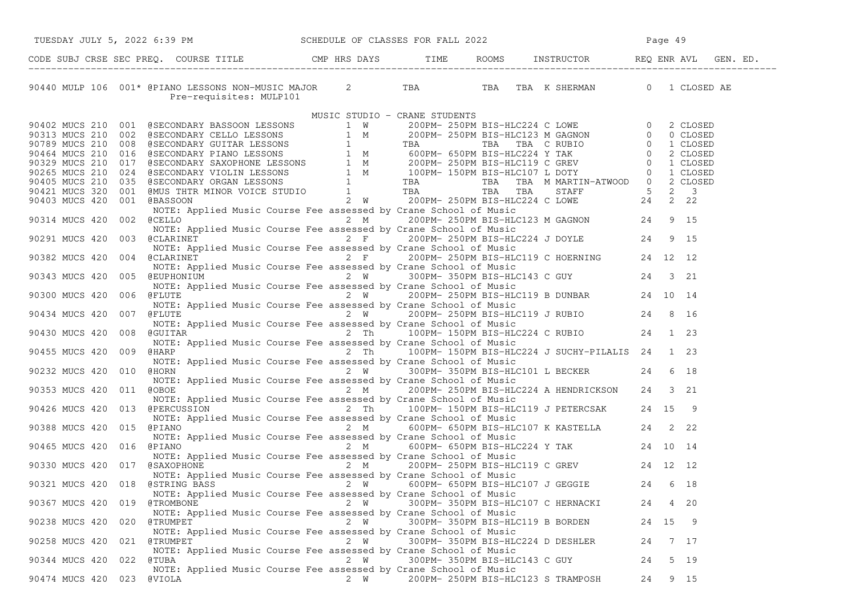| TUESDAY JULY 5, 2022 6:39 PM                                                                                                                                                                                                                 | SCHEDULE OF CLASSES FOR FALL 2022                                                         |                                    |                                    | Page 49 |         |  |
|----------------------------------------------------------------------------------------------------------------------------------------------------------------------------------------------------------------------------------------------|-------------------------------------------------------------------------------------------|------------------------------------|------------------------------------|---------|---------|--|
| CODE SUBJ CRSE SEC PREQ. COURSE TITLE THE CMP HRS DAYS TIME ROOMS INSTRUCTOR REQ ENR AVL GEN. ED.                                                                                                                                            |                                                                                           |                                    |                                    |         |         |  |
| 90440 MULP 106 001* @PIANO LESSONS NON-MUSIC MAJOR 2 TBA TBA TBA TBA K SHERMAN 0 1 CLOSED AE                                                                                                                                                 |                                                                                           |                                    |                                    |         |         |  |
|                                                                                                                                                                                                                                              | MUSIC STUDIO - CRANE STUDENTS                                                             |                                    |                                    |         |         |  |
|                                                                                                                                                                                                                                              |                                                                                           |                                    |                                    |         |         |  |
|                                                                                                                                                                                                                                              |                                                                                           |                                    |                                    |         |         |  |
|                                                                                                                                                                                                                                              |                                                                                           |                                    |                                    |         |         |  |
|                                                                                                                                                                                                                                              |                                                                                           |                                    |                                    |         |         |  |
|                                                                                                                                                                                                                                              |                                                                                           |                                    |                                    |         |         |  |
|                                                                                                                                                                                                                                              |                                                                                           |                                    |                                    |         |         |  |
|                                                                                                                                                                                                                                              |                                                                                           |                                    |                                    |         |         |  |
|                                                                                                                                                                                                                                              |                                                                                           |                                    |                                    |         |         |  |
| MOTE: Applied Music Course Fee assessed by Crane School of Music<br>MUSINUCS 420 002 (CELLO 2 M<br>NOTE: Applied Music Course Fee assessed by Crane School of Music<br>MUSINUCS 420 003 (CLARINET<br>NOTE: Applied Music Course Fee a        |                                                                                           |                                    |                                    |         |         |  |
|                                                                                                                                                                                                                                              |                                                                                           |                                    |                                    |         |         |  |
|                                                                                                                                                                                                                                              |                                                                                           |                                    |                                    |         |         |  |
|                                                                                                                                                                                                                                              |                                                                                           |                                    |                                    |         |         |  |
|                                                                                                                                                                                                                                              |                                                                                           |                                    |                                    |         |         |  |
|                                                                                                                                                                                                                                              |                                                                                           |                                    |                                    |         |         |  |
|                                                                                                                                                                                                                                              |                                                                                           |                                    |                                    |         |         |  |
|                                                                                                                                                                                                                                              |                                                                                           |                                    |                                    |         |         |  |
|                                                                                                                                                                                                                                              |                                                                                           |                                    |                                    |         |         |  |
|                                                                                                                                                                                                                                              |                                                                                           |                                    |                                    |         |         |  |
|                                                                                                                                                                                                                                              |                                                                                           |                                    |                                    |         |         |  |
| NOTE: Applied Music Course Fee assessed by Crane School of Music<br>2 W 200PM-250PM BIS-HLC119 B DUNBAR 24 10 14<br>NOTE: Applied Music Course Fee assessed by Crane School of Music<br>2 W 200PM-250PM BIS-HLC119 J RUBIO 24 8 16<br>       |                                                                                           |                                    |                                    |         |         |  |
| NOTE: Applied Music Course Fee assessed by Crane School of Music                                                                                                                                                                             |                                                                                           |                                    |                                    |         |         |  |
| 90430 MUCS 420 008 @GUITAR                                                                                                                                                                                                                   |                                                                                           |                                    |                                    |         |         |  |
| NOTE: Applied Music Course Fee assessed by Crane School of Music                                                                                                                                                                             | ed Music Course Fee assessed by Crane School of Music Austic 24 1 23                      |                                    |                                    |         |         |  |
| 90455 MUCS 420 009 @HARP <sup>2</sup> 100PM-150PM BIS-HLC224 J SUCHY-PILALIS 24 1 23                                                                                                                                                         |                                                                                           |                                    |                                    |         |         |  |
| NOTE: Applied Music Course Fee assessed by Crane School of Music                                                                                                                                                                             |                                                                                           |                                    |                                    |         |         |  |
| 90232 MUCS 420 010 @HORN                                                                                                                                                                                                                     | usic Course Fee assessed by Crape Solutional Course Fee assessed by Crape School of Music |                                    |                                    |         | 6 18    |  |
| NOTE: Applied Music Course Fee assessed by Crane School of Music<br>Examplied Music Course Fee assessed by Crane School of Music<br>2 M 200PM- 250PM BIS-HLC224 A HENDRICKSON 24 3 21                                                        |                                                                                           |                                    |                                    |         |         |  |
| 90353 MUCS 420 011 @OBOE                                                                                                                                                                                                                     |                                                                                           |                                    |                                    |         |         |  |
| NOTE: Applied Music Course Fee assessed by Crane School of Music<br>NOTE: Applied Music Course Fee assessed by Crane School of Music<br>90426 MUCS 420 013 @PERCUSSION 2 Th 100PM-150PM BIS-HLC119 J PETERCSAK 24 15 9                       |                                                                                           |                                    |                                    |         |         |  |
| NOTE: Applied Music Course Fee assessed by Crane School of Music                                                                                                                                                                             |                                                                                           |                                    |                                    |         |         |  |
| 90388 MUCS 420 015 @PIANO $2 \text{ M}$ 600PM-650PM BIS-HLC107 K KASTELLA $24$ 2 22                                                                                                                                                          |                                                                                           |                                    |                                    |         |         |  |
|                                                                                                                                                                                                                                              |                                                                                           |                                    |                                    |         |         |  |
| 90465 MUCS 420 016 @PIANO                                                                                                                                                                                                                    |                                                                                           |                                    |                                    |         |         |  |
| NOTE: Applied Music Course Fee assessed by Crane School of Music                                                                                                                                                                             |                                                                                           |                                    |                                    |         |         |  |
| 90330 MUCS 420 017 @SAXOPHONE<br>NOTE: Applied Music Course Fee assessed by Crane School of Music<br>90321 MUCS 420 018 @STRING BASS<br>2 W 600PM-650PM BIS-HLC107 J GEGGIE<br>24 6 18<br>200367 MUCS 420 019 ATEOMBONE<br>24 6 18<br>200367 |                                                                                           |                                    |                                    |         |         |  |
|                                                                                                                                                                                                                                              |                                                                                           |                                    |                                    |         |         |  |
|                                                                                                                                                                                                                                              |                                                                                           |                                    |                                    |         |         |  |
|                                                                                                                                                                                                                                              |                                                                                           |                                    |                                    |         |         |  |
| 90367 MUCS 420 019<br>@TROMBONE                                                                                                                                                                                                              | 2 W                                                                                       |                                    | 300PM- 350PM BIS-HLC107 C HERNACKI | 24      | 4 20    |  |
| NOTE: Applied Music Course Fee assessed by Crane School of Music                                                                                                                                                                             |                                                                                           |                                    |                                    |         |         |  |
| 90238 MUCS 420 020<br>@TRUMPET                                                                                                                                                                                                               | 2 W                                                                                       | 300PM- 350PM BIS-HLC119 B BORDEN   |                                    |         | 24 15 9 |  |
| NOTE: Applied Music Course Fee assessed by Crane School of Music                                                                                                                                                                             |                                                                                           |                                    |                                    |         |         |  |
| 90258 MUCS 420 021<br>@TRUMPET                                                                                                                                                                                                               | 2 W                                                                                       | 300PM- 350PM BIS-HLC224 D DESHLER  |                                    | 24      | 7 17    |  |
| NOTE: Applied Music Course Fee assessed by Crane School of Music                                                                                                                                                                             |                                                                                           | 300PM- 350PM BIS-HLC143 C GUY      |                                    |         |         |  |
| 90344 MUCS 420 022<br>@TUBA<br>NOTE: Applied Music Course Fee assessed by Crane School of Music                                                                                                                                              | 2 W                                                                                       |                                    |                                    | 24      | 5 19    |  |
| 90474 MUCS 420 023<br>@VIOLA                                                                                                                                                                                                                 | 2 W                                                                                       | 200PM- 250PM BIS-HLC123 S TRAMPOSH |                                    | 24      | 9 15    |  |
|                                                                                                                                                                                                                                              |                                                                                           |                                    |                                    |         |         |  |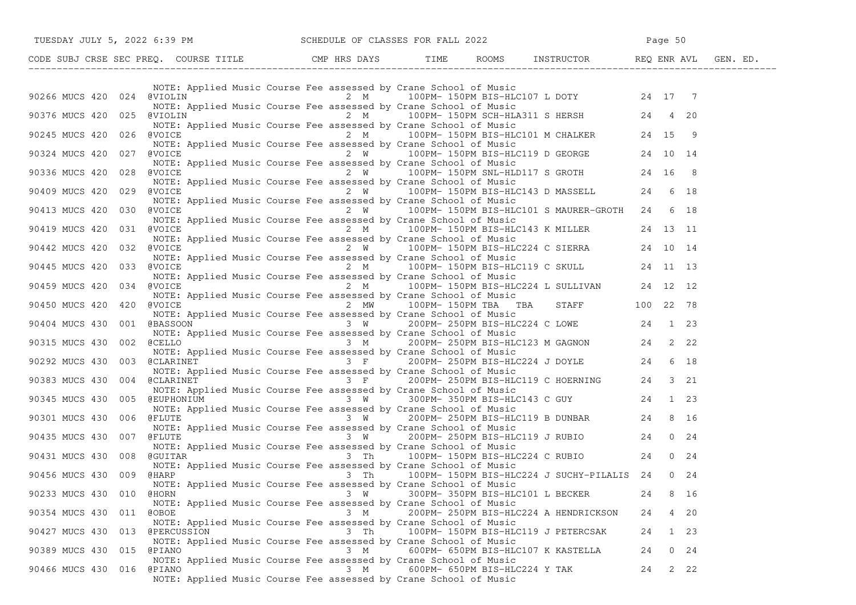|                                                             |                                                                                                                                      |             | TUESDAY JULY 5, 2022 6:39 PM SCHEDULE OF CLASSES FOR FALL 2022                                                                                                                                                                                                                                                                                                                                                                               |                               |  |
|-------------------------------------------------------------|--------------------------------------------------------------------------------------------------------------------------------------|-------------|----------------------------------------------------------------------------------------------------------------------------------------------------------------------------------------------------------------------------------------------------------------------------------------------------------------------------------------------------------------------------------------------------------------------------------------------|-------------------------------|--|
|                                                             |                                                                                                                                      |             | CODE SUBJ CRSE SEC PREQ. COURSE TITLE THE ROOMS INSTRUCTOR REQ ENR AVL GEN. ED.                                                                                                                                                                                                                                                                                                                                                              |                               |  |
|                                                             | NOTE: Applied Music Course Fee assessed by Crane School of Music                                                                     |             | 90266 MUCS 420 024 @VIOLIN 7 2 M 2 M 100PM-150PM BIS-HLC107 L DOTY 24 17 7                                                                                                                                                                                                                                                                                                                                                                   |                               |  |
|                                                             | NOTE: Applied Music Course Fee assessed by Crane School of Music                                                                     |             | NOTE: Applied Music Course Fee assessed by Crane School of Music<br>90376 MUCS 420 025 @VIOLIN 2 M 20<br>NOTE: Applied Music Course Fee assessed by Crane School of Music<br>90245 MUCS 420 026 @VOICE 2 M 100PM-150PM BIS-HLC101 M                                                                                                                                                                                                          |                               |  |
|                                                             |                                                                                                                                      |             |                                                                                                                                                                                                                                                                                                                                                                                                                                              |                               |  |
| 90324 MUCS 420 027 @VOICE<br>90336 MUCS 420 028 @VOICE      |                                                                                                                                      |             | NOTE: Applied Music Course Fee assessed by Crane School of Music<br>WOTE: Applied Music Course Fee assessed by Crane School of Music<br>NOTE: Applied Music Course Fee assessed by Crane School of Music<br>NOTE: Applied Music Cour<br>2 W 100PM-150PM SNL-HLD117 S GROTH 24 16 8                                                                                                                                                           |                               |  |
| 90409 MUCS 420 029 @VOICE                                   |                                                                                                                                      |             | NOTE: Applied Music Course Fee assessed by Crane School of Music<br>NOTE: Applied Music Course Fee assessed by Crane School of Music<br>WOICE 2 W 100PM-150PM BIS-HLC143 D MASSELL 24 6 18                                                                                                                                                                                                                                                   |                               |  |
| 90413 MUCS 420 030                                          | NOTE: Applied Music Course Fee assessed by Crane School of Music<br>@VOICE                                                           |             | $2 \tW 100PM - 150PM BIS-HL C101 S MAURER-GROTH 24 6 18$                                                                                                                                                                                                                                                                                                                                                                                     |                               |  |
|                                                             | NOTE: Applied Music Course Fee assessed by Crane School of Music                                                                     |             | NOTE: Applied Music Course Fee assessed by Crane School of Music<br>90419 MUCS 420 031 @VOICE 11 100PM 2 M 100PM 150PM BIS-HLC143 K MILLER 24 13 11                                                                                                                                                                                                                                                                                          |                               |  |
| 90442 MUCS 420<br>032                                       | @VOICE                                                                                                                               |             | $2 W$ 100PM-150PM BIS-HLC224 C SIERRA 24 10 14<br>NOTE: Applied Music Course Fee assessed by Crane School of Music                                                                                                                                                                                                                                                                                                                           |                               |  |
| 90445 MUCS 420                                              | NOTE: Applied Music Course Fee assessed by Crane School of Music                                                                     |             | NOTE: Applied Music Course Fee assessed by Crane School of Music<br>NOTE: Applied Music Course Fee assessed by Crane School of Music                                                                                                                                                                                                                                                                                                         |                               |  |
| 90459 MUCS 420 034 @VOICE<br>90450 MUCS 420<br>420          |                                                                                                                                      |             | Course ree assessed by crane behood of mosto<br>2 M $200$ PM-150PM BIS-HLC224 L SULLIVAN 24 12 12<br>NOTE: Applied Music Course Fee assessed by Crane School of Music<br>$\frac{1}{2}$ MW 100PM-150PM TBA TBA STAFF 100 22 78                                                                                                                                                                                                                |                               |  |
|                                                             |                                                                                                                                      |             | NOTE: Applied Music Course Fee assessed by Crane School of Music                                                                                                                                                                                                                                                                                                                                                                             |                               |  |
|                                                             |                                                                                                                                      |             | NOTE: Applied Music Course Fee assessed by Crane School of Music<br>90404 MUCS 430 001 @BASSOON 3 W 200PM-250PM BIS-HLC224 C LOWE 24 1 23<br>90315 MUCS 430 002 @CELLO 3 M 200PM-250PM BIS-HLC123 M GAGNON 24 2 22                                                                                                                                                                                                                           |                               |  |
| 90292 MUCS 430 003 @CLARINET                                | NOTE: Applied Music Course Fee assessed by Crane School of Music                                                                     |             | NOTE: Applied Music Course Fee assessed by Crane School of Music<br>@CLARINET            3 F     200PM- 250PM BIS-HLC224 J DOYLE      24  6 18<br>NOTE: Applied Music Course Fee assessed by Crane School of Music                                                                                                                                                                                                                           |                               |  |
| 90383 MUCS 430                                              |                                                                                                                                      |             | 004 @CLARINET 3 F 200PM-250PM BIS-HLC119 C HOERNING 24 3 21<br>NOTE: Applied Music Course Fee assessed by Crane School of Music                                                                                                                                                                                                                                                                                                              |                               |  |
| 90345 MUCS 430<br>90301 MUCS 430 006 @FLUTE                 |                                                                                                                                      |             | 005 @EUPHONIUM 3 W 300PM-350PM BIS-HLC143 C GUY<br>NOTE: Applied Music Course Fee assessed by Crane School of Music<br>OCC 2ELUTE<br>3 W 200PM-250PM BIS-HLC119 B DUNBAR 24 8 16                                                                                                                                                                                                                                                             |                               |  |
|                                                             |                                                                                                                                      |             | NOTE: Applied Music Course Fee assessed by Crane School of Music<br>90435 MUCS 430 007 @FLUTE $\frac{1.25 \times 1.25 \times 1.25 \times 1.25 \times 1.25 \times 1.25 \times 1.25 \times 1.25 \times 1.25 \times 1.25 \times 1.25 \times 1.25 \times 1.25 \times 1.25 \times 1.25 \times 1.25 \times 1.25 \times 1.25 \times 1.25 \times 1.25 \times 1.25 \times 1.25 \times 1.25 \times 1.25 \times 1.25 \times 1.25 \times 1.25 \times 1.$ |                               |  |
| 90431 MUCS 430 008 @GUITAR                                  |                                                                                                                                      |             | NOTE: Applied Music Course Fee assessed by Crane School of Music<br>3 Th 100PM-150PM BIS-HLC224 C RUBIO 24 0 24                                                                                                                                                                                                                                                                                                                              |                               |  |
| 90456 MUCS 430 009 @HARP                                    | NOTE: Applied Music Course Fee assessed by Crane School of Music<br>NOTE: Applied Music Course Fee assessed by Crane School of Music |             | 3 Th 100PM-150PM BIS-HLC224 J SUCHY-PILALIS 24 0 24                                                                                                                                                                                                                                                                                                                                                                                          |                               |  |
| 90233 MUCS 430 010 @HORN                                    | NOTE: Applied Music Course Fee assessed by Crane School of Music                                                                     |             | 3 W 300PM-350PM BIS-HLC101 L BECKER 24 8 16                                                                                                                                                                                                                                                                                                                                                                                                  |                               |  |
| 90354 MUCS 430 011 @OBOE                                    | NOTE: Applied Music Course Fee assessed by Crane School of Music                                                                     | 3 M         | 200PM- 250PM BIS-HLC224 A HENDRICKSON<br>100PM- 150PM BIS-HLC119 J PETERCSAK                                                                                                                                                                                                                                                                                                                                                                 | 4 20<br>24                    |  |
| 90427 MUCS 430 013 @PERCUSSION<br>90389 MUCS 430 015 @PIANO | NOTE: Applied Music Course Fee assessed by Crane School of Music                                                                     | 3 Th<br>3 M | 600PM- 650PM BIS-HLC107 K KASTELLA                                                                                                                                                                                                                                                                                                                                                                                                           | 24<br>1 23<br>24<br>$0 \t 24$ |  |
| 90466 MUCS 430 016 @PIANO                                   | NOTE: Applied Music Course Fee assessed by Crane School of Music<br>NOTE: Applied Music Course Fee assessed by Crane School of Music | 3 M         | 600PM- 650PM BIS-HLC224 Y TAK                                                                                                                                                                                                                                                                                                                                                                                                                | 2 22<br>24                    |  |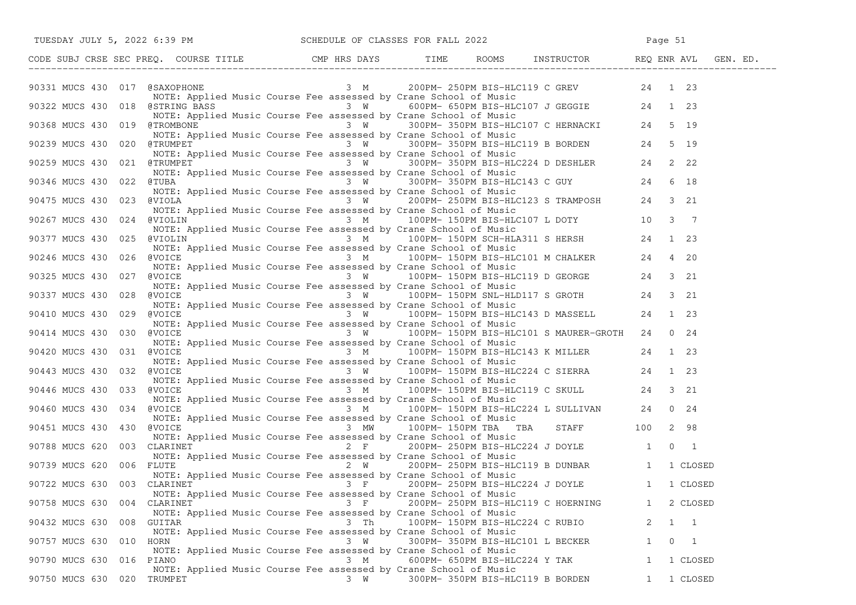|                             |                                                                                  |          | TUESDAY JULY 5, 2022 6:39 PM SCHEDULE OF CLASSES FOR FALL 2022                                                                                                                                                                                                                                                             |                            |  |
|-----------------------------|----------------------------------------------------------------------------------|----------|----------------------------------------------------------------------------------------------------------------------------------------------------------------------------------------------------------------------------------------------------------------------------------------------------------------------------|----------------------------|--|
|                             |                                                                                  |          | CODE SUBJ CRSE SEC PREQ. COURSE TITLE CMP HRS DAYS TIME ROOMS INSTRUCTOR REQ ENR AVL GEN. ED.                                                                                                                                                                                                                              |                            |  |
|                             |                                                                                  |          |                                                                                                                                                                                                                                                                                                                            |                            |  |
|                             |                                                                                  |          |                                                                                                                                                                                                                                                                                                                            |                            |  |
|                             |                                                                                  |          | 90331 MUCS 430 017 CHERACOPHONE Music Course Fee assessed by Crane School of Music<br>90322 MUCS 430 018 COSTRING BASS 3 W 600PM-650PM BIS-HLC107 J GEGGIE<br>90368 MUCS 430 019 CTROMBONE 3 W 300PM-350PM BIS-HLC107 C HERNACKI 2                                                                                         |                            |  |
|                             |                                                                                  |          | NOTE: Applied Music Course Fee assessed by Crane School of Music<br>90239 MUCS 430 020 @TRUMPET 3 W 300PM-350PM BIS-HLC119 B BORDEN 24 5 19                                                                                                                                                                                |                            |  |
| 90259 MUCS 430 021 @TRUMPET | NOTE: Applied Music Course Fee assessed by Crane School of Music                 |          | $3 W$ 300PM-350PM BIS-HLC224 D DESHLER 24 2 22                                                                                                                                                                                                                                                                             |                            |  |
|                             |                                                                                  |          | NOTE: Applied Music Course Fee assessed by Crane School of Music                                                                                                                                                                                                                                                           |                            |  |
|                             |                                                                                  |          | NOTE: Applied Music Course Fee assessed by Crane School of Music<br>3 W 300PM-350PM BIS-HLC143 C GUY 24 6 18<br>90475 MUCS 430 023 @VIOLA NOTE: Applied Music Course Fee assessed by Crane School of Music<br>90475 MUCS 430 023 @VIOLA                                                                                    |                            |  |
| 90267 MUCS 430              | NOTE: Applied Music Course Fee assessed by Crane School of Music                 |          | NOTE: Applied Music Course Fee assessed by Crane School of Music<br>024 @VIOLIN 3 7 3 M 100PM-150PM BIS-HLC107 L DOTY 10 3 7                                                                                                                                                                                               |                            |  |
| 90377 MUCS 430 025 @VIOLIN  |                                                                                  |          | NOTE: Applied Music Course Fee assessed by Crane School of Music<br>$\frac{3 \text{ M}}{100 \text{ PM}}$ 100PM-150PM SCH-HLA311 S HERSH 24 1 23                                                                                                                                                                            |                            |  |
| 90246 MUCS 430 026 @VOICE   |                                                                                  |          | NOTE: Applied Music Course Fee assessed by Crane School of Music<br>Applied Music Course Fee assessed by Crane School of Music<br>3 M 100PM-150PM_BIS-HLC101 M CHALKER 24 4 20                                                                                                                                             |                            |  |
| 90325 MUCS 430 027 @VOICE   |                                                                                  |          | NOTE: Applied Music Course Fee assessed by Crane School of Music<br>NOTE: Applied Music Course Fee assessed by Crane School of Music<br>NOTE 3 W 100PM-150PM BIS-HLC119 D GEORGE 24 3 21                                                                                                                                   |                            |  |
| 90337 MUCS 430 028          | @VOICE                                                                           |          | NOTE: Applied Music Course Fee assessed by Crane School of Music<br>evolce<br>Repried Music Course Fee assessed by Crane School of Music<br>NOTE: Applied Music Course Fee assessed by Crane School of Music<br>NOTE: Applied Music Course Fee assessed by Crane School of Music<br>$\frac{3 \text{ W}}{100 \text{ PM}}$ 1 |                            |  |
| 90410 MUCS 430 029 @VOICE   |                                                                                  |          |                                                                                                                                                                                                                                                                                                                            |                            |  |
| 90414 MUCS 430 030 @VOICE   | NOTE: Applied Music Course Fee assessed by Crane School of Music                 |          | 3 W 100PM-150PM BIS-HLC101 S MAURER-GROTH 24 0 24<br>NOTE: Applied Music Course Fee assessed by Crane School of Music                                                                                                                                                                                                      |                            |  |
|                             |                                                                                  |          | 90420 MUCS 430 031 @VOICE 3 M 100PM-150PM BIS-HLC143 K MILLER 24 1 23<br>NOTE: Applied Music Course Fee assessed by Crane School of Music                                                                                                                                                                                  |                            |  |
| 90443 MUCS 430 032 @VOICE   |                                                                                  |          | $3 W$ 100PM-150PM BIS-HLC224 C SIERRA 24 1 23<br>NOTE: Applied Music Course Fee assessed by Crane School of Music                                                                                                                                                                                                          |                            |  |
| 90446 MUCS 430              |                                                                                  |          | 100PM-150PM BIS-HLC119 C SKULL 24 3 21                                                                                                                                                                                                                                                                                     |                            |  |
| 90460 MUCS 430              | 034 @VOICE<br>NOTE: Applied Music Course Fee assessed by Crane School of Music   |          | NOICE<br>NOTE: Applied Music Course Fee assessed by Crane School of Music<br>NOTE: Applied Music Course Fee assessed by Crane School of Music<br>Note as March 24 to Music 24 the 24 to 24 to 24 to 24 to 24 to 24 to 24 to 24 to 24 to                                                                                    |                            |  |
| 90451 MUCS 430              | 430 @VOICE                                                                       |          | $3$ MW $100$ PM-150PM TBA TBA STAFF 100 2 98<br>NOTE: Applied Music Course Fee assessed by Crane School of Music                                                                                                                                                                                                           |                            |  |
| 90788 MUCS 620 003 CLARINET | NOTE: Applied Music Course Fee assessed by Crane School of Music                 |          | $2 F$ 200PM-250PM BIS-HLC224 J DOYLE 1 0 1                                                                                                                                                                                                                                                                                 |                            |  |
| 90739 MUCS 620 006 FLUTE    |                                                                                  |          | 2 W 200PM-250PM BIS-HLC119 B DUNBAR 1 1 CLOSED<br>NOTE: Applied Music Course Fee assessed by Crane School of Music                                                                                                                                                                                                         |                            |  |
| 90722 MUCS 630 003 CLARINET |                                                                                  |          | 3 F 200PM-250PM BIS-HLC224 J DOYLE 1 1 CLOSED<br>NOTE: Applied Music Course Fee assessed by Crane School of Music                                                                                                                                                                                                          |                            |  |
| 90758 MUCS 630              | 004 CLARINET<br>NOTE: Applied Music Course Fee assessed by Crane School of Music | $3 \t F$ | 200PM- 250PM BIS-HLC119 C HOERNING                                                                                                                                                                                                                                                                                         | 1 2 CLOSED                 |  |
| 90432 MUCS 630<br>008       | GUITAR<br>NOTE: Applied Music Course Fee assessed by Crane School of Music       | 3 Th     | 100PM- 150PM BIS-HLC224 C RUBIO                                                                                                                                                                                                                                                                                            | 2<br>1 1                   |  |
| 90757 MUCS 630              | 010 HORN<br>NOTE: Applied Music Course Fee assessed by Crane School of Music     | 3 W      | 300PM- 350PM BIS-HLC101 L BECKER                                                                                                                                                                                                                                                                                           | $\mathbf{1}$<br>$0\quad 1$ |  |
| 90790 MUCS 630 016 PIANO    | NOTE: Applied Music Course Fee assessed by Crane School of Music                 | 3 M      | 600PM- 650PM BIS-HLC224 Y TAK                                                                                                                                                                                                                                                                                              | 1 CLOSED<br>$\mathbf{1}$   |  |
| 90750 MUCS 630 020 TRUMPET  |                                                                                  | 3 W      | 300PM- 350PM BIS-HLC119 B BORDEN                                                                                                                                                                                                                                                                                           | 1 1 CLOSED                 |  |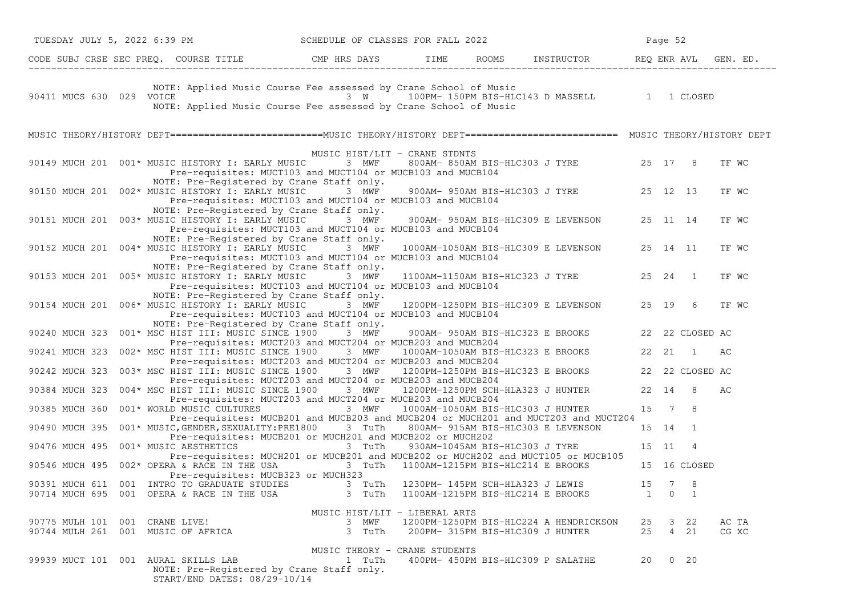| TUESDAY JULY 5, 2022 6:39 PM SCHEDULE OF CLASSES FOR FALL 2022                                                                                                                                                   |                                                                                             |                                                                                    |         | Page 52             |              |                |
|------------------------------------------------------------------------------------------------------------------------------------------------------------------------------------------------------------------|---------------------------------------------------------------------------------------------|------------------------------------------------------------------------------------|---------|---------------------|--------------|----------------|
| CODE SUBJ CRSE SEC PREQ. COURSE TITLE THE ROOMS INSTRUCTOR REQ ENR AVL GEN. ED.                                                                                                                                  |                                                                                             |                                                                                    |         |                     |              |                |
| NOTE: Applied Music Course Fee assessed by Crane School of Music<br>90411 MUCS 630 029 VOICE 3 W 100PM-150PM BIS-HLC143 D MASSELL 1 1 CLOSED<br>NOTE: Applied Music Course Fee assessed by Crane School of Music |                                                                                             |                                                                                    |         |                     |              |                |
| MUSIC THEORY/HISTORY DEPT==========================MUSIC THEORY/HISTORY DEPT========================= MUSIC THEORY/HISTORY DEPT                                                                                  |                                                                                             |                                                                                    |         |                     |              |                |
| 90149 MUCH 201 001* MUSIC HISTORY I: EARLY MUSIC 3 MWF<br>NOTE: Pre-Registered by Crane Staff only.                                                                                                              | MUSIC HIST/LIT - CRANE STDNTS<br>Pre-requisites: MUCT103 and MUCT104 or MUCB103 and MUCB104 | 800AM-850AM BIS-HLC303 J TYRE 25 17 8                                              |         |                     |              | TF WC          |
| 90150 MUCH 201 002* MUSIC HISTORY I: EARLY MUSIC                                                                                                                                                                 | 3 MWF<br>Pre-requisites: MUCT103 and MUCT104 or MUCB103 and MUCB104                         | 900AM- 950AM BIS-HLC303 J TYRE 25 12 13                                            |         |                     |              | TF WC          |
| NOTE: Pre-Registered by Crane Staff only.<br>90151 MUCH 201  003* MUSIC HISTORY I: EARLY MUSIC 3 MWF                                                                                                             | Pre-requisites: MUCT103 and MUCT104 or MUCB103 and MUCB104                                  | 900AM- 950AM BIS-HLC309 E LEVENSON 25 11 14                                        |         |                     |              | TF WC          |
| NOTE: Pre-Registered by Crane Staff only.<br>90152 MUCH 201 004* MUSIC HISTORY I: EARLY MUSIC 3 MWF                                                                                                              | Pre-requisites: MUCT103 and MUCT104 or MUCB103 and MUCB104                                  | 1000AM-1050AM BIS-HLC309 E LEVENSON 25 14 11                                       |         |                     |              | TF WC          |
| NOTE: Pre-Registered by Crane Staff only.<br>90153 MUCH 201  005* MUSIC HISTORY I: EARLY MUSIC  3  MWF                                                                                                           | Pre-requisites: MUCT103 and MUCT104 or MUCB103 and MUCB104                                  | 1100AM-1150AM BIS-HLC323 J TYRE 25 24 1                                            |         |                     |              | TF WC          |
| NOTE: Pre-Registered by Crane Staff only.<br>90154 MUCH 201 006* MUSIC HISTORY I: EARLY MUSIC 3 MWF 1200PM-1250PM BIS-HLC309 E LEVENSON 25 19 6                                                                  | Pre-requisites: MUCT103 and MUCT104 or MUCB103 and MUCB104                                  |                                                                                    |         |                     |              | TF WC          |
| NOTE: Pre-Registered by Crane Staff only.<br>90240 MUCH 323 001* MSC HIST III: MUSIC SINCE 1900 3 MWF                                                                                                            | Pre-requisites: MUCT203 and MUCT204 or MUCB203 and MUCB204                                  | 900AM- 950AM BIS-HLC323 E BROOKS 22 22 CLOSED AC                                   |         |                     |              |                |
| 002* MSC HIST III: MUSIC SINCE 1900 3 MWF 1000AM-1050AM BIS-HLC323 E BROOKS 22 21 1<br>90241 MUCH 323                                                                                                            | Pre-requisites: MUCT203 and MUCT204 or MUCB203 and MUCB204                                  |                                                                                    |         |                     |              | AC             |
| 003* MSC HIST III: MUSIC SINCE 1900 3 MWF<br>90242 MUCH 323                                                                                                                                                      | Pre-requisites: MUCT203 and MUCT204 or MUCB203 and MUCB204                                  | 1200PM-1250PM BIS-HLC323 E BROOKS 22 22 CLOSED AC                                  |         |                     |              |                |
| 004* MSC HIST III: MUSIC SINCE 1900 3 MWF 1200PM-1250PM SCH-HLA323 J HUNTER 22 14<br>90384 MUCH 323                                                                                                              | Pre-requisites: MUCT203 and MUCT204 or MUCB203 and MUCB204                                  |                                                                                    |         |                     | - 8          | AС             |
| 90385 MUCH 360<br>001* WORLD MUSIC CULTURES                                                                                                                                                                      | 3 MWF<br>Pre-requisites: MUCB201 and MUCB203 and MUCB204 or MUCH201 and MUCT203 and MUCT204 | 1000AM-1050AM BIS-HLC303 J HUNTER                                                  | 15 7    |                     | -8           |                |
| 001* MUSIC, GENDER, SEXUALITY: PRE1800 3 TuTh 800AM-915AM BIS-HLC303 E LEVENSON<br>90490 MUCH 395                                                                                                                | Pre-requisites: MUCB201 or MUCH201 and MUCB202 or MUCH202                                   |                                                                                    |         | 15 14 1             |              |                |
| 001* MUSIC AESTHETICS<br>90476 MUCH 495                                                                                                                                                                          | 3 TuTh<br>Pre-requisites: MUCH201 or MUCB201 and MUCB202 or MUCH202 and MUCT105 or MUCB105  | 930AM-1045AM BIS-HLC303 J TYRE                                                     |         | 15 11               | 4            |                |
| 90546 MUCH 495 002* OPERA & RACE IN THE USA<br>Pre-requisites: MUCB323 or MUCH323                                                                                                                                | 3 TuTh 1100AM-1215PM BIS-HLC214 E BROOKS                                                    |                                                                                    |         |                     | 15 16 CLOSED |                |
| 90391 MUCH 611 001 INTRO TO GRADUATE STUDIES 3 TuTh 1230PM-145PM SCH-HLA323 J LEWIS 3 7 8<br>90714 MUCH 695  001  OPERA & RACE IN THE USA                                                                        | 3 TuTh                                                                                      | 1100AM-1215PM BIS-HLC214 E BROOKS                                                  |         | $1 \quad 0 \quad 1$ |              |                |
|                                                                                                                                                                                                                  | MUSIC HIST/LIT - LIBERAL ARTS                                                               |                                                                                    |         |                     |              |                |
| 90775 MULH 101 001 CRANE LIVE!<br>90744 MULH 261 001 MUSIC OF AFRICA                                                                                                                                             | 3 MWF<br>3 TuTh                                                                             | 1200PM-1250PM BIS-HLC224 A HENDRICKSON 25 3 22<br>200PM- 315PM BIS-HLC309 J HUNTER | 25 4 21 |                     |              | AC TA<br>CG XC |
| 99939 MUCT 101 001 AURAL SKILLS LAB<br>NOTE: Pre-Registered by Crane Staff only.<br>START/END DATES: 08/29-10/14                                                                                                 | MUSIC THEORY - CRANE STUDENTS<br>1 TuTh                                                     | 400PM- 450PM BIS-HLC309 P SALATHE                                                  |         | 20 0 20             |              |                |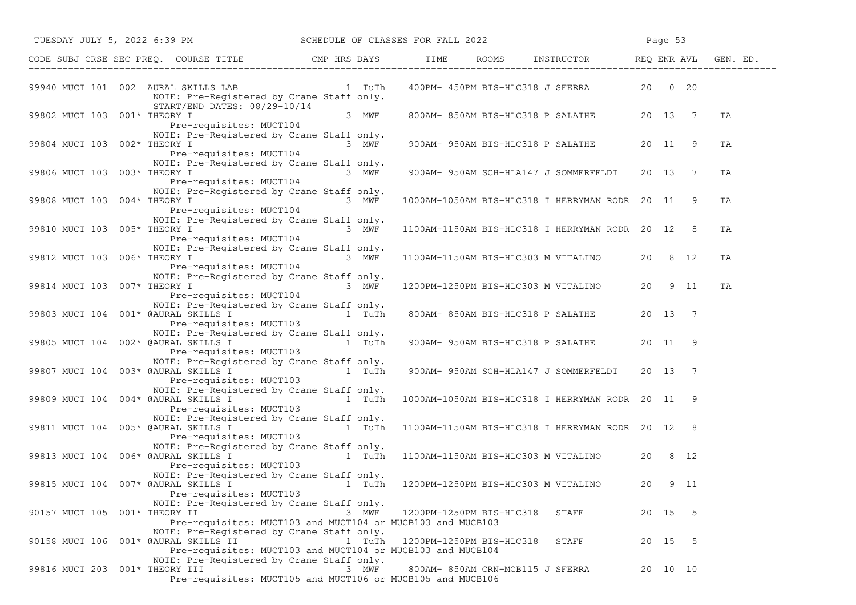|                                      |  | TUESDAY JULY 5, 2022 6:39 PM                                                                                                                                                                                                                                                                           |         |        |  |                                 | SCHEDULE OF CLASSES FOR FALL 2022                | Page 53 |          |      |    |  |
|--------------------------------------|--|--------------------------------------------------------------------------------------------------------------------------------------------------------------------------------------------------------------------------------------------------------------------------------------------------------|---------|--------|--|---------------------------------|--------------------------------------------------|---------|----------|------|----|--|
|                                      |  | CODE SUBJ CRSE SEC PREQ. COURSE TITLE THE ROOMS INSTRUCTOR REQ ENR AVL GEN. ED.                                                                                                                                                                                                                        |         |        |  |                                 |                                                  |         |          |      |    |  |
|                                      |  | 99940 MUCT 101 002 AURAL SKILLS LAB 1 TuTh<br>NOTE: Pre-Registered by Crane Staff only.<br>START/END DATES: 08/29-10/14                                                                                                                                                                                |         |        |  |                                 | 400PM- 450PM BIS-HLC318 J SFERRA 20 0 20         |         |          |      |    |  |
| 99802 MUCT 103 001* THEORY I         |  | Pre-requisites: MUCT104                                                                                                                                                                                                                                                                                | $3$ MWF |        |  |                                 | 800AM-850AM BIS-HLC318 P SALATHE 20 13 7         |         |          |      | TA |  |
| 99804 MUCT 103 002* THEORY I         |  | NOTE: Pre-Registered by Crane Staff only.<br>ORY I 3 MWF<br>Pre-requisites: MUCT104 3 MWF                                                                                                                                                                                                              |         |        |  |                                 | 900AM- 950AM BIS-HLC318 P SALATHE 20 11          |         |          | -9   | TA |  |
| 99806 MUCT 103 003* THEORY I         |  | NOTE: Pre-Registered by Crane Staff only.<br>$3$ MWF<br>Pre-requisites: MUCT104                                                                                                                                                                                                                        |         |        |  |                                 | 900AM-950AM SCH-HLA147 J SOMMERFELDT 20 13 7     |         |          |      | TA |  |
| 99808 MUCT 103 004* THEORY I         |  | NOTE: Pre-Registered by Crane Staff only.<br>Pre-requisites: MUCT104                                                                                                                                                                                                                                   | 3 MWF   |        |  |                                 | 1000AM-1050AM BIS-HLC318 I HERRYMAN RODR 20 11 9 |         |          |      | TA |  |
| 99810 MUCT 103 005* THEORY I         |  | NOTE: Pre-Registered by Crane Staff only.<br>ORY I CHECK CONSUMER THE CONSUMER STREET SURVERSION OF STREET STREET STREET STREET STREET STREET STREET STREET                                                                                                                                            |         |        |  |                                 | 1100AM-1150AM BIS-HLC318 I HERRYMAN RODR 20 12 8 |         |          |      | TA |  |
| 99812 MUCT 103 006* THEORY I         |  | NOTE: Pre-Registered by Crane Staff only.<br>$3$ MWF<br>Pre-requisites: MUCT104                                                                                                                                                                                                                        |         |        |  |                                 | 1100AM-1150AM BIS-HLC303 M VITALINO 20 8 12      |         |          |      | TA |  |
| 99814 MUCT 103 007* THEORY I         |  | NOTE: Pre-Registered by Crane Staff only.<br>Pre-requisites: MUCT104                                                                                                                                                                                                                                   | 3 MWF   |        |  |                                 | 1200PM-1250PM BIS-HLC303 M VITALINO 20 9 11      |         |          |      | TA |  |
|                                      |  | NOTE: Pre-Registered by Crane Staff only.<br>99803 MUCT 104 001* @AURAL SKILLS I 1 TuTh<br>Pre-requisites: MUCT103                                                                                                                                                                                     |         |        |  |                                 | 800AM-850AM BIS-HLC318 P SALATHE 20 13 7         |         |          |      |    |  |
| 99805 MUCT 104 002* @AURAL SKILLS I  |  | NOTE: Pre-Registered by Crane Staff only.<br>$\overline{1}$ $\overline{1}$ $\overline{1}$ $\overline{1}$ $\overline{1}$ $\overline{1}$ $\overline{1}$ $\overline{1}$<br>Pre-requisites: MUCT103                                                                                                        |         |        |  |                                 | 900AM- 950AM BIS-HLC318 P SALATHE 20 11 9        |         |          |      |    |  |
| 99807 MUCT 104 003* @AURAL SKILLS I  |  | NOTE: Pre-Registered by Crane Staff only.<br>a compared to the contract of the contract of the contract of the contract of the contract of the contract of the contract of the contract of the contract of the contract of the contract of the contract of the contract of<br>Pre-requisites: MUCT103  |         |        |  |                                 | 900AM-950AM SCH-HLA147 J SOMMERFELDT 20 13 7     |         |          |      |    |  |
|                                      |  | NOTE: Pre-Registered by Crane Staff only.<br>99809 MUCT 104 004* @AURAL SKILLS I $\frac{1}{2}$ 1 TuTh<br>Pre-requisites: MUCT103                                                                                                                                                                       |         |        |  |                                 | 1000AM-1050AM BIS-HLC318 I HERRYMAN RODR 20 11 9 |         |          |      |    |  |
| 99811 MUCT 104 005* @AURAL SKILLS I  |  | NOTE: Pre-Registered by Crane Staff only.<br>a material contracts of the state of the state of the state of the state of the state of the state of the state of the state of the state of the state of the state of the state of the state of the state of the state of the<br>Pre-requisites: MUCT103 |         |        |  |                                 | 1100AM-1150AM BIS-HLC318 I HERRYMAN RODR 20 12 8 |         |          |      |    |  |
| 99813 MUCT 104 006* @AURAL SKILLS I  |  | NOTE: Pre-Registered by Crane Staff only.<br>and the state of the state of the state of the state of the state of the state of the state of the state of the<br>Pre-requisites: MUCT103                                                                                                                |         |        |  |                                 | 1100AM-1150AM BIS-HLC303 M VITALINO 20 8 12      |         |          |      |    |  |
|                                      |  | NOTE: Pre-Registered by Crane Staff only.<br>99815 MUCT 104 007* @AURAL SKILLS I 1 TuTh 1200PM-1250PM BIS-HLC303 M VITALINO<br>Pre-requisites: MUCT103                                                                                                                                                 |         |        |  |                                 |                                                  | 20      |          | 9 11 |    |  |
| 90157 MUCT 105 001* THEORY II        |  | NOTE: Pre-Registered by Crane Staff only.<br>Pre-requisites: MUCT103 and MUCT104 or MUCB103 and MUCB103                                                                                                                                                                                                |         | 3 MWF  |  | 1200PM-1250PM BIS-HLC318        | STAFF                                            |         | 20 15 5  |      |    |  |
| 90158 MUCT 106 001* @AURAL SKILLS II |  | NOTE: Pre-Registered by Crane Staff only.<br>Pre-requisites: MUCT103 and MUCT104 or MUCB103 and MUCB104                                                                                                                                                                                                |         | 1 TuTh |  | 1200PM-1250PM BIS-HLC318        | STAFF                                            |         | 20 15 5  |      |    |  |
| 99816 MUCT 203 001* THEORY III       |  | NOTE: Pre-Registered by Crane Staff only.<br>Pre-requisites: MUCT105 and MUCT106 or MUCB105 and MUCB106                                                                                                                                                                                                |         | 3 MWF  |  | 800AM-850AM CRN-MCB115 J SFERRA |                                                  |         | 20 10 10 |      |    |  |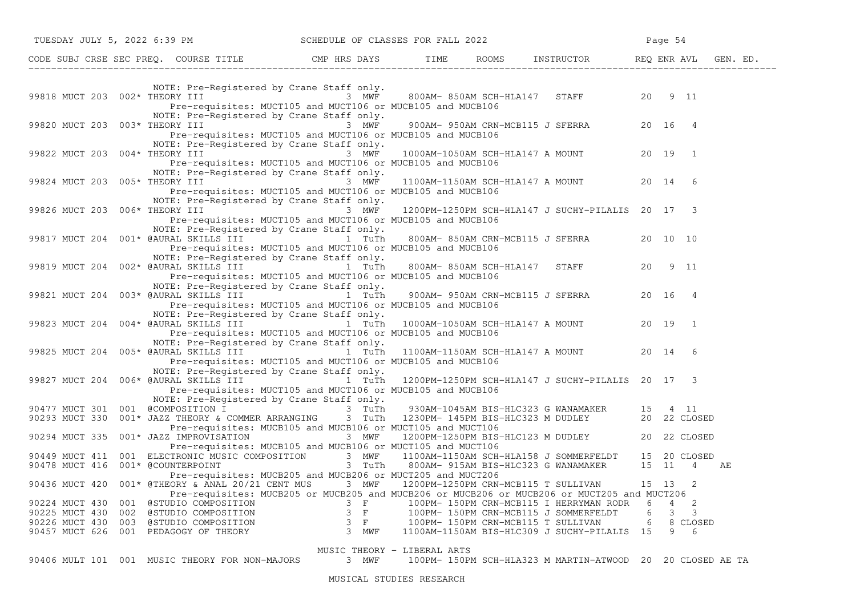|                                | TUESDAY JULY 5, 2022 6:39 PM                                                                                                                                                                                                                                                     | SCHEDULE OF CLASSES FOR FALL 2022                                                                               |  |                                                            | Page 54 |         |    |
|--------------------------------|----------------------------------------------------------------------------------------------------------------------------------------------------------------------------------------------------------------------------------------------------------------------------------|-----------------------------------------------------------------------------------------------------------------|--|------------------------------------------------------------|---------|---------|----|
|                                | CODE SUBJ CRSE SEC PREQ. COURSE TITLE THE THE THE ROOMS INSTRUCTOR THE REQ ENR AVL GEN. ED.                                                                                                                                                                                      |                                                                                                                 |  |                                                            |         |         |    |
|                                | NOTE: Pre-Registered by Crane Staff only.<br>99818 MUCT 203 002* THEORY III $\overline{3}$ MWF 800AM-850AM SCH-HLA147 STAFF 20 9 11                                                                                                                                              |                                                                                                                 |  |                                                            |         |         |    |
|                                | Pre-requisites: MUCT105 and MUCT106 or MUCB105 and MUCB106<br>NOTE: Pre-Registered by Crane Staff only.                                                                                                                                                                          |                                                                                                                 |  |                                                            |         |         |    |
| 99820 MUCT 203 003* THEORY III | Pre-requisites: MUCT105 and MUCT106 or MUCB105 and MUCB106                                                                                                                                                                                                                       | 3 MWF                                                                                                           |  | 900AM- 950AM CRN-MCB115 J SFERRA 20 16 4                   |         |         |    |
| 99822 MUCT 203 004* THEORY III | NOTE: Pre-Registered by Crane Staff only.<br>Pre-requisites: MUCT105 and MUCT106 or MUCB105 and MUCB106<br>NOTE: Pre-Registered by Crane Staff only.                                                                                                                             | 3 MWF                                                                                                           |  | 1000AM-1050AM SCH-HLA147 A MOUNT 20 19 1                   |         |         |    |
|                                | 99824 MUCT 203 005* THEORY III 3 MWF<br>Pre-requisites: MUCT105 and MUCT106 or MUCB105 and MUCB106<br>NOTE: Pre-Registered by Crane Staff only.                                                                                                                                  |                                                                                                                 |  | 1100AM-1150AM SCH-HLA147 A MOUNT 20 14 6                   |         |         |    |
|                                | 99826 MUCT 203 006* THEORY III<br>Pre-requisites: MUCT105 and MUCT106 or MUCB105 and MUCB106<br>NOTE: Pre-Registered by Crane Staff only.                                                                                                                                        | 3 MWF                                                                                                           |  | 1200PM-1250PM SCH-HLA147 J SUCHY-PILALIS 20 17 3           |         |         |    |
|                                | Pre-requisites: MUCT105 and MUCT106 or MUCB105 and MUCB106<br>NOTE: Pre-Registered by Crane Staff only.                                                                                                                                                                          |                                                                                                                 |  | 800AM-850AM CRN-MCB115 J SFERRA 20 10 10                   |         |         |    |
|                                | Pre-requisites: MUCT105 and MUCT106 or MUCB105 and MUCB106                                                                                                                                                                                                                       |                                                                                                                 |  | 800AM-850AM SCH-HLA147 STAFF                               |         | 20 9 11 |    |
|                                | NOTE: Pre-Registered by Crane Staff only.<br>Pre-requisites: MUCT105 and MUCT106 or MUCB105 and MUCB106                                                                                                                                                                          |                                                                                                                 |  | 900AM- 950AM CRN-MCB115 J SFERRA                           |         | 20 16 4 |    |
|                                | NOTE: Pre-Registered by Crane Staff only.<br>99823 MUCT 204 004* @AURAL SKILLS III<br>Pre-requisites: MUCT105 and MUCT106 or MUCB105 and MUCB106                                                                                                                                 | and the state of the state of the state of the state of the state of the state of the state of the state of the |  | 1000AM-1050AM SCH-HLA147 A MOUNT 20 19 1                   |         |         |    |
|                                | NOTE: Pre-Registered by Crane Staff only.<br>99825 MUCT 204 005* @AURAL SKILLS III $\qquad$ 1 TuTh 1100AM-1150AM SCH-HLA147 A MOUNT 20 14<br>Pre-requisites: MUCT105 and MUCT106 or MUCB105 and MUCB106                                                                          |                                                                                                                 |  |                                                            |         | 6       |    |
|                                | NOTE: Pre-Registered by Crane Staff only.<br>Pre-requisites: MUCT105 and MUCT106 or MUCB105 and MUCB106                                                                                                                                                                          |                                                                                                                 |  | 1200PM-1250PM SCH-HLA147 J SUCHY-PILALIS 20 17 3           |         |         |    |
|                                | NOTE: Pre-Registered by Crane Staff only.<br>90477 MUCT 301 001 @COMPOSITION I 3 TuTh 930AM-1045AM BIS-HLC323 G WANAMAKER 15 4 11<br>90293 MUCT 330 001* JAZZ THEORY & COMMER ARRANGING 3 TuTh 1230PM-145PM BIS-HLC323 M DUDLEY 20 22 CLOSED                                     |                                                                                                                 |  |                                                            |         |         |    |
|                                | Pre-requisites: MUCB105 and MUCB106 or MUCT105 and MUCT106<br>90294 MUCT 335 001* JAZZ IMPROVISATION<br>90294 MUCT 335 001* JAZZ IMPROVISATION<br>RECESSED MUCRIOS and MUCRIOS AND MUCRIOS 200 MUCRIOS 200 MUCRIOS<br>Pre-requisites: MUCB105 and MUCB106 or MUCT105 and MUCT106 |                                                                                                                 |  |                                                            |         |         |    |
|                                | 90449 MUCT 411 001 ELECTRONIC MUSIC COMPOSITION 3 MWF 1100AM-1150AM SCH-HLA158 J SOMMERFELDT 15 20 CLOSED<br>90478 MUCT 416 001* @COUNTERPOINT 3 TuTh 800AM-915AM BIS-HLC323 G WANAMAKER 15 11 4<br>Pre-requisites: MUCB205 and MUCB206 or MUCT205 and MUCT206                   |                                                                                                                 |  | 3 TuTh 800AM-915AM BIS-HLC323 G WANAMAKER 15 11 4          |         |         | AЕ |
|                                | 90436 MUCT 420 001* @THEORY & ANAL 20/21 CENT MUS 3 MWF 1200PM-1250PM CRN-MCB115 T SULLIVAN 15 13<br>Pre-requisites: MUCB205 or MUCB205 and MUCB206 or MUCB206 or MUCB206 or MUCT205 and MUCT206                                                                                 |                                                                                                                 |  |                                                            |         | -2      |    |
|                                | 90224 MUCT 430 001 @STUDIO COMPOSITION<br>90225 MUCT 430 002 @STUDIO COMPOSITION<br>90226 MUCT 430 003 @STUDIO COMPOSITION<br>90457 MUCT 626 001 PEDAGOGY OF THEORY 3 MWF 1100AM-1150AM BIS-HLC309 J SUCHY-PILALIS 15 9 6                                                        | $3$ F                                                                                                           |  | 100PM-150PM CRN-MCB115 I HERRYMAN RODR 6 4 2               |         |         |    |
|                                | 90406 MULT 101 001 MUSIC THEORY FOR NON-MAJORS 3 MWF                                                                                                                                                                                                                             | MUSIC THEORY - LIBERAL ARTS                                                                                     |  | 100PM- 150PM SCH-HLA323 M MARTIN-ATWOOD 20 20 CLOSED AE TA |         |         |    |
|                                |                                                                                                                                                                                                                                                                                  |                                                                                                                 |  |                                                            |         |         |    |

MUSICAL STUDIES RESEARCH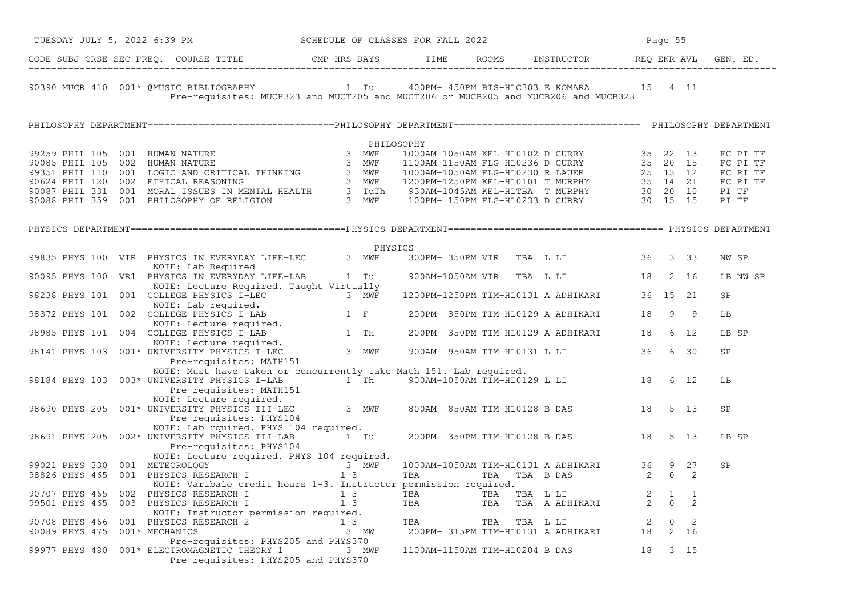| TUESDAY JULY 5, 2022 6:39 PM                                                                                                                                                                                                              |                                                                                    |            | SCHEDULE OF CLASSES FOR FALL 2022 |                                                                                               | Page 55 |                |                                  |
|-------------------------------------------------------------------------------------------------------------------------------------------------------------------------------------------------------------------------------------------|------------------------------------------------------------------------------------|------------|-----------------------------------|-----------------------------------------------------------------------------------------------|---------|----------------|----------------------------------|
|                                                                                                                                                                                                                                           |                                                                                    |            |                                   |                                                                                               |         |                |                                  |
| 90390 MUCR 410 001* @MUSIC BIBLIOGRAPHY                                                                                                                                                                                                   | Pre-requisites: MUCH323 and MUCT205 and MUCT206 or MUCB205 and MUCB206 and MUCB323 |            |                                   | 1 Tu    400PM- 450PM BIS-HLC303 E KOMARA    15    4    11                                     |         |                |                                  |
|                                                                                                                                                                                                                                           |                                                                                    |            |                                   |                                                                                               |         |                |                                  |
|                                                                                                                                                                                                                                           |                                                                                    | PHILOSOPHY |                                   |                                                                                               |         |                |                                  |
|                                                                                                                                                                                                                                           |                                                                                    |            |                                   |                                                                                               |         |                | FC PI TF<br>FC PI TF<br>FC PI TF |
| 99259 PHIL 105 001 HUMAN NATURE<br>90085 PHIL 105 002 HUMAN NATURE<br>90085 PHIL 110 001 LOGIC AND CRITICAL THINKING 3 MWF 1000AM-1150AM FLG-HL0236 D CURRY 35 20 15<br>93351 PHIL 110 001 LOGIC AND CRITICAL THINKING 3 MWF 1000AM-      |                                                                                    |            |                                   |                                                                                               |         |                | FC PI TF<br>PI TF<br>PI TF       |
|                                                                                                                                                                                                                                           |                                                                                    |            |                                   |                                                                                               |         |                |                                  |
|                                                                                                                                                                                                                                           |                                                                                    | PHYSICS    |                                   |                                                                                               |         |                |                                  |
| 99835 PHYS 100 VIR PHYSICS IN EVERYDAY LIFE-LEC<br>NOTE: Lab Required                                                                                                                                                                     |                                                                                    | 3 MWF      |                                   | 300PM-350PM VIR TBA L LI 36 3 33                                                              |         |                | NW SP                            |
| 90095 PHYS 100 VR1 PHYSICS IN EVERYDAY LIFE-LAB 1 Tu                                                                                                                                                                                      | NOTE: Lecture Required. Taught Virtually                                           |            |                                   | 900AM-1050AM VIR TBA L LI 18 2 16                                                             |         |                | LB NW SP                         |
|                                                                                                                                                                                                                                           |                                                                                    |            |                                   | 1200PM-1250PM TIM-HL0131 A ADHIKARI 36 15 21                                                  |         |                | SP                               |
|                                                                                                                                                                                                                                           |                                                                                    |            |                                   | 200PM- 350PM TIM-HL0129 A ADHIKARI 18                                                         | 9       | $\overline{9}$ | LB                               |
| 98238 PHYS 101 001 COLLEGE PHYSICS I-LEC 3 MWF<br>NOTE: Lab required.<br>NOTE: Lab required.<br>98372 PHYS 101 002 COLLEGE PHYSICS I-LAB 1 F<br>NOTE: Lecture required.<br>98985 PHYS 101 004 COLLEGE PHYSICS I-LAB 1 Th<br>NOTE: Lecture |                                                                                    |            |                                   | 200PM-350PM TIM-HL0129 A ADHIKARI 18                                                          |         | 6 12           | LB SP                            |
|                                                                                                                                                                                                                                           |                                                                                    |            |                                   | 900AM- 950AM TIM-HL0131 L LI 36                                                               |         | 6 30           | SP                               |
|                                                                                                                                                                                                                                           |                                                                                    |            |                                   |                                                                                               |         |                |                                  |
| NOTE: Must have taken or concurrently take Math 151. Lab required.<br>98184 PHYS 103 003* UNIVERSITY PHYSICS I-LAB 1 Th 900AM-1050AM TIM-HL0129 L LI 18                                                                                   |                                                                                    |            |                                   |                                                                                               |         | 6 12           | LB                               |
| Pre-requisites: MATH151<br>Pre-requisites: MATH151<br>98690 PHYS 205 001* UNIVERSITY PHYSICS III-LEC                                                                                                                                      |                                                                                    | 3 MWF      |                                   | 800AM-850AM TIM-HL0128 B DAS 18                                                               |         | 5 13           | SP                               |
|                                                                                                                                                                                                                                           | Pre-requisites: PHYS104                                                            |            |                                   |                                                                                               |         |                |                                  |
| 98691 PHYS 205 002* UNIVERSITY PHYSICS III-LAB<br>Pre-requisites: PHYS104                                                                                                                                                                 | NOTE: Lab rquired. PHYS 104 required.<br>1 Tu                                      |            |                                   | 200PM- 350PM TIM-HL0128 B DAS 18                                                              |         | 5 13           | LB SP                            |
|                                                                                                                                                                                                                                           | NOTE: Lecture required. PHYS 104 required.                                         |            |                                   |                                                                                               |         |                |                                  |
| 99021 PHYS 330 001 METEOROLOGY<br>98826 PHYS 465 001 PHYSICS RESEARCH I                                                                                                                                                                   | 3 MWF                                                                              |            |                                   |                                                                                               |         |                | SP                               |
|                                                                                                                                                                                                                                           | $1 - 3$                                                                            |            |                                   | 1000AM-1050AM TIM-HL0131 A ADHIKARI 36 9 27<br>TBA TBA TBA B DAS 2 0 2<br>normission required |         |                |                                  |
|                                                                                                                                                                                                                                           | NOTE: Varibale credit hours 1-3. Instructor permission required.                   |            |                                   |                                                                                               |         |                |                                  |
| 90707 PHYS 465 002 PHYSICS RESEARCH I $1-3$<br>99501 PHYS 465 003 PHYSICS RESEARCH I $1-3$                                                                                                                                                |                                                                                    |            |                                   |                                                                                               |         |                |                                  |
|                                                                                                                                                                                                                                           | NOTE: Instructor permission required.                                              |            |                                   |                                                                                               |         |                |                                  |
|                                                                                                                                                                                                                                           |                                                                                    |            | TBA TBA TBA L LI                  | TBA TBA TBA LLI 2 0 2<br>200PM-315PM TIM-HL0131 A ADHIKARI 18 2 16                            |         |                |                                  |
| 90708 PHYS 466 001 PHYSICS RESEARCH 2 1-3<br>90089 PHYS 475 001* MECHANICS 2 3 MW                                                                                                                                                         |                                                                                    |            |                                   |                                                                                               |         |                |                                  |
| 99977 PHYS 480 001* ELECTROMAGNETIC THEORY 1 3 MWF                                                                                                                                                                                        | Pre-requisites: PHYS205 and PHYS370<br>Pre-requisites: PHYS205 and PHYS370         |            |                                   | 1100AM-1150AM TIM-HL0204 B DAS 18                                                             |         | 3 15           |                                  |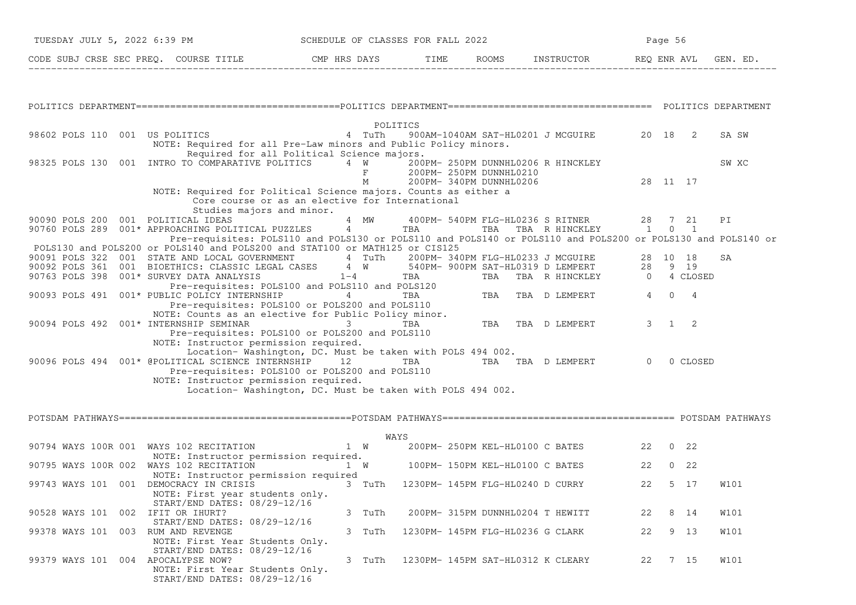| TUESDAY JULY 5, 2022 6:39 PM                                                                                               |                                                                                                                                                                                                                   |  |        | SCHEDULE OF CLASSES FOR FALL 2022                   |  |                                                |    | Page 56       |          |             |
|----------------------------------------------------------------------------------------------------------------------------|-------------------------------------------------------------------------------------------------------------------------------------------------------------------------------------------------------------------|--|--------|-----------------------------------------------------|--|------------------------------------------------|----|---------------|----------|-------------|
| CODE SUBJ CRSE SEC PREQ. COURSE TITLE THE ROOMS INSTRUCTOR REQ ENR AVL GEN. ED.                                            |                                                                                                                                                                                                                   |  |        |                                                     |  |                                                |    |               |          |             |
|                                                                                                                            |                                                                                                                                                                                                                   |  |        |                                                     |  |                                                |    |               |          |             |
|                                                                                                                            |                                                                                                                                                                                                                   |  |        |                                                     |  |                                                |    |               |          |             |
| 98602 POLS 110 001 US POLITICS 4 TuTh                                                                                      | NOTE: Required for all Pre-Law minors and Public Policy minors.                                                                                                                                                   |  |        | POLITICS                                            |  | 900AM-1040AM SAT-HL0201 J MCGUIRE 20 18 2      |    |               |          | SA SW       |
| 98325 POLS 130 001 INTRO TO COMPARATIVE POLITICS 4 W                                                                       | Required for all Political Science majors.                                                                                                                                                                        |  | F      | 200PM- 250PM DUNNHL0210<br>M 200PM-340PM DUNNHL0206 |  | 200PM- 250PM DUNNHL0206 R HINCKLEY<br>28 11 17 |    |               |          | SW XC       |
|                                                                                                                            | NOTE: Required for Political Science majors. Counts as either a<br>Core course or as an elective for International<br>Studies majors and minor.                                                                   |  |        |                                                     |  |                                                |    |               |          |             |
| 90090 POLS 200 001 POLITICAL IDEAS<br>90760 POLS 289 001* APPROACHING POLITICAL PUZZLES 4 TBA TBA TBA TBA R HINCKLEY 1 0 1 |                                                                                                                                                                                                                   |  |        |                                                     |  | 4 MW 400PM-540PM FLG-HL0236 S RITNER 28 7 21   |    |               |          | PI          |
| POLS130 and POLS200 or POLS140 and POLS200 and STAT100 or MATH125 or CIS125                                                | Pre-requisites: POLS110 and POLS130 or POLS110 and POLS140 or POLS110 and POLS200 or POLS130 and POLS140 or                                                                                                       |  |        |                                                     |  |                                                |    |               |          |             |
| 90091 POLS 322 001 STATE AND LOCAL GOVERNMENT 4 TuTh 200PM-340PM FLG-HL0233 J MCGUIRE 28 10 18                             |                                                                                                                                                                                                                   |  |        |                                                     |  |                                                |    |               |          | SA          |
| 90092 POLS 361 001 BIOETHICS: CLASSIC LEGAL CASES 4 W 540PM- 900PM SAT-HL0319 D LEMPERT 28 9 19<br>90763 POLS 398          |                                                                                                                                                                                                                   |  |        |                                                     |  | TBA TBA R HINCKLEY 0 4 CLOSED                  |    |               |          |             |
| 90093 POLS 491 001* PUBLIC POLICY INTERNSHIP       4                                                                       | 001* SURVEY DATA ANALYSIS<br>Pre-requisites: POLS100 and POLS110 and POLS120<br>001* PUBLIC POLICY INTERNSHIP<br>Pre-requisites: POLS100 or POLS200 and POLS110<br>Pre-requisites: POLS100 or POLS200 and POLS110 |  |        |                                                     |  |                                                |    |               |          |             |
| 90094 POLS 492 001* INTERNSHIP SEMINAR                                   3                                                 | NOTE: Counts as an elective for Public Policy minor.<br>INTERNSHIP SEMINAR 13 TBA TBA TBA D LEMPERT<br>Pre-requisites: POLS100 or POLS200 and POLS110<br>NOTE: Instructor permission required.                    |  |        |                                                     |  |                                                |    | $3 \t 1 \t 2$ |          |             |
| 90096 POLS 494 001* @POLITICAL SCIENCE INTERNSHIP 12 TBA TBA TBA TBA D LEMPERT                                             | Location-Washington, DC. Must be taken with POLS 494 002.<br>Pre-requisites: POLS100 or POLS200 and POLS110<br>NOTE: Instructor permission required.<br>Location-Washington, DC. Must be taken with POLS 494 002. |  |        |                                                     |  |                                                |    | $\Omega$      | 0 CLOSED |             |
|                                                                                                                            |                                                                                                                                                                                                                   |  |        |                                                     |  |                                                |    |               |          |             |
|                                                                                                                            |                                                                                                                                                                                                                   |  |        | WAYS                                                |  |                                                |    |               |          |             |
| 90794 WAYS 100R 001 WAYS 102 RECITATION 1 W 200PM-250PM KEL-HL0100 C BATES 22 0 22                                         |                                                                                                                                                                                                                   |  |        |                                                     |  |                                                |    |               |          |             |
| 90795 WAYS 100R 002 WAYS 102 RECITATION                                                                                    | NOTE: Instructor permission required.<br>NOTE: Instructor permission required                                                                                                                                     |  | 1 W    | 100PM- 150PM KEL-HL0100 C BATES                     |  |                                                |    | 22 0 22       |          |             |
| 99743 WAYS 101 001 DEMOCRACY IN CRISIS                                                                                     | NOTE: First year students only.<br>START/END DATES: 08/29-12/16                                                                                                                                                   |  |        | 3 TuTh 1230PM-145PM FLG-HL0240 D CURRY              |  |                                                | 22 |               | 5 17     | <b>W101</b> |
| 90528 WAYS 101 002 IFIT OR IHURT?                                                                                          |                                                                                                                                                                                                                   |  | 3 TuTh |                                                     |  | 200PM- 315PM DUNNHL0204 T HEWITT               | 22 |               | 8 14     | W101        |
| 99378 WAYS 101 003 RUM AND REVENGE                                                                                         | START/END DATES: 08/29-12/16<br>NOTE: First Year Students Only.                                                                                                                                                   |  | 3 TuTh | 1230PM- 145PM FLG-HL0236 G CLARK                    |  |                                                | 22 |               | 9 13     | W101        |
| 99379 WAYS 101 004 APOCALYPSE NOW?                                                                                         | START/END DATES: 08/29-12/16<br>NOTE: First Year Students Only.<br>START/END DATES: 08/29-12/16                                                                                                                   |  | 3 TuTh |                                                     |  | 1230PM- 145PM SAT-HL0312 K CLEARY              | 22 |               | 7 15     | W101        |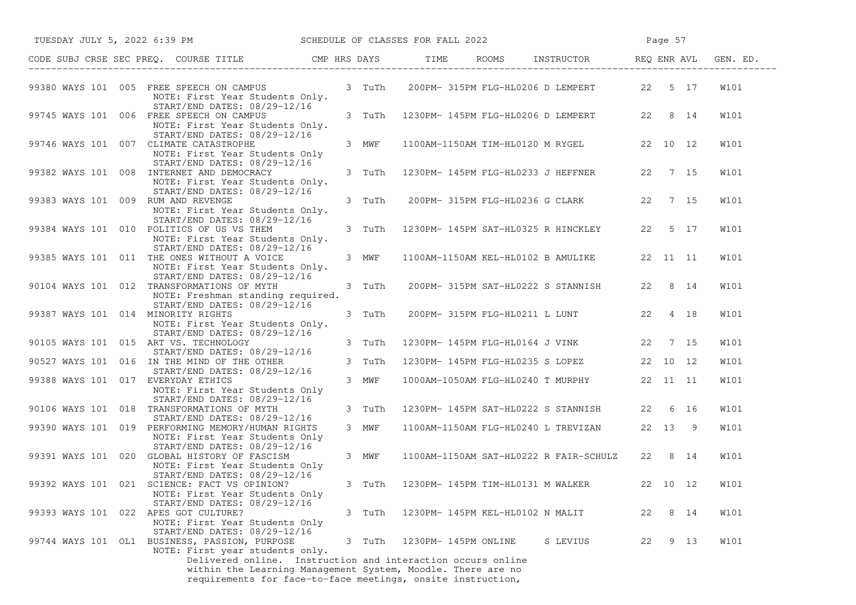|                                    | TUESDAY JULY 5, 2022 6:39 PM SCHEDULE OF CLASSES FOR FALL 2022                                                                                                                                                                                                                |                 |                                  | Page 57                                                                                 |    |      |              |
|------------------------------------|-------------------------------------------------------------------------------------------------------------------------------------------------------------------------------------------------------------------------------------------------------------------------------|-----------------|----------------------------------|-----------------------------------------------------------------------------------------|----|------|--------------|
|                                    | CODE SUBJ CRSE SEC PREQ. COURSE TITLE CMP HRS DAYS TIME ROOMS INSTRUCTOR REQ ENR AVL GEN. ED.                                                                                                                                                                                 |                 |                                  |                                                                                         |    |      |              |
|                                    | 99380 WAYS 101 005 FREE SPEECH ON CAMPUS 3 TuTh 200PM-315PM FLG-HL0206 D LEMPERT 22 5 17<br>NOTE: First Year Students Only.                                                                                                                                                   |                 |                                  |                                                                                         |    |      | W101         |
|                                    | START/END DATES: 08/29-12/16<br>99745 WAYS 101 006 FREE SPEECH ON CAMPUS<br>NOTE: First Year Students Only.<br>START/END DATES: 08/29-12/16                                                                                                                                   | 3 TuTh          |                                  | 1230PM- 145PM FLG-HL0206 D LEMPERT 22 8 14                                              |    |      | <b>W101</b>  |
|                                    | 99746 WAYS 101 007 CLIMATE CATASTROPHE<br>NOTE: First Year Students Only<br>START/END DATES: 08/29-12/16                                                                                                                                                                      | 3 MWF           |                                  | 1100AM-1150AM TIM-HL0120 M RYGEL 22 10 12                                               |    |      | W101         |
|                                    | 99382 WAYS 101 008 INTERNET AND DEMOCRACY<br>NOTE: First Year Students Only.<br>START/END DATES: 08/29-12/16                                                                                                                                                                  | 3 TuTh          |                                  | 1230PM- 145PM FLG-HL0233 J HEFFNER 22 7 15                                              |    |      | W101         |
| 99383 WAYS 101 009 RUM AND REVENGE | NOTE: First Year Students Only.<br>START/END DATES: 08/29-12/16                                                                                                                                                                                                               | 3 TuTh          |                                  | 200PM- 315PM FLG-HL0236 G CLARK 22 7 15                                                 |    |      | W101         |
|                                    | 99384 WAYS 101 010 POLITICS OF US VS THEM<br>NOTE: First Year Students Only.<br>START/END DATES: 08/29-12/16                                                                                                                                                                  | 3 TuTh          |                                  | 1230PM- 145PM SAT-HL0325 R HINCKLEY 22 5 17                                             |    |      | W101         |
|                                    | 99385 WAYS 101 011 THE ONES WITHOUT A VOICE<br>NOTE: First Year Students Only.<br>START/END DATES: 08/29-12/16                                                                                                                                                                | 3 MWF           |                                  | 1100AM-1150AM KEL-HL0102 B AMULIKE 22 11 11                                             |    |      | W101         |
|                                    | 90104 WAYS 101 012 TRANSFORMATIONS OF MYTH<br>NOTE: Freshman standing required.<br>START/END DATES: 08/29-12/16                                                                                                                                                               | 3 TuTh          |                                  | 200PM- 315PM SAT-HL0222 S STANNISH 22 8 14                                              |    |      | W101         |
|                                    | 99387 WAYS 101 014 MINORITY RIGHTS<br>NOTE: First Year Students Only.<br>START/END DATES: 08/29-12/16                                                                                                                                                                         | 3 TuTh          |                                  | 200PM-315PM FLG-HL0211 L LUNT 22 4 18                                                   |    |      | W101         |
|                                    | 90105 WAYS 101 015 ART VS. TECHNOLOGY<br>START/END DATES: 08/29-12/16                                                                                                                                                                                                         | 3 TuTh          |                                  | 1230PM- 145PM FLG-HL0164 J VINK 22 7 15                                                 |    |      | W101         |
|                                    | 90527 WAYS 101 016 IN THE MIND OF THE OTHER<br>START/END DATES: 08/29-12/16<br>99388 WAYS 101 017 EVERYDAY ETHICS                                                                                                                                                             | 3 TuTh<br>3 MWF |                                  | 1230PM- 145PM FLG-HL0235 S LOPEZ 22 10 12<br>1000AM-1050AM FLG-HL0240 T MURPHY 22 11 11 |    |      | W101<br>W101 |
|                                    | NOTE: First Year Students Only<br>START/END DATES: 08/29-12/16<br>90106 WAYS 101 018 TRANSFORMATIONS OF MYTH                                                                                                                                                                  | 3 TuTh          |                                  | 1230PM- 145PM SAT-HL0222 S STANNISH 22 6 16                                             |    |      | <b>W101</b>  |
|                                    | START/END DATES: 08/29-12/16<br>99390 WAYS 101 019 PERFORMING MEMORY/HUMAN RIGHTS<br>NOTE: First Year Students Only                                                                                                                                                           | 3 MWF           |                                  | 1100AM-1150AM FLG-HL0240 L TREVIZAN 22 13 9                                             |    |      | W101         |
|                                    | START/END DATES: 08/29-12/16<br>99391 WAYS 101 020 GLOBAL HISTORY OF FASCISM<br>NOTE: First Year Students Only                                                                                                                                                                | 3 MWF           |                                  | 1100AM-1150AM SAT-HL0222 R FAIR-SCHULZ 22 8 14                                          |    |      | W101         |
|                                    | START/END DATES: 08/29-12/16<br>99392 WAYS 101 021 SCIENCE: FACT VS OPINION? 3 TuTh 1230PM-145PM TIM-HL0131 M WALKER 22 10 12<br>NOTE: First Year Students Only                                                                                                               |                 |                                  |                                                                                         |    |      | W101         |
|                                    | START/END DATES: 08/29-12/16<br>99393 WAYS 101 022 APES GOT CULTURE?<br>NOTE: First Year Students Only<br>START/END DATES: 08/29-12/16                                                                                                                                        | 3 TuTh          | 1230PM- 145PM KEL-HL0102 N MALIT |                                                                                         | 22 | 8 14 | W101         |
|                                    | 99744 WAYS 101 OL1 BUSINESS, PASSION, PURPOSE<br>NOTE: First year students only.<br>Delivered online. Instruction and interaction occurs online<br>within the Learning Management System, Moodle. There are no<br>requirements for face-to-face meetings, onsite instruction, | 3 TuTh          | 1230PM- 145PM ONLINE             | S LEVIUS                                                                                | 22 | 9 13 | W101         |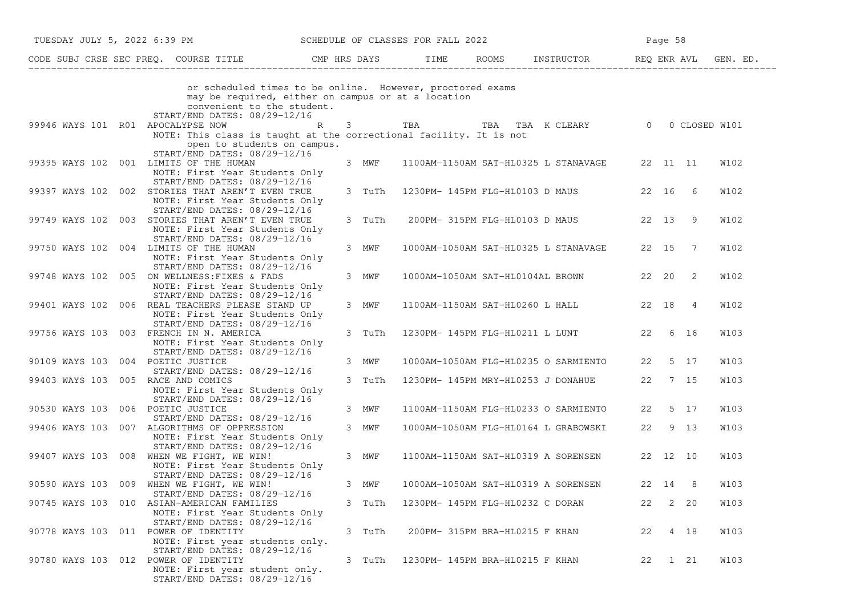|                                    | TUESDAY JULY 5, 2022 6:39 PM SCHEDULE OF CLASSES FOR FALL 2022                                                                                                                |        |                                  |                                               |         | Page 58 |                |             |
|------------------------------------|-------------------------------------------------------------------------------------------------------------------------------------------------------------------------------|--------|----------------------------------|-----------------------------------------------|---------|---------|----------------|-------------|
|                                    | CODE SUBJ CRSE SEC PREQ. COURSE TITLE THE ROOMS INSTRUCTOR THE ROOMS EN REQ ENR AVL GEN. ED.                                                                                  |        |                                  |                                               |         |         |                |             |
|                                    | or scheduled times to be online. However, proctored exams<br>may be required, either on campus or at a location<br>convenient to the student.<br>START/END DATES: 08/29-12/16 |        |                                  |                                               |         |         |                |             |
| 99946 WAYS 101 R01 APOCALYPSE NOW  | $\mathbb{R}$                                                                                                                                                                  |        |                                  | 3 TBA TBA TBA K CLEARY 0 0 CLOSED W101        |         |         |                |             |
|                                    | NOTE: This class is taught at the correctional facility. It is not<br>open to students on campus.<br>START/END DATES: 08/29-12/16                                             |        |                                  |                                               |         |         |                |             |
|                                    | 99395 WAYS 102 001 LIMITS OF THE HUMAN                                                                                                                                        | 3 MWF  |                                  | 1100AM-1150AM SAT-HL0325 L STANAVAGE 22 11 11 |         |         |                | W102        |
|                                    | NOTE: First Year Students Only<br>START/END DATES: 08/29-12/16                                                                                                                |        |                                  |                                               |         |         |                |             |
|                                    | 99397 WAYS 102 002 STORIES THAT AREN'T EVEN TRUE<br>NOTE: First Year Students Only<br>START/END DATES: 08/29-12/16                                                            | 3 TuTh |                                  | 1230PM- 145PM FLG-HL0103 D MAUS 22 16 6       |         |         |                | W102        |
|                                    | 99749 WAYS 102 003 STORIES THAT AREN'T EVEN TRUE<br>NOTE: First Year Students Only                                                                                            | 3 TuTh |                                  | 200PM- 315PM FLG-HL0103 D MAUS                | 22 13 9 |         |                | W102        |
|                                    | START/END DATES: 08/29-12/16<br>99750 WAYS 102 004 LIMITS OF THE HUMAN                                                                                                        | 3 MWF  |                                  | 1000AM-1050AM SAT-HL0325 L STANAVAGE 22 15 7  |         |         |                | W102        |
|                                    | NOTE: First Year Students Only<br>START/END DATES: 08/29-12/16                                                                                                                |        |                                  |                                               |         |         |                |             |
|                                    | 99748 WAYS 102 005 ON WELLNESS: FIXES & FADS<br>NOTE: First Year Students Only<br>START/END DATES: 08/29-12/16                                                                | 3 MWF  |                                  | 1000AM-1050AM SAT-HL0104AL BROWN 22 20 2      |         |         |                | <b>W102</b> |
|                                    | 99401 WAYS 102 006 REAL TEACHERS PLEASE STAND UP<br>NOTE: First Year Students Only<br>START/END DATES: 08/29-12/16                                                            | 3 MWF  |                                  | 1100AM-1150AM SAT-HL0260 L HALL 22 18         |         |         | $\overline{4}$ | W102        |
|                                    | 99756 WAYS 103 003 FRENCH IN N. AMERICA<br>NOTE: First Year Students Only<br>START/END DATES: 08/29-12/16                                                                     | 3 TuTh |                                  | 1230PM- 145PM FLG-HL0211 L LUNT 22 6 16       |         |         |                | W103        |
| 90109 WAYS 103 004 POETIC JUSTICE  | START/END DATES: 08/29-12/16                                                                                                                                                  | 3 MWF  |                                  | 1000AM-1050AM FLG-HL0235 O SARMIENTO 22 5 17  |         |         |                | W103        |
| 99403 WAYS 103 005 RACE AND COMICS | NOTE: First Year Students Only                                                                                                                                                | 3 TuTh |                                  | 1230PM-145PM MRY-HL0253 J DONAHUE 22 7 15     |         |         |                | W103        |
| 90530 WAYS 103 006 POETIC JUSTICE  | START/END DATES: 08/29-12/16<br>START/END DATES: 08/29-12/16                                                                                                                  | 3 MWF  |                                  | 1100AM-1150AM FLG-HL0233 O SARMIENTO 22 5 17  |         |         |                | W103        |
|                                    | 99406 WAYS 103 007 ALGORITHMS OF OPPRESSION<br>NOTE: First Year Students Only<br>START/END DATES: 08/29-12/16                                                                 | 3 MWF  |                                  | 1000AM-1050AM FLG-HL0164 L GRABOWSKI          |         | 22 9 13 |                | W103        |
|                                    | 99407 WAYS 103 008 WHEN WE FIGHT, WE WIN!<br>NOTE: First Year Students Only<br>START/END DATES: 08/29-12/16                                                                   | 3 MWF  |                                  | 1100AM-1150AM SAT-HL0319 A SORENSEN 22 12 10  |         |         |                | W103        |
|                                    | 90590 WAYS 103 009 WHEN WE FIGHT, WE WIN!                                                                                                                                     | 3 MWF  |                                  | 1000AM-1050AM SAT-HL0319 A SORENSEN           | 22 14 8 |         |                | W103        |
|                                    | START/END DATES: 08/29-12/16<br>90745 WAYS 103 010 ASIAN-AMERICAN FAMILIES<br>NOTE: First Year Students Only                                                                  | 3 TuTh | 1230PM- 145PM FLG-HL0232 C DORAN |                                               | 22      |         | $2 \quad 20$   | W103        |
|                                    | START/END DATES: 08/29-12/16<br>90778 WAYS 103 011 POWER OF IDENTITY<br>NOTE: First year students only.                                                                       | 3 TuTh | 200PM- 315PM BRA-HL0215 F KHAN   |                                               | 22      |         | 4 18           | W103        |
|                                    | START/END DATES: 08/29-12/16<br>90780 WAYS 103 012 POWER OF IDENTITY<br>NOTE: First year student only.<br>START/END DATES: 08/29-12/16                                        | 3 TuTh | 1230PM- 145PM BRA-HL0215 F KHAN  |                                               | 22      |         | 1 21           | W103        |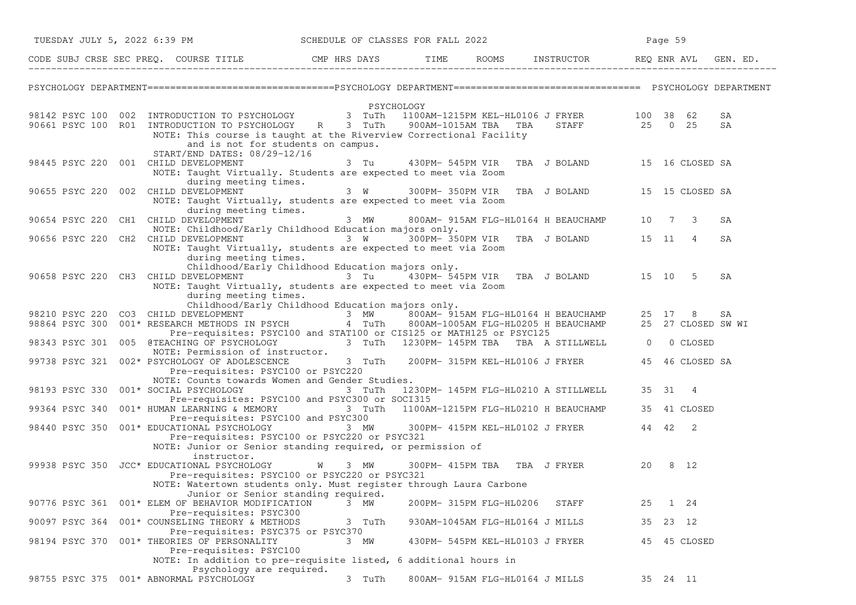| TUESDAY JULY 5, 2022 6:39 PM         |  |                                                                                                                                                                                                         |               |            | SCHEDULE OF CLASSES FOR FALL 2022 |                                 |                                                    |    | Page 59    |              |          |  |
|--------------------------------------|--|---------------------------------------------------------------------------------------------------------------------------------------------------------------------------------------------------------|---------------|------------|-----------------------------------|---------------------------------|----------------------------------------------------|----|------------|--------------|----------|--|
|                                      |  | CODE SUBJ CRSE SEC PREQ. COURSE TITLE THE ROOMS INSTRUCTOR REQ ENR AVL GEN. ED.                                                                                                                         |               |            |                                   |                                 |                                                    |    |            |              |          |  |
|                                      |  |                                                                                                                                                                                                         |               |            |                                   |                                 |                                                    |    |            |              |          |  |
|                                      |  | 98142 PSYC 100 002 INTRODUCTION TO PSYCHOLOGY 3 TuTh 1100AM-1215PM KEL-HL0106 J FRYER 100 38 62                                                                                                         |               | PSYCHOLOGY |                                   |                                 |                                                    |    |            |              |          |  |
|                                      |  | 90661 PSYC 100 R01 INTRODUCTION TO PSYCHOLOGY R 3 TuTh<br>NOTE: This course is taught at the Riverview Correctional Facility                                                                            |               |            |                                   |                                 | 900AM-1015AM TBA TBA STAFF 25 0 25                 |    |            |              | SA<br>SA |  |
|                                      |  | and is not for students on campus.                                                                                                                                                                      |               |            |                                   |                                 |                                                    |    |            |              |          |  |
| 98445 PSYC 220 001 CHILD DEVELOPMENT |  | START/END DATES: 08/29-12/16                                                                                                                                                                            |               | 3 Tu       |                                   |                                 | 430PM-545PM VIR TBA J BOLAND 15 16 CLOSED SA       |    |            |              |          |  |
|                                      |  | NOTE: Taught Virtually. Students are expected to meet via Zoom                                                                                                                                          |               |            |                                   |                                 |                                                    |    |            |              |          |  |
|                                      |  | during meeting times.<br>90655 PSYC 220 002 CHILD DEVELOPMENT                                                                                                                                           |               |            |                                   |                                 | 3 W 300PM-350PM VIR TBA J BOLAND 15 15 CLOSED SA   |    |            |              |          |  |
|                                      |  | NOTE: Taught Virtually, students are expected to meet via Zoom<br>during meeting times.                                                                                                                 |               |            |                                   |                                 |                                                    |    |            |              |          |  |
| 90654 PSYC 220 CH1 CHILD DEVELOPMENT |  |                                                                                                                                                                                                         |               |            |                                   |                                 | 3 MW 800AM-915AM FLG-HL0164 H BEAUCHAMP 10 7 3     |    |            |              | SA       |  |
|                                      |  | NOTE: Childhood/Early Childhood Education majors only.<br>90656 PSYC 220 CH2 CHILD DEVELOPMENT <sup>7</sup> 3 W 300PM-350PM VIR TBA J BOLAND 15 11 4                                                    |               |            |                                   |                                 |                                                    |    |            |              | SA       |  |
|                                      |  | NOTE: Taught Virtually, students are expected to meet via Zoom                                                                                                                                          |               |            |                                   |                                 |                                                    |    |            |              |          |  |
|                                      |  | during meeting times.                                                                                                                                                                                   |               |            |                                   |                                 |                                                    |    |            |              |          |  |
|                                      |  | Childhood/Early Childhood Education majors only.<br>90658 PSYC 220 CH3 CHILD DEVELOPMENT <sup>7</sup> 3 Tu 430PM-545PM VIR TBA J BOLAND 15 10 5                                                         |               |            |                                   |                                 |                                                    |    |            |              | SA       |  |
|                                      |  | NOTE: Taught Virtually, students are expected to meet via Zoom                                                                                                                                          |               |            |                                   |                                 |                                                    |    |            |              |          |  |
|                                      |  | during meeting times.<br>Childhood/Early Childhood Education majors only.                                                                                                                               |               |            |                                   |                                 |                                                    |    |            |              |          |  |
|                                      |  |                                                                                                                                                                                                         |               |            |                                   |                                 |                                                    |    |            |              |          |  |
|                                      |  | 98210 PSYC 220 CO3 CHILD DEVELOPMENT 3 MW 800AM- 915AM FLG-HL0164 H BEAUCHAMP 25 17 8 SA<br>98864 PSYC 300 001* RESEARCH METHODS IN PSYCH 4 TuTh 800AM-1005AM FLG-HL0205 H BEAUCHAMP 25 27 CLOSED SW WI |               |            |                                   |                                 |                                                    |    |            |              |          |  |
|                                      |  | Pre-requisites: PSYC100 and STAT100 or CIS125 or MATH125 or PSYC125<br>98343 PSYC 301 005 @TEACHING OF PSYCHOLOGY 3 TuTh 1230PM-145PM TBA TBA A STILLWELL 0                                             |               |            |                                   |                                 |                                                    |    |            | 0 CLOSED     |          |  |
|                                      |  | NOTE: Permission of instructor.                                                                                                                                                                         |               |            |                                   |                                 |                                                    |    |            |              |          |  |
|                                      |  | 99738 PSYC 321 002* PSYCHOLOGY OF ADOLESCENCE 3 TuTh 200PM-315PM KEL-HL0106 J FRYER 45 46 CLOSED SA<br>Pre-requisites: PSYC100 or PSYC220                                                               |               |            |                                   |                                 |                                                    |    |            |              |          |  |
| 98193 PSYC 330                       |  | NOTE: Counts towards Women and Gender Studies.<br>001* SOCIAL PSYCHOLOGY                                                                                                                                |               |            |                                   |                                 | 3 TuTh 1230PM-145PM FLG-HL0210 A STILLWELL 35 31 4 |    |            |              |          |  |
|                                      |  | Pre-requisites: PSYC100 and PSYC300 or SOCI315                                                                                                                                                          |               |            |                                   |                                 |                                                    |    |            |              |          |  |
| 99364 PSYC 340                       |  | 001* HUMAN LEARNING & MEMORY 3 TuTh 1100AM-1215PM FLG-HL0210 H BEAUCHAMP 35 41 CLOSED                                                                                                                   |               |            |                                   |                                 |                                                    |    |            |              |          |  |
|                                      |  | Pre-requisites: PSYC100 and PSYC300<br>98440 PSYC 350 001* EDUCATIONAL PSYCHOLOGY                                                                                                                       |               |            |                                   |                                 | 3 MW 300PM-415PM KEL-HL0102 J FRYER 44 42 2        |    |            |              |          |  |
|                                      |  | Pre-requisites: PSYC100 or PSYC220 or PSYC321                                                                                                                                                           |               |            |                                   |                                 |                                                    |    |            |              |          |  |
|                                      |  | NOTE: Junior or Senior standing required, or permission of<br>instructor.                                                                                                                               |               |            |                                   |                                 |                                                    |    |            |              |          |  |
|                                      |  | 99938 PSYC 350 JCC* EDUCATIONAL PSYCHOLOGY                                                                                                                                                              | <b>W</b> 3 MW |            |                                   |                                 | 300PM- 415PM TBA TBA J FRYER                       | 20 |            | 8 12         |          |  |
|                                      |  | Pre-requisites: PSYC100 or PSYC220 or PSYC321                                                                                                                                                           |               |            |                                   |                                 |                                                    |    |            |              |          |  |
|                                      |  | NOTE: Watertown students only. Must register through Laura Carbone<br>Junior or Senior standing required.                                                                                               |               |            |                                   |                                 |                                                    |    |            |              |          |  |
|                                      |  | 90776 PSYC 361 001* ELEM OF BEHAVIOR MODIFICATION                                                                                                                                                       |               | 3 MW       |                                   | 200PM- 315PM FLG-HL0206         | STAFF                                              | 25 |            | 1 24         |          |  |
|                                      |  | Pre-requisites: PSYC300                                                                                                                                                                                 |               |            |                                   |                                 |                                                    |    |            |              |          |  |
| 90097 PSYC 364                       |  | 001* COUNSELING THEORY & METHODS<br>Pre-requisites: PSYC375 or PSYC370                                                                                                                                  |               | 3 TuTh     |                                   | 930AM-1045AM FLG-HL0164 J MILLS |                                                    |    | 35 23 12   |              |          |  |
|                                      |  | 98194 PSYC 370 001* THEORIES OF PERSONALITY                                                                                                                                                             |               | 3 MW       |                                   | 430PM- 545PM KEL-HL0103 J FRYER |                                                    |    |            | 45 45 CLOSED |          |  |
|                                      |  | Pre-requisites: PSYC100                                                                                                                                                                                 |               |            |                                   |                                 |                                                    |    |            |              |          |  |
|                                      |  | NOTE: In addition to pre-requisite listed, 6 additional hours in<br>Psychology are required.                                                                                                            |               |            |                                   |                                 |                                                    |    |            |              |          |  |
| 98755 PSYC 375                       |  | 001* ABNORMAL PSYCHOLOGY                                                                                                                                                                                |               | 3 TuTh     |                                   | 800AM- 915AM FLG-HL0164 J MILLS |                                                    |    | 35  24  11 |              |          |  |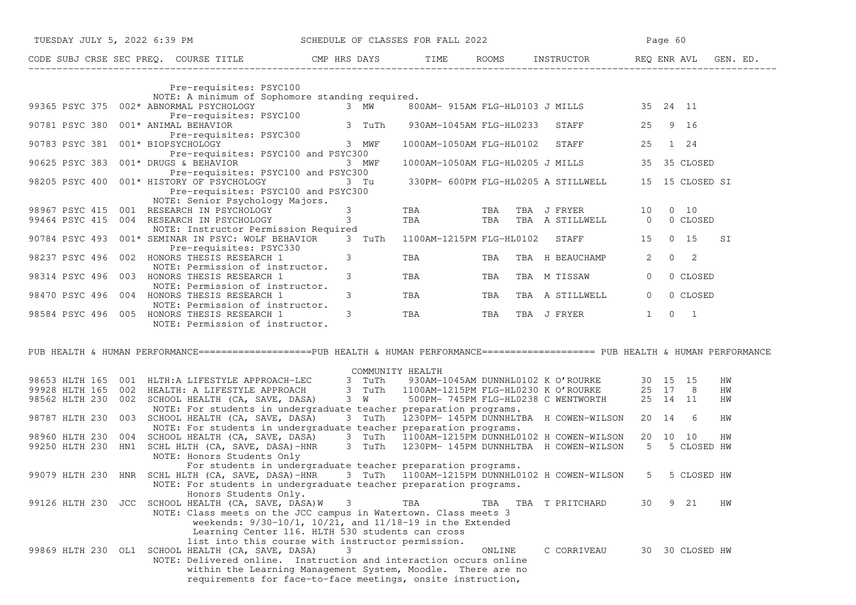|                                      | TUESDAY JULY 5, 2022 6:39 PM SCHEDULE OF CLASSES FOR FALL 2022                                                                                                                                                                       |                                               |                                                      |        |                                          |                | Page 60 |                 |    |
|--------------------------------------|--------------------------------------------------------------------------------------------------------------------------------------------------------------------------------------------------------------------------------------|-----------------------------------------------|------------------------------------------------------|--------|------------------------------------------|----------------|---------|-----------------|----|
|                                      | CODE SUBJ CRSE SEC PREQ. COURSE TITLE THE CMP HRS DAYS TIME ROOMS INSTRUCTOR REQ ENR AVL GEN. ED.                                                                                                                                    |                                               |                                                      |        |                                          |                |         |                 |    |
|                                      | Pre-requisites: PSYC100                                                                                                                                                                                                              |                                               |                                                      |        |                                          |                |         |                 |    |
|                                      | NOTE: A minimum of Sophomore standing required.<br>99365 PSYC 375 002* ABNORMAL PSYCHOLOGY 3 MW<br>Pre-requisites: PSYC100                                                                                                           |                                               |                                                      |        | 800AM- 915AM FLG-HL0103 J MILLS 35 24 11 |                |         |                 |    |
| 90781 PSYC 380                       | 001* ANIMAL BEHAVIOR<br>Pre-requisites: PSYC300                                                                                                                                                                                      | 3 TuTh                                        | 930AM-1045AM FLG-HL0233                              |        | <b>STAFF</b>                             | 25 9 16        |         |                 |    |
| 90783 PSYC 381                       | 001* BIOPSYCHOLOGY<br>Pre-requisites: PSYC100 and PSYC300                                                                                                                                                                            | 3 MWF                                         | 1000AM-1050AM FLG-HL0102                             |        | <b>STAFF</b>                             | 25             |         | 1 24            |    |
| 90625 PSYC 383                       | $001*$ DRUGS & BEHAVIOR<br>Pre-requisites: PSYC100 and PSYC300                                                                                                                                                                       | 3 MWF                                         |                                                      |        | 1000AM-1050AM FLG-HL0205 J MILLS         |                |         | 35 35 CLOSED    |    |
|                                      | 98205 PSYC 400 001* HISTORY OF PSYCHOLOGY<br>Pre-requisites: PSYC100 and PSYC300<br>NOTE: Senior Psychology Majors.                                                                                                                  | 3 Tu                                          |                                                      |        | 330PM- 600PM FLG-HL0205 A STILLWELL      |                |         | 15 15 CLOSED SI |    |
|                                      | 98967 PSYC 415 001 RESEARCH IN PSYCHOLOGY<br>99464 PSYC 415 004 RESEARCH IN PSYCHOLOGY                                                                                                                                               | $3^{\circ}$<br>$3 \left( \frac{1}{2} \right)$ | TBA                                                  | TBA    | TBA TBA TBA J FRYER<br>TBA A STILLWELL   | 10 0 10        |         | 0 0 CLOSED      |    |
|                                      | NOTE: Instructor Permission Required<br>90784 PSYC 493 001* SEMINAR IN PSYC: WOLF BEHAVIOR<br>Pre-requisites: PSYC330                                                                                                                |                                               | 3 TuTh 1100AM-1215PM FLG-HL0102 STAFF 15 0 15        |        |                                          |                |         |                 | SI |
| 98237 PSYC 496 002                   | HONORS THESIS RESEARCH 1<br>NOTE: Permission of instructor.                                                                                                                                                                          | $3 \left( \frac{1}{2} \right)$                | <b>TBA</b>                                           | TBA    | TBA H BEAUCHAMP                          | $\overline{2}$ |         | $0\qquad 2$     |    |
|                                      | 98314 PSYC 496 003 HONORS THESIS RESEARCH 1<br>NOTE: Permission of instructor.                                                                                                                                                       | $3 \sim$                                      | TBA TBA                                              |        | TBA M TISSAW                             | $\overline{0}$ |         | 0 CLOSED        |    |
|                                      | 98470 PSYC 496 004 HONORS THESIS RESEARCH 1<br>NOTE: Permission of instructor.                                                                                                                                                       | $3^{\circ}$                                   | TBA TBA                                              |        | TBA A STILLWELL                          | $\overline{0}$ |         | 0 CLOSED        |    |
|                                      | 98584 PSYC 496 005 HONORS THESIS RESEARCH 1<br>NOTE: Permission of instructor.                                                                                                                                                       | $3^{\circ}$                                   | TBA TBA                                              |        | TBA J FRYER 1 0 1                        |                |         |                 |    |
|                                      | PUB HEALTH & HUMAN PERFORMANCE===================PUB HEALTH & HUMAN PERFORMANCE==================== PUB HEALTH & HUMAN PERFORMANCE                                                                                                   |                                               |                                                      |        |                                          |                |         |                 |    |
|                                      |                                                                                                                                                                                                                                      |                                               | COMMUNITY HEALTH                                     |        |                                          |                |         |                 |    |
|                                      | 98653 HLTH 165 001 HLTH:A LIFESTYLE APPROACH-LEC 3 TuTh 930AM-1045AM DUNNHL0102 K O'ROURKE 30 15 15<br>99928 HLTH 165 002 HEALTH:A LIFESTYLE APPROACH 3 TuTh 1100AM-1215PM FLG-HL0230 K O'ROURKE 25 17 8<br>98562 HLTH 230 002 SCHOO |                                               |                                                      |        |                                          |                |         |                 | HW |
|                                      |                                                                                                                                                                                                                                      |                                               |                                                      |        |                                          |                |         |                 | HW |
|                                      | NOTE: For students in undergraduate teacher preparation programs.                                                                                                                                                                    |                                               |                                                      |        |                                          |                |         |                 | HW |
|                                      | 98787 HLTH 230 003 SCHOOL HEALTH (CA, SAVE, DASA)                                                                                                                                                                                    |                                               | 3 TuTh 1230PM-145PM DUNNHLTBA H COWEN-WILSON 20 14 6 |        |                                          |                |         |                 | HW |
|                                      | NOTE: For students in undergraduate teacher preparation programs.                                                                                                                                                                    |                                               |                                                      |        |                                          |                |         |                 |    |
| 98960 HLTH 230 004<br>99250 HLTH 230 | SCHOOL HEALTH (CA, SAVE, DASA) 3 TuTh 1100AM-1215PM DUNNHL0102 H COWEN-WILSON<br>SCHL HLTH (CA, SAVE, DASA)-HNR 3 TuTh 1230PM-145PM DUNNHLTBA H COWEN-WILSON<br>HN1 SCHL HLTH (CA, SAVE, DASA)-HNR                                   |                                               |                                                      |        |                                          | 20 10 10       |         | 5 5 CLOSED HW   | HW |
|                                      | NOTE: Honors Students Only                                                                                                                                                                                                           |                                               |                                                      |        |                                          |                |         |                 |    |
|                                      | For students in undergraduate teacher preparation programs.                                                                                                                                                                          |                                               |                                                      |        |                                          |                |         |                 |    |
|                                      | 99079 HLTH 230 HNR SCHL HLTH (CA, SAVE, DASA)-HNR 3 TuTh 1100AM-1215PM DUNNHL0102 H COWEN-WILSON 5                                                                                                                                   |                                               |                                                      |        |                                          |                |         | 5 CLOSED HW     |    |
|                                      | NOTE: For students in undergraduate teacher preparation programs.<br>Honors Students Only.                                                                                                                                           |                                               |                                                      |        |                                          |                |         |                 |    |
|                                      | 99126 HLTH 230 JCC SCHOOL HEALTH (CA, SAVE, DASA)W                                                                                                                                                                                   | 3                                             | TBA                                                  | TBA    | TBA T PRITCHARD                          | 30             |         | 9 21            | HW |
|                                      | NOTE: Class meets on the JCC campus in Watertown. Class meets 3                                                                                                                                                                      |                                               |                                                      |        |                                          |                |         |                 |    |
|                                      | weekends: $9/30-10/1$ , $10/21$ , and $11/18-19$ in the Extended                                                                                                                                                                     |                                               |                                                      |        |                                          |                |         |                 |    |
|                                      | Learning Center 116. HLTH 530 students can cross<br>list into this course with instructor permission.                                                                                                                                |                                               |                                                      |        |                                          |                |         |                 |    |
| 99869 HLTH 230 OL1                   | SCHOOL HEALTH (CA, SAVE, DASA)                                                                                                                                                                                                       | 3                                             |                                                      | ONLINE | C CORRIVEAU                              |                |         | 30 30 CLOSED HW |    |
|                                      | NOTE: Delivered online. Instruction and interaction occurs online                                                                                                                                                                    |                                               |                                                      |        |                                          |                |         |                 |    |
|                                      | within the Learning Management System, Moodle. There are no                                                                                                                                                                          |                                               |                                                      |        |                                          |                |         |                 |    |
|                                      | requirements for face-to-face meetings, onsite instruction,                                                                                                                                                                          |                                               |                                                      |        |                                          |                |         |                 |    |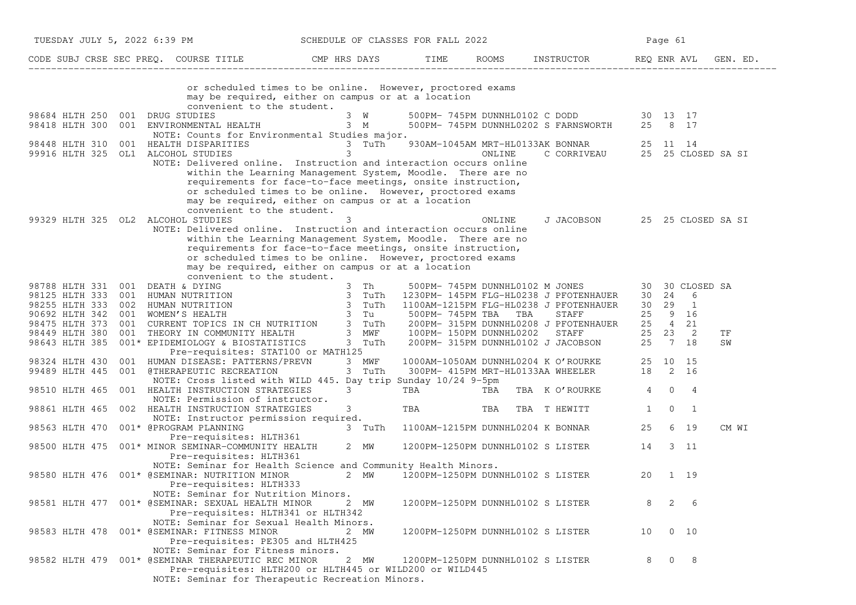|                                    |     | TUESDAY JULY 5, 2022 6:39 PM                                                                                                                                                                                                             |   |                        | SCHEDULE OF CLASSES FOR FALL 2022 |                                   |                                                                          |    | Page 61     |                 |       |
|------------------------------------|-----|------------------------------------------------------------------------------------------------------------------------------------------------------------------------------------------------------------------------------------------|---|------------------------|-----------------------------------|-----------------------------------|--------------------------------------------------------------------------|----|-------------|-----------------|-------|
|                                    |     | CODE SUBJ CRSE SEC PREQ. COURSE TITLE TIME TOOMS INSTRUCTOR TEME REQ ENR AVL GEN. ED.                                                                                                                                                    |   |                        |                                   |                                   |                                                                          |    |             |                 |       |
|                                    |     | or scheduled times to be online. However, proctored exams<br>may be required, either on campus or at a location<br>convenient to the student.                                                                                            |   |                        |                                   |                                   |                                                                          |    |             |                 |       |
| 98684 HLTH 250 001 DRUG STUDIES    |     |                                                                                                                                                                                                                                          |   | $3 \quad W$            |                                   |                                   | 500PM- 745PM DUNNHL0102 C DODD 30 13 17                                  |    |             |                 |       |
|                                    |     | 98418 HLTH 300 001 ENVIRONMENTAL HEALTH 3 M 500PM-745PM DUNNHL0202 S FARNSWORTH 25 8 17                                                                                                                                                  |   |                        |                                   |                                   |                                                                          |    |             |                 |       |
|                                    |     | NOTE: Counts for Environmental Studies major.                                                                                                                                                                                            |   |                        |                                   |                                   |                                                                          |    |             |                 |       |
| 98448 HLTH 310                     | 001 |                                                                                                                                                                                                                                          |   |                        |                                   |                                   |                                                                          |    |             |                 |       |
| 99916 HLTH 325 OL1 ALCOHOL STUDIES |     |                                                                                                                                                                                                                                          |   |                        |                                   |                                   |                                                                          |    |             |                 |       |
|                                    |     | NOTE: Delivered online. Instruction and interaction occurs online<br>within the Learning Management System, Moodle. There are no                                                                                                         |   |                        |                                   |                                   |                                                                          |    |             |                 |       |
|                                    |     | requirements for face-to-face meetings, onsite instruction,                                                                                                                                                                              |   |                        |                                   |                                   |                                                                          |    |             |                 |       |
|                                    |     | or scheduled times to be online. However, proctored exams<br>may be required, either on campus or at a location                                                                                                                          |   |                        |                                   |                                   |                                                                          |    |             |                 |       |
|                                    |     | convenient to the student.                                                                                                                                                                                                               |   |                        |                                   |                                   |                                                                          |    |             |                 |       |
| 99329 HLTH 325 OL2 ALCOHOL STUDIES |     |                                                                                                                                                                                                                                          | 3 |                        |                                   | ONLINE                            | J JACOBSON 25 25 CLOSED SA SI                                            |    |             |                 |       |
|                                    |     | NOTE: Delivered online. Instruction and interaction occurs online                                                                                                                                                                        |   |                        |                                   |                                   |                                                                          |    |             |                 |       |
|                                    |     | within the Learning Management System, Moodle. There are no                                                                                                                                                                              |   |                        |                                   |                                   |                                                                          |    |             |                 |       |
|                                    |     | requirements for face-to-face meetings, onsite instruction,                                                                                                                                                                              |   |                        |                                   |                                   |                                                                          |    |             |                 |       |
|                                    |     | or scheduled times to be online. However, proctored exams                                                                                                                                                                                |   |                        |                                   |                                   |                                                                          |    |             |                 |       |
|                                    |     | may be required, either on campus or at a location                                                                                                                                                                                       |   |                        |                                   |                                   |                                                                          |    |             |                 |       |
|                                    |     | convenient to the student.                                                                                                                                                                                                               |   |                        |                                   |                                   |                                                                          |    |             |                 |       |
|                                    |     |                                                                                                                                                                                                                                          |   |                        |                                   |                                   |                                                                          |    |             | 30 30 CLOSED SA |       |
|                                    |     |                                                                                                                                                                                                                                          |   |                        |                                   |                                   |                                                                          |    | 30  24  6   |                 |       |
|                                    |     |                                                                                                                                                                                                                                          |   |                        |                                   |                                   |                                                                          |    | 30 29 1     |                 |       |
|                                    |     |                                                                                                                                                                                                                                          |   |                        |                                   |                                   |                                                                          |    | 25 9 16     |                 |       |
|                                    |     | 98788 HLTH 331 001 DEATH & DYING<br>98125 HLTH 333 001 HUMAN NUTRITION<br>98255 HLTH 333 002 HUMAN NUTRITION<br>98255 HLTH 333 002 HUMAN NUTRITION<br>98692 HLTH 342 001 WOMEN'S HEALTH<br>98475 HLTH 373 001 CURRENT TOPICS IN CH NUTRI |   |                        |                                   |                                   |                                                                          |    | 25 4 21     |                 |       |
|                                    |     |                                                                                                                                                                                                                                          |   |                        |                                   |                                   |                                                                          |    | 25 23 2     |                 | ΤF    |
|                                    |     |                                                                                                                                                                                                                                          |   |                        |                                   |                                   |                                                                          |    | 25 7 18     |                 | SW    |
|                                    |     | Pre-requisites: STAT100 or MATH125                                                                                                                                                                                                       |   |                        |                                   |                                   |                                                                          |    |             |                 |       |
|                                    |     | 98324 HLTH 430 001 HUMAN DISEASE: PATTERNS/PREVN                                                                                                                                                                                         |   | 3 MWF                  |                                   |                                   | 1000AM-1050AM DUNNHL0204 K O'ROURKE<br>300PM- 415PM MRT-HL0133AA WHEELER |    | 25 10 15    |                 |       |
| 99489 HLTH 445                     |     | 001 @THERAPEUTIC RECREATION                                                                                                                                                                                                              |   | 3 TuTh                 |                                   |                                   |                                                                          |    | 18 2 16     |                 |       |
|                                    |     | NOTE: Cross listed with WILD 445. Day trip Sunday 10/24 9-5pm                                                                                                                                                                            |   |                        |                                   |                                   |                                                                          |    |             |                 |       |
| 98510 HLTH 465                     |     | 001 HEALTH INSTRUCTION STRATEGIES                                                                                                                                                                                                        |   | $3 \quad \blacksquare$ | TBA                               | TBA                               | TBA K O'ROURKE 4 0 4                                                     |    |             |                 |       |
|                                    |     | NOTE: Permission of instructor.                                                                                                                                                                                                          |   |                        |                                   |                                   |                                                                          |    |             |                 |       |
| 98861 HLTH 465                     |     | 002 HEALTH INSTRUCTION STRATEGIES                                                                                                                                                                                                        |   | 3                      | TBA TBA                           |                                   | TBA T HEWITT                                                             | 1  | $\mathbf 0$ | $\overline{1}$  |       |
|                                    |     | NOTE: Instructor permission required.                                                                                                                                                                                                    |   |                        |                                   |                                   |                                                                          |    |             |                 |       |
| 98563 HLTH 470                     |     | 001* @PROGRAM PLANNING                                                                                                                                                                                                                   |   |                        |                                   |                                   | 3 TuTh 1100AM-1215PM DUNNHL0204 K BONNAR                                 | 25 |             | 6 19            | CM WI |
|                                    |     | Pre-requisites: HLTH361                                                                                                                                                                                                                  |   |                        |                                   |                                   |                                                                          |    |             |                 |       |
|                                    |     | 98500 HLTH 475 001* MINOR SEMINAR-COMMUNITY HEALTH<br>Pre-requisites: HLTH361                                                                                                                                                            |   | 2 MW                   |                                   |                                   | 1200PM-1250PM DUNNHL0102 S LISTER                                        | 14 |             | 3 11            |       |
|                                    |     | NOTE: Seminar for Health Science and Community Health Minors.                                                                                                                                                                            |   |                        |                                   |                                   |                                                                          |    |             |                 |       |
|                                    |     | 98580 HLTH 476 001* @SEMINAR: NUTRITION MINOR 2 MW                                                                                                                                                                                       |   |                        |                                   | 1200PM-1250PM DUNNHL0102 S LISTER |                                                                          | 20 |             | 1 19            |       |
|                                    |     | Pre-requisites: HLTH333                                                                                                                                                                                                                  |   |                        |                                   |                                   |                                                                          |    |             |                 |       |
|                                    |     | NOTE: Seminar for Nutrition Minors.                                                                                                                                                                                                      |   |                        |                                   |                                   |                                                                          |    |             |                 |       |
|                                    |     | 98581 HLTH 477 001* @SEMINAR: SEXUAL HEALTH MINOR                                                                                                                                                                                        |   | 2 MW                   |                                   | 1200PM-1250PM DUNNHL0102 S LISTER |                                                                          | 8  |             | $2\overline{6}$ |       |
|                                    |     | Pre-requisites: HLTH341 or HLTH342                                                                                                                                                                                                       |   |                        |                                   |                                   |                                                                          |    |             |                 |       |
|                                    |     | NOTE: Seminar for Sexual Health Minors.                                                                                                                                                                                                  |   |                        |                                   |                                   |                                                                          |    |             |                 |       |
|                                    |     | 98583 HLTH 478 001* @SEMINAR: FITNESS MINOR                                                                                                                                                                                              |   | 2 MW                   |                                   | 1200PM-1250PM DUNNHL0102 S LISTER |                                                                          |    | 10 0 10     |                 |       |
|                                    |     | Pre-requisites: PE305 and HLTH425                                                                                                                                                                                                        |   |                        |                                   |                                   |                                                                          |    |             |                 |       |
|                                    |     | NOTE: Seminar for Fitness minors.                                                                                                                                                                                                        |   |                        |                                   |                                   |                                                                          |    |             |                 |       |
|                                    |     | 98582 HLTH 479 001* @SEMINAR THERAPEUTIC REC MINOR                                                                                                                                                                                       |   | 2 MW                   |                                   | 1200PM-1250PM DUNNHL0102 S LISTER |                                                                          |    | 8 0 8       |                 |       |
|                                    |     | Pre-requisites: HLTH200 or HLTH445 or WILD200 or WILD445                                                                                                                                                                                 |   |                        |                                   |                                   |                                                                          |    |             |                 |       |
|                                    |     | NOTE: Seminar for Therapeutic Recreation Minors.                                                                                                                                                                                         |   |                        |                                   |                                   |                                                                          |    |             |                 |       |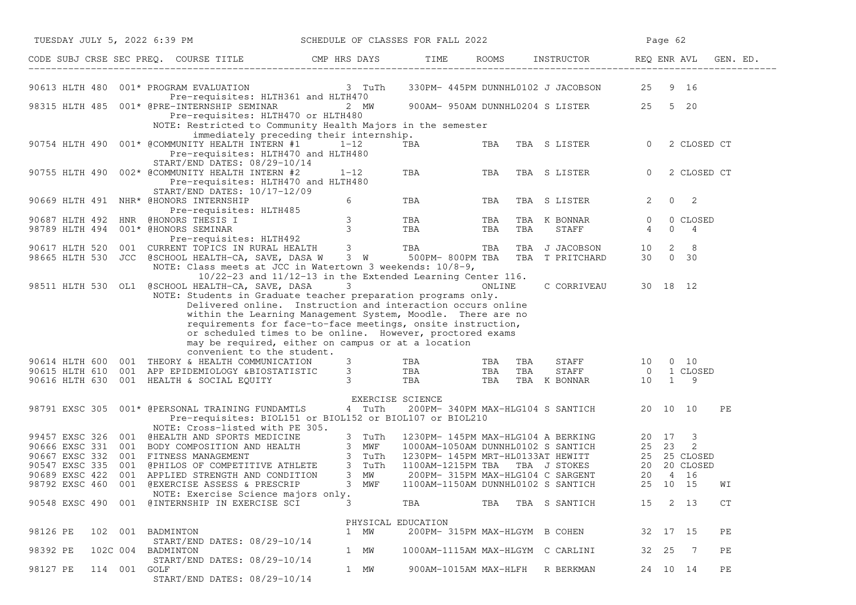| TUESDAY JULY 5, 2022 6:39 PM                                                                                                                                                                                                                                                                                                                                                                       | SCHEDULE OF CLASSES FOR FALL 2022                                               |                                   | Page 62 |                                            |                |                                |    |
|----------------------------------------------------------------------------------------------------------------------------------------------------------------------------------------------------------------------------------------------------------------------------------------------------------------------------------------------------------------------------------------------------|---------------------------------------------------------------------------------|-----------------------------------|---------|--------------------------------------------|----------------|--------------------------------|----|
| CODE SUBJ CRSE SEC PREQ. COURSE TITLE THE ROOMS INSTRUCTOR REQ ENR AVL GEN. ED.                                                                                                                                                                                                                                                                                                                    |                                                                                 |                                   |         |                                            |                |                                |    |
| 90613 HLTH 480 001* PROGRAM EVALUATION 3 TuTh                                                                                                                                                                                                                                                                                                                                                      |                                                                                 |                                   |         | 330PM- 445PM DUNNHL0102 J JACOBSON 25 9 16 |                |                                |    |
| Pre-requisites: HLTH361 and HLTH470<br>98315 HLTH 485 001* @PRE-INTERNSHIP SEMINAR<br>Pre-requisites: HLTH470 or HLTH480<br>NOTE: Restricted to Community Health Majors in the semester                                                                                                                                                                                                            | 2 MW                                                                            |                                   |         | 900AM- 950AM DUNNHL0204 S LISTER 25 5 20   |                |                                |    |
| 90754 HLTH 490 001* @COMMUNITY HEALTH INTERN #1 1-12<br>Pre-requisites: HLTH470 and HLTH480<br>START/END DATES: 08/29-10/14                                                                                                                                                                                                                                                                        | immediately preceding their internship.                                         | <b>TBA</b>                        | TBA     | TBA S LISTER                               | $\overline{0}$ | 2 CLOSED CT                    |    |
| 90755 HLTH 490 002* @COMMUNITY HEALTH INTERN #2<br>Pre-requisites: HLTH470 and HLTH480                                                                                                                                                                                                                                                                                                             | $1 - 12$                                                                        | TBA                               | TBA     | TBA S LISTER                               | $\overline{0}$ | 2 CLOSED CT                    |    |
| START/END DATES: 10/17-12/09<br>90669 HLTH 491 NHR* @HONORS INTERNSHIP                                                                                                                                                                                                                                                                                                                             | 6 —                                                                             | <b>TBA</b>                        | TBA     | TBA S LISTER                               | $\mathbf{2}$   | $0\qquad 2$                    |    |
| Pre-requisites: HLTH485<br>90687 HLTH 492 HNR @HONORS THESIS I 3 TBA TBA<br>98789 HLTH 494 001* @HONORS SEMINAR 3 TBA TBA TBA<br>Pre-requisites: HLTH492                                                                                                                                                                                                                                           |                                                                                 |                                   | TBA     | TBA K BONNAR 0<br><b>STAFF</b>             | 4              | 0 CLOSED<br>4<br>0             |    |
| 90617 HLTH 520 001 CURRENT TOPICS IN RURAL HEALTH 3 TBA TBA TBA J JACOBSON 10<br>98665 HLTH 530 JCC @SCHOOL HEALTH-CA, SAVE, DASA W 3 W 500PM-800PM TBA TBA T PRITCHARD 30<br>NOTE: Class meets at JCC in Watertown 3 weekends: 10/8-9,                                                                                                                                                            |                                                                                 |                                   |         |                                            |                | 8 <sup>8</sup><br>2<br>30 0 30 |    |
| 98511 HLTH 530 OL1 @SCHOOL HEALTH-CA, SAVE, DASA<br>NOTE: Students in Graduate teacher preparation programs only.<br>Delivered online. Instruction and interaction occurs online                                                                                                                                                                                                                   | $10/22-23$ and $11/12-13$ in the Extended Learning Center 116.<br>$\mathcal{S}$ |                                   | ONLINE  | C CORRIVEAU 30 18 12                       |                |                                |    |
| within the Learning Management System, Moodle. There are no<br>requirements for face-to-face meetings, onsite instruction,<br>or scheduled times to be online. However, proctored exams<br>may be required, either on campus or at a location<br>convenient to the student.                                                                                                                        |                                                                                 |                                   |         |                                            |                |                                |    |
|                                                                                                                                                                                                                                                                                                                                                                                                    |                                                                                 |                                   |         |                                            |                |                                |    |
| $\begin{array}{cccccccc} 90614&\text{HLTH 600} & 001 &\text{THEORY 6} &\text{HEALTH COMMUNICATION} & 3 & &\text{TBA} &\text{TBA} &\text{TBA} & \text{STAFF} & 10 & 0 & 10\\ 90615&\text{HLTH 610} & 001 & \text{APP EPIDEMIOLOGY 6BIOSTATISTIC} & 3 & &\text{TBA} &\text{TBA} & \text{TBA} & \text{STAFF} & 0 & 1\text{ CLOSED}\\ 90616&\text{HLTH 630} & 001 & \text{HEALTH 6} & \text{SCIAL EQU$ |                                                                                 |                                   |         |                                            |                |                                |    |
| 98791 EXSC 305 001* @PERSONAL TRAINING FUNDAMTLS                                                                                                                                                                                                                                                                                                                                                   | EXERCISE SCIENCE<br>4 TuTh                                                      |                                   |         | 200PM- 340PM MAX-HLG104 S SANTICH 20 10 10 |                |                                | PЕ |
| Pre-requisites: BIOL151 or BIOL152 or BIOL107 or BIOL210<br>NOTE: Cross-listed with PE 305.                                                                                                                                                                                                                                                                                                        |                                                                                 |                                   |         |                                            |                |                                |    |
| 99457 EXSC 326 001 @HEALTH AND SPORTS MEDICINE                                                                                                                                                                                                                                                                                                                                                     | 3 TuTh                                                                          |                                   |         |                                            |                |                                |    |
| 90666 EXSC 331 001 BODY COMPOSITION AND HEALTH 3 MWF 1<br>90667 EXSC 332 001 FITNESS MANAGEMENT 3 TuTh 1<br>90547 EXSC 335 001 @PHILOS OF COMPETITIVE ATHLETE 3 TuTh 1<br>90689 EXSC 422 001 APPLIED STRENGTH AND CONDITION 3 MW                                                                                                                                                                   |                                                                                 |                                   |         |                                            |                |                                |    |
|                                                                                                                                                                                                                                                                                                                                                                                                    |                                                                                 |                                   |         |                                            |                |                                |    |
|                                                                                                                                                                                                                                                                                                                                                                                                    |                                                                                 |                                   |         |                                            |                |                                |    |
| 98792 EXSC 460<br>001 @EXERCISE ASSESS & PRESCRIP                                                                                                                                                                                                                                                                                                                                                  | 3 MWF                                                                           |                                   |         |                                            |                |                                | WI |
| NOTE: Exercise Science majors only.<br>90548 EXSC 490 001 @INTERNSHIP IN EXERCISE SCI                                                                                                                                                                                                                                                                                                              | 3                                                                               | TBA                               |         | TBA TBA S SANTICH                          | 15             | 2 13                           | CT |
|                                                                                                                                                                                                                                                                                                                                                                                                    |                                                                                 | PHYSICAL EDUCATION                |         |                                            |                |                                |    |
| 98126 PE<br>102 001 BADMINTON<br>START/END DATES: 08/29-10/14                                                                                                                                                                                                                                                                                                                                      | 1 MW                                                                            | 200PM- 315PM MAX-HLGYM B COHEN    |         |                                            |                | 32 17 15                       | PЕ |
| 98392 PE<br>102C 004<br>BADMINTON<br>START/END DATES: 08/29-10/14                                                                                                                                                                                                                                                                                                                                  | 1 MW                                                                            | 1000AM-1115AM MAX-HLGYM C CARLINI |         |                                            | 32 25          | $\overline{7}$                 | PЕ |
| 98127 PE<br>114 001 GOLF<br>START/END DATES: 08/29-10/14                                                                                                                                                                                                                                                                                                                                           | 1 MW                                                                            |                                   |         | 900AM-1015AM MAX-HLFH R BERKMAN            |                | 24 10 14                       | PЕ |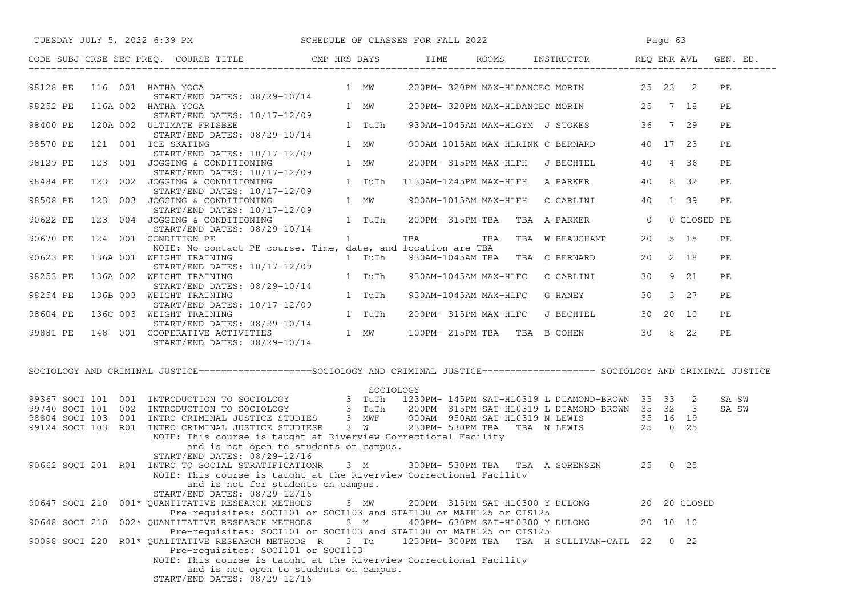| TUESDAY JULY 5, 2022 6:39 PM                                                                                                                                                                                                            | SCHEDULE OF CLASSES FOR FALL 2022                                           |                                  |                                             | Page 63  |             |          |
|-----------------------------------------------------------------------------------------------------------------------------------------------------------------------------------------------------------------------------------------|-----------------------------------------------------------------------------|----------------------------------|---------------------------------------------|----------|-------------|----------|
| CODE SUBJ CRSE SEC PREO. COURSE TITLE                                                                                                                                                                                                   | CMP HRS DAYS TIME ROOMS INSTRUCTOR REQ ENR AVL GEN. ED.                     |                                  |                                             |          |             |          |
| 98128 PE 116 001 HATHA YOGA<br>START/END DATES: 08/29-10/14                                                                                                                                                                             | 1 MW                                                                        |                                  | 200PM-320PM MAX-HLDANCEC MORIN 25 23 2      |          |             | PE       |
| 98252 PE<br>116A 002 HATHA YOGA<br>START/END DATES: 10/17-12/09                                                                                                                                                                         | 1 MW                                                                        |                                  | 200PM-320PM MAX-HLDANCEC MORIN 25 7 18      |          |             | PE       |
| 98400 PE<br>120A 002 ULTIMATE FRISBEE<br>START/END DATES: 08/29-10/14                                                                                                                                                                   | 1 TuTh                                                                      |                                  | 930AM-1045AM MAX-HLGYM J STOKES 36 7 29     |          |             | PE       |
| 121 001 ICE SKATING<br>98570 PE<br>START/END DATES: 10/17-12/09                                                                                                                                                                         | 1 MW                                                                        |                                  | 900AM-1015AM MAX-HLRINK C BERNARD 40 17 23  |          |             | РE       |
| 98129 PE<br>123 001 JOGGING & CONDITIONING<br>START/END DATES: 10/17-12/09                                                                                                                                                              | 1 MW                                                                        |                                  | 200PM-315PM MAX-HLFH J BECHTEL 40 4 36      |          |             | PE       |
| 123 002 JOGGING & CONDITIONING<br>98484 PE<br>START/END DATES: 10/17-12/09                                                                                                                                                              | 1 TuTh                                                                      |                                  | 1130AM-1245PM MAX-HLFH A PARKER 40 8 32     |          |             | PЕ       |
| 123 003 JOGGING & CONDITIONING<br>98508 PE<br>JOGGING & CONDITIONING<br>START/END DATES: 10/17-12/09                                                                                                                                    | 1 MW                                                                        |                                  | 900AM-1015AM MAX-HLFH  C CARLINI  40  1  39 |          |             | PE       |
| 123 004 JOGGING & CONDITIONING<br>90622 PE<br>START/END DATES: 08/29-10/14                                                                                                                                                              | 1 TuTh                                                                      |                                  | 200PM-315PM TBA TBA A PARKER 0              |          | 0 CLOSED PE |          |
| 90670 PE<br>124 001 CONDITION PE<br>NOTE: No contact PE course. Time, date, and location are TBA                                                                                                                                        | $1 \qquad \qquad$                                                           |                                  | TBA TBA TBA W BEAUCHAMP 20 5 15             |          |             | PЕ       |
| 90623 PE<br>136A 001 WEIGHT TRAINING<br>START/END DATES: 10/17-12/09                                                                                                                                                                    | 1 TuTh                                                                      |                                  | 930AM-1045AM TBA TBA C BERNARD 20 2 18      |          |             | PE       |
| 98253 PE<br>136A 002 WEIGHT TRAINING<br>START/END DATES: 08/29-10/14                                                                                                                                                                    | 1 TuTh                                                                      |                                  | 930AM-1045AM MAX-HLFC C CARLINI 30 9 21     |          |             | $\rm PE$ |
| 98254 PE<br>136B 003 WEIGHT TRAINING<br>START/END DATES: 10/17-12/09                                                                                                                                                                    | 1 TuTh                                                                      |                                  | 930AM-1045AM MAX-HLFC G HANEY 30 3 27       |          |             | PE       |
| 136C 003 WEIGHT TRAINING<br>98604 PE<br>START/END DATES: 08/29-10/14                                                                                                                                                                    | 1 TuTh                                                                      | 200PM- 315PM MAX-HLFC            | J BECHTEL 30 20 10                          |          |             | PE       |
| 148 001 COOPERATIVE ACTIVITIES 1 MW<br>START/END DATES: 08/29-10/14<br>99881 PE<br>START/END DATES: 08/29-10/14                                                                                                                         |                                                                             |                                  | 100PM-215PM TBA TBA B COHEN 30 8 22         |          |             | PE       |
| SOCIOLOGY AND CRIMINAL JUSTICE==================SOCIOLOGY AND CRIMINAL JUSTICE==================== SOCIOLOGY AND CRIMINAL JUSTICE                                                                                                       |                                                                             |                                  |                                             |          |             |          |
|                                                                                                                                                                                                                                         | SOCIOLOGY                                                                   |                                  |                                             |          |             |          |
| 99367 SOCI 101 001 INTRODUCTION TO SOCIOLOGY<br>99740 SOCI 101 002 INTRODUCTION TO SOCIOLOGY<br>98804 SOCI 103 001 INTRO CRIMINAL JUSTICE STUDIES 3 MWF 900AM-950AM SAT-HL0319 N LEWIS 35 16 19<br>99124 SOCI 103 R01 INTRO CRIMINAL JU |                                                                             |                                  |                                             |          |             | SA SW    |
|                                                                                                                                                                                                                                         |                                                                             |                                  |                                             |          |             | SA SW    |
|                                                                                                                                                                                                                                         |                                                                             |                                  |                                             |          |             |          |
| NOTE: This course is taught at Riverview Correctional Facility                                                                                                                                                                          | and is not open to students on campus.                                      |                                  |                                             |          |             |          |
| START/END DATES: 08/29-12/16                                                                                                                                                                                                            |                                                                             |                                  |                                             |          |             |          |
| 90662 SOCI 201 R01 INTRO TO SOCIAL STRATIFICATIONR 3 M 300PM- 530PM TBA TBA A SORENSEN 25 0 25<br>NOTE: This course is taught at the Riverview Correctional Facility                                                                    |                                                                             |                                  |                                             |          |             |          |
| START/END DATES: 08/29-12/16                                                                                                                                                                                                            | and is not for students on campus.                                          |                                  |                                             |          |             |          |
| 001* QUANTITATIVE RESEARCH METHODS<br>90647 SOCI 210                                                                                                                                                                                    | 3 MW<br>Pre-requisites: SOCI101 or SOCI103 and STAT100 or MATH125 or CIS125 | 200PM- 315PM SAT-HL0300 Y DULONG |                                             | 20       | 20 CLOSED   |          |
| 90648 SOCI 210<br>002* QUANTITATIVE RESEARCH METHODS                                                                                                                                                                                    | 3 M<br>Pre-requisites: SOCI101 or SOCI103 and STAT100 or MATH125 or CIS125  | 400PM- 630PM SAT-HL0300 Y DULONG |                                             | 20 10 10 |             |          |
| 90098 SOCI 220 R01* OUALITATIVE RESEARCH METHODS R<br>Pre-requisites: SOCI101 or SOCI103                                                                                                                                                | 3 Tu                                                                        |                                  | 1230PM-300PM TBA TBA H SULLIVAN-CATL 22     |          | $0\quad 22$ |          |
| NOTE: This course is taught at the Riverview Correctional Facility<br>START/END DATES: 08/29-12/16                                                                                                                                      | and is not open to students on campus.                                      |                                  |                                             |          |             |          |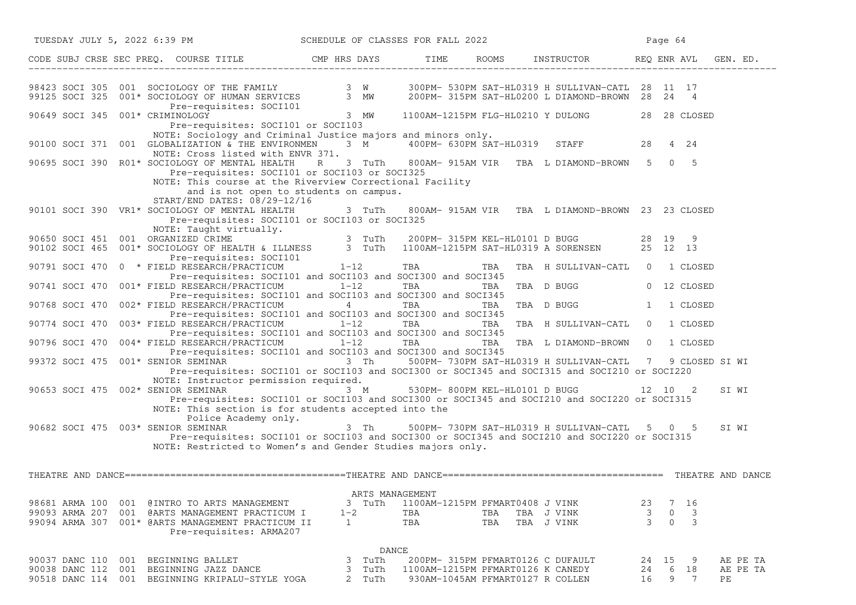| TUESDAY JULY 5, 2022 6:39 PM                                                                                                                                                                                                                                                             | SCHEDULE OF CLASSES FOR FALL 2022         |                                                             |                                                                                                                                              | Page 64                                                |
|------------------------------------------------------------------------------------------------------------------------------------------------------------------------------------------------------------------------------------------------------------------------------------------|-------------------------------------------|-------------------------------------------------------------|----------------------------------------------------------------------------------------------------------------------------------------------|--------------------------------------------------------|
| CODE SUBJ CRSE SEC PREQ. COURSE TITLE CMP HRS DAYS TIME ROOMS INSTRUCTOR REQ ENR AVL GEN. ED.                                                                                                                                                                                            |                                           |                                                             |                                                                                                                                              |                                                        |
| 98423 SOCI 305 001 SOCIOLOGY OF THE FAMILY 3 W 300PM- 530PM SAT-HL0319 H SULLIVAN-CATL 28 11 17<br>99125 SOCI 325 001* SOCIOLOGY OF HUMAN SERVICES 3 MW 200PM- 315PM SAT-HL0200 L DIAMOND-BROWN 28 24 4<br>Pre-requisites: SOCI101                                                       |                                           |                                                             |                                                                                                                                              |                                                        |
| 90649 SOCI 345 001* CRIMINOLOGY<br>Pre-requisites: SOCI101 or SOCI103                                                                                                                                                                                                                    | $3$ MW                                    |                                                             | 1100AM-1215PM FLG-HL0210 Y DULONG 28 28 CLOSED                                                                                               |                                                        |
| NOTE: Sociology and Criminal Justice majors and minors only.<br>90100 SOCI 371 001 GLOBALIZATION & THE ENVIRONMEN 3 M 400PM-630PM SAT-HL0319 STAFF 28 4 24<br>NOTE: Cross listed with ENVR 371.                                                                                          |                                           |                                                             |                                                                                                                                              |                                                        |
| 90695 SOCI 390 R01* SOCIOLOGY OF MENTAL HEALTH R 3 TuTh 800AM-915AM VIR TBA L DIAMOND-BROWN 5 0 5<br>Pre-requisites: SOCI101 or SOCI103 or SOCI325<br>NOTE: This course at the Riverview Correctional Facility<br>and is not open to students on campus.<br>START/END DATES: 08/29-12/16 |                                           |                                                             |                                                                                                                                              |                                                        |
| 90101 SOCI 390 VR1* SOCIOLOGY OF MENTAL HEALTH<br>Pre-requisites: SOCI101 or SOCI103 or SOCI325<br>NOTE: Taught virtually.                                                                                                                                                               | 3 TuTh                                    |                                                             | 800AM- 915AM VIR TBA L DIAMOND-BROWN 23 23 CLOSED                                                                                            |                                                        |
| 90650 SOCI 451 001 ORGANIZED CRIME<br>90102 SOCI 465 001* SOCIOLOGY OF HEALTH & ILLNESS 3 TuTh 1100AM-1215PM SAT-HL0319 A SORENSEN 25 12 13<br>Pre-requisites: SOCI101                                                                                                                   |                                           |                                                             |                                                                                                                                              |                                                        |
| 90791 SOCI 470 0 * FIELD RESEARCH/PRACTICUM 1-12<br>Pre-requisites: SOCI101 and SOCI103 and SOCI300 and SOCI345                                                                                                                                                                          |                                           | <b>TBA</b><br>TBA                                           | TBA H SULLIVAN-CATL 0                                                                                                                        | 1 CLOSED                                               |
| 90741 SOCI 470 001* FIELD RESEARCH/PRACTICUM 1-12<br>Pre-requisites: SOCI101 and SOCI103 and SOCI300 and SOCI345                                                                                                                                                                         |                                           | <b>TBA</b>                                                  | TBA TBA D BUGG                                                                                                                               | 0 12 CLOSED                                            |
| 90768 SOCI 470 002* FIELD RESEARCH/PRACTICUM<br>Pre-requisites: SOCI101 and SOCI103 and SOCI300 and SOCI345                                                                                                                                                                              | $\overline{4}$                            | TBA                                                         | TBA TBA D BUGG                                                                                                                               | 1 CLOSED<br>1                                          |
| 90774 SOCI 470 003* FIELD RESEARCH/PRACTICUM 1-12<br>Pre-requisites: SOCI101 and SOCI103 and SOCI300 and SOCI345                                                                                                                                                                         |                                           | <b>TBA</b><br>TBA                                           | TBA H SULLIVAN-CATL                                                                                                                          | $\overline{0}$<br>1 CLOSED                             |
| 90796 SOCI 470 004* FIELD RESEARCH/PRACTICUM 1-12<br>Pre-requisites: SOCI101 and SOCI103 and SOCI300 and SOCI345                                                                                                                                                                         |                                           | TBA<br>TBA                                                  | TBA L DIAMOND-BROWN 0 1 CLOSED                                                                                                               |                                                        |
| 99372 SOCI 475 001* SENIOR SEMINAR 3 Th 500PM-730PM SAT-HL0319 H SULLIVAN-CATL 7 9 CLOSED SI WI                                                                                                                                                                                          |                                           |                                                             | Pre-requisites: SOCI101 or SOCI103 and SOCI300 or SOCI345 and SOCI315 and SOCI210 or SOCI220                                                 |                                                        |
| NOTE: Instructor permission required.<br>90653 SOCI 475 002* SENIOR SEMINAR                                                                                                                                                                                                              | 3 M                                       | 530PM- 800PM KEL-HL0101 D BUGG                              | Pre-requisites: SOCI101 or SOCI103 and SOCI300 or SOCI345 and SOCI210 and SOCI220 or SOCI315                                                 | 12 10 2<br>SI WI                                       |
| NOTE: This section is for students accepted into the<br>Police Academy only.                                                                                                                                                                                                             |                                           |                                                             |                                                                                                                                              |                                                        |
| 90682 SOCI 475 003* SENIOR SEMINAR<br>NOTE: Restricted to Women's and Gender Studies majors only.                                                                                                                                                                                        | 3 Th                                      |                                                             | 500PM-730PM SAT-HL0319 H SULLIVAN-CATL 5 0 5<br>Pre-requisites: SOCI101 or SOCI103 and SOCI300 or SOCI345 and SOCI210 and SOCI220 or SOCI315 | SI WI                                                  |
|                                                                                                                                                                                                                                                                                          |                                           |                                                             |                                                                                                                                              |                                                        |
| 98681 ARMA 100 001 @INTRO TO ARTS MANAGEMENT<br>99093 ARMA 207<br>001 @ARTS MANAGEMENT PRACTICUM I<br>99094 ARMA 307<br>001* @ARTS MANAGEMENT PRACTICUM II<br>Pre-requisites: ARMA207                                                                                                    | ARTS MANAGEMENT<br>3 TuTh<br>$1 - 2$<br>1 | 1100AM-1215PM PFMART0408 J VINK<br>TBA<br>TBA<br>TBA<br>TBA | TBA J VINK<br>TBA J VINK                                                                                                                     | 23<br>7 16<br>$\frac{3}{3}$<br>0<br>3<br>$\Omega$<br>3 |
| 90037 DANC 110 001 BEGINNING BALLET                                                                                                                                                                                                                                                      | DANCE<br>3<br>TuTh                        |                                                             | 200PM- 315PM PFMART0126 C DUFAULT                                                                                                            | 24<br>15<br>-9<br>AE PE TA                             |
| 90038 DANC 112<br>001<br>BEGINNING JAZZ DANCE<br>90518 DANC 114 001 BEGINNING KRIPALU-STYLE YOGA                                                                                                                                                                                         | 3<br>TuTh<br>2 TuTh                       | 1100AM-1215PM PFMART0126 K CANEDY                           | 930AM-1045AM PFMART0127 R COLLEN                                                                                                             | AE PE TA<br>24<br>6<br>18<br>9<br>7<br>PE<br>16        |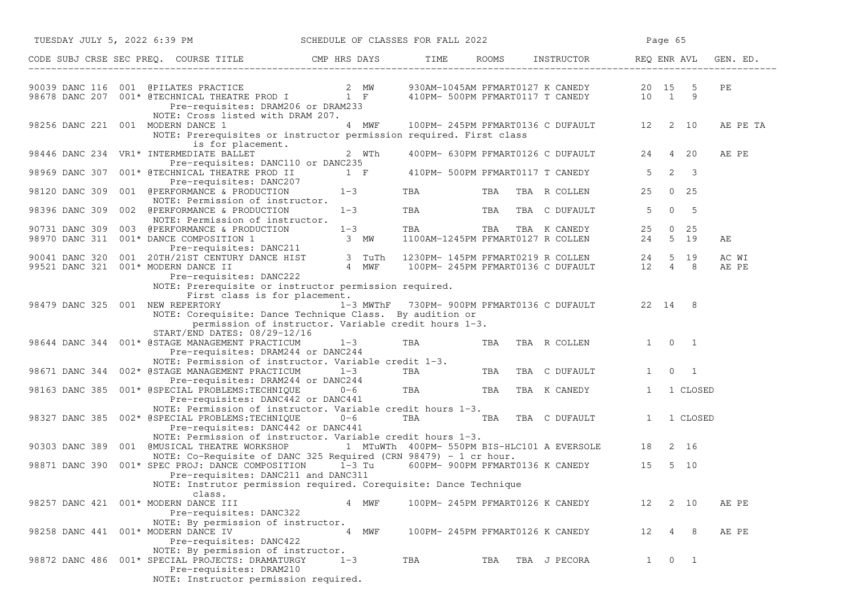| TUESDAY JULY 5, 2022 6:39 PM                                                                                                               |                                                                                                                                                 | SCHEDULE OF CLASSES FOR FALL 2022 |                         |     |                                                                                     | Page 65        |                           |                |  |
|--------------------------------------------------------------------------------------------------------------------------------------------|-------------------------------------------------------------------------------------------------------------------------------------------------|-----------------------------------|-------------------------|-----|-------------------------------------------------------------------------------------|----------------|---------------------------|----------------|--|
| CODE SUBJ CRSE SEC PREQ. COURSE TITLE THE CMP HRS DAYS TIME                                                                                |                                                                                                                                                 |                                   |                         |     | ROOMS INSTRUCTOR REQ ENR AVL                                                        |                |                           | GEN. ED.       |  |
| 90039 DANC 116 001 @PILATES PRACTICE<br>98678 DANC 207 001* @TECHNICAL THEATRE PROD I 1 F 410PM- 500PM PFMART0117 T CANEDY 10 1 9          | Pre-requisites: DRAM206 or DRAM233                                                                                                              |                                   |                         |     |                                                                                     |                |                           | PE             |  |
| 98256 DANC 221 001 MODERN DANCE 1                                                                                                          | NOTE: Cross listed with DRAM 207.<br>NOTE: Prerequisites or instructor permission required. First class                                         | 4 MWF                             |                         |     | 100PM-245PM PFMART0136 C DUFAULT 12 2 10                                            |                |                           | AE PE TA       |  |
| 98446 DANC 234 VR1* INTERMEDIATE BALLET                                                                                                    | is for placement.<br>Pre-requisites: DANC110 or DANC235                                                                                         | 2 WTh                             |                         |     | 400PM- 630PM PFMART0126 C DUFAULT 24                                                |                | 4 20                      | AE PE          |  |
| 98969 DANC 307 001* @TECHNICAL THEATRE PROD II                                                                                             |                                                                                                                                                 | $1 \quad F$                       |                         |     | 410PM- 500PM PFMART0117 T CANEDY                                                    | 5              | $2 \overline{3}$          |                |  |
| 98120 DANC 309 001 @PERFORMANCE & PRODUCTION                                                                                               | Pre-requisites: DANC207<br>$1 - 3$<br>NOTE: Permission of instructor.                                                                           |                                   | TBA                     | TBA | TBA R COLLEN                                                                        | 25             | $0\quad 25$               |                |  |
| 98396 DANC 309 002 @PERFORMANCE & PRODUCTION                                                                                               | $1 - 3$<br>NOTE: Permission of instructor.                                                                                                      |                                   | TBA <b>Experimental</b> | TBA | TBA C DUFAULT                                                                       | 5 <sup>5</sup> | $0\qquad 5$               |                |  |
| 90731 DANC 309 003 @PERFORMANCE & PRODUCTION<br>98970 DANC 311 001* DANCE COMPOSITION 1                                                    | Pre-requisites: DANC211                                                                                                                         | $1 - 3$<br>3 MW                   | TBA                     |     | TBA TBA TBA K CANEDY 25 0 25<br>1100AM-1245PM PFMART0127 R COLLEN 24 5 19           |                |                           | АE             |  |
| 90041 DANC 320 001 20TH/21ST CENTURY DANCE HIST 3 TuTh<br>99521 DANC 321 001* MODERN DANCE II 4 MWF<br>99521 DANC 321 001* MODERN DANCE II | Pre-requisites: DANC222                                                                                                                         | 4 MWF                             |                         |     | 1230PM-145PM PFMART0219 R COLLEN 24 5 19<br>100PM-245PM PFMART0136 C DUFAULT 12 4 8 |                |                           | AC WI<br>AE PE |  |
|                                                                                                                                            | NOTE: Prerequisite or instructor permission required.<br>First class is for placement.                                                          |                                   |                         |     |                                                                                     |                |                           |                |  |
| 98479 DANC 325 001 NEW REPERTORY                                                                                                           | NOTE: Corequisite: Dance Technique Class. By audition or                                                                                        |                                   |                         |     | 1-3 MWThF 730PM-900PM PFMART0136 C DUFAULT 22 14 8                                  |                |                           |                |  |
| 98644 DANC 344 001* @STAGE MANAGEMENT PRACTICUM                                                                                            | permission of instructor. Variable credit hours 1-3.<br>START/END DATES: 08/29-12/16<br>Pre-requisites: DRAM244 or DANC244                      | $1-3$                             | TBA                     | TBA | TBA R COLLEN                                                                        |                | $1 \quad 0 \quad 1$       |                |  |
| 98671 DANC 344 002* @STAGE MANAGEMENT PRACTICUM                                                                                            | NOTE: Permission of instructor. Variable credit 1-3.<br>$1 - 3$                                                                                 |                                   | TBA                     |     | TBA TBA C DUFAULT                                                                   | $\mathbf{1}$   | $\circ$<br>$\overline{1}$ |                |  |
| 98163 DANC 385 001* @SPECIAL PROBLEMS: TECHNIQUE                                                                                           | Pre-requisites: DRAM244 or DANC244<br>Pre-requisites: DANC442 or DANC441                                                                        | or DANC244<br>0-6                 | TBA                     |     | TBA TBA K CANEDY                                                                    | $\mathbf{1}$   | 1 CLOSED                  |                |  |
| 98327 DANC 385 002* @SPECIAL PROBLEMS:TECHNIQUE                                                                                            | NOTE: Permission of instructor. Variable credit hours 1-3.<br>$0 - 6$<br>Pre-requisites: DANC442 or DANC441                                     |                                   |                         |     | TBA TBA TBA C DUFAULT                                                               | 1              | 1 CLOSED                  |                |  |
| 90303 DANC 389                                                                                                                             | NOTE: Permission of instructor. Variable credit hours 1-3.<br>001 @MUSICAL THEATRE WORKSHOP 1 MTuWTh 400PM- 550PM BIS-HLC101 A EVERSOLE 18 2 16 |                                   |                         |     |                                                                                     |                |                           |                |  |
| 98871 DANC 390 001* SPEC PROJ: DANCE COMPOSITION 1-3 Tu                                                                                    | NOTE: Co-Requisite of DANC 325 Required (CRN 98479) - 1 cr hour.<br>Pre-requisites: DANC211 and DANC311                                         |                                   |                         |     | 600PM- 900PM PFMART0136 K CANEDY 15                                                 |                | 5 10                      |                |  |
| class.<br>98257 DANC 421 001* MODERN DANCE III                                                                                             | NOTE: Instrutor permission required. Corequisite: Dance Technique<br>Pre-requisites: DANC322                                                    | 4 MWF                             |                         |     | 100PM- 245PM PFMART0126 K CANEDY                                                    | 12             | 2 10                      | AE PE          |  |
| 98258 DANC 441 001* MODERN DANCE IV                                                                                                        | NOTE: By permission of instructor.<br>Pre-requisites: DANC422                                                                                   | 4 MWF                             |                         |     | 100PM- 245PM PFMART0126 K CANEDY                                                    |                | 12   4   8                | AE PE          |  |
| 98872 DANC 486 001* SPECIAL PROJECTS: DRAMATURGY                                                                                           | NOTE: By permission of instructor.<br>$1 - 3$<br>Pre-requisites: DRAM210<br>NOTE: Instructor permission required.                               |                                   | TBA                     |     | TBA TBA J PECORA                                                                    |                | $1 \quad 0 \quad 1$       |                |  |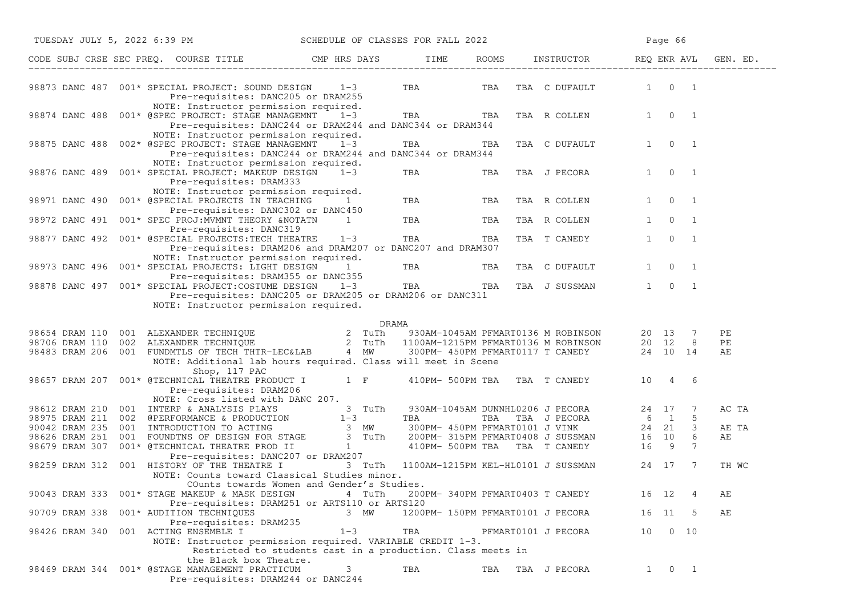|                | TUESDAY JULY 5, 2022 6:39 PM SCHEDULE OF CLASSES FOR FALL 2022                                                                                                                                                                                                                                        |                                                 |                       |                                   |                             |              | Page 66             |                |             |
|----------------|-------------------------------------------------------------------------------------------------------------------------------------------------------------------------------------------------------------------------------------------------------------------------------------------------------|-------------------------------------------------|-----------------------|-----------------------------------|-----------------------------|--------------|---------------------|----------------|-------------|
|                | CODE SUBJ CRSE SEC PREQ. COURSE TITLE CMP HRS DAYS TIME ROOMS INSTRUCTOR REQ ENR AVL GEN. ED.                                                                                                                                                                                                         |                                                 |                       |                                   |                             |              |                     |                |             |
|                | 98873 DANC 487 001* SPECIAL PROJECT: SOUND DESIGN 1-3<br>Pre-requisites: DANC205 or DRAM255                                                                                                                                                                                                           |                                                 |                       |                                   | TBA TBA TBA C DUFAULT 1 0 1 |              |                     |                |             |
|                | NOTE: Instructor permission required.<br>98874 DANC 488 001* @SPEC PROJECT: STAGE MANAGEMNT 1-3<br>Pre-requisites: DANC244 or DRAM244 and DANC344 or DRAM344                                                                                                                                          |                                                 | TBA TBA TBA R COLLEN  |                                   |                             |              | $1 \t 0 \t 1$       |                |             |
|                | NOTE: Instructor permission required.<br>98875 DANC 488 002* @SPEC PROJECT: STAGE MANAGEMNT 1-3<br>Pre-requisites: DANC244 or DRAM244 and DANC344 or DRAM344                                                                                                                                          |                                                 | TBA TBA TBA C DUFAULT |                                   |                             |              | $1 \quad 0 \quad 1$ |                |             |
|                | NOTE: Instructor permission required.<br>98876 DANC 489 001* SPECIAL PROJECT: MAKEUP DESIGN 1-3<br>Pre-requisites: DRAM333                                                                                                                                                                            |                                                 | <b>TBA</b>            |                                   | TBA TBA J PECORA            | $1 \quad$    |                     | $0 \quad 1$    |             |
|                | NOTE: Instructor permission required.<br>98971 DANC 490 001* @SPECIAL PROJECTS IN TEACHING 1<br>Pre-requisites: DANC302 or DANC450                                                                                                                                                                    |                                                 | TBA                   | TBA                               | TBA R COLLEN                |              | $1 \quad 0 \quad 1$ |                |             |
|                | Pre-requisites: DANC319                                                                                                                                                                                                                                                                               |                                                 | TBA TBA               |                                   | TBA R COLLEN                |              | $1 \qquad 0$        | $\overline{1}$ |             |
|                | 98877 DANC 492 001* @SPECIAL PROJECTS: TECH THEATRE 1-3 TBA TBA TBA<br>Pre-requisites: DRAM206 and DRAM207 or DANC207 and DRAM307<br>NOTE: Instructor permission required.                                                                                                                            |                                                 |                       |                                   | TBA T CANEDY                | $\mathbf{1}$ | $\overline{0}$      | $\overline{1}$ |             |
|                | 98973 DANC 496 001* SPECIAL PROJECTS: LIGHT DESIGN 1                                                                                                                                                                                                                                                  |                                                 | TBA TBA TBA C DUFAULT |                                   |                             | $1 \quad$    |                     | $0\qquad1$     |             |
|                | Pre-requisites: DRAM355 or DANC355<br>98878 DANC 497 001* SPECIAL PROJECT: COSTUME DESIGN 1-3 TBA TBA TBA TBA J SUSSMAN 1 0 1<br>Pre-requisites: DANC205 or DRAM205 or DRAM206 or DANC311<br>NOTE: Instructor permission required.                                                                    |                                                 |                       |                                   |                             |              |                     |                |             |
|                |                                                                                                                                                                                                                                                                                                       |                                                 | DRAMA                 |                                   |                             |              |                     |                |             |
|                |                                                                                                                                                                                                                                                                                                       |                                                 |                       |                                   |                             |              |                     |                | PЕ          |
|                | 98654 DRAM 110 001 ALEXANDER TECHNIQUE 2 TuTh 930AM-1045AM PFMART0136 M ROBINSON 20 13 7<br>98706 DRAM 110 002 ALEXANDER TECHNIQUE 2 TuTh 1100AM-1215PM PFMART0136 M ROBINSON 20 12 8<br>98483 DRAM 206 001 FUNDMTLS OF TECH THTR-LE<br>NOTE: Additional lab hours required. Class will meet in Scene |                                                 |                       |                                   |                             |              |                     |                | PЕ<br>АE    |
|                | Shop, 117 PAC                                                                                                                                                                                                                                                                                         |                                                 |                       |                                   |                             |              |                     |                |             |
|                | 98657 DRAM 207 001* @TECHNICAL THEATRE PRODUCT I 1 F 410PM- 500PM TBA TBA T CANEDY 10 4 6<br>Pre-requisites: DRAM206<br>NOTE: Cross listed with DANC 207.                                                                                                                                             |                                                 |                       |                                   |                             |              |                     |                |             |
|                | 98612 DRAM 210 001 INTERP & ANALYSIS PLAYS 3 TuTh 930AM-1045AM DUNNHL0206 J PECORA 24 17 7<br>98975 DRAM 211 002 @PERFORMANCE & PRODUCTION 1-3 TBA TBA J PECORA 6 1 5<br>90042 DRAM 235 001 INTRODUCTION TO ACTING 3 MW 300PM-450PM                                                                   |                                                 |                       |                                   |                             |              |                     |                | AC TA       |
|                |                                                                                                                                                                                                                                                                                                       |                                                 |                       |                                   |                             |              |                     |                |             |
|                |                                                                                                                                                                                                                                                                                                       |                                                 |                       |                                   |                             |              |                     |                | AE TA<br>AЕ |
|                |                                                                                                                                                                                                                                                                                                       |                                                 |                       |                                   |                             |              |                     |                |             |
|                |                                                                                                                                                                                                                                                                                                       |                                                 |                       |                                   |                             |              |                     |                |             |
| 98259 DRAM 312 | 001 HISTORY OF THE THEATRE I<br>NOTE: Counts toward Classical Studies minor.<br>COunts towards Women and Gender's Studies.                                                                                                                                                                            | 3 TuTh 1100AM-1215PM KEL-HL0101 J SUSSMAN 24 17 |                       |                                   |                             |              |                     | $\overline{7}$ | TH WC       |
|                | 90043 DRAM 333 001* STAGE MAKEUP & MASK DESIGN                                                                                                                                                                                                                                                        | 4 TuTh                                          |                       | 200PM- 340PM PFMART0403 T CANEDY  |                             |              | 16 12               | $\overline{4}$ | AЕ          |
| 90709 DRAM 338 | Pre-requisites: DRAM251 or ARTS110 or ARTS120<br>001* AUDITION TECHNIQUES<br>Pre-requisites: DRAM235                                                                                                                                                                                                  | 3 MW                                            |                       | 1200PM- 150PM PFMART0101 J PECORA |                             |              | 16 11               | -5             | АE          |
| 98426 DRAM 340 | 001 ACTING ENSEMBLE I<br>NOTE: Instructor permission required. VARIABLE CREDIT 1-3.<br>Restricted to students cast in a production. Class meets in                                                                                                                                                    | $1 - 3$                                         | TBA                   |                                   | PFMART0101 J PECORA         |              | 10 0 10             |                |             |
|                | the Black box Theatre.                                                                                                                                                                                                                                                                                |                                                 |                       |                                   |                             |              |                     |                |             |
|                | 98469 DRAM 344 001* @STAGE MANAGEMENT PRACTICUM<br>Pre-requisites: DRAM244 or DANC244                                                                                                                                                                                                                 |                                                 | TBA                   | TBA                               | TBA J PECORA                | $1 \quad$    |                     | $0\quad 1$     |             |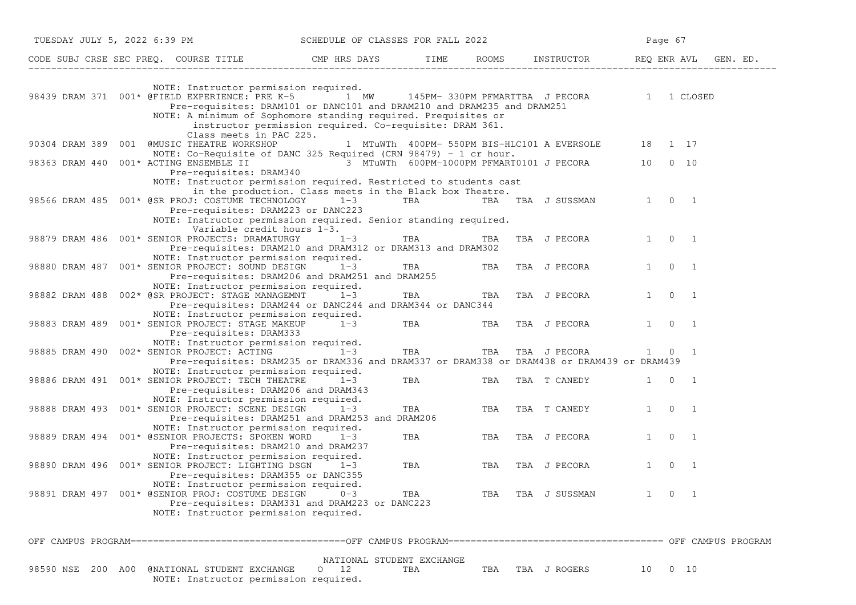| TUESDAY JULY 5, 2022 6:39 PM                                                                                                                                                                                                                                        | SCHEDULE OF CLASSES FOR FALL 2022                                   |     |     |                                             | Page 67        |                                            |          |
|---------------------------------------------------------------------------------------------------------------------------------------------------------------------------------------------------------------------------------------------------------------------|---------------------------------------------------------------------|-----|-----|---------------------------------------------|----------------|--------------------------------------------|----------|
|                                                                                                                                                                                                                                                                     |                                                                     |     |     |                                             | REQ ENR AVL    |                                            | GEN. ED. |
| NOTE: Instructor permission required.<br>98439 DRAM 371 001* @FIELD EXPERIENCE: PRE K-5 1 MW<br>Pre-requisites: DRAM101 or DANC101 and DRAM210 and DRAM235 and DRAM251<br>NOTE: A minimum of Sophomore standing required. Prequisites or<br>Class meets in PAC 225. | instructor permission required. Co-requisite: DRAM 361.             |     |     | 145PM-330PM PFMARTTBA J PECORA 1 1 CLOSED   |                |                                            |          |
| 90304 DRAM 389 001 @MUSIC THEATRE WORKSHOP<br>NOTE: Co-Requisite of DANC 325 Required (CRN 98479) - 1 cr hour.                                                                                                                                                      |                                                                     |     |     | 1 MTuWTh 400PM- 550PM BIS-HLC101 A EVERSOLE | 18 1 17        |                                            |          |
| 001* ACTING ENSEMBLE II                   3 MTuWTh 600PM-1000PM PFMART0101 J PECORA<br>98363 DRAM 440<br>Pre-requisites: DRAM340                                                                                                                                    |                                                                     |     |     |                                             |                | 10 0 10                                    |          |
| NOTE: Instructor permission required. Restricted to students cast<br>98566 DRAM 485 001* @SR PROJ: COSTUME TECHNOLOGY<br>Pre-requisites: DRAM223 or DANC223<br>NOTE: Instructor permission required. Senior standing required.<br>Variable credit hours 1-3.        | in the production. Class meets in the Black box Theatre.<br>$1 - 3$ | TBA |     | TBA TBA J SUSSMAN                           | 1 0 1          |                                            |          |
| 98879 DRAM 486 001* SENIOR PROJECTS: DRAMATURGY<br>Pre-requisites: DRAM210 and DRAM312 or DRAM313 and DRAM302                                                                                                                                                       | $1 - 3$                                                             | TBA | TBA | TBA J PECORA                                | $1 \quad$      | $0\quad 1$                                 |          |
| NOTE: Instructor permission required.<br>98880 DRAM 487 001* SENIOR PROJECT: SOUND DESIGN<br>Pre-requisites: DRAM206 and DRAM251 and DRAM255                                                                                                                        | $1 - 3$                                                             | TBA | TBA | TBA J PECORA                                | $\mathbf{1}$   | $\overline{0}$<br>$\overline{\phantom{a}}$ |          |
| NOTE: Instructor permission required.<br>98882 DRAM 488 002* @SR PROJECT: STAGE MANAGEMNT<br>Pre-requisites: DRAM244 or DANC244 and DRAM344 or DANC344                                                                                                              | $1 - 3$                                                             | TBA | TBA | TBA J PECORA                                | 1              | $\overline{0}$<br>$\overline{1}$           |          |
| NOTE: Instructor permission required.<br>001* SENIOR PROJECT: STAGE MAKEUP<br>98883 DRAM 489<br>Pre-requisites: DRAM333                                                                                                                                             | $1 - 3$                                                             | TBA | TBA | TBA J PECORA                                |                | $1 \quad 0 \quad 1$                        |          |
| NOTE: Instructor permission required.<br>98885 DRAM 490 002* SENIOR PROJECT: ACTING<br>Pre-requisites: DRAM235 or DRAM336 and DRAM337 or DRAM338 or DRAM438 or DRAM439 or DRAM439                                                                                   | $1-3$                                                               | TBA | TBA | TBA J PECORA                                |                | 1 0 1                                      |          |
| NOTE: Instructor permission required.<br>98886 DRAM 491 001* SENIOR PROJECT: TECH THEATRE<br>Pre-requisites: DRAM206 and DRAM343                                                                                                                                    | $1 - 3$                                                             | TBA | TBA | TBA T CANEDY                                | 1              | $\overline{0}$<br>$\overline{1}$           |          |
| NOTE: Instructor permission required.<br>98888 DRAM 493 001* SENIOR PROJECT: SCENE DESIGN<br>Pre-requisites: DRAM251 and DRAM253 and DRAM206                                                                                                                        | $1 - 3$                                                             | TBA | TBA | TBA T CANEDY                                |                | $1 \quad 0 \quad 1$                        |          |
| NOTE: Instructor permission required.<br>98889 DRAM 494 001* @SENIOR PROJECTS: SPOKEN WORD<br>Pre-requisites: DRAM210 and DRAM237                                                                                                                                   | $1 - 3$                                                             | TBA | TBA | TBA J PECORA                                | $\mathbf{1}$   | $\overline{0}$<br>$\overline{1}$           |          |
| NOTE: Instructor permission required.<br>98890 DRAM 496 001* SENIOR PROJECT: LIGHTING DSGN<br>Pre-requisites: DRAM355 or DANC355<br>NOTE: Instructor permission required.                                                                                           | $1 - 3$                                                             | TBA | TBA | TBA J PECORA                                | $\mathbf{1}$   | $\Omega$<br>- 1                            |          |
| 98891 DRAM 497 001* @SENIOR PROJ: COSTUME DESIGN<br>Pre-requisites: DRAM331 and DRAM223 or DANC223<br>NOTE: Instructor permission required.                                                                                                                         | $0 - 3$                                                             | TBA | TBA | TBA J SUSSMAN                               | $\overline{0}$ |                                            |          |
|                                                                                                                                                                                                                                                                     |                                                                     |     |     |                                             |                |                                            |          |
| 200 A00 @NATIONAL STUDENT EXCHANGE<br>98590 NSE<br>NOTE: Instructor permission required.                                                                                                                                                                            | NATIONAL STUDENT EXCHANGE<br>12<br>$\circ$                          | TBA | TBA | TBA J ROGERS                                | 10             | $0\quad 10$                                |          |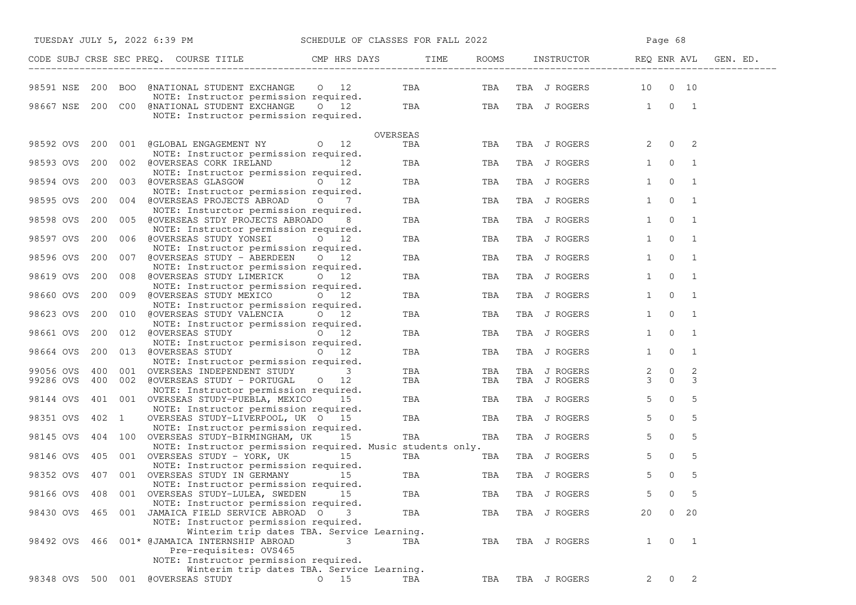| TUESDAY JULY 5, 2022 6:39 PM SCHEDULE OF CLASSES FOR FALL 2022 |       |  |                                                                                                                  |                 |          | Page 68           |                              |                           |                |                |          |
|----------------------------------------------------------------|-------|--|------------------------------------------------------------------------------------------------------------------|-----------------|----------|-------------------|------------------------------|---------------------------|----------------|----------------|----------|
|                                                                |       |  | CODE SUBJ CRSE SEC PREQ. COURSE TITLE TITLE THE ROOMS INSTRUCTOR THE ROOMS PEQ ENR AVL                           |                 |          |                   |                              |                           |                |                | GEN. ED. |
| 98591 NSE 200 BOO                                              |       |  | @NATIONAL STUDENT EXCHANGE 0 12<br>NOTE: Instructor permission required.                                         |                 |          | TBA TBA           |                              | TBA J ROGERS 10 0 10      |                |                |          |
|                                                                |       |  | 98667 NSE 200 C00 @NATIONAL STUDENT EXCHANGE 0 12<br>NOTE: Instructor permission required.                       |                 |          |                   |                              | TBA TBA TBA JROGERS 1 0 1 |                |                |          |
|                                                                |       |  |                                                                                                                  |                 | OVERSEAS |                   |                              |                           |                |                |          |
| 98592 OVS                                                      |       |  | 200 001 @GLOBAL ENGAGEMENT NY 0 12<br>NOTE: Instructor permission required.                                      |                 | TBA      | TBA               | TBA J ROGERS                 |                           | $2 \t 0 \t 2$  |                |          |
| 98593 OVS                                                      |       |  | 200 002 @OVERSEAS CORK IRELAND 12<br>NOTE: Instructor permission required.                                       |                 |          | <b>TBA</b><br>TBA | TBA J ROGERS                 |                           | $1 \qquad 0$   | $\overline{1}$ |          |
| 98594 OVS                                                      |       |  | 200 003 @OVERSEAS GLASGOW 0 12<br>NOTE: Instructor permission required.                                          |                 | TBA      | TBA               | TBA J ROGERS                 | 1                         | $\overline{0}$ | $\overline{1}$ |          |
| 98595 OVS                                                      |       |  | 200 004 @OVERSEAS PROJECTS ABROAD 0<br>NOTE: Insturctor permission required.                                     | $7\overline{ }$ | TBA      | TBA               | TBA J ROGERS                 | $1 \quad$                 | $\mathbf 0$    | $\overline{1}$ |          |
| 98598 OVS                                                      |       |  | 200 005 @OVERSEAS STDY PROJECTS ABROADO<br>NOTE: Instructor permission required.                                 | 8               | TBA      | TBA               | TBA J ROGERS                 | 1                         | $\mathbf{0}$   | $\overline{1}$ |          |
| 98597 OVS                                                      |       |  | 200 006 @OVERSEAS STUDY YONSEI 0 12<br>NOTE: Instructor permission required.                                     |                 | TBA      | TBA               | TBA J ROGERS                 | $1 \quad$                 | $\overline{0}$ | $\overline{1}$ |          |
| 98596 OVS                                                      | 200   |  | 007 @OVERSEAS STUDY - ABERDEEN 0 12<br>NOTE: Instructor permission required.                                     |                 | TBA      | TBA               | TBA J ROGERS                 | 1                         | $\overline{0}$ | $\overline{1}$ |          |
| 98619 OVS                                                      |       |  | 200 008 @OVERSEAS STUDY LIMERICK 0 12<br>NOTE: Instructor permission required.                                   |                 | TBA      | TBA               | TBA J ROGERS                 | 1                         | $\circ$        | $\overline{1}$ |          |
| 98660 OVS                                                      |       |  | 200 009 @OVERSEAS STUDY MEXICO 0 12<br>NOTE: Instructor permission required.                                     |                 |          | <b>TBA</b><br>TBA | TBA J ROGERS                 | 1                         | $\overline{0}$ | $\overline{1}$ |          |
| 98623 OVS                                                      | 200   |  | 010 @OVERSEAS STUDY VALENCIA 0 12<br>NOTE: Instructor permission required.                                       |                 | TBA      | TBA               | TBA J ROGERS                 | 1                         | $\mathbf 0$    | $\overline{1}$ |          |
| 98661 OVS                                                      |       |  | 200 012 @OVERSEAS STUDY 0 12<br>NOTE: Instructor permisison required.                                            |                 | TBA      | TBA               | TBA J ROGERS                 | $1 \quad$                 | $\Omega$       | $\overline{1}$ |          |
| 98664 OVS                                                      |       |  | 200 013 @OVERSEAS STUDY 0 12<br>NOTE: Instructor permission required.                                            |                 | TBA      | TBA               | TBA J ROGERS                 | 1                         | $\overline{0}$ | $\overline{1}$ |          |
| 99056 OVS                                                      |       |  | 400 001 OVERSEAS INDEPENDENT STUDY                                                                               | 3               | TBA      | TBA               |                              |                           | $2 \qquad 0$   | 2              |          |
| 99286 OVS                                                      |       |  | 400 002 @OVERSEAS STUDY - PORTUGAL 0 12                                                                          |                 | TBA      | TBA               | TBA J ROGERS<br>TBA J ROGERS |                           | $3 \t 0$       | $\mathbf{3}$   |          |
| 98144 OVS                                                      |       |  | NOTE: Instructor permission required.<br>401 001 OVERSEAS STUDY-PUEBLA, MEXICO 15                                |                 | TBA      | TBA               | TBA J ROGERS                 | $5 -$                     | $\overline{0}$ | 5              |          |
| 98351 OVS                                                      | 402 1 |  | NOTE: Instructor permission required.<br>OVERSEAS STUDY-LIVERPOOL, UK 0 15                                       |                 |          | <b>TBA</b><br>TBA | TBA J ROGERS                 | $5 -$                     | $\mathbf 0$    | 5              |          |
| 98145 OVS                                                      |       |  | NOTE: Instructor permission required.<br>404 100 OVERSEAS STUDY-BIRMINGHAM, UK 15                                |                 | TBA      | TBA               | TBA J ROGERS                 | $5 -$                     | $\mathbf{0}$   | 5              |          |
| 98146 OVS                                                      |       |  | NOTE: Instructor permission required. Music students only.<br>405 001 OVERSEAS STUDY - YORK, UK 15               |                 | TBA      | TBA               | TBA J ROGERS                 | 5 <sub>1</sub>            | $\circ$        | 5              |          |
| 98352 OVS                                                      |       |  | NOTE: Instructor permission required.<br>407 001 OVERSEAS STUDY IN GERMANY 15                                    |                 | TBA      | TBA               | TBA J ROGERS                 | 5                         | $\mathbf{0}$   | 5              |          |
| 98166 OVS                                                      |       |  | NOTE: Instructor permission required.<br>408 001 OVERSEAS STUDY-LULEA, SWEDEN                                    | 15              | TBA      | TBA               | TBA J ROGERS                 | 5                         | 0              | -5             |          |
|                                                                |       |  | NOTE: Instructor permission required.<br>98430 OVS 465 001 JAMAICA FIELD SERVICE ABROAD O                        | 3               | TBA      | TBA               | TBA J ROGERS                 | 20                        | $0\quad 20$    |                |          |
|                                                                |       |  | NOTE: Instructor permission required.<br>Winterim trip dates TBA. Service Learning.                              |                 |          |                   |                              |                           |                |                |          |
|                                                                |       |  | 98492 OVS 466 001* @JAMAICA INTERNSHIP ABROAD<br>Pre-requisites: OVS465<br>NOTE: Instructor permission required. | 3               | TBA      | TBA               | TBA J ROGERS                 | $\mathbf{1}$              | $\overline{0}$ | $\overline{1}$ |          |
|                                                                |       |  | Winterim trip dates TBA. Service Learning.                                                                       |                 |          |                   |                              |                           |                |                |          |
| 98348 OVS 500 001                                              |       |  | @OVERSEAS STUDY                                                                                                  | $0\qquad 15$    | TBA      | TBA               | TBA J ROGERS                 | $\overline{2}$            | $\overline{0}$ | 2              |          |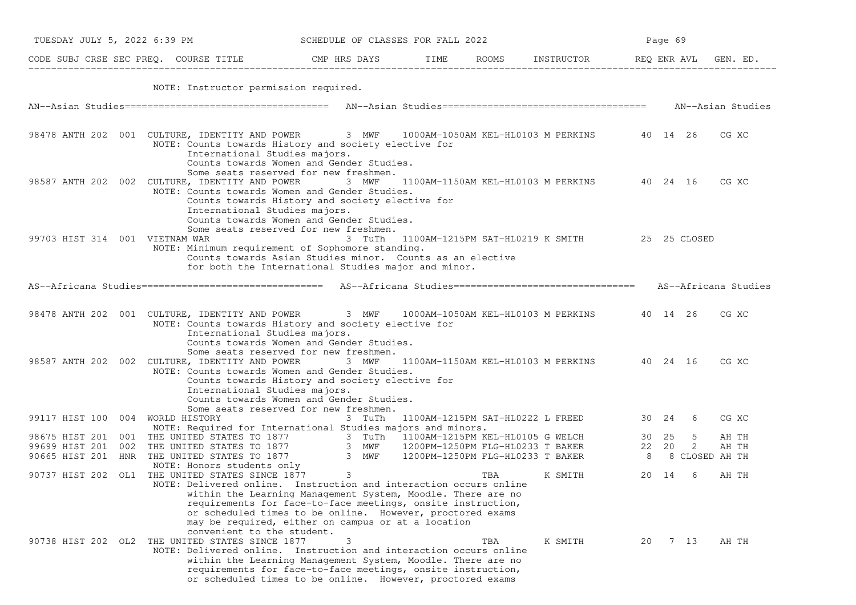|                                  | TUESDAY JULY 5, 2022 6:39 PM                                                                                                                                                                                                         |                                                                                                                                                                                                                                                                                                                                                                                                                                               | SCHEDULE OF CLASSES FOR FALL 2022 |     |                                                      |       |      | Page 69 |  |  |  |  |
|----------------------------------|--------------------------------------------------------------------------------------------------------------------------------------------------------------------------------------------------------------------------------------|-----------------------------------------------------------------------------------------------------------------------------------------------------------------------------------------------------------------------------------------------------------------------------------------------------------------------------------------------------------------------------------------------------------------------------------------------|-----------------------------------|-----|------------------------------------------------------|-------|------|---------|--|--|--|--|
|                                  | CODE SUBJ CRSE SEC PREQ. COURSE TITLE THE COMP HRS DAYS TIME ROOMS INSTRUCTOR REQ ENR AVL GEN. ED.                                                                                                                                   |                                                                                                                                                                                                                                                                                                                                                                                                                                               |                                   |     |                                                      |       |      |         |  |  |  |  |
|                                  | NOTE: Instructor permission required.                                                                                                                                                                                                |                                                                                                                                                                                                                                                                                                                                                                                                                                               |                                   |     |                                                      |       |      |         |  |  |  |  |
|                                  |                                                                                                                                                                                                                                      |                                                                                                                                                                                                                                                                                                                                                                                                                                               |                                   |     |                                                      |       |      |         |  |  |  |  |
|                                  | 98478 ANTH 202 001 CULTURE, IDENTITY AND POWER 3 MWF 1000AM-1050AM KEL-HL0103 M PERKINS 40 14 26<br>NOTE: Counts towards History and society elective for<br>International Studies majors.                                           | Counts towards Women and Gender Studies.                                                                                                                                                                                                                                                                                                                                                                                                      |                                   |     |                                                      |       |      | CG XC   |  |  |  |  |
|                                  | 98587 ANTH 202 002 CULTURE, IDENTITY AND POWER 3 MWF<br>NOTE: Counts towards Women and Gender Studies.<br>International Studies majors.                                                                                              | Some seats reserved for new freshmen.<br>Counts towards History and society elective for<br>Counts towards Women and Gender Studies.                                                                                                                                                                                                                                                                                                          |                                   |     | 1100AM-1150AM KEL-HL0103 M PERKINS 40 24 16          |       |      | CG XC   |  |  |  |  |
| 99703 HIST 314 001 VIETNAM WAR   | NOTE: Minimum requirement of Sophomore standing.                                                                                                                                                                                     | Some seats reserved for new freshmen.<br>Counts towards Asian Studies minor. Counts as an elective<br>for both the International Studies major and minor.                                                                                                                                                                                                                                                                                     |                                   |     | 3 TuTh 1100AM-1215PM SAT-HL0219 K SMITH 25 25 CLOSED |       |      |         |  |  |  |  |
|                                  | AS--Africana Studies================================== AS--Africana Studies============================== AS--Africana Studies                                                                                                       |                                                                                                                                                                                                                                                                                                                                                                                                                                               |                                   |     |                                                      |       |      |         |  |  |  |  |
|                                  | 98478 ANTH 202 001 CULTURE, IDENTITY AND POWER 3 MWF 1000AM-1050AM KEL-HL0103 M PERKINS 40 14 26<br>NOTE: Counts towards History and society elective for<br>International Studies majors.                                           | Counts towards Women and Gender Studies.                                                                                                                                                                                                                                                                                                                                                                                                      |                                   |     |                                                      |       |      | CG XC   |  |  |  |  |
|                                  | 98587 ANTH 202 002 CULTURE, IDENTITY AND POWER 3 MWF<br>NOTE: Counts towards Women and Gender Studies.<br>International Studies majors.                                                                                              | Some seats reserved for new freshmen.<br>Counts towards History and society elective for<br>Counts towards Women and Gender Studies.                                                                                                                                                                                                                                                                                                          |                                   |     | 1100AM-1150AM KEL-HL0103 M PERKINS 40 24 16          |       |      | CG XC   |  |  |  |  |
| 99117 HIST 100 004 WORLD HISTORY | NOTE: Required for International Studies majors and minors.                                                                                                                                                                          | Some seats reserved for new freshmen.<br>3 TuTh                                                                                                                                                                                                                                                                                                                                                                                               |                                   |     | 1100AM-1215PM SAT-HL0222 L FREED 30 24 6             |       |      | CG XC   |  |  |  |  |
|                                  |                                                                                                                                                                                                                                      |                                                                                                                                                                                                                                                                                                                                                                                                                                               |                                   |     |                                                      |       |      |         |  |  |  |  |
|                                  | 98675 HIST 201 001 THE UNITED STATES TO 1877 3 TuTh 1100AM-1215PM KEL-HL0105 G WELCH 30 25 5 AH TH<br>99699 HIST 201 002 THE UNITED STATES TO 1877 3 MWF 1200PM-1250PM FLG-HL0233 T BAKER 22 20 2 AH TH<br>90665 HIST 201 HNR THE UN |                                                                                                                                                                                                                                                                                                                                                                                                                                               |                                   |     |                                                      |       |      |         |  |  |  |  |
|                                  | NOTE: Honors students only<br>90737 HIST 202 OL1 THE UNITED STATES SINCE 1877 3                                                                                                                                                      |                                                                                                                                                                                                                                                                                                                                                                                                                                               |                                   | TBA | K SMITH                                              | 20 14 | -6   | AH TH   |  |  |  |  |
|                                  | NOTE: Delivered online. Instruction and interaction occurs online<br>convenient to the student.<br>90738 HIST 202 OL2 THE UNITED STATES SINCE 1877<br>NOTE: Delivered online. Instruction and interaction occurs online              | within the Learning Management System, Moodle. There are no<br>requirements for face-to-face meetings, onsite instruction,<br>or scheduled times to be online. However, proctored exams<br>may be required, either on campus or at a location<br>3<br>within the Learning Management System, Moodle. There are no<br>requirements for face-to-face meetings, onsite instruction,<br>or scheduled times to be online. However, proctored exams |                                   | TBA | K SMITH                                              | 20    | 7 13 | AH TH   |  |  |  |  |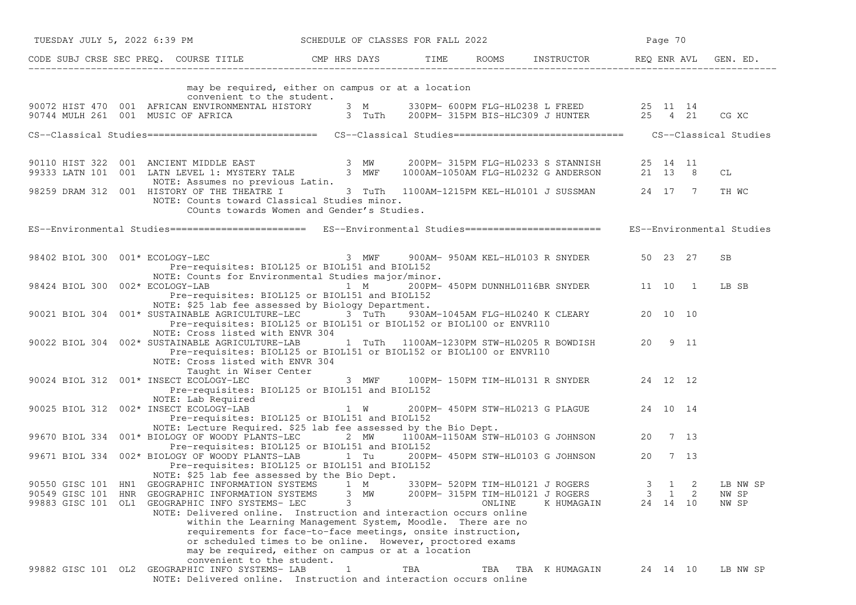|                                                                                                                                                                                                                                                                                                                           | TUESDAY JULY 5, 2022 6:39 PM SCHEDULE OF CLASSES FOR FALL 2022                                                                                                                                                                                                |     |        |                                                                                            |   | Page 70                           |   |                            |  |
|---------------------------------------------------------------------------------------------------------------------------------------------------------------------------------------------------------------------------------------------------------------------------------------------------------------------------|---------------------------------------------------------------------------------------------------------------------------------------------------------------------------------------------------------------------------------------------------------------|-----|--------|--------------------------------------------------------------------------------------------|---|-----------------------------------|---|----------------------------|--|
| CODE SUBJ CRSE SEC PREQ. COURSE TITLE THE ROOMS INSTRUCTOR REQ ENR AVL GEN. ED.                                                                                                                                                                                                                                           |                                                                                                                                                                                                                                                               |     |        |                                                                                            |   |                                   |   |                            |  |
| convenient to the student.                                                                                                                                                                                                                                                                                                | may be required, either on campus or at a location                                                                                                                                                                                                            |     |        |                                                                                            |   |                                   |   |                            |  |
| 90072 HIST 470 001 AFRICAN ENVIRONMENTAL HISTORY 3 M 330PM- 600PM FLG-HL0238 L FREED 25 11 14<br>90744 MULH 261 001 MUSIC OF AFRICA 3 TuTh 200PM-315PM BIS-HLC309 J HUNTER 25 4 21                                                                                                                                        |                                                                                                                                                                                                                                                               |     |        |                                                                                            |   |                                   |   | CG XC                      |  |
| CS--Classical Studies================================= CS--Classical Studies============================== CS--Classical Studies                                                                                                                                                                                          |                                                                                                                                                                                                                                                               |     |        |                                                                                            |   |                                   |   |                            |  |
|                                                                                                                                                                                                                                                                                                                           |                                                                                                                                                                                                                                                               |     |        |                                                                                            |   |                                   |   |                            |  |
| 90110 HIST 322 001 ANCIENT MIDDLE EAST 3 MW<br>99333 LATN 101 001 LATN LEVEL 1: MYSTERY TALE 3 MWF 1                                                                                                                                                                                                                      |                                                                                                                                                                                                                                                               |     |        | 200PM- 315PM FLG-HL0233 S STANNISH 25 14 11<br>1000AM-1050AM FLG-HL0232 G ANDERSON 21 13 8 |   |                                   |   | СL                         |  |
| NOTE: Assumes no previous Latin.<br>98259 DRAM 312 001 HISTORY OF THE THEATRE I 3 TuTh 1100AM-1215PM KEL-HL0101 J SUSSMAN 24 17 7<br>NOTE: Counts toward Classical Studies minor.                                                                                                                                         | COunts towards Women and Gender's Studies.                                                                                                                                                                                                                    |     |        |                                                                                            |   |                                   |   | TH WC                      |  |
| ES--Environmental Studies========================== ES--Environmental Studies======================= ES--Environmental Studies                                                                                                                                                                                            |                                                                                                                                                                                                                                                               |     |        |                                                                                            |   |                                   |   |                            |  |
| 98402 BIOL 300 001* ECOLOGY-LEC 3 MWF 900AM-950AM KEL-HL0103 R SNYDER 50 23 27<br>Pre-requisites: BIOL125 or BIOL151 and BIOL152                                                                                                                                                                                          |                                                                                                                                                                                                                                                               |     |        |                                                                                            |   |                                   |   | <b>SB</b>                  |  |
| NOTE: Counts for Environmental Studies major/minor.<br>98424 BIOL 300 002* ECOLOGY-LAB<br>Pre-requisites: BIOL125 or BIOL151 and BIOL152<br>NOTE: \$25 lab fee assessed by Biology Department.                                                                                                                            | 1 M                                                                                                                                                                                                                                                           |     |        | 200PM-450PM DUNNHL0116BR SNYDER 11 10 1                                                    |   |                                   |   | LB SB                      |  |
| 90021 BIOL 304 001* SUSTAINABLE AGRICULTURE-LEC 3 TuTh 930AM-1045AM FLG-HL0240 K CLEARY 20 10 10<br>Pre-requisites: BIOL125 or BIOL151 or BIOL152 or BIOL100 or ENVR110<br>NOTE: Cross listed with ENVR 304                                                                                                               |                                                                                                                                                                                                                                                               |     |        |                                                                                            |   |                                   |   |                            |  |
| 90022 BIOL 304 002* SUSTAINABLE AGRICULTURE-LAB<br>Pre-requisites: BIOL125 or BIOL151 or BIOL152 or BIOL100 or ENVR110<br>NOTE: Cross listed with ENVR 304<br>Taught in Wiser Center                                                                                                                                      |                                                                                                                                                                                                                                                               |     |        | 1 TuTh 1100AM-1230PM STW-HL0205 R BOWDISH 20 9 11                                          |   |                                   |   |                            |  |
| 90024 BIOL 312 001* INSECT ECOLOGY-LEC<br>Pre-requisites: BIOL125 or BIOL151 and BIOL152<br>NOTE: Lab Required                                                                                                                                                                                                            | 3 MWF 100PM-150PM TIM-HL0131 R SNYDER 24 12 12                                                                                                                                                                                                                |     |        |                                                                                            |   |                                   |   |                            |  |
| 90025 BIOL 312 002* INSECT ECOLOGY-LAB<br>Pre-requisites: BIOL125 or BIOL151 and BIOL152                                                                                                                                                                                                                                  | $1 \quad W$                                                                                                                                                                                                                                                   |     |        | 200PM- 450PM STW-HL0213 G PLAGUE 24 10 14                                                  |   |                                   |   |                            |  |
| NOTE: Lecture Required. \$25 lab fee assessed by the Bio Dept.<br>99670 BIOL 334 001* BIOLOGY OF WOODY PLANTS-LEC 2 MW 1100AM-1150AM STW-HL0103 G JOHNSON 20 7 13                                                                                                                                                         |                                                                                                                                                                                                                                                               |     |        |                                                                                            |   |                                   |   |                            |  |
| Pre-requisites: BIOL125 or BIOL151 and BIOL152<br>99671 BIOL 334 002* BIOLOGY OF WOODY PLANTS-LAB<br>Pre-requisites: BIOL125 or BIOL151 and BIOL152                                                                                                                                                                       | 1 Tu                                                                                                                                                                                                                                                          |     |        | 200PM- 450PM STW-HL0103 G JOHNSON 20 7 13                                                  |   |                                   |   |                            |  |
| NOTE: \$25 lab fee assessed by the Bio Dept.<br>90550 GISC 101 HN1 GEOGRAPHIC INFORMATION SYSTEMS 1 M<br>90549 GISC 101 HNR<br>GEOGRAPHIC INFORMATION SYSTEMS<br>99883 GISC 101<br>OL1<br>GEOGRAPHIC INFO SYSTEMS- LEC<br>NOTE: Delivered online. Instruction and interaction occurs online<br>convenient to the student. | 3<br>МW<br>3<br>within the Learning Management System, Moodle. There are no<br>requirements for face-to-face meetings, onsite instruction,<br>or scheduled times to be online. However, proctored exams<br>may be required, either on campus or at a location |     | ONLINE | 330PM- 520PM TIM-HL0121 J ROGERS<br>200PM- 315PM TIM-HL0121 J ROGERS<br>K HUMAGAIN         | 3 | 3 1 2<br>$\mathbf{1}$<br>24 14 10 | 2 | LB NW SP<br>NW SP<br>NW SP |  |
| GEOGRAPHIC INFO SYSTEMS- LAB<br>99882 GISC 101 OL2<br>NOTE: Delivered online. Instruction and interaction occurs online                                                                                                                                                                                                   | 1                                                                                                                                                                                                                                                             | TBA | TBA    | TBA K HUMAGAIN                                                                             |   | 24 14 10                          |   | LB NW SP                   |  |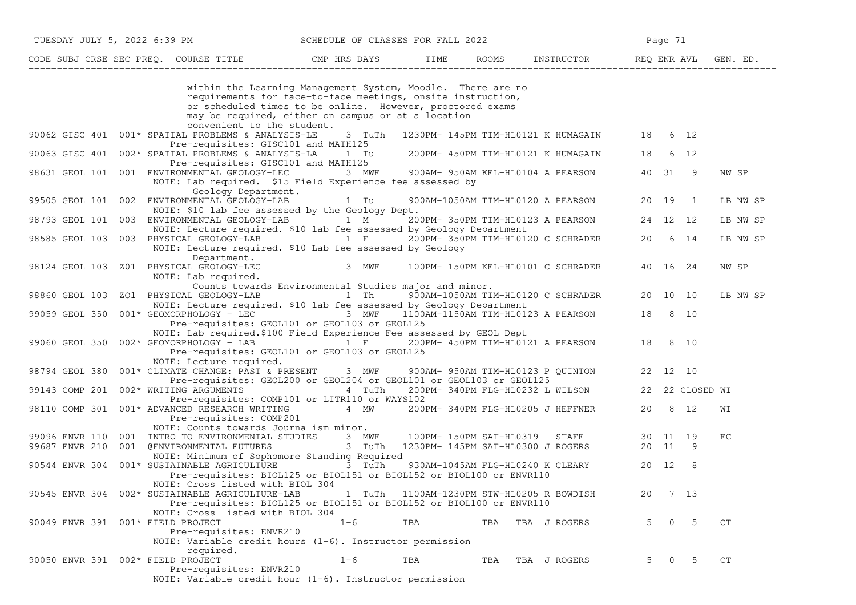|                                   | CODE SUBJ CRSE SEC PREQ. COURSE TITLE THE CMP HRS DAYS                                                                                              |                                                                                                                                                                                         | TIME                    | ROOMS | INSTRUCTOR                                 | REQ ENR AVL       |          |                 | GEN. ED. |
|-----------------------------------|-----------------------------------------------------------------------------------------------------------------------------------------------------|-----------------------------------------------------------------------------------------------------------------------------------------------------------------------------------------|-------------------------|-------|--------------------------------------------|-------------------|----------|-----------------|----------|
|                                   |                                                                                                                                                     | within the Learning Management System, Moodle. There are no<br>requirements for face-to-face meetings, onsite instruction,<br>or scheduled times to be online. However, proctored exams |                         |       |                                            |                   |          |                 |          |
|                                   |                                                                                                                                                     | may be required, either on campus or at a location                                                                                                                                      |                         |       |                                            |                   |          |                 |          |
|                                   | convenient to the student.<br>90062 GISC 401 001* SPATIAL PROBLEMS & ANALYSIS-LE<br>Pre-requisites: GISC101 and MATH125                             | 3 TuTh                                                                                                                                                                                  |                         |       | 1230PM- 145PM TIM-HL0121 K HUMAGAIN        | 18                |          | 6 12            |          |
| 90063 GISC 401                    | 002* SPATIAL PROBLEMS & ANALYSIS-LA<br>Pre-requisites: GISC101 and MATH125                                                                          | 1 Tu                                                                                                                                                                                    |                         |       | 200PM- 450PM TIM-HL0121 K HUMAGAIN         | 18                |          | 6 12            |          |
|                                   | 98631 GEOL 101 001 ENVIRONMENTAL GEOLOGY-LEC<br>NOTE: Lab required. \$15 Field Experience fee assessed by<br>Geology Department.                    | 3 MWF                                                                                                                                                                                   |                         |       | 900AM- 950AM KEL-HL0104 A PEARSON          | 40 31             |          | 9               | NW SP    |
| 99505 GEOL 101 002                | ENVIRONMENTAL GEOLOGY-LAB<br>NOTE: \$10 lab fee assessed by the Geology Dept.                                                                       | 1 Tu                                                                                                                                                                                    |                         |       | 900AM-1050AM TIM-HL0120 A PEARSON          | 20 19             |          | 1               | LB NW SP |
| 98793 GEOL 101                    | 003 ENVIRONMENTAL GEOLOGY-LAB 1 M<br>NOTE: Lecture required. \$10 lab fee assessed by Geology Department                                            |                                                                                                                                                                                         |                         |       | 200PM- 350PM TIM-HL0123 A PEARSON          | 24 12 12          |          |                 | LB NW SP |
| 98585 GEOL 103                    | 003 PHYSICAL GEOLOGY-LAB<br>NOTE: Lecture required. \$10 Lab fee assessed by Geology                                                                | $1 \tF$                                                                                                                                                                                 |                         |       | 200PM- 350PM TIM-HL0120 C SCHRADER         | 20                |          | 6 14            | LB NW SP |
| 98124 GEOL 103                    | Department.<br>Z01 PHYSICAL GEOLOGY-LEC<br>NOTE: Lab required.                                                                                      | 3 MWF                                                                                                                                                                                   |                         |       | 100PM- 150PM KEL-HL0101 C SCHRADER         | 40 16 24          |          |                 | NW SP    |
| 98860 GEOL 103                    | ZO1 PHYSICAL GEOLOGY-LAB                                                                                                                            | Counts towards Environmental Studies major and minor.<br>1 Th                                                                                                                           |                         |       | 900AM-1050AM TIM-HL0120 C SCHRADER         | 20 10 10          |          |                 | LB NW SP |
| 99059 GEOL 350                    | NOTE: Lecture required. \$10 lab fee assessed by Geology Department<br>001* GEOMORPHOLOGY - LEC<br>Pre-requisites: GEOL101 or GEOL103 or GEOL125    | 3 MWF                                                                                                                                                                                   |                         |       | 1100AM-1150AM TIM-HL0123 A PEARSON         | 18                |          | 8 10            |          |
| 99060 GEOL 350                    | NOTE: Lab required.\$100 Field Experience Fee assessed by GEOL Dept<br>002* GEOMORPHOLOGY - LAB<br>Pre-requisites: GEOL101 or GEOL103 or GEOL125    | $1 \quad F$                                                                                                                                                                             |                         |       | 200PM- 450PM TIM-HL0121 A PEARSON          | 18                |          | 8 10            |          |
| 98794 GEOL 380                    | NOTE: Lecture required.<br>001* CLIMATE CHANGE: PAST & PRESENT                                                                                      | 3 MWF                                                                                                                                                                                   |                         |       | 900AM- 950AM TIM-HL0123 P QUINTON          | 22 12 10          |          |                 |          |
| 99143 COMP 201                    | Pre-requisites: GEOL200 or GEOL204 or GEOL101 or GEOL103 or GEOL125<br>002* WRITING ARGUMENTS<br>Pre-requisites: COMP101 or LITR110 or WAYS102      | 4 TuTh                                                                                                                                                                                  |                         |       | 200PM- 340PM FLG-HL0232 L WILSON           |                   |          | 22 22 CLOSED WI |          |
| 98110 COMP 301                    | 001* ADVANCED RESEARCH WRITING<br>Pre-requisites: COMP201                                                                                           | 4 MW                                                                                                                                                                                    |                         |       | 200PM- 340PM FLG-HL0205 J HEFFNER          | 20                |          | 8 12            | WΙ       |
| 99096 ENVR 110<br>99687 ENVR 210  | NOTE: Counts towards Journalism minor.<br>001 INTRO TO ENVIRONMENTAL STUDIES<br>001 @ENVIRONMENTAL FUTURES                                          | 3 MWF<br>3 TuTh                                                                                                                                                                         | 100PM- 150PM SAT-HL0319 |       | STAFF<br>1230PM- 145PM SAT-HL0300 J ROGERS | 30 11 19<br>20 11 |          | 9               | FC       |
| 90544 ENVR 304                    | NOTE: Minimum of Sophomore Standing Required<br>001* SUSTAINABLE AGRICULTURE<br>Pre-requisites: BIOL125 or BIOL151 or BIOL152 or BIOL100 or ENVR110 | 3 TuTh                                                                                                                                                                                  |                         |       | 930AM-1045AM FLG-HL0240 K CLEARY           | 20 12             |          | 8               |          |
| 90545 ENVR 304                    | NOTE: Cross listed with BIOL 304<br>002* SUSTAINABLE AGRICULTURE-LAB<br>Pre-requisites: BIOL125 or BIOL151 or BIOL152 or BIOL100 or ENVR110         | 1 TuTh                                                                                                                                                                                  |                         |       | 1100AM-1230PM STW-HL0205 R BOWDISH         | 20                |          | 7 13            |          |
| 90049 ENVR 391 001* FIELD PROJECT | NOTE: Cross listed with BIOL 304<br>Pre-requisites: ENVR210<br>NOTE: Variable credit hours $(1-6)$ . Instructor permission                          | $1 - 6$                                                                                                                                                                                 | <b>TBA</b>              | TBA   | TBA J ROGERS                               | 5                 | $\Omega$ | 5               | CT       |
| 90050 ENVR 391 002* FIELD PROJECT | required.<br>Pre-requisites: ENVR210                                                                                                                | $1 - 6$                                                                                                                                                                                 | TBA                     | TBA   | TBA J ROGERS                               | .5                | $\Omega$ | $\overline{5}$  | CT       |

TUESDAY JULY 5, 2022 6:39 PM SCHEDULE OF CLASSES FOR FALL 2022

NOTE: Variable credit hour (1−6). Instructor permission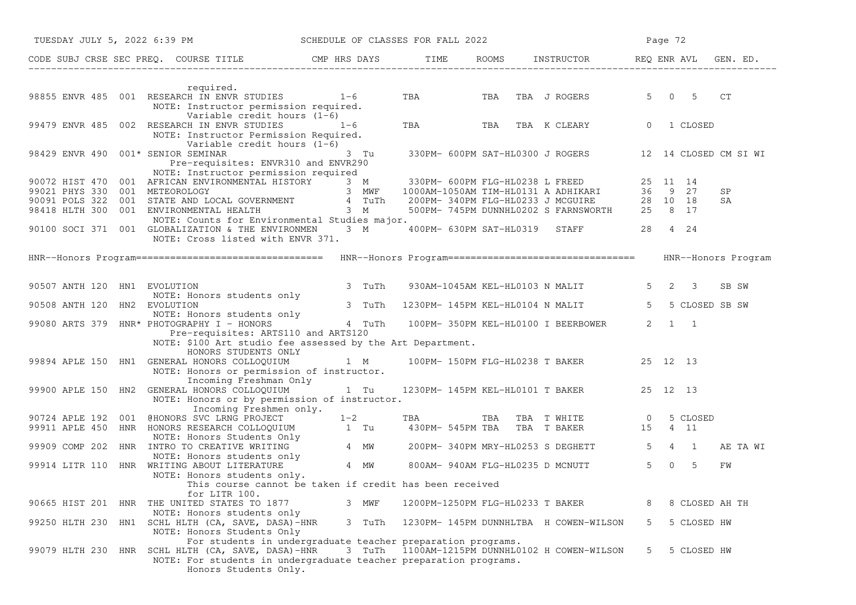| TUESDAY JULY 5, 2022 6:39 PM SCHEDULE OF CLASSES FOR FALL 2022                                                                                                                                                                                                                                                                                                                    |        |                                  |                                           | Page 72                                                |  |  |  |
|-----------------------------------------------------------------------------------------------------------------------------------------------------------------------------------------------------------------------------------------------------------------------------------------------------------------------------------------------------------------------------------|--------|----------------------------------|-------------------------------------------|--------------------------------------------------------|--|--|--|
| CODE SUBJ CRSE SEC PREQ. COURSE TITLE THE ROOMS INSTRUCTOR THE ROOMS ENRICH REQ ENR AVL GEN. ED.                                                                                                                                                                                                                                                                                  |        |                                  |                                           |                                                        |  |  |  |
| required.<br>98855 ENVR 485 001 RESEARCH IN ENVR STUDIES 1-6 TBA TBA TBA TBA J ROGERS<br>NOTE: Instructor permission required.                                                                                                                                                                                                                                                    |        |                                  |                                           | 5 0 5<br>CT                                            |  |  |  |
| Variable credit hours (1-6)<br>99479 ENVR 485 002 RESEARCH IN ENVR STUDIES $1-6$<br>NOTE: Instructor Permission Required.<br>Variable credit hours $(1-6)$                                                                                                                                                                                                                        |        |                                  | TBA TBA TBA K CLEARY 0 1 CLOSED           |                                                        |  |  |  |
| 98429 ENVR 490 001* SENIOR SEMINAR<br>Pre-requisites: ENVR310 and ENVR290<br>NOTE: Instructor permission required                                                                                                                                                                                                                                                                 | 3 Tu   |                                  |                                           | 330PM- 600PM SAT-HL0300 J ROGERS 12 14 CLOSED CM SI WI |  |  |  |
| NOTE: INSTRUCTOR PETTISSION EQUITED<br>90072 HIST 470 001 AFRICAN ENVIRONMENTAL HISTORY 3 MWF 1000AM-1050AM TIM-HL0131 A ADHIKARI 36 9 27<br>90091 POLS 322 001 STATE AND LOCAL GOVERNMENT 4 TUTh 200PM-340PM FLG-HL0233 J MCGUIRE<br>NOTE: Counts for Environmental Studies major.<br>90100 SOCI 371 001 GLOBALIZATION & THE ENVIRONMEN 3 M<br>NOTE: Cross listed with ENVR 371. |        |                                  | 400PM- 630PM SAT-HL0319 STAFF 28 4 24     | SP<br>SA                                               |  |  |  |
|                                                                                                                                                                                                                                                                                                                                                                                   |        |                                  |                                           | HNR--Honors Program                                    |  |  |  |
| 90507 ANTH 120 HN1 EVOLUTION<br>EVOLUTION<br>NOTE: Honors students only                                                                                                                                                                                                                                                                                                           | 3 TuTh |                                  | 930AM-1045AM KEL-HL0103 N MALIT           | $5 \quad 2 \quad 3$<br>SB SW                           |  |  |  |
| 90508 ANTH 120 HN2 EVOLUTION                                                                                                                                                                                                                                                                                                                                                      |        |                                  | 3 TuTh 1230PM-145PM KEL-HL0104 N MALIT    | $5 -$<br>5 CLOSED SB SW                                |  |  |  |
| NOTE: Honors students only [1000]<br>99080 ARTS 379 HNR* PHOTOGRAPHY I - HONORS [1000] 4 TuTh [100PM- 350PM KEL-HL0100 I BEERBOWER<br>Pre-requisites: ARTS110 and ARTS120<br>NOTE: \$100 Art studio fee assessed by the Art Department.<br>HONORS STUDENTS ONLY                                                                                                                   |        |                                  |                                           | $2 \quad 1 \quad 1$                                    |  |  |  |
| 99894 APLE 150 HN1 GENERAL HONORS COLLOQUIUM 1 M 100PM-150PM FLG-HL0238 T BAKER 25 12 13<br>NOTE: Honors or permission of instructor.<br>Incoming Freshman Only                                                                                                                                                                                                                   |        |                                  |                                           |                                                        |  |  |  |
| 99900 APLE 150 HN2 GENERAL HONORS COLLOQUIUM<br>NOTE: Honors or by permission of instructor.<br>Incoming Freshmen only.                                                                                                                                                                                                                                                           | $1$ Tu |                                  | 1230PM- 145PM KEL-HL0101 T BAKER 25 12 13 |                                                        |  |  |  |
| 90724 APLE 192 001 @HONORS SVC LRNG PROJECT<br>99911 APLE 450 HNR HONORS RESEARCH COLLOQUIUM<br>MOTE: Honors Students Only<br>99909 COMP 202 HNR INTRO TO CREATIVE WRITING<br>MOTE: Honors students Only<br>99914 LITR 110 HNR WRITING M                                                                                                                                          |        |                                  |                                           | 5 CLOSED                                               |  |  |  |
|                                                                                                                                                                                                                                                                                                                                                                                   |        |                                  |                                           | AE TA WI                                               |  |  |  |
| NOTE: Honors students only.                                                                                                                                                                                                                                                                                                                                                       |        |                                  |                                           | FW                                                     |  |  |  |
| This course cannot be taken if credit has been received<br>for LITR 100.<br>90665 HIST 201 HNR THE UNITED STATES TO 1877                                                                                                                                                                                                                                                          | 3 MWF  | 1200PM-1250PM FLG-HL0233 T BAKER |                                           | 8 CLOSED AH TH<br>8                                    |  |  |  |
| NOTE: Honors students only<br>99250 HLTH 230 HN1 SCHL HLTH (CA, SAVE, DASA)-HNR                                                                                                                                                                                                                                                                                                   | 3 TuTh |                                  | 1230PM- 145PM DUNNHLTBA H COWEN-WILSON    | 5<br>5 CLOSED HW                                       |  |  |  |
| NOTE: Honors Students Only<br>For students in undergraduate teacher preparation programs.<br>99079 HLTH 230 HNR SCHL HLTH (CA, SAVE, DASA)-HNR<br>NOTE: For students in undergraduate teacher preparation programs.<br>Honors Students Only.                                                                                                                                      | 3 TuTh |                                  | 1100AM-1215PM DUNNHL0102 H COWEN-WILSON   | 5<br>5 CLOSED HW                                       |  |  |  |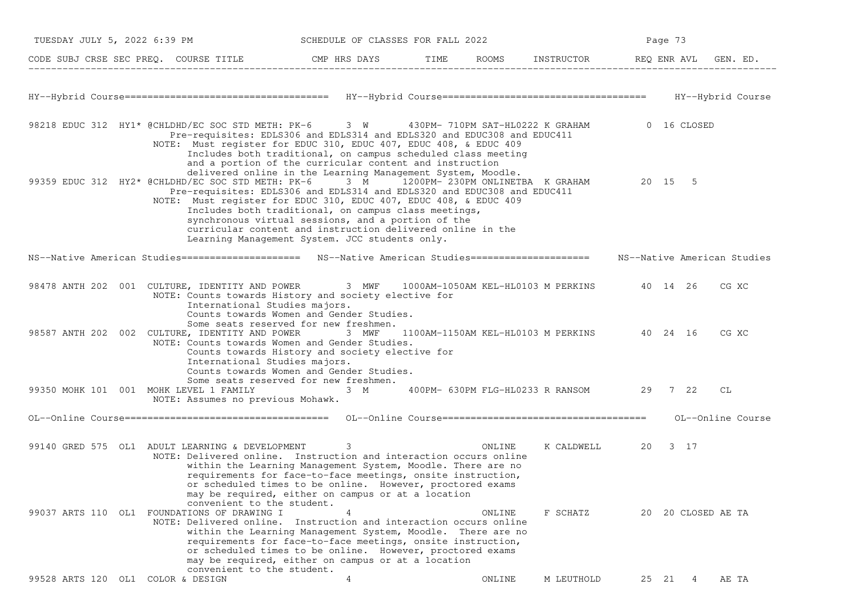| TUESDAY JULY 5, 2022 6:39 PM                                                                                                                                                               | SCHEDULE OF CLASSES FOR FALL 2022                                                                                                                                                                                                                                                                                                                                                                                               |        |        |                                             | Page 73            |                   |
|--------------------------------------------------------------------------------------------------------------------------------------------------------------------------------------------|---------------------------------------------------------------------------------------------------------------------------------------------------------------------------------------------------------------------------------------------------------------------------------------------------------------------------------------------------------------------------------------------------------------------------------|--------|--------|---------------------------------------------|--------------------|-------------------|
| CODE SUBJ CRSE SEC PREQ. COURSE TITLE CMP HRS DAYS TIME ROOMS INSTRUCTOR REQ ENR AVL GEN. ED.                                                                                              |                                                                                                                                                                                                                                                                                                                                                                                                                                 |        |        |                                             |                    |                   |
|                                                                                                                                                                                            |                                                                                                                                                                                                                                                                                                                                                                                                                                 |        |        |                                             |                    |                   |
| 98218 EDUC 312 HY1* @CHLDHD/EC SOC STD METH: PK-6    3 W     430PM- 710PM SAT-HL0222 K GRAHAM      0 16 CLOSED<br>NOTE: Must register for EDUC 310, EDUC 407, EDUC 408, & EDUC 409         | Pre-requisites: EDLS306 and EDLS314 and EDLS320 and EDUC308 and EDUC411<br>Includes both traditional, on campus scheduled class meeting                                                                                                                                                                                                                                                                                         |        |        |                                             |                    |                   |
| 99359 EDUC 312 HY2* @CHLDHD/EC SOC STD METH: PK-6 3 M 1200PM- 230PM ONLINETBA K GRAHAM 20 15 5<br>NOTE: Must register for EDUC 310, EDUC 407, EDUC 408, & EDUC 409                         | and a portion of the curricular content and instruction<br>delivered online in the Learning Management System, Moodle.<br>Pre-requisites: EDLS306 and EDLS314 and EDLS320 and EDUC308 and EDUC411<br>Includes both traditional, on campus class meetings,<br>synchronous virtual sessions, and a portion of the<br>curricular content and instruction delivered online in the<br>Learning Management System. JCC students only. |        |        |                                             |                    |                   |
| NS--Native American Studies======================= NS--Native American Studies====================== NS--Native American Studies                                                           |                                                                                                                                                                                                                                                                                                                                                                                                                                 |        |        |                                             |                    |                   |
| 98478 ANTH 202 001 CULTURE, IDENTITY AND POWER 3 MWF 1000AM-1050AM KEL-HL0103 M PERKINS 40 14 26<br>NOTE: Counts towards History and society elective for<br>International Studies majors. | Counts towards Women and Gender Studies.                                                                                                                                                                                                                                                                                                                                                                                        |        |        |                                             |                    | CG XC             |
| 98587 ANTH 202 002 CULTURE, IDENTITY AND POWER<br>NOTE: Counts towards Women and Gender Studies.<br>International Studies majors.                                                          | Some seats reserved for new freshmen.<br>3 MWF<br>Counts towards History and society elective for<br>Counts towards Women and Gender Studies.                                                                                                                                                                                                                                                                                   |        |        | 1100AM-1150AM KEL-HL0103 M PERKINS 40 24 16 |                    | CG XC             |
| 99350 MOHK 101 001 MOHK LEVEL 1 FAMILY<br>NOTE: Assumes no previous Mohawk.                                                                                                                | Some seats reserved for new freshmen.<br>— <b>ЗМ</b>                                                                                                                                                                                                                                                                                                                                                                            |        |        | 400PM- 630PM FLG-HL0233 R RANSOM 29 7 22    |                    | СL                |
|                                                                                                                                                                                            |                                                                                                                                                                                                                                                                                                                                                                                                                                 |        |        |                                             |                    | OL--Online Course |
| 99140 GRED 575 OL1 ADULT LEARNING & DEVELOPMENT<br>NOTE: Delivered online. Instruction and interaction occurs online                                                                       | 3<br>within the Learning Management System, Moodle. There are no<br>requirements for face-to-face meetings, onsite instruction,                                                                                                                                                                                                                                                                                                 | ONLINE |        | K CALDWELL 20                               | 3 17               |                   |
| convenient to the student.<br>99037 ARTS 110 OL1 FOUNDATIONS OF DRAWING I<br>NOTE: Delivered online. Instruction and interaction occurs online                                             | or scheduled times to be online. However, proctored exams<br>may be required, either on campus or at a location<br>4<br>within the Learning Management System, Moodle. There are no<br>requirements for face-to-face meetings, onsite instruction,<br>or scheduled times to be online. However, proctored exams<br>may be required, either on campus or at a location                                                           |        | ONLINE | F SCHATZ                                    | 20 20 CLOSED AE TA |                   |
| convenient to the student.<br>99528 ARTS 120 OL1 COLOR & DESIGN                                                                                                                            | 4                                                                                                                                                                                                                                                                                                                                                                                                                               |        | ONLINE | M LEUTHOLD                                  | 25 21<br>4         | AE TA             |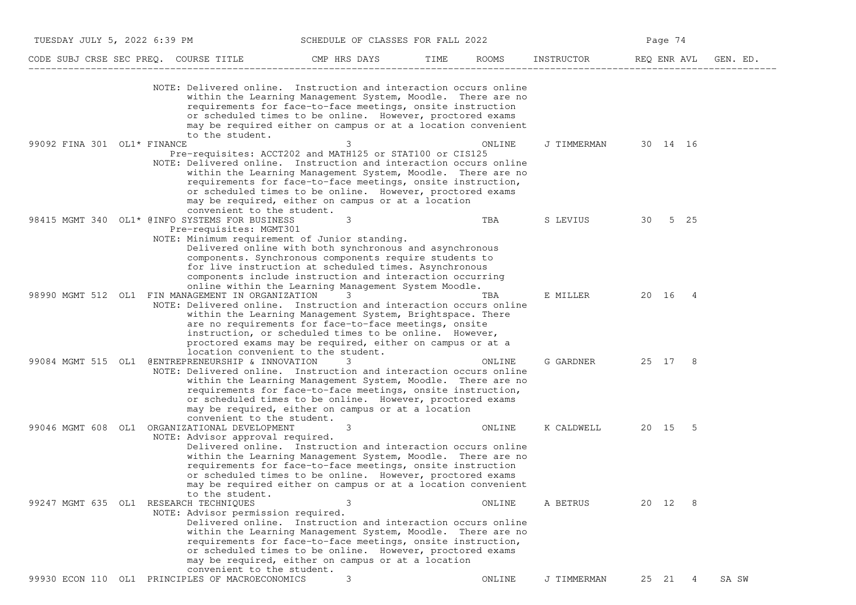| TUESDAY JULY 5, 2022 6:39 PM<br>SCHEDULE OF CLASSES FOR FALL 2022 |                                                                                                                                                               |                                                                                                                                                                                                                                                                                                                            | Page 74 |        |             |             |     |          |
|-------------------------------------------------------------------|---------------------------------------------------------------------------------------------------------------------------------------------------------------|----------------------------------------------------------------------------------------------------------------------------------------------------------------------------------------------------------------------------------------------------------------------------------------------------------------------------|---------|--------|-------------|-------------|-----|----------|
|                                                                   | CODE SUBJ CRSE SEC PREQ. COURSE TITLE                                                                                                                         | CMP HRS DAYS                                                                                                                                                                                                                                                                                                               | TIME    | ROOMS  | INSTRUCTOR  | REQ ENR AVL |     | GEN. ED. |
|                                                                   | NOTE: Delivered online. Instruction and interaction occurs online<br>to the student.                                                                          | within the Learning Management System, Moodle. There are no<br>requirements for face-to-face meetings, onsite instruction<br>or scheduled times to be online. However, proctored exams<br>may be required either on campus or at a location convenient                                                                     |         |        |             |             |     |          |
| 99092 FINA 301 OL1* FINANCE                                       | Pre-requisites: ACCT202 and MATH125 or STAT100 or CIS125<br>NOTE: Delivered online. Instruction and interaction occurs online<br>convenient to the student.   | 3<br>within the Learning Management System, Moodle. There are no<br>requirements for face-to-face meetings, onsite instruction,<br>or scheduled times to be online. However, proctored exams<br>may be required, either on campus or at a location                                                                         |         | ONLINE | J TIMMERMAN | 30 14 16    |     |          |
|                                                                   | 98415 MGMT 340 OL1* @INFO SYSTEMS FOR BUSINESS<br>Pre-requisites: MGMT301<br>NOTE: Minimum requirement of Junior standing.                                    | 3<br>Delivered online with both synchronous and asynchronous<br>components. Synchronous components require students to<br>for live instruction at scheduled times. Asynchronous<br>components include instruction and interaction occurring<br>online within the Learning Management System Moodle.                        |         | TBA    | S LEVIUS    | 30 5 25     |     |          |
|                                                                   | 98990 MGMT 512 OL1 FIN MANAGEMENT IN ORGANIZATION<br>NOTE: Delivered online. Instruction and interaction occurs online<br>location convenient to the student. | 3<br>within the Learning Management System, Brightspace. There<br>are no requirements for face-to-face meetings, onsite<br>instruction, or scheduled times to be online. However,<br>proctored exams may be required, either on campus or at a                                                                             |         | TBA    | E MILLER    | 20 16 4     |     |          |
| 99084 MGMT 515 OL1                                                | @ENTREPRENEURSHIP & INNOVATION<br>NOTE: Delivered online. Instruction and interaction occurs online<br>convenient to the student.                             | 3<br>within the Learning Management System, Moodle. There are no<br>requirements for face-to-face meetings, onsite instruction,<br>or scheduled times to be online. However, proctored exams<br>may be required, either on campus or at a location                                                                         |         | ONLINE | G GARDNER   | 25 17 8     |     |          |
| 99046 MGMT 608 OL1                                                | ORGANIZATIONAL DEVELOPMENT<br>NOTE: Advisor approval required.<br>to the student.                                                                             | 3<br>Delivered online. Instruction and interaction occurs online<br>within the Learning Management System, Moodle. There are no<br>requirements for face-to-face meetings, onsite instruction<br>or scheduled times to be online. However, proctored exams<br>may be required either on campus or at a location convenient |         | ONLINE | K CALDWELL  | 20 15 5     |     |          |
| 99247 MGMT 635 OL1 RESEARCH TECHNIQUES                            | NOTE: Advisor permission required.<br>convenient to the student.                                                                                              | 3<br>Delivered online. Instruction and interaction occurs online<br>within the Learning Management System, Moodle. There are no<br>requirements for face-to-face meetings, onsite instruction,<br>or scheduled times to be online. However, proctored exams<br>may be required, either on campus or at a location          |         | ONLINE | A BETRUS    | 20 12       | - 8 |          |
|                                                                   | 99930 ECON 110 OL1 PRINCIPLES OF MACROECONOMICS                                                                                                               | 3                                                                                                                                                                                                                                                                                                                          |         | ONLINE | J TIMMERMAN | 25 21       | 4   | SA SW    |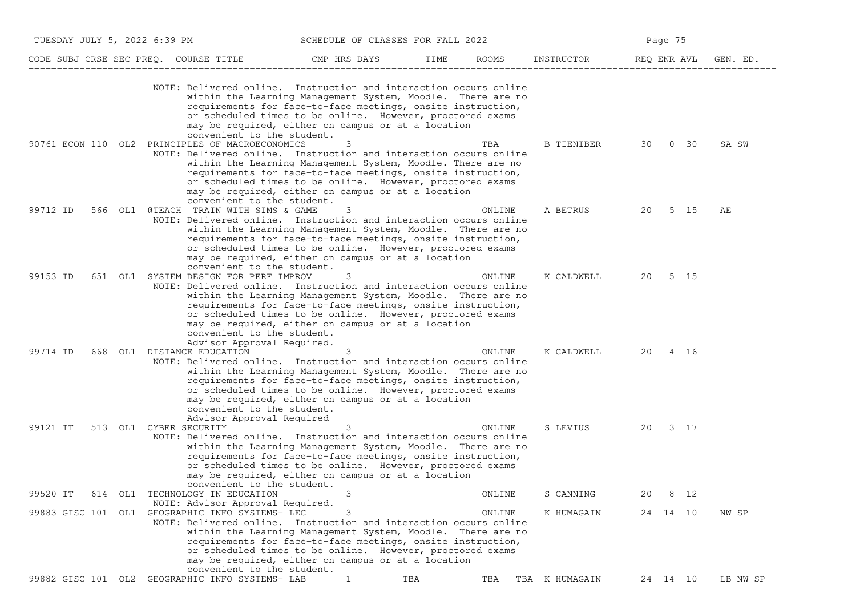|                     | TUESDAY JULY 5, 2022 6:39 PM<br>SCHEDULE OF CLASSES FOR FALL 2022                                                                                                                |                                                                                                                                                                                                                                                    |      | Page 75 |                |             |          |          |
|---------------------|----------------------------------------------------------------------------------------------------------------------------------------------------------------------------------|----------------------------------------------------------------------------------------------------------------------------------------------------------------------------------------------------------------------------------------------------|------|---------|----------------|-------------|----------|----------|
|                     | CODE SUBJ CRSE SEC PREQ. COURSE TITLE                                                                                                                                            | CMP HRS DAYS                                                                                                                                                                                                                                       | TIME | ROOMS   | INSTRUCTOR     | REQ ENR AVL |          | GEN. ED. |
|                     | NOTE: Delivered online. Instruction and interaction occurs online                                                                                                                | within the Learning Management System, Moodle. There are no<br>requirements for face-to-face meetings, onsite instruction,<br>or scheduled times to be online. However, proctored exams<br>may be required, either on campus or at a location      |      |         |                |             |          |          |
| 90761 ECON 110 OL2  | convenient to the student.<br>PRINCIPLES OF MACROECONOMICS<br>NOTE: Delivered online. Instruction and interaction occurs online                                                  | 3<br>within the Learning Management System, Moodle. There are no<br>requirements for face-to-face meetings, onsite instruction,<br>or scheduled times to be online. However, proctored exams<br>may be required, either on campus or at a location |      | TBA     | B TIENIBER     | 30          | 0 30     | SA SW    |
| 99712 ID<br>566 OL1 | convenient to the student.<br>@TEACH TRAIN WITH SIMS & GAME<br>NOTE: Delivered online. Instruction and interaction occurs online                                                 | 3<br>within the Learning Management System, Moodle. There are no<br>requirements for face-to-face meetings, onsite instruction,<br>or scheduled times to be online. However, proctored exams<br>may be required, either on campus or at a location |      | ONLINE  | A BETRUS       | 20          | 5 15     | AЕ       |
| 99153 ID            | convenient to the student.<br>651 OL1 SYSTEM DESIGN FOR PERF IMPROV<br>NOTE: Delivered online. Instruction and interaction occurs online<br>convenient to the student.           | 3<br>within the Learning Management System, Moodle. There are no<br>requirements for face-to-face meetings, onsite instruction,<br>or scheduled times to be online. However, proctored exams<br>may be required, either on campus or at a location |      | ONLINE  | K CALDWELL     | 20          | 5 15     |          |
| 99714 ID<br>668 OL1 | Advisor Approval Required.<br>DISTANCE EDUCATION<br>NOTE: Delivered online. Instruction and interaction occurs online<br>convenient to the student.<br>Advisor Approval Required | 3<br>within the Learning Management System, Moodle. There are no<br>requirements for face-to-face meetings, onsite instruction,<br>or scheduled times to be online. However, proctored exams<br>may be required, either on campus or at a location |      | ONLINE  | K CALDWELL     | 20          | 4 16     |          |
| 99121 IT            | 513 OL1 CYBER SECURITY<br>NOTE: Delivered online. Instruction and interaction occurs online<br>convenient to the student.                                                        | 3<br>within the Learning Management System, Moodle. There are no<br>requirements for face-to-face meetings, onsite instruction,<br>or scheduled times to be online. However, proctored exams<br>may be required, either on campus or at a location |      | ONLINE  | S LEVIUS       | 20          | 3 17     |          |
| 99520 IT            | 614 OL1 TECHNOLOGY IN EDUCATION                                                                                                                                                  | 3                                                                                                                                                                                                                                                  |      | ONLINE  | S CANNING      | 20          | 8 12     |          |
|                     | NOTE: Advisor Approval Required.<br>99883 GISC 101 OL1 GEOGRAPHIC INFO SYSTEMS- LEC<br>NOTE: Delivered online. Instruction and interaction occurs online                         | 3<br>within the Learning Management System, Moodle. There are no<br>requirements for face-to-face meetings, onsite instruction,<br>or scheduled times to be online. However, proctored exams<br>may be required, either on campus or at a location |      | ONLINE  | K HUMAGAIN     |             | 24 14 10 | NW SP    |
|                     | convenient to the student.<br>99882 GISC 101 OL2 GEOGRAPHIC INFO SYSTEMS- LAB                                                                                                    | 1                                                                                                                                                                                                                                                  | TBA  | TBA     | TBA K HUMAGAIN |             | 24 14 10 | LB NW SP |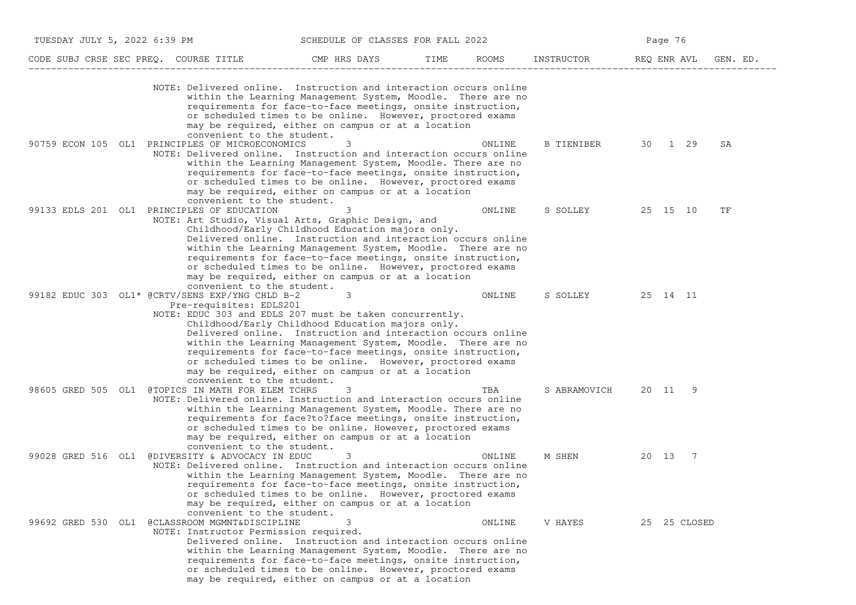|                    | TUESDAY JULY 5, 2022 6:39 PM<br>SCHEDULE OF CLASSES FOR FALL 2022                                                                                                   |                                                                                                                                                                                                                                                                                                                                                                       |      |        |              |             |                |          |
|--------------------|---------------------------------------------------------------------------------------------------------------------------------------------------------------------|-----------------------------------------------------------------------------------------------------------------------------------------------------------------------------------------------------------------------------------------------------------------------------------------------------------------------------------------------------------------------|------|--------|--------------|-------------|----------------|----------|
|                    | CODE SUBJ CRSE SEC PREQ. COURSE TITLE                                                                                                                               | CMP HRS DAYS                                                                                                                                                                                                                                                                                                                                                          | TIME | ROOMS  | INSTRUCTOR   | REQ ENR AVL |                | GEN. ED. |
|                    | NOTE: Delivered online. Instruction and interaction occurs online<br>convenient to the student.                                                                     | within the Learning Management System, Moodle. There are no<br>requirements for face-to-face meetings, onsite instruction,<br>or scheduled times to be online. However, proctored exams<br>may be required, either on campus or at a location                                                                                                                         |      |        |              |             |                |          |
|                    | 90759 ECON 105 OL1 PRINCIPLES OF MICROECONOMICS<br>NOTE: Delivered online. Instruction and interaction occurs online<br>convenient to the student.                  | 3<br>within the Learning Management System, Moodle. There are no<br>requirements for face-to-face meetings, onsite instruction,<br>or scheduled times to be online. However, proctored exams<br>may be required, either on campus or at a location                                                                                                                    |      | ONLINE | B TIENIBER   | 30 1 29     |                | SA       |
|                    | 99133 EDLS 201 OL1 PRINCIPLES OF EDUCATION<br>NOTE: Art Studio, Visual Arts, Graphic Design, and<br>convenient to the student.                                      | Childhood/Early Childhood Education majors only.<br>Delivered online. Instruction and interaction occurs online<br>within the Learning Management System, Moodle. There are no<br>requirements for face-to-face meetings, onsite instruction,<br>or scheduled times to be online. However, proctored exams<br>may be required, either on campus or at a location      |      | ONLINE | S SOLLEY     | 25 15 10    |                | TF       |
|                    | 99182 EDUC 303 OL1* @CRTV/SENS EXP/YNG CHLD B-2<br>Pre-requisites: EDLS201<br>NOTE: EDUC 303 and EDLS 207 must be taken concurrently.<br>convenient to the student. | 3<br>Childhood/Early Childhood Education majors only.<br>Delivered online. Instruction and interaction occurs online<br>within the Learning Management System, Moodle. There are no<br>requirements for face-to-face meetings, onsite instruction,<br>or scheduled times to be online. However, proctored exams<br>may be required, either on campus or at a location |      | ONLINE | S SOLLEY     | 25 14 11    |                |          |
|                    | 98605 GRED 505 OL1 @TOPICS IN MATH FOR ELEM TCHRS<br>NOTE: Delivered online. Instruction and interaction occurs online<br>convenient to the student.                | 3<br>within the Learning Management System, Moodle. There are no<br>requirements for face?to?face meetings, onsite instruction,<br>or scheduled times to be online. However, proctored exams<br>may be required, either on campus or at a location                                                                                                                    |      | TBA    | S ABRAMOVICH | 20 11       | -9             |          |
| 99028 GRED 516 OL1 | @DIVERSITY & ADVOCACY IN EDUC<br>NOTE: Delivered online. Instruction and interaction occurs online<br>convenient to the student.                                    | 3<br>within the Learning Management System, Moodle. There are no<br>requirements for face-to-face meetings, onsite instruction,<br>or scheduled times to be online. However, proctored exams<br>may be required, either on campus or at a location                                                                                                                    |      | ONLINE | M SHEN       | 20 13       | $\overline{7}$ |          |
| 99692 GRED 530 OL1 | @CLASSROOM MGMNT&DISCIPLINE<br>NOTE: Instructor Permission required.                                                                                                | Delivered online. Instruction and interaction occurs online<br>within the Learning Management System, Moodle. There are no<br>requirements for face-to-face meetings, onsite instruction,<br>or scheduled times to be online. However, proctored exams<br>may be required, either on campus or at a location                                                          |      | ONLINE | V HAYES      |             | 25 25 CLOSED   |          |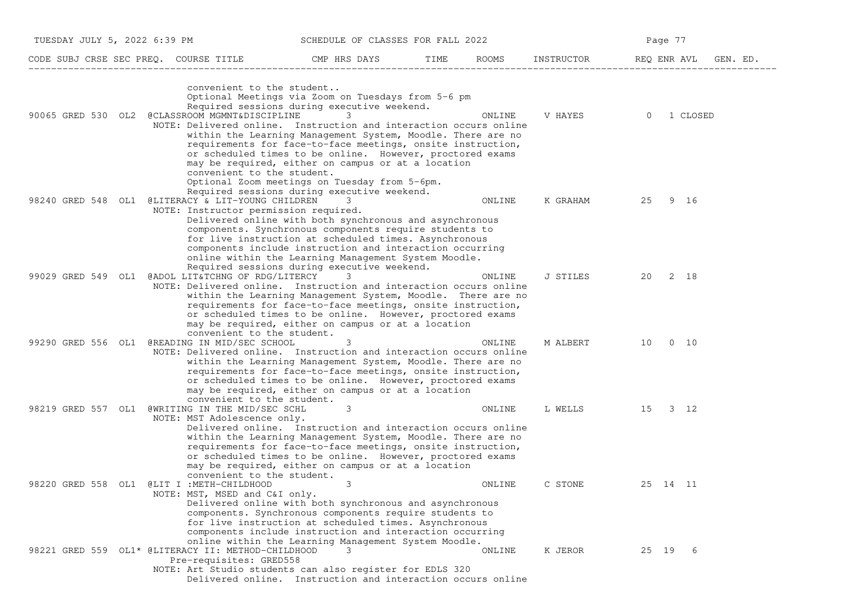|                    | CODE SUBJ CRSE SEC PREQ. COURSE TITLE                                                                                                            | CMP HRS DAYS                                                                                                                                                                                                                                                                                                                                            | TIME | <b>ROOMS</b> | INSTRUCTOR | REQ ENR AVL | GEN. ED.    |
|--------------------|--------------------------------------------------------------------------------------------------------------------------------------------------|---------------------------------------------------------------------------------------------------------------------------------------------------------------------------------------------------------------------------------------------------------------------------------------------------------------------------------------------------------|------|--------------|------------|-------------|-------------|
| 90065 GRED 530 OL2 | convenient to the student<br>@CLASSROOM MGMNT&DISCIPLINE<br>NOTE: Delivered online. Instruction and interaction occurs online                    | Optional Meetings via Zoom on Tuesdays from 5-6 pm<br>Required sessions during executive weekend.<br>3<br>within the Learning Management System, Moodle. There are no<br>requirements for face-to-face meetings, onsite instruction,<br>or scheduled times to be online. However, proctored exams<br>may be required, either on campus or at a location |      | ONLINE       | V HAYES    | $\Omega$    | 1 CLOSED    |
|                    | convenient to the student.<br>98240 GRED 548 OL1 @LITERACY & LIT-YOUNG CHILDREN<br>NOTE: Instructor permission required.                         | Optional Zoom meetings on Tuesday from 5-6pm.<br>Required sessions during executive weekend.<br>3.<br>Delivered online with both synchronous and asynchronous<br>components. Synchronous components require students to<br>for live instruction at scheduled times. Asynchronous                                                                        |      | ONLINE       | K GRAHAM   | 25          | 9 16        |
| 99029 GRED 549 OL1 | @ADOL LIT&TCHNG OF RDG/LITERCY<br>NOTE: Delivered online. Instruction and interaction occurs online                                              | components include instruction and interaction occurring<br>online within the Learning Management System Moodle.<br>Required sessions during executive weekend.<br>3<br>within the Learning Management System, Moodle. There are no<br>requirements for face-to-face meetings, onsite instruction,                                                      |      | ONLINE       | J STILES   | 20          | 2 18        |
|                    | convenient to the student.<br>99290 GRED 556 OL1 @READING IN MID/SEC SCHOOL<br>NOTE: Delivered online. Instruction and interaction occurs online | or scheduled times to be online. However, proctored exams<br>may be required, either on campus or at a location<br>3<br>within the Learning Management System, Moodle. There are no<br>requirements for face-to-face meetings, onsite instruction,                                                                                                      |      | ONLINE       | M ALBERT   | 10          | $0\quad 10$ |
|                    | convenient to the student.<br>98219 GRED 557 OL1 @WRITING IN THE MID/SEC SCHL<br>NOTE: MST Adolescence only.                                     | or scheduled times to be online. However, proctored exams<br>may be required, either on campus or at a location<br>3<br>Delivered online. Instruction and interaction occurs online<br>within the Learning Management System, Moodle. There are no                                                                                                      |      | ONLINE       | L WELLS    | 15          | 3 12        |
| 98220 GRED 558 OL1 | convenient to the student.<br>@LIT I :METH-CHILDHOOD<br>NOTE: MST, MSED and C&I only.                                                            | requirements for face-to-face meetings, onsite instruction,<br>or scheduled times to be online. However, proctored exams<br>may be required, either on campus or at a location<br>3<br>Delivered online with both synchronous and asynchronous<br>components. Synchronous components require students to                                                |      | ONLINE       | C STONE    | 25 14 11    |             |
|                    | 98221 GRED 559 OL1* @LITERACY II: METHOD-CHILDHOOD<br>Pre-requisites: GRED558<br>NOTE: Art Studio students can also register for EDLS 320        | for live instruction at scheduled times. Asynchronous<br>components include instruction and interaction occurring<br>online within the Learning Management System Moodle.<br>3<br>Delivered online. Instruction and interaction occurs online                                                                                                           |      | ONLINE       | K JEROR    | 25 19       | 6           |

TUESDAY JULY 5, 2022 6:39 PM SCHEDULE OF CLASSES FOR FALL 2022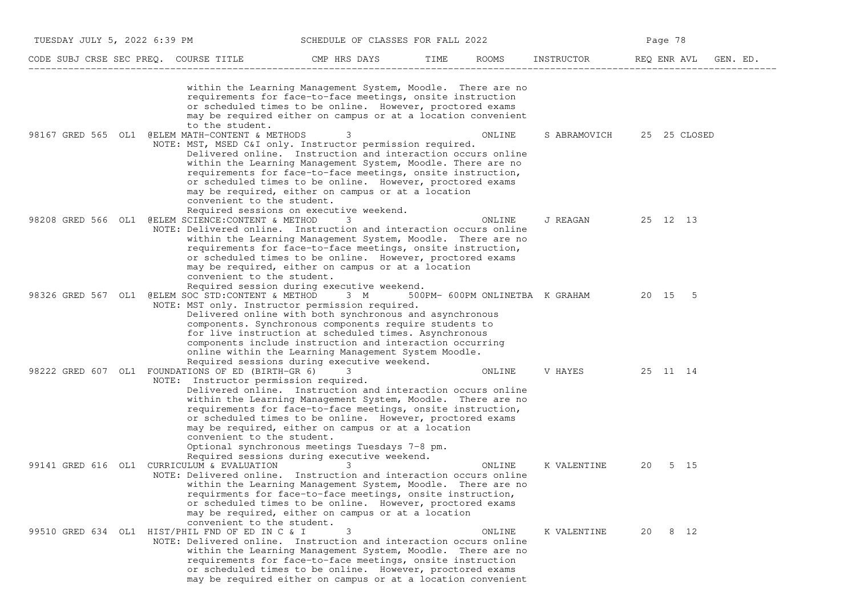| TUESDAY JULY 5, 2022 6:39 PM          |                                                                                                                                                       | SCHEDULE OF CLASSES FOR FALL 2022                                                                                                                                                                                                                                                                                                                                                                             |      |        | Page 78                                 |              |          |  |  |
|---------------------------------------|-------------------------------------------------------------------------------------------------------------------------------------------------------|---------------------------------------------------------------------------------------------------------------------------------------------------------------------------------------------------------------------------------------------------------------------------------------------------------------------------------------------------------------------------------------------------------------|------|--------|-----------------------------------------|--------------|----------|--|--|
| CODE SUBJ CRSE SEC PREQ. COURSE TITLE |                                                                                                                                                       | CMP HRS DAYS                                                                                                                                                                                                                                                                                                                                                                                                  | TIME | ROOMS  | INSTRUCTOR                              | REQ ENR AVL  | GEN. ED. |  |  |
|                                       | to the student.                                                                                                                                       | within the Learning Management System, Moodle. There are no<br>requirements for face-to-face meetings, onsite instruction<br>or scheduled times to be online. However, proctored exams<br>may be required either on campus or at a location convenient                                                                                                                                                        |      |        |                                         |              |          |  |  |
| 98167 GRED 565 OL1                    | @ELEM MATH-CONTENT & METHODS<br>NOTE: MST, MSED C&I only. Instructor permission required.<br>convenient to the student.                               | Delivered online. Instruction and interaction occurs online<br>within the Learning Management System, Moodle. There are no<br>requirements for face-to-face meetings, onsite instruction,<br>or scheduled times to be online. However, proctored exams<br>may be required, either on campus or at a location<br>Required sessions on executive weekend.                                                       |      | ONLINE | S ABRAMOVICH                            | 25 25 CLOSED |          |  |  |
|                                       | 98208 GRED 566 OL1 @ELEM SCIENCE: CONTENT & METHOD<br>NOTE: Delivered online. Instruction and interaction occurs online<br>convenient to the student. | 3<br>within the Learning Management System, Moodle. There are no<br>requirements for face-to-face meetings, onsite instruction,<br>or scheduled times to be online. However, proctored exams<br>may be required, either on campus or at a location<br>Required session during executive weekend.                                                                                                              |      | ONLINE | J REAGAN                                | 25 12 13     |          |  |  |
|                                       | 98326 GRED 567 OL1 @ELEM SOC STD:CONTENT & METHOD 3 M<br>NOTE: MST only. Instructor permission required.                                              | Delivered online with both synchronous and asynchronous<br>components. Synchronous components require students to<br>for live instruction at scheduled times. Asynchronous<br>components include instruction and interaction occurring<br>online within the Learning Management System Moodle.<br>Required sessions during executive weekend.                                                                 |      |        | 500PM- 600PM ONLINETBA K GRAHAM 20 15 5 |              |          |  |  |
|                                       | 98222 GRED 607 OL1 FOUNDATIONS OF ED (BIRTH-GR 6)<br>NOTE: Instructor permission required.<br>convenient to the student.                              | Delivered online. Instruction and interaction occurs online<br>within the Learning Management System, Moodle. There are no<br>requirements for face-to-face meetings, onsite instruction,<br>or scheduled times to be online. However, proctored exams<br>may be required, either on campus or at a location<br>Optional synchronous meetings Tuesdays 7-8 pm.<br>Required sessions during executive weekend. |      | ONLINE | V HAYES                                 | 25 11 14     |          |  |  |
| 99141 GRED 616 OL1                    | CURRICULUM & EVALUATION<br>NOTE: Delivered online. Instruction and interaction occurs online<br>convenient to the student.                            | 3<br>within the Learning Management System, Moodle. There are no<br>requirments for face-to-face meetings, onsite instruction,<br>or scheduled times to be online. However, proctored exams<br>may be required, either on campus or at a location                                                                                                                                                             |      | ONLINE | K VALENTINE                             | 20           | 5 15     |  |  |
|                                       | 99510 GRED 634 OL1 HIST/PHIL FND OF ED IN C & I<br>NOTE: Delivered online. Instruction and interaction occurs online                                  | 3<br>within the Learning Management System, Moodle. There are no<br>requirements for face-to-face meetings, onsite instruction<br>or scheduled times to be online. However, proctored exams<br>may be required either on campus or at a location convenient                                                                                                                                                   |      | ONLINE | K VALENTINE                             | 20           | 8 12     |  |  |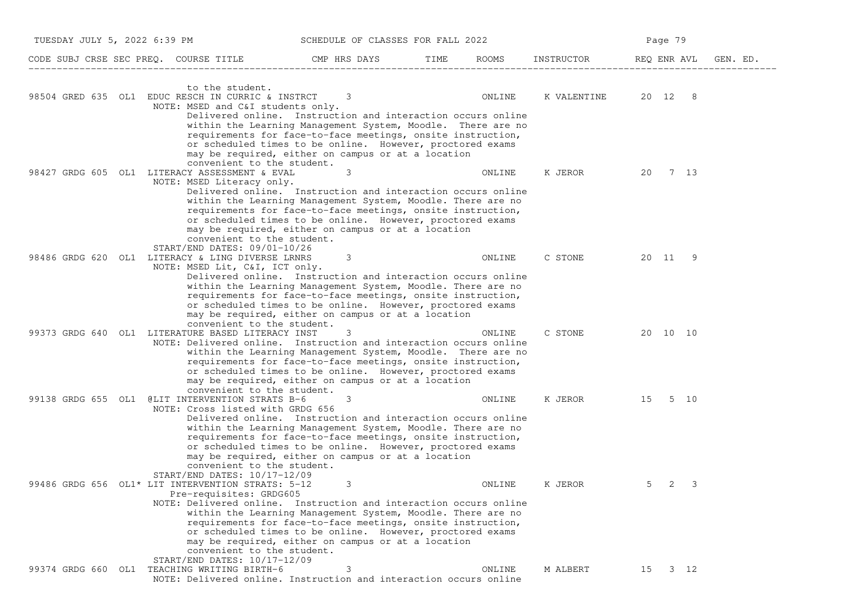| TUESDAY JULY 5, 2022 6:39 PM                                                                                       | SCHEDULE OF CLASSES FOR FALL 2022                                                                                                                                                                                                                                                                                                                                                                                    |               |             | Page 79     |          |  |  |
|--------------------------------------------------------------------------------------------------------------------|----------------------------------------------------------------------------------------------------------------------------------------------------------------------------------------------------------------------------------------------------------------------------------------------------------------------------------------------------------------------------------------------------------------------|---------------|-------------|-------------|----------|--|--|
| CODE SUBJ CRSE SEC PREQ. COURSE TITLE                                                                              | CMP HRS DAYS                                                                                                                                                                                                                                                                                                                                                                                                         | ROOMS<br>TIME | INSTRUCTOR  | REQ ENR AVL | GEN. ED. |  |  |
| to the student.<br>98504 GRED 635 OL1 EDUC RESCH IN CURRIC & INSTRCT<br>NOTE: MSED and C&I students only.          | 3<br>Delivered online. Instruction and interaction occurs online<br>within the Learning Management System, Moodle. There are no                                                                                                                                                                                                                                                                                      | ONLINE        | K VALENTINE | 20 12 8     |          |  |  |
| 98427 GRDG 605 OL1 LITERACY ASSESSMENT & EVAL<br>NOTE: MSED Literacy only.                                         | requirements for face-to-face meetings, onsite instruction,<br>or scheduled times to be online. However, proctored exams<br>may be required, either on campus or at a location<br>convenient to the student.<br>3<br>Delivered online. Instruction and interaction occurs online<br>within the Learning Management System, Moodle. There are no<br>requirements for face-to-face meetings, onsite instruction,       | ONLINE        | K JEROR     | 20<br>7 13  |          |  |  |
| START/END DATES: 09/01-10/26<br>98486 GRDG 620 OL1 LITERACY & LING DIVERSE LRNRS<br>NOTE: MSED Lit, C&I, ICT only. | or scheduled times to be online. However, proctored exams<br>may be required, either on campus or at a location<br>convenient to the student.<br>3<br>Delivered online. Instruction and interaction occurs online<br>within the Learning Management System, Moodle. There are no                                                                                                                                     | ONLINE        | C STONE     | 20 11<br>-9 |          |  |  |
| 99373 GRDG 640 OL1 LITERATURE BASED LITERACY INST                                                                  | requirements for face-to-face meetings, onsite instruction,<br>or scheduled times to be online. However, proctored exams<br>may be required, either on campus or at a location<br>convenient to the student.<br>3<br>NOTE: Delivered online. Instruction and interaction occurs online<br>within the Learning Management System, Moodle. There are no<br>requirements for face-to-face meetings, onsite instruction, | ONLINE        | C STONE     | 20 10 10    |          |  |  |
| 99138 GRDG 655 OL1 @LIT INTERVENTION STRATS B-6<br>NOTE: Cross listed with GRDG 656                                | or scheduled times to be online. However, proctored exams<br>may be required, either on campus or at a location<br>convenient to the student.<br>3<br>Delivered online. Instruction and interaction occurs online<br>within the Learning Management System, Moodle. There are no                                                                                                                                     | ONLINE        | K JEROR     | 5 10<br>15  |          |  |  |
| START/END DATES: 10/17-12/09<br>99486 GRDG 656 OL1* LIT INTERVENTION STRATS: 5-12<br>Pre-requisites: GRDG605       | requirements for face-to-face meetings, onsite instruction,<br>or scheduled times to be online. However, proctored exams<br>may be required, either on campus or at a location<br>convenient to the student.<br>3<br>NOTE: Delivered online. Instruction and interaction occurs online                                                                                                                               | ONLINE        | K JEROR     | 3<br>5<br>2 |          |  |  |
| START/END DATES: 10/17-12/09<br>99374 GRDG 660 OL1 TEACHING WRITING BIRTH-6                                        | within the Learning Management System, Moodle. There are no<br>requirements for face-to-face meetings, onsite instruction,<br>or scheduled times to be online. However, proctored exams<br>may be required, either on campus or at a location<br>convenient to the student.<br>3<br>NOTE: Delivered online. Instruction and interaction occurs online                                                                | ONLINE        | M ALBERT    | 15 3 12     |          |  |  |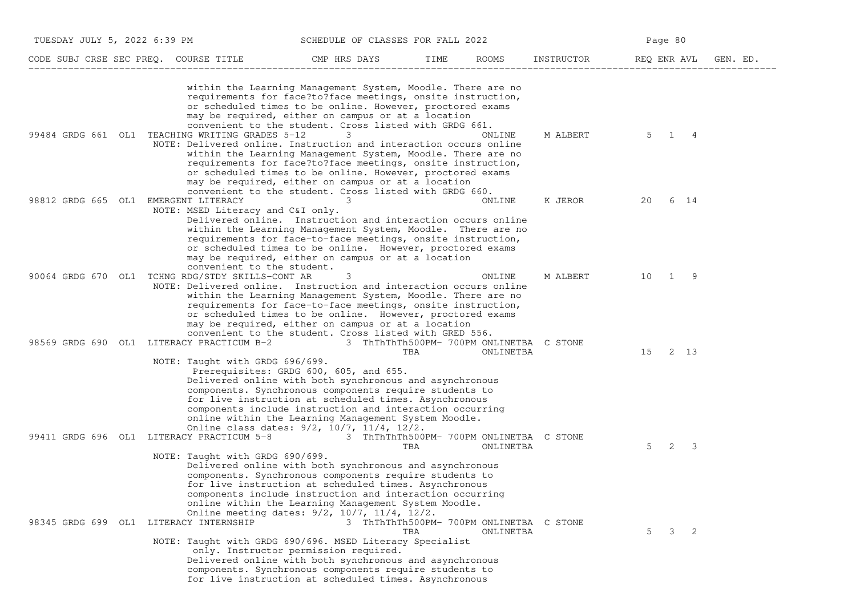| TUESDAY JULY 5, 2022 6:39 PM         |                                                                                                                       |                                                                                                                                                                                                                                                                                                                                                                                        | SCHEDULE OF CLASSES FOR FALL 2022               |           |            | Page 80            |                   |          |  |
|--------------------------------------|-----------------------------------------------------------------------------------------------------------------------|----------------------------------------------------------------------------------------------------------------------------------------------------------------------------------------------------------------------------------------------------------------------------------------------------------------------------------------------------------------------------------------|-------------------------------------------------|-----------|------------|--------------------|-------------------|----------|--|
|                                      | CODE SUBJ CRSE SEC PREQ. COURSE TITLE                                                                                 | CMP HRS DAYS                                                                                                                                                                                                                                                                                                                                                                           | TIME                                            | ROOMS     | INSTRUCTOR | REQ ENR AVL        |                   | GEN. ED. |  |
|                                      |                                                                                                                       | within the Learning Management System, Moodle. There are no<br>requirements for face?to?face meetings, onsite instruction,<br>or scheduled times to be online. However, proctored exams<br>may be required, either on campus or at a location<br>convenient to the student. Cross listed with GRDG 661.                                                                                |                                                 |           |            |                    |                   |          |  |
|                                      | 99484 GRDG 661 OL1 TEACHING WRITING GRADES 5-12<br>NOTE: Delivered online. Instruction and interaction occurs online  | 3<br>within the Learning Management System, Moodle. There are no<br>requirements for face?to?face meetings, onsite instruction,<br>or scheduled times to be online. However, proctored exams<br>may be required, either on campus or at a location<br>convenient to the student. Cross listed with GRDG 660.                                                                           |                                                 | ONLINE    | M ALBERT   | 5                  | 4<br>$\mathbf{1}$ |          |  |
| 98812 GRDG 665 OL1 EMERGENT LITERACY | NOTE: MSED Literacy and C&I only.<br>convenient to the student.                                                       | Delivered online. Instruction and interaction occurs online<br>within the Learning Management System, Moodle. There are no<br>requirements for face-to-face meetings, onsite instruction,<br>or scheduled times to be online. However, proctored exams<br>may be required, either on campus or at a location                                                                           |                                                 | ONLINE    | K JEROR    | 20                 | 6 14              |          |  |
|                                      | 90064 GRDG 670 OL1 TCHNG RDG/STDY SKILLS-CONT AR<br>NOTE: Delivered online. Instruction and interaction occurs online | 3<br>within the Learning Management System, Moodle. There are no<br>requirements for face-to-face meetings, onsite instruction,<br>or scheduled times to be online. However, proctored exams<br>may be required, either on campus or at a location<br>convenient to the student. Cross listed with GRED 556.                                                                           |                                                 | ONLINE    | M ALBERT   | 10<br>$\mathbf{1}$ | -9                |          |  |
|                                      | 98569 GRDG 690 OL1 LITERACY PRACTICUM B-2<br>NOTE: Taught with GRDG 696/699.                                          | Prerequisites: GRDG 600, 605, and 655.<br>Delivered online with both synchronous and asynchronous<br>components. Synchronous components require students to<br>for live instruction at scheduled times. Asynchronous<br>components include instruction and interaction occurring<br>online within the Learning Management System Moodle.<br>Online class dates: 9/2, 10/7, 11/4, 12/2. | 3 ThThThTh500PM- 700PM ONLINETBA C STONE<br>TBA | ONLINETBA |            | 15                 | 2 13              |          |  |
|                                      | 99411 GRDG 696 OL1 LITERACY PRACTICUM 5-8 3 ThThThTh500PM- 700PM ONLINETBA C STONE<br>NOTE: Taught with GRDG 690/699. | Delivered online with both synchronous and asynchronous<br>components. Synchronous components require students to<br>for live instruction at scheduled times. Asynchronous<br>components include instruction and interaction occurring<br>online within the Learning Management System Moodle.<br>Online meeting dates: 9/2, 10/7, 11/4, 12/2.                                         | TBA                                             | ONLINETBA |            | 2<br>5             | 3                 |          |  |
|                                      | 98345 GRDG 699 OL1 LITERACY INTERNSHIP<br>NOTE: Taught with GRDG 690/696. MSED Literacy Specialist                    | only. Instructor permission required.<br>Delivered online with both synchronous and asynchronous<br>components. Synchronous components require students to<br>for live instruction at scheduled times. Asynchronous                                                                                                                                                                    | 3 ThThThTh500PM- 700PM ONLINETBA C STONE<br>TBA | ONLINETBA |            | 5                  | $3 \quad 2$       |          |  |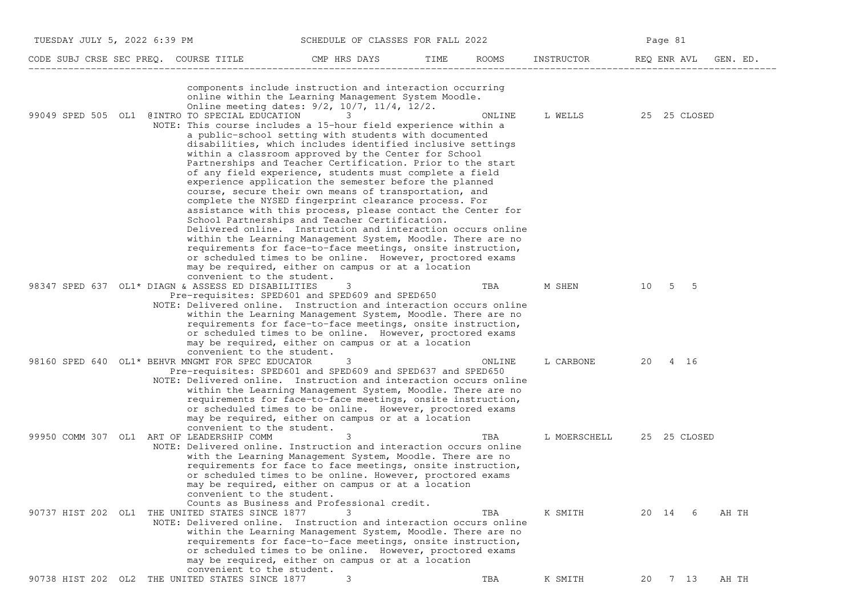| TUESDAY JULY 5, 2022 6:39 PM                       | SCHEDULE OF CLASSES FOR FALL 2022                                                                                                                                                                                                                                                                |               |              | Page 81              |
|----------------------------------------------------|--------------------------------------------------------------------------------------------------------------------------------------------------------------------------------------------------------------------------------------------------------------------------------------------------|---------------|--------------|----------------------|
| CODE SUBJ CRSE SEC PREQ. COURSE TITLE              | CMP HRS DAYS                                                                                                                                                                                                                                                                                     | ROOMS<br>TIME | INSTRUCTOR   | REQ ENR AVL GEN. ED. |
| 99049 SPED 505 OL1 @INTRO TO SPECIAL EDUCATION     | components include instruction and interaction occurring<br>online within the Learning Management System Moodle.<br>Online meeting dates: 9/2, 10/7, 11/4, 12/2.<br>3<br>NOTE: This course includes a 15-hour field experience within a<br>a public-school setting with students with documented | ONLINE        | L WELLS      | 25 25 CLOSED         |
|                                                    | disabilities, which includes identified inclusive settings<br>within a classroom approved by the Center for School                                                                                                                                                                               |               |              |                      |
|                                                    | Partnerships and Teacher Certification. Prior to the start<br>of any field experience, students must complete a field                                                                                                                                                                            |               |              |                      |
|                                                    | experience application the semester before the planned                                                                                                                                                                                                                                           |               |              |                      |
|                                                    | course, secure their own means of transportation, and<br>complete the NYSED fingerprint clearance process. For                                                                                                                                                                                   |               |              |                      |
|                                                    | assistance with this process, please contact the Center for                                                                                                                                                                                                                                      |               |              |                      |
|                                                    | School Partnerships and Teacher Certification.<br>Delivered online. Instruction and interaction occurs online                                                                                                                                                                                    |               |              |                      |
|                                                    | within the Learning Management System, Moodle. There are no                                                                                                                                                                                                                                      |               |              |                      |
|                                                    | requirements for face-to-face meetings, onsite instruction,<br>or scheduled times to be online. However, proctored exams                                                                                                                                                                         |               |              |                      |
|                                                    | may be required, either on campus or at a location                                                                                                                                                                                                                                               |               |              |                      |
|                                                    | convenient to the student.                                                                                                                                                                                                                                                                       |               |              | 10 5 5               |
| 98347 SPED 637 OL1* DIAGN & ASSESS ED DISABILITIES | 3<br>Pre-requisites: SPED601 and SPED609 and SPED650                                                                                                                                                                                                                                             | TBA           | M SHEN       |                      |
|                                                    | NOTE: Delivered online. Instruction and interaction occurs online                                                                                                                                                                                                                                |               |              |                      |
|                                                    | within the Learning Management System, Moodle. There are no<br>requirements for face-to-face meetings, onsite instruction,                                                                                                                                                                       |               |              |                      |
|                                                    | or scheduled times to be online. However, proctored exams                                                                                                                                                                                                                                        |               |              |                      |
|                                                    | may be required, either on campus or at a location<br>convenient to the student.                                                                                                                                                                                                                 |               |              |                      |
| 98160 SPED 640 OL1* BEHVR MNGMT FOR SPEC EDUCATOR  | 3                                                                                                                                                                                                                                                                                                | ONLINE        | L CARBONE    | 20 4 16              |
|                                                    | Pre-requisites: SPED601 and SPED609 and SPED637 and SPED650<br>NOTE: Delivered online. Instruction and interaction occurs online                                                                                                                                                                 |               |              |                      |
|                                                    | within the Learning Management System, Moodle. There are no                                                                                                                                                                                                                                      |               |              |                      |
|                                                    | requirements for face-to-face meetings, onsite instruction,<br>or scheduled times to be online. However, proctored exams                                                                                                                                                                         |               |              |                      |
|                                                    | may be required, either on campus or at a location                                                                                                                                                                                                                                               |               |              |                      |
|                                                    | convenient to the student.                                                                                                                                                                                                                                                                       |               |              |                      |
| 99950 COMM 307 OL1 ART OF LEADERSHIP COMM          | 3<br>NOTE: Delivered online. Instruction and interaction occurs online                                                                                                                                                                                                                           | TBA           | L MOERSCHELL | 25 25 CLOSED         |
|                                                    | with the Learning Management System, Moodle. There are no                                                                                                                                                                                                                                        |               |              |                      |
|                                                    | requirements for face to face meetings, onsite instruction,<br>or scheduled times to be online. However, proctored exams                                                                                                                                                                         |               |              |                      |
|                                                    | may be required, either on campus or at a location                                                                                                                                                                                                                                               |               |              |                      |
|                                                    | convenient to the student.<br>Counts as Business and Professional credit.                                                                                                                                                                                                                        |               |              |                      |
| 90737 HIST 202 OL1 THE UNITED STATES SINCE 1877    |                                                                                                                                                                                                                                                                                                  | TBA           | K SMITH      | 20 14 6<br>AH TH     |
|                                                    | NOTE: Delivered online. Instruction and interaction occurs online<br>within the Learning Management System, Moodle. There are no                                                                                                                                                                 |               |              |                      |
|                                                    | requirements for face-to-face meetings, onsite instruction,                                                                                                                                                                                                                                      |               |              |                      |
|                                                    | or scheduled times to be online. However, proctored exams                                                                                                                                                                                                                                        |               |              |                      |
|                                                    | may be required, either on campus or at a location<br>convenient to the student.                                                                                                                                                                                                                 |               |              |                      |
| 90738 HIST 202 OL2 THE UNITED STATES SINCE 1877    | 3                                                                                                                                                                                                                                                                                                | TBA           | K SMITH      | 7 13<br>AH TH<br>20  |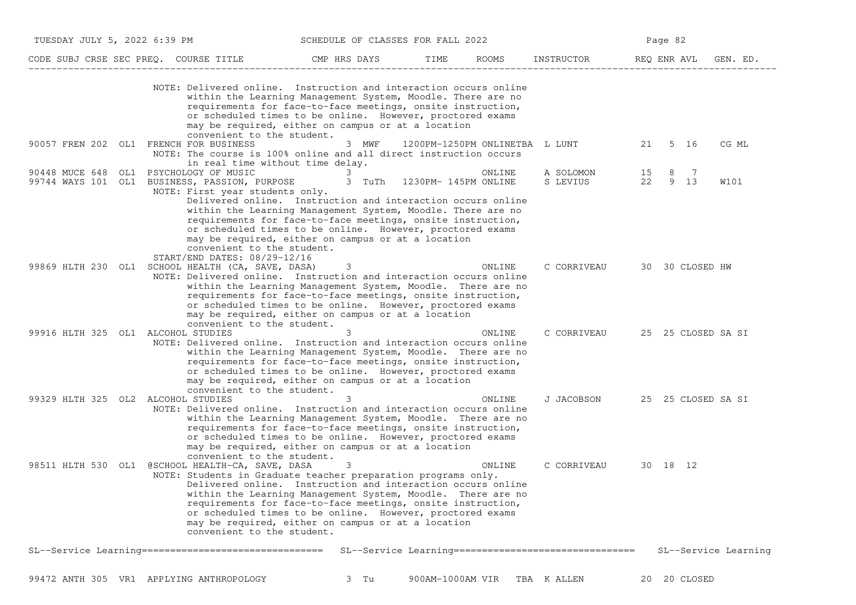| CODE SUBJ CRSE SEC PREQ. COURSE TITLE<br>CMP HRS DAYS<br>TIME<br>ROOMS<br>INSTRUCTOR<br>REQ ENR AVL<br>GEN. ED.<br>NOTE: Delivered online. Instruction and interaction occurs online<br>within the Learning Management System, Moodle. There are no<br>requirements for face-to-face meetings, onsite instruction,<br>or scheduled times to be online. However, proctored exams<br>may be required, either on campus or at a location<br>convenient to the student.<br>90057 FREN 202 OL1 FRENCH FOR BUSINESS<br>1200PM-1250PM ONLINETBA L LUNT<br>5 16<br>CG ML<br>3 MWF<br>21<br>NOTE: The course is 100% online and all direct instruction occurs<br>in real time without time delay.<br>PSYCHOLOGY OF MUSIC<br>90448 MUCE 648 OL1<br>A SOLOMON<br>15<br>8 7<br>3<br>ONLINE<br>22 9 13<br>99744 WAYS 101 OL1 BUSINESS, PASSION, PURPOSE 3 TuTh 1230PM-145PM ONLINE<br>S LEVIUS<br>W101<br>NOTE: First year students only.<br>Delivered online. Instruction and interaction occurs online<br>within the Learning Management System, Moodle. There are no<br>requirements for face-to-face meetings, onsite instruction,<br>or scheduled times to be online. However, proctored exams<br>may be required, either on campus or at a location<br>convenient to the student.<br>START/END DATES: 08/29-12/16<br>99869 HLTH 230 OL1 SCHOOL HEALTH (CA, SAVE, DASA)<br>3<br>ONLINE<br>C CORRIVEAU<br>30 30 CLOSED HW<br>NOTE: Delivered online. Instruction and interaction occurs online<br>within the Learning Management System, Moodle. There are no<br>requirements for face-to-face meetings, onsite instruction,<br>or scheduled times to be online. However, proctored exams<br>may be required, either on campus or at a location<br>convenient to the student.<br>99916 HLTH 325 OL1 ALCOHOL STUDIES<br>ONLINE<br>C CORRIVEAU<br>25 25 CLOSED SA SI<br>3<br>NOTE: Delivered online. Instruction and interaction occurs online<br>within the Learning Management System, Moodle. There are no<br>requirements for face-to-face meetings, onsite instruction,<br>or scheduled times to be online. However, proctored exams<br>may be required, either on campus or at a location<br>convenient to the student.<br>99329 HLTH 325 OL2 ALCOHOL STUDIES<br>3<br>ONLINE<br>J JACOBSON<br>25 25 CLOSED SA SI<br>NOTE: Delivered online. Instruction and interaction occurs online<br>within the Learning Management System, Moodle. There are no<br>requirements for face-to-face meetings, onsite instruction,<br>or scheduled times to be online. However, proctored exams<br>may be required, either on campus or at a location<br>convenient to the student.<br>98511 HLTH 530 OL1 @SCHOOL HEALTH-CA, SAVE, DASA<br>3<br>ONLINE<br>C CORRIVEAU<br>30 18 12<br>NOTE: Students in Graduate teacher preparation programs only.<br>Delivered online. Instruction and interaction occurs online<br>within the Learning Management System, Moodle. There are no<br>requirements for face-to-face meetings, onsite instruction,<br>or scheduled times to be online. However, proctored exams<br>may be required, either on campus or at a location<br>convenient to the student.<br>SL--Service Learning =================================<br>SL--Service Learning =================================<br>SL--Service Learning | TUESDAY JULY 5, 2022 6:39 PM | SCHEDULE OF CLASSES FOR FALL 2022 |  | Page 82 |  |  |  |  |
|--------------------------------------------------------------------------------------------------------------------------------------------------------------------------------------------------------------------------------------------------------------------------------------------------------------------------------------------------------------------------------------------------------------------------------------------------------------------------------------------------------------------------------------------------------------------------------------------------------------------------------------------------------------------------------------------------------------------------------------------------------------------------------------------------------------------------------------------------------------------------------------------------------------------------------------------------------------------------------------------------------------------------------------------------------------------------------------------------------------------------------------------------------------------------------------------------------------------------------------------------------------------------------------------------------------------------------------------------------------------------------------------------------------------------------------------------------------------------------------------------------------------------------------------------------------------------------------------------------------------------------------------------------------------------------------------------------------------------------------------------------------------------------------------------------------------------------------------------------------------------------------------------------------------------------------------------------------------------------------------------------------------------------------------------------------------------------------------------------------------------------------------------------------------------------------------------------------------------------------------------------------------------------------------------------------------------------------------------------------------------------------------------------------------------------------------------------------------------------------------------------------------------------------------------------------------------------------------------------------------------------------------------------------------------------------------------------------------------------------------------------------------------------------------------------------------------------------------------------------------------------------------------------------------------------------------------------------------------------------------------------------------------------------------------------------------------------------------------------------------------------------------------------------------------------------------------------------------------------------------------------------------------------------------------------------------------|------------------------------|-----------------------------------|--|---------|--|--|--|--|
|                                                                                                                                                                                                                                                                                                                                                                                                                                                                                                                                                                                                                                                                                                                                                                                                                                                                                                                                                                                                                                                                                                                                                                                                                                                                                                                                                                                                                                                                                                                                                                                                                                                                                                                                                                                                                                                                                                                                                                                                                                                                                                                                                                                                                                                                                                                                                                                                                                                                                                                                                                                                                                                                                                                                                                                                                                                                                                                                                                                                                                                                                                                                                                                                                                                                                                                          |                              |                                   |  |         |  |  |  |  |
|                                                                                                                                                                                                                                                                                                                                                                                                                                                                                                                                                                                                                                                                                                                                                                                                                                                                                                                                                                                                                                                                                                                                                                                                                                                                                                                                                                                                                                                                                                                                                                                                                                                                                                                                                                                                                                                                                                                                                                                                                                                                                                                                                                                                                                                                                                                                                                                                                                                                                                                                                                                                                                                                                                                                                                                                                                                                                                                                                                                                                                                                                                                                                                                                                                                                                                                          |                              |                                   |  |         |  |  |  |  |
|                                                                                                                                                                                                                                                                                                                                                                                                                                                                                                                                                                                                                                                                                                                                                                                                                                                                                                                                                                                                                                                                                                                                                                                                                                                                                                                                                                                                                                                                                                                                                                                                                                                                                                                                                                                                                                                                                                                                                                                                                                                                                                                                                                                                                                                                                                                                                                                                                                                                                                                                                                                                                                                                                                                                                                                                                                                                                                                                                                                                                                                                                                                                                                                                                                                                                                                          |                              |                                   |  |         |  |  |  |  |
|                                                                                                                                                                                                                                                                                                                                                                                                                                                                                                                                                                                                                                                                                                                                                                                                                                                                                                                                                                                                                                                                                                                                                                                                                                                                                                                                                                                                                                                                                                                                                                                                                                                                                                                                                                                                                                                                                                                                                                                                                                                                                                                                                                                                                                                                                                                                                                                                                                                                                                                                                                                                                                                                                                                                                                                                                                                                                                                                                                                                                                                                                                                                                                                                                                                                                                                          |                              |                                   |  |         |  |  |  |  |
|                                                                                                                                                                                                                                                                                                                                                                                                                                                                                                                                                                                                                                                                                                                                                                                                                                                                                                                                                                                                                                                                                                                                                                                                                                                                                                                                                                                                                                                                                                                                                                                                                                                                                                                                                                                                                                                                                                                                                                                                                                                                                                                                                                                                                                                                                                                                                                                                                                                                                                                                                                                                                                                                                                                                                                                                                                                                                                                                                                                                                                                                                                                                                                                                                                                                                                                          |                              |                                   |  |         |  |  |  |  |
|                                                                                                                                                                                                                                                                                                                                                                                                                                                                                                                                                                                                                                                                                                                                                                                                                                                                                                                                                                                                                                                                                                                                                                                                                                                                                                                                                                                                                                                                                                                                                                                                                                                                                                                                                                                                                                                                                                                                                                                                                                                                                                                                                                                                                                                                                                                                                                                                                                                                                                                                                                                                                                                                                                                                                                                                                                                                                                                                                                                                                                                                                                                                                                                                                                                                                                                          |                              |                                   |  |         |  |  |  |  |
|                                                                                                                                                                                                                                                                                                                                                                                                                                                                                                                                                                                                                                                                                                                                                                                                                                                                                                                                                                                                                                                                                                                                                                                                                                                                                                                                                                                                                                                                                                                                                                                                                                                                                                                                                                                                                                                                                                                                                                                                                                                                                                                                                                                                                                                                                                                                                                                                                                                                                                                                                                                                                                                                                                                                                                                                                                                                                                                                                                                                                                                                                                                                                                                                                                                                                                                          |                              |                                   |  |         |  |  |  |  |
|                                                                                                                                                                                                                                                                                                                                                                                                                                                                                                                                                                                                                                                                                                                                                                                                                                                                                                                                                                                                                                                                                                                                                                                                                                                                                                                                                                                                                                                                                                                                                                                                                                                                                                                                                                                                                                                                                                                                                                                                                                                                                                                                                                                                                                                                                                                                                                                                                                                                                                                                                                                                                                                                                                                                                                                                                                                                                                                                                                                                                                                                                                                                                                                                                                                                                                                          |                              |                                   |  |         |  |  |  |  |
|                                                                                                                                                                                                                                                                                                                                                                                                                                                                                                                                                                                                                                                                                                                                                                                                                                                                                                                                                                                                                                                                                                                                                                                                                                                                                                                                                                                                                                                                                                                                                                                                                                                                                                                                                                                                                                                                                                                                                                                                                                                                                                                                                                                                                                                                                                                                                                                                                                                                                                                                                                                                                                                                                                                                                                                                                                                                                                                                                                                                                                                                                                                                                                                                                                                                                                                          |                              |                                   |  |         |  |  |  |  |
|                                                                                                                                                                                                                                                                                                                                                                                                                                                                                                                                                                                                                                                                                                                                                                                                                                                                                                                                                                                                                                                                                                                                                                                                                                                                                                                                                                                                                                                                                                                                                                                                                                                                                                                                                                                                                                                                                                                                                                                                                                                                                                                                                                                                                                                                                                                                                                                                                                                                                                                                                                                                                                                                                                                                                                                                                                                                                                                                                                                                                                                                                                                                                                                                                                                                                                                          |                              |                                   |  |         |  |  |  |  |

99472 ANTH 305 VR1 APPLYING ANTHROPOLOGY 3 Tu 900AM−1000AM VIR TBA K ALLEN 20 20 CLOSED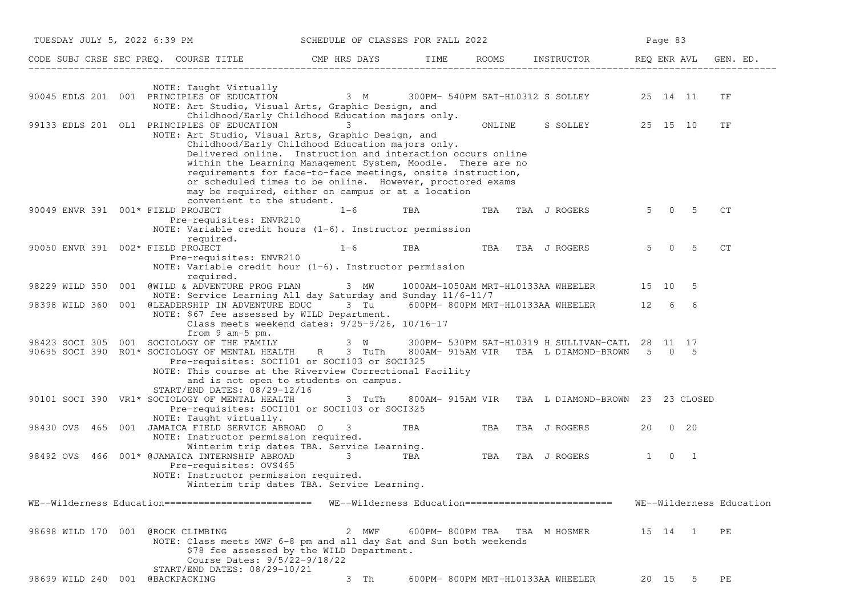| TUESDAY JULY 5, 2022 6:39 PM      |                                                                                                                                                                                                                                                                                                                                        | SCHEDULE OF CLASSES FOR FALL 2022 |            |        |                                                                                                   | Page 83     |                                  |                          |
|-----------------------------------|----------------------------------------------------------------------------------------------------------------------------------------------------------------------------------------------------------------------------------------------------------------------------------------------------------------------------------------|-----------------------------------|------------|--------|---------------------------------------------------------------------------------------------------|-------------|----------------------------------|--------------------------|
|                                   | CODE SUBJ CRSE SEC PREQ. COURSE TITLE TO THE ROOMS INSTRUCTOR THE ROOMS ENGLAVI GEN. ED.                                                                                                                                                                                                                                               |                                   |            |        |                                                                                                   |             |                                  |                          |
|                                   | NOTE: Taught Virtually<br>90045 EDLS 201 001 PRINCIPLES OF EDUCATION 3 M 300PM-540PM SAT-HL0312 S SOLLEY 25 14 11<br>NOTE: Art Studio, Visual Arts, Graphic Design, and                                                                                                                                                                |                                   |            |        |                                                                                                   |             |                                  | ΤF                       |
|                                   | Childhood/Early Childhood Education majors only.<br>99133 EDLS 201 OL1 PRINCIPLES OF EDUCATION<br>NOTE: Art Studio, Visual Arts, Graphic Design, and<br>Childhood/Early Childhood Education majors only.<br>Delivered online. Instruction and interaction occurs online<br>within the Learning Management System, Moodle. There are no |                                   |            | ONLINE | S SOLLEY 25 15 10                                                                                 |             |                                  | TF                       |
|                                   | requirements for face-to-face meetings, onsite instruction,<br>or scheduled times to be online. However, proctored exams<br>may be required, either on campus or at a location<br>convenient to the student.                                                                                                                           |                                   |            |        |                                                                                                   |             |                                  |                          |
| 90049 ENVR 391 001* FIELD PROJECT | Pre-requisites: ENVR210<br>NOTE: Variable credit hours $(1-6)$ . Instructor permission                                                                                                                                                                                                                                                 | $1 - 6$                           | TBA        |        | TBA TBA J ROGERS                                                                                  | 5 0         | -5                               | CT                       |
| 90050 ENVR 391 002* FIELD PROJECT | required.<br>Pre-requisites: ENVR210<br>NOTE: Variable credit hour $(1-6)$ . Instructor permission                                                                                                                                                                                                                                     | $1 - 6$                           | <b>TBA</b> |        | TBA TBA J ROGERS                                                                                  | $5^{\circ}$ | 5<br>$\overline{0}$              | CT                       |
|                                   | required.<br>98229 WILD 350 001 @WILD & ADVENTURE PROG PLAN 3 MW                                                                                                                                                                                                                                                                       |                                   |            |        | 1000AM-1050AM MRT-HL0133AA WHEELER 15 10 5                                                        |             |                                  |                          |
|                                   | NOTE: Service Learning All day Saturday and Sunday 11/6-11/7<br>98398 WILD 360 001 @LEADERSHIP IN ADVENTURE EDUC 3 Tu 600PM-800PM MRT-HL0133AA WHEELER 12 6<br>NOTE: \$67 fee assessed by WILD Department.<br>Class meets weekend dates: 9/25-9/26, 10/16-17                                                                           |                                   |            |        |                                                                                                   |             | 6                                |                          |
|                                   | from $9$ am- $5$ pm.<br>98423 SOCI 305 001 SOCIOLOGY OF THE FAMILY<br>90695 SOCI 390 R01* SOCIOLOGY OF MENTAL HEALTH R 3 TuTh<br>Pre-requisites: SOCI101 or SOCI103 or SOCI325<br>NOTE: This course at the Riverview Correctional Facility<br>and is not open to students on campus.                                                   |                                   |            |        | 3 W 300PM- 530PM SAT-HL0319 H SULLIVAN-CATL 28 11 17<br>800AM-915AM VIR TBA L DIAMOND-BROWN 5 0 5 |             |                                  |                          |
|                                   | START/END DATES: 08/29-12/16<br>90101 SOCI 390 VR1* SOCIOLOGY OF MENTAL HEALTH<br>Pre-requisites: SOCI101 or SOCI103 or SOCI325<br>NOTE: Taught virtually.                                                                                                                                                                             | 3 TuTh                            |            |        | 800AM- 915AM VIR TBA L DIAMOND-BROWN 23 23 CLOSED                                                 |             |                                  |                          |
|                                   | 98430 OVS 465 001 JAMAICA FIELD SERVICE ABROAD O<br>NOTE: Instructor permission required.<br>Winterim trip dates TBA. Service Learning.                                                                                                                                                                                                | $3 \sim$                          | <b>TBA</b> |        | TBA TBA J ROGERS                                                                                  |             | 20 0 20                          |                          |
| 98492 OVS                         | 466 001* @JAMAICA INTERNSHIP ABROAD<br>Pre-requisites: OVS465<br>NOTE: Instructor permission required.<br>Winterim trip dates TBA. Service Learning.                                                                                                                                                                                   | $\mathcal{S}$<br><b>TBA</b>       |            |        | TBA TBA J ROGERS                                                                                  | 1           | $\overline{0}$<br>$\overline{1}$ |                          |
|                                   | WE--Wilderness Education========================= WE--Wilderness Education==========================                                                                                                                                                                                                                                   |                                   |            |        |                                                                                                   |             |                                  | WE--Wilderness Education |
| 98698 WILD 170 001 @ROCK CLIMBING | NOTE: Class meets MWF 6-8 pm and all day Sat and Sun both weekends<br>\$78 fee assessed by the WILD Department.<br>Course Dates: 9/5/22-9/18/22                                                                                                                                                                                        | 2 MWF                             |            |        | 600PM-800PM TBA TBA M HOSMER                                                                      |             | 15 14 1                          | РE                       |
| 98699 WILD 240 001 @BACKPACKING   | START/END DATES: 08/29-10/21                                                                                                                                                                                                                                                                                                           | 3 Th                              |            |        | 600PM- 800PM MRT-HL0133AA WHEELER                                                                 |             | 20 15 5 PE                       |                          |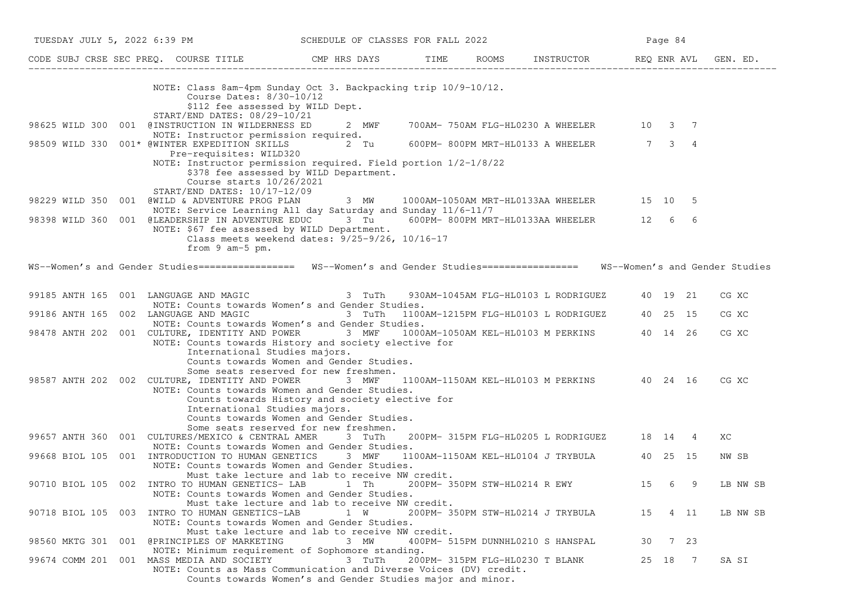| TUESDAY JULY 5, 2022 6:39 PM                                                                                                                                                                                                                                                                                                | SCHEDULE OF CLASSES FOR FALL 2022                                                                                                                                                                                              |                                 |                                               | Page 84 |          |
|-----------------------------------------------------------------------------------------------------------------------------------------------------------------------------------------------------------------------------------------------------------------------------------------------------------------------------|--------------------------------------------------------------------------------------------------------------------------------------------------------------------------------------------------------------------------------|---------------------------------|-----------------------------------------------|---------|----------|
|                                                                                                                                                                                                                                                                                                                             |                                                                                                                                                                                                                                |                                 |                                               |         |          |
| NOTE: Class 8am-4pm Sunday Oct 3. Backpacking trip 10/9-10/12.<br>Course Dates: 8/30-10/12<br>\$112 fee assessed by WILD Dept.<br>START/END DATES: 08/29-10/21                                                                                                                                                              |                                                                                                                                                                                                                                |                                 |                                               |         |          |
| 98625 WILD 300 001 @INSTRUCTION IN WILDERNESS ED 2 MWF<br>NOTE: Instructor permission required.                                                                                                                                                                                                                             |                                                                                                                                                                                                                                |                                 | 700AM- 750AM FLG-HL0230 A WHEELER 10 3 7      |         |          |
| 98509 WILD 330 001* @WINTER EXPEDITION SKILLS 2 Tu 600PM-800PM MRT-HL0133 A WHEELER 7 3 4                                                                                                                                                                                                                                   |                                                                                                                                                                                                                                |                                 |                                               |         |          |
| Pre-requisites: WILD320<br>NOTE: Instructor permission required. Field portion 1/2-1/8/22<br>\$378 fee assessed by WILD Department.<br>Course starts 10/26/2021<br>START/END DATES: 10/17-12/09                                                                                                                             |                                                                                                                                                                                                                                |                                 |                                               |         |          |
| 98229 WILD 350 001 @WILD & ADVENTURE PROG PLAN 3 MW 1000AM-1050AM MRT-HL0133AA WHEELER 15 10 5<br>NOTE: Service Learning All day Saturday and Sunday 11/6-11/7                                                                                                                                                              |                                                                                                                                                                                                                                |                                 |                                               |         |          |
| 98398 WILD 360 001 @LEADERSHIP IN ADVENTURE EDUC 3 Tu 600PM-800PM MRT-HL0133AA WHEELER 12 6 6<br>NOTE: \$67 fee assessed by WILD Department.<br>Class meets weekend dates: 9/25-9/26, 10/16-17<br>from 9 am-5 pm.                                                                                                           |                                                                                                                                                                                                                                |                                 |                                               |         |          |
| WS--Women's and Gender Studies================= WS--Women's and Gender Studies================= WS--Women's and Gender Studies                                                                                                                                                                                              |                                                                                                                                                                                                                                |                                 |                                               |         |          |
| 99185 ANTH 165 001 LANGUAGE AND MAGIC<br>NOTE: Counts towards Women's and Gender Studies.                                                                                                                                                                                                                                   | 3 TuTh                                                                                                                                                                                                                         |                                 | 930AM-1045AM FLG-HL0103 L RODRIGUEZ 40 19 21  |         | CG XC    |
| 99186 ANTH 165 002 LANGUAGE AND MAGIC<br>NOTE: Counts towards Women's and Gender Studies.                                                                                                                                                                                                                                   | and the contract of the contract of the contract of the contract of the contract of the contract of the contract of the contract of the contract of the contract of the contract of the contract of the contract of the contra |                                 | 1100AM-1215PM FLG-HL0103 L RODRIGUEZ 40 25 15 |         | CG XC    |
| 98478 ANTH 202 001 CULTURE, IDENTITY AND POWER 3 MWF 1000AM-1050AM KEL-HL0103 M PERKINS 40 14 26<br>NOTE: Counts towards History and society elective for<br>International Studies majors.                                                                                                                                  |                                                                                                                                                                                                                                |                                 |                                               |         | CG XC    |
| Counts towards Women and Gender Studies.<br>Some seats reserved for new freshmen.<br>98587 ANTH 202 002 CULTURE, IDENTITY AND POWER 3 MWF<br>NOTE: Counts towards Women and Gender Studies.<br>Counts towards History and society elective for<br>International Studies majors.<br>Counts towards Women and Gender Studies. |                                                                                                                                                                                                                                |                                 | 1100AM-1150AM KEL-HL0103 M PERKINS 40 24 16   |         | CG XC    |
| Some seats reserved for new freshmen.<br>99657 ANTH 360 001 CULTURES/MEXICO & CENTRAL AMER 3 TuTh                                                                                                                                                                                                                           |                                                                                                                                                                                                                                |                                 | 200PM- 315PM FLG-HL0205 L RODRIGUEZ 18 14 4   |         | XC       |
| NOTE: Counts towards Women and Gender Studies.<br>99668 BIOL 105 001 INTRODUCTION TO HUMAN GENETICS 3 MWF<br>NOTE: Counts towards Women and Gender Studies.                                                                                                                                                                 |                                                                                                                                                                                                                                |                                 | 1100AM-1150AM KEL-HL0104 J TRYBULA 40 25 15   |         | NW SB    |
| Must take lecture and lab to receive NW credit.<br>90710 BIOL 105 002 INTRO TO HUMAN GENETICS-LAB 1 Th 200PM-350PM STW-HL0214 R EWY 15 6 9 LB NW SB<br>NOTE: Counts towards Women and Gender Studies.                                                                                                                       |                                                                                                                                                                                                                                |                                 |                                               |         |          |
| Must take lecture and lab to receive NW credit.<br>90718 BIOL 105 003 INTRO TO HUMAN GENETICS-LAB<br>NOTE: Counts towards Women and Gender Studies.                                                                                                                                                                         | 1 W                                                                                                                                                                                                                            |                                 | 200PM-350PM STW-HL0214 J TRYBULA 15 4 11      |         | LB NW SB |
| Must take lecture and lab to receive NW credit.<br>98560 MKTG 301 001 @PRINCIPLES OF MARKETING                                                                                                                                                                                                                              | 3 MW                                                                                                                                                                                                                           |                                 | 400PM- 515PM DUNNHL0210 S HANSPAL             | 30 7 23 |          |
| NOTE: Minimum requirement of Sophomore standing.<br>99674 COMM 201 001 MASS MEDIA AND SOCIETY<br>NOTE: Counts as Mass Communication and Diverse Voices (DV) credit.<br>Counts towards Women's and Gender Studies major and minor.                                                                                           | 3 TuTh                                                                                                                                                                                                                         | 200PM- 315PM FLG-HL0230 T BLANK |                                               | 25 18 7 | SA SI    |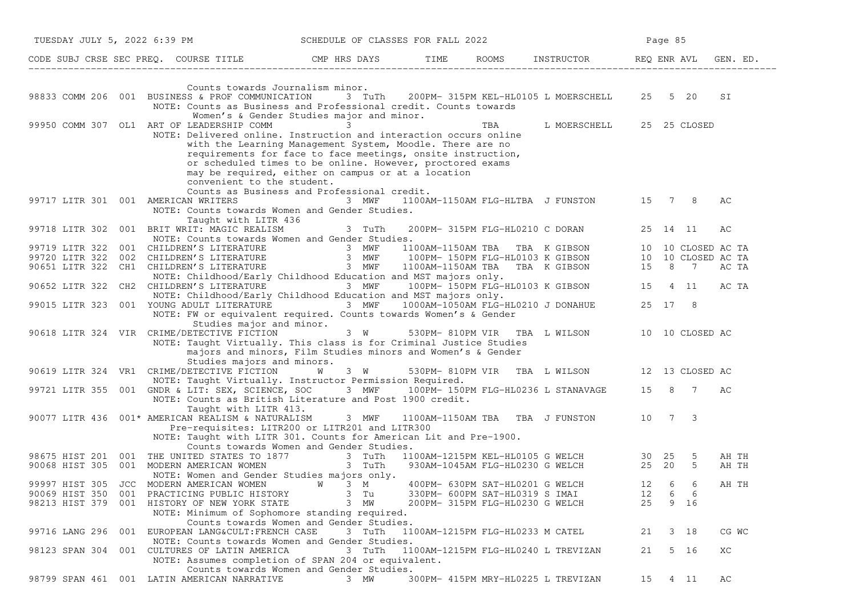|                                            |  | TUESDAY JULY 5, 2022 6:39 PM                                                                                                                                                                                                                                                                                                                   | SCHEDULE OF CLASSES FOR FALL 2022 |                                     |  |                                                                 |      | Page 85      |   |       |  |
|--------------------------------------------|--|------------------------------------------------------------------------------------------------------------------------------------------------------------------------------------------------------------------------------------------------------------------------------------------------------------------------------------------------|-----------------------------------|-------------------------------------|--|-----------------------------------------------------------------|------|--------------|---|-------|--|
|                                            |  | CODE SUBJ CRSE SEC PREQ. COURSE TITLE THE ROOMS INSTRUCTOR REQ ENR AVL GEN. ED.                                                                                                                                                                                                                                                                |                                   |                                     |  |                                                                 |      |              |   |       |  |
|                                            |  | Counts towards Journalism minor.<br>98833 COMM 206 001 BUSINESS & PROF COMMUNICATION 3 TuTh 200PM-315PM KEL-HL0105 L MOERSCHELL 25 5 20                                                                                                                                                                                                        |                                   |                                     |  |                                                                 |      |              |   | SI    |  |
|                                            |  | NOTE: Counts as Business and Professional credit. Counts towards<br>Women's & Gender Studies major and minor.                                                                                                                                                                                                                                  |                                   |                                     |  |                                                                 |      |              |   |       |  |
|                                            |  | 99950 COMM 307 OL1 ART OF LEADERSHIP COMM 3                                                                                                                                                                                                                                                                                                    |                                   |                                     |  | TBA L MOERSCHELL                                                |      | 25 25 CLOSED |   |       |  |
|                                            |  | NOTE: Delivered online. Instruction and interaction occurs online<br>with the Learning Management System, Moodle. There are no<br>requirements for face to face meetings, onsite instruction,<br>or scheduled times to be online. However, proctored exams<br>may be required, either on campus or at a location<br>convenient to the student. |                                   |                                     |  |                                                                 |      |              |   |       |  |
| 99717 LITR 301 001 AMERICAN WRITERS        |  | Counts as Business and Professional credit.<br>NOTE: Counts towards Women and Gender Studies.                                                                                                                                                                                                                                                  | 3 MWF                             |                                     |  | 1100AM-1150AM FLG-HLTBA J FUNSTON 15 7 8                        |      |              |   | AС    |  |
|                                            |  | Taught with LITR 436<br>99718 LITR 302 001 BRIT WRIT: MAGIC REALISM<br>NOTE: Counts towards Women and Gender Studies.                                                                                                                                                                                                                          | 3 TuTh                            |                                     |  | 200PM- 315PM FLG-HL0210 C DORAN                                 |      | 25 14 11     |   | AC    |  |
|                                            |  |                                                                                                                                                                                                                                                                                                                                                |                                   |                                     |  |                                                                 |      |              |   |       |  |
|                                            |  |                                                                                                                                                                                                                                                                                                                                                |                                   |                                     |  |                                                                 |      |              |   |       |  |
|                                            |  | 99719 LITR 322 001 CHILDREN'S LITERATURE 3 MWF 1100AM-1150AM TBA TBA K GIBSON 10 10 CLOSED AC TA<br>100PM-150PM FLG-HL0103 K GIBSON 10 10 CLOSED AC TA 3 MWF 100PM-150PM FLG-HL0103 K GIBSON 10 10 CLOSED AC TA 9<br>10651 LITR 322                                                                                                            |                                   |                                     |  |                                                                 |      |              |   |       |  |
| 90652 LITR 322 CH2 CHILDREN'S LITERATURE   |  | NOTE: Childhood/Early Childhood Education and MST majors only.<br>NOTE: Childhood/Early Childhood Education and MST majors only.                                                                                                                                                                                                               | 3 MWF                             |                                     |  | and MST majors only.<br>100PM-150PM FLG-HL0103 K GIBSON 15 4 11 |      |              |   | AC TA |  |
|                                            |  | 99015 LITR 323 001 YOUNG ADULT LITERATURE 3 MWF                                                                                                                                                                                                                                                                                                |                                   |                                     |  | 1000AM-1050AM FLG-HL0210 J DONAHUE                              |      | 25 17 8      |   |       |  |
| 90618 LITR 324 VIR CRIME/DETECTIVE FICTION |  | NOTE: FW or equivalent required. Counts towards Women's & Gender<br>Studies major and minor.<br>NOTE: Taught Virtually. This class is for Criminal Justice Studies<br>majors and minors, Film Studies minors and Women's & Gender                                                                                                              | $3 \tW$                           |                                     |  | 530PM-810PM VIR TBA L WILSON 10 10 CLOSED AC                    |      |              |   |       |  |
|                                            |  | Studies majors and minors.                                                                                                                                                                                                                                                                                                                     |                                   |                                     |  |                                                                 |      |              |   |       |  |
| 90619 LITR 324 VR1 CRIME/DETECTIVE FICTION |  |                                                                                                                                                                                                                                                                                                                                                | <b>W</b><br>3 W                   |                                     |  | 530PM-810PM VIR TBA L WILSON 12 13 CLOSED AC                    |      |              |   |       |  |
|                                            |  | NOTE: Taught Virtually. Instructor Permission Required.<br>99721 LITR 355 001 GNDR & LIT: SEX, SCIENCE, SOC 3 MWF 100PM-150PM FLG-HL0236 L STANAVAGE 15 8 7                                                                                                                                                                                    |                                   |                                     |  |                                                                 |      |              |   | AC    |  |
|                                            |  | NOTE: Counts as British Literature and Post 1900 credit.<br>Taught with LITR 413.                                                                                                                                                                                                                                                              |                                   |                                     |  |                                                                 |      |              |   |       |  |
|                                            |  | 90077 LITR 436 001* AMERICAN REALISM & NATURALISM 3 MWF<br>Pre-requisites: LITR200 or LITR201 and LITR300                                                                                                                                                                                                                                      |                                   |                                     |  | 1100AM-1150AM TBA TBA J FUNSTON                                 |      | 10 7 3       |   |       |  |
|                                            |  | NOTE: Taught with LITR 301. Counts for American Lit and Pre-1900.                                                                                                                                                                                                                                                                              |                                   |                                     |  |                                                                 |      |              |   |       |  |
|                                            |  | Counts towards Women and Gender Studies.                                                                                                                                                                                                                                                                                                       |                                   |                                     |  |                                                                 |      |              |   | AH TH |  |
|                                            |  | 98675 HIST 201 001 THE UNITED STATES TO 1877 3 TuTh 1100AM-1215PM KEL-HL0105 G WELCH 30 25 5<br>90068 HIST 305 001 MODERN AMERICAN WOMEN 3 TuTh 930AM-1045AM FLG-HL0230 G WELCH 25 20 5<br>NOTE: Women and Gender Studies majors only.                                                                                                         |                                   |                                     |  |                                                                 |      |              |   | AH TH |  |
| 99997 HIST 305 JCC MODERN AMERICAN WOMEN   |  |                                                                                                                                                                                                                                                                                                                                                | <b>W</b> 3 M                      | 400PM- 630PM SAT-HL0201 G WELCH     |  |                                                                 | 12 6 |              | 6 | AH TH |  |
|                                            |  | 90069 HIST 350 001 PRACTICING PUBLIC HISTORY                                                                                                                                                                                                                                                                                                   | 3 Tu                              | 330PM- 600PM SAT-HL0319 S IMAI      |  |                                                                 | 12   | 6            | 6 |       |  |
|                                            |  | 98213 HIST 379 001 HISTORY OF NEW YORK STATE<br>NOTE: Minimum of Sophomore standing required.<br>Counts towards Women and Gender Studies.                                                                                                                                                                                                      | 3 MW                              | 200PM- 315PM FLG-HL0230 G WELCH     |  |                                                                 | 25   | 9 16         |   |       |  |
| 99716 LANG 296 001                         |  | EUROPEAN LANG&CULT: FRENCH CASE                                                                                                                                                                                                                                                                                                                | 3 TuTh                            | 1100AM-1215PM FLG-HL0233 M CATEL    |  |                                                                 | 21   | 3 18         |   | CG WC |  |
|                                            |  | NOTE: Counts towards Women and Gender Studies.<br>98123 SPAN 304 001 CULTURES OF LATIN AMERICA<br>NOTE: Assumes completion of SPAN 204 or equivalent.                                                                                                                                                                                          | 3 TuTh                            | 1100AM-1215PM FLG-HL0240 L TREVIZAN |  |                                                                 | 21   | 5 16         |   | XC    |  |
|                                            |  | Counts towards Women and Gender Studies.                                                                                                                                                                                                                                                                                                       |                                   |                                     |  |                                                                 |      |              |   |       |  |
|                                            |  | 98799 SPAN 461 001 LATIN AMERICAN NARRATIVE                                                                                                                                                                                                                                                                                                    | 3 MW                              | 300PM- 415PM MRY-HL0225 L TREVIZAN  |  |                                                                 | 15   | 4 11         |   | AС    |  |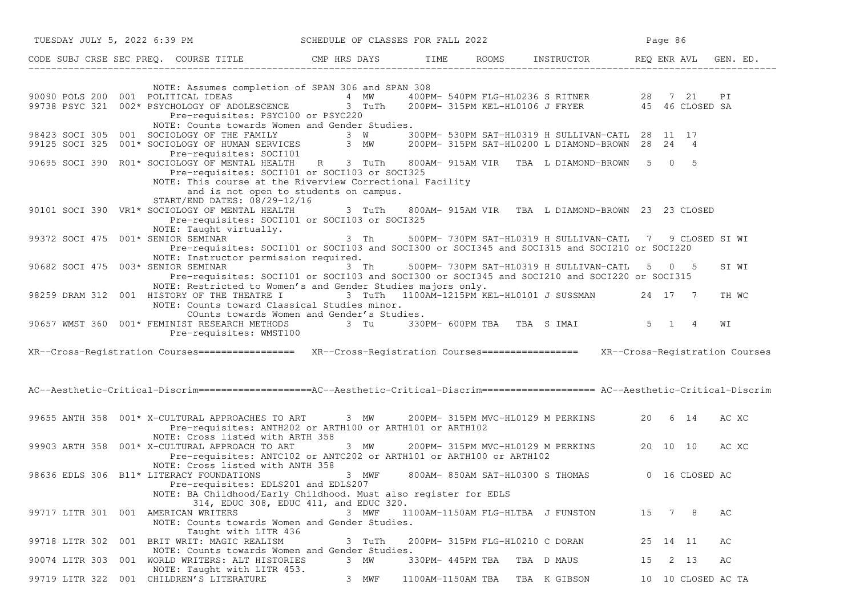| TUESDAY JULY 5, 2022 6:39 PM SCHEDULE OF CLASSES FOR FALL 2022                                                                                                                                                                                                              |                                                 |                   |                                 |                                                              | Page 86  |                    |       |
|-----------------------------------------------------------------------------------------------------------------------------------------------------------------------------------------------------------------------------------------------------------------------------|-------------------------------------------------|-------------------|---------------------------------|--------------------------------------------------------------|----------|--------------------|-------|
|                                                                                                                                                                                                                                                                             |                                                 |                   |                                 |                                                              |          |                    |       |
| NOTE: Assumes completion of SPAN 306 and SPAN 308<br>90090 POLS 200 001 POLITICAL IDEAS 1999 10 100000 4 2000 4 200000 100000 90000 540000 100000 90000 90000 1000<br>199738 PSYC 321 002* PSYCHOLOGY OF ADOLESCENCE 3 TuTh 200000 315PM KEL-HL0106 J FRYER 95 46 CLOSED SA |                                                 |                   |                                 |                                                              |          |                    |       |
| Pre-requisites: PSYC100 or PSYC220<br>NOTE: Counts towards Women and Gender Studies.                                                                                                                                                                                        |                                                 |                   |                                 |                                                              |          |                    |       |
| 98423 SOCI 305 001 SOCIOLOGY OF THE FAMILY 3 W 300PM- 530PM SAT-HL0319 H SULLIVAN-CATL 28 11 17<br>99125 SOCI 325 001* SOCIOLOGY OF HUMAN SERVICES 3 MW 200PM- 315PM SAT-HL0200 L DIAMOND-BROWN 28 24 4<br>Pre-requisites: SOCI101                                          |                                                 |                   |                                 |                                                              |          |                    |       |
| 90695 SOCI 390 R01* SOCIOLOGY OF MENTAL HEALTH R 3 TuTh<br>Pre-requisites: SOCI101 or SOCI103 or SOCI325<br>NOTE: This course at the Riverview Correctional Facility<br>and is not open to students on campus.<br>START/END DATES: 08/29-12/16                              |                                                 |                   |                                 | 800AM-915AM VIR TBA L DIAMOND-BROWN 5 0 5                    |          |                    |       |
| 90101 SOCI 390 VR1* SOCIOLOGY OF MENTAL HEALTH<br>Pre-requisites: SOCI101 or SOCI103 or SOCI325<br>NOTE: Taught virtually.                                                                                                                                                  | 3 TuTh                                          |                   |                                 | 800AM- 915AM VIR TBA L DIAMOND-BROWN 23 23 CLOSED            |          |                    |       |
| 99372 SOCI 475 001* SENIOR SEMINAR<br>Pre-requisites: SOCI101 or SOCI103 and SOCI300 or SOCI345 and SOCI315 and SOCI210 or SOCI220<br>NOTE: Instructor permission required.                                                                                                 |                                                 |                   |                                 | 3 Th 500PM-730PM SAT-HL0319 H SULLIVAN-CATL 7 9 CLOSED SI WI |          |                    |       |
| 90682 SOCI 475 003* SENIOR SEMINAR<br>Pre-requisites: SOCI101 or SOCI103 and SOCI300 or SOCI345 and SOCI210 and SOCI220 or SOCI315                                                                                                                                          | 3 Th                                            |                   |                                 | 500PM-730PM SAT-HL0319 H SULLIVAN-CATL 5 0 5                 |          |                    | SI WI |
| NOTE: Restricted to Women's and Gender Studies majors only.<br>98259 DRAM 312 001 HISTORY OF THE THEATRE I<br>NOTE: Counts toward Classical Studies minor.                                                                                                                  |                                                 |                   |                                 | 3 TuTh 1100AM-1215PM KEL-HL0101 J SUSSMAN 24 17 7            |          |                    | TH WC |
| COunts towards Women and Gender's Studies.<br>90657 WMST 360 001* FEMINIST RESEARCH METHODS 3 Tu 330PM-600PM TBA TBA S IMAI 5 1 4<br>Pre-requisites: WMST100                                                                                                                |                                                 |                   |                                 |                                                              |          |                    | WΙ    |
| XR--Cross-Registration Courses================ XR--Cross-Registration Courses=============== XR--Cross-Registration Courses                                                                                                                                                 |                                                 |                   |                                 |                                                              |          |                    |       |
| AC--Aesthetic-Critical-Discrim==================AC--Aesthetic-Critical-Discrim=================== AC--Aesthetic-Critical-Discrim                                                                                                                                            |                                                 |                   |                                 |                                                              |          |                    |       |
| 99655 ANTH 358 001* X-CULTURAL APPROACHES TO ART 3 MW 200PM-315PM MVC-HL0129 M PERKINS 20 6 14<br>Pre-requisites: ANTH202 or ARTH100 or ARTH101 or ARTH102<br>NOTE: Cross listed with ARTH 358                                                                              |                                                 |                   |                                 |                                                              |          |                    | AC XC |
| 99903 ARTH 358 001* X-CULTURAL APPROACH TO ART<br>Pre-requisites: ANTC102 or ANTC202 or ARTH101 or ARTH100 or ARTH102<br>NOTE: Cross listed with ANTH 358                                                                                                                   |                                                 |                   |                                 | 3 MW 200PM-315PM MVC-HL0129 M PERKINS 20 10 10               |          |                    | AC XC |
| 98636 EDLS 306 B11* LITERACY FOUNDATIONS<br>Pre-requisites: EDLS201 and EDLS207<br>NOTE: BA Childhood/Early Childhood. Must also register for EDLS                                                                                                                          | 3 MWF<br>314, EDUC 308, EDUC 411, and EDUC 320. |                   |                                 | 800AM-850AM SAT-HL0300 S THOMAS 0 16 CLOSED AC               |          |                    |       |
| 99717 LITR 301 001 AMERICAN WRITERS<br>NOTE: Counts towards Women and Gender Studies.<br>Taught with LITR 436                                                                                                                                                               | 3 MWF                                           |                   |                                 | 1100AM-1150AM FLG-HLTBA J FUNSTON                            | 15       | 7 8                | AС    |
| 99718 LITR 302 001 BRIT WRIT: MAGIC REALISM<br>NOTE: Counts towards Women and Gender Studies.                                                                                                                                                                               | 3 TuTh                                          |                   | 200PM- 315PM FLG-HL0210 C DORAN |                                                              | 25 14 11 |                    | AС    |
| 90074 LITR 303 001 WORLD WRITERS: ALT HISTORIES<br>NOTE: Taught with LITR 453.                                                                                                                                                                                              | 3 MW                                            | 330PM- 445PM TBA  |                                 | TBA D MAUS                                                   | 15       | 2 13               | АC    |
| 99719 LITR 322 001 CHILDREN'S LITERATURE                                                                                                                                                                                                                                    | 3 MWF                                           | 1100AM-1150AM TBA |                                 | TBA K GIBSON                                                 |          | 10 10 CLOSED AC TA |       |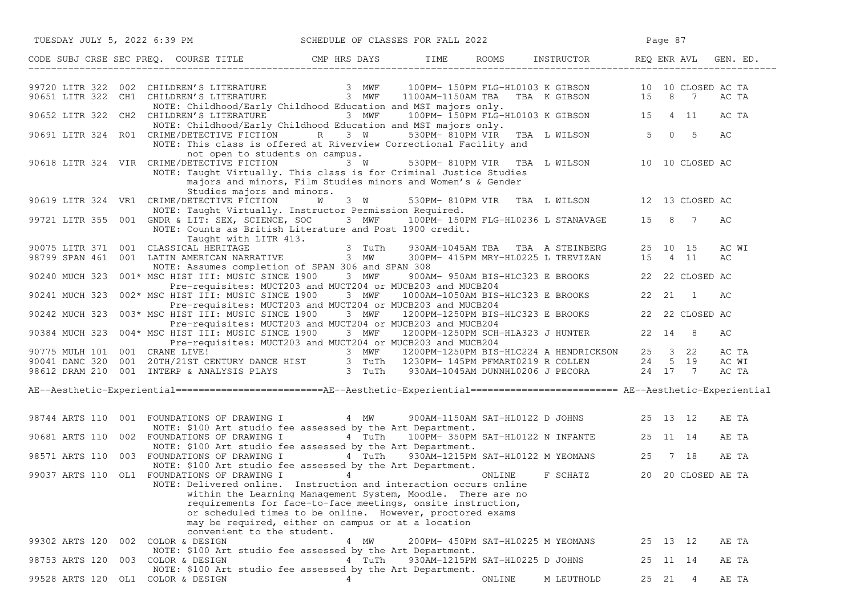|                |     |                                             |                                                                                                |   |        | TUESDAY JULY 5, 2022 6:39 PM SCHEDULE OF CLASSES FOR FALL 2022                                                                                                                                                                                                                                                                        |                                 |                                                                                                                                                                                                                                     |       | Page 87 |                     |                         |       |
|----------------|-----|---------------------------------------------|------------------------------------------------------------------------------------------------|---|--------|---------------------------------------------------------------------------------------------------------------------------------------------------------------------------------------------------------------------------------------------------------------------------------------------------------------------------------------|---------------------------------|-------------------------------------------------------------------------------------------------------------------------------------------------------------------------------------------------------------------------------------|-------|---------|---------------------|-------------------------|-------|
|                |     |                                             |                                                                                                |   |        | CODE SUBJ CRSE SEC PREQ. COURSE TITLE THE CMP HRS DAYS TIME                                                                                                                                                                                                                                                                           |                                 | ROOMS INSTRUCTOR REQ ENR AVL GEN. ED.                                                                                                                                                                                               |       |         |                     |                         |       |
|                |     |                                             |                                                                                                |   |        |                                                                                                                                                                                                                                                                                                                                       |                                 | 99720 LITR 322 002 CHILDREN'S LITERATURE 3 MWF 100PM-150PM FLG-HL0103 K GIBSON 10 10 CLOSED AC TA<br>90651 LITR 322 CH1 CHILDREN'S LITERATURE 3 MWF 1100AM-1150AM TBA TBA K GIBSON 15 8 7 AC TA                                     |       |         |                     |                         |       |
|                |     |                                             |                                                                                                |   |        |                                                                                                                                                                                                                                                                                                                                       |                                 |                                                                                                                                                                                                                                     |       |         |                     |                         |       |
|                |     |                                             | 90652 LITR 322 CH2 CHILDREN'S LITERATURE 3 MWF                                                 |   |        | NOTE: Childhood/Early Childhood Education and MST majors only.<br>NOTE: Childhood/Early Childhood Education and MST majors only.                                                                                                                                                                                                      |                                 | 100PM-150PM FLG-HL0103 K GIBSON 15 4 11                                                                                                                                                                                             |       |         |                     | AC TA                   |       |
|                |     |                                             |                                                                                                |   |        | NOTE: This class is offered at Riverview Correctional Facility and                                                                                                                                                                                                                                                                    |                                 | 90691 LITR 324 R01 CRIME/DETECTIVE FICTION R 3 W 530PM-810PM VIR TBA LWILSON 5 0 5                                                                                                                                                  |       |         |                     | АC                      |       |
|                |     | 90618 LITR 324 VIR CRIME/DETECTIVE FICTION  | not open to students on campus.                                                                |   | 3 W    | NOTE: Taught Virtually. This class is for Criminal Justice Studies<br>majors and minors, Film Studies minors and Women's & Gender                                                                                                                                                                                                     |                                 | 530PM-810PM VIR TBA L WILSON 10 10 CLOSED AC                                                                                                                                                                                        |       |         |                     |                         |       |
|                |     | 90619 LITR 324 VR1 CRIME/DETECTIVE FICTION  | Studies majors and minors.                                                                     | W | 3 W    | NOTE: Taught Virtually. Instructor Permission Required.                                                                                                                                                                                                                                                                               |                                 | 530PM-810PM VIR TBA L WILSON 12 13 CLOSED AC                                                                                                                                                                                        |       |         |                     |                         |       |
|                |     |                                             |                                                                                                |   |        | NOTE: Counts as British Literature and Post 1900 credit.                                                                                                                                                                                                                                                                              |                                 | 99721 LITR 355 001 GNDR & LIT: SEX, SCIENCE, SOC 3 MWF 100PM-150PM FLG-HL0236 L STANAVAGE 15 8                                                                                                                                      |       |         | $\overline{7}$      | АC                      |       |
|                |     | 90075 LITR 371 001 CLASSICAL HERITAGE       | Taught with LITR 413.<br>98799 SPAN 461 001 LATIN AMERICAN NARRATIVE 3 MW                      |   | 3 TuTh |                                                                                                                                                                                                                                                                                                                                       |                                 | 930AM-1045AM TBA TBA A STEINBERG<br>300PM- 415PM MRY-HL0225 L TREVIZAN                                                                                                                                                              |       |         | 25 10 15<br>15 4 11 | AC WI<br>AС             |       |
| 90240 MUCH 323 |     |                                             | NOTE: Assumes completion of SPAN 306 and SPAN 308<br>001* MSC HIST III: MUSIC SINCE 1900 3 MWF |   |        | Pre-requisites: MUCT203 and MUCT204 or MUCB203 and MUCB204                                                                                                                                                                                                                                                                            |                                 | 900AM- 950AM BIS-HLC323 E BROOKS 22 22 CLOSED AC                                                                                                                                                                                    |       |         |                     |                         |       |
| 90241 MUCH 323 |     |                                             | 002* MSC HIST III: MUSIC SINCE 1900                                                            |   | 3 MWF  | Pre-requisites: MUCT203 and MUCT204 or MUCB203 and MUCB204                                                                                                                                                                                                                                                                            |                                 | 1000AM-1050AM BIS-HLC323 E BROOKS 22 21                                                                                                                                                                                             |       |         | 1                   | AC                      |       |
| 90242 MUCH 323 |     |                                             | 003* MSC HIST III: MUSIC SINCE 1900                                                            |   | 3 MWF  | Pre-requisites: MUCT203 and MUCT204 or MUCB203 and MUCB204                                                                                                                                                                                                                                                                            |                                 | 1200PM-1250PM BIS-HLC323 E BROOKS                                                                                                                                                                                                   |       |         | 22 22 CLOSED AC     |                         |       |
|                |     |                                             | 90384 MUCH 323 004* MSC HIST III: MUSIC SINCE 1900                                             |   | 3 MWF  | Pre-requisites: MUCT203 and MUCT204 or MUCB203 and MUCB204                                                                                                                                                                                                                                                                            |                                 | 1200PM-1250PM SCH-HLA323 J HUNTER                                                                                                                                                                                                   | 22 14 |         | 8                   | AС                      |       |
|                |     |                                             |                                                                                                |   |        |                                                                                                                                                                                                                                                                                                                                       |                                 | 90775 MULH 101 001 CRANE LIVE!<br>90041 DANC 320 001 20TH/21ST CENTURY DANCE HIST 3 TuTh 1230PM-1250PM BIS-HLC224 A HENDRICKSON 25 3 22<br>98612 DRAM 210 001 INTERP & ANALYSIS PLAYS 3 TuTh 930AM-1045AM DUNNHL0206 J PECORA 24 17 |       |         |                     | AC TA<br>AC WI<br>AC TA |       |
|                |     |                                             |                                                                                                |   |        |                                                                                                                                                                                                                                                                                                                                       |                                 | AE--Aesthetic-Experiential========================AE--Aesthetic-Experiential======================= AE--Aesthetic-Experiential                                                                                                      |       |         |                     |                         |       |
|                |     |                                             |                                                                                                |   |        |                                                                                                                                                                                                                                                                                                                                       |                                 |                                                                                                                                                                                                                                     |       |         |                     |                         |       |
|                |     | 98744 ARTS 110 001 FOUNDATIONS OF DRAWING I |                                                                                                |   | 4 MW   | NOTE: \$100 Art studio fee assessed by the Art Department.                                                                                                                                                                                                                                                                            |                                 | 900AM-1150AM SAT-HL0122 D JOHNS 25 13 12                                                                                                                                                                                            |       |         |                     |                         | AE TA |
|                |     | 90681 ARTS 110 002 FOUNDATIONS OF DRAWING I |                                                                                                |   | 4 TuTh | NOTE: \$100 Art studio fee assessed by the Art Department.                                                                                                                                                                                                                                                                            |                                 | 100PM-350PM SAT-HL0122 N INFANTE 25 11 14                                                                                                                                                                                           |       |         |                     |                         | AE TA |
|                |     |                                             |                                                                                                |   |        | NOTE: \$100 Art studio fee assessed by the Art Department.                                                                                                                                                                                                                                                                            |                                 | 98571 ARTS 110 003 FOUNDATIONS OF DRAWING I 4 TuTh 930AM-1215PM SAT-HL0122 M YEOMANS                                                                                                                                                |       |         | 25 7 18             |                         | AE TA |
|                |     | 99037 ARTS 110 OL1 FOUNDATIONS OF DRAWING I | convenient to the student.                                                                     |   |        | $4\overline{ }$<br>NOTE: Delivered online. Instruction and interaction occurs online<br>within the Learning Management System, Moodle. There are no<br>requirements for face-to-face meetings, onsite instruction,<br>or scheduled times to be online. However, proctored exams<br>may be required, either on campus or at a location | ONLINE                          | F SCHATZ                                                                                                                                                                                                                            |       |         | 20 20 CLOSED AE TA  |                         |       |
| 99302 ARTS 120 |     | 002 COLOR & DESIGN                          |                                                                                                |   | 4 MW   | NOTE: \$100 Art studio fee assessed by the Art Department.                                                                                                                                                                                                                                                                            |                                 | 200PM- 450PM SAT-HL0225 M YEOMANS                                                                                                                                                                                                   |       |         | 25 13 12            |                         | AE TA |
| 98753 ARTS 120 | 003 | COLOR & DESIGN                              |                                                                                                |   | 4 TuTh | NOTE: \$100 Art studio fee assessed by the Art Department.                                                                                                                                                                                                                                                                            | 930AM-1215PM SAT-HL0225 D JOHNS |                                                                                                                                                                                                                                     | 25    |         | 11 14               |                         | AE TA |
| 99528 ARTS 120 |     | OL1 COLOR & DESIGN                          |                                                                                                |   | 4      |                                                                                                                                                                                                                                                                                                                                       | ONLINE                          | M LEUTHOLD                                                                                                                                                                                                                          |       | 25 21   | 4                   | AE TA                   |       |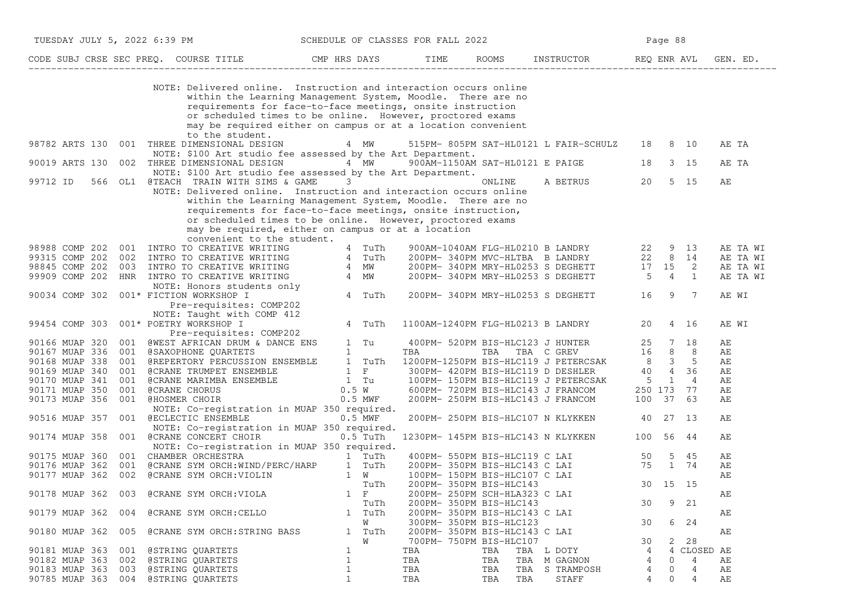|                | TUESDAY JULY 5, 2022 6:39 PM                                                                                                                                                                                                                                                                                                                                                                                               | SCHEDULE OF CLASSES FOR FALL 2022                                                                               |     |                               |                                                                                                                                                                             | Page 88        |                     |          |
|----------------|----------------------------------------------------------------------------------------------------------------------------------------------------------------------------------------------------------------------------------------------------------------------------------------------------------------------------------------------------------------------------------------------------------------------------|-----------------------------------------------------------------------------------------------------------------|-----|-------------------------------|-----------------------------------------------------------------------------------------------------------------------------------------------------------------------------|----------------|---------------------|----------|
|                | CODE SUBJ CRSE SEC PREQ. COURSE TITLE CMP HRS DAYS TIME ROOMS INSTRUCTOR REQ ENR AVL                                                                                                                                                                                                                                                                                                                                       |                                                                                                                 |     |                               |                                                                                                                                                                             |                |                     | GEN. ED. |
|                | NOTE: Delivered online. Instruction and interaction occurs online<br>within the Learning Management System, Moodle. There are no<br>requirements for face-to-face meetings, onsite instruction<br>or scheduled times to be online. However, proctored exams<br>may be required either on campus or at a location convenient<br>to the student.                                                                             |                                                                                                                 |     |                               |                                                                                                                                                                             |                |                     |          |
| 98782 ARTS 130 | 001<br>THREE DIMENSIONAL DESIGN<br>NOTE: \$100 Art studio fee assessed by the Art Department.                                                                                                                                                                                                                                                                                                                              | 4 MW                                                                                                            |     |                               | 515PM- 805PM SAT-HL0121 L FAIR-SCHULZ                                                                                                                                       | 18             | 8 10                | AE TA    |
| 90019 ARTS 130 | 002 THREE DIMENSIONAL DESIGN<br>NOTE: \$100 Art studio fee assessed by the Art Department.                                                                                                                                                                                                                                                                                                                                 | 4 MW 900AM-1150AM SAT-HL0121 E PAIGE 18                                                                         |     |                               |                                                                                                                                                                             |                | 3 15                | AE TA    |
| 99712 ID       | 566 OL1 @TEACH TRAIN WITH SIMS & GAME<br>NOTE: Delivered online. Instruction and interaction occurs online<br>within the Learning Management System, Moodle. There are no<br>requirements for face-to-face meetings, onsite instruction,<br>or scheduled times to be online. However, proctored exams<br>may be required, either on campus or at a location                                                                | $\overline{3}$                                                                                                  |     | ONLINE                        | A BETRUS                                                                                                                                                                    | 20             | 5 15                | AЕ       |
| 98988 COMP 202 | convenient to the student.<br>001 INTRO TO CREATIVE WRITING                                                                                                                                                                                                                                                                                                                                                                | 4 TuTh                                                                                                          |     |                               | 900AM-1040AM FLG-HL0210 B LANDRY 22 9 13<br>200PM- 340PM MVC-HLTBA B LANDRY 22 8 14<br>200PM- 340PM MRY-HL0253 S DEGHETT 17 15 2<br>200PM- 340PM MRY-HL0253 S DEGHETT 5 4 1 |                |                     | AE TA WI |
| 99315 COMP 202 |                                                                                                                                                                                                                                                                                                                                                                                                                            |                                                                                                                 |     |                               |                                                                                                                                                                             |                |                     | AE TA WI |
| 98845 COMP 202 |                                                                                                                                                                                                                                                                                                                                                                                                                            |                                                                                                                 |     |                               |                                                                                                                                                                             |                |                     | AE TA WI |
| 99909 COMP 202 |                                                                                                                                                                                                                                                                                                                                                                                                                            |                                                                                                                 |     |                               |                                                                                                                                                                             |                |                     | AE TA WI |
| 90034 COMP 302 | 001 INTRO TO CREATIVE WRITING $\begin{array}{ccccc} 4 & \text{Tuth} & 4 & \text{Tuth} \\ 002 & \text{INTRO TO CREATIVE WRITING} & 4 & \text{Tuth} \\ 003 & \text{INTRO TO CREATIVE WRITING} & 4 & \text{MW} \\ \text{HNR} & \text{INTRO TO CREATIVE WRITING} & 4 & \text{MW} \\ \text{NOTE: Honors students only} & 4 & \text{Tuth} \\ 001* FICTION WORKSIO & & 4 & \text{Tuth} \\ \end{array}$<br>Pre-requisites: COMP202 |                                                                                                                 |     |                               | 200PM- 340PM MRY-HL0253 S DEGHETT 16                                                                                                                                        |                | $\overline{7}$<br>9 | AE WI    |
|                | NOTE: Taught with COMP 412                                                                                                                                                                                                                                                                                                                                                                                                 |                                                                                                                 |     |                               |                                                                                                                                                                             |                |                     |          |
| 99454 COMP 303 | 001* POETRY WORKSHOP I<br>Pre-requisites: COMP202                                                                                                                                                                                                                                                                                                                                                                          | 4 TuTh                                                                                                          |     |                               | 1100AM-1240PM FLG-HL0213 B LANDRY                                                                                                                                           | 20             | 4 16                | AE WI    |
| 90166 MUAP 320 | 001 @WEST AFRICAN DRUM & DANCE ENS 1 Tu                                                                                                                                                                                                                                                                                                                                                                                    |                                                                                                                 |     |                               | 400PM- 520PM BIS-HLC123 J HUNTER                                                                                                                                            | 25 7 18        |                     | AЕ       |
| 90167 MUAP 336 |                                                                                                                                                                                                                                                                                                                                                                                                                            |                                                                                                                 | TBA | TBA                           | TBA C GREV 16 8 8                                                                                                                                                           |                |                     | AЕ       |
| 90168 MUAP 338 | 001 @SAXOPHONE QUARTETS 1<br>001 @REPERTORY PERCUSSION ENSEMBLE 1 TuTh                                                                                                                                                                                                                                                                                                                                                     |                                                                                                                 |     |                               |                                                                                                                                                                             |                |                     | AЕ       |
| 90169 MUAP 340 | 001 GCRANE TRUMPET ENSEMBLE 1 F<br>001 GCRANE MARIMBA ENSEMBLE 1 Tu<br>001 GCRANE CHORUS 0.5 W<br>001 GCRANE CHORUS 0.5 MWF<br>001 GHOSMER CHOIR 0.5 MWF                                                                                                                                                                                                                                                                   |                                                                                                                 |     |                               | 1200PM-1250PM BIS-HLC119 J PETERCSAK 8 3 5<br>300PM- 420PM BIS-HLC119 D DESHLER 40 4 36                                                                                     |                |                     | АE       |
|                |                                                                                                                                                                                                                                                                                                                                                                                                                            |                                                                                                                 |     |                               | 100PM- 150PM BIS-HLC119 J PETERCSAK 5 1                                                                                                                                     |                | $\overline{4}$      |          |
| 90170 MUAP 341 |                                                                                                                                                                                                                                                                                                                                                                                                                            |                                                                                                                 |     |                               | 600PM- 720PM BIS-HLC143 J FRANCOM                                                                                                                                           |                |                     | AЕ       |
| 90171 MUAP 350 |                                                                                                                                                                                                                                                                                                                                                                                                                            |                                                                                                                 |     |                               |                                                                                                                                                                             | 250 173        | 77                  | AЕ       |
| 90173 MUAP 356 |                                                                                                                                                                                                                                                                                                                                                                                                                            |                                                                                                                 |     |                               | 200PM- 250PM BIS-HLC143 J FRANCOM                                                                                                                                           | 100 37         | 63                  | AЕ       |
| 90516 MUAP 357 | NOTE: Co-registration in MUAP 350 required.<br>001 @ECLECTIC ENSEMBLE                                                                                                                                                                                                                                                                                                                                                      | $0.5$ MWF                                                                                                       |     |                               | 200PM- 250PM BIS-HLC107 N KLYKKEN                                                                                                                                           | 40 27 13       |                     | АE       |
|                | NOTE: Co-registration in MUAP 350 required.                                                                                                                                                                                                                                                                                                                                                                                |                                                                                                                 |     |                               |                                                                                                                                                                             |                |                     |          |
| 90174 MUAP 358 | 001 @CRANE CONCERT CHOIR                                                                                                                                                                                                                                                                                                                                                                                                   | $0.5$ TuTh                                                                                                      |     |                               | 1230PM- 145PM BIS-HLC143 N KLYKKEN                                                                                                                                          | 100 56 44      |                     | АE       |
|                | NOTE: Co-registration in MUAP 350 required.                                                                                                                                                                                                                                                                                                                                                                                |                                                                                                                 |     |                               |                                                                                                                                                                             |                |                     |          |
| 90175 MUAP 360 | 001 CHAMBER ORCHESTRA                                                                                                                                                                                                                                                                                                                                                                                                      | and the state of the state of the state of the state of the state of the state of the state of the state of the |     | 400PM- 550PM BIS-HLC119 C LAI | 50                                                                                                                                                                          |                | 5 45                | АE       |
| 90176 MUAP 362 | @CRANE SYM ORCH:WIND/PERC/HARP 1 TuTh<br>@CRANE SYM ORCH:VIOLIN 1 W<br>001                                                                                                                                                                                                                                                                                                                                                 |                                                                                                                 |     | 200PM- 350PM BIS-HLC143 C LAI |                                                                                                                                                                             | 75 1 74        |                     | АE       |
| 90177 MUAP 362 | 002                                                                                                                                                                                                                                                                                                                                                                                                                        |                                                                                                                 |     | 100PM- 150PM BIS-HLC107 C LAI |                                                                                                                                                                             |                |                     | AЕ       |
|                |                                                                                                                                                                                                                                                                                                                                                                                                                            | TuTh                                                                                                            |     | 200PM- 350PM BIS-HLC143       |                                                                                                                                                                             |                | 30 15 15            |          |
| 90178 MUAP 362 | @CRANE SYM ORCH: VIOLA<br>003                                                                                                                                                                                                                                                                                                                                                                                              | $1 \quad F$                                                                                                     |     | 200PM- 250PM SCH-HLA323 C LAI |                                                                                                                                                                             |                |                     | АE       |
|                |                                                                                                                                                                                                                                                                                                                                                                                                                            | TuTh                                                                                                            |     | 200PM- 350PM BIS-HLC143       |                                                                                                                                                                             | 30             | 9 21                |          |
|                | @CRANE SYM ORCH: CELLO<br>004                                                                                                                                                                                                                                                                                                                                                                                              | 1 TuTh                                                                                                          |     | 200PM- 350PM BIS-HLC143 C LAI |                                                                                                                                                                             |                |                     | АE       |
| 90179 MUAP 362 |                                                                                                                                                                                                                                                                                                                                                                                                                            |                                                                                                                 |     |                               |                                                                                                                                                                             |                |                     |          |
|                |                                                                                                                                                                                                                                                                                                                                                                                                                            | W                                                                                                               |     | 300PM- 350PM BIS-HLC123       |                                                                                                                                                                             | 30             | 6 24                |          |
| 90180 MUAP 362 | 005<br><b>@CRANE SYM ORCH: STRING BASS</b>                                                                                                                                                                                                                                                                                                                                                                                 | 1 TuTh                                                                                                          |     | 200PM- 350PM BIS-HLC143 C LAI |                                                                                                                                                                             |                |                     | AЕ       |
|                |                                                                                                                                                                                                                                                                                                                                                                                                                            | W                                                                                                               |     | 700PM- 750PM BIS-HLC107       |                                                                                                                                                                             | 30             | 2 28                |          |
| 90181 MUAP 363 | 001<br>@STRING QUARTETS                                                                                                                                                                                                                                                                                                                                                                                                    | $\mathbf 1$                                                                                                     | TBA | TBA                           | TBA L DOTY                                                                                                                                                                  | 4              | 4<br>CLOSED AE      |          |
| 90182 MUAP 363 | 002<br>@STRING QUARTETS                                                                                                                                                                                                                                                                                                                                                                                                    | $\mathbf 1$                                                                                                     | TBA | TBA                           | TBA<br>M GAGNON                                                                                                                                                             | $\overline{4}$ | 4<br>0              | AЕ       |
| 90183 MUAP 363 | 003<br>@STRING QUARTETS                                                                                                                                                                                                                                                                                                                                                                                                    | $\mathbf{1}$                                                                                                    | TBA | TBA                           | TBA<br>S TRAMPOSH                                                                                                                                                           | 4              | 0<br>4              | АE       |
| 90785 MUAP 363 | 004 @STRING QUARTETS                                                                                                                                                                                                                                                                                                                                                                                                       | $\mathbf{1}$                                                                                                    | TBA | TBA                           | TBA<br>STAFF                                                                                                                                                                | 4              | $\Omega$<br>4       | AE       |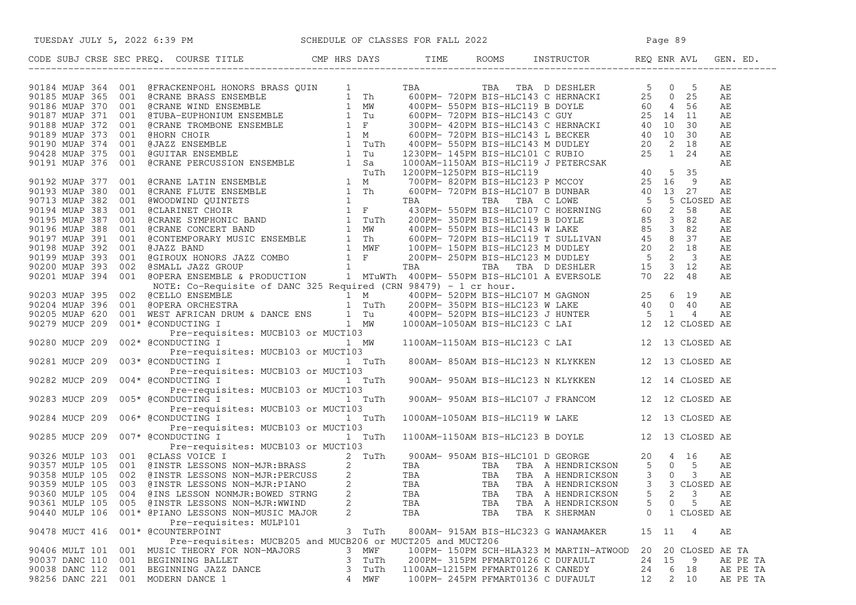| TUESDAY JULY 5, 2022 6:39 PM SCHEDULE OF CLASSES FOR FALL 2022                                                                                                                                                                           |                |                                   |     |                                                   |         |              |                 |          |
|------------------------------------------------------------------------------------------------------------------------------------------------------------------------------------------------------------------------------------------|----------------|-----------------------------------|-----|---------------------------------------------------|---------|--------------|-----------------|----------|
| CODE SUBJ CRSE SEC PREQ. COURSE TITLE CMP HRS DAYS TIME ROOMS INSTRUCTOR REQ ENR AVL GEN. ED.                                                                                                                                            |                |                                   |     |                                                   |         |              |                 |          |
| 93164 MUAP 764 001 develocions Monote Meas QUIN 1 1 MA<br>93164 MUAP 764 001 develocions Meas QUIN 1 The 600019-72001 MSA TRA I DESIMILAR S 0 0 5 AM<br>93165 MUAP 370 001 develocions and measure.<br>93165 MUAP 370 001 develocio      |                |                                   |     |                                                   |         |              |                 |          |
|                                                                                                                                                                                                                                          |                |                                   |     |                                                   |         |              |                 |          |
|                                                                                                                                                                                                                                          |                |                                   |     |                                                   |         |              |                 |          |
|                                                                                                                                                                                                                                          |                |                                   |     |                                                   |         |              |                 |          |
|                                                                                                                                                                                                                                          |                |                                   |     |                                                   |         |              |                 |          |
|                                                                                                                                                                                                                                          |                |                                   |     |                                                   |         |              |                 |          |
|                                                                                                                                                                                                                                          |                |                                   |     |                                                   |         |              |                 |          |
|                                                                                                                                                                                                                                          |                |                                   |     |                                                   |         |              |                 |          |
|                                                                                                                                                                                                                                          |                |                                   |     |                                                   |         |              |                 |          |
|                                                                                                                                                                                                                                          |                |                                   |     |                                                   |         |              |                 |          |
|                                                                                                                                                                                                                                          |                |                                   |     |                                                   |         |              |                 |          |
|                                                                                                                                                                                                                                          |                |                                   |     |                                                   |         |              |                 |          |
|                                                                                                                                                                                                                                          |                |                                   |     |                                                   |         |              |                 |          |
|                                                                                                                                                                                                                                          |                |                                   |     |                                                   |         |              |                 |          |
|                                                                                                                                                                                                                                          |                |                                   |     |                                                   |         |              |                 |          |
|                                                                                                                                                                                                                                          |                |                                   |     |                                                   |         |              |                 |          |
|                                                                                                                                                                                                                                          |                |                                   |     |                                                   |         |              |                 |          |
|                                                                                                                                                                                                                                          |                |                                   |     |                                                   |         |              |                 |          |
|                                                                                                                                                                                                                                          |                |                                   |     |                                                   |         |              |                 |          |
|                                                                                                                                                                                                                                          |                |                                   |     |                                                   |         |              |                 |          |
|                                                                                                                                                                                                                                          |                |                                   |     |                                                   |         |              |                 |          |
|                                                                                                                                                                                                                                          |                |                                   |     |                                                   |         |              |                 |          |
|                                                                                                                                                                                                                                          |                |                                   |     |                                                   |         |              |                 |          |
|                                                                                                                                                                                                                                          |                |                                   |     |                                                   |         |              |                 |          |
|                                                                                                                                                                                                                                          |                |                                   |     |                                                   |         |              |                 |          |
|                                                                                                                                                                                                                                          |                |                                   |     |                                                   |         |              |                 |          |
|                                                                                                                                                                                                                                          |                |                                   |     |                                                   |         |              |                 |          |
|                                                                                                                                                                                                                                          |                |                                   |     |                                                   |         |              |                 |          |
|                                                                                                                                                                                                                                          |                |                                   |     |                                                   |         |              |                 |          |
| Pre-requisites: MUCB103 or MUCT103                                                                                                                                                                                                       |                |                                   |     |                                                   |         |              |                 |          |
| Pre-requisites: MUCB103 or MUCT103<br>004* @CONDUCTING I 1 TuTh 900AM-950AM BIS-HLC123 N KLYKKEN 12 14 CLOSED AE<br>90282 MUCP 209                                                                                                       |                |                                   |     |                                                   |         |              |                 |          |
| Pre-requisites: MUCB103 or MUCT103                                                                                                                                                                                                       |                |                                   |     |                                                   |         |              |                 |          |
| 005* @CONDUCTING I 1 TuTh<br>90283 MUCP 209                                                                                                                                                                                              |                |                                   |     | 900AM- 950AM BIS-HLC107 J FRANCOM 12 12 CLOSED AE |         |              |                 |          |
| Pre-requisites: MUCB103 or MUCT103                                                                                                                                                                                                       |                |                                   |     |                                                   |         |              |                 |          |
| 006* @CONDUCTING I 1 TuTh<br>90284 MUCP 209                                                                                                                                                                                              |                |                                   |     | 1000AM-1050AM BIS-HLC119 W LAKE 12 13 CLOSED AE   |         |              |                 |          |
| Pre-requisites: MUCB103 or MUCT103                                                                                                                                                                                                       |                |                                   |     |                                                   |         |              |                 |          |
| 007* @CONDUCTING I 1 TUTh 1100AM-1150AM BIS-HLC123 B DOYLE 12 13 CLOSED AE<br>90285 MUCP 209                                                                                                                                             |                |                                   |     |                                                   |         |              |                 |          |
|                                                                                                                                                                                                                                          |                |                                   |     |                                                   |         |              |                 |          |
|                                                                                                                                                                                                                                          |                |                                   |     |                                                   |         |              |                 |          |
|                                                                                                                                                                                                                                          |                |                                   |     |                                                   |         |              |                 |          |
|                                                                                                                                                                                                                                          |                |                                   |     |                                                   |         |              |                 |          |
| Pre-requisites: MUCB103 or MUCT103<br>Pre-requisites: MUCB103 or MUCT103<br>Pre-requisites: MUCB103 or MUCT103<br>Pre-requisites: MUCB103 or MUCT103<br>2 TuTh 900AM-950AM BIS-HLC101 D GEORGE<br>200357 MULP 105 001 @INSTR LESSONS NON |                |                                   |     |                                                   |         |              |                 |          |
|                                                                                                                                                                                                                                          |                |                                   |     |                                                   |         | $\mathsf{O}$ | 5               |          |
| 90361 MULP 105 005 @INSTR LESSONS NON-MJR:WWIND                                                                                                                                                                                          | 2              | TBA                               | TBA | TBA A HENDRICKSON                                 | 5       |              |                 | АE       |
| 90440 MULP 106 001* @PIANO LESSONS NON-MUSIC MAJOR<br>Pre-requisites: MULP101                                                                                                                                                            | $\overline{2}$ | TBA                               | TBA | TBA K SHERMAN                                     | $\circ$ |              | 1 CLOSED AE     |          |
| 90478 MUCT 416 001* @COUNTERPOINT                                                                                                                                                                                                        | 3 TuTh         |                                   |     | 800AM- 915AM BIS-HLC323 G WANAMAKER               | 15 11   |              | 4               | AE       |
| Pre-requisites: MUCB205 and MUCB206 or MUCT205 and MUCT206                                                                                                                                                                               |                |                                   |     |                                                   |         |              |                 |          |
| 90406 MULT 101 001 MUSIC THEORY FOR NON-MAJORS                                                                                                                                                                                           | 3 MWF          |                                   |     | 100PM- 150PM SCH-HLA323 M MARTIN-ATWOOD           | 20      |              | 20 CLOSED AE TA |          |
| 90037 DANC 110 001 BEGINNING BALLET                                                                                                                                                                                                      | 3 TuTh         | 200PM- 315PM PFMART0126 C DUFAULT |     |                                                   | 24      | 15           | - 9             | AE PE TA |
| 90038 DANC 112 001 BEGINNING JAZZ DANCE                                                                                                                                                                                                  | TuTh<br>3      | 1100AM-1215PM PFMART0126 K CANEDY |     |                                                   | 24      | 6 18         |                 | AE PE TA |
| 98256 DANC 221 001 MODERN DANCE 1                                                                                                                                                                                                        | 4 MWF          | 100PM- 245PM PFMART0136 C DUFAULT |     |                                                   | 12      | 2 10         |                 | AE PE TA |
|                                                                                                                                                                                                                                          |                |                                   |     |                                                   |         |              |                 |          |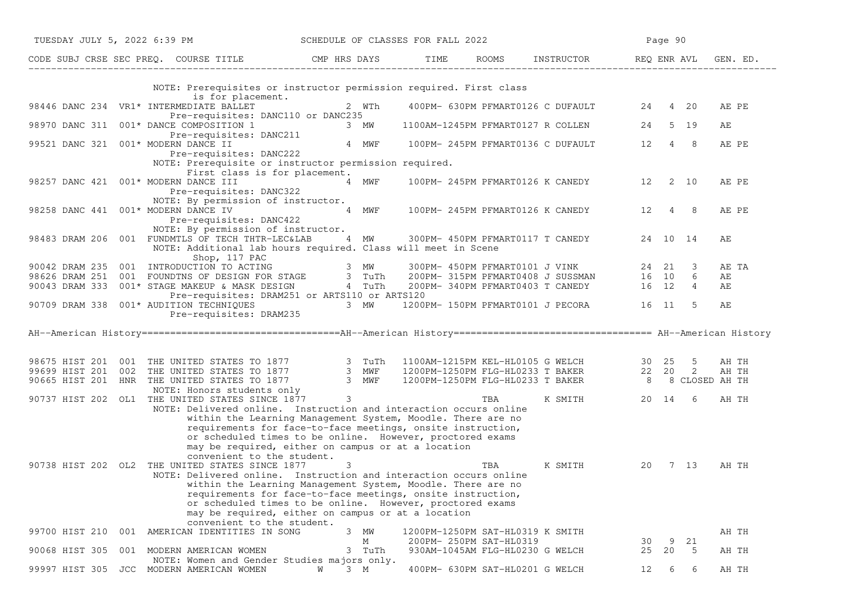| TUESDAY JULY 5, 2022 6:39 PM                                                                                                                                                                                                                                                                                                                                                                        | SCHEDULE OF CLASSES FOR FALL 2022 |                                  |                         |                                                                                   |    | Page 90 |                |          |  |
|-----------------------------------------------------------------------------------------------------------------------------------------------------------------------------------------------------------------------------------------------------------------------------------------------------------------------------------------------------------------------------------------------------|-----------------------------------|----------------------------------|-------------------------|-----------------------------------------------------------------------------------|----|---------|----------------|----------|--|
| CODE SUBJ CRSE SEC PREQ. COURSE TITLE THE CMP HRS DAYS TIME ROOMS INSTRUCTOR THE REQ ENR AVL GEN. ED.                                                                                                                                                                                                                                                                                               |                                   |                                  |                         |                                                                                   |    |         |                |          |  |
| NOTE: Prerequisites or instructor permission required. First class<br>is for placement.                                                                                                                                                                                                                                                                                                             |                                   |                                  |                         |                                                                                   |    |         |                |          |  |
| 98446 DANC 234 VR1* INTERMEDIATE BALLET<br>Pre-requisites: DANC110 or DANC235                                                                                                                                                                                                                                                                                                                       | 2 WTh                             |                                  |                         | 400PM- 630PM PFMART0126 C DUFAULT 24 4 20                                         |    |         |                | AE PE    |  |
| 98970 DANC 311 001* DANCE COMPOSITION 1<br>Pre-requisites: DANC211                                                                                                                                                                                                                                                                                                                                  | 3 MW                              |                                  |                         | 1100AM-1245PM PFMART0127 R COLLEN 24 5 19                                         |    |         |                | AE       |  |
| 99521 DANC 321 001* MODERN DANCE II<br>Pre-requisites: DANC222                                                                                                                                                                                                                                                                                                                                      |                                   |                                  |                         | 4 MWF 100PM-245PM PFMART0136 C DUFAULT 12 4                                       |    |         | -8             | AE PE    |  |
| NOTE: Prerequisite or instructor permission required.<br>First class is for placement.                                                                                                                                                                                                                                                                                                              |                                   |                                  |                         |                                                                                   |    |         |                |          |  |
| 98257 DANC 421 001* MODERN DANCE III<br>Pre-requisites: DANC322                                                                                                                                                                                                                                                                                                                                     | 4 MWF                             |                                  |                         | 100PM- 245PM PFMART0126 K CANEDY 12 2 10                                          |    |         |                | AE PE    |  |
| NOTE: By permission of instructor.<br>98258 DANC 441 001* MODERN DANCE IV<br>Pre-requisites: DANC422                                                                                                                                                                                                                                                                                                | 4 MWF                             |                                  |                         | 100PM- 245PM PFMART0126 K CANEDY 12 4                                             |    |         | -8             | AE PE    |  |
| NOTE: By permission of instructor.<br>98483 DRAM 206 001 FUNDMTLS OF TECH THTR-LEC&LAB 4 MW 300PM-450PM PFMART0117 T CANEDY 24 10 14<br>NOTE: Additional lab hours required. Class will meet in Scene                                                                                                                                                                                               |                                   |                                  |                         |                                                                                   |    |         |                | AЕ       |  |
| Shop, 117 PAC<br>90042 DRAM 235 001 INTRODUCTION TO ACTING<br>98626 DRAM 251 001 FOUNDTNS OF DESIGN FOR STAGE 3 TuTh                                                                                                                                                                                                                                                                                |                                   |                                  |                         | 300PM-450PM PFMART0101 J VINK 24 21 3<br>200PM-315PM PFMART0408 J SUSSMAN 16 10 6 |    |         |                | AE TA    |  |
| 90043 DRAM 333 001* STAGE MAKEUP & MASK DESIGN 4 TuTh                                                                                                                                                                                                                                                                                                                                               |                                   |                                  |                         | 200PM-340PM PFMART0403 T CANEDY 16 12                                             |    |         | $\overline{4}$ | AЕ<br>AЕ |  |
| Pre-requisites: DRAM251 or ARTS110 or ARTS120<br>90709 DRAM 338 001* AUDITION TECHNIQUES                                                                                                                                                                                                                                                                                                            | 3 MW                              |                                  |                         | 1200PM- 150PM PFMART0101 J PECORA 16 11                                           |    |         | - 5            | AЕ       |  |
| Pre-requisites: DRAM235                                                                                                                                                                                                                                                                                                                                                                             |                                   |                                  |                         |                                                                                   |    |         |                |          |  |
| AH--American History =================================AH--American History ================================= AH--American History                                                                                                                                                                                                                                                                   |                                   |                                  |                         |                                                                                   |    |         |                |          |  |
|                                                                                                                                                                                                                                                                                                                                                                                                     |                                   |                                  |                         |                                                                                   |    |         |                |          |  |
| 98675 HIST 201 001 THE UNITED STATES TO 1877 3 TuTh 1100AM-1215PM KEL-HL0105 G WELCH 30 25 5 AH TH<br>99699 HIST 201 002 THE UNITED STATES TO 1877 3 MWF 1200PM-1250PM FLG-HL0233 T BAKER 22 20 2 AH TH<br>90665 HIST 201 HNR THE UN                                                                                                                                                                |                                   |                                  |                         |                                                                                   |    |         |                |          |  |
| 90737 HIST 202 OL1 THE UNITED STATES SINCE 1877 3                                                                                                                                                                                                                                                                                                                                                   |                                   |                                  | TBA                     | K SMITH                                                                           |    | 20 14 6 |                | AH TH    |  |
| NOTE: Delivered online. Instruction and interaction occurs online<br>within the Learning Management System, Moodle. There are no<br>requirements for face-to-face meetings, onsite instruction,<br>or scheduled times to be online. However, proctored exams<br>may be required, either on campus or at a location<br>convenient to the student.                                                    |                                   |                                  |                         |                                                                                   |    |         |                |          |  |
| 90738 HIST 202 OL2 THE UNITED STATES SINCE 1877<br>NOTE: Delivered online. Instruction and interaction occurs online<br>within the Learning Management System, Moodle. There are no<br>requirements for face-to-face meetings, onsite instruction,<br>or scheduled times to be online. However, proctored exams<br>may be required, either on campus or at a location<br>convenient to the student. | 3                                 |                                  | TBA                     | K SMITH                                                                           |    | 20 7 13 |                | AH TH    |  |
| 001 AMERICAN IDENTITIES IN SONG<br>99700 HIST 210                                                                                                                                                                                                                                                                                                                                                   | 3 MW<br>М                         | 1200PM-1250PM SAT-HL0319 K SMITH | 200PM- 250PM SAT-HL0319 |                                                                                   | 30 | 9       | 21             | AH TH    |  |
| 90068 HIST 305<br>001 MODERN AMERICAN WOMEN<br>NOTE: Women and Gender Studies majors only.                                                                                                                                                                                                                                                                                                          | 3 TuTh                            |                                  |                         | 930AM-1045AM FLG-HL0230 G WELCH                                                   | 25 | 20      | - 5            | AH TH    |  |
| 99997 HIST 305 JCC MODERN AMERICAN WOMEN                                                                                                                                                                                                                                                                                                                                                            | $3 \, M$<br>W                     |                                  |                         | 400PM- 630PM SAT-HL0201 G WELCH                                                   | 12 | 6       | 6              | AH TH    |  |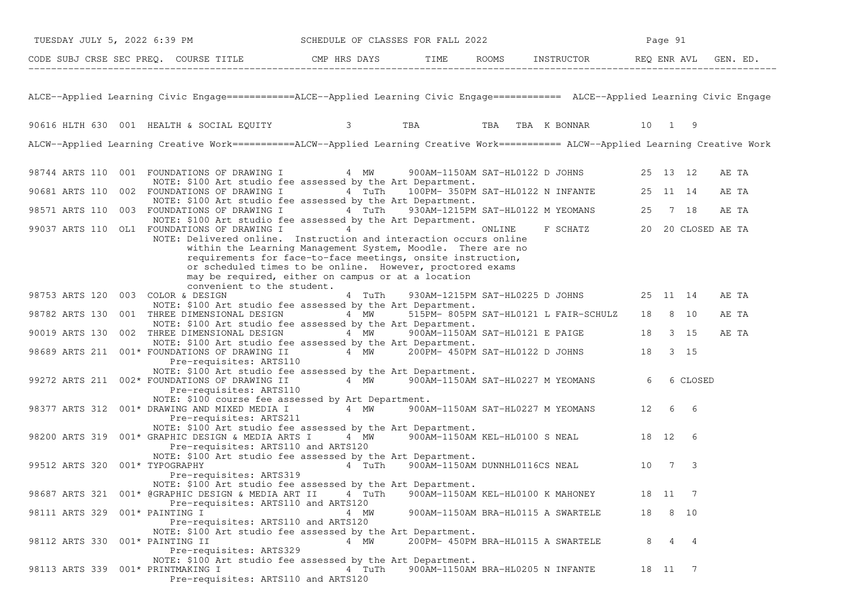| TUESDAY JULY 5, 2022 6:39 PM                                                                                                       |  |                                                                                                   |                            |      |        | SCHEDULE OF CLASSES FOR FALL 2022                                                                                                                                                                                                             |        |          |         | Page 91 |                    |       |  |
|------------------------------------------------------------------------------------------------------------------------------------|--|---------------------------------------------------------------------------------------------------|----------------------------|------|--------|-----------------------------------------------------------------------------------------------------------------------------------------------------------------------------------------------------------------------------------------------|--------|----------|---------|---------|--------------------|-------|--|
| CODE SUBJ CRSE SEC PREQ. COURSE TITLE CMP HRS DAYS TIME ROOMS INSTRUCTOR REQ ENR AVL GEN. ED.                                      |  |                                                                                                   |                            |      |        |                                                                                                                                                                                                                                               |        |          |         |         |                    |       |  |
| ALCE--Applied Learning Civic Engage===========ALCE--Applied Learning Civic Engage=========== ALCE--Applied Learning Civic Engage   |  |                                                                                                   |                            |      |        |                                                                                                                                                                                                                                               |        |          |         |         |                    |       |  |
| 90616 HLTH 630 001 HEALTH & SOCIAL EQUITY <b>3</b> TBA TBA TBA TBA K BONNAR 10 1 9                                                 |  |                                                                                                   |                            |      |        |                                                                                                                                                                                                                                               |        |          |         |         |                    |       |  |
| ALCW--Applied Learning Creative Work===========ALCW--Applied Learning Creative Work========== ALCW--Applied Learning Creative Work |  |                                                                                                   |                            |      |        |                                                                                                                                                                                                                                               |        |          |         |         |                    |       |  |
| 98744 ARTS 110 001 FOUNDATIONS OF DRAWING I 4 MW 900AM-1150AM SAT-HL0122 D JOHNS 25 13 12                                          |  | NOTE: \$100 Art studio fee assessed by the Art Department.                                        |                            |      |        |                                                                                                                                                                                                                                               |        |          |         |         |                    | AE TA |  |
| 90681 ARTS 110 002 FOUNDATIONS OF DRAWING I 4 TuTh 100PM-350PM SAT-HL0122 N INFANTE 25 11 14                                       |  | NOTE: \$100 Art studio fee assessed by the Art Department.                                        |                            |      |        |                                                                                                                                                                                                                                               |        |          |         |         |                    | AE TA |  |
| 98571 ARTS 110 003 FOUNDATIONS OF DRAWING I 4 TuTh 930AM-1215PM SAT-HL0122 M YEOMANS 25 7 18                                       |  | NOTE: \$100 Art studio fee assessed by the Art Department.                                        |                            |      |        |                                                                                                                                                                                                                                               |        |          |         |         |                    | AE TA |  |
| 99037 ARTS 110 OL1 FOUNDATIONS OF DRAWING I 4                                                                                      |  | NOTE: Delivered online. Instruction and interaction occurs online                                 |                            |      |        | within the Learning Management System, Moodle. There are no<br>requirements for face-to-face meetings, onsite instruction,<br>or scheduled times to be online. However, proctored exams<br>may be required, either on campus or at a location | ONLINE | F SCHATZ |         |         | 20 20 CLOSED AE TA |       |  |
| 98753 ARTS 120 003 COLOR & DESIGN                                                                                                  |  | NOTE: \$100 Art studio fee assessed by the Art Department.                                        | convenient to the student. |      | 4 TuTh | 930AM-1215PM SAT-HL0225 D JOHNS 25 11 14                                                                                                                                                                                                      |        |          |         |         |                    | AE TA |  |
| 98782 ARTS 130 001 THREE DIMENSIONAL DESIGN 4 MW 515PM-805PM SAT-HL0121 L FAIR-SCHULZ 18 8 10                                      |  | NOTE: \$100 Art studio fee assessed by the Art Department.                                        |                            |      |        |                                                                                                                                                                                                                                               |        |          |         |         |                    | AE TA |  |
| 90019 ARTS 130 002 THREE DIMENSIONAL DESIGN 4 MW 900AM-1150AM SAT-HL0121 E PAIGE 18 3 15                                           |  | NOTE: \$100 Art studio fee assessed by the Art Department.                                        |                            |      |        |                                                                                                                                                                                                                                               |        |          |         |         |                    | AE TA |  |
| 98689 ARTS 211 001* FOUNDATIONS OF DRAWING II 4 MW 200PM-450PM SAT-HL0122 D JOHNS                                                  |  | Pre-requisites: ARTS110                                                                           |                            |      |        |                                                                                                                                                                                                                                               |        |          | 18 3 15 |         |                    |       |  |
| 99272 ARTS 211 002* FOUNDATIONS OF DRAWING II 4 MW 900AM-1150AM SAT-HL0227 M YEOMANS 6 6 CLOSED                                    |  | NOTE: \$100 Art studio fee assessed by the Art Department.<br>Pre-requisites: ARTS110             |                            |      |        |                                                                                                                                                                                                                                               |        |          |         |         |                    |       |  |
| 98377 ARTS 312 001* DRAWING AND MIXED MEDIA I 4 MW 900AM-1150AM SAT-HL0227 M YEOMANS 12 6 6                                        |  | NOTE: \$100 course fee assessed by Art Department.<br>Pre-requisites: ARTS211                     |                            |      |        |                                                                                                                                                                                                                                               |        |          |         |         |                    |       |  |
| 98200 ARTS 319 001* GRAPHIC DESIGN & MEDIA ARTS I 4 MW 900AM-1150AM KEL-HL0100 S NEAL 18 12 6                                      |  | NOTE: \$100 Art studio fee assessed by the Art Department.<br>Pre-requisites: ARTS110 and ARTS120 |                            |      |        |                                                                                                                                                                                                                                               |        |          |         |         |                    |       |  |
| 99512 ARTS 320 001* TYPOGRAPHY                                                                                                     |  | NOTE: \$100 Art studio fee assessed by the Art Department.<br>Pre-requisites: ARTS319             |                            |      |        | 4 TuTh 900AM-1150AM DUNNHL0116CS NEAL 10 7 3                                                                                                                                                                                                  |        |          |         |         |                    |       |  |
| 98687 ARTS 321 001* @GRAPHIC DESIGN & MEDIA ART II                                                                                 |  | NOTE: \$100 Art studio fee assessed by the Art Department.                                        |                            |      | 4 TuTh | 900AM-1150AM KEL-HL0100 K MAHONEY                                                                                                                                                                                                             |        |          | 18 11 7 |         |                    |       |  |
| 98111 ARTS 329 001* PAINTING I                                                                                                     |  | Pre-requisites: ARTS110 and ARTS120<br>Pre-requisites: ARTS110 and ARTS120                        |                            | 4 MW |        | 900AM-1150AM BRA-HL0115 A SWARTELE                                                                                                                                                                                                            |        |          | 18      | 8 10    |                    |       |  |
| 98112 ARTS 330 001* PAINTING II                                                                                                    |  | NOTE: \$100 Art studio fee assessed by the Art Department.<br>Pre-requisites: ARTS329             |                            | 4 MW |        | 200PM- 450PM BRA-HL0115 A SWARTELE                                                                                                                                                                                                            |        |          | 8       |         | $4\quad 4$         |       |  |
| 98113 ARTS 339 001* PRINTMAKING I                                                                                                  |  | NOTE: \$100 Art studio fee assessed by the Art Department.<br>Pre-requisites: ARTS110 and ARTS120 |                            |      | 4 TuTh | 900AM-1150AM BRA-HL0205 N INFANTE                                                                                                                                                                                                             |        |          | 18 11 7 |         |                    |       |  |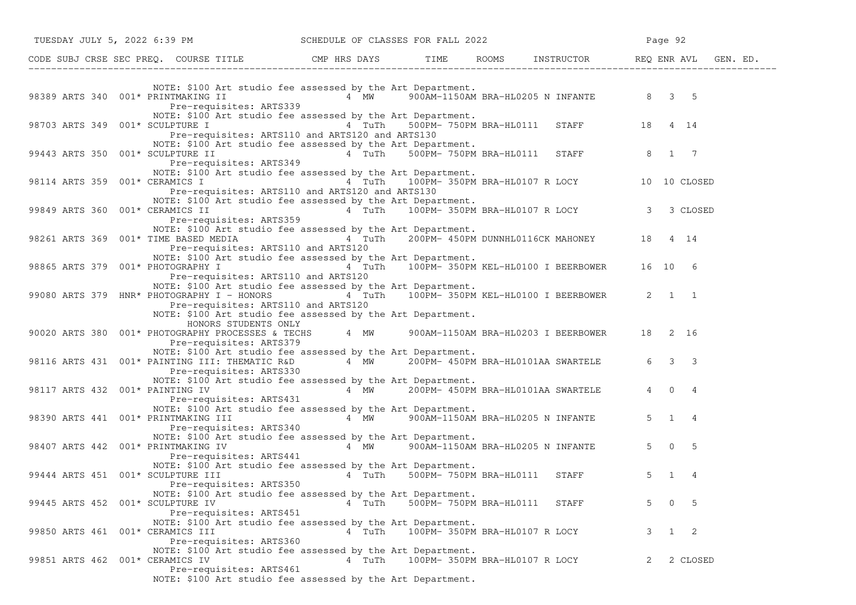| TUESDAY JULY 5, 2022 6:39 PM                                                                                                                                                                                                                                                          | SCHEDULE OF CLASSES FOR FALL 2022      |                                                   |   | Page 92             |
|---------------------------------------------------------------------------------------------------------------------------------------------------------------------------------------------------------------------------------------------------------------------------------------|----------------------------------------|---------------------------------------------------|---|---------------------|
| CODE SUBJ CRSE SEC PREQ. COURSE TITLE THE THE THE ROOMS INSTRUCTOR THE REQ ENR AVL GEN. ED.                                                                                                                                                                                           |                                        |                                                   |   |                     |
| NOTE: \$100 Art studio fee assessed by the Art Department.<br>98389 ARTS 340 $001*$ PRINTMAKING II $\begin{array}{ccc} 4 & 4 \end{array}$ MW 900AM-1150AM BRA-HL0205 N INFANTE 8 3 5<br>Pre-requisites: ARTS339                                                                       |                                        |                                                   |   |                     |
| NOTE: \$100 Art studio fee assessed by the Art Department.<br>98703 ARTS 349 001* SCULPTURE I 4 TuTh 500PM-750PM BRA-HL0111 STAFF 18 4 14<br>Pre-requisites: ARTS110 and ARTS120 and ARTS130                                                                                          |                                        |                                                   |   |                     |
| NOTE: \$100 Art studio fee assessed by the Art Department.<br>99443 ARTS 350 001* SCULPTURE II<br>Pre-requisites: ARTS349                                                                                                                                                             |                                        | 4 TuTh 500PM-750PM BRA-HL0111 STAFF 8 1 7         |   |                     |
| NOTE: \$100 Art studio fee assessed by the Art Department.<br>98114 ARTS 359 001* CERAMICS I $4$ TuTh 100PM-350PM BRA-HL0107 R LOCY 10 10 CLOSED<br>Pre-requisites: ARTS110 and ARTS120 and ARTS130                                                                                   |                                        |                                                   |   |                     |
| NOTE: \$100 Art studio fee assessed by the Art Department.<br>99849 ARTS 360 001* CERAMICS II $\begin{array}{ccc} 4 & \text{TuTh} & 100\bar{P}M- 350\bar{P}M- BRA-HL0107 R LCCY \end{array}$ 3 CLOSED<br>Pre-requisites: ARTS359                                                      |                                        |                                                   |   |                     |
| NOTE: \$100 Art studio fee assessed by the Art Department.<br>98261 ARTS 369 001* TIME BASED MEDIA<br>Pre-requisites: ARTS110 and ARTS120                                                                                                                                             |                                        | 4 TuTh 200PM-450PM DUNNHL0116CK MAHONEY 18 4 14   |   |                     |
| NOTE: \$100 Art studio fee assessed by the Art Department.<br>98865 ARTS 379 001* PHOTOGRAPHY I<br>Pre-requisites: ARTS110 and ARTS120                                                                                                                                                |                                        | 4 TuTh 100PM-350PM KEL-HL0100 I BEERBOWER 16 10 6 |   |                     |
| NOTE: \$100 Art studio fee assessed by the Art Department.<br>99080 ARTS 379 HNR* PHOTOGRAPHY I - HONORS $\frac{1}{4}$ TuTh $\frac{100}{2}$ M-350PM KEL-HL0100 I BEERBOWER 2 1 1<br>Pre-requisites: ARTS110 and ARTS120<br>NOTE: \$100 Art studio fee assessed by the Art Department. |                                        |                                                   |   |                     |
| HONORS STUDENTS ONLY<br>90020 ARTS 380 001* PHOTOGRAPHY PROCESSES & TECHS 4 MW 900AM-1150AM BRA-HL0203 I BEERBOWER 18 2 16<br>Pre-requisites: ARTS379                                                                                                                                 |                                        |                                                   |   |                     |
| NOTE: \$100 Art studio fee assessed by the Art Department.<br>98116 ARTS 431 001* PAINTING III: THEMATIC R&D 4 MW 200PM- 450PM BRA-HL0101AA SWARTELE 6 3 3<br>Pre-requisites: ARTS330                                                                                                 |                                        |                                                   |   |                     |
| NOTE: \$100 Art studio fee assessed by the Art Department.<br>98117 ARTS 432 $001*$ PAINTING IV $4 \t MW$ 200PM-450PM BRA-HL0101AA SWARTELE<br>Pre-requisites: ARTS431                                                                                                                |                                        |                                                   |   | 4 0 4               |
| NOTE: \$100 Art studio fee assessed by the Art Department.<br>98390 ARTS 441 001* PRINTMAKING III<br>Pre-requisites: ARTS340                                                                                                                                                          | 4 MW 900AM-1150AM BRA-HL0205 N INFANTE |                                                   |   | $5 \quad 1 \quad 4$ |
| NOTE: \$100 Art studio fee assessed by the Art Department.<br>98407 ARTS 442 001* PRINTMAKING IV<br>Pre-requisites: ARTS441                                                                                                                                                           |                                        | 4 MW 900AM-1150AM BRA-HL0205 N INFANTE            |   | $5 \t 0 \t 5$       |
| NOTE: \$100 Art studio fee assessed by the Art Department.<br>99444 ARTS 451 001* SCULPTURE III<br>Pre-requisites: ARTS350                                                                                                                                                            | 4 TuTh                                 | 500PM- 750PM BRA-HL0111 STAFF                     |   | $5 \quad 1$<br>4    |
| NOTE: \$100 Art studio fee assessed by the Art Department.<br>99445 ARTS 452 001* SCULPTURE IV<br>Pre-requisites: ARTS451                                                                                                                                                             | 4 TuTh                                 | 500PM- 750PM BRA-HL0111<br>STAFF                  | 5 | $0\quad 5$          |
| NOTE: \$100 Art studio fee assessed by the Art Department.<br>99850 ARTS 461 001* CERAMICS III<br>Pre-requisites: ARTS360                                                                                                                                                             | 4 TuTh                                 | 100PM- 350PM BRA-HL0107 R LOCY                    | 3 | $1 \quad 2$         |
| NOTE: \$100 Art studio fee assessed by the Art Department.<br>99851 ARTS 462 001* CERAMICS IV<br>Pre-requisites: ARTS461<br>NOTE: \$100 Art studio fee assessed by the Art Department.                                                                                                | 4 TuTh                                 | 100PM- 350PM BRA-HL0107 R LOCY                    | 2 | 2 CLOSED            |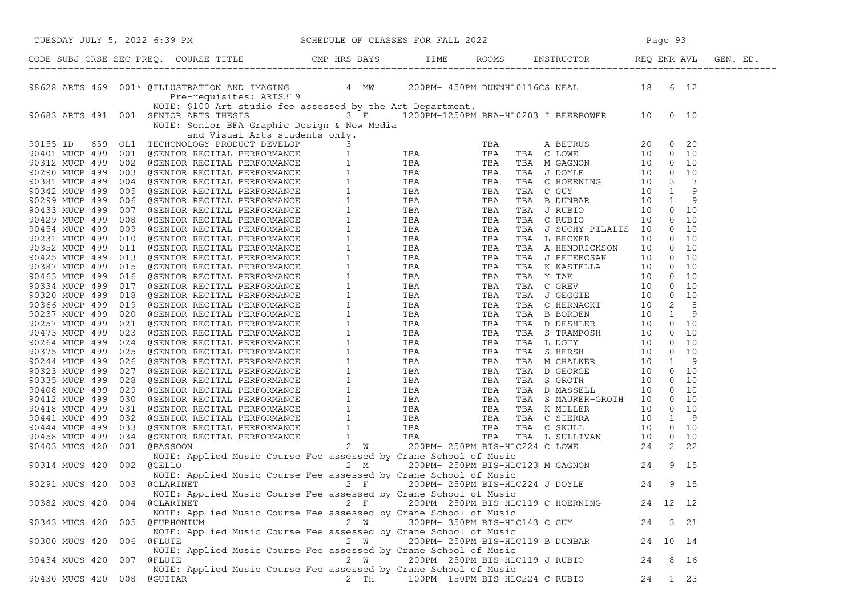| TUESDAY JULY 5, 2022 6:39 PM SCHEDULE OF CLASSES FOR FALL 2022                                                                                                                                                               |       |                               |                                    |          |      |  |
|------------------------------------------------------------------------------------------------------------------------------------------------------------------------------------------------------------------------------|-------|-------------------------------|------------------------------------|----------|------|--|
|                                                                                                                                                                                                                              |       |                               |                                    |          |      |  |
| 98628 ARTS 469 001* @ILLUSTRATION AND IMAGING 4 MW 200PM-450PM DUNNHL0116CS NEAL 18 6 12<br>Pre-requisites: ARTS319<br>MOTE: \$100 Art studio fee assessed by the Art Department.<br>90683 ARTS 491 001 SENIOR ARTS THESIS   |       |                               |                                    |          |      |  |
| 9565 APTS 49: 10075, 1103 AC 1103 AC 1103 AC 1103 AC 1103 AC 1103 AC 1103 AC 1103 AC 1103 AC 1103 AC 1103 AC 1103 AC 1103 AC 1103 AC 1103 AC 1103 AC 1103 AC 1103 AC 1103 AC 1103 AC 1103 AC 1103 AC 1103 AC 1103 AC 1103 AC |       |                               |                                    |          |      |  |
|                                                                                                                                                                                                                              |       |                               |                                    |          |      |  |
|                                                                                                                                                                                                                              |       |                               |                                    |          |      |  |
|                                                                                                                                                                                                                              |       |                               |                                    |          |      |  |
|                                                                                                                                                                                                                              |       |                               |                                    |          |      |  |
|                                                                                                                                                                                                                              |       |                               |                                    |          |      |  |
|                                                                                                                                                                                                                              |       |                               |                                    |          |      |  |
|                                                                                                                                                                                                                              |       |                               |                                    |          |      |  |
|                                                                                                                                                                                                                              |       |                               |                                    |          |      |  |
|                                                                                                                                                                                                                              |       |                               |                                    |          |      |  |
|                                                                                                                                                                                                                              |       |                               |                                    |          |      |  |
|                                                                                                                                                                                                                              |       |                               |                                    |          |      |  |
|                                                                                                                                                                                                                              |       |                               |                                    |          |      |  |
|                                                                                                                                                                                                                              |       |                               |                                    |          |      |  |
|                                                                                                                                                                                                                              |       |                               |                                    |          |      |  |
|                                                                                                                                                                                                                              |       |                               |                                    |          |      |  |
|                                                                                                                                                                                                                              |       |                               |                                    |          |      |  |
|                                                                                                                                                                                                                              |       |                               |                                    |          |      |  |
|                                                                                                                                                                                                                              |       |                               |                                    |          |      |  |
|                                                                                                                                                                                                                              |       |                               |                                    |          |      |  |
|                                                                                                                                                                                                                              |       |                               |                                    |          |      |  |
|                                                                                                                                                                                                                              |       |                               |                                    |          |      |  |
|                                                                                                                                                                                                                              |       |                               |                                    |          |      |  |
|                                                                                                                                                                                                                              |       |                               |                                    |          |      |  |
|                                                                                                                                                                                                                              |       |                               |                                    |          |      |  |
|                                                                                                                                                                                                                              |       |                               |                                    |          |      |  |
|                                                                                                                                                                                                                              |       |                               |                                    |          |      |  |
|                                                                                                                                                                                                                              |       |                               |                                    |          |      |  |
|                                                                                                                                                                                                                              |       |                               |                                    |          |      |  |
|                                                                                                                                                                                                                              |       |                               |                                    |          |      |  |
|                                                                                                                                                                                                                              |       |                               |                                    |          |      |  |
|                                                                                                                                                                                                                              |       |                               |                                    |          |      |  |
|                                                                                                                                                                                                                              |       |                               |                                    |          |      |  |
|                                                                                                                                                                                                                              |       |                               |                                    |          |      |  |
|                                                                                                                                                                                                                              |       |                               |                                    |          |      |  |
|                                                                                                                                                                                                                              |       |                               |                                    |          |      |  |
|                                                                                                                                                                                                                              |       |                               |                                    |          |      |  |
|                                                                                                                                                                                                                              |       |                               |                                    |          |      |  |
| NOTE: Applied Music Course Fee assessed by Crane School of Music                                                                                                                                                             |       |                               |                                    |          |      |  |
| @CLARINET<br>90382 MUCS 420<br>004                                                                                                                                                                                           | $2$ F |                               | 200PM- 250PM BIS-HLC119 C HOERNING | 24 12 12 |      |  |
| NOTE: Applied Music Course Fee assessed by Crane School of Music                                                                                                                                                             |       |                               |                                    |          |      |  |
| 90343 MUCS 420<br>005 @EUPHONIUM                                                                                                                                                                                             | 2 W   | 300PM- 350PM BIS-HLC143 C GUY |                                    | 24       | 3 21 |  |
| NOTE: Applied Music Course Fee assessed by Crane School of Music                                                                                                                                                             |       |                               |                                    |          |      |  |
| 90300 MUCS 420<br>@FLUTE<br>006                                                                                                                                                                                              | 2 W   |                               | 200PM- 250PM BIS-HLC119 B DUNBAR   | 24 10 14 |      |  |
| NOTE: Applied Music Course Fee assessed by Crane School of Music                                                                                                                                                             |       |                               |                                    |          |      |  |
| 90434 MUCS 420<br>007<br>@FLUTE                                                                                                                                                                                              | 2 W   |                               | 200PM- 250PM BIS-HLC119 J RUBIO    | 24       | 8 16 |  |
| NOTE: Applied Music Course Fee assessed by Crane School of Music                                                                                                                                                             |       |                               |                                    |          |      |  |
| 90430 MUCS 420<br>008<br>@GUITAR                                                                                                                                                                                             | 2 Th  |                               | 100PM- 150PM BIS-HLC224 C RUBIO    | 24       | 1 23 |  |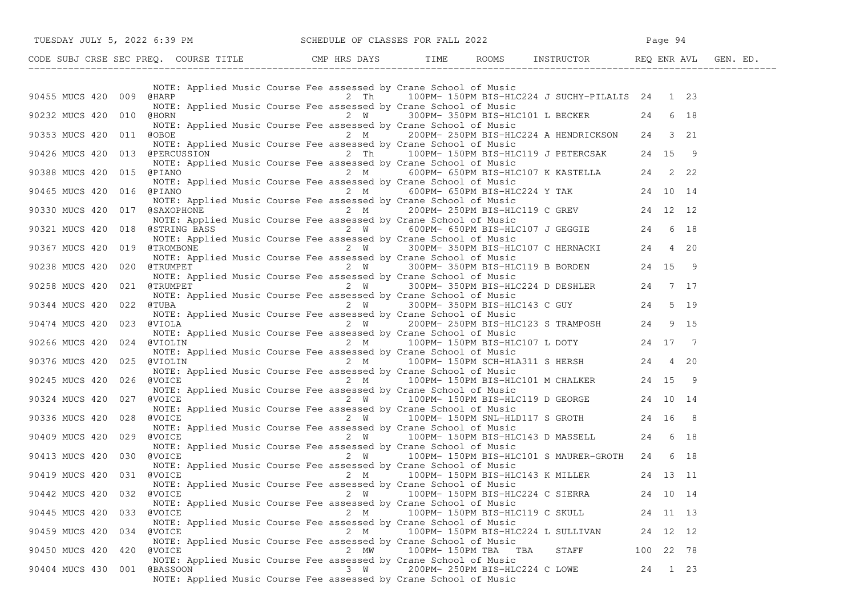| TUESDAY JULY 5, 2022 6:39 PM SCHEDULE OF CLASSES FOR FALL 2022                                                                                   |                                                                                                                                                                                                                                        |      |                                    |                                                   |           | Page 94 |  |
|--------------------------------------------------------------------------------------------------------------------------------------------------|----------------------------------------------------------------------------------------------------------------------------------------------------------------------------------------------------------------------------------------|------|------------------------------------|---------------------------------------------------|-----------|---------|--|
| CODE SUBJ CRSE SEC PREQ. COURSE TITLE THE THE THE ROOMS INSTRUCTOR THE REQ ENR AVL GEN. ED.                                                      |                                                                                                                                                                                                                                        |      |                                    |                                                   |           |         |  |
| 90455 MUCS 420 009 @HARP                                                                                                                         | NOTE: Applied Music Course Fee assessed by Crane School of Music<br>2 Th 100PM-150PM BIS-HLC224 J SUCHY-PILALIS 24 1 23<br>NOTE: Applied Music Course Fee assessed by Crane School of Music                                            |      |                                    |                                                   |           |         |  |
| 90232 MUCS 420 010 @HORN                                                                                                                         | NOTE: Applied Music Course Fee assessed by Crane School of Music                                                                                                                                                                       |      |                                    | 2 W 300PM-350PM BIS-HLC101 L BECKER 24 6 18       |           |         |  |
| 90353 MUCS 420 011 @OBOE                                                                                                                         | NOTE: Applied Music Course Fee assessed by Crane School of Music                                                                                                                                                                       |      |                                    | 2 M 200PM-250PM BIS-HLC224 A HENDRICKSON 24 3 21  |           |         |  |
| 90426 MUCS 420 013 @PERCUSSION 2 Th 100PM-150PM BIS-HLC119 J PETERCSAK 24 15 9                                                                   | NOTE: Applied Music Course Fee assessed by Crane School of Music                                                                                                                                                                       |      |                                    |                                                   |           |         |  |
| 90388 MUCS 420 015 @PIANO                                                                                                                        | 2 M 600PM- 650PM BIS-HLC107 K KASTELLA 24 222<br>NOTE: Applied Music Course Fee assessed by Crane School of Music                                                                                                                      |      |                                    |                                                   |           |         |  |
| 90465 MUCS 420 016 @PIANO 2 M 600PM-650PM BIS-HLC224 Y TAK 24 10 14                                                                              | NOTE: Applied Music Course Fee assessed by Crane School of Music                                                                                                                                                                       |      |                                    |                                                   |           |         |  |
| 90330 MUCS 420 017 @SAXOPHONE                                                                                                                    | NOTE: Applied Music Course Fee assessed by Crane School of Music                                                                                                                                                                       |      |                                    | 2 M 200PM-250PM BIS-HLC119 C GREV 24 12 12        |           |         |  |
| 90321 MUCS 420 018 @STRING BASS<br>900321 MUCS 420 018 @STRING BASS<br>NOTE: Applied Music Course For assessed by Course about 50 Minutes and 18 | NOTE: Applied Music Course Fee assessed by Crane School of Music                                                                                                                                                                       |      |                                    |                                                   |           |         |  |
| 90367 MUCS 420 019 @TROMBONE                                                                                                                     | Music Course Fee assessed by Crane School of Music<br>2 W 300PM-350PM BIS-HLC107 C HERNACKI 24 4 20<br>NOTE: Applied Music Course Fee assessed by Crane School of Music                                                                |      |                                    |                                                   |           |         |  |
| 90238 MUCS 420 020 @TRUMPET 2 M 300PM-350PM BIS-HLC119 B BORDEN 24 15 9                                                                          | NOTE: Applied Music Course Fee assessed by Crane School of Music                                                                                                                                                                       |      |                                    |                                                   |           |         |  |
| 90258 MUCS 420 021 @TRUMPET                                                                                                                      | $2 \quad W$<br>NOTE: Applied Music Course Fee assessed by Crane School of Music                                                                                                                                                        |      |                                    | 300PM-350PM BIS-HLC224 D DESHLER 24 7 17          |           |         |  |
| 90344 MUCS 420 022 @TUBA                                                                                                                         | TUBA<br>2 W 300PM-350PM BIS-HLC143 C GUY 24 5 19<br>NOTE: Applied Music Course Fee assessed by Crane School of Music<br>2 W 200PM-250PM BIS-HLC123 S TRAMPOSH 24 9 15<br>NOTE: Applied Music Course Fee assessed by Crane School of Mu |      |                                    |                                                   |           |         |  |
| 90474 MUCS 420<br>023 @VIOLA                                                                                                                     |                                                                                                                                                                                                                                        |      |                                    |                                                   |           |         |  |
| 90266 MUCS 420 024 @VIOLIN<br>90376 MUCS 420 025 @VIOLIN 2 M $\frac{2 \text{ M}}{100 \text{ P}}$ 150PM SCH-HLA311 S HERSH 24 4 20                | 2 M 100PM-150PM BIS-HLC107 L DOTY 24 17 7<br>NOTE: Applied Music Course Fee assessed by Crane School of Music                                                                                                                          |      |                                    |                                                   |           |         |  |
| 90245 MUCS 420 026 @VOICE                                                                                                                        | NOTE: Applied Music Course Fee assessed by Crane School of Music                                                                                                                                                                       |      |                                    | 2 M 100PM-150PM BIS-HLC101 M CHALKER 24 15 9      |           |         |  |
| 90324 MUCS 420<br>027 @VOICE                                                                                                                     | NOTE: Applied Music Course Fee assessed by Crane School of Music<br>@VOICE               2  W     100PM- 150PM BIS-HLC119 D GEORGE      24 10 14                                                                                       |      |                                    |                                                   |           |         |  |
| 90336 MUCS 420 028 @VOICE                                                                                                                        | NOTE: Applied Music Course Fee assessed by Crane School of Music                                                                                                                                                                       |      |                                    | $2 W$ 100PM-150PM SNL-HLD117 S GROTH 24 16 8      |           |         |  |
| 90409 MUCS 420 029 @VOICE                                                                                                                        | NOTE: Applied Music Course Fee assessed by Crane School of Music<br>2 W 100PM-150PM BIS-HLC143 D MASSELL 24 6 18                                                                                                                       |      |                                    |                                                   |           |         |  |
| 030 @VOICE<br>90413 MUCS 420                                                                                                                     | NOTE: Applied Music Course Fee assessed by Crane School of Music                                                                                                                                                                       |      |                                    | 2 W 100PM-150PM BIS-HLC101 S MAURER-GROTH 24 6 18 |           |         |  |
| 90419 MUCS 420 031 @VOICE                                                                                                                        | NOTE: Applied Music Course Fee assessed by Crane School of Music                                                                                                                                                                       |      |                                    | 2 M 100PM-150PM BIS-HLC143 K MILLER 24 13 11      |           |         |  |
| 90442 MUCS 420 032<br>@VOICE                                                                                                                     | NOTE: Applied Music Course Fee assessed by Crane School of Music                                                                                                                                                                       | 2 W  | 100PM- 150PM BIS-HLC224 C SIERRA   |                                                   | 24 10 14  |         |  |
| 90445 MUCS 420<br>033 @VOICE                                                                                                                     | NOTE: Applied Music Course Fee assessed by Crane School of Music                                                                                                                                                                       | 2 M  | 100PM- 150PM BIS-HLC119 C SKULL    |                                                   | 24 11 13  |         |  |
| 90459 MUCS 420<br>034<br>@VOICE                                                                                                                  | NOTE: Applied Music Course Fee assessed by Crane School of Music                                                                                                                                                                       | 2 M  | 100PM- 150PM BIS-HLC224 L SULLIVAN |                                                   | 24 12 12  |         |  |
| 90450 MUCS 420<br>420<br><b>@VOICE</b>                                                                                                           | NOTE: Applied Music Course Fee assessed by Crane School of Music                                                                                                                                                                       | 2 MW | 100PM-150PM TBA TBA                | STAFF                                             | 100 22 78 |         |  |
| 90404 MUCS 430<br>001 @BASSOON                                                                                                                   | NOTE: Applied Music Course Fee assessed by Crane School of Music<br>NOTE: Applied Music Course Fee assessed by Crane School of Music                                                                                                   | 3 W  | 200PM- 250PM BIS-HLC224 C LOWE     |                                                   | 24        | 1 23    |  |
|                                                                                                                                                  |                                                                                                                                                                                                                                        |      |                                    |                                                   |           |         |  |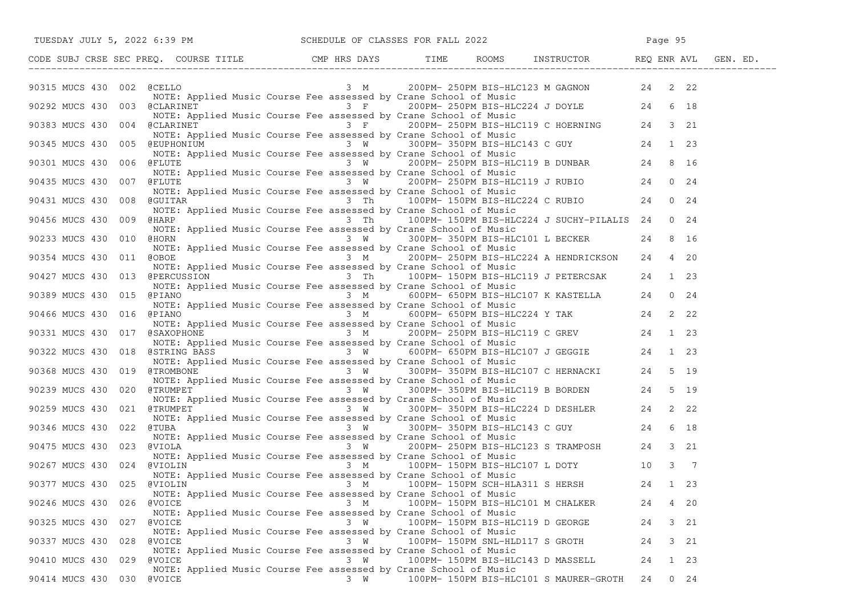|                              |                                                                                   |         | TUESDAY JULY 5, 2022 6:39 PM SCHEDULE OF CLASSES FOR FALL 2022                                                                                                                                                                            |                   |  |
|------------------------------|-----------------------------------------------------------------------------------|---------|-------------------------------------------------------------------------------------------------------------------------------------------------------------------------------------------------------------------------------------------|-------------------|--|
|                              |                                                                                   |         | CODE SUBJ CRSE SEC PREQ. COURSE TITLE THE ROOMS TIME ROOMS INSTRUCTOR REQ ENR AVL GEN. ED.                                                                                                                                                |                   |  |
|                              |                                                                                   |         |                                                                                                                                                                                                                                           |                   |  |
| 90292 MUCS 430 003 @CLARINET |                                                                                   |         | NOTE: Applied Music Course Fee assessed by Crane School of Music<br>@CLARINET 3 F 200PM-250PM BIS-HLC224 J DOYLE 24 6 18<br>NOTE: Applied Music Course Fee assessed by Crane School of Music                                              |                   |  |
|                              |                                                                                   |         | 90383 MUCS 430 004 @CLARINET Applied music course ree assessed by crane School of Music<br>3 Franco School of Music Course For assessed by Crane School of Music Hotel PHOTE 24 3 21                                                      |                   |  |
|                              | NOTE: Applied Music Course Fee assessed by Crane School of Music                  |         | 90383 MUCS 430 004 WOTE: Applied Music Course Fee assessed by Crane School of Music<br>90345 MUCS 430 005 @EUPHONIUM 23 W 300PM-350PM BIS-HLC143 C GUY 24 1 23                                                                            |                   |  |
| 90301 MUCS 430 006 @FLUTE    |                                                                                   |         | 3 W 200PM-250PM BIS-HLC119 B DUNBAR 24 8 16                                                                                                                                                                                               |                   |  |
|                              | NOTE: Applied Music Course Fee assessed by Crane School of Music                  |         | 90435 MUCS 430 007 @FLUTE NOTE: Applied Music Course Fee assessed by Crane School of Music<br>90435 MUCS 430 007 @FLUTE 3 W  200PM-250PM BIS-HLC119 J RUBIO 24 0 24                                                                       |                   |  |
| 90431 MUCS 430 008 @GUITAR   | NOTE: Applied Music Course Fee assessed by Crane School of Music                  |         | 3 Th 100PM-150PM BIS-HLC224 C RUBIO 24 0 24<br>d Music Course Fee assessed by Crane School of Music                                                                                                                                       |                   |  |
| 90456 MUCS 430               | NOTE: Applied Music Course Fee assessed by Crane School of Music                  |         | 009 @HARP 6 100PM-150PM BIS-HLC224 J SUCHY-PILALIS 24 0 24                                                                                                                                                                                |                   |  |
| 90233 MUCS 430 010 @HORN     | NOTE: Applied Music Course Fee assessed by Crane School of Music                  |         | 3 W 300PM-350PM BIS-HLC101 L BECKER 24 8 16                                                                                                                                                                                               |                   |  |
| 90354 MUCS 430 011 @OBOE     |                                                                                   |         | 3 M 200PM-250PM BIS-HLC224 A HENDRICKSON 24 4 20<br>NOTE: Applied Music Course Fee assessed by Crane School of Music                                                                                                                      |                   |  |
|                              | NOTE: Applied Music Course Fee assessed by Crane School of Music                  |         | 90427 MUCS 430 013 @PERCUSSION 3 Th 100PM-150PM BIS-HLC119 J PETERCSAK 24 1 23                                                                                                                                                            |                   |  |
| 90389 MUCS 430 015 @PIANO    |                                                                                   |         | $3 \t M$ 600PM-650PM BIS-HLC107 K KASTELLA 24 0 24<br>NOTE: Applied Music Course Fee assessed by Crane School of Music                                                                                                                    |                   |  |
|                              | NOTE: Applied Music Course Fee assessed by Crane School of Music                  |         | 90466 MUCS 430 016 @PIANO 3 M 600PM-650PM BIS-HLC224 Y TAK 24 2 22                                                                                                                                                                        |                   |  |
|                              |                                                                                   |         | 90331 MUCS 430 017 @SAXOPHONE<br>MOTE: Applied Music Course Fee assessed by Crane School of Music<br>MOTE: Applied Music Course Fee assessed by Crane School of Music<br>90322 MUCS 430 018 @STRING BASS<br>3 W. 600PM-650PM BIS-HLC10    |                   |  |
|                              | NOTE: Applied Music Course Fee assessed by Crane School of Music                  |         |                                                                                                                                                                                                                                           |                   |  |
| 90368 MUCS 430 019 @TROMBONE | NOTE: Applied Music Course Fee assessed by Crane School of Music                  |         | $3 W$ 300PM-350PM BIS-HLC107 C HERNACKI 24 5 19                                                                                                                                                                                           |                   |  |
|                              |                                                                                   |         | 90239 MUCS 430 020 CTRUMPET 3 W 300PM-350PM BIS-HLC119 B BORDEN 24 5 19                                                                                                                                                                   |                   |  |
| 90259 MUCS 430 021 @TRUMPET  | NOTE: Applied Music Course Fee assessed by Crane School of Music                  |         | gTRUMPET<br>NOTE: Applied Music Course Fee assessed by Crane School of Music<br>@TRUMPET               3 W    300PM- 350PM_BIS-HLC224 D DESHLER     24  2 22                                                                              |                   |  |
|                              |                                                                                   |         | NOTE: Applied Music Course Fee assessed by Crane School of Music<br>3 W 300PM-350PM BIS-HLC143 C GUY 24 6 18<br>3 W 300PM-350PM BIS-HLC143 C GUY 24 6 18<br>3 W 200PM-250PM BIS-HLC123 S TRAMPOSH 24 3 21<br>3 W 200PM-250PM BIS-HLC123 S |                   |  |
|                              | NOTE: Applied Music Course Fee assessed by Crane School of Music                  |         |                                                                                                                                                                                                                                           |                   |  |
| 90267 MUCS 430 024 @VIOLIN   |                                                                                   |         | 3 M 100PM-150PM BIS-HLC107 L DOTY 10 3 7<br>NOTE: Applied Music Course Fee assessed by Crane School of Music                                                                                                                              |                   |  |
|                              |                                                                                   |         | WIOLIN 3 M 100PM-150PM SCH-HLA311 S HERSH 24 1 23<br>NOTE: Applied Music Course Fee assessed by Crane School of Music                                                                                                                     |                   |  |
| 90246 MUCS 430<br>026        | <b>@VOICE</b><br>NOTE: Applied Music Course Fee assessed by Crane School of Music | 3 M     | 100PM- 150PM BIS-HLC101 M CHALKER                                                                                                                                                                                                         | 4 20<br>24        |  |
| 90325 MUCS 430<br>027        | @VOICE<br>NOTE: Applied Music Course Fee assessed by Crane School of Music        | $3 \tW$ | 100PM- 150PM BIS-HLC119 D GEORGE                                                                                                                                                                                                          | 24<br>3 21        |  |
| 90337 MUCS 430               | 028 @VOICE<br>NOTE: Applied Music Course Fee assessed by Crane School of Music    | 3 W     | 100PM- 150PM SNL-HLD117 S GROTH                                                                                                                                                                                                           | 3 21<br>24        |  |
| 90410 MUCS 430               | 029 @VOICE<br>NOTE: Applied Music Course Fee assessed by Crane School of Music    | 3 W     | 100PM- 150PM BIS-HLC143 D MASSELL                                                                                                                                                                                                         | 1 23<br>24        |  |
| 90414 MUCS 430 030 @VOICE    |                                                                                   | 3 W     | 100PM- 150PM BIS-HLC101 S MAURER-GROTH                                                                                                                                                                                                    | $0\quad 24$<br>24 |  |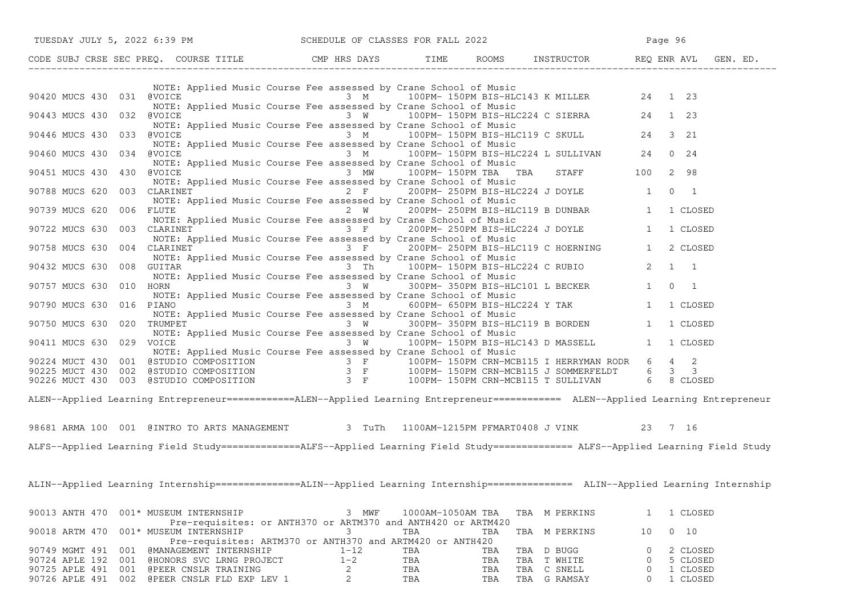| TUESDAY JULY 5, 2022 6:39 PM SCHEDULE OF CLASSES FOR FALL 2022                                                                                                                                                                                                                                                                                                                                                       |                                                                                              |                   |            |                                                                                                  | Page 96      |                      |
|----------------------------------------------------------------------------------------------------------------------------------------------------------------------------------------------------------------------------------------------------------------------------------------------------------------------------------------------------------------------------------------------------------------------|----------------------------------------------------------------------------------------------|-------------------|------------|--------------------------------------------------------------------------------------------------|--------------|----------------------|
| CODE SUBJ CRSE SEC PREQ. COURSE TITLE THE CMP HRS DAYS TIME                                                                                                                                                                                                                                                                                                                                                          |                                                                                              |                   |            | ROOMS INSTRUCTOR REQ ENR AVL GEN. ED.                                                            |              |                      |
|                                                                                                                                                                                                                                                                                                                                                                                                                      |                                                                                              |                   |            |                                                                                                  |              |                      |
| NOTE: Applied Music Course Fee assessed by Crane School of Music                                                                                                                                                                                                                                                                                                                                                     |                                                                                              |                   |            |                                                                                                  |              |                      |
| 90420 MUCS 430 031 @VOICE 3 M 100PM-150PM BIS-HLC143 K MILLER 24 1 23                                                                                                                                                                                                                                                                                                                                                |                                                                                              |                   |            |                                                                                                  |              |                      |
| NOTE: Applied Music Course Fee assessed by Crane School of Music<br>90443 MUCS 430 032 @VOICE                                                                                                                                                                                                                                                                                                                        | Course Fee assessed by Crane School of Music<br>3 W 100PM-150PM BIS-HLC224 C SIERRA 24 1 23  |                   |            |                                                                                                  |              |                      |
| NOTE: Applied Music Course Fee assessed by Crane School of Music                                                                                                                                                                                                                                                                                                                                                     |                                                                                              |                   |            |                                                                                                  |              |                      |
| $\frac{3 \text{ M}}{24 \text{ N}}$ $\frac{3 \text{ M}}{24 \text{ N}}$ $\frac{3 \text{ M}}{24 \text{ N}}$ $\frac{100 \text{PM}}{24 \text{ N}}$ $\frac{150 \text{PM}}{24 \text{ N}}$ $\frac{150 \text{PM}}{24 \text{ N}}$ $\frac{150 \text{PM}}{24 \text{ N}}$ $\frac{150 \text{PM}}{24 \text{ N}}$ $\frac{150 \text{PM}}{24 \text{ N}}$ $\frac{150 \text{PM}}{24 \text{ N}}$ $\frac{150$<br>90446 MUCS 430 033 @VOICE |                                                                                              |                   |            |                                                                                                  |              |                      |
| NOTE: Applied Music Course Fee assessed by Crane School of Music                                                                                                                                                                                                                                                                                                                                                     |                                                                                              |                   |            | ssessed by Crane School of Music<br>3  M          100PM- 150PM BIS-HLC224 L SULLIVAN          24 |              |                      |
| 90460 MUCS 430 034<br>@VOICE                                                                                                                                                                                                                                                                                                                                                                                         |                                                                                              |                   |            |                                                                                                  |              | $0 \t 24$            |
| NOTE: Applied Music Course Fee assessed by Crane School of Music                                                                                                                                                                                                                                                                                                                                                     |                                                                                              |                   |            |                                                                                                  |              |                      |
| 90451 MUCS 430 430 @VOICE                                                                                                                                                                                                                                                                                                                                                                                            | 3 MW 100PM-150PM TBA TBA STAFF 100                                                           |                   |            |                                                                                                  |              | 2 98                 |
| NOTE: Applied Music Course Fee assessed by Crane School of Music<br>90788 MUCS 620<br>003 CLARINET                                                                                                                                                                                                                                                                                                                   |                                                                                              |                   |            | 2 F 200PM-250PM BIS-HLC224 J DOYLE 1 0 1                                                         |              |                      |
| NOTE: Applied Music Course Fee assessed by Crane School of Music                                                                                                                                                                                                                                                                                                                                                     |                                                                                              |                   |            |                                                                                                  |              |                      |
| 90739 MUCS 620<br>006 FLUTE                                                                                                                                                                                                                                                                                                                                                                                          |                                                                                              |                   |            | 2 W 200PM-250PM BIS-HLC119 B DUNBAR 1                                                            |              | 1 CLOSED             |
| NOTE: Applied Music Course Fee assessed by Crane School of Music                                                                                                                                                                                                                                                                                                                                                     |                                                                                              |                   |            |                                                                                                  |              |                      |
| 90722 MUCS 630 003 CLARINET                                                                                                                                                                                                                                                                                                                                                                                          | 3 F 200PM-250PM BIS-HLC224 J DOYLE 1                                                         |                   |            |                                                                                                  |              | 1 CLOSED             |
| NOTE: Applied Music Course Fee assessed by Crane School of Music                                                                                                                                                                                                                                                                                                                                                     |                                                                                              |                   |            |                                                                                                  |              |                      |
| 90758 MUCS 630 004 CLARINET                                                                                                                                                                                                                                                                                                                                                                                          | 3 F 200PM-250PM BIS-HLC119 C HOERNING 1                                                      |                   |            |                                                                                                  |              | 2 CLOSED             |
| NOTE: Applied Music Course Fee assessed by Crane School of Music<br>90432 MUCS 630 008 GUITAR 11 1 2 1 2 2 3 Th 100PM-150PM BIS-HLC224 C RUBIO 2 1 1                                                                                                                                                                                                                                                                 |                                                                                              |                   |            |                                                                                                  |              |                      |
| NOTE: Applied Music Course Fee assessed by Crane School of Music                                                                                                                                                                                                                                                                                                                                                     |                                                                                              |                   |            |                                                                                                  |              |                      |
| 90757 MUCS 630 010 HORN                                                                                                                                                                                                                                                                                                                                                                                              | irse Fee assessed by Crane School of Music<br>3 W 300PM-350PM BIS-HLC101 L BECKER 1 0 1      |                   |            |                                                                                                  |              |                      |
| NOTE: Applied Music Course Fee assessed by Crane School of Music                                                                                                                                                                                                                                                                                                                                                     |                                                                                              |                   |            |                                                                                                  |              |                      |
| 3 M 600PM-650PM BIS-HLC224 Y TAK 1 1 CLOSED<br>90790 MUCS 630<br>016 PIANO                                                                                                                                                                                                                                                                                                                                           |                                                                                              |                   |            |                                                                                                  |              |                      |
| NOTE: Applied Music Course Fee assessed by Crane School of Music                                                                                                                                                                                                                                                                                                                                                     | urse ree assessed by Crane School of Music<br>3 W 300PM-350PM BIS-HLC119 B BORDEN 1 1 CLOSED |                   |            |                                                                                                  |              |                      |
| 90750 MUCS 630 020 TRUMPET                                                                                                                                                                                                                                                                                                                                                                                           |                                                                                              |                   |            |                                                                                                  |              |                      |
| NOTE: Applied Music Course Fee assessed by Crane School of Music<br>90411 MUCS 630 029 VOICE                                                                                                                                                                                                                                                                                                                         | 3 $W$ 100PM-150PM BIS-HLC143 D MASSELL 1 1 CLOSED                                            |                   |            |                                                                                                  |              |                      |
| NOTE: Applied Music Course Fee assessed by Crane School of Music                                                                                                                                                                                                                                                                                                                                                     |                                                                                              |                   |            |                                                                                                  |              |                      |
|                                                                                                                                                                                                                                                                                                                                                                                                                      |                                                                                              |                   |            |                                                                                                  |              |                      |
|                                                                                                                                                                                                                                                                                                                                                                                                                      |                                                                                              |                   |            |                                                                                                  |              |                      |
| 90224 MUCT 430 001 @STUDIO COMPOSITION 3 F 100PM-150PM CRN-MCB115 I HERRYMAN RODR 6 4 2<br>90225 MUCT 430 002 @STUDIO COMPOSITION 3 F 100PM-150PM CRN-MCB115 J SOMMERFELDT 6 3 3<br>90226 MUCT 430 003 @STUDIO COMPOSITION 3 F 100PM                                                                                                                                                                                 |                                                                                              |                   |            |                                                                                                  |              | 6 8 CLOSED           |
|                                                                                                                                                                                                                                                                                                                                                                                                                      |                                                                                              |                   |            |                                                                                                  |              |                      |
| ALEN--Applied Learning Entrepreneur===========ALEN--Applied Learning Entrepreneur=========== ALEN--Applied Learning Entrepreneur                                                                                                                                                                                                                                                                                     |                                                                                              |                   |            |                                                                                                  |              |                      |
|                                                                                                                                                                                                                                                                                                                                                                                                                      |                                                                                              |                   |            |                                                                                                  |              |                      |
| 98681 ARMA 100 001 @INTRO TO ARTS MANAGEMENT 3 TuTh 1100AM-1215PM PFMART0408 J VINK 23 7 16                                                                                                                                                                                                                                                                                                                          |                                                                                              |                   |            |                                                                                                  |              |                      |
|                                                                                                                                                                                                                                                                                                                                                                                                                      |                                                                                              |                   |            |                                                                                                  |              |                      |
| ALFS--Applied Learning Field Study=============ALFS--Applied Learning Field Study============= ALFS--Applied Learning Field Study                                                                                                                                                                                                                                                                                    |                                                                                              |                   |            |                                                                                                  |              |                      |
|                                                                                                                                                                                                                                                                                                                                                                                                                      |                                                                                              |                   |            |                                                                                                  |              |                      |
|                                                                                                                                                                                                                                                                                                                                                                                                                      |                                                                                              |                   |            |                                                                                                  |              |                      |
|                                                                                                                                                                                                                                                                                                                                                                                                                      |                                                                                              |                   |            |                                                                                                  |              |                      |
| ALIN--Applied Learning Internship==============ALIN--Applied Learning Internship============== ALIN--Applied Learning Internship                                                                                                                                                                                                                                                                                     |                                                                                              |                   |            |                                                                                                  |              |                      |
|                                                                                                                                                                                                                                                                                                                                                                                                                      |                                                                                              |                   |            |                                                                                                  |              |                      |
| 90013 ANTH 470 001* MUSEUM INTERNSHIP                                                                                                                                                                                                                                                                                                                                                                                | 3 MWF                                                                                        | 1000AM-1050AM TBA |            | TBA M PERKINS                                                                                    | $\mathbf{1}$ | 1 CLOSED             |
| Pre-requisites: or ANTH370 or ARTM370 and ANTH420 or ARTM420                                                                                                                                                                                                                                                                                                                                                         |                                                                                              |                   |            |                                                                                                  |              |                      |
| 90018 ARTM 470<br>001* MUSEUM INTERNSHIP                                                                                                                                                                                                                                                                                                                                                                             | 3                                                                                            | TBA               | TBA        | TBA M PERKINS                                                                                    | 10           | $0\quad 10$          |
| Pre-requisites: ARTM370 or ANTH370 and ARTM420 or ANTH420                                                                                                                                                                                                                                                                                                                                                            |                                                                                              |                   |            |                                                                                                  |              |                      |
| @MANAGEMENT INTERNSHIP<br>90749 MGMT 491<br>001                                                                                                                                                                                                                                                                                                                                                                      | $1 - 12$                                                                                     | TBA               | TBA        | TBA D BUGG                                                                                       | 0            | 2 CLOSED             |
| 90724 APLE 192<br>001<br><b>@HONORS SVC LRNG PROJECT</b><br>90725 APLE 491 001<br>@PEER CNSLR TRAINING                                                                                                                                                                                                                                                                                                               | $1 - 2$<br>2                                                                                 | TBA<br>TBA        | TBA<br>TBA | TBA T WHITE<br>TBA C SNELL                                                                       | 0<br>0       | 5 CLOSED<br>1 CLOSED |
| 90726 APLE 491 002 @PEER CNSLR FLD EXP LEV 1                                                                                                                                                                                                                                                                                                                                                                         | 2                                                                                            | TBA               | TBA        | TBA G RAMSAY                                                                                     | $\Omega$     | 1 CLOSED             |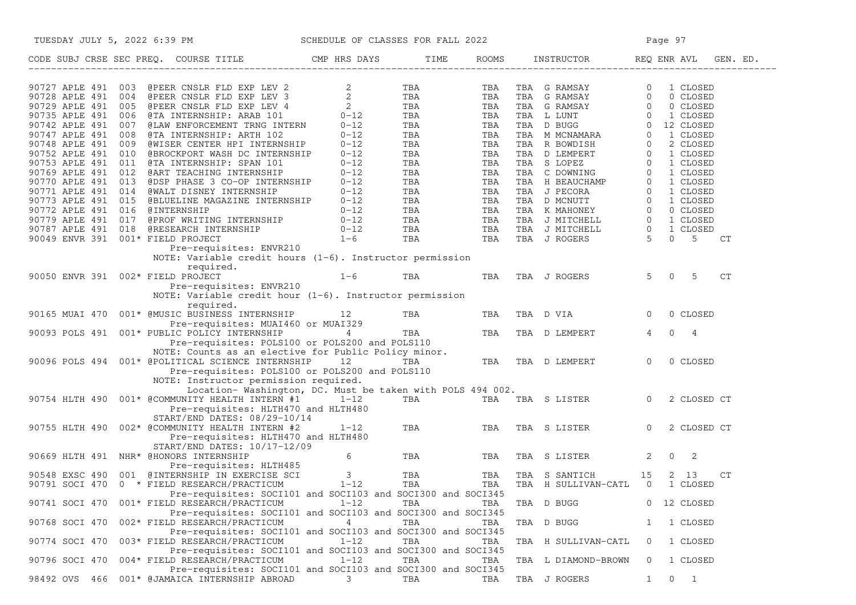| TUESDAY JULY 5, 2022 6:39 PM SCHEDULE OF CLASSES FOR FALL 2022                                                                                                                                                                                                                                                                                                                    |                         |            |     |                                | Page 97                               |
|-----------------------------------------------------------------------------------------------------------------------------------------------------------------------------------------------------------------------------------------------------------------------------------------------------------------------------------------------------------------------------------|-------------------------|------------|-----|--------------------------------|---------------------------------------|
| CODE SUBJ CRSE SEC PREQ. COURSE TITLE THE ROOMS TIME ROOMS INSTRUCTOR REQ ENR AVL GE CON-                                                                                                                                                                                                                                                                                         |                         |            |     |                                | ROOMS INSTRUCTOR REQ ENR AVL GEN. ED. |
| $\begin{array}{cccccc} 90727 & \text{RPLE} & 491 & 003 & \text{BPEER CNSIR FUD EXP LEV} & 2 & 2 & 75 \text{A} & 75 \text{A} & \text{TRA} & \text{G RMSAY} & 0 & 1 \text{ CLOSED} \\ 90728 & \text{RPLE} & 491 & 005 & \text{BPEER CNSIR FLD EXP LEV} & 2 & 75 \text{A} & 75 \text{A} & 75 \text{A} & 75 \text{A} & 75 \text{A} & 0 & 0 \text{ CLOSED} \\ 90725 & \text{RPLE} & 4$ |                         |            |     |                                |                                       |
|                                                                                                                                                                                                                                                                                                                                                                                   |                         |            |     |                                |                                       |
|                                                                                                                                                                                                                                                                                                                                                                                   |                         |            |     |                                |                                       |
|                                                                                                                                                                                                                                                                                                                                                                                   |                         |            |     |                                |                                       |
|                                                                                                                                                                                                                                                                                                                                                                                   |                         |            |     |                                |                                       |
|                                                                                                                                                                                                                                                                                                                                                                                   |                         |            |     |                                |                                       |
|                                                                                                                                                                                                                                                                                                                                                                                   |                         |            |     |                                |                                       |
|                                                                                                                                                                                                                                                                                                                                                                                   |                         |            |     |                                |                                       |
|                                                                                                                                                                                                                                                                                                                                                                                   |                         |            |     |                                |                                       |
|                                                                                                                                                                                                                                                                                                                                                                                   |                         |            |     |                                |                                       |
|                                                                                                                                                                                                                                                                                                                                                                                   |                         |            |     |                                |                                       |
|                                                                                                                                                                                                                                                                                                                                                                                   |                         |            |     |                                |                                       |
|                                                                                                                                                                                                                                                                                                                                                                                   |                         |            |     |                                |                                       |
|                                                                                                                                                                                                                                                                                                                                                                                   |                         |            |     |                                |                                       |
|                                                                                                                                                                                                                                                                                                                                                                                   |                         |            |     |                                | CT                                    |
| NOTE: Variable credit hours $(1-6)$ . Instructor permission                                                                                                                                                                                                                                                                                                                       |                         |            |     |                                |                                       |
| required.                                                                                                                                                                                                                                                                                                                                                                         |                         |            |     |                                |                                       |
| 90050 ENVR 391 002* FIELD PROJECT                                                                                                                                                                                                                                                                                                                                                 | $1-6$ TBA               |            |     | TBA TBA J ROGERS               | $5 \t 0 \t 5$<br>CT                   |
| Pre-requisites: ENVR210                                                                                                                                                                                                                                                                                                                                                           |                         |            |     |                                |                                       |
| NOTE: Variable credit hour $(1-6)$ . Instructor permission                                                                                                                                                                                                                                                                                                                        |                         |            |     |                                |                                       |
| required.                                                                                                                                                                                                                                                                                                                                                                         |                         |            |     |                                |                                       |
| 90165 MUAI 470  001* @MUSIC BUSINESS INTERNSHIP  12                                                                                                                                                                                                                                                                                                                               |                         | <b>TBA</b> | TBA | TBA D VIA                      | $\overline{0}$<br>0 CLOSED            |
|                                                                                                                                                                                                                                                                                                                                                                                   |                         |            |     |                                |                                       |
| 90093 POLS 491 001* PUBLIC POLICY INTERNSHIP                                                                                                                                                                                                                                                                                                                                      |                         |            |     |                                | $\overline{4}$<br>$0\quad 4$          |
|                                                                                                                                                                                                                                                                                                                                                                                   |                         |            |     |                                |                                       |
| TEA TEA TEA TEA TEA TEA DEMPERT<br>Pre-requisites: POLS100 or POLS200 and POLS110<br>TE: Counts as an elective for Public Political<br>TECNIC STIPM<br>NOTE: Counts as an elective for Public Policy minor.                                                                                                                                                                       |                         |            |     |                                |                                       |
| 90096 POLS 494 001* @POLITICAL SCIENCE INTERNSHIP 12                                                                                                                                                                                                                                                                                                                              |                         | TBA        |     | TBA TBA D LEMPERT              | $\overline{0}$<br>0 CLOSED            |
| Pre-requisites: POLS100 or POLS200 and POLS110                                                                                                                                                                                                                                                                                                                                    |                         |            |     |                                |                                       |
| NOTE: Instructor permission required.                                                                                                                                                                                                                                                                                                                                             |                         |            |     |                                |                                       |
| Location-Washington, DC. Must be taken with POLS 494 002.<br>90754 HLTH 490 001* @COMMUNITY HEALTH INTERN #1 1-12                                                                                                                                                                                                                                                                 |                         |            |     | TBA TBA TBA S LISTER 0         |                                       |
| Pre-requisites: HLTH470 and HLTH480                                                                                                                                                                                                                                                                                                                                               |                         |            |     |                                | 2 CLOSED CT                           |
| START/END DATES: 08/29-10/14                                                                                                                                                                                                                                                                                                                                                      |                         |            |     |                                |                                       |
| 90755 HLTH 490 002* @COMMUNITY HEALTH INTERN #2                                                                                                                                                                                                                                                                                                                                   | $1 - 12$                | TBA        | TBA | TBA S LISTER                   | $\overline{0}$<br>2 CLOSED CT         |
| Pre-requisites: HLTH470 and HLTH480                                                                                                                                                                                                                                                                                                                                               |                         |            |     |                                |                                       |
| START/END DATES: 10/17-12/09                                                                                                                                                                                                                                                                                                                                                      |                         |            |     |                                |                                       |
| 90669 HLTH 491 NHR* @HONORS INTERNSHIP                                                                                                                                                                                                                                                                                                                                            | 6 —                     | TBA        | TBA | TBA S LISTER                   | $\mathbf{2}$<br>$0\qquad 2$           |
| Pre-requisites: HLTH485                                                                                                                                                                                                                                                                                                                                                           |                         |            |     |                                |                                       |
| 90548 EXSC 490 001 @INTERNSHIP IN EXERCISE SCI                                                                                                                                                                                                                                                                                                                                    | $\overline{\mathbf{3}}$ | TBA        | TBA | TBA S SANTICH                  | 15<br>2 13<br>CT                      |
| 90791 SOCI 470 0 * FIELD RESEARCH/PRACTICUM 1-12                                                                                                                                                                                                                                                                                                                                  |                         | TBA        | TBA | TBA H SULLIVAN-CATL 0 1 CLOSED |                                       |
| Pre-requisites: SOCI101 and SOCI103 and SOCI300 and SOCI345                                                                                                                                                                                                                                                                                                                       |                         |            |     |                                |                                       |
| 001* FIELD RESEARCH/PRACTICUM<br>90741 SOCI 470                                                                                                                                                                                                                                                                                                                                   | $1 - 12$                | TBA        | TBA | TBA D BUGG                     | 0 12 CLOSED                           |
| Pre-requisites: SOCI101 and SOCI103 and SOCI300 and SOCI345                                                                                                                                                                                                                                                                                                                       |                         |            |     |                                |                                       |
| 90768 SOCI 470<br>002* FIELD RESEARCH/PRACTICUM                                                                                                                                                                                                                                                                                                                                   | 4                       | TBA        | TBA | TBA D BUGG                     | 1 CLOSED<br>ı.                        |
| Pre-requisites: SOCI101 and SOCI103 and SOCI300 and SOCI345                                                                                                                                                                                                                                                                                                                       |                         |            |     |                                |                                       |
| 003* FIELD RESEARCH/PRACTICUM<br>90774 SOCI 470                                                                                                                                                                                                                                                                                                                                   | $1 - 12$                | TBA        | TBA | TBA H SULLIVAN-CATL            | 1 CLOSED<br>$\circ$                   |
| Pre-requisites: SOCI101 and SOCI103 and SOCI300 and SOCI345                                                                                                                                                                                                                                                                                                                       |                         |            |     |                                |                                       |
| 004* FIELD RESEARCH/PRACTICUM<br>90796 SOCI 470<br>Pre-requisites: SOCI101 and SOCI103 and SOCI300 and SOCI345                                                                                                                                                                                                                                                                    | $1 - 12$                | TBA        | TBA | TBA L DIAMOND-BROWN            | 0<br>1 CLOSED                         |
| 001* @JAMAICA INTERNSHIP ABROAD<br>98492 OVS 466                                                                                                                                                                                                                                                                                                                                  | 3                       | TBA        | TBA | TBA J ROGERS                   | 0<br>$\overline{1}$<br>1              |
|                                                                                                                                                                                                                                                                                                                                                                                   |                         |            |     |                                |                                       |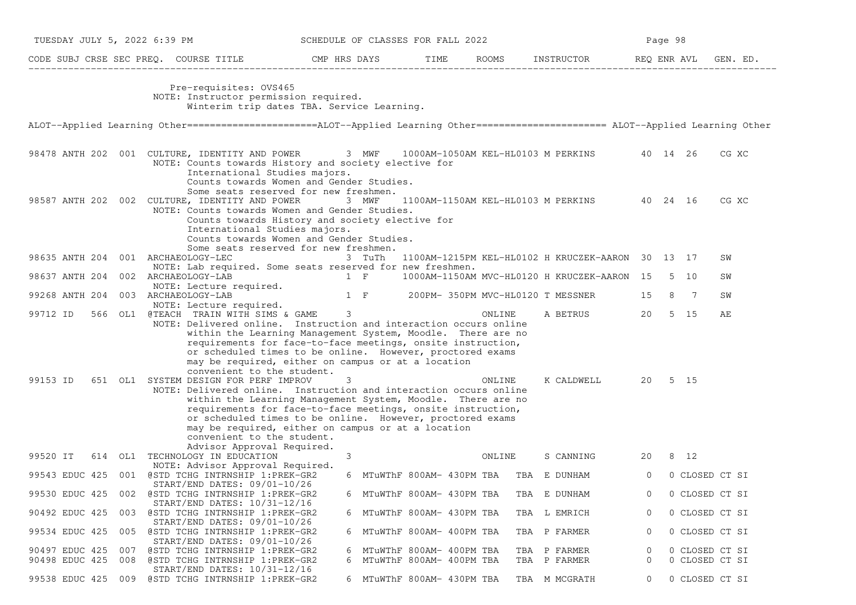| TUESDAY JULY 5, 2022 6:39 PM       |                                                                                                                                                                                                                                                                                                                                                                                                                                                                               | SCHEDULE OF CLASSES FOR FALL 2022 |                                         |                       |                                                   | Page 98        |      |                      |
|------------------------------------|-------------------------------------------------------------------------------------------------------------------------------------------------------------------------------------------------------------------------------------------------------------------------------------------------------------------------------------------------------------------------------------------------------------------------------------------------------------------------------|-----------------------------------|-----------------------------------------|-----------------------|---------------------------------------------------|----------------|------|----------------------|
|                                    | CODE SUBJ CRSE SEC PREQ. COURSE TITLE THE CMP HRS DAYS                                                                                                                                                                                                                                                                                                                                                                                                                        |                                   |                                         | TIME ROOMS INSTRUCTOR |                                                   |                |      | REQ ENR AVL GEN. ED. |
|                                    | Pre-requisites: OVS465<br>NOTE: Instructor permission required.<br>Winterim trip dates TBA. Service Learning.                                                                                                                                                                                                                                                                                                                                                                 |                                   |                                         |                       |                                                   |                |      |                      |
|                                    | ALOT--Applied Learning Other=======================ALOT--Applied Learning Other====================== ALOT--Applied Learning Other                                                                                                                                                                                                                                                                                                                                            |                                   |                                         |                       |                                                   |                |      |                      |
|                                    | 98478 ANTH 202 001 CULTURE, IDENTITY AND POWER 3 MWF 1000AM-1050AM KEL-HL0103 M PERKINS 40 14 26<br>NOTE: Counts towards History and society elective for<br>International Studies majors.<br>Counts towards Women and Gender Studies.<br>Some seats reserved for new freshmen.                                                                                                                                                                                               |                                   |                                         |                       |                                                   |                |      | CG XC                |
|                                    | 98587 ANTH 202 002 CULTURE, IDENTITY AND POWER 3 MWF<br>NOTE: Counts towards Women and Gender Studies.<br>Counts towards History and society elective for<br>International Studies majors.<br>Counts towards Women and Gender Studies.<br>Some seats reserved for new freshmen.                                                                                                                                                                                               |                                   |                                         |                       | 1100AM-1150AM KEL-HL0103 M PERKINS 40 24 16       |                |      | CG XC                |
| 98635 ANTH 204 001 ARCHAEOLOGY-LEC |                                                                                                                                                                                                                                                                                                                                                                                                                                                                               | 3 TuTh                            |                                         |                       | 1100AM-1215PM KEL-HL0102 H KRUCZEK-AARON 30 13 17 |                |      | SW                   |
| 98637 ANTH 204 002 ARCHAEOLOGY-LAB | NOTE: Lab required. Some seats reserved for new freshmen.                                                                                                                                                                                                                                                                                                                                                                                                                     | 1 F                               |                                         |                       | 1000AM-1150AM MVC-HL0120 H KRUCZEK-AARON 15 5 10  |                |      | SW                   |
| 99268 ANTH 204 003 ARCHAEOLOGY-LAB | NOTE: Lecture required.                                                                                                                                                                                                                                                                                                                                                                                                                                                       |                                   |                                         |                       | 1 F 200PM-350PM MVC-HL0120 T MESSNER              | 15             | 8 7  | SW                   |
| 99712 ID                           | NOTE: Lecture required.<br>566 OL1 @TEACH TRAIN WITH SIMS & GAME 3<br>NOTE: Delivered online. Instruction and interaction occurs online<br>within the Learning Management System, Moodle. There are no<br>requirements for face-to-face meetings, onsite instruction,<br>or scheduled times to be online. However, proctored exams                                                                                                                                            |                                   |                                         | ONLINE                | A BETRUS                                          | 20             | 5 15 | AЕ                   |
| 99153 ID                           | may be required, either on campus or at a location<br>convenient to the student.<br>651 OL1 SYSTEM DESIGN FOR PERF IMPROV<br>NOTE: Delivered online. Instruction and interaction occurs online<br>within the Learning Management System, Moodle. There are no<br>requirements for face-to-face meetings, onsite instruction,<br>or scheduled times to be online. However, proctored exams<br>may be required, either on campus or at a location<br>convenient to the student. | 3                                 |                                         | ONLINE                | K CALDWELL 20 5 15                                |                |      |                      |
| 99520 IT                           | Advisor Approval Required.<br>614 OL1 TECHNOLOGY IN EDUCATION<br>NOTE: Advisor Approval Required.                                                                                                                                                                                                                                                                                                                                                                             | 3                                 |                                         | ONLINE                | S CANNING                                         | 20             | 8 12 |                      |
|                                    | 99543 EDUC 425 001 @STD TCHG INTRNSHIP 1:PREK-GR2<br>START/END DATES: 09/01-10/26                                                                                                                                                                                                                                                                                                                                                                                             |                                   | 6 MTuWThF 800AM- 430PM TBA TBA E DUNHAM |                       |                                                   | $\Omega$       |      | 0 CLOSED CT SI       |
| 99530 EDUC 425                     | 002 @STD TCHG INTRNSHIP 1:PREK-GR2                                                                                                                                                                                                                                                                                                                                                                                                                                            |                                   | 6 MTuWThF 800AM- 430PM TBA              |                       | TBA E DUNHAM                                      | 0              |      | 0 CLOSED CT SI       |
| 90492 EDUC 425                     | $START/END$ DATES: $10/31-12/16$<br>003 @STD TCHG INTRNSHIP 1: PREK-GR2                                                                                                                                                                                                                                                                                                                                                                                                       |                                   | 6 MTuWThF 800AM- 430PM TBA              |                       | TBA L EMRICH                                      | 0              |      | 0 CLOSED CT SI       |
| 99534 EDUC 425<br>005              | START/END DATES: 09/01-10/26<br>@STD TCHG INTRNSHIP 1:PREK-GR2<br>START/END DATES: 09/01-10/26                                                                                                                                                                                                                                                                                                                                                                                |                                   | 6 MTuWThF 800AM- 400PM TBA              |                       | TBA P FARMER                                      | 0              |      | 0 CLOSED CT SI       |
| 90497 EDUC 425<br>007              | @STD TCHG INTRNSHIP 1:PREK-GR2                                                                                                                                                                                                                                                                                                                                                                                                                                                |                                   | MTuWThF 800AM- 400PM TBA                |                       | TBA P FARMER                                      | 0              |      | 0 CLOSED CT SI       |
| 90498 EDUC 425<br>008              | @STD TCHG INTRNSHIP 1:PREK-GR2                                                                                                                                                                                                                                                                                                                                                                                                                                                | 6                                 | MTuWThF 800AM- 400PM TBA                |                       | TBA P FARMER                                      | 0              |      | 0 CLOSED CT SI       |
|                                    | START/END DATES: 10/31-12/16<br>99538 EDUC 425 009 @STD TCHG INTRNSHIP 1:PREK-GR2                                                                                                                                                                                                                                                                                                                                                                                             |                                   | 6 MTuWThF 800AM- 430PM TBA              |                       | TBA M MCGRATH                                     | $\overline{0}$ |      | 0 CLOSED CT SI       |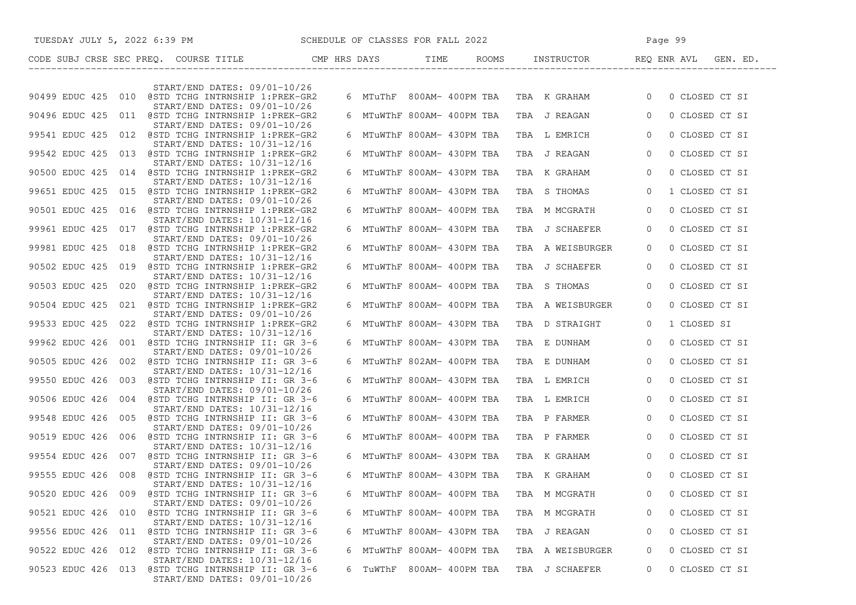| TUESDAY JULY 5, 2022 6:39 PM SCHEDULE OF CLASSES FOR FALL 2022                                                    |   |                            |                  |                                             | Page 99        |                |
|-------------------------------------------------------------------------------------------------------------------|---|----------------------------|------------------|---------------------------------------------|----------------|----------------|
|                                                                                                                   |   |                            |                  |                                             |                |                |
| START/END DATES: 09/01-10/26                                                                                      |   |                            |                  |                                             |                |                |
| 90499 EDUC 425 010 @STD TCHG INTRNSHIP 1:PREK-GR2                                                                 |   |                            |                  | 6 MTuThF 800AM-400PM TBA TBA K GRAHAM 0     |                | 0 CLOSED CT SI |
| START/END DATES: 09/01-10/26<br>90496 EDUC 425 011 @STD TCHG INTRNSHIP 1:PREK-GR2                                 |   |                            |                  | 6 MTuWThF 800AM- 400PM TBA   TBA  J REAGAN  | $\Omega$       | 0 CLOSED CT SI |
| START/END DATES: 09/01-10/26<br>99541 EDUC 425 012 @STD TCHG INTRNSHIP 1:PREK-GR2                                 |   | 6 MTuWThF 800AM- 430PM TBA |                  | TBA L EMRICH                                | $\overline{0}$ | 0 CLOSED CT SI |
| START/END DATES: 10/31-12/16<br>99542 EDUC 425 013 @STD TCHG INTRNSHIP 1:PREK-GR2                                 |   | 6 MTuWThF 800AM- 430PM TBA |                  | TBA J REAGAN                                | $\overline{0}$ | 0 CLOSED CT SI |
| START/END DATES: 10/31-12/16<br>90500 EDUC 425 014 @STD TCHG INTRNSHIP 1:PREK-GR2                                 |   | 6 MTuWThF 800AM- 430PM TBA |                  | TBA K GRAHAM                                | $\overline{0}$ | 0 CLOSED CT SI |
| START/END DATES: 10/31-12/16<br>99651 EDUC 425 015 @STD TCHG INTRNSHIP 1:PREK-GR2                                 |   | 6 MTuWThF 800AM- 430PM TBA |                  | TBA S THOMAS                                | $\circ$        | 1 CLOSED CT SI |
| START/END DATES: 09/01-10/26                                                                                      |   |                            |                  |                                             |                |                |
| 90501 EDUC 425 016 @STD TCHG INTRNSHIP 1:PREK-GR2<br>START/END DATES: 10/31-12/16                                 |   | 6 MTuWThF 800AM- 400PM TBA |                  | TBA M MCGRATH                               | $\overline{0}$ | 0 CLOSED CT SI |
| 99961 EDUC 425 017 @STD TCHG INTRNSHIP 1:PREK-GR2<br>START/END DATES: 09/01-10/26                                 |   | 6 MTuWThF 800AM- 430PM TBA |                  | TBA J SCHAEFER                              | $\Omega$       | 0 CLOSED CT SI |
| 99981 EDUC 425 018 @STD TCHG INTRNSHIP 1:PREK-GR2<br>START/END DATES: 10/31-12/16                                 |   | 6 MTuWThF 800AM- 430PM TBA |                  | TBA A WEISBURGER                            | $\Omega$       | 0 CLOSED CT SI |
| 90502 EDUC 425 019 @STD TCHG INTRNSHIP 1:PREK-GR2<br>START/END DATES: 10/31-12/16                                 |   | 6 MTuWThF 800AM- 400PM TBA |                  | TBA J SCHAEFER                              | $\Omega$       | 0 CLOSED CT SI |
| 90503 EDUC 425 020 @STD TCHG INTRNSHIP 1:PREK-GR2                                                                 |   | 6 MTuWThF 800AM- 400PM TBA |                  | TBA S THOMAS                                | $\Omega$       | 0 CLOSED CT SI |
| START/END DATES: 10/31-12/16<br>90504 EDUC 425 021 @STD TCHG INTRNSHIP 1:PREK-GR2                                 |   | 6 MTuWThF 800AM- 400PM TBA |                  | TBA A WEISBURGER                            | $\Omega$       | 0 CLOSED CT SI |
| START/END DATES: 09/01-10/26<br>99533 EDUC 425 022 @STD TCHG INTRNSHIP 1:PREK-GR2                                 |   | 6 MTuWThF 800AM- 430PM TBA |                  | TBA D STRAIGHT                              | $\Omega$       | 1 CLOSED SI    |
| START/END DATES: 10/31-12/16<br>99962 EDUC 426 001 @STD TCHG INTRNSHIP II: GR 3-6                                 |   | 6 MTuWThF 800AM- 430PM TBA |                  | TBA E DUNHAM                                | $\overline{0}$ | 0 CLOSED CT SI |
| START/END DATES: 09/01-10/26<br>90505 EDUC 426 002 @STD TCHG INTRNSHIP II: GR 3-6                                 |   | 6 MTuWThF 802AM- 400PM TBA |                  | TBA E DUNHAM                                | $\overline{0}$ | 0 CLOSED CT SI |
| START/END DATES: 10/31-12/16<br>99550 EDUC 426 003 @STD TCHG INTRNSHIP II: GR 3-6                                 |   | 6 MTuWThF 800AM- 430PM TBA |                  | TBA L EMRICH                                | $\overline{0}$ | 0 CLOSED CT SI |
| $START/END$ DATES: $09/01-10/26$                                                                                  |   |                            |                  |                                             | $\overline{0}$ |                |
| 90506 EDUC 426 004 @STD TCHG INTRNSHIP II: GR 3-6<br>START/END DATES: 10/31-12/16                                 |   | 6 MTuWThF 800AM- 400PM TBA |                  | TBA L EMRICH                                |                | 0 CLOSED CT SI |
| 99548 EDUC 426 005 @STD TCHG INTRNSHIP II: GR 3-6<br>START/END DATES: 09/01-10/26                                 |   | 6 MTuWThF 800AM- 430PM TBA |                  | TBA P FARMER                                | $\overline{0}$ | 0 CLOSED CT SI |
| 90519 EDUC 426 006 @STD TCHG INTRNSHIP II: GR 3-6<br>START/END DATES: 10/31-12/16                                 |   | 6 MTuWThF 800AM- 400PM TBA |                  | TBA P FARMER                                | $\overline{0}$ | 0 CLOSED CT SI |
| 99554 EDUC 426 007 @STD TCHG INTRNSHIP II: GR 3-6<br>START/END DATES: 09/01-10/26                                 |   | 6 MTuWThF 800AM- 430PM TBA |                  | TBA K GRAHAM                                | $\overline{0}$ | 0 CLOSED CT SI |
| 99555 EDUC 426 008 @STD TCHG INTRNSHIP II: GR 3-6<br>START/END DATES: 10/31-12/16                                 |   |                            |                  | 6 MTuWThF 800AM- 430PM TBA   TBA   K GRAHAM | $\Omega$       | 0 CLOSED CT SI |
| 90520 EDUC 426 009<br>@STD TCHG INTRNSHIP II: GR 3-6                                                              | 6 | MTuWThF 800AM- 400PM TBA   |                  | TBA M MCGRATH                               | 0              | 0 CLOSED CT SI |
| START/END DATES: 09/01-10/26<br>90521 EDUC 426 010 @STD TCHG INTRNSHIP II: GR 3-6                                 |   | 6 MTuWThF 800AM- 400PM TBA |                  | TBA M MCGRATH                               | $\Omega$       | 0 CLOSED CT SI |
| START/END DATES: 10/31-12/16<br>99556 EDUC 426 011 @STD TCHG INTRNSHIP II: GR 3-6                                 |   | 6 MTuWThF 800AM- 430PM TBA |                  | TBA J REAGAN                                | 0              | 0 CLOSED CT SI |
| START/END DATES: 09/01-10/26<br>90522 EDUC 426 012 @STD TCHG INTRNSHIP II: GR 3-6                                 | 6 | MTuWThF 800AM- 400PM TBA   |                  | TBA A WEISBURGER                            | 0              | 0 CLOSED CT SI |
| START/END DATES: 10/31-12/16<br>90523 EDUC 426 013 @STD TCHG INTRNSHIP II: GR 3-6<br>START/END DATES: 09/01-10/26 |   | 6 TuWThF                   | 800AM- 400PM TBA | TBA J SCHAEFER                              | 0              | 0 CLOSED CT SI |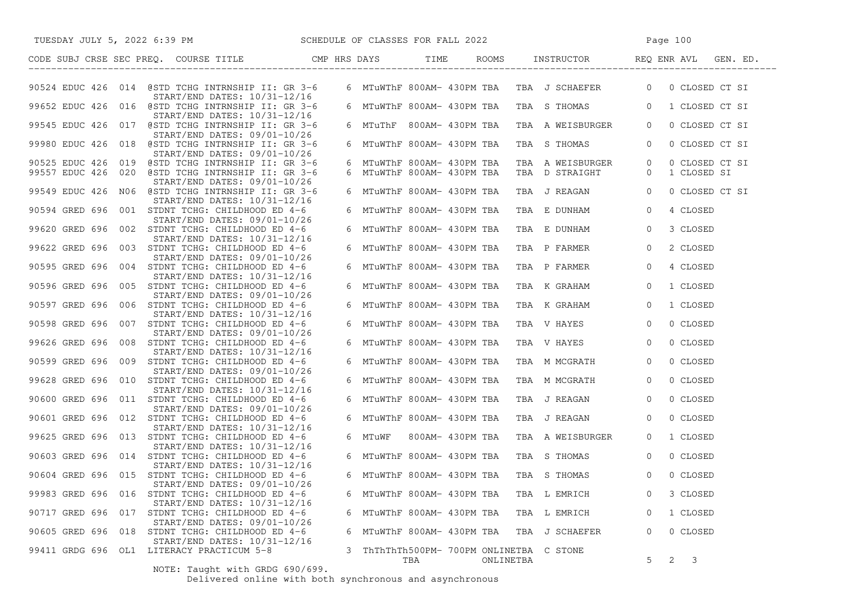| SCHEDULE OF CLASSES FOR FALL 2022<br>TUESDAY JULY 5, 2022 6:39 PM                                                  |   |                                                 |                  |                                              | Page 100                                                   |
|--------------------------------------------------------------------------------------------------------------------|---|-------------------------------------------------|------------------|----------------------------------------------|------------------------------------------------------------|
| CODE SUBJ CRSE SEC PREQ. COURSE TITLE THE CMP HRS DAYS TIME                                                        |   |                                                 |                  |                                              | ROOMS INSTRUCTOR REQ ENR AVL GEN. ED.                      |
| 90524 EDUC 426 014 @STD TCHG INTRNSHIP II: GR 3-6<br>START/END DATES: 10/31-12/16                                  |   |                                                 |                  |                                              | 6 MTuWThF 800AM- 430PM TBA TBA J SCHAEFER 0 0 CLOSED CT SI |
| 99652 EDUC 426 016 @STD TCHG INTRNSHIP II: GR 3-6<br>START/END DATES: 10/31-12/16                                  |   |                                                 |                  |                                              | 6 MTuWThF 800AM- 430PM TBA TBA S THOMAS 60 1 CLOSED CT SI  |
| 99545 EDUC 426 017 @STD TCHG INTRNSHIP II: GR 3-6<br>START/END DATES: 09/01-10/26                                  |   |                                                 |                  | 6 MTuThF 800AM- 430PM TBA  TBA  A WEISBURGER | $\overline{0}$<br>0 CLOSED CT SI                           |
| 99980 EDUC 426 018 @STD TCHG INTRNSHIP II: GR 3-6<br>START/END DATES: 09/01-10/26                                  |   | 6 MTuWThF 800AM- 430PM TBA                      |                  | TBA S THOMAS                                 | $\circ$<br>0 CLOSED CT SI                                  |
| 90525 EDUC 426 019 @STD TCHG INTRNSHIP II: GR 3-6                                                                  |   | 6 MTuWThF 800AM- 430PM TBA                      |                  | TBA A WEISBURGER                             | $\overline{0}$<br>0 CLOSED CT SI                           |
| 99557 EDUC 426 020 @STD TCHG INTRNSHIP II: GR 3-6<br>START/END DATES: 09/01-10/26                                  |   | 6 MTuWThF 800AM- 430PM TBA                      |                  | TBA D STRAIGHT                               | 1 CLOSED SI<br>$\overline{0}$                              |
| 99549 EDUC 426 N06 @STD TCHG INTRNSHIP II: GR 3-6<br>START/END DATES: 10/31-12/16                                  |   | 6 MTuWThF 800AM- 430PM TBA                      |                  | TBA J REAGAN 0                               | 0 CLOSED CT SI                                             |
| 90594 GRED 696 001 STDNT TCHG: CHILDHOOD ED 4-6<br>START/END DATES: 09/01-10/26                                    |   | 6 MTuWThF 800AM- 430PM TBA                      |                  | TBA E DUNHAM                                 | $\overline{0}$<br>4 CLOSED                                 |
| 99620 GRED 696 002 STDNT TCHG: CHILDHOOD ED 4-6<br>START/END DATES: 10/31-12/16                                    |   | 6 MTuWThF 800AM- 430PM TBA                      |                  | TBA E DUNHAM                                 | $\overline{0}$<br>3 CLOSED                                 |
| 99622 GRED 696 003 STDNT TCHG: CHILDHOOD ED 4-6<br>$START/END$ DATES: $09/01-10/26$                                |   | 6 MTuWThF 800AM- 430PM TBA                      |                  | TBA P FARMER                                 | 2 CLOSED<br>$\circ$                                        |
| 90595 GRED 696 004 STDNT TCHG: CHILDHOOD ED 4-6<br>START/END DATES: 10/31-12/16                                    |   | 6 MTuWThF 800AM- 430PM TBA                      |                  | TBA P FARMER                                 | $\overline{0}$<br>4 CLOSED                                 |
| 90596 GRED 696 005 STDNT TCHG: CHILDHOOD ED 4-6<br>START/END DATES: 09/01-10/26                                    |   | 6 MTuWThF 800AM- 430PM TBA                      |                  | TBA K GRAHAM                                 | $\overline{0}$<br>1 CLOSED                                 |
| 90597 GRED 696 006 STDNT TCHG: CHILDHOOD ED 4-6<br>$START/END$ DATES: $10/31-12/16$                                |   | 6 MTuWThF 800AM- 430PM TBA                      |                  | TBA K GRAHAM                                 | $\overline{0}$<br>1 CLOSED                                 |
| 90598 GRED 696 007 STDNT TCHG: CHILDHOOD ED 4-6<br>START/END DATES: 09/01-10/26                                    |   | 6 MTuWThF 800AM- 430PM TBA                      |                  | TBA V HAYES                                  | $\overline{0}$<br>0 CLOSED                                 |
| 99626 GRED 696 008 STDNT TCHG: CHILDHOOD ED 4-6<br>START/END DATES: 10/31-12/16                                    |   | 6 MTuWThF 800AM- 430PM TBA                      |                  | TBA V HAYES                                  | $\circ$<br>0 CLOSED                                        |
| 90599 GRED 696 009 STDNT TCHG: CHILDHOOD ED 4-6<br>START/END DATES: 09/01-10/26                                    |   | 6 MTuWThF 800AM- 430PM TBA                      |                  | TBA M MCGRATH                                | 0 CLOSED<br>$\overline{0}$                                 |
| 99628 GRED 696 010 STDNT TCHG: CHILDHOOD ED 4-6<br>START/END DATES: 10/31-12/16                                    |   | 6 MTuWThF 800AM- 430PM TBA                      |                  | TBA M MCGRATH                                | 0 CLOSED<br>$\overline{0}$                                 |
| 90600 GRED 696 011 STDNT TCHG: CHILDHOOD ED 4-6<br>$START/END$ DATES: $09/01-10/26$                                |   | 6 MTuWThF 800AM- 430PM TBA                      |                  | TBA J REAGAN                                 | 0 CLOSED<br>$\overline{0}$                                 |
| 90601 GRED 696 012 STDNT TCHG: CHILDHOOD ED 4-6<br>START/END DATES: 10/31-12/16                                    |   | 6 MTuWThF 800AM- 430PM TBA                      |                  | TBA J REAGAN                                 | $\circ$<br>0 CLOSED                                        |
| 99625 GRED 696 013 STDNT TCHG: CHILDHOOD ED 4-6                                                                    |   | 6 MTuWF                                         | 800AM- 430PM TBA | TBA A WEISBURGER                             | 1 CLOSED<br>$\overline{0}$                                 |
| $START/END$ DATES: $10/31-12/16$<br>90603 GRED 696 014 STDNT TCHG: CHILDHOOD ED 4-6                                |   | 6 MTuWThF 800AM- 430PM TBA                      |                  | TBA S THOMAS                                 | $\circ$<br>0 CLOSED                                        |
| START/END DATES: 10/31-12/16<br>90604 GRED 696 015 STDNT TCHG: CHILDHOOD ED 4-6                                    |   | 6 MTuWThF 800AM- 430PM TBA  TBA  S THOMAS       |                  |                                              | 0 CLOSED<br>$\overline{0}$                                 |
| START/END DATES: 09/01-10/26<br>99983 GRED 696 016 STDNT TCHG: CHILDHOOD ED 4-6                                    | 6 | MTuWThF 800AM- 430PM TBA                        |                  | TBA L EMRICH                                 | 3 CLOSED<br>0                                              |
| START/END DATES: 10/31-12/16<br>017 STDNT TCHG: CHILDHOOD ED 4-6<br>90717 GRED 696<br>START/END DATES: 09/01-10/26 |   | 6 MTuWThF 800AM- 430PM TBA                      |                  | TBA L EMRICH                                 | 1 CLOSED<br>$\cup$                                         |
| 018 STDNT TCHG: CHILDHOOD ED 4-6<br>90605 GRED 696                                                                 |   | 6 MTuWThF 800AM- 430PM TBA                      |                  | TBA J SCHAEFER                               | 0 CLOSED<br>0                                              |
| START/END DATES: 10/31-12/16<br>99411 GRDG 696 OL1 LITERACY PRACTICUM 5-8                                          |   | 3 ThThThTh500PM- 700PM ONLINETBA C STONE<br>TBA | ONLINETBA        |                                              | 2<br>$\overline{\phantom{a}}$<br>5                         |
| NOTE: Taught with CPDC 690/699                                                                                     |   |                                                 |                  |                                              |                                                            |

NOTE: Taught with GRDG 690/699. Delivered online with both synchronous and asynchronous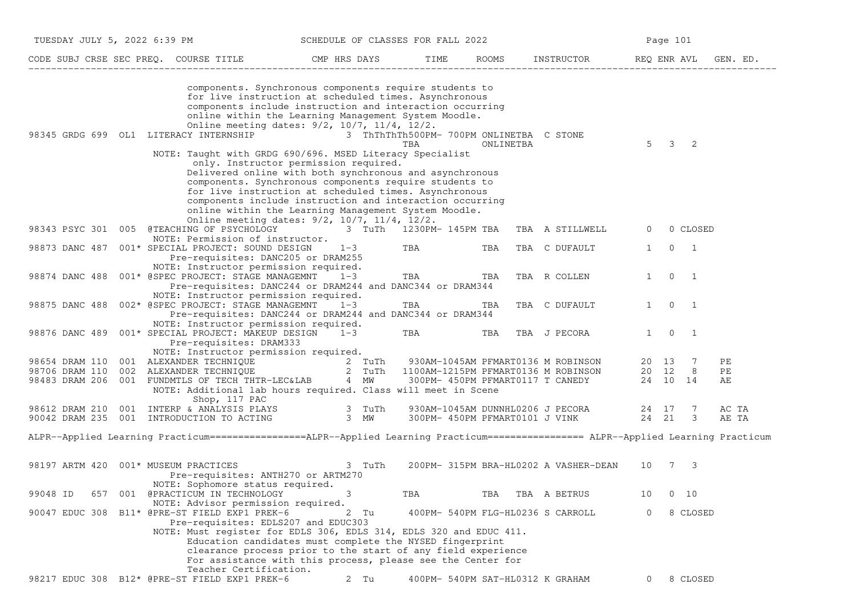|                                                    |                       | TUESDAY JULY 5, 2022 6:39 PM                                                                                                                                                                                                                                                                                                                                                                                                                        |         |        | SCHEDULE OF CLASSES FOR FALL 2022 |                                                       |                                                                    |                | Page 101       |                     |                |
|----------------------------------------------------|-----------------------|-----------------------------------------------------------------------------------------------------------------------------------------------------------------------------------------------------------------------------------------------------------------------------------------------------------------------------------------------------------------------------------------------------------------------------------------------------|---------|--------|-----------------------------------|-------------------------------------------------------|--------------------------------------------------------------------|----------------|----------------|---------------------|----------------|
|                                                    |                       | CODE SUBJ CRSE SEC PREQ. COURSE TITLE THE CMP HRS DAYS                                                                                                                                                                                                                                                                                                                                                                                              |         |        | TIME                              | ROOMS                                                 | INSTRUCTOR REQ ENR AVL                                             |                |                |                     | GEN. ED.       |
| 98345 GRDG 699 OL1 LITERACY INTERNSHIP             |                       | components. Synchronous components require students to<br>for live instruction at scheduled times. Asynchronous<br>components include instruction and interaction occurring<br>online within the Learning Management System Moodle.<br>Online meeting dates: 9/2, 10/7, 11/4, 12/2.<br>NOTE: Taught with GRDG 690/696. MSED Literacy Specialist<br>only. Instructor permission required.<br>Delivered online with both synchronous and asynchronous |         |        | TBA                               | 3 ThThThTh500PM- 700PM ONLINETBA C STONE<br>ONLINETBA |                                                                    | $5^{\circ}$    | $\mathbf{3}$   | -2                  |                |
|                                                    |                       | components. Synchronous components require students to<br>for live instruction at scheduled times. Asynchronous<br>components include instruction and interaction occurring<br>online within the Learning Management System Moodle.<br>Online meeting dates: 9/2, 10/7, 11/4, 12/2.                                                                                                                                                                 |         |        |                                   |                                                       |                                                                    |                |                |                     |                |
|                                                    |                       | 98343 PSYC 301 005 @TEACHING OF PSYCHOLOGY 3 TuTh 1230PM-145PM TBA                                                                                                                                                                                                                                                                                                                                                                                  |         |        |                                   |                                                       | TBA A STILLWELL                                                    | $\mathbf{0}$   |                | 0 CLOSED            |                |
| 98873 DANC 487                                     |                       | NOTE: Permission of instructor.<br>001* SPECIAL PROJECT: SOUND DESIGN<br>Pre-requisites: DANC205 or DRAM255                                                                                                                                                                                                                                                                                                                                         | $1 - 3$ |        | TBA                               | TBA                                                   | TBA C DUFAULT                                                      | $\mathbf{1}$   | $\overline{0}$ | $\overline{1}$      |                |
| 98874 DANC 488                                     |                       | NOTE: Instructor permission required.<br>001* @SPEC PROJECT: STAGE MANAGEMNT<br>Pre-requisites: DANC244 or DRAM244 and DANC344 or DRAM344                                                                                                                                                                                                                                                                                                           | $1 - 3$ |        | TBA                               | TBA                                                   | TBA R COLLEN                                                       | $\mathbf{1}$   | $\overline{0}$ | $\overline{1}$      |                |
| 98875 DANC 488                                     |                       | NOTE: Instructor permission required.<br>002* @SPEC PROJECT: STAGE MANAGEMNT<br>Pre-requisites: DANC244 or DRAM244 and DANC344 or DRAM344                                                                                                                                                                                                                                                                                                           | $1 - 3$ |        | TBA                               | TBA                                                   | TBA C DUFAULT                                                      | $\mathbf{1}$   | $\overline{0}$ | $\overline{1}$      |                |
| 98876 DANC 489                                     |                       | NOTE: Instructor permission required.<br>001* SPECIAL PROJECT: MAKEUP DESIGN<br>Pre-requisites: DRAM333                                                                                                                                                                                                                                                                                                                                             | $1 - 3$ |        | TBA                               | TBA                                                   | TBA J PECORA                                                       | $1 \quad$      | $\overline{0}$ | $\overline{1}$      |                |
| 98654 DRAM 110<br>98706 DRAM 110<br>98483 DRAM 206 |                       | NOTE: Instructor permission required.<br>001 ALEXANDER TECHNIQUE<br>002 ALEXANDER TECHNIQUE 2 TuTh 1100AM-1215PM PFMART0136 M ROBINSON<br>001 FUNDMTLS OF TECH THTR-LEC&LAB 4 MW 300PM-450PM PFMART0117 T CANEDY<br>NOTE: Additional lab hours required. Class will meet in Scene                                                                                                                                                                   |         |        |                                   |                                                       | 930AM-1045AM PFMART0136 M ROBINSON                                 | 20 12          | 20 13          | -7<br>8<br>24 10 14 | PЕ<br>PЕ<br>AЕ |
| 98612 DRAM 210                                     | 001                   | Shop, 117 PAC<br>INTERP & ANALYSIS PLAYS 3 TuTh<br>90042 DRAM 235 001 INTRODUCTION TO ACTING                                                                                                                                                                                                                                                                                                                                                        | $3$ MW  |        |                                   |                                                       | 930AM-1045AM DUNNHL0206 J PECORA<br>300PM- 450PM PFMART0101 J VINK | 24 17<br>24 21 |                | -7<br>3             | AC TA<br>AE TA |
|                                                    |                       | ALPR--Applied Learning Practicum================ALPR--Applied Learning Practicum================= ALPR--Applied Learning Practicum                                                                                                                                                                                                                                                                                                                  |         |        |                                   |                                                       |                                                                    |                |                |                     |                |
| 98197 ARTM 420                                     | 001* MUSEUM PRACTICES | Pre-requisites: ANTH270 or ARTM270                                                                                                                                                                                                                                                                                                                                                                                                                  |         | 3 TuTh |                                   |                                                       | 200PM- 315PM BRA-HL0202 A VASHER-DEAN                              | 10 7           |                | -3                  |                |
| 99048 ID<br>657                                    |                       | NOTE: Sophomore status required.<br>001 @PRACTICUM IN TECHNOLOGY<br>NOTE: Advisor permission required.                                                                                                                                                                                                                                                                                                                                              |         |        | TBA                               | TBA                                                   | TBA A BETRUS                                                       | 10             |                | $0\quad 10$         |                |
|                                                    |                       | 90047 EDUC 308 B11* @PRE-ST FIELD EXP1 PREK-6<br>Pre-requisites: EDLS207 and EDUC303<br>NOTE: Must register for EDLS 306, EDLS 314, EDLS 320 and EDUC 411.<br>Education candidates must complete the NYSED fingerprint<br>clearance process prior to the start of any field experience<br>For assistance with this process, please see the Center for                                                                                               |         | 2 Tu   |                                   | 400PM- 540PM FLG-HL0236 S CARROLL                     |                                                                    | 0              |                | 8 CLOSED            |                |
|                                                    |                       | Teacher Certification.<br>98217 EDUC 308 B12* @PRE-ST FIELD EXP1 PREK-6                                                                                                                                                                                                                                                                                                                                                                             |         | 2 Tu   |                                   | 400PM- 540PM SAT-HL0312 K GRAHAM                      |                                                                    | 0              |                | 8 CLOSED            |                |
|                                                    |                       |                                                                                                                                                                                                                                                                                                                                                                                                                                                     |         |        |                                   |                                                       |                                                                    |                |                |                     |                |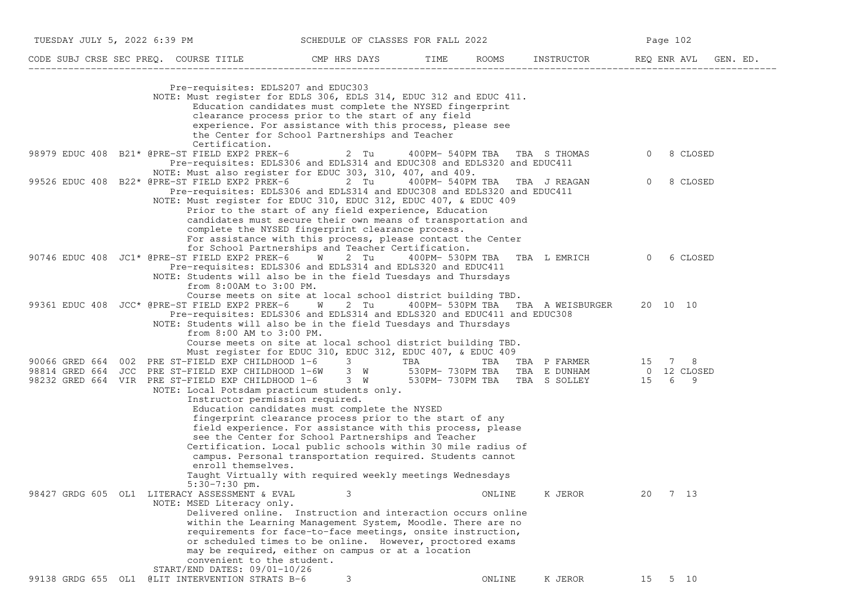| TUESDAY JULY 5, 2022 6:39 PM SCHEDULE OF CLASSES FOR FALL 2022                                                                                                                                                                                                                                            |                                                                                                                                                                                                                                                                                                                                                                                                                                                                                                                                                                        |                               | Page 102                          |                     |  |  |  |  |
|-----------------------------------------------------------------------------------------------------------------------------------------------------------------------------------------------------------------------------------------------------------------------------------------------------------|------------------------------------------------------------------------------------------------------------------------------------------------------------------------------------------------------------------------------------------------------------------------------------------------------------------------------------------------------------------------------------------------------------------------------------------------------------------------------------------------------------------------------------------------------------------------|-------------------------------|-----------------------------------|---------------------|--|--|--|--|
| CODE SUBJ CRSE SEC PREQ. COURSE TITLE CMP HRS DAYS TIME ROOMS INSTRUCTOR REQ ENR AVL GEN. ED.                                                                                                                                                                                                             |                                                                                                                                                                                                                                                                                                                                                                                                                                                                                                                                                                        |                               |                                   |                     |  |  |  |  |
| Pre-requisites: EDLS207 and EDUC303<br>Certification.                                                                                                                                                                                                                                                     | NOTE: Must register for EDLS 306, EDLS 314, EDUC 312 and EDUC 411.<br>Education candidates must complete the NYSED fingerprint<br>clearance process prior to the start of any field<br>experience. For assistance with this process, please see<br>the Center for School Partnerships and Teacher                                                                                                                                                                                                                                                                      |                               |                                   |                     |  |  |  |  |
| 98979 EDUC 408 B21* @PRE-ST FIELD EXP2 PREK-6       2 Tu                                                                                                                                                                                                                                                  | Pre-requisites: EDLS306 and EDLS314 and EDUC308 and EDLS320 and EDUC411                                                                                                                                                                                                                                                                                                                                                                                                                                                                                                | 400PM- 540PM TBA TBA S THOMAS |                                   | 8 CLOSED<br>$\circ$ |  |  |  |  |
| 99526 EDUC 408 B22* @PRE-ST FIELD EXP2 PREK-6 2 Tu 400PM- 540PM TBA TBA J REAGAN                                                                                                                                                                                                                          | NOTE: Must also register for EDUC 303, 310, 407, and 409.<br>Pre-requisites: EDLS306 and EDLS314 and EDUC308 and EDLS320 and EDUC411<br>NOTE: Must register for EDUC 310, EDUC 312, EDUC 407, & EDUC 409<br>Prior to the start of any field experience, Education<br>candidates must secure their own means of transportation and<br>complete the NYSED fingerprint clearance process.<br>For assistance with this process, please contact the Center                                                                                                                  |                               |                                   | 0<br>8 CLOSED       |  |  |  |  |
| 90746 EDUC 408 JC1* @PRE-ST FIELD EXP2 PREK-6 W 2 Tu<br>from 8:00AM to 3:00 PM.                                                                                                                                                                                                                           | for School Partnerships and Teacher Certification.<br>Pre-requisites: EDLS306 and EDLS314 and EDLS320 and EDUC411<br>NOTE: Students will also be in the field Tuesdays and Thursdays<br>Course meets on site at local school district building TBD.                                                                                                                                                                                                                                                                                                                    | 400PM- 530PM TBA              | TBA LEMRICH 0                     | 6 CLOSED            |  |  |  |  |
| 99361 EDUC 408 JCC* @PRE-ST FIELD EXP2 PREK-6 W 2 Tu<br>from 8:00 AM to 3:00 PM.                                                                                                                                                                                                                          | Pre-requisites: EDLS306 and EDLS314 and EDLS320 and EDUC411 and EDUC308<br>NOTE: Students will also be in the field Tuesdays and Thursdays<br>Course meets on site at local school district building TBD.                                                                                                                                                                                                                                                                                                                                                              |                               | 400PM- 530PM TBA TBA A WEISBURGER | 20 10 10            |  |  |  |  |
| 90066 GRED 664 002 PRE ST-FIELD EXP CHILDHOOD 1-6 3 TBA TBA TBA TBA P FARMER 15 7 8<br>98814 GRED 664 JCC PRE ST-FIELD EXP CHILDHOOD 1-6W 3 W 530PM-730PM TBA TBA E DUNHAM 0 12 CLOSED<br>98232 GRED 664 VIR PRE ST-FIELD EXP CHILDHOOD 1-6 3 W 530PM-730PM TBA TBA S SOLLEY 15 6 9<br>enroll themselves. | Must register for EDUC 310, EDUC 312, EDUC 407, & EDUC 409<br>NOTE: Local Potsdam practicum students only.<br>Instructor permission required.<br>Education candidates must complete the NYSED<br>fingerprint clearance process prior to the start of any<br>field experience. For assistance with this process, please<br>see the Center for School Partnerships and Teacher<br>Certification. Local public schools within 30 mile radius of<br>campus. Personal transportation required. Students cannot<br>Taught Virtually with required weekly meetings Wednesdays |                               |                                   |                     |  |  |  |  |
| $5:30-7:30$ pm.<br>98427 GRDG 605 OL1 LITERACY ASSESSMENT & EVAL<br>NOTE: MSED Literacy only.<br>convenient to the student.<br>START/END DATES: 09/01-10/26                                                                                                                                               | 3<br>Delivered online. Instruction and interaction occurs online<br>within the Learning Management System, Moodle. There are no<br>requirements for face-to-face meetings, onsite instruction,<br>or scheduled times to be online. However, proctored exams<br>may be required, either on campus or at a location                                                                                                                                                                                                                                                      | ONLINE                        | K JEROR                           | 20<br>7 13          |  |  |  |  |
| 99138 GRDG 655 OL1 @LIT INTERVENTION STRATS B-6                                                                                                                                                                                                                                                           | 3                                                                                                                                                                                                                                                                                                                                                                                                                                                                                                                                                                      | ONLINE                        | K JEROR                           | 5 10<br>15          |  |  |  |  |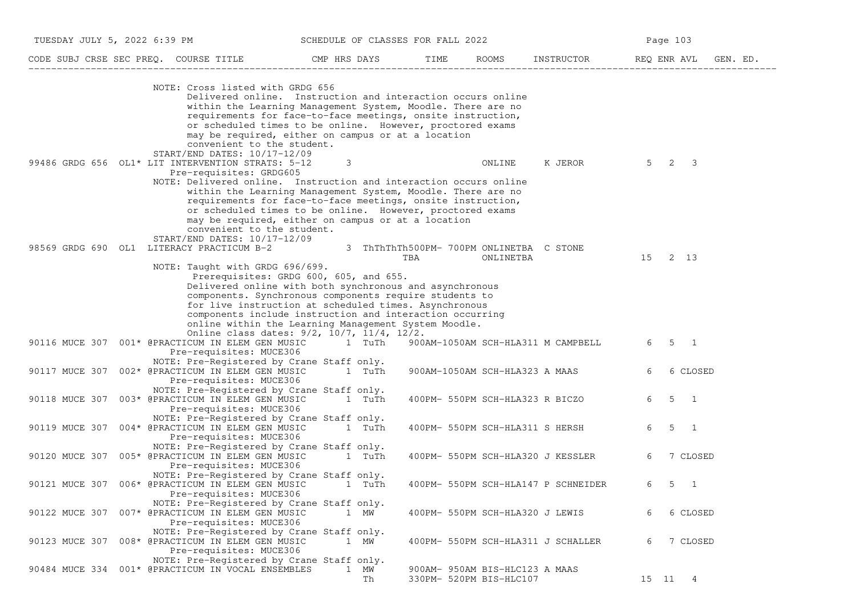| TUESDAY JULY 5, 2022 6:39 PM              |                                                                                                                                                                                                                                                                                                                                                                                | SCHEDULE OF CLASSES FOR FALL 2022 |     |                                                           |                                     | Page 103                          |
|-------------------------------------------|--------------------------------------------------------------------------------------------------------------------------------------------------------------------------------------------------------------------------------------------------------------------------------------------------------------------------------------------------------------------------------|-----------------------------------|-----|-----------------------------------------------------------|-------------------------------------|-----------------------------------|
|                                           | CODE SUBJ CRSE SEC PREQ. COURSE TITLE THE CMP HRS DAYS TIME ROOMS INSTRUCTOR                                                                                                                                                                                                                                                                                                   |                                   |     |                                                           |                                     | REQ ENR AVL<br>GEN. ED.           |
|                                           | NOTE: Cross listed with GRDG 656<br>Delivered online. Instruction and interaction occurs online<br>within the Learning Management System, Moodle. There are no<br>requirements for face-to-face meetings, onsite instruction,<br>or scheduled times to be online. However, proctored exams<br>may be required, either on campus or at a location<br>convenient to the student. |                                   |     |                                                           |                                     |                                   |
|                                           | START/END DATES: 10/17-12/09<br>99486 GRDG 656 OL1* LIT INTERVENTION STRATS: 5-12<br>Pre-requisites: GRDG605<br>NOTE: Delivered online. Instruction and interaction occurs online<br>within the Learning Management System, Moodle. There are no<br>requirements for face-to-face meetings, onsite instruction,<br>or scheduled times to be online. However, proctored exams   | 3                                 |     | ONLINE                                                    | K JEROR                             | $5\quad 2\quad 3$                 |
| 98569 GRDG 690 OL1 LITERACY PRACTICUM B-2 | may be required, either on campus or at a location<br>convenient to the student.<br>$START/END$ DATES: $10/17-12/09$                                                                                                                                                                                                                                                           |                                   | TBA | 3 ThThThTh500PM- 700PM ONLINETBA C STONE                  |                                     | 15 2 13                           |
|                                           | NOTE: Taught with GRDG 696/699.<br>Prerequisites: GRDG 600, 605, and 655.<br>Delivered online with both synchronous and asynchronous<br>components. Synchronous components require students to<br>for live instruction at scheduled times. Asynchronous<br>components include instruction and interaction occurring<br>online within the Learning Management System Moodle.    |                                   |     | ONLINETBA                                                 |                                     |                                   |
|                                           | Online class dates: 9/2, 10/7, 11/4, 12/2.<br>90116 MUCE 307 001* @PRACTICUM IN ELEM GEN MUSIC<br>Pre-requisites: MUCE306                                                                                                                                                                                                                                                      | 1 TuTh                            |     |                                                           | 900AM-1050AM SCH-HLA311 M CAMPBELL  | 6 5 1                             |
|                                           | NOTE: Pre-Registered by Crane Staff only.<br>90117 MUCE 307 002* @PRACTICUM IN ELEM GEN MUSIC<br>Pre-requisites: MUCE306<br>NOTE: Pre-Registered by Crane Staff only.                                                                                                                                                                                                          | 1 TuTh                            |     | 900AM-1050AM SCH-HLA323 A MAAS                            |                                     | 6<br>6 CLOSED                     |
|                                           | 90118 MUCE 307 003* @PRACTICUM IN ELEM GEN MUSIC<br>Pre-requisites: MUCE306                                                                                                                                                                                                                                                                                                    | 1 TuTh                            |     | 400PM- 550PM SCH-HLA323 R BICZO                           |                                     | 6<br>$5 \quad 1$                  |
|                                           | NOTE: Pre-Registered by Crane Staff only.<br>90119 MUCE 307 004* @PRACTICUM IN ELEM GEN MUSIC<br>Pre-requisites: MUCE306                                                                                                                                                                                                                                                       | 1 TuTh                            |     | 400PM- 550PM SCH-HLA311 S HERSH                           |                                     | 6<br>$5 \quad 1$                  |
|                                           | NOTE: Pre-Registered by Crane Staff only.<br>90120 MUCE 307 005* @PRACTICUM IN ELEM GEN MUSIC<br>Pre-requisites: MUCE306                                                                                                                                                                                                                                                       | 1 TuTh                            |     |                                                           | 400PM- 550PM SCH-HLA320 J KESSLER   | 6<br>7 CLOSED                     |
|                                           | NOTE: Pre-Registered by Crane Staff only.<br>90121 MUCE 307 006* @PRACTICUM IN ELEM GEN MUSIC 1 TuTh<br>Pre-requisites: MUCE306                                                                                                                                                                                                                                                |                                   |     |                                                           | 400PM- 550PM SCH-HLA147 P SCHNEIDER | 6<br>5<br>$\overline{\mathbf{1}}$ |
|                                           | NOTE: Pre-Registered by Crane Staff only.<br>90122 MUCE 307 007* @PRACTICUM IN ELEM GEN MUSIC<br>Pre-requisites: MUCE306                                                                                                                                                                                                                                                       | 1 MW                              |     | 400PM- 550PM SCH-HLA320 J LEWIS                           |                                     | 6 CLOSED<br>6                     |
|                                           | NOTE: Pre-Registered by Crane Staff only.<br>90123 MUCE 307 008* @PRACTICUM IN ELEM GEN MUSIC<br>Pre-requisites: MUCE306                                                                                                                                                                                                                                                       | 1 MW                              |     |                                                           | 400PM- 550PM SCH-HLA311 J SCHALLER  | 7 CLOSED<br>6                     |
|                                           | NOTE: Pre-Registered by Crane Staff only.<br>90484 MUCE 334 001* @PRACTICUM IN VOCAL ENSEMBLES                                                                                                                                                                                                                                                                                 | $\mathbf{1}$<br>MW<br>Th          |     | 900AM- 950AM BIS-HLC123 A MAAS<br>330PM- 520PM BIS-HLC107 |                                     | 15 11 4                           |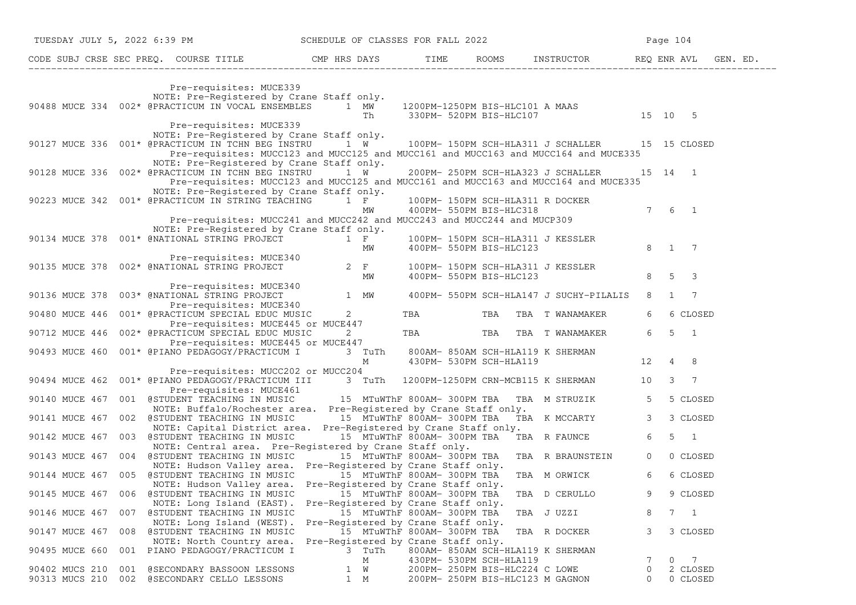| TUESDAY JULY 5, 2022 6:39 PM SCHEDULE OF CLASSES FOR FALL 2022                                                                                                                                                                                              |                                                                            |                             |                                                                    |                                                                                                                     |               | Page 104             |
|-------------------------------------------------------------------------------------------------------------------------------------------------------------------------------------------------------------------------------------------------------------|----------------------------------------------------------------------------|-----------------------------|--------------------------------------------------------------------|---------------------------------------------------------------------------------------------------------------------|---------------|----------------------|
| CODE SUBJ CRSE SEC PREQ. COURSE TITLE CMP HRS DAYS TIME ROOMS INSTRUCTOR REQ ENR AVL GEN. ED.                                                                                                                                                               |                                                                            |                             |                                                                    |                                                                                                                     |               |                      |
| Pre-requisites: MUCE339<br>NOTE: Pre-Registered by Crane Staff only.                                                                                                                                                                                        |                                                                            |                             |                                                                    |                                                                                                                     |               |                      |
| 90488 MUCE 334 002* @PRACTICUM IN VOCAL ENSEMBLES $1$ MW $1200$ PM-1250PM BIS-HLC101 A MAAS $15$ 10 5                                                                                                                                                       |                                                                            |                             |                                                                    |                                                                                                                     |               |                      |
| Pre-requisites: MUCE339<br>NOTE: Pre-Registered by Crane Staff only.<br>90127 MUCE 336 001* @PRACTICUM IN TCHN BEG INSTRU 1 W 100PM-150PM SCH-HLA311 J SCHALLER 15 15 CLOSED                                                                                |                                                                            |                             |                                                                    |                                                                                                                     |               |                      |
| Pre-requisites: MUCC123 and MUCC125 and MUCC161 and MUCC163 and MUCC164 and MUCE335<br>NOTE: Pre-Registered by Crane Staff only.<br>90128 MUCE 336 002* @PRACTICUM IN TCHN BEG INSTRU 1 W                                                                   |                                                                            |                             |                                                                    | 200PM- 250PM SCH-HLA323 J SCHALLER 15 14 1                                                                          |               |                      |
| Pre-requisites: MUCC123 and MUCC125 and MUCC161 and MUCC163 and MUCC164 and MUCE335<br>NOTE: Pre-Registered by Crane Staff only.                                                                                                                            |                                                                            |                             |                                                                    |                                                                                                                     |               |                      |
| 90223 MUCE 342 001* @PRACTICUM IN STRING TEACHING 1 F<br>Pre-requisites: MUCC241 and MUCC242 and MUCC243 and MUCC244 and MUCP309                                                                                                                            | MW                                                                         |                             | 400PM- 550PM BIS-HLC318                                            | 100PM- 150PM SCH-HLA311 R DOCKER                                                                                    |               | $7 \t6 \t1$          |
| NOTE: Pre-Registered by Crane Staff only.                                                                                                                                                                                                                   |                                                                            |                             |                                                                    |                                                                                                                     |               |                      |
| 90134 MUCE 378 001* GNATIONAL STRING PROJECT<br>Pre-requisites: MUCE 340<br>Pre-requisites: MUCE 340<br>90135 MUCE 378 002* GNATIONAL STRING PROJECT<br>90135 MUCE 378 002* GNATIONAL STRING PROJECT<br>90135 MUCE 378 002* GNATIONAL S                     |                                                                            |                             |                                                                    |                                                                                                                     |               |                      |
|                                                                                                                                                                                                                                                             | MW                                                                         |                             |                                                                    | 400PM-550PM BIS-HLC123 8 5 3                                                                                        |               |                      |
| Pre-requisites: MUCE340<br>90136 MUCE 378 003* @NATIONAL STRING PROJECT 1 MW 400PM- 550PM SCH-HLA147 J SUCHY-PILALIS 8 1 7<br>Pre-requisites: MUCE340<br>PRASO MUCE 446 0011 Creater quisites: MUCE340<br>90480 MUCE 446 001* @PRACTICUM SPECIAL EDUC MUSIC |                                                                            |                             |                                                                    | TBA TBA TBA TWANAMAKER                                                                                              | 6 —           | 6 CLOSED             |
| Pre-requisites: MUCE445 or MUCE447<br>90712 MUCE 446 002* @PRACTICUM SPECIAL EDUC MUSIC                                                                                                                                                                     | $\overline{2}$                                                             |                             |                                                                    | TBA TBA TBA TWANAMAKER 651                                                                                          |               |                      |
| -----ver previal EDUC MUSIC 2<br>Pre-requisites: MUCE445 or MUCE447<br>\NO PEDAGOGY/PRACTIONY 7<br>90493 MUCE 460  001* @PIANO PEDAGOGY/PRACTICUM I                                                                                                         |                                                                            |                             |                                                                    | 3 TuTh 800AM-850AM SCH-HLA119 K SHERMAN<br>M 430PM-530PM SCH-HLA119 12 4 8                                          |               |                      |
| Pre-requisites: MUCC202 or MUCC204<br>90494 MUCE 462 001* @PIANO PEDAGOGY/PRACTICUM III 3 TuTh 1200PM-1250PM CRN-MCB115 K SHERMAN 10 3 7                                                                                                                    |                                                                            |                             |                                                                    |                                                                                                                     |               |                      |
| Pre-requisites: MUCE461<br>90140 MUCE 467 001 @STUDENT TEACHING IN MUSIC 15 MTuWThF 800AM-300PM TBA                                                                                                                                                         |                                                                            |                             |                                                                    | TBA M STRUZIK 5                                                                                                     |               | 5 CLOSED             |
| NOTE: Buffalo/Rochester area. Pre-Registered by Crane Staff only.<br>90141 MUCE 467 002 @STUDENT TEACHING IN MUSIC<br>NOTE: Capital District area. Pre-Registered by Crane Staff only.                                                                      |                                                                            |                             |                                                                    | a. Pre-Registered by Crane Staff only.<br>15 MTuWThF 800AM- 300PM TBA   TBA  K MCCARTY                3    3 CLOSED |               |                      |
| 90142 MUCE 467 003 @STUDENT TEACHING IN MUSIC<br>NOTE: Central area. Pre-Registered by Crane Staff only.                                                                                                                                                    |                                                                            |                             |                                                                    | 15 MTuWThF 800AM-300PM TBA TBA R FAUNCE 6                                                                           |               | $5 \quad 1$          |
| 90143 MUCE 467 004 @STUDENT TEACHING IN MUSIC 15 MTuWThF 800AM-300PM TBA TBA R BRAUNSTEIN 0 0 CLOSED<br>NOTE: Hudson Valley area. Pre-Registered by Crane Staff only.<br>90144 MUCE 467 005 @STUDENT TEACHING IN MUSIC                                      |                                                                            | 15 MTuWThF 800AM- 300PM TBA |                                                                    | TBA M ORWICK 6 6 CLOSED                                                                                             |               |                      |
| NOTE: Hudson Valley area. Pre-Registered by Crane Staff only.<br>90145 MUCE 467 006 @STUDENT TEACHING IN MUSIC                                                                                                                                              |                                                                            | 15 MTuWThF 800AM- 300PM TBA |                                                                    | TBA D CERULLO                                                                                                       | 9             | 9 CLOSED             |
| NOTE: Long Island (EAST).<br>90146 MUCE 467<br>@STUDENT TEACHING IN MUSIC<br>007<br>NOTE: Long Island (WEST).                                                                                                                                               | Pre-Registered by Crane Staff only.<br>Pre-Registered by Crane Staff only. | 15 MTuWThF 800AM- 300PM TBA |                                                                    | TBA JUZZI                                                                                                           | 8             | 7 1                  |
| 90147 MUCE 467 008 @STUDENT TEACHING IN MUSIC<br>NOTE: North Country area.                                                                                                                                                                                  | Pre-Registered by Crane Staff only.                                        | 15 MTuWThF 800AM- 300PM TBA |                                                                    | TBA R DOCKER                                                                                                        | 3             | 3 CLOSED             |
| 001 PIANO PEDAGOGY/PRACTICUM I<br>90495 MUCE 660                                                                                                                                                                                                            | 3 TuTh<br>М                                                                |                             | 430PM- 530PM SCH-HLA119                                            | 800AM- 850AM SCH-HLA119 K SHERMAN                                                                                   |               | $0\qquad 7$          |
| 90402 MUCS 210<br>001 @SECONDARY BASSOON LESSONS<br>90313 MUCS 210<br>002 @SECONDARY CELLO LESSONS                                                                                                                                                          | 1 W<br>1 M                                                                 |                             | 200PM- 250PM BIS-HLC224 C LOWE<br>200PM- 250PM BIS-HLC123 M GAGNON |                                                                                                                     | 0<br>$\Omega$ | 2 CLOSED<br>0 CLOSED |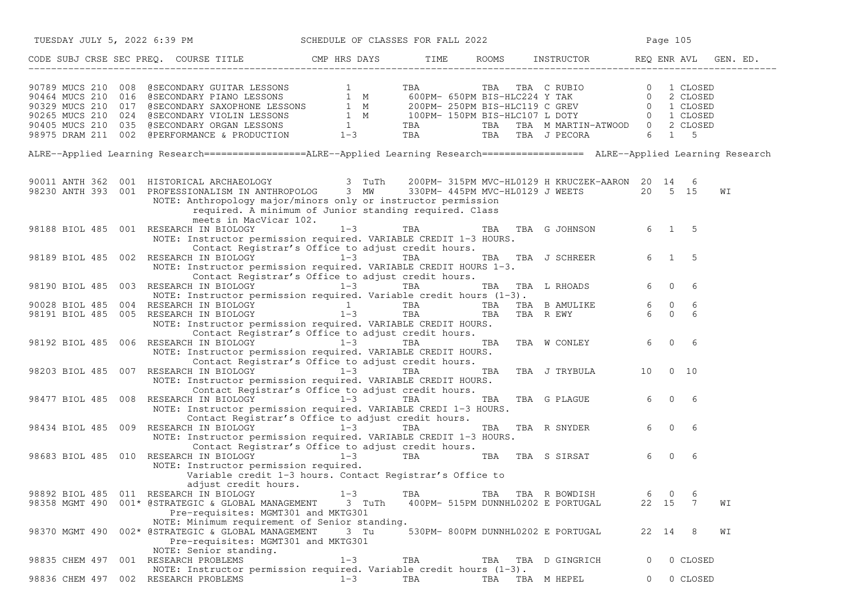| TUESDAY JULY 5, 2022 6:39 PM                                                                                                                                                                                                                                                                                                                          | SCHEDULE OF CLASSES FOR FALL 2022 |                                    |                                    |                          |          | Page 105            |          |
|-------------------------------------------------------------------------------------------------------------------------------------------------------------------------------------------------------------------------------------------------------------------------------------------------------------------------------------------------------|-----------------------------------|------------------------------------|------------------------------------|--------------------------|----------|---------------------|----------|
| CODE SUBJ CRSE SEC PREQ. COURSE TITLE THE COMP HRS DAYS TIME ROOMS INSTRUCTOR REQ ENR AVL G                                                                                                                                                                                                                                                           |                                   |                                    |                                    |                          |          |                     | GEN. ED. |
| $\begin{tabular}{lllllllllllllllllllll} \hline & 0.1 & 0.1 & 0.00 & 0.00 & 0.00 & 0.00 & 0.00 & 0.00 & 0.00 & 0.00 & 0.00 & 0.00 & 0.00 & 0.00 & 0.00 & 0.00 & 0.00 & 0.00 & 0.00 & 0.00 & 0.00 & 0.00 & 0.00 & 0.00 & 0.00 & 0.00 & 0.00 & 0.00 & 0.00 & 0.00 & 0.00 & 0.00 & 0.00 & 0$                                                              |                                   |                                    |                                    |                          |          |                     |          |
| ALRE--Applied Learning Research=================ALRE--Applied Learning Research================= ALRE--Applied Learning Research                                                                                                                                                                                                                      |                                   |                                    |                                    |                          |          |                     |          |
| 90011 ANTH 362 001 HISTORICAL ARCHAEOLOGY 3 TUTh 200PM-315PM MVC-HL0129 H KRUCZEK-AARON 20 14 6<br>98230 ANTH 393 001 PROFESSIONALISM IN ANTHROPOLOG 3 MW 330PM-445PM MVC-HL0129 J WEETS 20 5 15<br>NOTE: Anthropology major/minors only or instructor permission<br>required. A minimum of Junior standing required. Class<br>meets in MacVicar 102. |                                   |                                    |                                    |                          |          |                     | WΙ       |
| 98188 BIOL 485 001 RESEARCH IN BIOLOGY<br>NOTE: Instructor permission required. VARIABLE CREDIT 1-3 HOURS.<br>Contact Registrar's Office to adjust credit hours.                                                                                                                                                                                      | $1 - 3$                           | TBA                                | TBA                                | TBA G JOHNSON            |          | 6 1 5               |          |
| 98189 BIOL 485 002 RESEARCH IN BIOLOGY $1-3$<br>NOTE: Instructor permission required. VARIABLE CREDIT HOURS 1-3.<br>Contact Registrar's Office to adjust credit hours.                                                                                                                                                                                |                                   | TBA                                |                                    | TBA TBA J SCHREER        | 6        | $\mathbf{1}$        | 5        |
| 98190 BIOL 485 003 RESEARCH IN BIOLOGY<br>NOTE: Instructor permission required. Variable credit hours $(1-3)$ .                                                                                                                                                                                                                                       | $1-3$                             | TBA                                |                                    | TBA TBA L RHOADS         | 6        | $\overline{0}$      | 6        |
| 90028 BIOL 485 004 RESEARCH IN BIOLOGY $1-3$<br>98191 BIOL 485 005 RESEARCH IN BIOLOGY $1-3$                                                                                                                                                                                                                                                          |                                   | TBA                                | TBA                                |                          | 6 0      |                     | 6        |
| NOTE: Instructor permission required. VARIABLE CREDIT HOURS.<br>Contact Registrar's Office to adjust credit hours.                                                                                                                                                                                                                                    |                                   | <b>TBA</b>                         | TBA                                | TBA BAMULIKE<br>TBA REWY | 6 0      |                     | 6        |
| 98192 BIOL 485 006 RESEARCH IN BIOLOGY $1-3$<br>NOTE: Instructor permission required. VARIABLE CREDIT HOURS.<br>Contact Registrar's Office to adjust credit hours.                                                                                                                                                                                    |                                   | TBA                                |                                    | TBA TBA W CONLEY         | 6        | $\overline{0}$      | 6        |
| 98203 BIOL 485 007 RESEARCH IN BIOLOGY<br>NOTE: Instructor permission required. VARIABLE CREDIT HOURS.<br>Contact Registrar's Office to adjust credit hours.                                                                                                                                                                                          | $1 - 3$                           | TBA                                | TBA                                | TBA J TRYBULA            | 10       | $0\quad 10$         |          |
| 98477 BIOL 485 008 RESEARCH IN BIOLOGY 1-3<br>NOTE: Instructor permission required. VARIABLE CREDI 1-3 HOURS.<br>Contact Registrar's Office to adjust credit hours.                                                                                                                                                                                   |                                   | TBA                                | TBA                                | TBA G PLAGUE             | 6        | $\overline{0}$<br>6 |          |
| 98434 BIOL 485 009 RESEARCH IN BIOLOGY 1-3<br>NOTE: Instructor permission required. VARIABLE CREDIT 1-3 HOURS.<br>Contact Registrar's Office to adjust credit hours.                                                                                                                                                                                  |                                   | TBA                                | TBA                                | TBA R SNYDER             | 6        | $\mathbf{0}$        | 6        |
| 98683 BIOL 485 010 RESEARCH IN BIOLOGY<br>NOTE: Instructor permission required.<br>Variable credit 1-3 hours. Contact Registrar's Office to<br>adjust credit hours.                                                                                                                                                                                   | $1 - 3$                           | TBA                                |                                    | TBA TBA S SIRSAT         | 6        | $\mathbf{0}$        | 6        |
| 98892 BIOL 485 011 RESEARCH IN BIOLOGY                                                                                                                                                                                                                                                                                                                | $1 - 3$                           | TBA                                | TBA TBA R BOWDISH                  |                          | 6        | $\mathbf 0$         | 6        |
| 98358 MGMT 490 001* @STRATEGIC & GLOBAL MANAGEMENT<br>Pre-requisites: MGMT301 and MKTG301<br>NOTE: Minimum requirement of Senior standing.                                                                                                                                                                                                            | 3 TuTh                            | 400PM- 515PM DUNNHL0202 E PORTUGAL |                                    |                          | 22 15    |                     | 7<br>WΙ  |
| 98370 MGMT 490 002* @STRATEGIC & GLOBAL MANAGEMENT<br>Pre-requisites: MGMT301 and MKTG301<br>NOTE: Senior standing.                                                                                                                                                                                                                                   | 3 Tu                              |                                    | 530PM- 800PM DUNNHL0202 E PORTUGAL |                          |          | 22 14 8             | WΙ       |
| 98835 CHEM 497 001 RESEARCH PROBLEMS<br>NOTE: Instructor permission required. Variable credit hours $(1-3)$ .                                                                                                                                                                                                                                         | $1 - 3$                           | TBA                                |                                    | TBA TBA D GINGRICH       | $\cup$   | 0 CLOSED            |          |
| 98836 CHEM 497 002 RESEARCH PROBLEMS                                                                                                                                                                                                                                                                                                                  | $1 - 3$                           | TBA                                | TBA TBA M HEPEL                    |                          | $\Omega$ |                     | 0 CLOSED |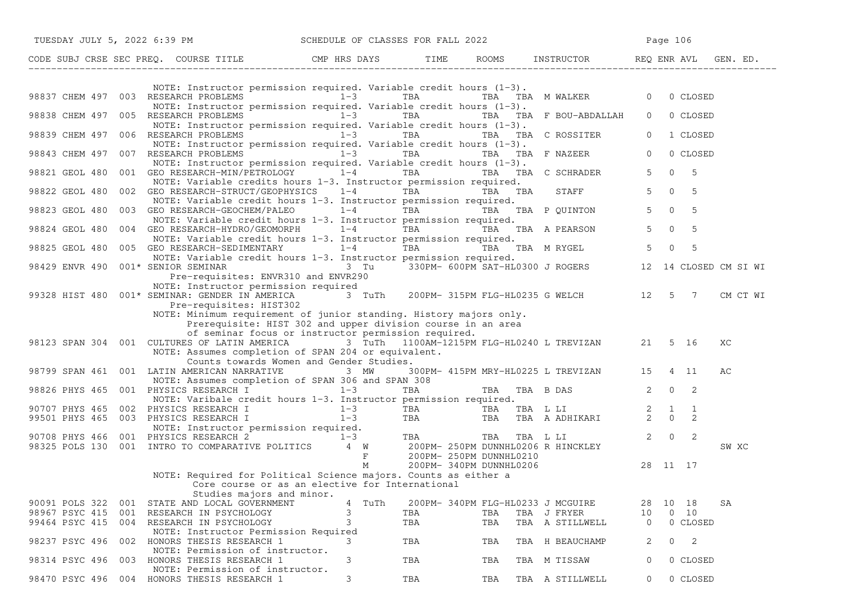|                | TUESDAY JULY 5, 2022 6:39 PM                                                                                                                                                                                                                                                                                                                       | SCHEDULE OF CLASSES FOR FALL 2022 |     |                                            | Page 106                                  |
|----------------|----------------------------------------------------------------------------------------------------------------------------------------------------------------------------------------------------------------------------------------------------------------------------------------------------------------------------------------------------|-----------------------------------|-----|--------------------------------------------|-------------------------------------------|
|                |                                                                                                                                                                                                                                                                                                                                                    |                                   |     |                                            |                                           |
|                |                                                                                                                                                                                                                                                                                                                                                    |                                   |     |                                            |                                           |
|                | NOTE: Instructor permission required. Variable credit hours $(1-3)$ .<br>98837 CHEM 497 003 RESEARCH PROBLEMS 1-3 TBA<br>NOTE: Instructor permission required. Variable credit hours $(1-3)$ .                                                                                                                                                     |                                   |     | TBA TBA MWALKER 0                          | 0 CLOSED                                  |
|                | 98838 CHEM 497 005 RESEARCH PROBLEMS<br>NOTE: Instructor permission required. Variable credit hours $(1-3)$ .                                                                                                                                                                                                                                      |                                   |     | $1-3$ TBA TBA TBA F BOU-ABDALLAH           | $\overline{0}$<br>0 CLOSED                |
|                | 98839 CHEM 497 006 RESEARCH PROBLEMS $1-3$<br>NOTE: Instructor permission required. Variable credit hours $(1-3)$ .                                                                                                                                                                                                                                |                                   |     | TBA TBA TBA C ROSSITER                     | $\overline{0}$<br>1 CLOSED                |
|                | 98843 CHEM 497 007 RESEARCH PROBLEMS 1-3 TBA TBA TBA TBA TBA F NAZEER<br>NOTE: Instructor permission required. Variable credit hours $(1-3)$ .                                                                                                                                                                                                     |                                   |     |                                            | $\overline{0}$<br>0 CLOSED                |
|                | 98821 GEOL 480 001 GEO RESEARCH-MIN/PETROLOGY 1-4 TBA TBA TBA TBA C SCHRADER<br>NOTE: Variable credits hours 1-3. Instructor permission required.                                                                                                                                                                                                  |                                   |     |                                            | $\Omega$<br>$5^{\circ}$<br>5 <sup>5</sup> |
|                | 98822 GEOL 480 002 GEO RESEARCH-STRUCT/GEOPHYSICS 1-4 TBA TBA TBA STAFF<br>NOTE: Variable credit hours 1-3. Instructor permission required.                                                                                                                                                                                                        |                                   |     |                                            | $5\qquad 0$<br>5                          |
| 98823 GEOL 480 | 003 GEO RESEARCH-GEOCHEM/PALEO $1-4$ TBA TBA TBA TBA P QUINTON<br>NOTE: Variable credit hours 1-3. Instructor permission required.                                                                                                                                                                                                                 |                                   |     |                                            | $5 \t 0 \t 5$                             |
| 98824 GEOL 480 | 004 GEO RESEARCH-HYDRO/GEOMORPH $1-4$ TBA TBA TBA TBA A PEARSON<br>NOTE: Variable credit hours 1-3. Instructor permission required.                                                                                                                                                                                                                |                                   |     |                                            | $5\qquad 0$<br>5                          |
| 98825 GEOL 480 | 005 GEO RESEARCH-SEDIMENTARY $1-4$ TBA TBA TBA M RYGEL 5<br>NOTE: Variable credit hours 1-3. Instructor permission required.                                                                                                                                                                                                                       |                                   |     |                                            | $\Omega$<br>5                             |
|                | Pre-requisites: ENVR310 and ENVR290                                                                                                                                                                                                                                                                                                                |                                   |     |                                            |                                           |
|                | NOTE: Instructor permission required<br>99328 HIST 480 $001*$ SEMINAR: GENDER IN AMERICA 3 TuTh 200PM-315PM FLG-HL0235 G WELCH 12 5 7<br>Pre-requisites: HIST302                                                                                                                                                                                   |                                   |     |                                            | CM CT WI                                  |
|                | NOTE: Minimum requirement of junior standing. History majors only.<br>Prerequisite: HIST 302 and upper division course in an area<br>of seminar focus or instructor permission required.<br>98123 SPAN 304 001 CULTURES OF LATIN AMERICA 3 TuTh 1100AM-1215PM FLG-HL0240 L TREVIZAN 21 5 16<br>NOTE: Assumes completion of SPAN 204 or equivalent. |                                   |     |                                            | XC                                        |
|                | Counts towards Women and Gender Studies.<br>98799 SPAN 461 001 LATIN AMERICAN NARRATIVE                                                                                                                                                                                                                                                            | 3 MW                              |     | 300PM- 415PM MRY-HL0225 L TREVIZAN 15 4 11 | AС                                        |
|                | NOTE: Assumes completion of SPAN 306 and SPAN 308<br>98826 PHYS 465 001 PHYSICS RESEARCH I $1-3$ TBA                                                                                                                                                                                                                                               |                                   |     | TBA TBA B DAS 2                            | $0\qquad 2$                               |
|                | NOTE: Varibale credit hours 1-3. Instructor permission required.                                                                                                                                                                                                                                                                                   |                                   |     |                                            | $\overline{1}$                            |
|                |                                                                                                                                                                                                                                                                                                                                                    |                                   |     |                                            | 2                                         |
|                | 90707 PHYS 465 002 PHYSICS RESEARCH I 1-3 TBA TBA TBA LI 2 1<br>99501 PHYS 465 003 PHYSICS RESEARCH I 1-3 TBA TBA TBA TBA LI 2 0<br>NOTE: Instructor permission required.<br>90708 PHYS 466 001 PHYSICS RESEARCH 2 1-3 TBA TBA TBA                                                                                                                 |                                   |     |                                            | $\overline{\phantom{0}}^2$<br>SW XC       |
|                | NOTE: Required for Political Science majors. Counts as either a                                                                                                                                                                                                                                                                                    |                                   |     |                                            | 28 11 17                                  |
|                | Core course or as an elective for International<br>Studies majors and minor.                                                                                                                                                                                                                                                                       |                                   |     |                                            |                                           |
| 90091 POLS 322 | STATE AND LOCAL GOVERNMENT<br>001                                                                                                                                                                                                                                                                                                                  | TuTh<br>4                         |     | 200PM- 340PM FLG-HL0233 J MCGUIRE          | SA<br>28<br>10 18                         |
| 98967 PSYC 415 | 001<br>RESEARCH IN PSYCHOLOGY                                                                                                                                                                                                                                                                                                                      | 3                                 | TBA | TBA<br>TBA J FRYER                         | $0\quad 10$<br>10                         |
| 99464 PSYC 415 | 004<br>RESEARCH IN PSYCHOLOGY                                                                                                                                                                                                                                                                                                                      | 3                                 | TBA | TBA<br>TBA A STILLWELL                     | 0 CLOSED<br>0                             |
|                | NOTE: Instructor Permission Required                                                                                                                                                                                                                                                                                                               |                                   |     |                                            |                                           |
| 98237 PSYC 496 | HONORS THESIS RESEARCH 1<br>002<br>NOTE: Permission of instructor.                                                                                                                                                                                                                                                                                 | 3                                 | TBA | TBA<br>TBA H BEAUCHAMP                     | 2<br>0<br>2                               |
| 98314 PSYC 496 | HONORS THESIS RESEARCH 1<br>003<br>NOTE: Permission of instructor.                                                                                                                                                                                                                                                                                 | 3                                 | TBA | TBA<br>TBA M TISSAW                        | 0<br>0 CLOSED                             |
|                | 98470 PSYC 496 004 HONORS THESIS RESEARCH 1                                                                                                                                                                                                                                                                                                        | 3                                 | TBA | TBA<br>TBA A STILLWELL                     | 0 CLOSED<br>$\overline{0}$                |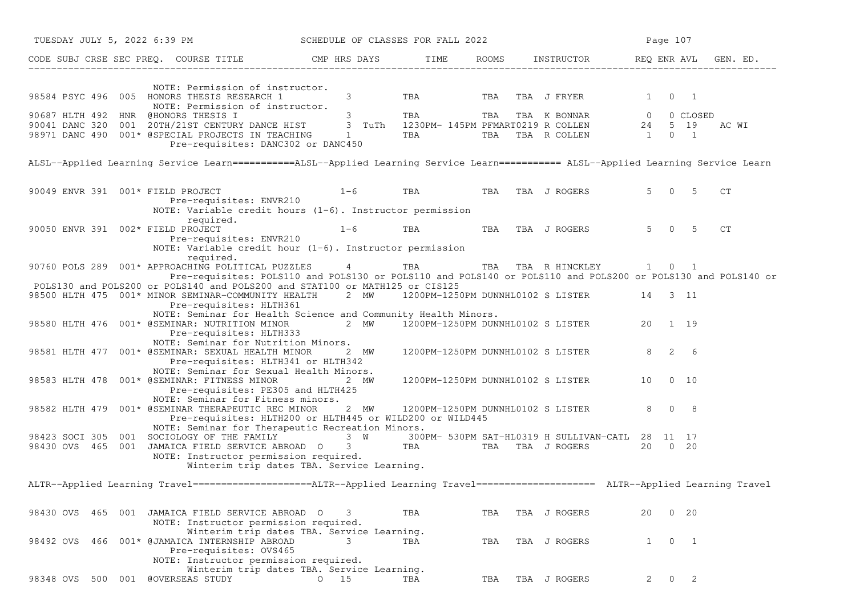|           |     |         |                                                | TUESDAY JULY 5, 2022 6:39 PM SCHEDULE OF CLASSES FOR FALL 2022                                                                                                 |             |                                          |     |            |       |                                                                                                                                                                                                                                                        |             |    | Page 107            |              |                                                                                                                                     |
|-----------|-----|---------|------------------------------------------------|----------------------------------------------------------------------------------------------------------------------------------------------------------------|-------------|------------------------------------------|-----|------------|-------|--------------------------------------------------------------------------------------------------------------------------------------------------------------------------------------------------------------------------------------------------------|-------------|----|---------------------|--------------|-------------------------------------------------------------------------------------------------------------------------------------|
|           |     |         |                                                | CODE SUBJ CRSE SEC PREQ. COURSE TITLE CMP HRS DAYS TIME RO                                                                                                     |             |                                          |     |            | ROOMS | INSTRUCTOR REQ ENR AVL                                                                                                                                                                                                                                 |             |    |                     |              | GEN. ED.                                                                                                                            |
|           |     |         |                                                | NOTE: Permission of instructor.<br>98584 PSYC 496 005 HONORS THESIS RESEARCH 1<br>NOTE: Permission of instructor.<br>Pre-requisites: DANC302 or DANC450        |             | $\mathcal{S}$<br>$\overline{\mathbf{3}}$ |     | <b>TBA</b> |       | TBA TBA J FRYER<br>90687 HLTH 492 HNR @HONORS THESIS I 3 TRA TBA TBA TBA K BONNAR 0 0 CLOSED<br>90041 DANC 320 001 20TH/21ST CENTURY DANCE HIST 3 TuTh 1230PM-145PM PFMART0219 R COLLEN 24 5 19<br>98971 DANC 490 001* @SPECIAL PROJECTS IN TEACHING 1 |             |    | $1 \quad 0 \quad 1$ |              | AC WI                                                                                                                               |
|           |     |         |                                                |                                                                                                                                                                |             |                                          |     |            |       |                                                                                                                                                                                                                                                        |             |    |                     |              | ALSL--Applied Learning Service Learn===========ALSL--Applied Learning Service Learn=========== ALSL--Applied Learning Service Learn |
|           |     |         | 90049 ENVR 391 001* FIELD PROJECT              | Pre-requisites: ENVR210<br>NOTE: Variable credit hours $(1-6)$ . Instructor permission                                                                         |             | $1-6$                                    |     |            |       | TBA TBA TBA J ROGERS                                                                                                                                                                                                                                   |             |    | 5 0 5               |              | CT.                                                                                                                                 |
|           |     |         | required.<br>90050 ENVR 391 002* FIELD PROJECT | Pre-requisites: ENVR210<br>NOTE: Variable credit hour (1-6). Instructor permission                                                                             | $1 - 6$     |                                          | TBA |            | TBA   | TBA J ROGERS                                                                                                                                                                                                                                           |             |    | 5 0 5               |              | CT                                                                                                                                  |
|           |     |         | required.                                      | 90760 POLS 289 001* APPROACHING POLITICAL PUZZLES 4                                                                                                            |             |                                          |     |            |       | TBA TBA TBA RHINCKLEY 1 0 1                                                                                                                                                                                                                            |             |    |                     |              | Pre-requisites: POLS110 and POLS130 or POLS110 and POLS140 or POLS110 and POLS200 or POLS130 and POLS140 or                         |
|           |     |         |                                                | POLS130 and POLS200 or POLS140 and POLS200 and STAT100 or MATH125 or CIS125<br>98500 HLTH 475 001* MINOR SEMINAR-COMMUNITY HEALTH<br>Pre-requisites: HLTH361   |             |                                          |     |            |       | 2 MW 1200PM-1250PM DUNNHL0102 S LISTER 14 3 11                                                                                                                                                                                                         |             |    |                     |              |                                                                                                                                     |
|           |     |         |                                                | NOTE: Seminar for Health Science and Community Health Minors.<br>98580 HLTH 476 001* @SEMINAR: NUTRITION MINOR<br>Pre-requisites: HLTH333                      |             |                                          |     |            |       | 2 MW 1200PM-1250PM DUNNHL0102 S LISTER 20 1 19                                                                                                                                                                                                         |             |    |                     |              |                                                                                                                                     |
|           |     |         |                                                | NOTE: Seminar for Nutrition Minors.<br>98581 HLTH 477 001* @SEMINAR: SEXUAL HEALTH MINOR 2 MW<br>Pre-requisites: HLTH341 or HLTH342                            |             |                                          |     |            |       | 1200PM-1250PM DUNNHL0102 S LISTER 8 2 6                                                                                                                                                                                                                |             |    |                     |              |                                                                                                                                     |
|           |     |         |                                                | NOTE: Seminar for Sexual Health Minors.<br>98583 HLTH 478 001* @SEMINAR: FITNESS MINOR<br>Pre-requisites: PE305 and HLTH425                                    |             | 2 MW                                     |     |            |       | 1200PM-1250PM DUNNHL0102 S LISTER 10                                                                                                                                                                                                                   |             |    |                     | $0\quad 10$  |                                                                                                                                     |
|           |     |         |                                                | NOTE: Seminar for Fitness minors.<br>98582 HLTH 479 001* @SEMINAR THERAPEUTIC REC MINOR<br>Pre-requisites: HLTH200 or HLTH445 or WILD200 or WILD445            |             |                                          |     |            |       | 2 MW 1200PM-1250PM DUNNHL0102 S LISTER                                                                                                                                                                                                                 | $8 \t0 \t8$ |    |                     |              |                                                                                                                                     |
|           |     |         |                                                | NOTE: Seminar for Therapeutic Recreation Minors.<br>NOTE: Instructor permission required.<br>Winterim trip dates TBA. Service Learning.                        |             |                                          |     |            |       | 98423 SOCI 305 001 SOCIOLOGY OF THE FAMILY 3 W 300PM-530PM SAT-HL0319 H SULLIVAN-CATL 28 11 17<br>98430 OVS 465 001 JAMAICA FIELD SERVICE ABROAD 0 3 TBA TBA TBA J ROGERS 20 0 20                                                                      |             |    |                     |              |                                                                                                                                     |
|           |     |         |                                                |                                                                                                                                                                |             |                                          |     |            |       |                                                                                                                                                                                                                                                        |             |    |                     |              | ALTR--Applied Learning Travel====================ALTR--Applied Learning Travel===================== ALTR--Applied Learning Travel   |
| 98430 OVS | 465 |         |                                                | 001 JAMAICA FIELD SERVICE ABROAD O<br>NOTE: Instructor permission required.                                                                                    |             | 3                                        | TBA |            | TBA   | TBA J ROGERS                                                                                                                                                                                                                                           |             | 20 |                     | $0\quad 20$  |                                                                                                                                     |
|           |     |         |                                                | Winterim trip dates TBA. Service Learning.<br>98492 OVS 466 001* @JAMAICA INTERNSHIP ABROAD<br>Pre-requisites: OVS465<br>NOTE: Instructor permission required. |             | 3                                        | TBA |            | TBA   | TBA J ROGERS                                                                                                                                                                                                                                           |             | 1  | $\overline{0}$      | $\mathbf{1}$ |                                                                                                                                     |
| 98348 OVS |     | 500 001 | <b>@OVERSEAS STUDY</b>                         | Winterim trip dates TBA. Service Learning.                                                                                                                     | $0\quad 15$ |                                          | TBA |            | TBA   | TBA J ROGERS                                                                                                                                                                                                                                           |             | 2  | 0                   | 2            |                                                                                                                                     |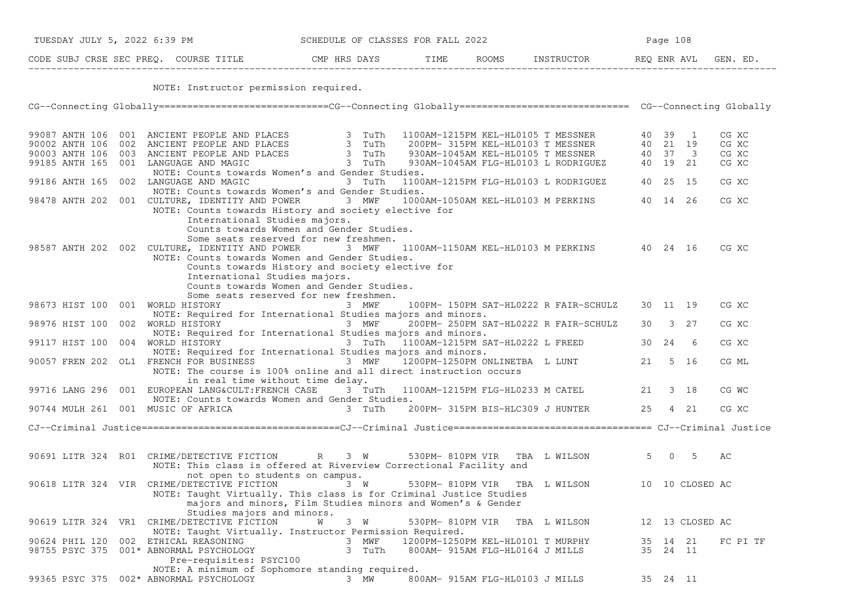|                                         |  | NOTE: Instructor permission required.                                                                                                                                                                                                |          |                                   |                                 |                                                |           |                 |                |
|-----------------------------------------|--|--------------------------------------------------------------------------------------------------------------------------------------------------------------------------------------------------------------------------------------|----------|-----------------------------------|---------------------------------|------------------------------------------------|-----------|-----------------|----------------|
|                                         |  | CG--Connecting Globally============================CG--Connecting Globally============================== CG--Connecting Globally                                                                                                     |          |                                   |                                 |                                                |           |                 |                |
|                                         |  | 99087 ANTH 106 001 ANCIENT PEOPLE AND PLACES 3 TuTh 1100AM-1215PM KEL-HL0105 T MESSNER 40 39 1<br>190002 ANTH 106 002 ANCIENT PEOPLE AND PLACES 3 TuTh 200PM-315PM KEL-HL0103 T MESSNER 40 21 19<br>190003 ANTH 106 003 ANCIENT PEOP |          |                                   |                                 |                                                |           |                 | CG XC          |
|                                         |  |                                                                                                                                                                                                                                      |          |                                   |                                 |                                                |           |                 | CG XC<br>CG XC |
|                                         |  |                                                                                                                                                                                                                                      |          |                                   |                                 |                                                |           |                 | CG XC          |
|                                         |  | NOTE: Counts towards Women's and Gender Studies.                                                                                                                                                                                     |          |                                   |                                 |                                                |           |                 |                |
|                                         |  | 99186 ANTH 165 002 LANGUAGE AND MAGIC 3 TuTh 1100AM-1215PM FLG-HL0103 L RODRIGUEZ 40 25 15                                                                                                                                           |          |                                   |                                 |                                                |           |                 | CG XC          |
|                                         |  | NOTE: Counts towards Women's and Gender Studies.                                                                                                                                                                                     |          |                                   |                                 |                                                |           |                 |                |
|                                         |  | 98478 ANTH 202 001 CULTURE, IDENTITY AND POWER 3 MWF                                                                                                                                                                                 |          |                                   |                                 | 1000AM-1050AM KEL-HL0103 M PERKINS 40 14 26    |           |                 | CG XC          |
|                                         |  | NOTE: Counts towards History and society elective for                                                                                                                                                                                |          |                                   |                                 |                                                |           |                 |                |
|                                         |  | International Studies majors.<br>Counts towards Women and Gender Studies.                                                                                                                                                            |          |                                   |                                 |                                                |           |                 |                |
|                                         |  | Some seats reserved for new freshmen.                                                                                                                                                                                                |          |                                   |                                 |                                                |           |                 |                |
|                                         |  | 98587 ANTH 202 002 CULTURE, IDENTITY AND POWER 3 MWF                                                                                                                                                                                 |          |                                   |                                 | 1100AM-1150AM KEL-HL0103 M PERKINS 40 24 16    |           |                 | CG XC          |
|                                         |  | NOTE: Counts towards Women and Gender Studies.                                                                                                                                                                                       |          |                                   |                                 |                                                |           |                 |                |
|                                         |  | Counts towards History and society elective for                                                                                                                                                                                      |          |                                   |                                 |                                                |           |                 |                |
|                                         |  | International Studies majors.                                                                                                                                                                                                        |          |                                   |                                 |                                                |           |                 |                |
|                                         |  | Counts towards Women and Gender Studies.                                                                                                                                                                                             |          |                                   |                                 |                                                |           |                 |                |
|                                         |  | Some seats reserved for new freshmen.                                                                                                                                                                                                |          |                                   |                                 |                                                |           |                 |                |
| 98673 HIST 100 001 WORLD HISTORY        |  | 3 MWF<br>NOTE: Required for International Studies majors and minors.                                                                                                                                                                 |          |                                   |                                 | 100PM- 150PM SAT-HL0222 R FAIR-SCHULZ 30 11 19 |           |                 | CG XC          |
| 98976 HIST 100 002 WORLD HISTORY        |  |                                                                                                                                                                                                                                      | 3 MWF    |                                   |                                 | 200PM- 250PM SAT-HL0222 R FAIR-SCHULZ 30 3 27  |           |                 | CG XC          |
|                                         |  | NOTE: Required for International Studies majors and minors.                                                                                                                                                                          |          |                                   |                                 |                                                |           |                 |                |
|                                         |  | 99117 HIST 100 004 WORLD HISTORY 60 1000 1000 1000 1000 1000 1000 10000 10000 10000 10000 10000 10000 99117 10                                                                                                                       |          |                                   |                                 |                                                | 30  24  6 |                 | CG XC          |
|                                         |  | NOTE: Required for International Studies majors and minors.                                                                                                                                                                          |          |                                   |                                 |                                                |           |                 |                |
|                                         |  | 90057 FREN 202 OL1 FRENCH FOR BUSINESS 3 MWF                                                                                                                                                                                         |          |                                   |                                 | 1200PM-1250PM ONLINETBA L LUNT                 | 21 5 16   |                 | CG ML          |
|                                         |  | NOTE: The course is 100% online and all direct instruction occurs                                                                                                                                                                    |          |                                   |                                 |                                                |           |                 |                |
|                                         |  | in real time without time delay.                                                                                                                                                                                                     |          |                                   |                                 |                                                |           |                 |                |
|                                         |  | 99716 LANG 296 001 EUROPEAN LANG&CULT:FRENCH CASE 3 TuTh 1100AM-1215PM FLG-HL0233 M CATEL                                                                                                                                            |          |                                   |                                 |                                                | 21 3 18   |                 | CG WC          |
| 90744 MULH 261 001 MUSIC OF AFRICA      |  | NOTE: Counts towards Women and Gender Studies.                                                                                                                                                                                       |          |                                   |                                 | 3 TuTh 200PM- 315PM BIS-HLC309 J HUNTER        |           | 25 4 21         | CG XC          |
|                                         |  |                                                                                                                                                                                                                                      |          |                                   |                                 |                                                |           |                 |                |
|                                         |  |                                                                                                                                                                                                                                      |          |                                   |                                 |                                                |           |                 |                |
|                                         |  |                                                                                                                                                                                                                                      |          |                                   |                                 |                                                |           |                 |                |
|                                         |  |                                                                                                                                                                                                                                      |          |                                   |                                 |                                                |           |                 |                |
|                                         |  | 90691 LITR 324 RO1 CRIME/DETECTIVE FICTION R 3 W                                                                                                                                                                                     |          |                                   |                                 | 530PM-810PM VIR TBA L WILSON 5 0 5             |           |                 | AC             |
|                                         |  | NOTE: This class is offered at Riverview Correctional Facility and                                                                                                                                                                   |          |                                   |                                 |                                                |           |                 |                |
|                                         |  | not open to students on campus.                                                                                                                                                                                                      |          |                                   |                                 |                                                |           |                 |                |
|                                         |  | 90618 LITR 324 VIR CRIME/DETECTIVE FICTION 3 W                                                                                                                                                                                       |          |                                   |                                 | 530PM-810PM VIR TBA L WILSON 10 10 CLOSED AC   |           |                 |                |
|                                         |  | NOTE: Taught Virtually. This class is for Criminal Justice Studies                                                                                                                                                                   |          |                                   |                                 |                                                |           |                 |                |
|                                         |  | majors and minors, Film Studies minors and Women's & Gender<br>Studies majors and minors.                                                                                                                                            |          |                                   |                                 |                                                |           |                 |                |
|                                         |  | 90619 LITR 324 VR1 CRIME/DETECTIVE FICTION                                                                                                                                                                                           | 3 W<br>W |                                   | 530PM-810PM VIR TBA L WILSON    |                                                |           | 12 13 CLOSED AC |                |
|                                         |  | NOTE: Taught Virtually. Instructor Permission Required.                                                                                                                                                                              |          |                                   |                                 |                                                |           |                 |                |
| 90624 PHIL 120 002                      |  | ETHICAL REASONING                                                                                                                                                                                                                    | 3 MWF    | 1200PM-1250PM KEL-HL0101 T MURPHY |                                 |                                                | 35 14 21  |                 | FC PI TF       |
| 98755 PSYC 375 001* ABNORMAL PSYCHOLOGY |  |                                                                                                                                                                                                                                      | 3 TuTh   |                                   | 800AM- 915AM FLG-HL0164 J MILLS |                                                | 35 24 11  |                 |                |
|                                         |  | Pre-requisites: PSYC100                                                                                                                                                                                                              |          |                                   |                                 |                                                |           |                 |                |
|                                         |  | NOTE: A minimum of Sophomore standing required.                                                                                                                                                                                      |          |                                   |                                 |                                                |           |                 |                |
|                                         |  | 99365 PSYC 375 002* ABNORMAL PSYCHOLOGY                                                                                                                                                                                              | 3 MW     | 800AM- 915AM FLG-HL0103 J MILLS   |                                 |                                                | 35 24 11  |                 |                |

TUESDAY JULY 5, 2022 6:39 PM SCHEDULE OF CLASSES FOR FALL 2022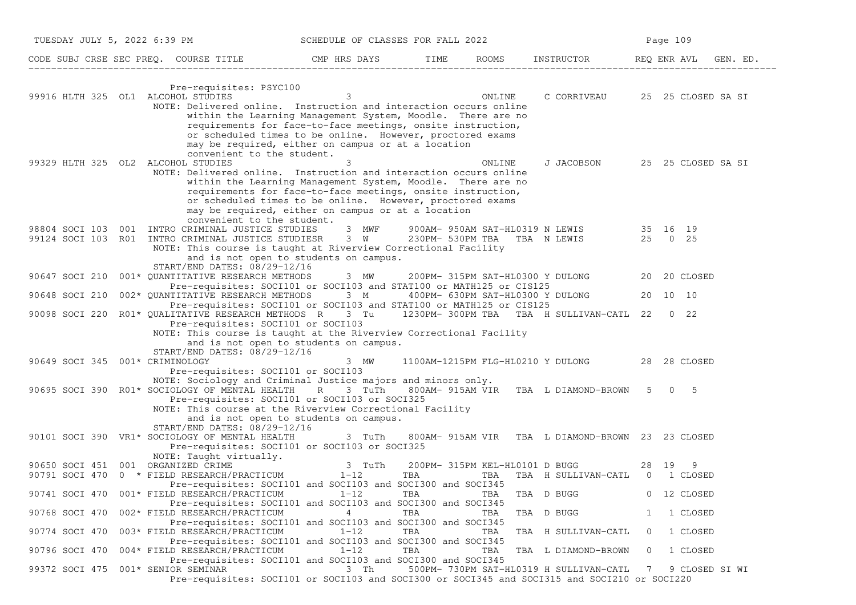| TUESDAY JULY 5, 2022 6:39 PM       |                                                                                                                                                                                                                    | SCHEDULE OF CLASSES FOR FALL 2022                                                                                                                                                                                                             |     |                                       |                                                                                |                | Page 109     |                |
|------------------------------------|--------------------------------------------------------------------------------------------------------------------------------------------------------------------------------------------------------------------|-----------------------------------------------------------------------------------------------------------------------------------------------------------------------------------------------------------------------------------------------|-----|---------------------------------------|--------------------------------------------------------------------------------|----------------|--------------|----------------|
|                                    |                                                                                                                                                                                                                    |                                                                                                                                                                                                                                               |     |                                       |                                                                                |                |              | GEN. ED.       |
|                                    | Pre-requisites: PSYC100                                                                                                                                                                                            |                                                                                                                                                                                                                                               |     |                                       |                                                                                |                |              |                |
| 99916 HLTH 325 OL1 ALCOHOL STUDIES | NOTE: Delivered online. Instruction and interaction occurs online                                                                                                                                                  | $\overline{\mathbf{3}}$                                                                                                                                                                                                                       |     | ONLINE                                | C CORRIVEAU 25 25 CLOSED SA SI                                                 |                |              |                |
|                                    | convenient to the student.                                                                                                                                                                                         | within the Learning Management System, Moodle. There are no<br>requirements for face-to-face meetings, onsite instruction,<br>or scheduled times to be online. However, proctored exams<br>may be required, either on campus or at a location |     |                                       |                                                                                |                |              |                |
| 99329 HLTH 325 OL2 ALCOHOL STUDIES |                                                                                                                                                                                                                    | 3                                                                                                                                                                                                                                             |     | ONLINE                                | J JACOBSON 25 25 CLOSED SA SI                                                  |                |              |                |
|                                    | NOTE: Delivered online. Instruction and interaction occurs online<br>convenient to the student.                                                                                                                    | within the Learning Management System, Moodle. There are no<br>requirements for face-to-face meetings, onsite instruction,<br>or scheduled times to be online. However, proctored exams<br>may be required, either on campus or at a location |     |                                       |                                                                                |                |              |                |
|                                    | 98804 SOCI 103 001 INTRO CRIMINAL JUSTICE STUDIES                                                                                                                                                                  | 3 MWF                                                                                                                                                                                                                                         |     |                                       | 900AM-950AM SAT-HL0319 N LEWIS 35 16 19<br>230PM-530PM TBA TBA N LEWIS 25 0 25 |                |              |                |
|                                    | 99124 SOCI 103 R01 INTRO CRIMINAL JUSTICE STUDIESR 3 W<br>NOTE: This course is taught at Riverview Correctional Facility                                                                                           |                                                                                                                                                                                                                                               |     |                                       |                                                                                |                |              |                |
|                                    |                                                                                                                                                                                                                    | and is not open to students on campus.                                                                                                                                                                                                        |     |                                       |                                                                                |                |              |                |
|                                    | START/END DATES: 08/29-12/16                                                                                                                                                                                       |                                                                                                                                                                                                                                               |     |                                       |                                                                                |                |              |                |
|                                    | 90647 SOCI 210 001* OUANTITATIVE RESEARCH METHODS<br>Pre-requisites: SOCI101 or SOCI103 and STAT100 or MATH125 or CIS125                                                                                           | 3 MW                                                                                                                                                                                                                                          |     |                                       | 200PM- 315PM SAT-HL0300 Y DULONG                                               |                | 20 20 CLOSED |                |
| 90648 SOCI 210                     | 002* QUANTITATIVE RESEARCH METHODS 3 M 400PM- 630PM SAT-HL0300 Y DULONG<br>Pre-requisites: SOCI101 or SOCI103 and STAT100 or MATH125 or CIS125                                                                     |                                                                                                                                                                                                                                               |     |                                       |                                                                                |                | 20 10 10     |                |
|                                    | 90098 SOCI 220 R01* QUALITATIVE RESEARCH METHODS R 3 Tu 1230PM-300PM TBA TBA H SULLIVAN-CATL 22 0 22                                                                                                               |                                                                                                                                                                                                                                               |     |                                       |                                                                                |                |              |                |
| 90649 SOCI 345 001* CRIMINOLOGY    | Pre-requisites: SOCI101 or SOCI103<br>NOTE: This course is taught at the Riverview Correctional Facility<br>START/END DATES: 08/29-12/16                                                                           | and is not open to students on campus.<br>3 MW                                                                                                                                                                                                |     |                                       | 1100AM-1215PM FLG-HL0210 Y DULONG 28 28 CLOSED                                 |                |              |                |
|                                    | Pre-requisites: SOCI101 or SOCI103                                                                                                                                                                                 |                                                                                                                                                                                                                                               |     |                                       |                                                                                |                |              |                |
|                                    | NOTE: Sociology and Criminal Justice majors and minors only.<br>90695 SOCI 390 R01* SOCIOLOGY OF MENTAL HEALTH R 3 TuTh 800AM-915AM VIR TBA L DIAMOND-BROWN 5 0 5<br>Pre-requisites: SOCI101 or SOCI103 or SOCI325 |                                                                                                                                                                                                                                               |     |                                       |                                                                                |                |              |                |
|                                    | NOTE: This course at the Riverview Correctional Facility                                                                                                                                                           | and is not open to students on campus.                                                                                                                                                                                                        |     |                                       |                                                                                |                |              |                |
|                                    | START/END DATES: 08/29-12/16                                                                                                                                                                                       |                                                                                                                                                                                                                                               |     |                                       |                                                                                |                |              |                |
|                                    | 90101 SOCI 390 VR1* SOCIOLOGY OF MENTAL HEALTH<br>Pre-requisites: SOCI101 or SOCI103 or SOCI325                                                                                                                    |                                                                                                                                                                                                                                               |     |                                       | 3 TuTh 800AM-915AM VIR TBA L DIAMOND-BROWN 23 23 CLOSED                        |                |              |                |
|                                    | NOTE: Taught virtually.                                                                                                                                                                                            |                                                                                                                                                                                                                                               |     |                                       |                                                                                |                |              |                |
| 90650 SOCI 451 001 ORGANIZED CRIME | 90791 SOCI 470 $0 \times$ FIELD RESEARCH/PRACTICUM $1-12$                                                                                                                                                          | 3 TuTh                                                                                                                                                                                                                                        | TBA | 200PM- 315PM KEL-HL0101 D BUGG<br>TBA | 28 19 9<br>TBA H SULLIVAN-CATL 0 1 CLOSED                                      |                |              |                |
|                                    | Pre-requisites: SOCI101 and SOCI103 and SOCI300 and SOCI345                                                                                                                                                        |                                                                                                                                                                                                                                               |     |                                       |                                                                                |                |              |                |
| 90741 SOCI 470                     | 001* FIELD RESEARCH/PRACTICUM                                                                                                                                                                                      | $1 - 12$                                                                                                                                                                                                                                      | TBA | TBA                                   | TBA D BUGG                                                                     | $\mathbf{0}$   | 12 CLOSED    |                |
| 90768 SOCI 470                     | Pre-requisites: SOCI101 and SOCI103 and SOCI300 and SOCI345<br>002* FIELD RESEARCH/PRACTICUM<br>Pre-requisites: SOCI101 and SOCI103 and SOCI300 and SOCI345                                                        | 4                                                                                                                                                                                                                                             | TBA | TBA                                   | TBA D BUGG                                                                     | 1              | 1 CLOSED     |                |
| 90774 SOCI 470                     | 003* FIELD RESEARCH/PRACTICUM                                                                                                                                                                                      | $1 - 12$                                                                                                                                                                                                                                      | TBA | TBA<br>TBA                            | H SULLIVAN-CATL                                                                | $\overline{0}$ | 1 CLOSED     |                |
| 90796 SOCI 470                     | Pre-requisites: SOCI101 and SOCI103 and SOCI300 and SOCI345<br>004* FIELD RESEARCH/PRACTICUM                                                                                                                       | $1 - 12$                                                                                                                                                                                                                                      | TBA | TBA                                   | TBA L DIAMOND-BROWN                                                            | $\overline{0}$ | 1 CLOSED     |                |
| 99372 SOCI 475                     | Pre-requisites: SOCI101 and SOCI103 and SOCI300 and SOCI345<br>001* SENIOR SEMINAR<br>Pre-requisites: SOCI101 or SOCI103 and SOCI300 or SOCI345 and SOCI315 and SOCI210 or SOCI220                                 | 3 Th                                                                                                                                                                                                                                          |     |                                       | 500PM- 730PM SAT-HL0319 H SULLIVAN-CATL                                        | 7              |              | 9 CLOSED SI WI |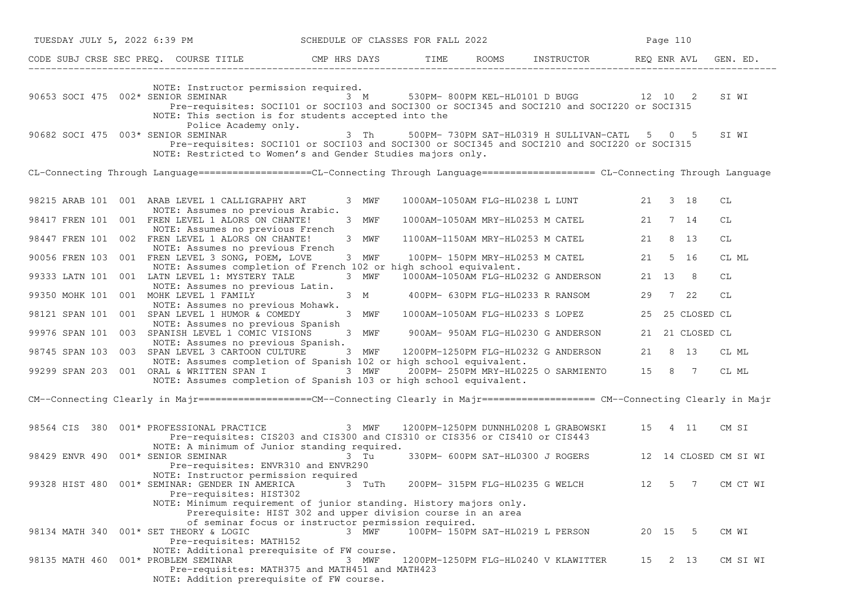| TUESDAY JULY 5, 2022 6:39 PM                                                                                                                                                                                                        | SCHEDULE OF CLASSES FOR FALL 2022                                                                                           |                                  |                                              |    | Page 110        |                       |
|-------------------------------------------------------------------------------------------------------------------------------------------------------------------------------------------------------------------------------------|-----------------------------------------------------------------------------------------------------------------------------|----------------------------------|----------------------------------------------|----|-----------------|-----------------------|
| CODE SUBJ CRSE SEC PREQ. COURSE TITLE TITLE THE TIME ROOMS INSTRUCTOR THE REQ ENR AVL GIT AND SECTION THE SECTION AND STRUCTOR TERM AVL GITTLE THE SECTION AND SECTION AND SECTION AND SECTION AND SECTION AND SECTION AND SEC      |                                                                                                                             |                                  |                                              |    |                 | GEN. ED.              |
| NOTE: Instructor permission required.<br>90653 SOCI 475 002* SENIOR SEMINAR<br>Pre-requisites: SOCI101 or SOCI103 and SOCI300 or SOCI345 and SOCI210 and SOCI220 or SOCI315<br>NOTE: This section is for students accepted into the | 3 M                                                                                                                         |                                  | 530PM-800PM KEL-HL0101 D BUGG 12 10 2        |    |                 | SI WI                 |
| Police Academy only.<br>90682 SOCI 475 003* SENIOR SEMINAR<br>Pre-requisites: SOCI101 or SOCI103 and SOCI300 or SOCI345 and SOCI210 and SOCI220 or SOCI315<br>NOTE: Restricted to Women's and Gender Studies majors only.           | 3 Th                                                                                                                        |                                  | 500PM-730PM SAT-HL0319 H SULLIVAN-CATL 5 0 5 |    |                 | SI WI                 |
| CL-Connecting Through Language===================CL-Connecting Through Language==================== CL-Connecting Through Language                                                                                                  |                                                                                                                             |                                  |                                              |    |                 |                       |
| 98215 ARAB 101 001 ARAB LEVEL 1 CALLIGRAPHY ART<br>NOTE: Assumes no previous Arabic.                                                                                                                                                | 3 MWF                                                                                                                       |                                  | 1000AM-1050AM FLG-HL0238 L LUNT              |    | 21 3 18         | СL                    |
| 98417 FREN 101 001 FREN LEVEL 1 ALORS ON CHANTE!<br>NOTE: Assumes no previous French                                                                                                                                                | 3 MWF                                                                                                                       |                                  | 1000AM-1050AM MRY-HL0253 M CATEL             |    | 21 7 14         | СL                    |
| 98447 FREN 101 002 FREN LEVEL 1 ALORS ON CHANTE!<br>NOTE: Assumes no previous French                                                                                                                                                | 3 MWF                                                                                                                       | 1100AM-1150AM MRY-HL0253 M CATEL |                                              | 21 | 8 13            | СL                    |
| 90056 FREN 103 001 FREN LEVEL 3 SONG, POEM, LOVE<br>NOTE: Assumes completion of French 102 or high school equivalent.                                                                                                               | 3 MWF                                                                                                                       |                                  | 100PM- 150PM MRY-HL0253 M CATEL              | 21 | 5 16            | CL ML                 |
| 99333 LATN 101<br>001 LATN LEVEL 1: MYSTERY TALE<br>NOTE: Assumes no previous Latin.                                                                                                                                                | 3 MWF                                                                                                                       |                                  | 1000AM-1050AM FLG-HL0232 G ANDERSON          |    | 21 13 8         | СL                    |
| 99350 MOHK 101 001 MOHK LEVEL 1 FAMILY<br>NOTE: Assumes no previous Mohawk.                                                                                                                                                         | 3 M                                                                                                                         |                                  | 400PM- 630PM FLG-HL0233 R RANSOM             | 29 | 7 22            | CL                    |
| 98121 SPAN 101 001 SPAN LEVEL 1 HUMOR & COMEDY<br>NOTE: Assumes no previous Spanish                                                                                                                                                 | 3 MWF                                                                                                                       |                                  | 1000AM-1050AM FLG-HL0233 S LOPEZ             | 25 | 25 CLOSED CL    |                       |
| 99976 SPAN 101 003 SPANISH LEVEL 1 COMIC VISIONS<br>NOTE: Assumes no previous Spanish.                                                                                                                                              | 3 MWF                                                                                                                       |                                  | 900AM- 950AM FLG-HL0230 G ANDERSON           |    | 21 21 CLOSED CL |                       |
| 98745 SPAN 103<br>003 SPAN LEVEL 3 CARTOON CULTURE                                                                                                                                                                                  | 3 MWF                                                                                                                       |                                  | 1200PM-1250PM FLG-HL0232 G ANDERSON          | 21 | 8 13            | CL ML                 |
| NOTE: Assumes completion of Spanish 102 or high school equivalent.<br>99299 SPAN 203 001 ORAL & WRITTEN SPAN I<br>NOTE: Assumes completion of Spanish 103 or high school equivalent.                                                | 3 MWF                                                                                                                       |                                  | 200PM- 250PM MRY-HL0225 O SARMIENTO          |    | 15 8 7          | CL ML                 |
| CM--Connecting Clearly in Majr==================CM--Connecting Clearly in Majr==================== CM--Connecting Clearly in Majr                                                                                                   |                                                                                                                             |                                  |                                              |    |                 |                       |
| 98564 CIS 380 001* PROFESSIONAL PRACTICE<br>Pre-requisites: CIS203 and CIS300 and CIS310 or CIS356 or CIS410 or CIS443<br>NOTE: A minimum of Junior standing required.                                                              | 3 MWF                                                                                                                       |                                  | 1200PM-1250PM DUNNHL0208 L GRABOWSKI         | 15 | 4 11            | CM SI                 |
| 98429 ENVR 490 001* SENIOR SEMINAR<br>Pre-requisites: ENVR310 and ENVR290                                                                                                                                                           | 3 Tu                                                                                                                        |                                  | 330PM- 600PM SAT-HL0300 J ROGERS             |    |                 | 12 14 CLOSED CM SI WI |
| NOTE: Instructor permission required<br>99328 HIST 480 001* SEMINAR: GENDER IN AMERICA<br>Pre-requisites: HIST302<br>NOTE: Minimum requirement of junior standing. History majors only.                                             | 3 TuTh                                                                                                                      |                                  | 200PM- 315PM FLG-HL0235 G WELCH              | 12 | 5 7             | CM CT WI              |
| 98134 MATH 340 001* SET THEORY & LOGIC<br>Pre-requisites: MATH152                                                                                                                                                                   | Prerequisite: HIST 302 and upper division course in an area<br>of seminar focus or instructor permission required.<br>3 MWF |                                  | 100PM- 150PM SAT-HL0219 L PERSON             |    | 20 15 5         | CM WI                 |
| NOTE: Additional prerequisite of FW course.<br>001* PROBLEM SEMINAR<br>98135 MATH 460<br>Pre-requisites: MATH375 and MATH451 and MATH423<br>NOTE: Addition prerequisite of FW course.                                               | 3 MWF                                                                                                                       |                                  | 1200PM-1250PM FLG-HL0240 V KLAWITTER         |    | 15 2 13         | CM SI WI              |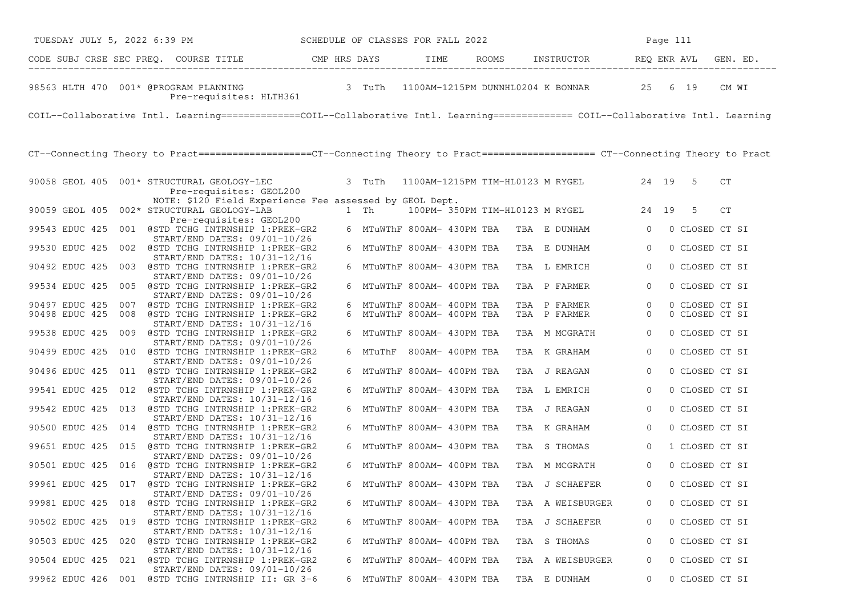| SCHEDULE OF CLASSES FOR FALL 2022<br>TUESDAY JULY 5, 2022 6:39 PM                                                                  |                            |      |                                        |                | Page 111 |                |
|------------------------------------------------------------------------------------------------------------------------------------|----------------------------|------|----------------------------------------|----------------|----------|----------------|
| CODE SUBJ CRSE SEC PREQ. COURSE TITLE THE CMP HRS DAYS                                                                             |                            | TIME | ROOMS INSTRUCTOR REQ ENR AVL           |                |          | GEN. ED.       |
| 98563 HLTH 470 001* @PROGRAM PLANNING 3 TuTh 1100AM-1215PM DUNNHL0204 K BONNAR 25 6 19<br>Pre-requisites: HLTH361                  |                            |      |                                        |                |          | CM WI          |
| COIL--Collaborative Intl. Learning=============COIL--Collaborative Intl. Learning============== COIL--Collaborative Intl. Learning |                            |      |                                        |                |          |                |
| CT--Connecting Theory to Pract==================CT--Connecting Theory to Pract===================== CT--Connecting Theory to Pract |                            |      |                                        |                |          |                |
| 90058 GEOL 405 001* STRUCTURAL GEOLOGY-LEC<br>Pre-requisites: GEOL200                                                              | 3 TuTh                     |      | 1100AM-1215PM TIM-HL0123 M RYGEL 24 19 |                | -5       | CT             |
| NOTE: \$120 Field Experience Fee assessed by GEOL Dept.<br>90059 GEOL 405 002* STRUCTURAL GEOLOGY-LAB<br>Pre-requisites: GEOL200   | 1 Th                       |      | 100PM-350PM TIM-HL0123 M RYGEL 24 19   |                | 5        | CT             |
| 99543 EDUC 425 001 @STD TCHG INTRNSHIP 1:PREK-GR2                                                                                  | 6 MTuWThF 800AM- 430PM TBA |      | TBA E DUNHAM                           | $\overline{0}$ |          | 0 CLOSED CT SI |
| START/END DATES: 09/01-10/26<br>99530 EDUC 425 002 @STD TCHG INTRNSHIP 1:PREK-GR2                                                  | 6 MTuWThF 800AM- 430PM TBA |      | TBA E DUNHAM                           | $\overline{0}$ |          | 0 CLOSED CT SI |
| START/END DATES: 10/31-12/16<br>90492 EDUC 425 003 @STD TCHG INTRNSHIP 1:PREK-GR2                                                  | 6 MTuWThF 800AM- 430PM TBA |      | TBA L EMRICH                           | $\overline{0}$ |          | 0 CLOSED CT SI |
| START/END DATES: 09/01-10/26<br>99534 EDUC 425 005 @STD TCHG INTRNSHIP 1:PREK-GR2                                                  | 6 MTuWThF 800AM- 400PM TBA |      | TBA P FARMER                           | $\mathbf{0}$   |          | 0 CLOSED CT SI |
| START/END DATES: 09/01-10/26<br>90497 EDUC 425 007 @STD TCHG INTRNSHIP 1:PREK-GR2                                                  | 6 MTuWThF 800AM- 400PM TBA |      | TBA P FARMER                           | 0              |          | 0 CLOSED CT SI |
| 90498 EDUC 425 008 @STD TCHG INTRNSHIP 1:PREK-GR2<br>START/END DATES: 10/31-12/16                                                  | 6 MTuWThF 800AM- 400PM TBA |      | TBA P FARMER                           | $\mathbf{0}$   |          | 0 CLOSED CT SI |
| 99538 EDUC 425 009 @STD TCHG INTRNSHIP 1:PREK-GR2<br>START/END DATES: 09/01-10/26                                                  | 6 MTuWThF 800AM- 430PM TBA |      | TBA M MCGRATH                          | $\mathbf{0}$   |          | 0 CLOSED CT SI |
| 90499 EDUC 425 010 @STD TCHG INTRNSHIP 1:PREK-GR2<br>START/END DATES: 09/01-10/26                                                  | 6 MTuThF 800AM- 400PM TBA  |      | TBA K GRAHAM                           | $\overline{0}$ |          | 0 CLOSED CT SI |
| 90496 EDUC 425 011 @STD TCHG INTRNSHIP 1:PREK-GR2                                                                                  | 6 MTuWThF 800AM- 400PM TBA |      | TBA J REAGAN                           | 0              |          | 0 CLOSED CT SI |
| START/END DATES: 09/01-10/26<br>99541 EDUC 425 012 @STD TCHG INTRNSHIP 1:PREK-GR2                                                  | 6 MTuWThF 800AM- 430PM TBA |      | TBA L EMRICH                           | $\mathbf{0}$   |          | 0 CLOSED CT SI |
| START/END DATES: 10/31-12/16<br>99542 EDUC 425 013 @STD TCHG INTRNSHIP 1:PREK-GR2                                                  | 6 MTuWThF 800AM- 430PM TBA |      | TBA J REAGAN                           | $\mathbf{0}$   |          | 0 CLOSED CT SI |
| START/END DATES: 10/31-12/16<br>90500 EDUC 425 014 @STD TCHG INTRNSHIP 1:PREK-GR2                                                  | 6 MTuWThF 800AM- 430PM TBA |      | TBA K GRAHAM                           | $\mathbf{0}$   |          | 0 CLOSED CT SI |
| START/END DATES: 10/31-12/16<br>99651 EDUC 425 015 @STD TCHG INTRNSHIP 1:PREK-GR2                                                  | 6 MTuWThF 800AM- 430PM TBA |      | TBA S THOMAS                           | $\overline{0}$ |          | 1 CLOSED CT SI |
| START/END DATES: 09/01-10/26                                                                                                       |                            |      |                                        |                |          |                |
| 90501 EDUC 425 016 @STD TCHG INTRNSHIP 1:PREK-GR2<br>START/END DATES: 10/31-12/16                                                  | 6 MTuWThF 800AM- 400PM TBA |      | TBA M MCGRATH                          | $\mathbf{0}$   |          | 0 CLOSED CT SI |
| 99961 EDUC 425 017 @STD TCHG INTRNSHIP 1:PREK-GR2<br>$START/END$ DATES: $09/01-10/26$                                              | 6 MTuWThF 800AM- 430PM TBA |      | TBA J SCHAEFER                         | $\Omega$       |          | 0 CLOSED CT SI |
| 99981 EDUC 425 018<br>@STD TCHG INTRNSHIP 1:PREK-GR2<br>START/END DATES: 10/31-12/16                                               | 6 MTuWThF 800AM- 430PM TBA |      | TBA A WEISBURGER                       |                |          | 0 CLOSED CT SI |
| 90502 EDUC 425 019 @STD TCHG INTRNSHIP 1:PREK-GR2                                                                                  | 6 MTuWThF 800AM- 400PM TBA |      | TBA J SCHAEFER                         | 0              |          | 0 CLOSED CT SI |
| START/END DATES: 10/31-12/16<br>90503 EDUC 425 020 @STD TCHG INTRNSHIP 1:PREK-GR2                                                  | 6 MTuWThF 800AM- 400PM TBA |      | TBA S THOMAS                           | 0              |          | 0 CLOSED CT SI |
| START/END DATES: 10/31-12/16<br>90504 EDUC 425 021 @STD TCHG INTRNSHIP 1:PREK-GR2                                                  | 6 MTuWThF 800AM- 400PM TBA |      | TBA A WEISBURGER                       | 0              |          | 0 CLOSED CT SI |
| START/END DATES: 09/01-10/26<br>99962 EDUC 426 001 @STD TCHG INTRNSHIP II: GR 3-6                                                  | 6 MTuWThF 800AM- 430PM TBA |      | TBA E DUNHAM                           | 0              |          | 0 CLOSED CT SI |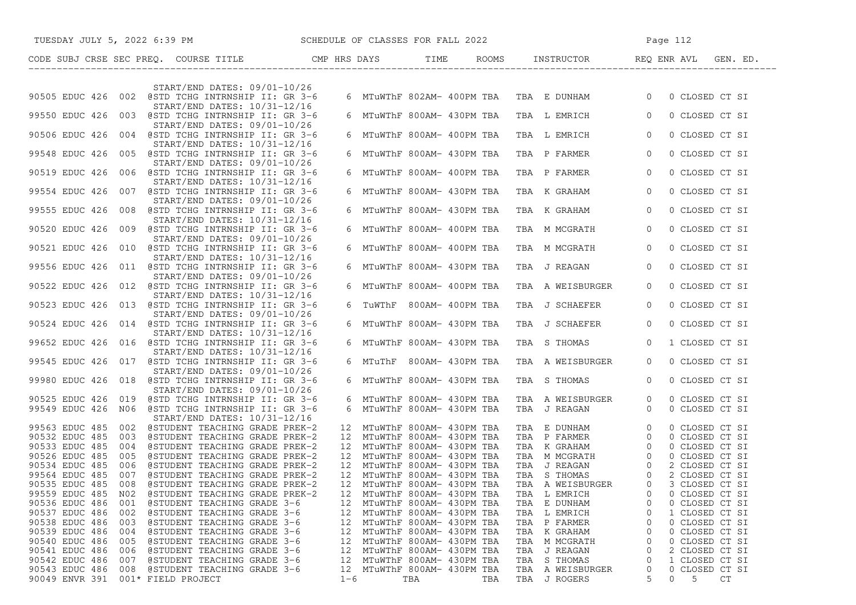|                                                   | TUESDAY JULY 5, 2022 6:39 PM SCHEDULE OF CLASSES FOR FALL 2022   |         |                                                            |     |     |     |                                           | Page 112                             |                                  |    |  |
|---------------------------------------------------|------------------------------------------------------------------|---------|------------------------------------------------------------|-----|-----|-----|-------------------------------------------|--------------------------------------|----------------------------------|----|--|
|                                                   |                                                                  |         |                                                            |     |     |     |                                           |                                      |                                  |    |  |
|                                                   | START/END DATES: 09/01-10/26                                     |         |                                                            |     |     |     |                                           |                                      |                                  |    |  |
| 90505 EDUC 426 002 @STD TCHG INTRNSHIP II: GR 3-6 | START/END DATES: 10/31-12/16                                     |         |                                                            |     |     |     | 6 MTuWThF 802AM- 400PM TBA TBA E DUNHAM 0 |                                      | 0 CLOSED CT SI                   |    |  |
| 99550 EDUC 426 003 @STD TCHG INTRNSHIP II: GR 3-6 | START/END DATES: 09/01-10/26                                     |         | 6 MTuWThF 800AM- 430PM TBA                                 |     |     |     | TBA L EMRICH                              | $\overline{0}$                       | 0 CLOSED CT SI                   |    |  |
| 90506 EDUC 426 004 @STD TCHG INTRNSHIP II: GR 3-6 | START/END DATES: 10/31-12/16                                     |         | 6 MTuWThF 800AM- 400PM TBA                                 |     |     |     | TBA L EMRICH                              | $\overline{0}$                       | 0 CLOSED CT SI                   |    |  |
| 99548 EDUC 426 005 @STD TCHG INTRNSHIP II: GR 3-6 | START/END DATES: 09/01-10/26                                     |         | 6 MTuWThF 800AM- 430PM TBA                                 |     |     |     | TBA P FARMER                              | $\overline{0}$                       | 0 CLOSED CT SI                   |    |  |
| 90519 EDUC 426 006 @STD TCHG INTRNSHIP II: GR 3-6 | START/END DATES: 10/31-12/16                                     |         | 6 MTuWThF 800AM- 400PM TBA                                 |     |     |     | TBA P FARMER                              | $\overline{0}$                       | 0 CLOSED CT SI                   |    |  |
| 99554 EDUC 426 007 @STD TCHG INTRNSHIP II: GR 3-6 | START/END DATES: 09/01-10/26                                     |         | 6 MTuWThF 800AM- 430PM TBA                                 |     |     |     | TBA K GRAHAM                              | $\overline{0}$                       | 0 CLOSED CT SI                   |    |  |
| 99555 EDUC 426 008 @STD TCHG INTRNSHIP II: GR 3-6 | START/END DATES: 10/31-12/16                                     |         | 6 MTuWThF 800AM- 430PM TBA                                 |     |     |     | TBA K GRAHAM                              | $\overline{0}$                       | 0 CLOSED CT SI                   |    |  |
| 90520 EDUC 426 009 @STD TCHG INTRNSHIP II: GR 3-6 | START/END DATES: 09/01-10/26                                     |         | 6 MTuWThF 800AM- 400PM TBA                                 |     |     |     | TBA M MCGRATH                             | $\overline{0}$                       | 0 CLOSED CT SI                   |    |  |
| 90521 EDUC 426 010 @STD TCHG INTRNSHIP II: GR 3-6 | START/END DATES: 10/31-12/16                                     |         | 6 MTuWThF 800AM- 400PM TBA                                 |     |     |     | TBA M MCGRATH                             | $\overline{0}$                       | 0 CLOSED CT SI                   |    |  |
| 99556 EDUC 426 011 @STD TCHG INTRNSHIP II: GR 3-6 | START/END DATES: 09/01-10/26                                     |         | 6 MTuWThF 800AM- 430PM TBA                                 |     |     |     | TBA J REAGAN                              | $\overline{0}$                       | 0 CLOSED CT SI                   |    |  |
| 90522 EDUC 426 012 @STD TCHG INTRNSHIP II: GR 3-6 | START/END DATES: 10/31-12/16                                     |         | 6 MTuWThF 800AM- 400PM TBA                                 |     |     |     | TBA A WEISBURGER                          | $\Omega$                             | 0 CLOSED CT SI                   |    |  |
| 90523 EDUC 426 013 @STD TCHG INTRNSHIP II: GR 3-6 | START/END DATES: 09/01-10/26                                     |         | 6 TuWThF 800AM- 400PM TBA                                  |     |     |     | TBA J SCHAEFER                            | $\Omega$                             | 0 CLOSED CT SI                   |    |  |
| 90524 EDUC 426 014 @STD TCHG INTRNSHIP II: GR 3-6 | START/END DATES: 10/31-12/16                                     |         | 6 MTuWThF 800AM- 430PM TBA                                 |     |     |     | TBA J SCHAEFER                            | $\Omega$                             | 0 CLOSED CT SI                   |    |  |
| 99652 EDUC 426 016 @STD TCHG INTRNSHIP II: GR 3-6 | START/END DATES: 10/31-12/16                                     |         | 6 MTuWThF 800AM- 430PM TBA                                 |     |     |     | TBA S THOMAS                              | $\overline{0}$                       | 1 CLOSED CT SI                   |    |  |
| 99545 EDUC 426 017 @STD TCHG INTRNSHIP II: GR 3-6 | START/END DATES: 09/01-10/26                                     |         | 6 MTuThF 800AM-430PM TBA                                   |     |     |     | TBA A WEISBURGER                          | $\overline{0}$                       | 0 CLOSED CT SI                   |    |  |
| 99980 EDUC 426 018 @STD TCHG INTRNSHIP II: GR 3-6 | $START/END$ DATES: $09/01-10/26$                                 |         | 6 MTuWThF 800AM- 430PM TBA                                 |     |     |     | TBA S THOMAS                              | $\overline{0}$                       | 0 CLOSED CT SI                   |    |  |
| 90525 EDUC 426 019 @STD TCHG INTRNSHIP II: GR 3-6 |                                                                  |         | 6 MTuWThF 800AM- 430PM TBA                                 |     |     |     | TBA A WEISBURGER                          | $\overline{0}$<br>$\Omega$           | 0 CLOSED CT SI                   |    |  |
| 99549 EDUC 426 N06 @STD TCHG INTRNSHIP II: GR 3-6 | START/END DATES: 10/31-12/16                                     |         | 6 MTuWThF 800AM- 430PM TBA                                 |     |     |     | TBA J REAGAN                              |                                      | 0 CLOSED CT SI                   |    |  |
| 99563 EDUC 485 002                                | @STUDENT TEACHING GRADE PREK-2                                   |         | 12 MTuWThF 800AM- 430PM TBA                                |     |     |     | TBA E DUNHAM                              | $\overline{0}$                       | 0 CLOSED CT SI                   |    |  |
| 90532 EDUC 485 003                                | @STUDENT TEACHING GRADE PREK-2                                   |         | 12 MTuWThF 800AM- 430PM TBA<br>12 MTuWThF 800AM- 430PM TBA |     |     |     | TBA P FARMER                              | $\overline{0}$                       | 0 CLOSED CT SI                   |    |  |
| 90533 EDUC 485<br>004<br>90526 EDUC 485<br>005    | @STUDENT TEACHING GRADE PREK-2<br>@STUDENT TEACHING GRADE PREK-2 |         | 12 MTuWThF 800AM- 430PM TBA                                |     |     |     | TBA K GRAHAM<br>TBA M MCGRATH             | $\overline{0}$                       | 0 CLOSED CT SI<br>0 CLOSED CT SI |    |  |
| 90534 EDUC 485<br>006                             | @STUDENT TEACHING GRADE PREK-2                                   |         | 12 MTuWThF 800AM- 430PM TBA                                |     |     |     |                                           | $\begin{matrix} 0 \\ 0 \end{matrix}$ | 2 CLOSED CT SI                   |    |  |
| 99564 EDUC 485<br>007                             | @STUDENT TEACHING GRADE PREK-2                                   |         | 12 MTuWThF 800AM- 430PM TBA                                |     |     |     |                                           |                                      | 2 CLOSED CT SI                   |    |  |
| 90535 EDUC 485 008 @STUDENT TEACHING GRADE PREK-2 |                                                                  |         | 12 MTuWThF 800AM- 430PM TBA                                |     |     |     |                                           |                                      | 0 3 CLOSED CT SI                 |    |  |
| 99559 EDUC 485<br>N02                             | @STUDENT TEACHING GRADE PREK-2                                   | 12      | MTuWThF 800AM- 430PM TBA                                   |     |     |     |                                           |                                      | 0 CLOSED CT SI                   |    |  |
| 90536 EDUC 486<br>001                             | @STUDENT TEACHING GRADE 3-6                                      | 12      | MTuWThF 800AM- 430PM TBA                                   |     |     |     | TBA E DUNHAM                              | O                                    | 0 CLOSED CT SI                   |    |  |
| 90537 EDUC 486<br>002                             | @STUDENT TEACHING GRADE 3-6                                      | 12      | MTuWThF 800AM- 430PM TBA                                   |     |     |     | TBA L EMRICH                              |                                      | 1 CLOSED CT SI                   |    |  |
| 90538 EDUC 486<br>003                             | @STUDENT TEACHING GRADE 3-6                                      | 12      | MTuWThF 800AM- 430PM TBA                                   |     |     |     | TBA P FARMER                              | 0                                    | 0 CLOSED CT SI                   |    |  |
| 90539 EDUC 486<br>004                             | @STUDENT TEACHING GRADE 3-6                                      | 12      | MTuWThF 800AM- 430PM TBA                                   |     |     |     | TBA K GRAHAM                              | 0                                    | 0 CLOSED CT SI                   |    |  |
| 90540 EDUC 486<br>005                             | @STUDENT TEACHING GRADE 3-6                                      | 12      | MTuWThF 800AM- 430PM TBA                                   |     |     | TBA | M MCGRATH                                 | 0                                    | 0 CLOSED CT SI                   |    |  |
| 90541 EDUC 486<br>006                             | @STUDENT TEACHING GRADE 3-6                                      | 12      | MTuWThF 800AM- 430PM TBA                                   |     |     | TBA | J REAGAN                                  | 0                                    | 2 CLOSED CT SI                   |    |  |
| 90542 EDUC 486<br>007                             | @STUDENT TEACHING GRADE 3-6                                      | 12      | MTuWThF 800AM- 430PM TBA                                   |     |     |     | TBA S THOMAS                              | 0                                    | 1 CLOSED CT SI                   |    |  |
| 90543 EDUC 486<br>008                             | @STUDENT TEACHING GRADE 3-6                                      | 12      | MTuWThF 800AM- 430PM TBA                                   |     |     |     | TBA A WEISBURGER                          | 0                                    | 0 CLOSED CT SI                   |    |  |
| 90049 ENVR 391<br>001* FIELD PROJECT              |                                                                  | $1 - 6$ |                                                            | TBA | TBA |     | TBA J ROGERS                              | 5                                    | 0<br>5                           | CT |  |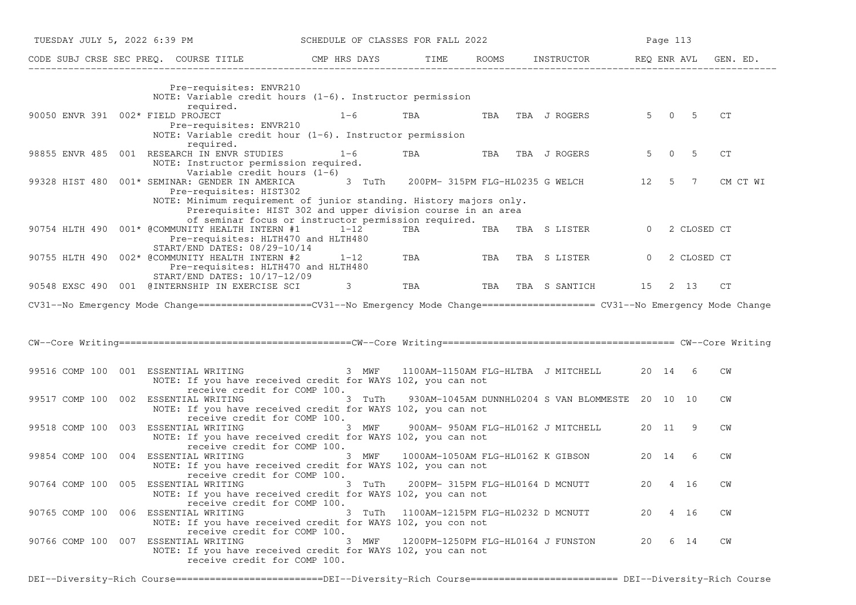| TUESDAY JULY 5, 2022 6:39 PM<br>SCHEDULE OF CLASSES FOR FALL 2022 |                                                                                                                                                                                                              |              |                                    |     |                                                  |          | Page 113       |                |           |
|-------------------------------------------------------------------|--------------------------------------------------------------------------------------------------------------------------------------------------------------------------------------------------------------|--------------|------------------------------------|-----|--------------------------------------------------|----------|----------------|----------------|-----------|
|                                                                   | CODE SUBJ CRSE SEC PREQ. COURSE TITLE                                                                                                                                                                        | CMP HRS DAYS | TIME ROOMS                         |     | INSTRUCTOR REQ ENR AVL GEN. ED.                  |          |                |                |           |
|                                                                   | Pre-requisites: ENVR210<br>NOTE: Variable credit hours $(1-6)$ . Instructor permission                                                                                                                       |              |                                    |     |                                                  |          |                |                |           |
| 90050 ENVR 391 002* FIELD PROJECT                                 | required.<br>Pre-requisites: ENVR210<br>NOTE: Variable credit hour $(1-6)$ . Instructor permission                                                                                                           | $1 - 6$      | TBA                                | TBA | TBA J ROGERS                                     | $5 -$    | $\overline{0}$ | -5             | CT        |
|                                                                   | required.<br>98855 ENVR 485 001 RESEARCH IN ENVR STUDIES<br>NOTE: Instructor permission required.<br>Variable credit hours $(1-6)$                                                                           | $1 - 6$      | TBA                                | TBA | TBA J ROGERS                                     | 5        | $\overline{0}$ | -5             | СT        |
|                                                                   | 99328 HIST 480 001* SEMINAR: GENDER IN AMERICA<br>Pre-requisites: HIST302<br>NOTE: Minimum requirement of junior standing. History majors only.                                                              | 3 TuTh       |                                    |     | 200PM- 315PM FLG-HL0235 G WELCH                  | 12       | $5^{\circ}$    | $\overline{7}$ | CM CT WI  |
|                                                                   | Prerequisite: HIST 302 and upper division course in an area<br>of seminar focus or instructor permission required.<br>90754 HLTH 490 001* @COMMUNITY HEALTH INTERN #1<br>Pre-requisites: HLTH470 and HLTH480 | $1 - 12$     | TBA                                |     | TBA TBA S LISTER                                 | $\Omega$ |                | 2 CLOSED CT    |           |
| 90755 HLTH 490                                                    | START/END DATES: 08/29-10/14<br>002* @COMMUNITY HEALTH INTERN #2<br>Pre-requisites: HLTH470 and HLTH480<br>START/END DATES: 10/17-12/09                                                                      | $1 - 12$     | TBA                                | TBA | TBA S LISTER                                     | $\Omega$ |                | 2 CLOSED CT    |           |
|                                                                   | 90548 EXSC 490 001 @INTERNSHIP IN EXERCISE SCI                                                                                                                                                               | 3            | TBA                                | TBA | TBA S SANTICH                                    | 15 2 13  |                |                | CT        |
|                                                                   | CV31--No Emergency Mode Change==================CV31--No Emergency Mode Change=================== CV31--No Emergency Mode Change                                                                             |              |                                    |     |                                                  |          |                |                |           |
|                                                                   |                                                                                                                                                                                                              |              |                                    |     |                                                  |          |                |                |           |
|                                                                   |                                                                                                                                                                                                              |              |                                    |     |                                                  |          |                |                |           |
|                                                                   | 99516 COMP 100 001 ESSENTIAL WRITING<br>NOTE: If you have received credit for WAYS 102, you can not<br>receive credit for COMP 100.                                                                          | 3 MWF        | 1100AM-1150AM FLG-HLTBA J MITCHELL |     |                                                  | 20 14    |                | -6             | CM        |
|                                                                   | 99517 COMP 100 002 ESSENTIAL WRITING<br>NOTE: If you have received credit for WAYS 102, you can not<br>receive credit for COMP 100.                                                                          | 3 TuTh       |                                    |     | 930AM-1045AM DUNNHL0204 S VAN BLOMMESTE 20 10 10 |          |                |                | <b>CW</b> |
|                                                                   | 99518 COMP 100 003 ESSENTIAL WRITING<br>NOTE: If you have received credit for WAYS 102, you can not<br>receive credit for COMP 100.                                                                          | 3 MWF        |                                    |     | 900AM- 950AM FLG-HL0162 J MITCHELL               | 20 11    |                | 9              | CM        |
|                                                                   | 99854 COMP 100 004 ESSENTIAL WRITING<br>NOTE: If you have received credit for WAYS 102, you can not<br>receive credit for COMP 100.                                                                          | 3 MWF        |                                    |     | 1000AM-1050AM FLG-HL0162 K GIBSON                | 20 14    |                | 6              | <b>CW</b> |
|                                                                   | 90764 COMP 100 005 ESSENTIAL WRITING 3 TUTH 200PM-315PM FLG-HL0164 D MCNUTT 20 4 16<br>NOTE: If you have received credit for WAYS 102, you can not<br>receive credit for COMP 100.                           |              |                                    |     |                                                  |          |                |                | CM        |
|                                                                   | 90765 COMP 100 006 ESSENTIAL WRITING<br>NOTE: If you have received credit for WAYS 102, you con not<br>receive credit for COMP 100.                                                                          | 3 TuTh       | 1100AM-1215PM FLG-HL0232 D MCNUTT  |     |                                                  | 20       |                | 4 16           | CM        |
| 90766 COMP 100 007                                                | ESSENTIAL WRITING<br>NOTE: If you have received credit for WAYS 102, you can not<br>receive credit for COMP 100.                                                                                             | 3 MWF        | 1200PM-1250PM FLG-HL0164 J FUNSTON |     |                                                  | 20       |                | 6 14           | CM        |

DEI−−Diversity−Rich Course==========================DEI−−Diversity−Rich Course========================== DEI−−Diversity−Rich Course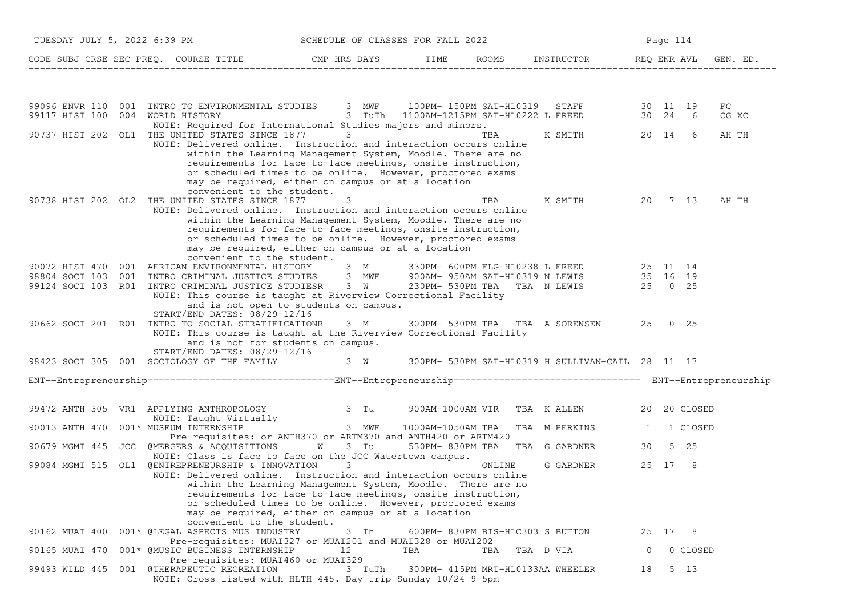| TUESDAY JULY 5, 2022 6:39 PM<br>SCHEDULE OF CLASSES FOR FALL 2022 |  |                                                                                                                                                                                                |                                                                                                                                                                                                                                                           |                   |                                   | Page 114                                                                                                                     |                |         |              |                     |
|-------------------------------------------------------------------|--|------------------------------------------------------------------------------------------------------------------------------------------------------------------------------------------------|-----------------------------------------------------------------------------------------------------------------------------------------------------------------------------------------------------------------------------------------------------------|-------------------|-----------------------------------|------------------------------------------------------------------------------------------------------------------------------|----------------|---------|--------------|---------------------|
|                                                                   |  | CODE SUBJ CRSE SEC PREQ. COURSE TITLE THE CMP HRS DAYS                                                                                                                                         |                                                                                                                                                                                                                                                           | TIME              |                                   | ROOMS INSTRUCTOR REQ ENR AVL                                                                                                 |                |         |              | GEN. ED.            |
|                                                                   |  |                                                                                                                                                                                                |                                                                                                                                                                                                                                                           |                   |                                   |                                                                                                                              |                |         |              |                     |
| 99117 HIST 100                                                    |  | 99096 ENVR 110 001 INTRO TO ENVIRONMENTAL STUDIES 3 MWF<br>004 WORLD HISTORY<br>NOTE: Required for International Studies majors and minors.                                                    |                                                                                                                                                                                                                                                           |                   |                                   | 3 MWF 100PM-150PM SAT-HL0319 STAFF 30 11 19<br>3 TuTh 1100AM-1215PM SAT-HL0222 L FREED 30 24 6                               |                |         |              | ${\rm FC}$<br>CG XC |
|                                                                   |  | 90737 HIST 202 OL1 THE UNITED STATES SINCE 1877<br>NOTE: Delivered online. Instruction and interaction occurs online<br>convenient to the student.                                             | $3 \sim$<br>within the Learning Management System, Moodle. There are no<br>requirements for face-to-face meetings, onsite instruction,<br>or scheduled times to be online. However, proctored exams<br>may be required, either on campus or at a location |                   | TBA                               | K SMITH                                                                                                                      |                | 20 14 6 |              | AH TH               |
|                                                                   |  | 90738 HIST 202 OL2 THE UNITED STATES SINCE 1877<br>NOTE: Delivered online. Instruction and interaction occurs online                                                                           | 3<br>within the Learning Management System, Moodle. There are no<br>requirements for face-to-face meetings, onsite instruction,<br>or scheduled times to be online. However, proctored exams<br>may be required, either on campus or at a location        |                   | TBA                               | K SMITH<br>20 7 13                                                                                                           |                |         |              | AH TH               |
|                                                                   |  | CONVENIENCE CONSERVANCE CONSERVANCE OF THE STATE OF STATE STATES And ME CONSERVED SUPPORT SAT-HLOCS OF THE STATE STIDIES 3 MWF 900AM-950AM SAT-HLOCS N LEWIS                                   |                                                                                                                                                                                                                                                           |                   |                                   | 330PM- 600PM FLG-HL0238 L FREED 25 11 14<br>900AM- 950AM SAT-HL0319 N LEWIS 35 16 19<br>230PM- 530PM TBA TBA N LEWIS 25 0 25 |                |         |              |                     |
|                                                                   |  | 99124 SOCI 103 R01 INTRO CRIMINAL JUSTICE STUDIESR 3 W<br>NOTE: This course is taught at Riverview Correctional Facility<br>START/END DATES: 08/29-12/16                                       | and is not open to students on campus.                                                                                                                                                                                                                    |                   |                                   |                                                                                                                              |                |         |              |                     |
|                                                                   |  | 90662 SOCI 201 R01 INTRO TO SOCIAL STRATIFICATIONR<br>NOTE: This course is taught at the Riverview Correctional Facility<br>and is not for students on campus.<br>START/END DATES: 08/29-12/16 | 3 M                                                                                                                                                                                                                                                       |                   |                                   | 300PM-530PM TBA TBA A SORENSEN 25 0 25                                                                                       |                |         |              |                     |
|                                                                   |  | 98423 SOCI 305 001 SOCIOLOGY OF THE FAMILY 3 W 300PM- 530PM SAT-HL0319 H SULLIVAN-CATL 28 11 17                                                                                                |                                                                                                                                                                                                                                                           |                   |                                   |                                                                                                                              |                |         |              |                     |
|                                                                   |  |                                                                                                                                                                                                |                                                                                                                                                                                                                                                           |                   |                                   |                                                                                                                              |                |         |              |                     |
|                                                                   |  | 99472 ANTH 305 VR1 APPLYING ANTHROPOLOGY<br>NOTE: Taught Virtually                                                                                                                             | and the control of the control of the control of the control of the control of the control of the control of the control of the control of the control of the control of the control of the control of the control of the cont                            | 900AM-1000AM VIR  |                                   | TBA KALLEN                                                                                                                   |                |         | 20 20 CLOSED |                     |
| 90013 ANTH 470                                                    |  | 001* MUSEUM INTERNSHIP<br>Pre-requisites: or ANTH370 or ARTM370 and ANTH420 or ARTM420                                                                                                         | 3 MWF                                                                                                                                                                                                                                                     | 1000AM-1050AM TBA |                                   | TBA M PERKINS                                                                                                                | 1              |         | 1 CLOSED     |                     |
| 90679 MGMT 445                                                    |  | JCC @MERGERS & ACQUISITIONS W<br>NOTE: Class is face to face on the JCC Watertown campus.                                                                                                      | 3 Tu                                                                                                                                                                                                                                                      |                   | 530PM-830PM TBA TBA G GARDNER     |                                                                                                                              | 30             |         | 5 25         |                     |
| 99084 MGMT 515                                                    |  | OL1 @ENTREPRENEURSHIP & INNOVATION<br>NOTE: Delivered online. Instruction and interaction occurs online<br>convenient to the student.                                                          | 3<br>within the Learning Management System, Moodle. There are no<br>requirements for face-to-face meetings, onsite instruction,<br>or scheduled times to be online. However, proctored exams<br>may be required, either on campus or at a location        |                   | ONLINE                            | G GARDNER                                                                                                                    |                | 25 17   | -8           |                     |
| 90162 MUAI 400                                                    |  | 001* @LEGAL ASPECTS MUS INDUSTRY<br>Pre-requisites: MUAI327 or MUAI201 and MUAI328 or MUAI202                                                                                                  | 3 Th                                                                                                                                                                                                                                                      |                   | 600PM-830PM BIS-HLC303 S BUTTON   |                                                                                                                              |                | 25 17 8 |              |                     |
| 90165 MUAI 470                                                    |  | 001* @MUSIC BUSINESS INTERNSHIP<br>Pre-requisites: MUAI460 or MUAI329                                                                                                                          | 12                                                                                                                                                                                                                                                        | TBA               | TBA                               | TBA D VIA                                                                                                                    | $\overline{0}$ |         | 0 CLOSED     |                     |
| 99493 WILD 445                                                    |  | 001 @THERAPEUTIC RECREATION<br>NOTE: Cross listed with HLTH 445. Day trip Sunday 10/24 9-5pm                                                                                                   | 3 TuTh                                                                                                                                                                                                                                                    |                   | 300PM- 415PM MRT-HL0133AA WHEELER |                                                                                                                              | 18             |         | 5 13         |                     |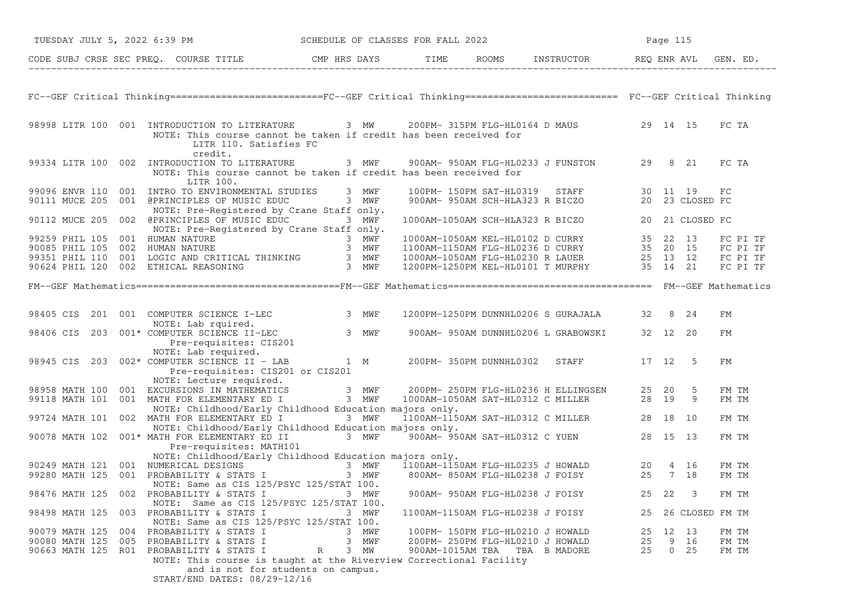|                | TUESDAY JULY 5, 2022 6:39 PM SCHEDULE OF CLASSES FOR FALL 2022                                                                                                                                                                                     |           |  |                                                                                                                                                                                                                       | Page 115 |                 |                |
|----------------|----------------------------------------------------------------------------------------------------------------------------------------------------------------------------------------------------------------------------------------------------|-----------|--|-----------------------------------------------------------------------------------------------------------------------------------------------------------------------------------------------------------------------|----------|-----------------|----------------|
|                | CODE SUBJ CRSE SEC PREQ. COURSE TITLE THE CMP HRS DAYS TIME ROOMS INSTRUCTOR REQ ENR AVL GEN. ED.                                                                                                                                                  |           |  |                                                                                                                                                                                                                       |          |                 |                |
|                |                                                                                                                                                                                                                                                    |           |  |                                                                                                                                                                                                                       |          |                 |                |
|                | FC--GEF Critical Thinking=========================FC--GEF Critical Thinking========================= FC--GEF Critical Thinking                                                                                                                     |           |  |                                                                                                                                                                                                                       |          |                 |                |
|                | 98998 LITR 100 001 INTRODUCTION TO LITERATURE 3 MW 200PM-315PM FLG-HL0164 D MAUS 29 14 15 FC TA<br>NOTE: This course cannot be taken if credit has been received for<br>LITR 110. Satisfies FC                                                     |           |  |                                                                                                                                                                                                                       |          |                 |                |
|                | credit.<br>99334 LITR 100 002 INTRODUCTION TO LITERATURE 3 MWF 900AM-950AM FLG-HL0233 J FUNSTON 29 8 21<br>NOTE: This course cannot be taken if credit has been received for<br>LITR 100.                                                          |           |  |                                                                                                                                                                                                                       |          |                 | FC TA          |
|                | 99096 ENVR 110 001 INTRO TO ENVIRONMENTAL STUDIES 3 MWF                                                                                                                                                                                            |           |  | 100PM- 150PM SAT-HL0319 STAFF 30 11 19 FC<br>900AM- 950AM SCH-HLA323 R BICZO 20 23 CLOSED FC                                                                                                                          |          |                 |                |
|                | 90111 MUCE 205 001 @PRINCIPLES OF MUSIC EDUC 3 MWF<br>NOTE: Pre-Registered by Crane Staff only.                                                                                                                                                    |           |  |                                                                                                                                                                                                                       |          |                 |                |
|                | 90112 MUCE 205 002 @PRINCIPLES OF MUSIC EDUC 3 MWF                                                                                                                                                                                                 |           |  | $1000\texttt{AM}-1050\texttt{AM} \texttt{SCH-HLA}323 \texttt{R} \texttt{BICZO} \qquad \qquad 20 \quad 21 \texttt{CLOSED} \texttt{FC}$                                                                                 |          |                 |                |
|                | NOTE: Pre-Registered by Crane Staff only.                                                                                                                                                                                                          |           |  |                                                                                                                                                                                                                       |          |                 |                |
|                |                                                                                                                                                                                                                                                    |           |  |                                                                                                                                                                                                                       |          |                 |                |
|                |                                                                                                                                                                                                                                                    |           |  |                                                                                                                                                                                                                       |          |                 |                |
|                | 99259 PHIL 105 001 HUMAN NATURE<br>90085 PHIL 105 002 HUMAN NATURE<br>99351 PHIL 110 001 LOGIC AND CRITICAL THINKING 3 MWF<br>90624 PHIL 120 002 ETHICAL REASONING 3 MWF                                                                           |           |  | 1000AM-1050AM KEL-HL0102 D CURRY 35 22 13 FC PI TF<br>1100AM-1150AM FLG-HL0236 D CURRY 35 20 15 FC PI TF<br>1000AM-1050AM FLG-HL0230 R LAUER 25 13 12 FC PI TF<br>1200PM-1250PM KEL-HL0101 T MURPHY 35 14 21 FC PI TF |          |                 |                |
|                |                                                                                                                                                                                                                                                    |           |  |                                                                                                                                                                                                                       |          |                 |                |
|                |                                                                                                                                                                                                                                                    |           |  |                                                                                                                                                                                                                       |          |                 |                |
|                |                                                                                                                                                                                                                                                    |           |  |                                                                                                                                                                                                                       |          |                 |                |
|                | 98405 CIS 201 001 COMPUTER SCIENCE I-LEC<br>98406 CIS 203 001* COMPUTER SCIENCE II-LEC<br>98945 CIS 203 002* COMPUTER SCIENCE II-LEC<br>98945 CIS 203 002* COMPUTER SCIENCE II - LAB<br>98945 CIS 203 002* COMPUTER SCIENCE II - LAB<br>           |           |  | 1200PM-1250PM DUNNHL0206 S GURAJALA 32 8 24                                                                                                                                                                           |          |                 | FM             |
|                |                                                                                                                                                                                                                                                    |           |  |                                                                                                                                                                                                                       |          |                 | FM             |
|                |                                                                                                                                                                                                                                                    |           |  |                                                                                                                                                                                                                       |          |                 |                |
|                |                                                                                                                                                                                                                                                    |           |  |                                                                                                                                                                                                                       |          |                 |                |
|                | Pre-requisites: CIS201 or CIS201                                                                                                                                                                                                                   |           |  |                                                                                                                                                                                                                       |          |                 | FM             |
|                | NOTE: Lecture required.<br>NOTE: Lecture required.<br>98958 MATH 100 001 EXCURSIONS IN MATHEMATICS 3 MWF 200PM-250PM FLG-HL0236 H ELLINGSEN 25 20 5<br>99118 MATH 101 001 MATH FOR ELEMENTARY ED I 3 MWF 1000AM-1050AM SAT-HL0312 C MILLER 28 19 9 |           |  |                                                                                                                                                                                                                       |          |                 |                |
|                |                                                                                                                                                                                                                                                    |           |  |                                                                                                                                                                                                                       |          |                 | FM TM<br>FM TM |
|                | NOTE: Childhood/Early Childhood Education majors only.                                                                                                                                                                                             |           |  |                                                                                                                                                                                                                       |          |                 |                |
|                | 99724 MATH 101 002 MATH FOR ELEMENTARY ED I                                                                                                                                                                                                        | 3 MWF     |  |                                                                                                                                                                                                                       |          |                 | FM TM          |
|                | NOTE: Childhood/Early Childhood Education majors only.                                                                                                                                                                                             |           |  |                                                                                                                                                                                                                       |          |                 |                |
|                | 90078 MATH 102 001* MATH FOR ELEMENTARY ED II 3 MWF 900AM-950AM SAT-HL0312 C YUEN 28 15 13                                                                                                                                                         |           |  |                                                                                                                                                                                                                       |          |                 | FM TM          |
|                | Pre-requisites: MATH101                                                                                                                                                                                                                            |           |  |                                                                                                                                                                                                                       |          |                 |                |
|                | NOTE: Childhood/Early Childhood Education majors only.                                                                                                                                                                                             |           |  |                                                                                                                                                                                                                       |          |                 |                |
|                | NOTE: CHILDROOD/Early CHILDROOD EQUICATION MAJORS ONLY.<br>3 MWF 1100AM-1150AM FLG-HL0235 J HOWALD 20 4 16<br>99280 MATH 125 001 PROBABILITY & STATS I 3 MWF 800AM-850AM FLG-HL0238 J FOISY 25 7 18                                                |           |  |                                                                                                                                                                                                                       |          |                 | FM TM<br>FM TM |
|                | NOTE: Same as CIS 125/PSYC 125/STAT 100.                                                                                                                                                                                                           |           |  |                                                                                                                                                                                                                       |          |                 |                |
| 98476 MATH 125 | 002 PROBABILITY & STATS I                                                                                                                                                                                                                          | 3 MWF     |  | 900AM- 950AM FLG-HL0238 J FOISY                                                                                                                                                                                       | 25 22    | 3               | FM TM          |
|                | NOTE: Same as CIS 125/PSYC 125/STAT 100.                                                                                                                                                                                                           |           |  |                                                                                                                                                                                                                       |          |                 |                |
| 98498 MATH 125 | 003 PROBABILITY & STATS I<br>NOTE: Same as CIS 125/PSYC 125/STAT 100.                                                                                                                                                                              | 3 MWF     |  | 1100AM-1150AM FLG-HL0238 J FOISY                                                                                                                                                                                      | 25       | 26 CLOSED FM TM |                |
|                | 90079 MATH 125 004 PROBABILITY & STATS I                                                                                                                                                                                                           | 3 MWF     |  | 100PM- 150PM FLG-HL0210 J HOWALD                                                                                                                                                                                      | 25 12 13 |                 | FM TM          |
|                | 90080 MATH 125 005 PROBABILITY & STATS I                                                                                                                                                                                                           | 3 MWF     |  | 200PM- 250PM FLG-HL0210 J HOWALD                                                                                                                                                                                      | 25       | 9 16            | FM TM          |
|                | 90663 MATH 125 R01 PROBABILITY & STATS I<br>NOTE: This course is taught at the Riverview Correctional Facility<br>and is not for students on campus.<br>START/END DATES: 08/29-12/16                                                               | 3 MW<br>R |  | 900AM-1015AM TBA TBA B MADORE                                                                                                                                                                                         | 25       | $0\quad 25$     | FM TM          |
|                |                                                                                                                                                                                                                                                    |           |  |                                                                                                                                                                                                                       |          |                 |                |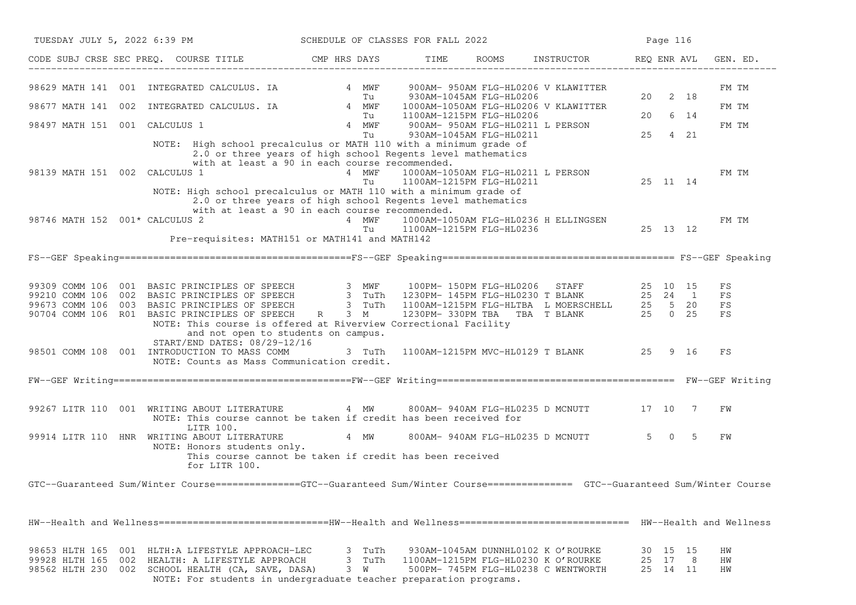| TUESDAY JULY 5, 2022 6:39 PM                                                                                                                                                                                                                                                                                                                         | SCHEDULE OF CLASSES FOR FALL 2022 |                                                               |                                                    |                                                                                                                  |                            | Page 116 |                      |                               |
|------------------------------------------------------------------------------------------------------------------------------------------------------------------------------------------------------------------------------------------------------------------------------------------------------------------------------------------------------|-----------------------------------|---------------------------------------------------------------|----------------------------------------------------|------------------------------------------------------------------------------------------------------------------|----------------------------|----------|----------------------|-------------------------------|
| CODE SUBJ CRSE SEC PREQ. COURSE TITLE THE CMP HRS DAYS                                                                                                                                                                                                                                                                                               |                                   | TIME                                                          |                                                    | ROOMS INSTRUCTOR                                                                                                 | REQ ENR AVL                |          |                      | GEN. ED.                      |
| 98629 MATH 141 001 INTEGRATED CALCULUS. IA 4 MWF<br>INTEGRATED CALCULUS. IA 1999 PM MWF 2011<br>98677 MATH 141 002<br>98497 MATH 151 001 CALCULUS 1<br>NOTE: High school precalculus or MATH 110 with a minimum grade of                                                                                                                             | Tu<br>4 MWF<br>Tu                 | 1100AM-1215PM FLG-HL0206                                      | 930AM-1045AM FLG-HL0206<br>930AM-1045AM FLG-HL0211 | 900AM- 950AM FLG-HL0206 V KLAWITTER<br>1000AM-1050AM FLG-HL0206 V KLAWITTER<br>900AM- 950AM FLG-HL0211 L PERSON  | 20<br>20<br>25             |          | 2 18<br>6 14<br>4 21 | FM TM<br>FM TM<br>FM TM       |
| 2.0 or three years of high school Regents level mathematics<br>with at least a 90 in each course recommended.<br>98139 MATH 151 002 CALCULUS 1<br>NOTE: High school precalculus or MATH 110 with a minimum grade of<br>2.0 or three years of high school Regents level mathematics                                                                   | 4 MWF<br>Tu                       | 1000AM-1050AM FLG-HL0211 L PERSON<br>1100AM-1215PM FLG-HL0211 |                                                    |                                                                                                                  | 25 11 14                   |          |                      | FM TM                         |
| with at least a 90 in each course recommended.<br>98746 MATH 152 001* CALCULUS 2<br>Pre-requisites: MATH151 or MATH141 and MATH142                                                                                                                                                                                                                   | 4 MWF<br>Tu                       | 1100AM-1215PM FLG-HL0236                                      |                                                    |                                                                                                                  |                            |          |                      | FM TM                         |
|                                                                                                                                                                                                                                                                                                                                                      |                                   |                                                               |                                                    |                                                                                                                  |                            |          |                      |                               |
| 99309 COMM 106 001 BASIC PRINCIPLES OF SPEECH<br>99210 COMM 106 002 BASIC PRINCIPLES OF SPEECH<br>99673 COMM 106 003 BASIC PRINCIPLES OF SPEECH<br>90704 COMM 106 R01 BASIC PRINCIPLES OF SPEECH<br>90704 COMM 106 R01 BASIC PRINCIPLES OF<br>NOTE: This course is offered at Riverview Correctional Facility<br>and not open to students on campus. |                                   |                                                               |                                                    |                                                                                                                  |                            |          |                      | FS<br>FS<br>$_{\rm FS}$<br>FS |
| START/END DATES: 08/29-12/16<br>98501 COMM 108 001 INTRODUCTION TO MASS COMM<br>NOTE: Counts as Mass Communication credit.                                                                                                                                                                                                                           | 3 TuTh                            |                                                               |                                                    |                                                                                                                  |                            |          |                      | FS                            |
|                                                                                                                                                                                                                                                                                                                                                      |                                   |                                                               |                                                    |                                                                                                                  |                            |          |                      |                               |
| 99267 LITR 110 001 WRITING ABOUT LITERATURE<br>NOTE: This course cannot be taken if credit has been received for                                                                                                                                                                                                                                     | 4 MW                              |                                                               |                                                    | 800AM- 940AM FLG-HL0235 D MCNUTT 17 10 7                                                                         |                            |          |                      | FW                            |
| LITR 100.<br>99914 LITR 110 HNR WRITING ABOUT LITERATURE<br>NOTE: Honors students only.<br>This course cannot be taken if credit has been received<br>for LITR 100.                                                                                                                                                                                  | 4 MW                              |                                                               |                                                    | 800AM- 940AM FLG-HL0235 D MCNUTT                                                                                 | $5 \qquad 0$               |          | $-5$                 | FW                            |
| GTC--Guaranteed Sum/Winter Course==============GTC--Guaranteed Sum/Winter Course================ GTC--Guaranteed Sum/Winter Course                                                                                                                                                                                                                   |                                   |                                                               |                                                    |                                                                                                                  |                            |          |                      |                               |
| HW--Health and Wellness=============================HW--Health and Wellness=============================== HW--Health and Wellness                                                                                                                                                                                                                   |                                   |                                                               |                                                    |                                                                                                                  |                            |          |                      |                               |
| 98653 HLTH 165 001 HLTH:A LIFESTYLE APPROACH-LEC<br>99928 HLTH 165 002<br>HEALTH: A LIFESTYLE APPROACH<br>98562 HLTH 230 002 SCHOOL HEALTH (CA, SAVE, DASA)<br>NOTE: For students in undergraduate teacher preparation programs.                                                                                                                     | 3 TuTh<br>3 TuTh<br>3 W           |                                                               |                                                    | 930AM-1045AM DUNNHL0102 K O'ROURKE<br>1100AM-1215PM FLG-HL0230 K O'ROURKE<br>500PM- 745PM FLG-HL0238 C WENTWORTH | 30 15 15<br>25<br>25 14 11 | 17       | 8                    | ΗW<br>ΗW<br>ΗW                |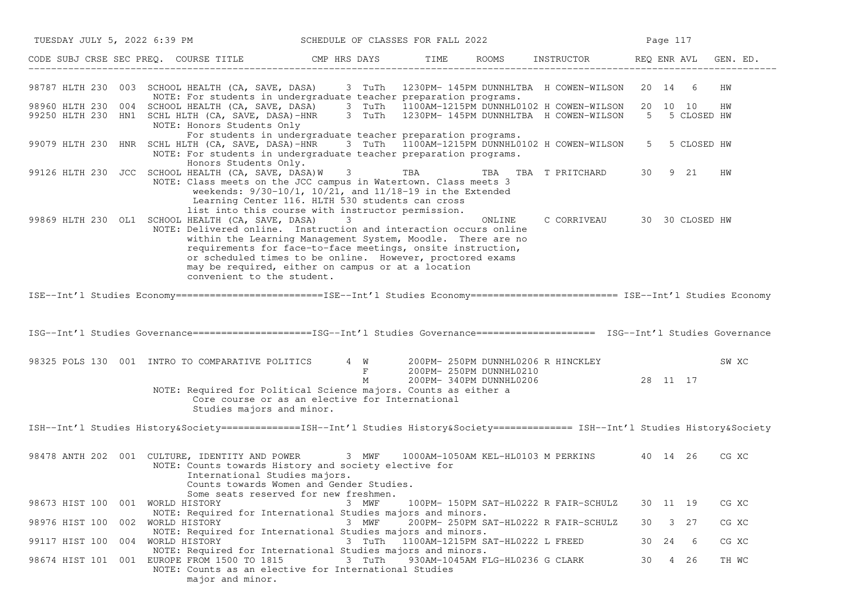| TUESDAY JULY 5, 2022 6:39 PM SCHEDULE OF CLASSES FOR FALL 2022 |                                                                                                                                                                                                                                                                                                                                                                                                       |                   |                                  |                                 |                                       |    | Page 117 |               |       |
|----------------------------------------------------------------|-------------------------------------------------------------------------------------------------------------------------------------------------------------------------------------------------------------------------------------------------------------------------------------------------------------------------------------------------------------------------------------------------------|-------------------|----------------------------------|---------------------------------|---------------------------------------|----|----------|---------------|-------|
|                                                                | CODE SUBJ CRSE SEC PREQ. COURSE TITLE THE ROOMS INSTRUCTOR THE ROOMS ENSTRUCTOR THE REQ ENR AVL GEN. ED.                                                                                                                                                                                                                                                                                              |                   |                                  |                                 |                                       |    |          |               |       |
|                                                                | 98787 HLTH 230 003 SCHOOL HEALTH (CA, SAVE, DASA) 3 TuTh 1230PM-145PM DUNNHLTBA H COWEN-WILSON 20 14 6<br>NOTE: For students in undergraduate teacher preparation programs.                                                                                                                                                                                                                           |                   |                                  |                                 |                                       |    |          |               | HW    |
|                                                                | 98960 HLTH 230 004 SCHOOL HEALTH (CA, SAVE, DASA) 3 TuTh 1100AM-1215PM DUNNHL0102 H COWEN-WILSON 20 10 10<br>99250 HLTH 230 HN1 SCHL HLTH (CA, SAVE, DASA)-HNR 3 TuTh 1230PM-145PM DUNNHLTBA H COWEN-WILSON 5 5 CLOSED HW<br>NOTE: Honors Students Only                                                                                                                                               |                   |                                  |                                 |                                       |    |          |               | HW    |
|                                                                | For students in undergraduate teacher preparation programs.<br>99079 HLTH 230 HNR SCHL HLTH (CA, SAVE, DASA)-HNR 3 TuTh 1100AM-1215PM DUNNHL0102 H COWEN-WILSON<br>NOTE: For students in undergraduate teacher preparation programs.<br>Honors Students Only.                                                                                                                                         |                   |                                  |                                 |                                       |    |          | 5 5 CLOSED HW |       |
|                                                                | 99126 HLTH 230 JCC SCHOOL HEALTH (CA, SAVE, DASA)W<br>NOTE: Class meets on the JCC campus in Watertown. Class meets 3<br>weekends: $9/30-10/1$ , $10/21$ , and $11/18-19$ in the Extended<br>Learning Center 116. HLTH 530 students can cross<br>list into this course with instructor permission.                                                                                                    | 3 TBA             |                                  |                                 | TBA TBA T PRITCHARD                   |    | 30 9 21  |               | ΗW    |
|                                                                | 99869 HLTH 230 OL1 SCHOOL HEALTH (CA, SAVE, DASA)<br>NOTE: Delivered online. Instruction and interaction occurs online<br>within the Learning Management System, Moodle. There are no<br>requirements for face-to-face meetings, onsite instruction,<br>or scheduled times to be online. However, proctored exams<br>may be required, either on campus or at a location<br>convenient to the student. | 3                 |                                  | ONLINE                          | C CORRIVEAU 30 30 CLOSED HW           |    |          |               |       |
|                                                                | ISE--Int'l Studies Economy ==========================ISE--Int'l Studies Economy ========================= ISE--Int'l Studies Economy                                                                                                                                                                                                                                                                  |                   |                                  |                                 |                                       |    |          |               |       |
|                                                                | ISG--Int'l Studies Governance=====================ISG--Int'l Studies Governance===================== ISG--Int'l Studies Governance                                                                                                                                                                                                                                                                    |                   |                                  |                                 |                                       |    |          |               |       |
|                                                                | 98325 POLS 130 001 INTRO TO COMPARATIVE POLITICS 4 W 200PM-250PM DUNNHL0206 R HINCKLEY<br>NOTE: Required for Political Science majors. Counts as either a                                                                                                                                                                                                                                             | $\mathbf{F}$<br>M | 200PM- 250PM DUNNHL0210          |                                 | 200PM-340PM DUNNHL0206 28 11 17       |    |          |               | SW XC |
|                                                                | Core course or as an elective for International<br>Studies majors and minor.                                                                                                                                                                                                                                                                                                                          |                   |                                  |                                 |                                       |    |          |               |       |
|                                                                | ISH--Int'l Studies History&Society ===============ISH--Int'l Studies History&Society ============== ISH--Int'l Studies History&Society                                                                                                                                                                                                                                                                |                   |                                  |                                 |                                       |    |          |               |       |
|                                                                | 98478 ANTH 202 001 CULTURE, IDENTITY AND POWER 3 MWF 1000AM-1050AM KEL-HL0103 M PERKINS 40 14 26<br>NOTE: Counts towards History and society elective for<br>International Studies majors.<br>Counts towards Women and Gender Studies.<br>Some seats reserved for new freshmen.                                                                                                                       |                   |                                  |                                 |                                       |    |          |               | CG XC |
| 98673 HIST 100 001 WORLD HISTORY                               |                                                                                                                                                                                                                                                                                                                                                                                                       | 3 MWF             |                                  |                                 | 100PM- 150PM SAT-HL0222 R FAIR-SCHULZ |    | 30 11 19 |               | CG XC |
| 98976 HIST 100 002 WORLD HISTORY                               | NOTE: Required for International Studies majors and minors.<br>NOTE: Required for International Studies majors and minors.                                                                                                                                                                                                                                                                            | 3 MWF             |                                  |                                 | 200PM- 250PM SAT-HL0222 R FAIR-SCHULZ | 30 |          | 3 27          | CG XC |
| 99117 HIST 100 004 WORLD HISTORY                               |                                                                                                                                                                                                                                                                                                                                                                                                       | 3 TuTh            | 1100AM-1215PM SAT-HL0222 L FREED |                                 |                                       | 30 | 24       | 6             | CG XC |
|                                                                | NOTE: Required for International Studies majors and minors.<br>98674 HIST 101 001 EUROPE FROM 1500 TO 1815<br>NOTE: Counts as an elective for International Studies<br>major and minor.                                                                                                                                                                                                               | 3 TuTh            |                                  | 930AM-1045AM FLG-HL0236 G CLARK |                                       | 30 |          | 4 26          | TH WC |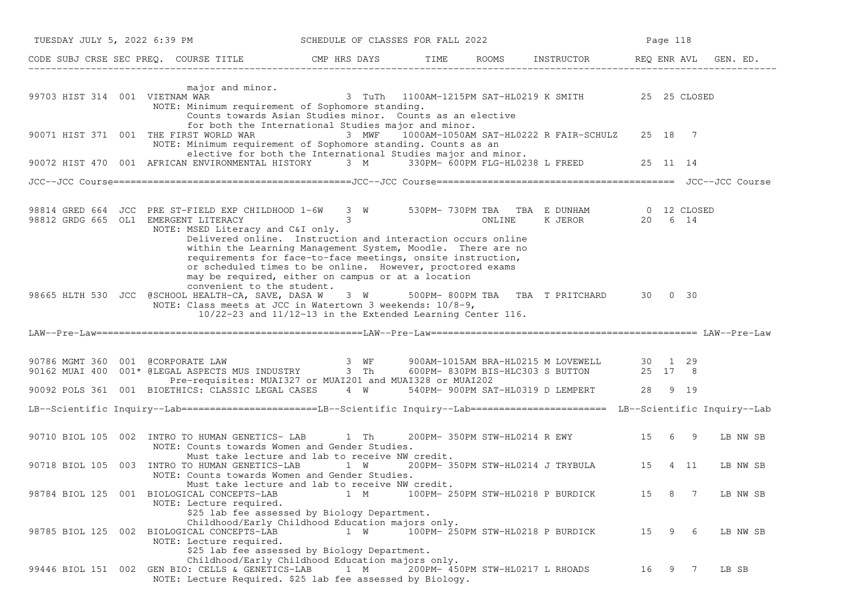|                                | TUESDAY JULY 5, 2022 6:39 PM<br>SCHEDULE OF CLASSES FOR FALL 2022                                                                                                                                                                                                                                                                                                                                                                                                                              |                                                            |  |  |                                                | Page 118 |   |        |          |
|--------------------------------|------------------------------------------------------------------------------------------------------------------------------------------------------------------------------------------------------------------------------------------------------------------------------------------------------------------------------------------------------------------------------------------------------------------------------------------------------------------------------------------------|------------------------------------------------------------|--|--|------------------------------------------------|----------|---|--------|----------|
|                                | CODE SUBJ CRSE SEC PREQ. COURSE TITLE THE COMP HRS DAYS TIME ROOMS INSTRUCTOR REQ ENR AVL GEN. ED.                                                                                                                                                                                                                                                                                                                                                                                             |                                                            |  |  |                                                |          |   |        |          |
| 99703 HIST 314 001 VIETNAM WAR | major and minor.<br>NOTE: Minimum requirement of Sophomore standing.<br>Counts towards Asian Studies minor. Counts as an elective                                                                                                                                                                                                                                                                                                                                                              | 3 TuTh 1100AM-1215PM SAT-HL0219 K SMITH 25 25 CLOSED       |  |  |                                                |          |   |        |          |
|                                | for both the International Studies major and minor.<br>90071 HIST 371 001 THE FIRST WORLD WAR<br>NOTE: Minimum requirement of Sophomore standing. Counts as an                                                                                                                                                                                                                                                                                                                                 | 3 MWF                                                      |  |  | 1000AM-1050AM SAT-HL0222 R FAIR-SCHULZ 25 18 7 |          |   |        |          |
|                                | elective for both the International Studies major and minor.<br>90072 HIST 470 001 AFRICAN ENVIRONMENTAL HISTORY 3 M 330PM- 600PM FLG-HL0238 L FREED 25 11 14                                                                                                                                                                                                                                                                                                                                  |                                                            |  |  |                                                |          |   |        |          |
|                                |                                                                                                                                                                                                                                                                                                                                                                                                                                                                                                |                                                            |  |  |                                                |          |   |        |          |
|                                | 98814 GRED 664 JCC PRE ST-FIELD EXP CHILDHOOD 1-6W 3 W 530PM-730PM TBA TBA E DUNHAM 0 12 CLOSED<br>98812 GRDG 665 OL1 EMERGENT LITERACY 3<br>NOTE: MSED Literacy and C&I only.<br>Delivered online. Instruction and interaction occurs online<br>within the Learning Management System, Moodle. There are no<br>requirements for face-to-face meetings, onsite instruction,<br>or scheduled times to be online. However, proctored exams<br>may be required, either on campus or at a location |                                                            |  |  |                                                |          |   |        |          |
|                                | convenient to the student.<br>98665 HLTH 530 JCC @SCHOOL HEALTH-CA, SAVE, DASA W 3 W 500PM-800PM TBA TBA T PRITCHARD 30 0 30<br>NOTE: Class meets at JCC in Watertown 3 weekends: 10/8-9,                                                                                                                                                                                                                                                                                                      | 10/22-23 and 11/12-13 in the Extended Learning Center 116. |  |  |                                                |          |   |        |          |
|                                |                                                                                                                                                                                                                                                                                                                                                                                                                                                                                                |                                                            |  |  |                                                |          |   |        |          |
|                                | 90786 MGMT 360 001 @CORPORATE LAW 3 WF 900AM-1015AM BRA-HL0215 M LOVEWELL 30 1 29<br>90162 MUAI 400 001* @LEGAL ASPECTS MUS INDUSTRY 3 Th 600PM-830PM BIS-HLC303 S BUTTON 25 17 8<br>Pre-requisites: MUAI327 or MUAI201 and MUAI328 or MUAI202<br>90092 POLS 361 001 BIOETHICS: CLASSIC LEGAL CASES 4 W 540PM-900PM SAT-HL0319 D LEMPERT 28 9 19                                                                                                                                               |                                                            |  |  |                                                |          |   |        |          |
|                                | LB--Scientific Inquiry--Lab=======================LB--Scientific Inquiry--Lab======================= LB--Scientific Inquiry--Lab                                                                                                                                                                                                                                                                                                                                                               |                                                            |  |  |                                                |          |   |        |          |
|                                | 90710 BIOL 105 002 INTRO TO HUMAN GENETICS- LAB 1 Th 200PM-350PM STW-HL0214 R EWY 15 6 9<br>NOTE: Counts towards Women and Gender Studies.<br>Must take lecture and lab to receive NW credit.                                                                                                                                                                                                                                                                                                  |                                                            |  |  |                                                |          |   |        | LB NW SB |
|                                | 90718 BIOL 105 003 INTRO TO HUMAN GENETICS-LAB<br>NOTE: Counts towards Women and Gender Studies.                                                                                                                                                                                                                                                                                                                                                                                               | 1 W                                                        |  |  | 200PM-350PM STW-HL0214 J TRYBULA 15 4 11       |          |   |        | LB NW SB |
|                                | Must take lecture and lab to receive NW credit.<br>98784 BIOL 125 001 BIOLOGICAL CONCEPTS-LAB<br>NOTE: Lecture required.<br>\$25 lab fee assessed by Biology Department.                                                                                                                                                                                                                                                                                                                       | 1 M                                                        |  |  | 100PM- 250PM STW-HL0218 P BURDICK              | 15       | 8 |        | LB NW SB |
|                                | Childhood/Early Childhood Education majors only.<br>98785 BIOL 125 002 BIOLOGICAL CONCEPTS-LAB<br>NOTE: Lecture required.<br>\$25 lab fee assessed by Biology Department.                                                                                                                                                                                                                                                                                                                      | 1 W                                                        |  |  | 100PM- 250PM STW-HL0218 P BURDICK              | 15       |   | 9 6    | LB NW SB |
|                                | Childhood/Early Childhood Education majors only.<br>99446 BIOL 151 002 GEN BIO: CELLS & GENETICS-LAB<br>NOTE: Lecture Required. \$25 lab fee assessed by Biology.                                                                                                                                                                                                                                                                                                                              | 1 M                                                        |  |  | 200PM- 450PM STW-HL0217 L RHOADS               |          |   | 16 9 7 | LB SB    |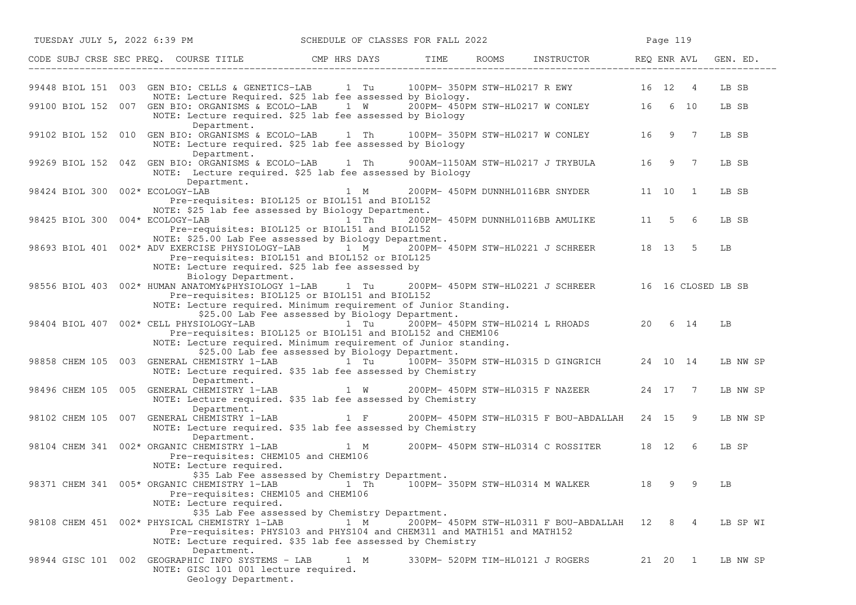| TUESDAY JULY 5, 2022 6:39 PM    |                                                                                                                                                                                                                                         |                                                 | SCHEDULE OF CLASSES FOR FALL 2022 |  |                                  |                                                      | Page 119  |                |          |  |
|---------------------------------|-----------------------------------------------------------------------------------------------------------------------------------------------------------------------------------------------------------------------------------------|-------------------------------------------------|-----------------------------------|--|----------------------------------|------------------------------------------------------|-----------|----------------|----------|--|
|                                 | CODE SUBJ CRSE SEC PREQ. COURSE TITLE TIME CMP HRS DAYS TIME ROOMS INSTRUCTOR THE REQ ENR AVL                                                                                                                                           |                                                 |                                   |  |                                  |                                                      |           |                | GEN. ED. |  |
|                                 | 99448 BIOL 151 003 GEN BIO: CELLS & GENETICS-LAB 1 Tu 100PM-350PM STW-HL0217 R EWY 16 12 4<br>NOTE: Lecture Required. \$25 lab fee assessed by Biology.                                                                                 |                                                 |                                   |  |                                  |                                                      |           |                | LB SB    |  |
|                                 | 99100 BIOL 152 007 GEN BIO: ORGANISMS & ECOLO-LAB 1 W 200PM-450PM STW-HL0217 W CONLEY 16 6 10<br>NOTE: Lecture required. \$25 lab fee assessed by Biology<br>Department.                                                                |                                                 |                                   |  |                                  |                                                      |           |                | LB SB    |  |
|                                 | 99102 BIOL 152 010 GEN BIO: ORGANISMS & ECOLO-LAB 1 Th 100PM-350PM STW-HL0217 W CONLEY 16 9 7<br>NOTE: Lecture required. \$25 lab fee assessed by Biology                                                                               |                                                 |                                   |  |                                  |                                                      |           |                | LB SB    |  |
|                                 | Department.<br>99269 BIOL 152 04Z GEN BIO: ORGANISMS & ECOLO-LAB 1 Th<br>NOTE: Lecture required. \$25 lab fee assessed by Biology                                                                                                       |                                                 |                                   |  |                                  | 900AM-1150AM STW-HL0217 J TRYBULA 16                 |           | 9 7            | LB SB    |  |
| 98424 BIOL 300 002* ECOLOGY-LAB | Department.<br>Pre-requisites: BIOL125 or BIOL151 and BIOL152                                                                                                                                                                           | $1 \quad M$                                     |                                   |  |                                  | 200PM- 450PM DUNNHL0116BR SNYDER                     | 11 10     | $\overline{1}$ | LB SB    |  |
| 98425 BIOL 300 004* ECOLOGY-LAB | NOTE: \$25 lab fee assessed by Biology Department.<br>Pre-requisites: BIOL125 or BIOL151 and BIOL152                                                                                                                                    | $1$ Th                                          |                                   |  |                                  | 200PM- 450PM DUNNHL0116BB AMULIKE 11 5 6             |           |                | LB SB    |  |
|                                 | NOTE: \$25.00 Lab Fee assessed by Biology Department.<br>98693 BIOL 401 002* ADV EXERCISE PHYSIOLOGY-LAB<br>Pre-requisites: BIOL151 and BIOL152 or BIOL125<br>NOTE: Lecture required. \$25 lab fee assessed by                          |                                                 | $1 \quad M$                       |  |                                  | 200PM- 450PM STW-HL0221 J SCHREER 18 13              |           | -5             | LB       |  |
|                                 | Biology Department.<br>98556 BIOL 403 002* HUMAN ANATOMY&PHYSIOLOGY 1-LAB<br>Pre-requisites: BIOL125 or BIOL151 and BIOL152<br>NOTE: Lecture required. Minimum requirement of Junior Standing.                                          |                                                 | 1 Tu                              |  |                                  | 200PM- 450PM STW-HL0221 J SCHREER 16 16 CLOSED LB SB |           |                |          |  |
|                                 | 98404 BIOL 407 002* CELL PHYSIOLOGY-LAB 1 1 Tu 200PM-450PM STW-HL0214 L RHOADS 20 6 14<br>Pre-requisites: BIOL125 or BIOL151 and BIOL152 and CHEM106<br>NOTE: Lecture required. Minimum requirement of Junior standing.                 | \$25.00 Lab Fee assessed by Biology Department. |                                   |  |                                  |                                                      |           |                | LB       |  |
|                                 | 98858 CHEM 105 003 GENERAL CHEMISTRY 1-LAB 1 Tu 100PM-350PM STW-HL0315 D GINGRICH 24 10 14<br>NOTE: Lecture required. \$35 lab fee assessed by Chemistry                                                                                | \$25.00 Lab fee assessed by Biology Department. |                                   |  |                                  |                                                      |           |                | LB NW SP |  |
|                                 | Department.<br>98496 CHEM 105 005 GENERAL CHEMISTRY 1-LAB 1 W 200PM-450PM STW-HL0315 F NAZEER<br>NOTE: Lecture required. \$35 lab fee assessed by Chemistry                                                                             |                                                 |                                   |  |                                  |                                                      | 24 17 7   |                | LB NW SP |  |
|                                 | Department.<br>98102 CHEM 105 007 GENERAL CHEMISTRY 1-LAB<br>NOTE: Lecture required. \$35 lab fee assessed by Chemistry                                                                                                                 | $1 \tF$                                         |                                   |  |                                  | 200PM- 450PM STW-HL0315 F BOU-ABDALLAH 24 15 9       |           |                | LB NW SP |  |
|                                 | Department.<br>98104 CHEM 341 002* ORGANIC CHEMISTRY 1-LAB 1 M 200PM-450PM STW-HL0314 C ROSSITER 18 12 6<br>Pre-requisites: CHEM105 and CHEM106<br>NOTE: Lecture required.                                                              |                                                 |                                   |  |                                  |                                                      |           |                | LB SP    |  |
|                                 | \$35 Lab Fee assessed by Chemistry Department.<br>98371 CHEM 341 005* ORGANIC CHEMISTRY 1-LAB 1 Th 100PM-350PM STW-HL0314 M WALKER 18<br>Pre-requisites: CHEM105 and CHEM106<br>NOTE: Lecture required.                                 |                                                 |                                   |  |                                  |                                                      | 9         | 9              | LB       |  |
|                                 | \$35 Lab Fee assessed by Chemistry Department.<br>98108 CHEM 451 002* PHYSICAL CHEMISTRY 1-LAB<br>Pre-requisites: PHYS103 and PHYS104 and CHEM311 and MATH151 and MATH152<br>NOTE: Lecture required. \$35 lab fee assessed by Chemistry |                                                 | 1 M                               |  |                                  | 200PM- 450PM STW-HL0311 F BOU-ABDALLAH 12 8 4        |           |                | LB SP WI |  |
|                                 | Department.<br>98944 GISC 101 002 GEOGRAPHIC INFO SYSTEMS - LAB<br>NOTE: GISC 101 001 lecture required.<br>Geology Department.                                                                                                          |                                                 | 1 M                               |  | 330PM- 520PM TIM-HL0121 J ROGERS |                                                      | 21  20  1 |                | LB NW SP |  |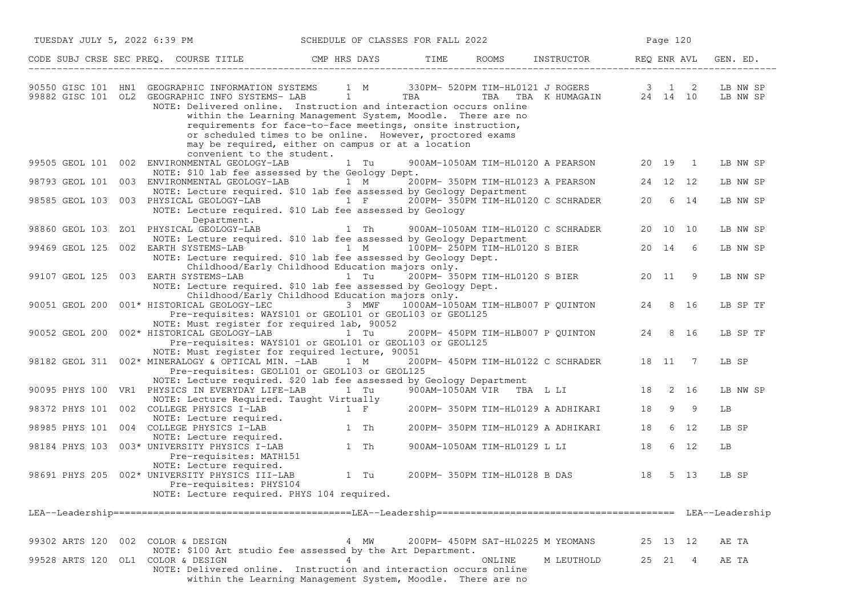| TUESDAY JULY 5, 2022 6:39 PM<br>SCHEDULE OF CLASSES FOR FALL 2022 |                                                                                                                                                                                                                                                                                                                                                                                                                              |             |            |                               |                                                                                            | Page 120 |          |                |                      |
|-------------------------------------------------------------------|------------------------------------------------------------------------------------------------------------------------------------------------------------------------------------------------------------------------------------------------------------------------------------------------------------------------------------------------------------------------------------------------------------------------------|-------------|------------|-------------------------------|--------------------------------------------------------------------------------------------|----------|----------|----------------|----------------------|
|                                                                   | CODE SUBJ CRSE SEC PREQ. COURSE TITLE THE CMP HRS DAYS TIME                                                                                                                                                                                                                                                                                                                                                                  |             |            |                               | ROOMS INSTRUCTOR REQ ENR AVL                                                               |          |          |                | GEN. ED.             |
|                                                                   | 90550 GISC 101 HN1 GEOGRAPHIC INFORMATION SYSTEMS<br>99882 GISC 101 OL2 GEOGRAPHIC INFO SYSTEMS- LAB 1<br>NOTE: Delivered online. Instruction and interaction occurs online<br>within the Learning Management System, Moodle. There are no<br>requirements for face-to-face meetings, onsite instruction,<br>or scheduled times to be online. However, proctored exams<br>may be required, either on campus or at a location |             | <b>TBA</b> |                               | 1 M 330PM- 520PM TIM-HL0121 J ROGERS<br>TIM-HLUIZI J ROGERS<br>TBA TBA K HUMAGAIN 24 14 10 |          | 3 1      | 2              | LB NW SP<br>LB NW SP |
|                                                                   | convenient to the student.<br>99505 GEOL 101 002 ENVIRONMENTAL GEOLOGY-LAB<br>NOTE: \$10 lab fee assessed by the Geology Dept.                                                                                                                                                                                                                                                                                               | 1 Tu        |            |                               | 900AM-1050AM TIM-HL0120 A PEARSON 20 19                                                    |          |          | $\overline{1}$ | LB NW SP             |
|                                                                   | 98793 GEOL 101 003 ENVIRONMENTAL GEOLOGY-LAB 1 M                                                                                                                                                                                                                                                                                                                                                                             |             |            |                               | 200PM- 350PM TIM-HL0123 A PEARSON                                                          |          | 24 12 12 |                | LB NW SP             |
|                                                                   | NOTE: Lecture required. \$10 lab fee assessed by Geology Department<br>98585 GEOL 103 003 PHYSICAL GEOLOGY-LAB 1 F<br>NOTE: Lecture required. \$10 Lab fee assessed by Geology<br>Department.                                                                                                                                                                                                                                |             |            |                               | 200PM- 350PM TIM-HL0120 C SCHRADER                                                         |          | 20 6 14  |                | LB NW SP             |
| 98860 GEOL 103                                                    | ZO1 PHYSICAL GEOLOGY-LAB                                                                                                                                                                                                                                                                                                                                                                                                     | $1$ Th      |            |                               | 900AM-1050AM TIM-HL0120 C SCHRADER                                                         |          | 20 10 10 |                | LB NW SP             |
|                                                                   | NOTE: Lecture required. \$10 lab fee assessed by Geology Department<br>99469 GEOL 125 002 EARTH SYSTEMS-LAB<br>NOTE: Lecture required. \$10 lab fee assessed by Geology Dept.                                                                                                                                                                                                                                                | $1 \, M$    |            |                               | 100PM- 250PM TIM-HL0120 S BIER                                                             | 20 14    |          | 6              | LB NW SP             |
|                                                                   | Childhood/Early Childhood Education majors only.<br>99107 GEOL 125 003 EARTH SYSTEMS-LAB $1$ Tu $200$ PM- $350$ PM TIM-HL0120 S BIER<br>NOTE: Lecture required. \$10 lab fee assessed by Geology Dept.<br>Childhood/Early Childhood Education majors only.                                                                                                                                                                   |             |            |                               |                                                                                            | 20 11    |          | - 9            | LB NW SP             |
|                                                                   | 90051 GEOL 200 001* HISTORICAL GEOLOGY-LEC<br>Pre-requisites: WAYS101 or GEOL101 or GEOL103 or GEOL125                                                                                                                                                                                                                                                                                                                       | 3 MWF       |            |                               | 1000AM-1050AM TIM-HLB007 P QUINTON                                                         |          | 24 8 16  |                | LB SP TF             |
|                                                                   | NOTE: Must register for required lab, 90052<br>90052 GEOL 200 002* HISTORICAL GEOLOGY-LAB<br>Pre-requisites: WAYS101 or GEOL101 or GEOL103 or GEOL125                                                                                                                                                                                                                                                                        | 1 Tu        |            |                               | 200PM- 450PM TIM-HLB007 P QUINTON                                                          | 24       |          | 8 16           | LB SP TF             |
|                                                                   | NOTE: Must register for required lecture, 90051<br>98182 GEOL 311 002* MINERALOGY & OPTICAL MIN. -LAB<br>Pre-requisites: GEOL101 or GEOL103 or GEOL125                                                                                                                                                                                                                                                                       | $1 \quad M$ |            |                               | 200PM- 450PM TIM-HL0122 C SCHRADER                                                         |          | 18 11 7  |                | LB SP                |
|                                                                   | NOTE: Lecture required. \$20 lab fee assessed by Geology Department<br>90095 PHYS 100 VR1 PHYSICS IN EVERYDAY LIFE-LAB                                                                                                                                                                                                                                                                                                       | l Tu        |            | 900AM-1050AM VIR TBA L LI     |                                                                                            |          | 18 2 16  |                | LB NW SP             |
|                                                                   | NOTE: Lecture Required. Taught Virtually<br>98372 PHYS 101 002 COLLEGE PHYSICS I-LAB<br>NOTE: Lecture required.                                                                                                                                                                                                                                                                                                              | 1 F         |            |                               | 200PM- 350PM TIM-HL0129 A ADHIKARI                                                         | 18       |          | 9 9            | LВ                   |
|                                                                   | 98985 PHYS 101 004 COLLEGE PHYSICS I-LAB                                                                                                                                                                                                                                                                                                                                                                                     | $1$ Th      |            |                               | 200PM- 350PM TIM-HL0129 A ADHIKARI                                                         | 18       |          | 6 12           | LB SP                |
|                                                                   | NOTE: Lecture required.<br>98184 PHYS 103 003* UNIVERSITY PHYSICS I-LAB<br>Pre-requisites: MATH151                                                                                                                                                                                                                                                                                                                           | 1 Th        |            |                               | 900AM-1050AM TIM-HL0129 L LI                                                               | 18       |          | 6 12           | LВ                   |
|                                                                   | NOTE: Lecture required.<br>98691 PHYS 205 002* UNIVERSITY PHYSICS III-LAB<br>Pre-requisites: PHYS104<br>NOTE: Lecture required. PHYS 104 required.                                                                                                                                                                                                                                                                           | 1 Tu        |            | 200PM- 350PM TIM-HL0128 B DAS |                                                                                            | 18       |          | 5 13           | LB SP                |
|                                                                   |                                                                                                                                                                                                                                                                                                                                                                                                                              |             |            |                               |                                                                                            |          |          |                |                      |
|                                                                   |                                                                                                                                                                                                                                                                                                                                                                                                                              |             |            |                               |                                                                                            |          |          |                |                      |
|                                                                   | 99302 ARTS 120 002 COLOR & DESIGN<br>NOTE: \$100 Art studio fee assessed by the Art Department.                                                                                                                                                                                                                                                                                                                              | 4 MW        |            |                               | 200PM- 450PM SAT-HL0225 M YEOMANS                                                          |          | 25 13 12 |                | AE TA                |
|                                                                   | 99528 ARTS 120 OL1 COLOR & DESIGN<br>NOTE: Delivered online. Instruction and interaction occurs online<br>within the Learning Management System, Moodle. There are no                                                                                                                                                                                                                                                        | 4           |            | ONLINE                        | M LEUTHOLD                                                                                 |          | 25 21    | 4              | AE TA                |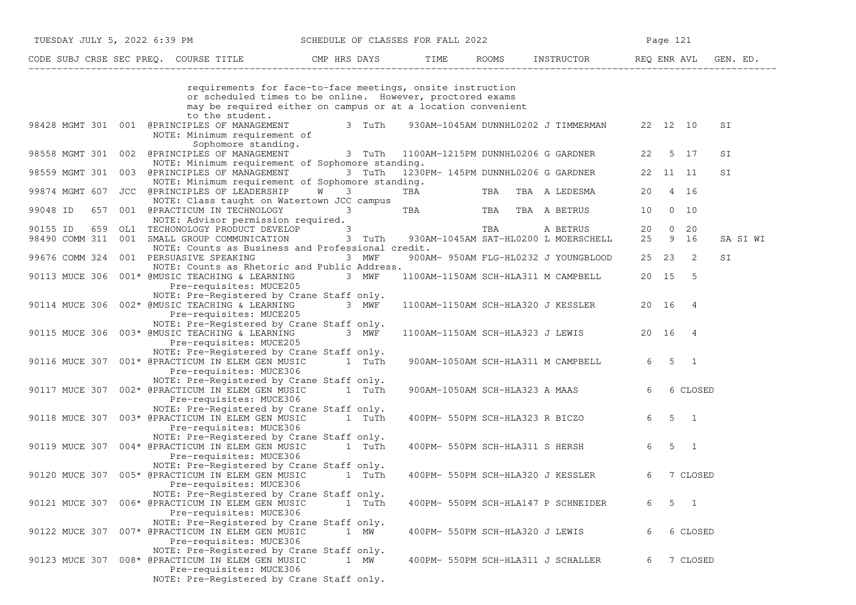|                                                          | TUESDAY JULY 5, 2022 6:39 PM SCHEDULE OF CLASSES FOR FALL 2022                                                                                                                          |                                |                                    |                                                      |                | Page 121            |              |
|----------------------------------------------------------|-----------------------------------------------------------------------------------------------------------------------------------------------------------------------------------------|--------------------------------|------------------------------------|------------------------------------------------------|----------------|---------------------|--------------|
|                                                          |                                                                                                                                                                                         |                                |                                    |                                                      |                |                     |              |
|                                                          | requirements for face-to-face meetings, onsite instruction<br>or scheduled times to be online. However, proctored exams<br>may be required either on campus or at a location convenient |                                |                                    |                                                      |                |                     |              |
|                                                          | to the student.<br>98428 MGMT 301 001 @PRINCIPLES OF MANAGEMENT<br>NOTE: Minimum requirement of                                                                                         | 3 TuTh                         |                                    | 930AM-1045AM DUNNHL0202 J TIMMERMAN 22 12 10         |                |                     | SΙ           |
|                                                          | Sophomore standing.<br>98558 MGMT 301 002 @PRINCIPLES OF MANAGEMENT 3 TuTh 1100AM-1215PM DUNNHL0206 G GARDNER 22                                                                        |                                |                                    |                                                      |                | 5 17                | SI           |
|                                                          | NOTE: Minimum requirement of Sophomore standing.<br>98559 MGMT 301 003 @PRINCIPLES OF MANAGEMENT<br>NOTE: Minimum requirement of Sophomore standing.                                    |                                |                                    | 3 TuTh 1230PM-145PM DUNNHL0206 G GARDNER 22 11 11    |                |                     | SI           |
|                                                          | 99874 MGMT 607 JCC @PRINCIPLES OF LEADERSHIP W<br>NOTE: Class taught on Watertown JCC campus                                                                                            | $3 \left( \frac{1}{2} \right)$ | TBA                                | TBA TBA A LEDESMA                                    |                | 20 4 16             |              |
| 99048 ID                                                 | 657 001 @PRACTICUM IN TECHNOLOGY 3                                                                                                                                                      |                                |                                    | TBA TBA TBA A BETRUS                                 | 10             | $0\quad 10$         |              |
| 90155 ID<br>98490 COMM 311 001 SMALL GROUP COMMUNICATION | NOTE: Advisor permission required.<br>MOTE: Advisor permission required.<br>659 OL1 TECHONOLOGY PRODUCT DEVELOP 3<br>NOTE: Counts as Business and Professional credit.                  | 3 TuTh                         |                                    | TBA A BETRUS<br>930AM-1045AM SAT-HL0200 L MOERSCHELL |                | 20 0 20<br>25 9 16  | SA SI WI     |
| 99676 COMM 324 001 PERSUASIVE SPEAKING                   | NOTE: Counts as Rhetoric and Public Address.                                                                                                                                            | 3 MWF                          |                                    | 900AM- 950AM FLG-HL0232 J YOUNGBLOOD                 |                | 25 23 2             | SI           |
|                                                          | 90113 MUCE 306 001* @MUSIC TEACHING & LEARNING 3 MWF<br>Pre-requisites: MUCE205                                                                                                         |                                |                                    | 1100AM-1150AM SCH-HLA311 M CAMPBELL                  |                | 20 15 5             |              |
|                                                          | NOTE: Pre-Registered by Crane Staff only.<br>90114 MUCE 306 002* @MUSIC TEACHING & LEARNING<br>Pre-requisites: MUCE205                                                                  | 3 MWF                          |                                    | 1100AM-1150AM SCH-HLA320 J KESSLER                   | 20 16          | $\overline{4}$      |              |
|                                                          | NOTE: Pre-Registered by Crane Staff only.<br>90115 MUCE 306 003* @MUSIC TEACHING & LEARNING<br>Pre-requisites: MUCE205                                                                  | 3 MWF                          |                                    | 1100AM-1150AM SCH-HLA323 J LEWIS                     |                | 20 16 4             |              |
|                                                          | NOTE: Pre-Registered by Crane Staff only.<br>90116 MUCE 307 001* @PRACTICUM IN ELEM GEN MUSIC<br>Pre-requisites: MUCE306                                                                | 1 TuTh                         |                                    | 900AM-1050AM SCH-HLA311 M CAMPBELL                   |                | $6 \quad 5 \quad 1$ |              |
|                                                          | NOTE: Pre-Registered by Crane Staff only.<br>90117 MUCE 307 002* @PRACTICUM IN ELEM GEN MUSIC<br>Pre-requisites: MUCE306                                                                | 1 TuTh                         |                                    | 900AM-1050AM SCH-HLA323 A MAAS                       | 6              |                     | 6 CLOSED     |
|                                                          | NOTE: Pre-Registered by Crane Staff only.<br>90118 MUCE 307 003* @PRACTICUM IN ELEM GEN MUSIC<br>Pre-requisites: MUCE306                                                                | 1 TuTh                         |                                    | 400PM- 550PM SCH-HLA323 R BICZO                      | 6              | $5 \quad 1$         |              |
|                                                          | NOTE: Pre-Registered by Crane Staff only.<br>90119 MUCE 307 004* @PRACTICUM IN ELEM GEN MUSIC<br>Pre-requisites: MUCE306                                                                | 1 TuTh                         |                                    | 400PM- 550PM SCH-HLA311 S HERSH                      | $6\overline{}$ | $5 \quad 1$         |              |
|                                                          | NOTE: Pre-Registered by Crane Staff only.<br>90120 MUCE 307 005* @PRACTICUM IN ELEM GEN MUSIC<br>Pre-requisites: MUCE306                                                                | 1 TuTh                         | 400PM- 550PM SCH-HLA320 J KESSLER  |                                                      | 6              |                     | 7 CLOSED     |
|                                                          | NOTE: Pre-Registered by Crane Staff only.<br>90121 MUCE 307 006* @PRACTICUM IN ELEM GEN MUSIC<br>Pre-requisites: MUCE306                                                                | 1 TuTh                         |                                    | 400PM- 550PM SCH-HLA147 P SCHNEIDER                  | 6              | 5                   | $\mathbf{1}$ |
|                                                          | NOTE: Pre-Registered by Crane Staff only.<br>90122 MUCE 307 007* @PRACTICUM IN ELEM GEN MUSIC<br>Pre-requisites: MUCE306                                                                | 1 MW                           | 400PM- 550PM SCH-HLA320 J LEWIS    |                                                      | 6              |                     | 6 CLOSED     |
|                                                          | NOTE: Pre-Registered by Crane Staff only.<br>90123 MUCE 307 008* @PRACTICUM IN ELEM GEN MUSIC<br>Pre-requisites: MUCE306<br>NOTE: Pre-Registered by Crane Staff only.                   | 1 MW                           | 400PM- 550PM SCH-HLA311 J SCHALLER |                                                      | 6              |                     | 7 CLOSED     |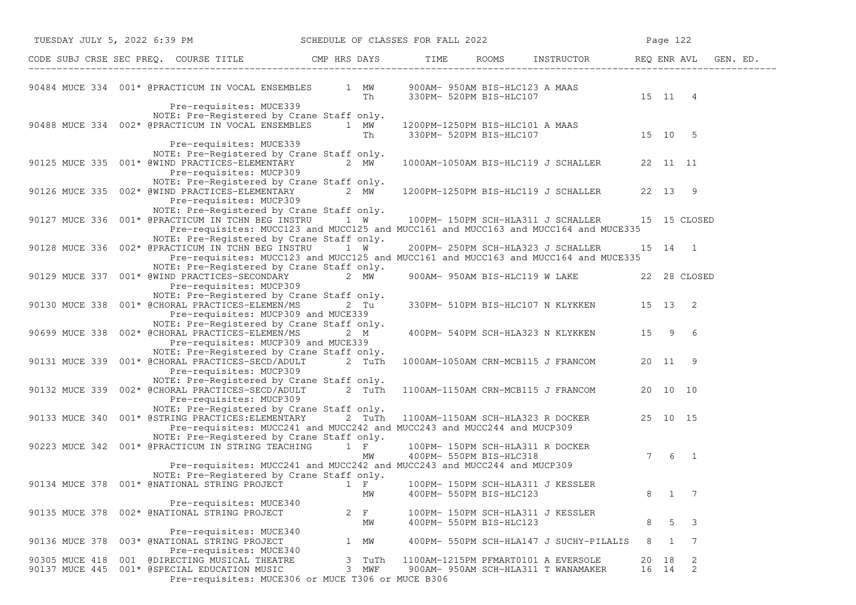| TUESDAY JULY 5, 2022 6:39 PM SCHEDULE OF CLASSES FOR FALL 2022                                                                                                                                                                                                                                                                      |                   |                                                              |                                                                            | Page 122       |        |
|-------------------------------------------------------------------------------------------------------------------------------------------------------------------------------------------------------------------------------------------------------------------------------------------------------------------------------------|-------------------|--------------------------------------------------------------|----------------------------------------------------------------------------|----------------|--------|
| CODE SUBJ CRSE SEC PREQ. COURSE TITLE CMP HRS DAYS TIME ROOMS INSTRUCTOR REQ ENR AVL GEN. ED.                                                                                                                                                                                                                                       |                   |                                                              |                                                                            |                |        |
| 90484 MUCE 334 001* @PRACTICUM IN VOCAL ENSEMBLES 1 MW 900AM-950AM BIS-HLC123 A MAAS<br>Th 330PM-520PM BIS-HLC107 15 11 4                                                                                                                                                                                                           |                   |                                                              |                                                                            |                |        |
| Pre-requisites: MUCE339<br>NOTE: Pre-Registered by Crane Staff only.<br>90488 MUCE 334 002* @PRACTICUM IN VOCAL ENSEMBLES $1$ MW $1200$ PM-1250PM BIS-HLC101 A MAAS $15$ 10 5                                                                                                                                                       |                   |                                                              |                                                                            |                |        |
| Pre-requisites: MUCE339<br>NOTE: Pre-Registered by Crane Staff only.<br>90125 MUCE 335 001* @WIND PRACTICES-ELEMENTARY 2 MW<br>Pre-requisites: MUCP309                                                                                                                                                                              |                   |                                                              | 1000AM-1050AM BIS-HLC119 J SCHALLER 22 11 11                               |                |        |
| NOTE: Pre-Registered by Crane Staff only.<br>90126 MUCE 335 002* @WIND PRACTICES-ELEMENTARY 2 MW 1200PM-1250PM BIS-HLC119 J SCHALLER 22 13 9<br>Pre-requisites: MUCP309                                                                                                                                                             |                   |                                                              |                                                                            |                |        |
| NOTE: Pre-Registered by Crane Staff only.<br>NOTE: Pre-Registered by Crane Staff only.<br>90127 MUCE 336 001* @PRACTICUM IN TCHN BEG INSTRU 1 W 100PM- 150PM SCH-HLA311 J SCHALLER 15 15 CLOSED<br>Pre-requisites: MUCC123 and MUCC125 and MUCC161 and MUCC163 and MUCC164 and MUCE335<br>NOTE: Pre-Registered by Crane Staff only. |                   |                                                              |                                                                            |                |        |
| 90128 MUCE 336 002* @PRACTICUM IN TCHN BEG INSTRU 1 W<br>Pre-requisites: MUCC123 and MUCC125 and MUCC161 and MUCC163 and MUCC164 and MUCE335                                                                                                                                                                                        |                   |                                                              | 200PM- 250PM SCH-HLA323 J SCHALLER                                         | 15 14 1        |        |
| NOTE: Pre-Registered by Crane Staff only.<br>90129 MUCE 337 001* @WIND PRACTICES-SECONDARY 2 MW<br>Pre-requisites: MUCP309                                                                                                                                                                                                          |                   |                                                              | 900AM- 950AM BIS-HLC119 W LAKE 22 28 CLOSED                                |                |        |
| NOTE: Pre-Registered by Crane Staff only.<br>90130 MUCE 338  001* @CHORAL PRACTICES-ELEMEN/MS  2  Tu<br>Pre-requisites: MUCP309 and MUCE339                                                                                                                                                                                         |                   |                                                              | 330PM- 510PM BIS-HLC107 N KLYKKEN 15 13 2                                  |                |        |
| NOTE: Pre-Registered by Crane Staff only.<br>90699 MUCE 338 002* @CHORAL PRACTICES-ELEMEN/MS<br>Pre-requisites: MUCP309 and MUCE339                                                                                                                                                                                                 | 2 M               |                                                              | 400PM- 540PM SCH-HLA323 N KLYKKEN 15 9 6                                   |                |        |
| NOTE: Pre-Registered by Crane Staff only.<br>90131 MUCE 339 001* @CHORAL PRACTICES-SECD/ADULT 2 TuTh<br>Pre-requisites: MUCP309                                                                                                                                                                                                     |                   |                                                              | 1000AM-1050AM CRN-MCB115 J FRANCOM 20 11 9                                 |                |        |
| NOTE: Pre-Registered by Crane Staff only.<br>90132 MUCE 339 002* @CHORAL PRACTICES-SECD/ADULT 2 TuTh<br>Pre-requisites: MUCP309                                                                                                                                                                                                     |                   |                                                              | 1100AM-1150AM CRN-MCB115 J FRANCOM 20 10 10                                |                |        |
| NOTE: Pre-Registered by Crane Staff only.<br>90133 MUCE 340 001* @STRING PRACTICES: ELEMENTARY 2 TuTh<br>Pre-requisites: MUCC241 and MUCC242 and MUCC243 and MUCC244 and MUCP309                                                                                                                                                    |                   |                                                              | 1100AM-1150AM SCH-HLA323 R DOCKER 25 10 15                                 |                |        |
| NOTE: Pre-Registered by Urane Stall Unity.<br>90223 MUCE 342 001* @PRACTICUM IN STRING TEACHING 1 F 100PM- 150PM SCH-HLA311 R DOCKER<br>MM 400PM- 550PM BIS-HLC318<br>Pre-requisites: MUCC241 and MUCC242 and MUCC243 and MUCC244 and MUCP309                                                                                       |                   |                                                              |                                                                            | $7 \t6 \t1$    |        |
| NOTE: Pre-Registered by Crane Staff only.<br>90134 MUCE 378 001* @NATIONAL STRING PROJECT 1 F 100PM-150PM SCH-HLA311 J KESSLER                                                                                                                                                                                                      | MM                | 400PM- 550PM BIS-HLC123                                      |                                                                            | 8              | 1 7    |
| Pre-requisites: MUCE340<br>002* @NATIONAL STRING PROJECT<br>90135 MUCE 378                                                                                                                                                                                                                                                          | $2 \quad F$<br>МW | 100PM- 150PM SCH-HLA311 J KESSLER<br>400PM- 550PM BIS-HLC123 |                                                                            | 8              | 5<br>3 |
| Pre-requisites: MUCE340<br>90136 MUCE 378<br>003* @NATIONAL STRING PROJECT<br>Pre-requisites: MUCE340                                                                                                                                                                                                                               | 1 MW              |                                                              | 400PM- 550PM SCH-HLA147 J SUCHY-PILALIS                                    | 8<br>1         | 7      |
| 001 @DIRECTING MUSICAL THEATRE<br>90305 MUCE 418<br>90137 MUCE 445<br>001* @SPECIAL EDUCATION MUSIC<br>Pre-requisites: MUCE306 or MUCE T306 or MUCE B306                                                                                                                                                                            | 3 TuTh<br>3 MWF   |                                                              | 1100AM-1215PM PFMART0101 A EVERSOLE<br>900AM- 950AM SCH-HLA311 T WANAMAKER | 20 18<br>16 14 | 2<br>2 |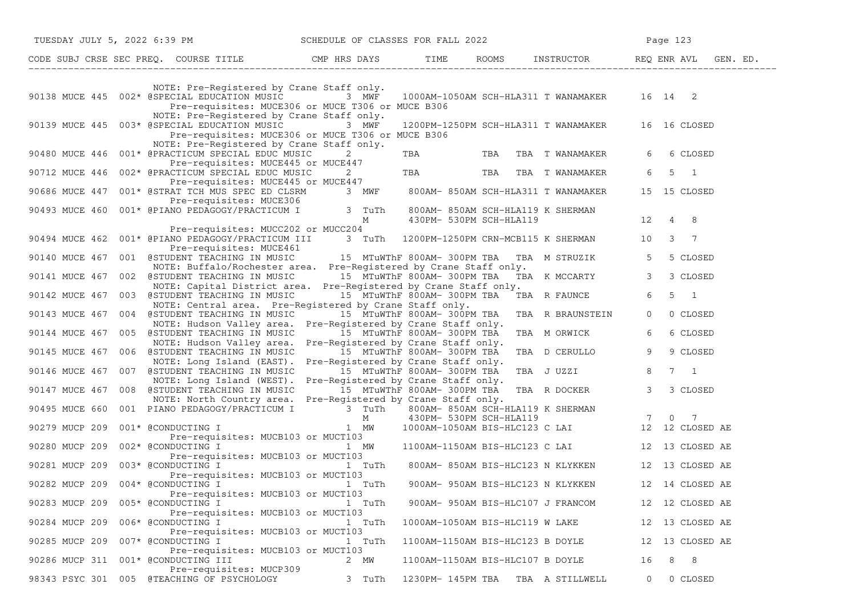|                                   | TUESDAY JULY 5, 2022 6:39 PM SCHEDULE OF CLASSES FOR FALL 2022                                                                                                                                                    |                                                                                                                 |                                  |                         |                                              | Page 123                                          |
|-----------------------------------|-------------------------------------------------------------------------------------------------------------------------------------------------------------------------------------------------------------------|-----------------------------------------------------------------------------------------------------------------|----------------------------------|-------------------------|----------------------------------------------|---------------------------------------------------|
|                                   | CODE SUBJ CRSE SEC PREQ. COURSE TITLE COMP HRS DAYS TIME ROOMS INSTRUCTOR REQ ENR AVL GEN. ED.                                                                                                                    |                                                                                                                 |                                  |                         |                                              |                                                   |
|                                   | NOTE: Pre-Registered by Crane Staff only.<br>90138 MUCE 445 002* @SPECIAL EDUCATION MUSIC 3 MWF<br>Pre-requisites: MUCE306 or MUCE T306 or MUCE B306                                                              |                                                                                                                 |                                  |                         | 1000AM-1050AM SCH-HLA311 T WANAMAKER 16 14 2 |                                                   |
|                                   | NOTE: Pre-Registered by Crane Staff only.<br>90139 MUCE 445 003* @SPECIAL EDUCATION MUSIC<br>Pre-requisites: MUCE306 or MUCE T306 or MUCE B306                                                                    | 3 MWF                                                                                                           |                                  |                         |                                              | 1200PM-1250PM SCH-HLA311 T WANAMAKER 16 16 CLOSED |
| 90480 MUCE 446                    | NOTE: Pre-Registered by Crane Staff only.<br>001* @PRACTICUM SPECIAL EDUC MUSIC<br>Pre-requisites: MUCE445 or MUCE447                                                                                             | $2 \quad$                                                                                                       | TBA <b>Santa Card</b>            |                         | TBA TBA TWANAMAKER                           | 6 CLOSED<br>6                                     |
| 90712 MUCE 446                    | 002* @PRACTICUM SPECIAL EDUC MUSIC                                                                                                                                                                                | $\mathbf{2}$                                                                                                    |                                  |                         | TBA TBA TBA TWANAMAKER                       | $5 \quad 1$<br>6                                  |
| 90686 MUCE 447                    | Pre-requisites: MUCE445 or MUCE447<br>001* @STRAT TCH MUS SPEC ED CLSRM 3 MWF<br>Pre-requisites: MUCE306                                                                                                          |                                                                                                                 |                                  |                         | 800AM- 850AM SCH-HLA311 T WANAMAKER          | 15 15 CLOSED                                      |
| 90493 MUCE 460                    | 001* @PIANO PEDAGOGY/PRACTICUM I 3 TuTh                                                                                                                                                                           |                                                                                                                 |                                  |                         | 800AM-850AM SCH-HLA119 K SHERMAN             |                                                   |
|                                   | Pre-requisites: MUCC202 or MUCC204                                                                                                                                                                                | М                                                                                                               |                                  | 430PM- 530PM SCH-HLA119 |                                              | 4 8<br>12                                         |
|                                   | 90494 MUCE 462 001* @PIANO PEDAGOGY/PRACTICUM III 3 TuTh<br>Pre-requisites: MUCE461                                                                                                                               |                                                                                                                 |                                  |                         | 1200PM-1250PM CRN-MCB115 K SHERMAN 10        | $\overline{7}$<br>3                               |
|                                   | 90140 MUCE 467 001 @STUDENT TEACHING IN MUSIC<br>NOTE: Buffalo/Rochester area. Pre-Registered by Crane Staff only.                                                                                                | 15 MTuWThF 800AM- 300PM TBA                                                                                     |                                  |                         | TBA M STRUZIK                                | 5<br>5 CLOSED                                     |
|                                   | 90141 MUCE 467 002 @STUDENT TEACHING IN MUSIC                                                                                                                                                                     | 15 MTuWThF 800AM- 300PM TBA                                                                                     |                                  |                         | TBA K MCCARTY                                | $\mathcal{S}$<br>3 CLOSED                         |
|                                   | NOTE: Capital District area. Pre-Registered by Crane Staff only.<br>90142 MUCE 467 003 @STUDENT TEACHING IN MUSIC<br>NOTE: Central area. Pre-Registered by Crane Staff only.                                      | 15 MTuWThF 800AM- 300PM TBA                                                                                     |                                  |                         | TBA R FAUNCE                                 | 6<br>$5 \quad 1$                                  |
|                                   | 90143 MUCE 467 004 @STUDENT TEACHING IN MUSIC                                                                                                                                                                     | 15 MTuWThF 800AM- 300PM TBA                                                                                     |                                  |                         | TBA R BRAUNSTEIN                             | 0 CLOSED<br>$\overline{0}$                        |
|                                   | NOTE: Hudson Valley area. Pre-Registered by Crane Staff only.<br>90144 MUCE 467 005 @STUDENT TEACHING IN MUSIC                                                                                                    |                                                                                                                 | 15 MTuWThF 800AM- 300PM TBA      |                         | TBA M ORWICK                                 | 6<br>6 CLOSED                                     |
|                                   | NOTE: Hudson Valley area.<br>90145 MUCE 467 006 @STUDENT TEACHING IN MUSIC                                                                                                                                        | Pre-Registered by Crane Staff only.                                                                             | 15 MTuWThF 800AM- 300PM TBA      |                         | TBA D CERULLO                                | 9 CLOSED<br>9                                     |
| 90146 MUCE 467                    | NOTE: Long Island (EAST).<br>007 @STUDENT TEACHING IN MUSIC                                                                                                                                                       | Pre-Registered by Crane Staff only.<br>15 MTuWThF 800AM- 300PM TBA                                              |                                  |                         | TBA JUZZI                                    | 8<br>$7 \quad 1$                                  |
|                                   | NOTE: Long Island (WEST).<br>90147 MUCE 467 008 @STUDENT TEACHING IN MUSIC                                                                                                                                        | Pre-Registered by Crane Staff only.                                                                             | 15 MTuWThF 800AM- 300PM TBA      |                         | TBA R DOCKER                                 | 3 <sup>7</sup><br>3 CLOSED                        |
| 90495 MUCE 660                    | NOTE: North Country area. Pre-Registered by Crane Staff only.<br>001 PIANO PEDAGOGY/PRACTICUM I 3 TuTh 800AM-850AM SCH-HLA119 K SHERMAN<br>001* @CONDUCTING I 1 MW 1000AM-1050AM BIS-HLC123 C LAI 12 12 CLOSED AE |                                                                                                                 |                                  |                         |                                              |                                                   |
| 90279 MUCP 209                    |                                                                                                                                                                                                                   |                                                                                                                 |                                  |                         |                                              |                                                   |
|                                   | Pre-requisites: MUCB103 or MUCT103                                                                                                                                                                                |                                                                                                                 |                                  |                         |                                              |                                                   |
| 90280 MUCP 209                    | 002* @CONDUCTING I 1 MW<br>Pre-requisites: MUCB103 or MUCT103                                                                                                                                                     |                                                                                                                 |                                  |                         | 1100AM-1150AM BIS-HLC123 C LAI               | 12 13 CLOSED AE                                   |
| 90281 MUCP 209 003* @CONDUCTING I | Pre-requisites: MUCB103 or MUCT103                                                                                                                                                                                | 1 TuTh                                                                                                          |                                  |                         |                                              | 800AM-850AM BIS-HLC123 N KLYKKEN 12 13 CLOSED AE  |
| 90282 MUCP 209 004* @CONDUCTING I |                                                                                                                                                                                                                   | and the state of the state of the state of the state of the state of the state of the state of the state of the |                                  |                         | 900AM- 950AM BIS-HLC123 N KLYKKEN            | 12 14 CLOSED AE                                   |
| 90283 MUCP 209                    | Pre-requisites: MUCB103 or MUCT103<br>005* @CONDUCTING I<br>Pre-requisites: MUCB103 or MUCT103                                                                                                                    | 1 TuTh                                                                                                          |                                  |                         | 900AM- 950AM BIS-HLC107 J FRANCOM            | 12 12 CLOSED AE                                   |
| 90284 MUCP 209                    | 006* @CONDUCTING I<br>Pre-requisites: MUCB103 or MUCT103                                                                                                                                                          | 1 TuTh                                                                                                          | 1000AM-1050AM BIS-HLC119 W LAKE  |                         |                                              | 12 13 CLOSED AE                                   |
| 90285 MUCP 209                    | 007* @CONDUCTING I                                                                                                                                                                                                | 1 TuTh                                                                                                          | 1100AM-1150AM BIS-HLC123 B DOYLE |                         |                                              | 13 CLOSED AE<br>12                                |
| 90286 MUCP 311                    | Pre-requisites: MUCB103 or MUCT103<br>001* @CONDUCTING III                                                                                                                                                        | 2 MW                                                                                                            | 1100AM-1150AM BIS-HLC107 B DOYLE |                         |                                              | 8<br>8<br>16                                      |
|                                   | Pre-requisites: MUCP309<br>98343 PSYC 301 005 @TEACHING OF PSYCHOLOGY                                                                                                                                             | 3 TuTh                                                                                                          | 1230PM- 145PM TBA                |                         | TBA A STILLWELL                              | $\circ$<br>0 CLOSED                               |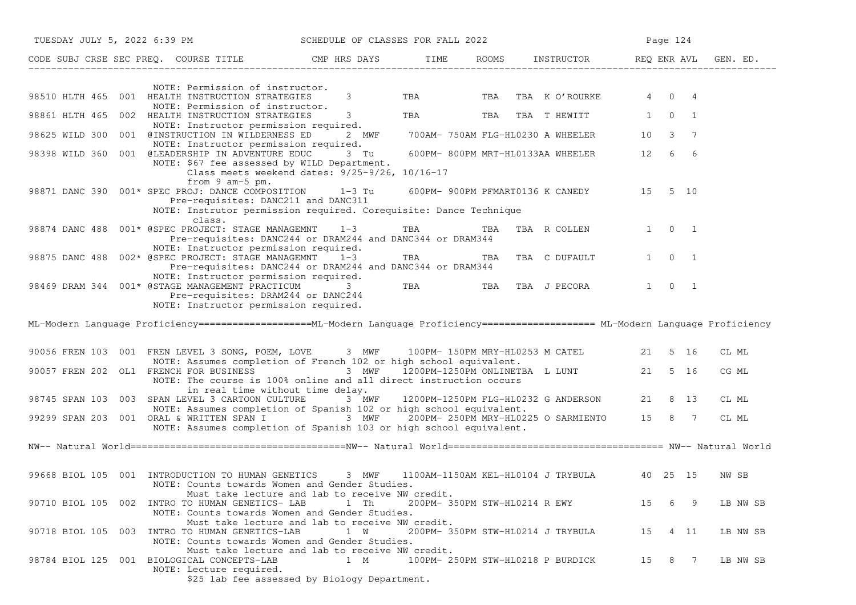| TUESDAY JULY 5, 2022 6:39 PM SCHEDULE OF CLASSES FOR FALL 2022                                                                                                                                                                 |                                |            |                                             |         | Page 124            |          |
|--------------------------------------------------------------------------------------------------------------------------------------------------------------------------------------------------------------------------------|--------------------------------|------------|---------------------------------------------|---------|---------------------|----------|
| CODE SUBJ CRSE SEC PREQ. COURSE TITLE CMP HRS DAYS TIME ROOMS INSTRUCTOR REQ ENR AVL GEN. ED.                                                                                                                                  |                                |            |                                             |         |                     |          |
| NOTE: Permission of instructor.                                                                                                                                                                                                |                                |            |                                             |         |                     |          |
| 98510 HLTH 465 001 HEALTH INSTRUCTION STRATEGIES<br>NOTE: Permission of instructor.                                                                                                                                            | $3 \left( \frac{1}{2} \right)$ |            | TBA TBA TBA K O'ROURKE 4 0 4                |         |                     |          |
| HEALTH INSTRUCTION STRATEGIES 3<br>NOTE: Instructor permission required.<br>98861 HLTH 465 002 HEALTH INSTRUCTION STRATEGIES                                                                                                   |                                | <b>TBA</b> | TBA TBA THEWITT 1 0 1                       |         |                     |          |
| 98625 WILD 300 001 @INSTRUCTION IN WILDERNESS ED<br>NOTE: Instructor permission required.                                                                                                                                      | 2 MWF                          |            | 700AM- 750AM FLG-HL0230 A WHEELER 10 3 7    |         |                     |          |
| 98398 WILD 360 001 @LEADERSHIP IN ADVENTURE EDUC 3 Tu<br>NOTE: \$67 fee assessed by WILD Department.<br>Class meets weekend dates: 9/25-9/26, 10/16-17                                                                         |                                |            | 600PM-800PM MRT-HL0133AA WHEELER 12 6 6     |         |                     |          |
| from 9 am-5 pm.<br>98871 DANC 390 001* SPEC PROJ: DANCE COMPOSITION 1-3 Tu 600PM-900PM PFMART0136 K CANEDY 15 5 10<br>Pre-requisites: DANC211 and DANC311<br>NOTE: Instrutor permission required. Corequisite: Dance Technique |                                |            |                                             |         |                     |          |
| class.<br>98874 DANC 488  001* @SPEC PROJECT: STAGE MANAGEMNT  1-3<br>Pre-requisites: DANC244 or DRAM244 and DANC344 or DRAM344                                                                                                |                                |            | TBA TBA TBA R COLLEN 1 0 1                  |         |                     |          |
| NOTE: Instructor permission required.<br>98875 DANC 488 002* @SPEC PROJECT: STAGE MANAGEMNT 1-3<br>Pre-requisites: DANC244 or DRAM244 and DANC344 or DRAM344                                                                   |                                | <b>TBA</b> | TBA TBA C DUFAULT                           |         | $1 \quad 0 \quad 1$ |          |
| NOTE: Instructor permission required.<br>98469 DRAM 344 001* @STAGE MANAGEMENT PRACTICUM 3<br>Pre-requisites: DRAM244 or DANC244<br>NOTE: Instructor permission required.                                                      |                                | <b>TBA</b> | TBA TBA J PECORA                            |         | 1 0 1               |          |
| ML-Modern Language Proficiency ===================ML-Modern Language Proficiency =================== ML-Modern Language Proficiency                                                                                            |                                |            |                                             |         |                     |          |
| 90056 FREN 103 001 FREN LEVEL 3 SONG, POEM, LOVE 3 MWF 100PM-150PM MRY-HL0253 M CATEL 21 5 16<br>NOTE: Assumes completion of French 102 or high school equivalent.                                                             |                                |            |                                             |         |                     | CL ML    |
| 90057 FREN 202 OL1 FRENCH FOR BUSINESS 3 MWF 1200PM-1250PM ONLINETBA L LUNT 21 5 16<br>NOTE: The course is 100% online and all direct instruction occurs<br>in real time without time delay.                                   |                                |            |                                             |         |                     | CG ML    |
| 98745 SPAN 103 003 SPAN LEVEL 3 CARTOON CULTURE 3 MWF 1200PM-1250PM FLG-HL0232 G ANDERSON 21 8 13<br>NOTE: Assumes completion of Spanish 102 or high school equivalent.                                                        |                                |            |                                             |         |                     | CL ML    |
| 99299 SPAN 203 001 ORAL & WRITTEN SPAN I 3 MWF 200PM-250PM MRY-HL0225 O SARMIENTO 15 8 7<br>NOTE: Assumes completion of Spanish 103 or high school equivalent.                                                                 |                                |            |                                             |         |                     | CL ML    |
|                                                                                                                                                                                                                                |                                |            |                                             |         |                     |          |
|                                                                                                                                                                                                                                |                                |            |                                             |         |                     |          |
| 99668 BIOL 105 001 INTRODUCTION TO HUMAN GENETICS<br>NOTE: Counts towards Women and Gender Studies.                                                                                                                            | 3 MWF                          |            | 1100AM-1150AM KEL-HL0104 J TRYBULA 40 25 15 |         |                     | NW SB    |
| Must take lecture and lab to receive NW credit.<br>90710 BIOL 105 002 INTRO TO HUMAN GENETICS- LAB<br>NOTE: Counts towards Women and Gender Studies.                                                                           | 1 Th                           |            | 200PM- 350PM STW-HL0214 R EWY               | 15      | 69                  | LB NW SB |
| Must take lecture and lab to receive NW credit.<br>90718 BIOL 105 003 INTRO TO HUMAN GENETICS-LAB<br>NOTE: Counts towards Women and Gender Studies.                                                                            | 1 W                            |            | 200PM- 350PM STW-HL0214 J TRYBULA           | 15 4 11 |                     | LB NW SB |
| Must take lecture and lab to receive NW credit.<br>98784 BIOL 125 001 BIOLOGICAL CONCEPTS-LAB<br>NOTE: Lecture required.<br>\$25 lab fee assessed by Biology Department.                                                       | 1 M                            |            | 100PM- 250PM STW-HL0218 P BURDICK           | 15      | 8 7                 | LB NW SB |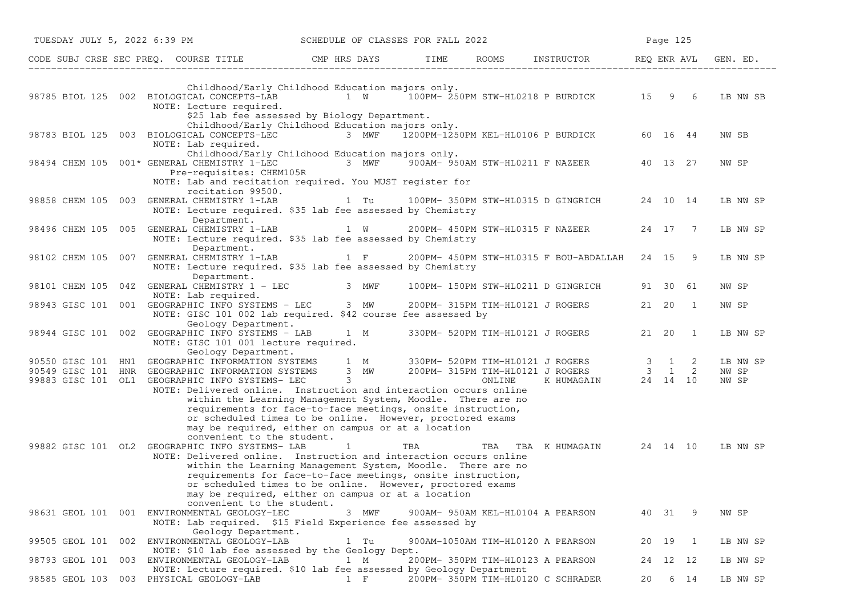| TUESDAY JULY 5, 2022 6:39 PM                                                                                                                                                                                                                                                                                                                                                                                                                                                                                           | SCHEDULE OF CLASSES FOR FALL 2022           |     |                                                                            |       | Page 125  |                |                            |
|------------------------------------------------------------------------------------------------------------------------------------------------------------------------------------------------------------------------------------------------------------------------------------------------------------------------------------------------------------------------------------------------------------------------------------------------------------------------------------------------------------------------|---------------------------------------------|-----|----------------------------------------------------------------------------|-------|-----------|----------------|----------------------------|
|                                                                                                                                                                                                                                                                                                                                                                                                                                                                                                                        |                                             |     | ROOMS INSTRUCTOR REQ ENR AVL                                               |       |           |                | GEN. ED.                   |
| Childhood/Early Childhood Education majors only.<br>98785 BIOL 125 002 BIOLOGICAL CONCEPTS-LAB<br>NOTE: Lecture required.<br>\$25 lab fee assessed by Biology Department.                                                                                                                                                                                                                                                                                                                                              | 1 W 100PM-250PM STW-HL0218 P BURDICK 15 9 6 |     |                                                                            |       |           |                | LB NW SB                   |
| Childhood/Early Childhood Education majors only.<br>98783 BIOL 125 003 BIOLOGICAL CONCEPTS-LEC<br>NOTE: Lab required.                                                                                                                                                                                                                                                                                                                                                                                                  | 3 MWF                                       |     | 1200PM-1250PM KEL-HL0106 P BURDICK                                         |       | 60 16 44  |                | NW SB                      |
| Childhood/Early Childhood Education majors only.<br>98494 CHEM 105 001* GENERAL CHEMISTRY 1-LEC<br>Pre-requisites: CHEM105R<br>NOTE: Lab and recitation required. You MUST register for                                                                                                                                                                                                                                                                                                                                |                                             |     | 3 MWF 900AM- 950AM STW-HL0211 F NAZEER 40 13 27                            |       |           |                | NW SP                      |
| recitation 99500.<br>98858 CHEM 105 003<br>GENERAL CHEMISTRY 1-LAB<br>NOTE: Lecture required. \$35 lab fee assessed by Chemistry                                                                                                                                                                                                                                                                                                                                                                                       | 1 Tu                                        |     | 100PM- 350PM STW-HL0315 D GINGRICH                                         |       | 24 10 14  |                | LB NW SP                   |
| Department.<br>GENERAL CHEMISTRY 1-LAB<br>98496 CHEM 105 005<br>NOTE: Lecture required. \$35 lab fee assessed by Chemistry                                                                                                                                                                                                                                                                                                                                                                                             | 1 W                                         |     | 200PM- 450PM STW-HL0315 F NAZEER                                           |       | 24 17 7   |                | LB NW SP                   |
| Department.<br>GENERAL CHEMISTRY 1-LAB 1 F<br>98102 CHEM 105 007<br>NOTE: Lecture required. \$35 lab fee assessed by Chemistry<br>Department.                                                                                                                                                                                                                                                                                                                                                                          |                                             |     | 200PM- 450PM STW-HL0315 F BOU-ABDALLAH 24 15 9                             |       |           |                | LB NW SP                   |
| 98101 CHEM 105 04Z GENERAL CHEMISTRY 1 - LEC<br>NOTE: Lab required.                                                                                                                                                                                                                                                                                                                                                                                                                                                    | 3 MWF                                       |     | 100PM- 150PM STW-HL0211 D GINGRICH                                         |       | 91 30 61  |                | NW SP                      |
| 98943 GISC 101 001 GEOGRAPHIC INFO SYSTEMS - LEC 3 MW<br>NOTE: GISC 101 002 lab required. \$42 course fee assessed by<br>Geology Department.                                                                                                                                                                                                                                                                                                                                                                           |                                             |     | 200PM- 315PM TIM-HL0121 J ROGERS                                           |       | 21  20  1 |                | NW SP                      |
| 98944 GISC 101 002 GEOGRAPHIC INFO SYSTEMS - LAB 1 M<br>NOTE: GISC 101 001 lecture required.<br>Geology Department.                                                                                                                                                                                                                                                                                                                                                                                                    |                                             |     | 330PM- 520PM TIM-HL0121 J ROGERS                                           | 21 20 |           | $\overline{1}$ | LB NW SP                   |
| 90550 GISC 101 HN1 GEOGRAPHIC INFORMATION SYSTEMS 1 M 330PM- 520PM TIM-HL0121 J ROGERS 3 1 2<br>90549 GISC 101 HNR<br>GEOGRAPHIC INFORMATION SYSTEMS<br>99883 GISC 101 OL1 GEOGRAPHIC INFO SYSTEMS- LEC<br>NOTE: Delivered online. Instruction and interaction occurs online<br>within the Learning Management System, Moodle. There are no<br>requirements for face-to-face meetings, onsite instruction,                                                                                                             |                                             |     | 3 MW 200PM-315PM TIM-HL0121 J ROGERS 3 1 2<br>3 0NLINE K HUMAGAIN 24 14 10 |       |           |                | LB NW SP<br>NW SP<br>NW SP |
| or scheduled times to be online. However, proctored exams<br>may be required, either on campus or at a location<br>convenient to the student.<br>99882 GISC 101 OL2 GEOGRAPHIC INFO SYSTEMS- LAB<br>NOTE: Delivered online. Instruction and interaction occurs online<br>within the Learning Management System, Moodle. There are no<br>requirements for face-to-face meetings, onsite instruction,<br>or scheduled times to be online. However, proctored exams<br>may be required, either on campus or at a location | $\mathbf{1}$                                | TBA | TBA TBA KHUMAGAIN 24 14 10                                                 |       |           |                | LB NW SP                   |
| convenient to the student.<br>98631 GEOL 101 001 ENVIRONMENTAL GEOLOGY-LEC<br>NOTE: Lab required. \$15 Field Experience fee assessed by                                                                                                                                                                                                                                                                                                                                                                                | 3 MWF                                       |     | 900AM- 950AM KEL-HL0104 A PEARSON                                          | 40 31 |           | - 9            | NW SP                      |
| Geology Department.<br>99505 GEOL 101 002 ENVIRONMENTAL GEOLOGY-LAB                                                                                                                                                                                                                                                                                                                                                                                                                                                    | 1 Tu                                        |     | 900AM-1050AM TIM-HL0120 A PEARSON                                          | 20 19 |           | $\overline{1}$ | LB NW SP                   |
| NOTE: \$10 lab fee assessed by the Geology Dept.<br>98793 GEOL 101 003 ENVIRONMENTAL GEOLOGY-LAB<br>NOTE: Lecture required. \$10 lab fee assessed by Geology Department                                                                                                                                                                                                                                                                                                                                                | 1 M                                         |     | 200PM- 350PM TIM-HL0123 A PEARSON                                          |       | 24 12 12  |                | LB NW SP                   |
| 98585 GEOL 103 003 PHYSICAL GEOLOGY-LAB                                                                                                                                                                                                                                                                                                                                                                                                                                                                                | $1$ F                                       |     | 200PM- 350PM TIM-HL0120 C SCHRADER                                         | 20    | 6 14      |                | LB NW SP                   |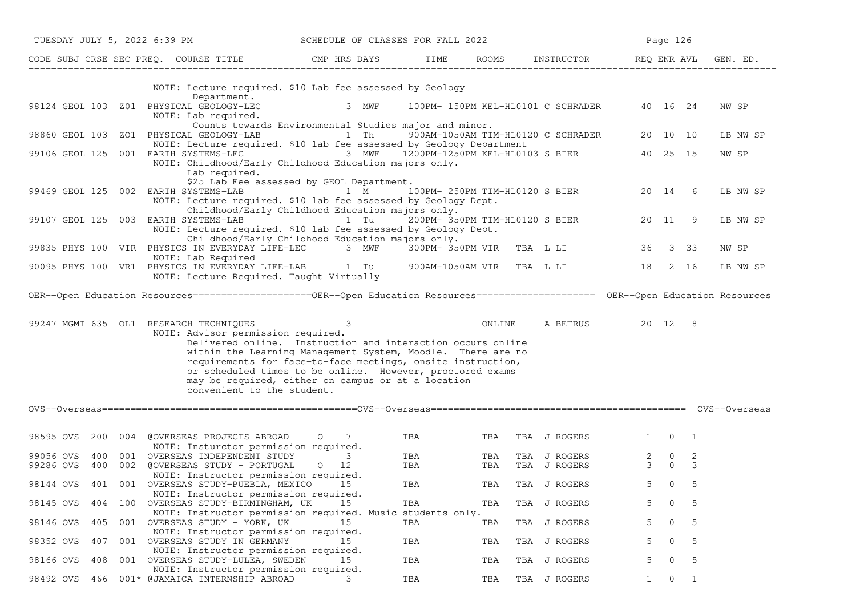| TUESDAY JULY 5, 2022 6:39 PM  |                                                                                                                                            | SCHEDULE OF CLASSES FOR FALL 2022                                                                                                                                                                                                                                                                                 |            |        |                                           | Page 126                                   |                                  |          |
|-------------------------------|--------------------------------------------------------------------------------------------------------------------------------------------|-------------------------------------------------------------------------------------------------------------------------------------------------------------------------------------------------------------------------------------------------------------------------------------------------------------------|------------|--------|-------------------------------------------|--------------------------------------------|----------------------------------|----------|
|                               | CODE SUBJ CRSE SEC PREQ. COURSE TITLE THE CMP HRS DAYS                                                                                     |                                                                                                                                                                                                                                                                                                                   |            |        | TIME ROOMS INSTRUCTOR REQ ENRAVL GEN. ED. |                                            |                                  |          |
|                               | NOTE: Lecture required. \$10 Lab fee assessed by Geology<br>Department.                                                                    |                                                                                                                                                                                                                                                                                                                   |            |        |                                           |                                            |                                  |          |
|                               | 98124 GEOL 103 Z01 PHYSICAL GEOLOGY-LEC<br>NOTE: Lab required.                                                                             | 3 MWF<br>Counts towards Environmental Studies major and minor.                                                                                                                                                                                                                                                    |            |        | 100PM- 150PM KEL-HL0101 C SCHRADER        | 40 16 24                                   |                                  | NW SP    |
|                               | 98860 GEOL 103 ZO1 PHYSICAL GEOLOGY-LAB<br>NOTE: Lecture required. \$10 lab fee assessed by Geology Department                             |                                                                                                                                                                                                                                                                                                                   |            |        | 1 Th 900AM-1050AM TIM-HL0120 C SCHRADER   | 20 10 10                                   |                                  | LB NW SP |
| 99106 GEOL 125                | 001 EARTH SYSTEMS-LEC 6 6 3 MWF 1200PM-1250PM KEL-HL0103 S BIER<br>NOTE: Childhood/Early Childhood Education majors only.<br>Lab required. | \$25 Lab Fee assessed by GEOL Department.                                                                                                                                                                                                                                                                         |            |        |                                           | 40 25 15                                   |                                  | NW SP    |
|                               | 99469 GEOL 125 002 EARTH SYSTEMS-LAB 1 M<br>NOTE: Lecture required. \$10 lab fee assessed by Geology Dept.                                 | Childhood/Early Childhood Education majors only.                                                                                                                                                                                                                                                                  |            |        | 100PM- 250PM TIM-HL0120 S BIER            | 20 14                                      | 6                                | LB NW SP |
|                               | 99107 GEOL 125 003 EARTH SYSTEMS-LAB<br>NOTE: Lecture required. \$10 lab fee assessed by Geology Dept.                                     | 1 Tu                                                                                                                                                                                                                                                                                                              |            |        | 200PM- 350PM TIM-HL0120 S BIER            | 20 11                                      | 9                                | LB NW SP |
|                               | 99835 PHYS 100 VIR PHYSICS IN EVERYDAY LIFE-LEC 3 MWF 300PM-350PM VIR TBA L LI<br>NOTE: Lab Required                                       | Childhood/Early Childhood Education majors only.                                                                                                                                                                                                                                                                  |            |        |                                           | 36 3 33                                    |                                  | NW SP    |
|                               | 90095 PHYS 100 VR1 PHYSICS IN EVERYDAY LIFE-LAB 1 Tu 900AM-1050AM VIR TBA L LI<br>NOTE: Lecture Required. Taught Virtually                 |                                                                                                                                                                                                                                                                                                                   |            |        |                                           | 18 2 16                                    |                                  | LB NW SP |
|                               | OER--Open Education Resources======================OER--Open Education Resources===================== OER--Open Education Resources        |                                                                                                                                                                                                                                                                                                                   |            |        |                                           |                                            |                                  |          |
|                               | 99247 MGMT 635 OL1 RESEARCH TECHNIQUES<br>NOTE: Advisor permission required.<br>convenient to the student.                                 | 3<br>Delivered online. Instruction and interaction occurs online<br>within the Learning Management System, Moodle. There are no<br>requirements for face-to-face meetings, onsite instruction,<br>or scheduled times to be online. However, proctored exams<br>may be required, either on campus or at a location |            | ONLINE | A BETRUS                                  | 20 12                                      | 8                                |          |
|                               |                                                                                                                                            |                                                                                                                                                                                                                                                                                                                   |            |        |                                           |                                            |                                  |          |
| 98595 OVS                     | 200 004 @OVERSEAS PROJECTS ABROAD<br>NOTE: Insturctor permission required.                                                                 | 7<br>$\circ$                                                                                                                                                                                                                                                                                                      | TBA        |        | TBA TBA J ROGERS                          | $1 \quad$                                  | $0\quad 1$                       |          |
| 99056 OVS<br>400<br>99286 OVS | 001 OVERSEAS INDEPENDENT STUDY<br>400 002 @OVERSEAS STUDY - PORTUGAL                                                                       | 3<br>$0\quad 12$                                                                                                                                                                                                                                                                                                  | TBA<br>TBA | TBA    | TBA J ROGERS<br>TBA TBA J ROGERS          | $2 \qquad 0$<br>$\mathcal{E}$<br>$\bigcap$ | 2<br>3                           |          |
|                               | NOTE: Instructor permission required.<br>98144 OVS 401 001 OVERSEAS STUDY-PUEBLA, MEXICO 15<br>NOTE: Instructor permission required.       |                                                                                                                                                                                                                                                                                                                   | TBA        |        | TBA TBA J ROGERS                          | 5 0 5                                      |                                  |          |
| 98145 OVS<br>404              | 100 OVERSEAS STUDY-BIRMINGHAM, UK<br>NOTE: Instructor permission required. Music students only.                                            | 15                                                                                                                                                                                                                                                                                                                | TBA        | TBA    | TBA J ROGERS                              |                                            | 5                                |          |
| 98146 OVS<br>405              | 001 OVERSEAS STUDY - YORK, UK<br>NOTE: Instructor permission required.                                                                     | 15                                                                                                                                                                                                                                                                                                                | TBA        | TBA    | TBA J ROGERS                              | 5.<br>0                                    | 5                                |          |
| 98352 OVS<br>407              | 001 OVERSEAS STUDY IN GERMANY<br>NOTE: Instructor permission required.                                                                     | 15                                                                                                                                                                                                                                                                                                                | TBA        | TBA    | TBA J ROGERS                              | 0<br>5.                                    | 5                                |          |
| 98166 OVS<br>408              | 001<br>OVERSEAS STUDY-LULEA, SWEDEN<br>NOTE: Instructor permission required.                                                               | 15                                                                                                                                                                                                                                                                                                                | TBA        | TBA    | TBA J ROGERS                              | 5.                                         | 5                                |          |
| 98492 OVS                     | 466 001* @JAMAICA INTERNSHIP ABROAD                                                                                                        |                                                                                                                                                                                                                                                                                                                   | TBA        | TBA    | TBA J ROGERS                              | 1                                          | $\overline{0}$<br>$\overline{1}$ |          |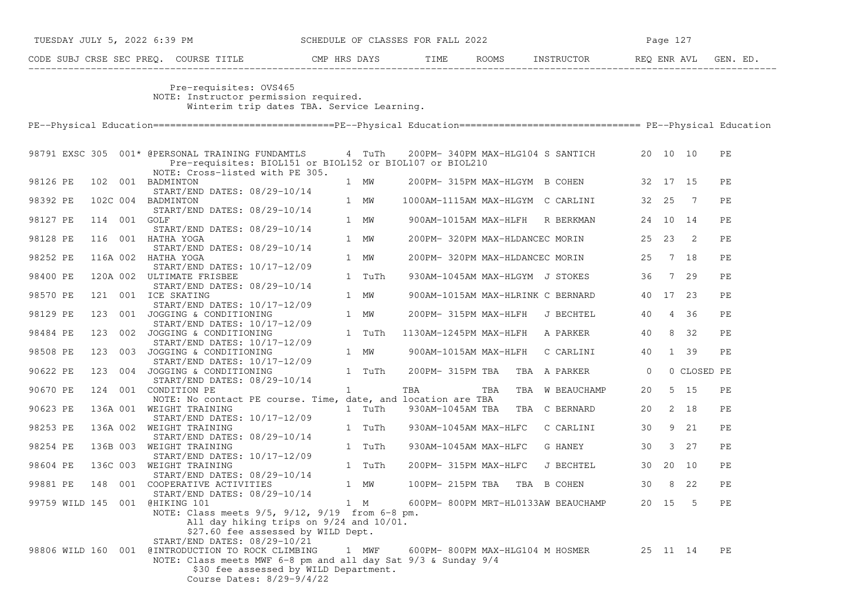|          | TUESDAY JULY 5, 2022 6:39 PM |  |              | SCHEDULE OF CLASSES FOR FALL 2022                                                                                                                                                                                                                              |              |        |                  |  |                       | Page 127                                   |         |          |                |    |
|----------|------------------------------|--|--------------|----------------------------------------------------------------------------------------------------------------------------------------------------------------------------------------------------------------------------------------------------------------|--------------|--------|------------------|--|-----------------------|--------------------------------------------|---------|----------|----------------|----|
|          |                              |  |              |                                                                                                                                                                                                                                                                |              |        |                  |  |                       |                                            |         |          |                |    |
|          |                              |  |              | Pre-requisites: OVS465<br>NOTE: Instructor permission required.<br>Winterim trip dates TBA. Service Learning.                                                                                                                                                  |              |        |                  |  |                       |                                            |         |          |                |    |
|          |                              |  |              |                                                                                                                                                                                                                                                                |              |        |                  |  |                       |                                            |         |          |                |    |
|          |                              |  |              | 98791 EXSC 305 001* @PERSONAL TRAINING FUNDAMTLS 4 TuTh<br>Pre-requisites: BIOL151 or BIOL152 or BIOL107 or BIOL210<br>NOTE: Cross-listed with PE 305.                                                                                                         |              |        |                  |  |                       | 200PM-340PM MAX-HLG104 S SANTICH 20 10 10  |         |          |                | PE |
| 98126 PE |                              |  |              | 102 001 BADMINTON<br>START/END DATES: 08/29-10/14                                                                                                                                                                                                              |              | 1 MW   |                  |  |                       | 200PM-315PM MAX-HLGYM B COHEN 32 17 15     |         |          |                | PЕ |
| 98392 PE |                              |  |              | 102C 004 BADMINTON<br>$START/END$ DATES: $08/29-10/14$                                                                                                                                                                                                         |              | 1 MW   |                  |  |                       | 1000AM-1115AM MAX-HLGYM C CARLINI 32 25    |         |          | $\overline{7}$ | РE |
| 98127 PE |                              |  | 114 001 GOLF | START/END DATES: 08/29-10/14                                                                                                                                                                                                                                   |              | 1 MW   |                  |  | 900AM-1015AM MAX-HLFH | R BERKMAN 24 10 14                         |         |          |                | PE |
| 98128 PE |                              |  |              | 116 001 HATHA YOGA<br>START/END DATES: 08/29-10/14                                                                                                                                                                                                             |              | 1 MW   |                  |  |                       | 200PM-320PM MAX-HLDANCEC MORIN 25 23 2     |         |          |                | PЕ |
| 98252 PE |                              |  |              | 116A 002 HATHA YOGA<br>START/END DATES: 10/17-12/09                                                                                                                                                                                                            |              | 1 MW   |                  |  |                       | 200PM-320PM MAX-HLDANCEC MORIN 25 7 18     |         |          |                | PЕ |
| 98400 PE |                              |  |              | 120A 002 ULTIMATE FRISBEE<br>START/END DATES: 08/29-10/14                                                                                                                                                                                                      |              | 1 TuTh |                  |  |                       | 930AM-1045AM MAX-HLGYM J STOKES 36 7 29    |         |          |                | PE |
| 98570 PE |                              |  |              | 121 001 ICE SKATING<br>$START/END$ DATES: $10/17-12/09$                                                                                                                                                                                                        |              | 1 MW   |                  |  |                       | 900AM-1015AM MAX-HLRINK C BERNARD 40 17 23 |         |          |                | PЕ |
| 98129 PE |                              |  |              | 123 001 JOGGING & CONDITIONING<br>START/END DATES: 10/17-12/09                                                                                                                                                                                                 |              | 1 MW   |                  |  |                       | 200PM- 315PM MAX-HLFH J BECHTEL            | 40 4 36 |          |                | PE |
| 98484 PE |                              |  |              | 123 002 JOGGING & CONDITIONING<br>START/END DATES: 10/17-12/09                                                                                                                                                                                                 |              | 1 TuTh |                  |  |                       | 1130AM-1245PM MAX-HLFH A PARKER 40 8 32    |         |          |                | PE |
| 98508 PE |                              |  |              | 123 003 JOGGING & CONDITIONING<br>START/END DATES: 10/17-12/09                                                                                                                                                                                                 |              | 1 MW   |                  |  |                       | 900AM-1015AM MAX-HLFH C CARLINI 40 1 39    |         |          |                | PЕ |
| 90622 PE |                              |  |              | 123 004 JOGGING & CONDITIONING<br>START/END DATES: 08/29-10/14                                                                                                                                                                                                 |              | 1 TuTh |                  |  |                       | 200PM-315PM TBA TBA A PARKER 0             |         |          | 0 CLOSED PE    |    |
| 90670 PE |                              |  |              | 124 001 CONDITION PE                                                                                                                                                                                                                                           | $\mathbf{1}$ |        | TBA              |  | TBA                   | TBA W BEAUCHAMP                            | 20      |          | $5\quad 15$    | PЕ |
| 90623 PE |                              |  |              | NOTE: No contact PE course. Time, date, and location are TBA<br>136A 001 WEIGHT TRAINING                                                                                                                                                                       |              | 1 TuTh | 930AM-1045AM TBA |  |                       | TBA C BERNARD 20 2 18                      |         |          |                | PE |
| 98253 PE |                              |  |              | START/END DATES: 10/17-12/09<br>136A 002 WEIGHT TRAINING                                                                                                                                                                                                       |              | 1 TuTh |                  |  | 930AM-1045AM MAX-HLFC | C CARLINI 30 9 21                          |         |          |                | PE |
| 98254 PE |                              |  |              | START/END DATES: 08/29-10/14<br>136B 003 WEIGHT TRAINING                                                                                                                                                                                                       |              | 1 TuTh |                  |  |                       | 930AM-1045AM MAX-HLFC G HANEY              | 30      |          | $3 \quad 27$   | PE |
| 98604 PE |                              |  |              | START/END DATES: 10/17-12/09<br>136C 003 WEIGHT TRAINING                                                                                                                                                                                                       |              | 1 TuTh |                  |  | 200PM- 315PM MAX-HLFC | J BECHTEL                                  |         |          | 30 20 10       | PE |
| 99881 PE |                              |  |              | START/END DATES: 08/29-10/14<br>148 001 COOPERATIVE ACTIVITIES                                                                                                                                                                                                 |              | 1 MW   | 100PM- 215PM TBA |  |                       | TBA B COHEN                                | 30      |          | 8 22           | PE |
|          |                              |  |              | START/END DATES: 08/29-10/14<br>99759 WILD 145 001 @HIKING 101<br>NOTE: Class meets 9/5, 9/12, 9/19 from 6-8 pm.<br>All day hiking trips on 9/24 and 10/01.                                                                                                    |              | 1 M    |                  |  |                       | 600PM- 800PM MRT-HL0133AW BEAUCHAMP        |         | 20 15    | 5              | PЕ |
|          |                              |  |              | \$27.60 fee assessed by WILD Dept.<br>START/END DATES: 08/29-10/21<br>98806 WILD 160 001 @INTRODUCTION TO ROCK CLIMBING<br>NOTE: Class meets MWF 6-8 pm and all day Sat 9/3 & Sunday 9/4<br>\$30 fee assessed by WILD Department.<br>Course Dates: 8/29-9/4/22 |              | 1 MWF  |                  |  |                       | 600PM- 800PM MAX-HLG104 M HOSMER           |         | 25 11 14 |                | PE |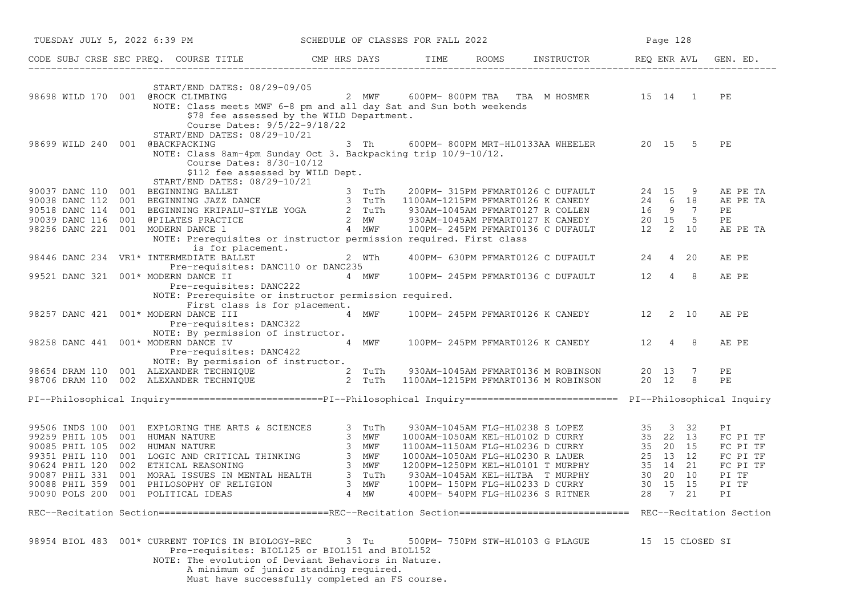| TUESDAY JULY 5, 2022 6:39 PM      |                                                                                                                                                                                                                                          |                                  |       | SCHEDULE OF CLASSES FOR FALL 2022 |  |                                               |       | Page 128 |                 |    |          |
|-----------------------------------|------------------------------------------------------------------------------------------------------------------------------------------------------------------------------------------------------------------------------------------|----------------------------------|-------|-----------------------------------|--|-----------------------------------------------|-------|----------|-----------------|----|----------|
|                                   | CODE SUBJ CRSE SEC PREQ. COURSE TITLE CMP HRS DAYS TIME ROOMS INSTRUCTOR REQ ENR AVL                                                                                                                                                     |                                  |       |                                   |  |                                               |       |          |                 |    | GEN. ED. |
| 98698 WILD 170 001 @ROCK CLIMBING | START/END DATES: 08/29-09/05                                                                                                                                                                                                             | 2 MWF                            |       |                                   |  | 600PM-800PM TBA TBA M HOSMER 15 14 1          |       |          |                 | PE |          |
|                                   | NOTE: Class meets MWF 6-8 pm and all day Sat and Sun both weekends<br>\$78 fee assessed by the WILD Department.<br>Course Dates: 9/5/22-9/18/22<br>START/END DATES: 08/29-10/21                                                          |                                  |       |                                   |  |                                               |       |          |                 |    |          |
| 98699 WILD 240 001 @BACKPACKING   | NOTE: Class 8am-4pm Sunday Oct 3. Backpacking trip 10/9-10/12.<br>Course Dates: 8/30-10/12<br>\$112 fee assessed by WILD Dept.<br>START/END DATES: 08/29-10/21                                                                           |                                  |       |                                   |  | 3 Th 600PM-800PM MRT-HL0133AA WHEELER 20 15 5 |       |          |                 | PE |          |
|                                   | 90037 DANC 110 001 BEGINNING BALLET<br>90038 DANC 112 001 BEGINNING JAZZ DANCE<br>90038 DANC 114 001 BEGINNING JAZZ DANCE<br>90039 DANC 114 001 BEGINNING KRIPALU-STYLE YOGA<br>90039 DANC 116 001 @PILATES PRACTICE<br>98256 DANC 221 0 |                                  |       |                                   |  |                                               |       |          |                 |    | AE PE TA |
|                                   |                                                                                                                                                                                                                                          |                                  |       |                                   |  |                                               |       |          |                 |    | AE PE TA |
|                                   |                                                                                                                                                                                                                                          |                                  |       |                                   |  |                                               |       |          |                 | PЕ |          |
|                                   |                                                                                                                                                                                                                                          |                                  |       |                                   |  |                                               |       |          |                 | PЕ |          |
|                                   |                                                                                                                                                                                                                                          |                                  |       |                                   |  |                                               |       |          |                 |    | AE PE TA |
|                                   | NOTE: Prerequisites or instructor permission required. First class<br>is for placement.                                                                                                                                                  |                                  |       |                                   |  |                                               |       |          |                 |    |          |
|                                   | 98446 DANC 234 VR1* INTERMEDIATE BALLET<br>Pre-requisites: DANC110 or DANC235                                                                                                                                                            |                                  | 2 WTh |                                   |  | 400PM- 630PM PFMART0126 C DUFAULT             | 24    | 4 20     |                 |    | AE PE    |
|                                   | 99521 DANC 321 001* MODERN DANCE II                                                                                                                                                                                                      | $\frac{4}{5}$ MWF<br>as: DANC222 |       |                                   |  | 100PM- 245PM PFMART0136 C DUFAULT             | 12    | 4 8      |                 |    | AE PE    |
|                                   | Pre-requisites: DANC222<br>NOTE: Prerequisite or instructor permission required.<br>First class is for placement.                                                                                                                        |                                  |       |                                   |  |                                               |       |          |                 |    |          |
|                                   | 98257 DANC 421 001* MODERN DANCE III<br>Pre-requisites: DANC322<br>NOTE: By permission of instructor.                                                                                                                                    |                                  | 4 MWF |                                   |  | 100PM- 245PM PFMART0126 K CANEDY 12 2 10      |       |          |                 |    | AE PE    |
|                                   | 98258 DANC 441 001* MODERN DANCE IV<br>Pre-requisites: DANC422<br>NOTE: By permission of instructor.                                                                                                                                     | 4 MWF                            |       |                                   |  | 100PM- 245PM PFMART0126 K CANEDY              |       | 12 4     | -8              |    | AE PE    |
|                                   |                                                                                                                                                                                                                                          |                                  |       |                                   |  | 930AM-1045AM PFMART0136 M ROBINSON            | 20 13 |          | 7               | PЕ |          |
|                                   | 98654 DRAM 110 001 ALEXANDER TECHNIQUE                       2 TuTh<br>98706 DRAM 110 002 ALEXANDER TECHNIQUE                     2 TuTh                                                                                                 |                                  |       |                                   |  | 1100AM-1215PM PFMART0136 M ROBINSON           |       | 20 12    | 8               | PE |          |
|                                   | PI--Philosophical Inquiry=========================PI--Philosophical Inquiry============================ PI--Philosophical Inquiry                                                                                                        |                                  |       |                                   |  |                                               |       |          |                 |    |          |
|                                   |                                                                                                                                                                                                                                          |                                  |       |                                   |  |                                               |       |          |                 |    |          |
|                                   |                                                                                                                                                                                                                                          |                                  |       |                                   |  |                                               |       |          |                 | PI |          |
|                                   |                                                                                                                                                                                                                                          |                                  |       |                                   |  |                                               |       |          |                 |    | FC PI TF |
|                                   |                                                                                                                                                                                                                                          |                                  |       |                                   |  |                                               |       |          |                 |    | FC PI TF |
|                                   |                                                                                                                                                                                                                                          |                                  |       |                                   |  |                                               |       |          |                 |    | FC PI TF |
|                                   |                                                                                                                                                                                                                                          |                                  |       |                                   |  |                                               |       |          |                 |    | FC PI TF |
|                                   |                                                                                                                                                                                                                                          |                                  |       |                                   |  |                                               |       |          |                 |    | PI TF    |
|                                   |                                                                                                                                                                                                                                          |                                  |       |                                   |  |                                               |       |          |                 |    | PI TF    |
|                                   | 90090 POLS 200 001 POLITICAL IDEAS                                                                                                                                                                                                       |                                  | 4 MW  |                                   |  | 400PM- 540PM FLG-HL0236 S RITNER              | 28    | 7 21     |                 | PI |          |
|                                   | REC--Recitation Section===========================REC--Recitation Section============================== REC--Recitation Section                                                                                                          |                                  |       |                                   |  |                                               |       |          |                 |    |          |
|                                   | 98954 BIOL 483 001* CURRENT TOPICS IN BIOLOGY-REC<br>Pre-requisites: BIOL125 or BIOL151 and BIOL152<br>NOTE: The evolution of Deviant Behaviors in Nature.                                                                               |                                  | 3 Tu  |                                   |  | 500PM- 750PM STW-HL0103 G PLAGUE              |       |          | 15 15 CLOSED SI |    |          |
|                                   | A minimum of junior standing required.                                                                                                                                                                                                   |                                  |       |                                   |  |                                               |       |          |                 |    |          |
|                                   | Must have successfully completed an FS course.                                                                                                                                                                                           |                                  |       |                                   |  |                                               |       |          |                 |    |          |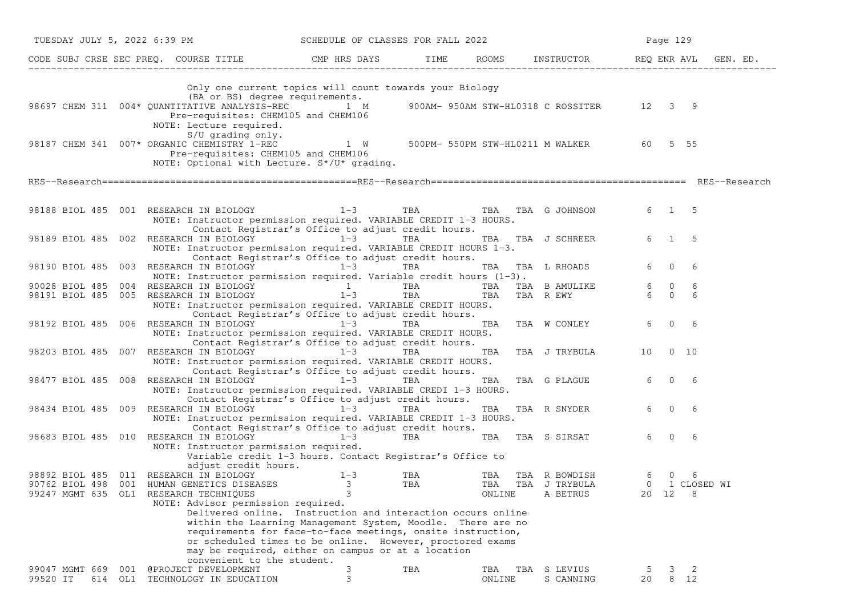|                | TUESDAY JULY 5, 2022 6:39 PM                                                                                                                                 | SCHEDULE OF CLASSES FOR FALL 2022                           |            |        |                                           | Page 129 |                       |  |
|----------------|--------------------------------------------------------------------------------------------------------------------------------------------------------------|-------------------------------------------------------------|------------|--------|-------------------------------------------|----------|-----------------------|--|
|                | CODE SUBJ CRSE SEC PREQ. COURSE TITLE THE ROOMS INSTRUCTOR REQ ENR AVL GEN. ED.                                                                              |                                                             |            |        |                                           |          |                       |  |
|                | (BA or BS) degree requirements.<br>98697 CHEM 311 004* QUANTITATIVE ANALYSIS-REC 1 M<br>Pre-requisites: CHEM105 and CHEM106<br>NOTE: Lecture required.       | Only one current topics will count towards your Biology     |            |        | 900AM- 950AM STW-HL0318 C ROSSITER 12 3 9 |          |                       |  |
|                | $S/U$ qrading only.<br>98187 CHEM 341 007* ORGANIC CHEMISTRY 1-REC 1 W<br>Pre-requisites: CHEM105 and CHEM106<br>NOTE: Optional with Lecture. S*/U* grading. |                                                             |            |        | 500PM- 550PM STW-HL0211 M WALKER          | 60 —     | 5 55                  |  |
|                |                                                                                                                                                              |                                                             |            |        |                                           |          |                       |  |
|                | 98188 BIOL 485 001 RESEARCH IN BIOLOGY 1-3 TBA TBA TBA TBA G JOHNSON<br>NOTE: Instructor permission required. VARIABLE CREDIT 1-3 HOURS.                     | Contact Registrar's Office to adjust credit hours.          |            |        |                                           |          | $6 \qquad 1 \qquad 5$ |  |
|                | 98189 BIOL 485 002 RESEARCH IN BIOLOGY 1-3<br>NOTE: Instructor permission required. VARIABLE CREDIT HOURS 1-3.                                               | Contact Registrar's Office to adjust credit hours.          | TBA        |        | TBA TBA J SCHREER                         |          | 6 1 5                 |  |
|                | 98190 BIOL 485 003 RESEARCH IN BIOLOGY 1-3<br>NOTE: Instructor permission required. Variable credit hours (1-3).                                             |                                                             | <b>TBA</b> |        | TBA TBA L RHOADS                          | 6        | $\overline{0}$<br>6   |  |
|                |                                                                                                                                                              |                                                             | <b>TBA</b> |        | TBA TBA B AMULIKE                         | 6 0      | 6                     |  |
|                | 90028 BIOL 485 004 RESEARCH IN BIOLOGY $1-3$<br>98191 BIOL 485 005 RESEARCH IN BIOLOGY $1-3$                                                                 |                                                             | TBA        |        | TBA TBA R EWY                             | 6 0      | 6                     |  |
|                | NOTE: Instructor permission required. VARIABLE CREDIT HOURS.                                                                                                 | Contact Registrar's Office to adjust credit hours.          |            |        |                                           |          |                       |  |
|                |                                                                                                                                                              |                                                             |            |        | TBA TBA W CONLEY                          | 6        | $\overline{0}$        |  |
|                | 98192 BIOL 485 006 RESEARCH IN BIOLOGY 1-3<br>NOTE: Instructor permission required. VARIABLE CREDIT HOURS.                                                   |                                                             | TBA        |        |                                           |          | 6                     |  |
|                |                                                                                                                                                              | Contact Registrar's Office to adjust credit hours.          |            |        |                                           |          |                       |  |
|                | 98203 BIOL 485 007 RESEARCH IN BIOLOGY 1-3                                                                                                                   |                                                             | TBA        |        | TBA TBA J TRYBULA                         | 10       | $0\quad 10$           |  |
|                | NOTE: Instructor permission required. VARIABLE CREDIT HOURS.                                                                                                 |                                                             |            |        |                                           |          |                       |  |
|                |                                                                                                                                                              | Contact Registrar's Office to adjust credit hours.          |            |        |                                           |          |                       |  |
|                | 98477 BIOL 485 008 RESEARCH IN BIOLOGY                                                                                                                       | $1-3$                                                       | TBA        | TBA    | TBA G PLAGUE                              | 6        | $0\qquad 6$           |  |
|                | NOTE: Instructor permission required. VARIABLE CREDI 1-3 HOURS.                                                                                              |                                                             |            |        |                                           |          |                       |  |
|                |                                                                                                                                                              | Contact Registrar's Office to adjust credit hours.          |            |        |                                           | 6        |                       |  |
|                | 98434 BIOL 485 009 RESEARCH IN BIOLOGY 1-3                                                                                                                   |                                                             | TBA        |        | TBA TBA R SNYDER                          |          | $\overline{0}$<br>- 6 |  |
|                | NOTE: Instructor permission required. VARIABLE CREDIT 1-3 HOURS.                                                                                             |                                                             |            |        |                                           |          |                       |  |
|                | 98683 BIOL 485 010 RESEARCH IN BIOLOGY 1-3                                                                                                                   | Contact Registrar's Office to adjust credit hours.          | TBA        |        | TBA TBA S SIRSAT                          | 6        | $\mathbf{0}$<br>6     |  |
|                | NOTE: Instructor permission required.                                                                                                                        |                                                             |            |        |                                           |          |                       |  |
|                |                                                                                                                                                              | Variable credit 1-3 hours. Contact Registrar's Office to    |            |        |                                           |          |                       |  |
|                | adjust credit hours.                                                                                                                                         |                                                             |            |        |                                           |          |                       |  |
|                | 98892 BIOL 485 011 RESEARCH IN BIOLOGY                                                                                                                       | $1 - 3$                                                     | TBA        |        | TBA TBA R BOWDISH                         | 6        | $\overline{0}$<br>-6  |  |
|                | 90762 BIOL 498 001 HUMAN GENETICS DISEASES                                                                                                                   | 3                                                           | TBA        | TBA    | TBA J TRYBULA                             |          | 0 1 CLOSED WI         |  |
|                | 99247 MGMT 635 OL1 RESEARCH TECHNIQUES                                                                                                                       | 3                                                           |            | ONLINE | A BETRUS                                  | 20 12    | 8                     |  |
|                | NOTE: Advisor permission required.                                                                                                                           |                                                             |            |        |                                           |          |                       |  |
|                |                                                                                                                                                              | Delivered online. Instruction and interaction occurs online |            |        |                                           |          |                       |  |
|                |                                                                                                                                                              | within the Learning Management System, Moodle. There are no |            |        |                                           |          |                       |  |
|                |                                                                                                                                                              | requirements for face-to-face meetings, onsite instruction, |            |        |                                           |          |                       |  |
|                |                                                                                                                                                              | or scheduled times to be online. However, proctored exams   |            |        |                                           |          |                       |  |
|                |                                                                                                                                                              | may be required, either on campus or at a location          |            |        |                                           |          |                       |  |
|                | convenient to the student.                                                                                                                                   |                                                             |            |        |                                           |          |                       |  |
| 99047 MGMT 669 | @PROJECT DEVELOPMENT<br>001                                                                                                                                  | 3                                                           | TBA        | TBA    | TBA S LEVIUS                              |          | 2<br>3.               |  |
| 99520 IT       | 614 OL1 TECHNOLOGY IN EDUCATION                                                                                                                              | 3                                                           |            | ONLINE | S CANNING                                 | 20       | 8 12                  |  |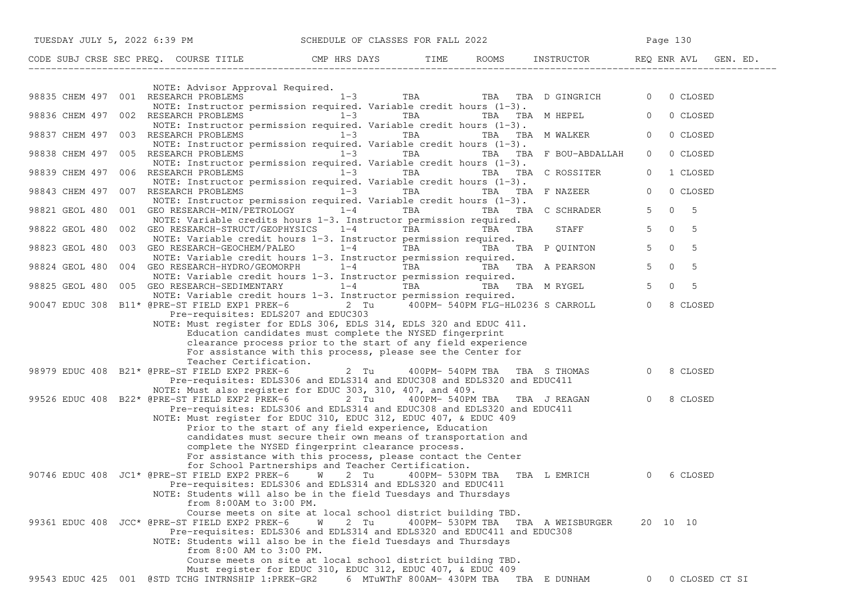|                | TUESDAY JULY 5, 2022 6:39 PM SCHEDULE OF CLASSES FOR FALL 2022                                                                                                                                                                                                                                                                                                                                                |           |                                         |         |                                   | Page 130                           |
|----------------|---------------------------------------------------------------------------------------------------------------------------------------------------------------------------------------------------------------------------------------------------------------------------------------------------------------------------------------------------------------------------------------------------------------|-----------|-----------------------------------------|---------|-----------------------------------|------------------------------------|
|                | CODE SUBJ CRSE SEC PREQ. COURSE TITLE THE ROOMS INSTRUCTOR REQ ENR AVL GEN. ED.                                                                                                                                                                                                                                                                                                                               |           |                                         |         |                                   |                                    |
|                |                                                                                                                                                                                                                                                                                                                                                                                                               |           |                                         |         |                                   |                                    |
|                | NOTE: Advisor Approval Required.<br>98835 CHEM 497 001 RESEARCH PROBLEMS $1-3$ TBA TBA TBA TBA D GINGRICH 0<br>NOTE: Instructor permission required. Variable credit hours (1-3).                                                                                                                                                                                                                             |           |                                         |         |                                   | 0 CLOSED                           |
|                | 98836 CHEM 497 002 RESEARCH PROBLEMS $1-3$ TBA TBA TBA TBA M HEPEL<br>NOTE: Instructor permission required. Variable credit hours $(1-3)$ .                                                                                                                                                                                                                                                                   |           |                                         |         |                                   | $\overline{0}$<br>0 CLOSED         |
|                | 98837 CHEM 497 003 RESEARCH PROBLEMS 1-3<br>NOTE: Instructor permission required. Variable credit hours $(1-3)$ .                                                                                                                                                                                                                                                                                             |           | TBA                                     |         | TBA TBA MWALKER                   | $\overline{0}$<br>0 CLOSED         |
|                | 98838 CHEM 497 005 RESEARCH PROBLEMS 1-3<br>NOTE: Instructor permission required. Variable credit hours $(1-3)$ .                                                                                                                                                                                                                                                                                             |           |                                         |         | TBA TBA TBA F BOU-ABDALLAH        | $\overline{0}$<br>0 CLOSED         |
|                | 98839 CHEM 497 006 RESEARCH PROBLEMS<br>NOTE: Instructor permission required. Variable credit hours $(1-3)$ .                                                                                                                                                                                                                                                                                                 | $1-3$     | TBA                                     |         | TBA TBA C ROSSITER                | 1 CLOSED<br>$\circ$                |
|                | 98843 CHEM 497 007 RESEARCH PROBLEMS 1-3<br>NOTE: Instructor permission required. Variable credit hours (1-3).                                                                                                                                                                                                                                                                                                |           | TBA <b>TRANGER</b>                      |         | TBA TBA F NAZEER                  | $\overline{0}$<br>0 CLOSED         |
|                | 98821 GEOL 480 001 GEO RESEARCH-MIN/PETROLOGY 1-4<br>NOTE: Variable credits hours 1-3. Instructor permission required.                                                                                                                                                                                                                                                                                        |           | TBA                                     |         | TBA TBA C SCHRADER                | $\Omega$<br>5 <sup>5</sup><br>$-5$ |
|                | 98822 GEOL 480 002 GEO RESEARCH-STRUCT/GEOPHYSICS<br>NOTE: Variable credit hours 1-3. Instructor permission required.                                                                                                                                                                                                                                                                                         | $1 - 4$   | TBA <b>TRANGER</b>                      | TBA TBA | <b>STAFF</b>                      | $\Omega$<br>5 <sup>5</sup><br>- 5  |
| 98823 GEOL 480 | 003 GEO RESEARCH-GEOCHEM/PALEO $1-4$ TBA TBA TBA P QUINTON<br>NOTE: Variable credit hours 1-3. Instructor permission required.                                                                                                                                                                                                                                                                                |           |                                         |         |                                   | $\overline{0}$<br>$5 -$<br>- 5     |
| 98824 GEOL 480 | 004 GEO RESEARCH-HYDRO/GEOMORPH 1-4<br>NOTE: Variable credit hours 1-3. Instructor permission required.                                                                                                                                                                                                                                                                                                       |           |                                         |         | TBA TBA TBA A PEARSON             | $\overline{0}$<br>- 5<br>5         |
|                | 98825 GEOL 480 005 GEO RESEARCH-SEDIMENTARY 1-4 TBA<br>NOTE: Variable credit hours 1-3. Instructor permission required.                                                                                                                                                                                                                                                                                       |           |                                         |         | TBA TBA M RYGEL                   | 5 <sup>5</sup><br>$\Omega$<br>5    |
|                | 90047 EDUC 308 B11* @PRE-ST FIELD EXP1 PREK-6 2 Tu 400PM- 540PM FLG-HL0236 S CARROLL<br>Pre-requisites: EDLS207 and EDUC303<br>NOTE: Must register for EDLS 306, EDLS 314, EDLS 320 and EDUC 411.                                                                                                                                                                                                             |           |                                         |         |                                   | $\Omega$<br>8 CLOSED               |
|                | Education candidates must complete the NYSED fingerprint<br>clearance process prior to the start of any field experience<br>For assistance with this process, please see the Center for                                                                                                                                                                                                                       |           |                                         |         |                                   |                                    |
|                | Teacher Certification.<br>98979 EDUC 408 B21* @PRE-ST FIELD EXP2 PREK-6<br>Pre-requisites: EDLS306 and EDLS314 and EDUC308 and EDLS320 and EDUC411<br>NOTE: Must also register for EDUC 303, 310, 407, and 409.                                                                                                                                                                                               | 2 Tu      | 400PM- 540PM TBA TBA S THOMAS           |         |                                   | $\circ$<br>8 CLOSED                |
|                | 99526 EDUC 408 B22* @PRE-ST FIELD EXP2 PREK-6 2 Tu 400PM- 540PM TBA TBA J REAGAN<br>Pre-requisites: EDLS306 and EDLS314 and EDUC308 and EDLS320 and EDUC411<br>NOTE: Must register for EDUC 310, EDUC 312, EDUC 407, & EDUC 409<br>Prior to the start of any field experience, Education<br>candidates must secure their own means of transportation and<br>complete the NYSED fingerprint clearance process. |           |                                         |         |                                   | $\Omega$<br>8 CLOSED               |
|                | For assistance with this process, please contact the Center<br>for School Partnerships and Teacher Certification.<br>90746 EDUC 408 JC1* @PRE-ST FIELD EXP2 PREK-6 W 2 Tu<br>Pre-requisites: EDLS306 and EDLS314 and EDLS320 and EDUC411<br>NOTE: Students will also be in the field Tuesdays and Thursdays<br>from 8:00AM to 3:00 PM.                                                                        |           |                                         |         | 400PM- 530PM TBA TBA L EMRICH     | $\Omega$<br>6 CLOSED               |
|                | Course meets on site at local school district building TBD.<br>99361 EDUC 408 JCC* @PRE-ST FIELD EXP2 PREK-6<br>Pre-requisites: EDLS306 and EDLS314 and EDLS320 and EDUC411 and EDUC308<br>NOTE: Students will also be in the field Tuesdays and Thursdays<br>from 8:00 AM to 3:00 PM.                                                                                                                        | 2 Tu<br>W |                                         |         | 400PM- 530PM TBA TBA A WEISBURGER | 20 10 10                           |
|                | Course meets on site at local school district building TBD.<br>Must register for EDUC 310, EDUC 312, EDUC 407, & EDUC 409<br>99543 EDUC 425 001 @STD TCHG INTRNSHIP 1:PREK-GR2                                                                                                                                                                                                                                |           | 6 MTuWThF 800AM- 430PM TBA TBA E DUNHAM |         |                                   | 0 CLOSED CT SI<br>$\overline{0}$   |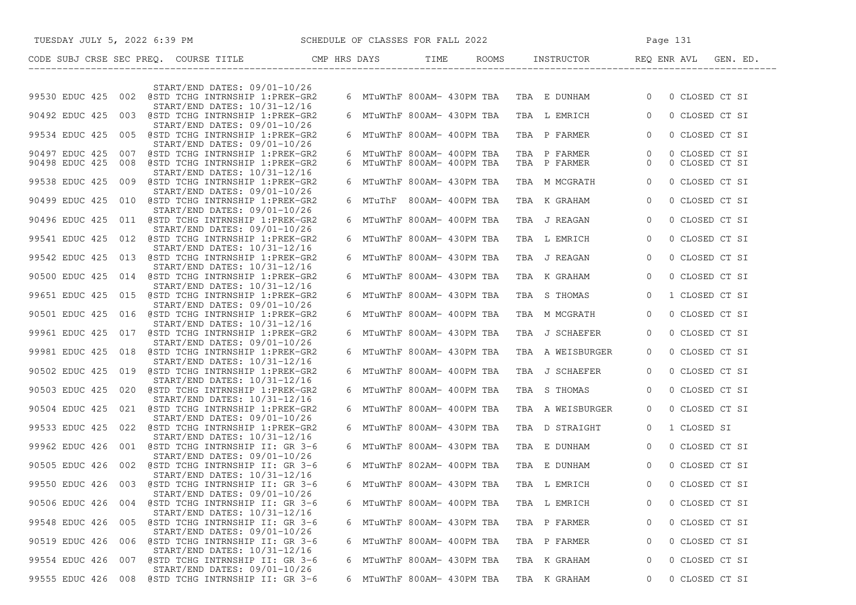| SCHEDULE OF CLASSES FOR FALL 2022<br>TUESDAY JULY 5, 2022 6:39 PM                        |  |                            |                                            | Page 131                                  |
|------------------------------------------------------------------------------------------|--|----------------------------|--------------------------------------------|-------------------------------------------|
|                                                                                          |  |                            |                                            | TIME ROOMS INSTRUCTOR REQ ENRAVL GEN. ED. |
| START/END DATES: 09/01-10/26                                                             |  |                            |                                            |                                           |
| 99530 EDUC 425 002 @STD TCHG INTRNSHIP 1:PREK-GR2<br>START/END DATES: 10/31-12/16        |  |                            | 6 MTuWThF 800AM- 430PM TBA  TBA  E  DUNHAM | $\overline{0}$<br>0 CLOSED CT SI          |
| 90492 EDUC 425 003 @STD TCHG INTRNSHIP 1:PREK-GR2<br>START/END DATES: 09/01-10/26        |  | 6 MTuWThF 800AM- 430PM TBA | TBA L EMRICH                               | $\Omega$<br>0 CLOSED CT SI                |
| 99534 EDUC 425 005 @STD TCHG INTRNSHIP 1:PREK-GR2<br>START/END DATES: 09/01-10/26        |  | 6 MTuWThF 800AM- 400PM TBA | TBA P FARMER                               | 0 CLOSED CT SI<br>$\overline{0}$          |
| 90497 EDUC 425 007 @STD TCHG INTRNSHIP 1:PREK-GR2                                        |  | 6 MTuWThF 800AM- 400PM TBA | TBA P FARMER                               | $\overline{0}$<br>0 CLOSED CT SI          |
| 90498 EDUC 425<br>008 @STD TCHG INTRNSHIP 1:PREK-GR2<br>$START/END$ DATES: $10/31-12/16$ |  | 6 MTuWThF 800AM- 400PM TBA | TBA P FARMER                               | 0 CLOSED CT SI<br>$\overline{0}$          |
| 99538 EDUC 425 009 @STD TCHG INTRNSHIP 1:PREK-GR2<br>START/END DATES: 09/01-10/26        |  | 6 MTuWThF 800AM- 430PM TBA | TBA M MCGRATH                              | 0 CLOSED CT SI<br>$\overline{0}$          |
| 90499 EDUC 425 010 @STD TCHG INTRNSHIP 1:PREK-GR2<br>START/END DATES: 09/01-10/26        |  | 6 MTuThF 800AM- 400PM TBA  | TBA K GRAHAM                               | $\Omega$<br>0 CLOSED CT SI                |
| 90496 EDUC 425 011 @STD TCHG INTRNSHIP 1:PREK-GR2<br>START/END DATES: 09/01-10/26        |  | 6 MTuWThF 800AM- 400PM TBA | TBA J REAGAN                               | 0 CLOSED CT SI<br>$\overline{0}$          |
| 99541 EDUC 425 012 @STD TCHG INTRNSHIP 1:PREK-GR2<br>START/END DATES: 10/31-12/16        |  | 6 MTuWThF 800AM- 430PM TBA | TBA L EMRICH                               | 0 CLOSED CT SI<br>$\overline{0}$          |
| 99542 EDUC 425 013 @STD TCHG INTRNSHIP 1:PREK-GR2                                        |  | 6 MTuWThF 800AM- 430PM TBA | TBA J REAGAN                               | $\overline{0}$<br>0 CLOSED CT SI          |
| START/END DATES: 10/31-12/16<br>90500 EDUC 425 014 @STD TCHG INTRNSHIP 1:PREK-GR2        |  | 6 MTuWThF 800AM- 430PM TBA | TBA K GRAHAM                               | $\overline{0}$<br>0 CLOSED CT SI          |
| START/END DATES: 10/31-12/16<br>99651 EDUC 425 015 @STD TCHG INTRNSHIP 1:PREK-GR2        |  | 6 MTuWThF 800AM- 430PM TBA | TBA S THOMAS                               | $\Omega$<br>1 CLOSED CT SI                |
| START/END DATES: 09/01-10/26<br>90501 EDUC 425 016 @STD TCHG INTRNSHIP 1:PREK-GR2        |  | 6 MTuWThF 800AM- 400PM TBA | TBA M MCGRATH                              | 0 CLOSED CT SI<br>$\overline{0}$          |
| START/END DATES: 10/31-12/16<br>99961 EDUC 425 017 @STD TCHG INTRNSHIP 1:PREK-GR2        |  | 6 MTuWThF 800AM- 430PM TBA | TBA J SCHAEFER                             | 0 CLOSED CT SI<br>$\overline{0}$          |
| START/END DATES: 09/01-10/26<br>99981 EDUC 425 018 @STD TCHG INTRNSHIP 1:PREK-GR2        |  | 6 MTuWThF 800AM- 430PM TBA | TBA A WEISBURGER                           | 0 CLOSED CT SI<br>$\overline{0}$          |
| START/END DATES: 10/31-12/16<br>90502 EDUC 425 019 @STD TCHG INTRNSHIP 1:PREK-GR2        |  | 6 MTuWThF 800AM- 400PM TBA | TBA J SCHAEFER                             | 0 CLOSED CT SI<br>$\Omega$                |
| START/END DATES: 10/31-12/16<br>90503 EDUC 425 020 @STD TCHG INTRNSHIP 1:PREK-GR2        |  | 6 MTuWThF 800AM- 400PM TBA | TBA S THOMAS                               | 0 CLOSED CT SI<br>$\Omega$                |
| START/END DATES: 10/31-12/16                                                             |  |                            |                                            |                                           |
| 90504 EDUC 425 021 @STD TCHG INTRNSHIP 1:PREK-GR2<br>START/END DATES: 09/01-10/26        |  | 6 MTuWThF 800AM- 400PM TBA | TBA A WEISBURGER                           | 0 CLOSED CT SI<br>$\Omega$                |
| 99533 EDUC 425 022 @STD TCHG INTRNSHIP 1:PREK-GR2<br>START/END DATES: 10/31-12/16        |  | 6 MTuWThF 800AM- 430PM TBA | TBA D STRAIGHT                             | 1 CLOSED SI<br>$\overline{0}$             |
| 99962 EDUC 426 001 @STD TCHG INTRNSHIP II: GR 3-6<br>START/END DATES: 09/01-10/26        |  | 6 MTuWThF 800AM- 430PM TBA | TBA E DUNHAM                               | $\overline{0}$<br>0 CLOSED CT SI          |
| 90505 EDUC 426 002 @STD TCHG INTRNSHIP II: GR 3-6<br>START/END DATES: 10/31-12/16        |  | 6 MTuWThF 802AM- 400PM TBA | TBA E DUNHAM                               | $\overline{0}$<br>0 CLOSED CT SI          |
| 99550 EDUC 426 003 @STD TCHG INTRNSHIP II: GR 3-6                                        |  | 6 MTuWThF 800AM- 430PM TBA | TBA L EMRICH                               | $\Omega$<br>0 CLOSED CT SI                |
| START/END DATES: 09/01-10/26<br>90506 EDUC 426 004<br>@STD TCHG INTRNSHIP II: GR 3-6     |  | 6 MTuWThF 800AM- 400PM TBA | TBA L EMRICH                               | 0 CLOSED CT SI<br>0                       |
| START/END DATES: 10/31-12/16<br>99548 EDUC 426 005 @STD TCHG INTRNSHIP II: GR 3-6        |  | 6 MTuWThF 800AM- 430PM TBA | TBA P FARMER                               | 0 CLOSED CT SI<br>0                       |
| START/END DATES: 09/01-10/26<br>90519 EDUC 426<br>006 @STD TCHG INTRNSHIP II: GR 3-6     |  | 6 MTuWThF 800AM- 400PM TBA | TBA P FARMER                               | 0 CLOSED CT SI<br>0                       |
| START/END DATES: 10/31-12/16<br>99554 EDUC 426 007 @STD TCHG INTRNSHIP II: GR 3-6        |  | 6 MTuWThF 800AM- 430PM TBA | TBA K GRAHAM                               | 0 CLOSED CT SI<br>0                       |
| START/END DATES: 09/01-10/26<br>99555 EDUC 426<br>@STD TCHG INTRNSHIP II: GR 3-6<br>008  |  | 6 MTuWThF 800AM- 430PM TBA | TBA K GRAHAM                               | 0 CLOSED CT SI<br>0                       |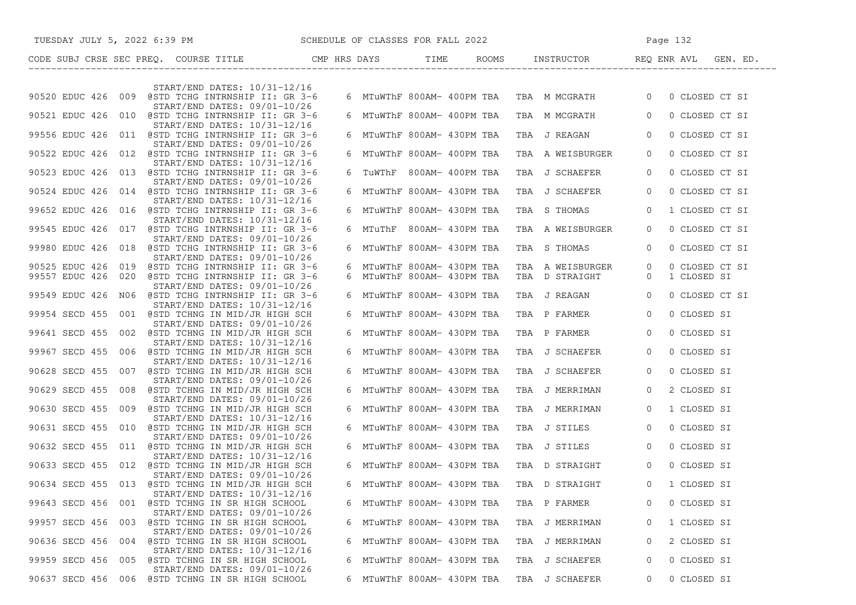| TUESDAY JULY 5, 2022 6:39 PM SCHEDULE OF CLASSES FOR FALL 2022                                                              |                                                          | Page 132                                                  |                                  |                               |  |
|-----------------------------------------------------------------------------------------------------------------------------|----------------------------------------------------------|-----------------------------------------------------------|----------------------------------|-------------------------------|--|
| CODE SUBJ CRSE SEC PREQ. COURSE TITLE CMP HRS DAYS TIME ROOMS INSTRUCTOR REQ ENR AVL GEN. ED.<br>-------------------------- |                                                          |                                                           |                                  |                               |  |
|                                                                                                                             |                                                          |                                                           |                                  |                               |  |
| START/END DATES: 10/31-12/16<br>90520 EDUC 426 009 @STD TCHG INTRNSHIP II: GR 3-6<br>START/END DATES: 09/01-10/26           |                                                          | 6 MTuWThF 800AM- 400PM TBA TBA M MCGRATH 0 0 CLOSED CT SI |                                  |                               |  |
| 90521 EDUC 426 010 @STD TCHG INTRNSHIP II: GR 3-6<br>START/END DATES: 10/31-12/16                                           |                                                          | 6 MTuWThF 800AM- 400PM TBA TBA M MCGRATH 0                |                                  | 0 CLOSED CT SI                |  |
| 99556 EDUC 426 011 @STD TCHG INTRNSHIP II: GR 3-6<br>START/END DATES: 09/01-10/26                                           | 6 MTuWThF 800AM- 430PM TBA                               | TBA J REAGAN                                              | $\overline{0}$                   | 0 CLOSED CT SI                |  |
| 90522 EDUC 426 012 @STD TCHG INTRNSHIP II: GR 3-6<br>START/END DATES: 10/31-12/16                                           | 6 MTuWThF 800AM- 400PM TBA                               | TBA A WEISBURGER                                          | $\overline{0}$                   | 0 CLOSED CT SI                |  |
| 90523 EDUC 426 013 @STD TCHG INTRNSHIP II: GR 3-6<br>START/END DATES: 09/01-10/26                                           | 6 TuWThF 800AM- 400PM TBA                                | TBA J SCHAEFER                                            | $\overline{0}$                   | 0 CLOSED CT SI                |  |
| 90524 EDUC 426 014 @STD TCHG INTRNSHIP II: GR 3-6<br>START/END DATES: 10/31-12/16                                           | 6 MTuWThF 800AM- 430PM TBA                               | TBA J SCHAEFER                                            | $\overline{0}$                   | 0 CLOSED CT SI                |  |
| 99652 EDUC 426 016 @STD TCHG INTRNSHIP II: GR 3-6<br>START/END DATES: 10/31-12/16                                           | 6 MTuWThF 800AM- 430PM TBA                               | TBA S THOMAS                                              | $\overline{0}$                   | 1 CLOSED CT SI                |  |
| 99545 EDUC 426 017 @STD TCHG INTRNSHIP II: GR 3-6<br>START/END DATES: 09/01-10/26                                           | 6 MTuThF 800AM-430PM TBA                                 | TBA A WEISBURGER                                          | $\overline{0}$                   | 0 CLOSED CT SI                |  |
| 99980 EDUC 426 018 @STD TCHG INTRNSHIP II: GR 3-6<br>START/END DATES: 09/01-10/26                                           | 6 MTuWThF 800AM- 430PM TBA                               | TBA S THOMAS                                              | $\overline{0}$                   | 0 CLOSED CT SI                |  |
| 90525 EDUC 426 019 @STD TCHG INTRNSHIP II: GR 3-6<br>99557 EDUC 426 020 @STD TCHG INTRNSHIP II: GR 3-6                      | 6 MTuWThF 800AM- 430PM TBA<br>6 MTuWThF 800AM- 430PM TBA | TBA A WEISBURGER<br>TBA D STRAIGHT                        | $\overline{0}$<br>$\overline{0}$ | 0 CLOSED CT SI<br>1 CLOSED SI |  |
| START/END DATES: 09/01-10/26<br>99549 EDUC 426 N06 @STD TCHG INTRNSHIP II: GR 3-6<br>START/END DATES: 10/31-12/16           | 6 MTuWThF 800AM- 430PM TBA                               | TBA J REAGAN 0                                            |                                  | 0 CLOSED CT SI                |  |
| 99954 SECD 455 001 @STD TCHNG IN MID/JR HIGH SCH<br>START/END DATES: 09/01-10/26                                            | 6 MTuWThF 800AM- 430PM TBA                               | TBA P FARMER                                              | $\overline{0}$                   | 0 CLOSED SI                   |  |
| 99641 SECD 455 002 @STD TCHNG IN MID/JR HIGH SCH<br>START/END DATES: 10/31-12/16                                            | 6 MTuWThF 800AM- 430PM TBA                               | TBA P FARMER                                              | $\overline{0}$                   | 0 CLOSED SI                   |  |
| 99967 SECD 455 006 @STD TCHNG IN MID/JR HIGH SCH<br>START/END DATES: 10/31-12/16                                            | 6 MTuWThF 800AM- 430PM TBA                               | TBA J SCHAEFER                                            | $\overline{0}$                   | 0 CLOSED SI                   |  |
| 90628 SECD 455 007 @STD TCHNG IN MID/JR HIGH SCH<br>START/END DATES: 09/01-10/26                                            | 6 MTuWThF 800AM- 430PM TBA                               | TBA J SCHAEFER                                            | $\circ$                          | 0 CLOSED SI                   |  |
| 90629 SECD 455 008 @STD TCHNG IN MID/JR HIGH SCH<br>START/END DATES: 09/01-10/26                                            | 6 MTuWThF 800AM- 430PM TBA                               | TBA J MERRIMAN                                            | $\overline{0}$                   | 2 CLOSED SI                   |  |
| 90630 SECD 455 009 @STD TCHNG IN MID/JR HIGH SCH<br>$START/END$ DATES: $10/31-12/16$                                        | 6 MTuWThF 800AM- 430PM TBA                               | TBA J MERRIMAN                                            | $\overline{0}$                   | 1 CLOSED SI                   |  |
| 90631 SECD 455 010 @STD TCHNG IN MID/JR HIGH SCH<br>START/END DATES: 09/01-10/26                                            | 6 MTuWThF 800AM- 430PM TBA                               | TBA J STILES                                              | $\overline{0}$                   | 0 CLOSED SI                   |  |
| 90632 SECD 455 011 @STD TCHNG IN MID/JR HIGH SCH<br>START/END DATES: 10/31-12/16                                            | 6 MTuWThF 800AM- 430PM TBA                               | TBA J STILES 0                                            |                                  | 0 CLOSED SI                   |  |
| 90633 SECD 455 012 @STD TCHNG IN MID/JR HIGH SCH<br>START/END DATES: 09/01-10/26                                            | 6 MTuWThF 800AM- 430PM TBA                               | TBA D STRAIGHT 0                                          |                                  | 0 CLOSED SI                   |  |
| 90634 SECD 455 013 @STD TCHNG IN MID/JR HIGH SCH<br>START/END DATES: 10/31-12/16                                            |                                                          | 6 MTuWThF 800AM- 430PM TBA TBA D STRAIGHT 0 1 CLOSED SI   |                                  |                               |  |
| 99643 SECD 456 001 @STD TCHNG IN SR HIGH SCHOOL<br>START/END DATES: 09/01-10/26                                             | 6 MTuWThF 800AM- 430PM TBA                               | TBA P FARMER                                              |                                  | 0 CLOSED SI                   |  |
| 99957 SECD 456<br>@STD TCHNG IN SR HIGH SCHOOL<br>003<br>START/END DATES: 09/01-10/26                                       | 6 MTuWThF 800AM- 430PM TBA                               | TBA J MERRIMAN                                            | 0                                | 1 CLOSED SI                   |  |
| @STD TCHNG IN SR HIGH SCHOOL<br>90636 SECD 456<br>004<br>START/END DATES: 10/31-12/16                                       | 6 MTuWThF 800AM- 430PM TBA                               | TBA J MERRIMAN                                            | $\cup$                           | 2 CLOSED SI                   |  |
| 99959 SECD 456 005<br>@STD TCHNG IN SR HIGH SCHOOL<br>START/END DATES: 09/01-10/26                                          | 6 MTuWThF 800AM- 430PM TBA                               | TBA J SCHAEFER                                            | 0                                | 0 CLOSED SI                   |  |
| 90637 SECD 456<br>@STD TCHNG IN SR HIGH SCHOOL<br>006                                                                       | 6 MTuWThF 800AM- 430PM TBA                               | TBA J SCHAEFER                                            | 0                                | 0 CLOSED SI                   |  |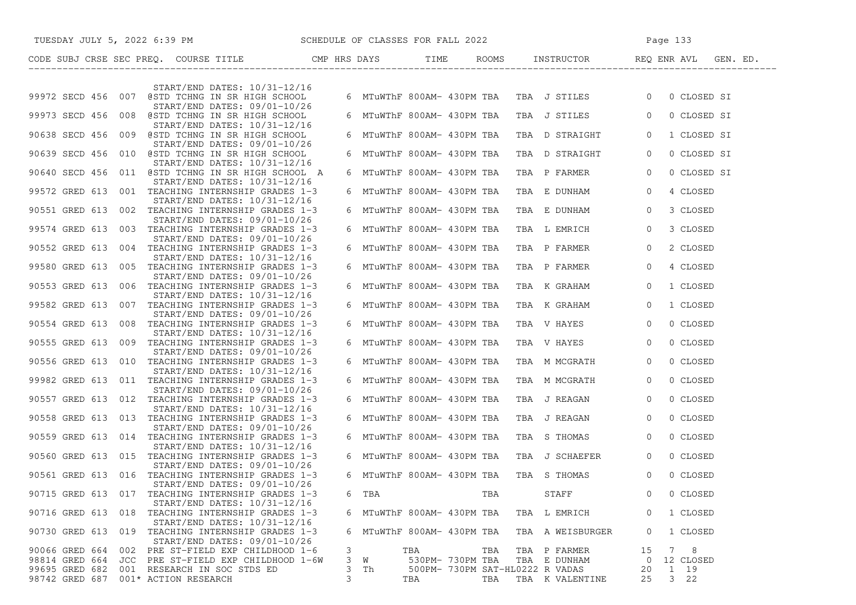|                    | TUESDAY JULY 5, 2022 6:39 PM SCHEDULE OF CLASSES FOR FALL 2022                                                  |          |                            |                                 |                                                       | Page 133       |                 |  |
|--------------------|-----------------------------------------------------------------------------------------------------------------|----------|----------------------------|---------------------------------|-------------------------------------------------------|----------------|-----------------|--|
|                    |                                                                                                                 |          |                            |                                 |                                                       |                |                 |  |
|                    |                                                                                                                 |          |                            |                                 |                                                       |                |                 |  |
|                    | START/END DATES: 10/31-12/16<br>99972 SECD 456 007 @STD TCHNG IN SR HIGH SCHOOL<br>START/END DATES: 09/01-10/26 |          |                            |                                 | 6 MTuWThF 800AM- 430PM TBA TBA J STILES 0 0 CLOSED SI |                |                 |  |
|                    | 99973 SECD 456 008 @STD TCHNG IN SR HIGH SCHOOL<br>START/END DATES: 10/31-12/16                                 |          | 6 MTuWThF 800AM- 430PM TBA |                                 | TBA J STILES 0                                        |                | 0 CLOSED SI     |  |
|                    | 90638 SECD 456 009 @STD TCHNG IN SR HIGH SCHOOL<br>START/END DATES: 09/01-10/26                                 |          | 6 MTuWThF 800AM- 430PM TBA |                                 | TBA D STRAIGHT                                        | $\overline{0}$ | 1 CLOSED SI     |  |
|                    | 90639 SECD 456 010 @STD TCHNG IN SR HIGH SCHOOL<br>START/END DATES: 10/31-12/16                                 |          | 6 MTuWThF 800AM- 430PM TBA |                                 | TBA D STRAIGHT                                        | $\overline{0}$ | 0 CLOSED SI     |  |
|                    | 90640 SECD 456 011 @STD TCHNG IN SR HIGH SCHOOL A<br>START/END DATES: 10/31-12/16                               |          | 6 MTuWThF 800AM- 430PM TBA |                                 | TBA P FARMER 0                                        |                | 0 CLOSED SI     |  |
|                    | 99572 GRED 613 001 TEACHING INTERNSHIP GRADES 1-3<br>START/END DATES: 10/31-12/16                               |          | 6 MTuWThF 800AM- 430PM TBA |                                 | TBA E DUNHAM 0                                        |                | 4 CLOSED        |  |
|                    | 90551 GRED 613 002 TEACHING INTERNSHIP GRADES 1-3<br>START/END DATES: 09/01-10/26                               |          | 6 MTuWThF 800AM- 430PM TBA |                                 | TBA E DUNHAM                                          | $\overline{0}$ | 3 CLOSED        |  |
|                    | 99574 GRED 613 003 TEACHING INTERNSHIP GRADES 1-3<br>START/END DATES: 09/01-10/26                               |          | 6 MTuWThF 800AM- 430PM TBA |                                 | TBA L EMRICH                                          | $\overline{0}$ | 3 CLOSED        |  |
|                    | 90552 GRED 613 004 TEACHING INTERNSHIP GRADES 1-3<br>START/END DATES: 10/31-12/16                               |          | 6 MTuWThF 800AM- 430PM TBA |                                 | TBA P FARMER                                          | $\overline{0}$ | 2 CLOSED        |  |
|                    | 99580 GRED 613 005 TEACHING INTERNSHIP GRADES 1-3<br>START/END DATES: 09/01-10/26                               |          | 6 MTuWThF 800AM- 430PM TBA |                                 | TBA P FARMER                                          | $\overline{0}$ | 4 CLOSED        |  |
|                    | 90553 GRED 613 006 TEACHING INTERNSHIP GRADES 1-3<br>START/END DATES: 10/31-12/16                               |          | 6 MTuWThF 800AM- 430PM TBA |                                 | TBA K GRAHAM                                          | $\overline{0}$ | 1 CLOSED        |  |
|                    | 99582 GRED 613 007 TEACHING INTERNSHIP GRADES 1-3<br>START/END DATES: 09/01-10/26                               |          | 6 MTuWThF 800AM- 430PM TBA |                                 | TBA K GRAHAM                                          | $\circ$        | 1 CLOSED        |  |
|                    | 90554 GRED 613 008 TEACHING INTERNSHIP GRADES 1-3<br>START/END DATES: 10/31-12/16                               |          | 6 MTuWThF 800AM- 430PM TBA |                                 | TBA V HAYES                                           | $\circ$        | 0 CLOSED        |  |
|                    | 90555 GRED 613 009 TEACHING INTERNSHIP GRADES 1-3<br>START/END DATES: 09/01-10/26                               |          | 6 MTuWThF 800AM- 430PM TBA |                                 | TBA V HAYES                                           | $\overline{0}$ | 0 CLOSED        |  |
|                    | 90556 GRED 613 010 TEACHING INTERNSHIP GRADES 1-3<br>START/END DATES: 10/31-12/16                               |          | 6 MTuWThF 800AM- 430PM TBA |                                 | TBA M MCGRATH                                         | $\overline{0}$ | 0 CLOSED        |  |
|                    | 99982 GRED 613 011 TEACHING INTERNSHIP GRADES 1-3<br>START/END DATES: 09/01-10/26                               |          | 6 MTuWThF 800AM- 430PM TBA |                                 | TBA M MCGRATH                                         | $\overline{0}$ | 0 CLOSED        |  |
|                    | 90557 GRED 613 012 TEACHING INTERNSHIP GRADES 1-3<br>START/END DATES: 10/31-12/16                               |          | 6 MTuWThF 800AM- 430PM TBA |                                 | TBA J REAGAN                                          | $\overline{0}$ | 0 CLOSED        |  |
|                    | 90558 GRED 613 013 TEACHING INTERNSHIP GRADES 1-3<br>START/END DATES: 09/01-10/26                               |          | 6 MTuWThF 800AM- 430PM TBA |                                 | TBA J REAGAN                                          | $\overline{0}$ | 0 CLOSED        |  |
|                    | 90559 GRED 613 014 TEACHING INTERNSHIP GRADES 1-3<br>START/END DATES: 10/31-12/16                               |          | 6 MTuWThF 800AM- 430PM TBA |                                 | TBA S THOMAS                                          | $\overline{0}$ | 0 CLOSED        |  |
|                    | 90560 GRED 613 015 TEACHING INTERNSHIP GRADES 1-3<br>START/END DATES: 09/01-10/26                               |          | 6 MTuWThF 800AM- 430PM TBA |                                 | TBA J SCHAEFER                                        | $\overline{0}$ | 0 CLOSED        |  |
|                    | 90561 GRED 613 016 TEACHING INTERNSHIP GRADES 1-3<br>START/END DATES: 09/01-10/26                               |          | 6 MTuWThF 800AM- 430PM TBA |                                 | TBA S THOMAS                                          | $\overline{0}$ | 0 CLOSED        |  |
| 90715 GRED 613     | 017<br>TEACHING INTERNSHIP GRADES 1-3<br>START/END DATES: 10/31-12/16                                           | 6<br>TBA |                            | TBA                             | STAFF                                                 | 0              | 0 CLOSED        |  |
| 90716 GRED 613 018 | TEACHING INTERNSHIP GRADES 1-3<br>START/END DATES: 10/31-12/16                                                  |          | 6 MTuWThF 800AM- 430PM TBA |                                 | TBA L EMRICH                                          | 0              | 1 CLOSED        |  |
| 90730 GRED 613     | 019<br>TEACHING INTERNSHIP GRADES 1-3<br>START/END DATES: 09/01-10/26                                           |          | 6 MTuWThF 800AM- 430PM TBA |                                 | TBA A WEISBURGER                                      | 0              | 1 CLOSED        |  |
| 90066 GRED 664     | 002<br>PRE ST-FIELD EXP CHILDHOOD 1-6                                                                           | 3        | TBA                        | TBA<br>TBA                      | P FARMER                                              | 15<br>7        | 8               |  |
| 98814 GRED 664     | PRE ST-FIELD EXP CHILDHOOD 1-6W<br>JCC                                                                          | 3<br>W   | 530PM- 730PM TBA           |                                 | TBA E DUNHAM                                          | 0              | 12 CLOSED       |  |
| 99695 GRED 682     | 001<br>RESEARCH IN SOC STDS ED                                                                                  | 3<br>Th  |                            | 500PM- 730PM SAT-HL0222 R VADAS |                                                       | 20             | 1 19            |  |
| 98742 GRED 687     | 001* ACTION RESEARCH                                                                                            | 3        | TBA                        | TBA                             | TBA K VALENTINE                                       | 25             | 3 <sub>22</sub> |  |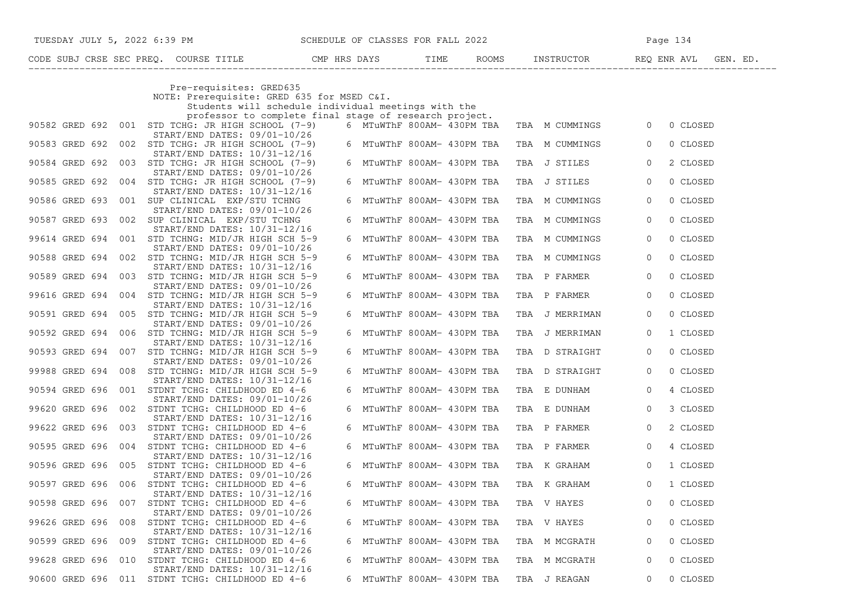| TUESDAY JULY 5, 2022 6:39 PM SCHEDULE OF CLASSES FOR FALL 2022                                                                              |                                         |                | Page 134                   |  |
|---------------------------------------------------------------------------------------------------------------------------------------------|-----------------------------------------|----------------|----------------------------|--|
|                                                                                                                                             |                                         |                |                            |  |
| Pre-requisites: GRED635<br>NOTE: Prerequisite: GRED 635 for MSED C&I.<br>Students will schedule individual meetings with the                |                                         |                |                            |  |
| professor to complete final stage of research project.<br>90582 GRED 692 001 STD TCHG: JR HIGH SCHOOL (7-9)<br>START/END DATES: 09/01-10/26 | 6 MTuWThF 800AM- 430PM TBA              | TBA M CUMMINGS | $\overline{0}$<br>0 CLOSED |  |
| 90583 GRED 692 002 STD TCHG: JR HIGH SCHOOL (7-9)<br>START/END DATES: 10/31-12/16                                                           | 6 MTuWThF 800AM- 430PM TBA              | TBA M CUMMINGS | 0 CLOSED<br>$\circ$        |  |
| 90584 GRED 692 003 STD TCHG: JR HIGH SCHOOL (7-9)<br>START/END DATES: 09/01-10/26                                                           | 6 MTuWThF 800AM- 430PM TBA              | TBA J STILES   | 2 CLOSED<br>$\circ$        |  |
| 90585 GRED 692 004 STD TCHG: JR HIGH SCHOOL (7-9)<br>START/END DATES: 10/31-12/16                                                           | 6 MTuWThF 800AM- 430PM TBA              | TBA J STILES   | 0 CLOSED<br>$\overline{0}$ |  |
| 90586 GRED 693 001 SUP CLINICAL EXP/STU TCHNG<br>$START/END$ DATES: $09/01-10/26$                                                           | 6 MTuWThF 800AM- 430PM TBA              | TBA M CUMMINGS | 0 CLOSED<br>$\overline{0}$ |  |
| 90587 GRED 693 002 SUP CLINICAL EXP/STU TCHNG<br>START/END DATES: 10/31-12/16                                                               | 6 MTuWThF 800AM- 430PM TBA              | TBA M CUMMINGS | 0 CLOSED<br>$\circ$        |  |
| 99614 GRED 694 001 STD TCHNG: MID/JR HIGH SCH 5-9<br>START/END DATES: 09/01-10/26                                                           | 6 MTuWThF 800AM- 430PM TBA              | TBA M CUMMINGS | $\mathsf{O}$<br>0 CLOSED   |  |
| 90588 GRED 694 002 STD TCHNG: MID/JR HIGH SCH 5-9<br>START/END DATES: 10/31-12/16                                                           | 6 MTuWThF 800AM- 430PM TBA              | TBA M CUMMINGS | $\mathsf{O}$<br>0 CLOSED   |  |
| 90589 GRED 694 003 STD TCHNG: MID/JR HIGH SCH 5-9<br>START/END DATES: 09/01-10/26                                                           | 6 MTuWThF 800AM- 430PM TBA              | TBA P FARMER   | $\circ$<br>0 CLOSED        |  |
| 99616 GRED 694<br>004 STD TCHNG: MID/JR HIGH SCH 5-9<br>START/END DATES: 10/31-12/16                                                        | 6 MTuWThF 800AM- 430PM TBA              | TBA P FARMER   | 0 CLOSED<br>$\overline{0}$ |  |
| 90591 GRED 694<br>005 STD TCHNG: MID/JR HIGH SCH 5-9<br>START/END DATES: 09/01-10/26                                                        | 6 MTuWThF 800AM- 430PM TBA              | TBA J MERRIMAN | 0 CLOSED<br>$\circ$        |  |
| 90592 GRED 694 006 STD TCHNG: MID/JR HIGH SCH 5-9<br>START/END DATES: 10/31-12/16                                                           | 6 MTuWThF 800AM- 430PM TBA              | TBA J MERRIMAN | 1 CLOSED<br>$\circ$        |  |
| 90593 GRED 694 007 STD TCHNG: MID/JR HIGH SCH 5-9<br>START/END DATES: 09/01-10/26                                                           | 6 MTuWThF 800AM- 430PM TBA              | TBA D STRAIGHT | 0 CLOSED<br>$\overline{0}$ |  |
| 99988 GRED 694 008 STD TCHNG: MID/JR HIGH SCH 5-9                                                                                           | 6 MTuWThF 800AM- 430PM TBA              | TBA D STRAIGHT | 0 CLOSED<br>$\overline{0}$ |  |
| START/END DATES: 10/31-12/16<br>90594 GRED 696<br>001 STDNT TCHG: CHILDHOOD ED 4-6                                                          | 6 MTuWThF 800AM- 430PM TBA              | TBA E DUNHAM   | 4 CLOSED<br>$\overline{0}$ |  |
| $START/END$ DATES: $09/01-10/26$<br>99620 GRED 696 002 STDNT TCHG: CHILDHOOD ED 4-6                                                         | 6 MTuWThF 800AM- 430PM TBA              | TBA E DUNHAM   | $\overline{0}$<br>3 CLOSED |  |
| START/END DATES: 10/31-12/16<br>99622 GRED 696 003 STDNT TCHG: CHILDHOOD ED 4-6                                                             | 6 MTuWThF 800AM- 430PM TBA              | TBA P FARMER   | $\overline{0}$<br>2 CLOSED |  |
| START/END DATES: 09/01-10/26<br>90595 GRED 696 004 STDNT TCHG: CHILDHOOD ED 4-6                                                             | 6 MTuWThF 800AM- 430PM TBA              | TBA P FARMER   | $\circ$<br>4 CLOSED        |  |
| START/END DATES: 10/31-12/16<br>90596 GRED 696<br>005 STDNT TCHG: CHILDHOOD ED 4-6                                                          | 6 MTuWThF 800AM- 430PM TBA              | TBA K GRAHAM   | 1 CLOSED<br>$\mathbf{0}$   |  |
| $START/END$ DATES: $09/01-10/26$<br>90597 GRED 696 006 STDNT TCHG: CHILDHOOD ED 4-6                                                         | 6 MTuWThF 800AM- 430PM TBA              | TBA K GRAHAM   | $\overline{0}$<br>1 CLOSED |  |
| START/END DATES: 10/31-12/16<br>90598 GRED 696 007 STDNT TCHG: CHILDHOOD ED 4-6                                                             | 6 MTuWThF 800AM- 430PM TBA              | TBA V HAYES    | 0 CLOSED<br>$\overline{0}$ |  |
| START/END DATES: 09/01-10/26<br>99626 GRED 696<br>008 STDNT TCHG: CHILDHOOD ED 4-6                                                          | 6 MTuWThF 800AM- 430PM TBA              | TBA V HAYES    | 0 CLOSED<br>$\circ$        |  |
| START/END DATES: 10/31-12/16<br>009 STDNT TCHG: CHILDHOOD ED 4-6<br>90599 GRED 696                                                          | 6 MTuWThF 800AM- 430PM TBA              | TBA M MCGRATH  | 0 CLOSED<br>$\circ$        |  |
| START/END DATES: 09/01-10/26<br>99628 GRED 696 010 STDNT TCHG: CHILDHOOD ED 4-6                                                             | 6 MTuWThF 800AM- 430PM TBA              | TBA M MCGRATH  | 0 CLOSED<br>0              |  |
| START/END DATES: 10/31-12/16<br>90600 GRED 696 011 STDNT TCHG: CHILDHOOD ED 4-6                                                             | 6 MTuWThF 800AM- 430PM TBA TBA J REAGAN |                | 0 0 CLOSED                 |  |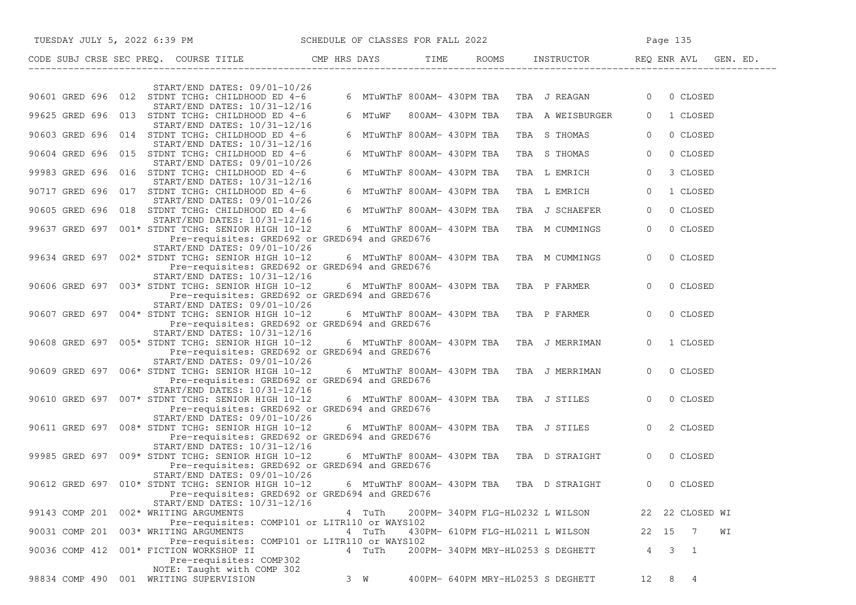| TUESDAY JULY 5, 2022 6:39 PM SCHEDULE OF CLASSES FOR FALL 2022                                                                                                              |             |                                   |                                               | Page 135                      |
|-----------------------------------------------------------------------------------------------------------------------------------------------------------------------------|-------------|-----------------------------------|-----------------------------------------------|-------------------------------|
| CODE SUBJ CRSE SEC PREQ. COURSE TITLE THE ROOMS INSTRUCTOR THE ROOMS EN REQ ENR AVL GEN. ED.                                                                                |             |                                   |                                               |                               |
| START/END DATES: 09/01-10/26                                                                                                                                                |             |                                   |                                               |                               |
| 90601 GRED 696 012 STDNT TCHG: CHILDHOOD ED 4-6<br>START/END DATES: 10/31-12/16                                                                                             |             |                                   | 6 MTuWThF 800AM- 430PM TBA  TBA  J REAGAN     | $\overline{0}$<br>0 CLOSED    |
| 99625 GRED 696 013 STDNT TCHG: CHILDHOOD ED 4-6<br>START/END DATES: 10/31-12/16                                                                                             | 6 MTuWF     | 800AM- 430PM TBA                  | TBA A WEISBURGER                              | 1 CLOSED<br>$\overline{0}$    |
| 90603 GRED 696 014 STDNT TCHG: CHILDHOOD ED 4-6<br>START/END DATES: 10/31-12/16                                                                                             |             | 6 MTuWThF 800AM- 430PM TBA        | TBA S THOMAS                                  | 0 CLOSED<br>$\overline{0}$    |
| 90604 GRED 696 015 STDNT TCHG: CHILDHOOD ED 4-6<br>START/END DATES: 09/01-10/26                                                                                             |             | 6 MTuWThF 800AM- 430PM TBA        | TBA S THOMAS                                  | $\overline{0}$<br>0 CLOSED    |
| 99983 GRED 696 016 STDNT TCHG: CHILDHOOD ED 4-6<br>START/END DATES: 10/31-12/16                                                                                             |             | 6 MTuWThF 800AM- 430PM TBA        | TBA L EMRICH                                  | $\circ$<br>3 CLOSED           |
| 90717 GRED 696 017 STDNT TCHG: CHILDHOOD ED 4-6<br>START/END DATES: 09/01-10/26                                                                                             |             | 6 MTuWThF 800AM- 430PM TBA        | TBA L EMRICH                                  | $\circ$<br>1 CLOSED           |
| 90605 GRED 696 018 STDNT TCHG: CHILDHOOD ED 4-6                                                                                                                             |             | 6 MTuWThF 800AM- 430PM TBA        | TBA J SCHAEFER                                | 0 CLOSED<br>$\circ$           |
| START/END DATES: 10/31-12/16<br>99637 GRED 697 001* STDNT TCHG: SENIOR HIGH 10-12<br>Pre-requisites: GRED692 or GRED694 and GRED676                                         |             | 6 MTuWThF 800AM- 430PM TBA        | TBA M CUMMINGS                                | $\overline{0}$<br>0 CLOSED    |
| $START/END$ DATES: $09/01-10/26$<br>99634 GRED 697 002* STDNT TCHG: SENIOR HIGH 10-12<br>Pre-requisites: GRED692 or GRED694 and GRED676                                     |             |                                   | 6  MTuWThF 800AM- 430PM TBA   TBA  M CUMMINGS | $\Omega$<br>0 CLOSED          |
| START/END DATES: 10/31-12/16<br>90606 GRED 697 003* STDNT TCHG: SENIOR HIGH 10-12<br>Pre-requisites: GRED692 or GRED694 and GRED676                                         |             |                                   | 6 MTuWThF 800AM- 430PM TBA TBA P FARMER       | $\overline{0}$<br>0 CLOSED    |
| START/END DATES: 09/01-10/26<br>90607 GRED 697 004* STDNT TCHG: SENIOR HIGH 10-12 6 MTuWThF 800AM- 430PM TBA TBA P FARMER<br>Pre-requisites: GRED692 or GRED694 and GRED676 |             |                                   |                                               | $\overline{0}$<br>0 CLOSED    |
| START/END DATES: 10/31-12/16<br>90608 GRED 697 005* STDNT TCHG: SENIOR HIGH 10-12<br>Pre-requisites: GRED692 or GRED694 and GRED676                                         |             |                                   | 6  MTuWThF 800AM- 430PM TBA   TBA  J MERRIMAN | $\Omega$<br>1 CLOSED          |
| START/END DATES: 09/01-10/26<br>90609 GRED 697 006* STDNT TCHG: SENIOR HIGH 10-12<br>Pre-requisites: GRED692 or GRED694 and GRED676                                         |             |                                   | 6 MTuWThF 800AM- 430PM TBA TBA J MERRIMAN     | $\overline{0}$<br>0 CLOSED    |
| $START/END$ DATES: $10/31-12/16$<br>90610 GRED 697 007* STDNT TCHG: SENIOR HIGH 10-12<br>Pre-requisites: GRED692 or GRED694 and GRED676                                     |             |                                   | 6 MTuWThF 800AM- 430PM TBA TBA J STILES       | $\overline{0}$<br>0 CLOSED    |
| START/END DATES: 09/01-10/26<br>90611 GRED 697 008* STDNT TCHG: SENIOR HIGH 10-12<br>Pre-requisites: GRED692 or GRED694 and GRED676                                         |             |                                   | 6 MTuWThF 800AM- 430PM TBA TBA J STILES       | $\overline{0}$<br>2 CLOSED    |
| START/END DATES: 10/31-12/16<br>99985 GRED 697 009* STDNT TCHG: SENIOR HIGH 10-12<br>Pre-requisites: GRED692 or GRED694 and GRED676                                         |             |                                   | 6 MTuWThF 800AM- 430PM TBA TBA D STRAIGHT     | 0 CLOSED<br>$\overline{0}$    |
| $START/END$ DATES: $09/01-10/26$<br>90612 GRED 697 010* STDNT TCHG: SENIOR HIGH 10-12<br>Pre-requisites: GRED692 or GRED694 and GRED676<br>START/END DATES: 10/31-12/16     |             |                                   | 6 MTuWThF 800AM- 430PM TBA TBA D STRAIGHT     | 0 CLOSED<br>0                 |
| 99143 COMP 201<br>002* WRITING ARGUMENTS<br>Pre-requisites: COMP101 or LITR110 or WAYS102                                                                                   | 4 TuTh      | 200PM- 340PM FLG-HL0232 L WILSON  |                                               | 22 22 CLOSED WI               |
| 003* WRITING ARGUMENTS<br>90031 COMP 201<br>Pre-requisites: COMP101 or LITR110 or WAYS102                                                                                   | 4 TuTh      | 430PM- 610PM FLG-HL0211 L WILSON  |                                               | WΙ<br>22 15<br>$\overline{7}$ |
| 001* FICTION WORKSHOP II<br>90036 COMP 412<br>Pre-requisites: COMP302                                                                                                       | 4 TuTh      | 200PM- 340PM MRY-HL0253 S DEGHETT |                                               | 4<br>3<br>$\overline{1}$      |
| NOTE: Taught with COMP 302<br>001 WRITING SUPERVISION<br>98834 COMP 490                                                                                                     | $3 \quad W$ | 400PM- 640PM MRY-HL0253 S DEGHETT |                                               | 12<br>8<br>4                  |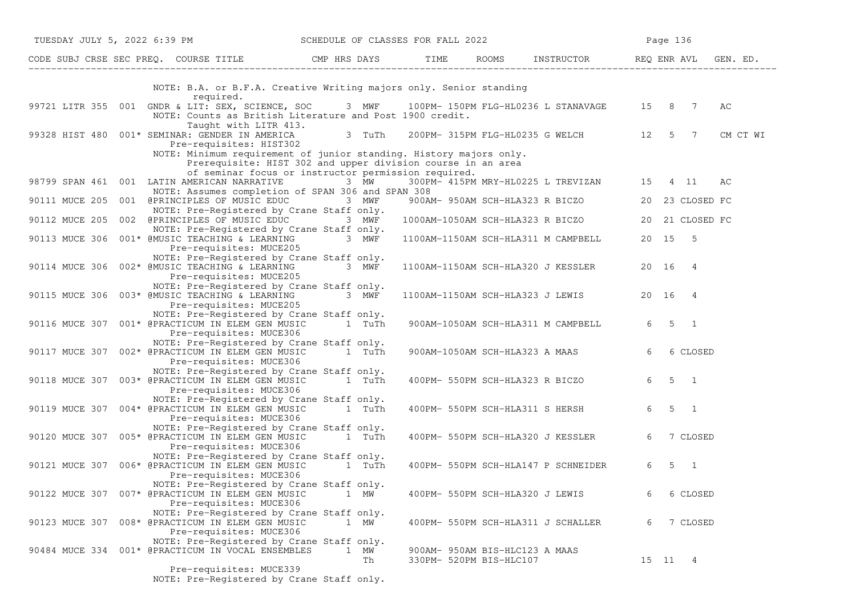| TUESDAY JULY 5, 2022 6:39 PM SCHEDULE OF CLASSES FOR FALL 2022                                                               |                                                                                                                                                                                          |                                                           |                                                  |
|------------------------------------------------------------------------------------------------------------------------------|------------------------------------------------------------------------------------------------------------------------------------------------------------------------------------------|-----------------------------------------------------------|--------------------------------------------------|
| CODE SUBJ CRSE SEC PREQ. COURSE TITLE CMP HRS DAYS TIME ROOMS INSTRUCTOR REQ ENR AVL GEN. ED.                                |                                                                                                                                                                                          |                                                           |                                                  |
|                                                                                                                              | NOTE: B.A. or B.F.A. Creative Writing majors only. Senior standing                                                                                                                       |                                                           |                                                  |
| required.                                                                                                                    |                                                                                                                                                                                          |                                                           |                                                  |
| 99721 LITR 355 001 GNDR & LIT: SEX, SCIENCE, SOC 3 MWF 100PM-150PM FLG-HL0236 L STANAVAGE 15 8 7 AC<br>Taught with LITR 413. | NOTE: Counts as British Literature and Post 1900 credit.                                                                                                                                 |                                                           |                                                  |
| 99328 HIST 480 $001*$ SEMINAR: GENDER IN AMERICA 3 TuTh 200PM-315PM FLG-HL0235 G WELCH 12 5 7<br>Pre-requisites: HIST302     |                                                                                                                                                                                          |                                                           | CM CT WI                                         |
|                                                                                                                              | NOTE: Minimum requirement of junior standing. History majors only.<br>Prerequisite: HIST 302 and upper division course in an area<br>of seminar focus or instructor permission required. |                                                           |                                                  |
| 98799 SPAN 461 001 LATIN AMERICAN NARRATIVE 3 MW                                                                             | NOTE: Assumes completion of SPAN 306 and SPAN 308                                                                                                                                        | 300PM- 415PM MRY-HL0225 L TREVIZAN 15 4 11                | AC                                               |
| 90111 MUCE 205 001 @PRINCIPLES OF MUSIC EDUC 3 MWF                                                                           | NOTE: Pre-Registered by Crane Staff only.                                                                                                                                                |                                                           | 900AM- 950AM SCH-HLA323 R BICZO 20 23 CLOSED FC  |
| 90112 MUCE 205 002 @PRINCIPLES OF MUSIC EDUC 3 MWF                                                                           |                                                                                                                                                                                          |                                                           | 1000AM-1050AM SCH-HLA323 R BICZO 20 21 CLOSED FC |
| 90113 MUCE 306 001* @MUSIC TEACHING & LEARNING 3 MWF<br>Pre-requisites: MUCE205                                              | NOTE: Pre-Registered by Crane Staff only.                                                                                                                                                | 1100AM-1150AM SCH-HLA311 M CAMPBELL 20 15 5               |                                                  |
| 90114 MUCE 306 002* @MUSIC TEACHING & LEARNING 3 MWF<br>Pre-requisites: MUCE205                                              | NOTE: Pre-Registered by Crane Staff only.                                                                                                                                                | 1100AM-1150AM SCH-HLA320 J KESSLER 20 16 4                |                                                  |
| 90115 MUCE 306 003* @MUSIC TEACHING & LEARNING<br>Pre-requisites: MUCE205                                                    | NOTE: Pre-Registered by Crane Staff only.<br>3 MWF                                                                                                                                       | 1100AM-1150AM SCH-HLA323 J LEWIS 20 16 4                  |                                                  |
| 90116 MUCE 307 001* @PRACTICUM IN ELEM GEN MUSIC 1 TuTh<br>Pre-requisites: MUCE306                                           | NOTE: Pre-Registered by Crane Staff only.                                                                                                                                                | 900AM-1050AM SCH-HLA311 M CAMPBELL 6 5 1                  |                                                  |
| 90117 MUCE 307 002* @PRACTICUM IN ELEM GEN MUSIC 1 TuTh<br>Pre-requisites: MUCE306                                           | NOTE: Pre-Registered by Crane Staff only.                                                                                                                                                | 900AM-1050AM SCH-HLA323 A MAAS 6 6 CLOSED                 |                                                  |
| 90118 MUCE 307 003* @PRACTICUM IN ELEM GEN MUSIC<br>Pre-requisites: MUCE306                                                  | NOTE: Pre-Registered by Crane Staff only.<br>1 TuTh                                                                                                                                      | 400PM- 550PM SCH-HLA323 R BICZO 6 5 1                     |                                                  |
| 90119 MUCE 307 004* @PRACTICUM IN ELEM GEN MUSIC 1 TuTh<br>Pre-requisites: MUCE306                                           | NOTE: Pre-Registered by Crane Staff only.                                                                                                                                                | 400PM- 550PM SCH-HLA311 S HERSH 6 5 1                     |                                                  |
| 90120 MUCE 307 005* @PRACTICUM IN ELEM GEN MUSIC 1 TuTh<br>Pre-requisites: MUCE306                                           | NOTE: Pre-Registered by Crane Staff only.                                                                                                                                                | 400PM- 550PM SCH-HLA320 J KESSLER 6                       | 7 CLOSED                                         |
| 90121 MUCE 307 006* @PRACTICUM IN ELEM GEN MUSIC<br>Pre-requisites: MUCE306                                                  | NOTE: Pre-Registered by Crane Staff only.<br>1 TuTh                                                                                                                                      | 400PM- 550PM SCH-HLA147 P SCHNEIDER 6 5 1                 |                                                  |
| 90122 MUCE 307 007* @PRACTICUM IN ELEM GEN MUSIC<br>Pre-requisites: MUCE306                                                  | NOTE: Pre-Registered by Crane Staff only.<br>1 MW                                                                                                                                        | 400PM- 550PM SCH-HLA320 J LEWIS                           | 6 CLOSED<br>6                                    |
| 90123 MUCE 307 008* @PRACTICUM IN ELEM GEN MUSIC<br>Pre-requisites: MUCE306                                                  | NOTE: Pre-Registered by Crane Staff only.<br>1 MW                                                                                                                                        | 400PM- 550PM SCH-HLA311 J SCHALLER                        | 7 CLOSED<br>6                                    |
| 90484 MUCE 334 001* @PRACTICUM IN VOCAL ENSEMBLES                                                                            | NOTE: Pre-Registered by Crane Staff only.<br>1 MW<br>Th                                                                                                                                  | 900AM- 950AM BIS-HLC123 A MAAS<br>330PM- 520PM BIS-HLC107 | 15 11 4                                          |
| Pre-requisites: MUCE339                                                                                                      | NOTE: Pre-Registered by Crane Staff only.                                                                                                                                                |                                                           |                                                  |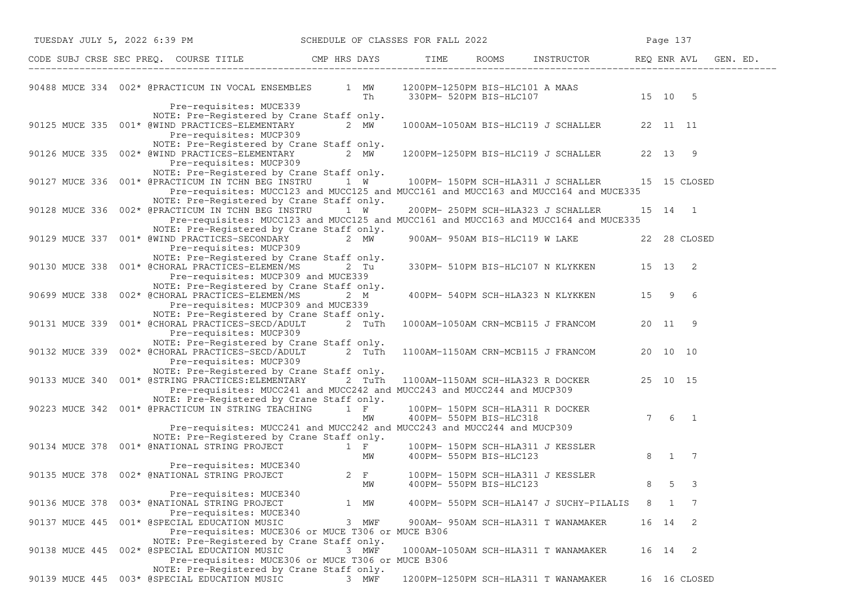|                | TUESDAY JULY 5, 2022 6:39 PM SCHEDULE OF CLASSES FOR FALL 2022                                                                                                                                                                                                                                    |         |       |                         |                                              |   | Page 137     |                       |  |
|----------------|---------------------------------------------------------------------------------------------------------------------------------------------------------------------------------------------------------------------------------------------------------------------------------------------------|---------|-------|-------------------------|----------------------------------------------|---|--------------|-----------------------|--|
|                | CODE SUBJ CRSE SEC PREQ. COURSE TITLE CMP HRS DAYS TIME ROOMS INSTRUCTOR REQ ENR AVL GEN. ED.                                                                                                                                                                                                     |         |       |                         |                                              |   |              |                       |  |
|                | 90488 MUCE 334 002* @PRACTICUM IN VOCAL ENSEMBLES 1 MW 1200PM-1250PM BIS-HLC101 A MAAS<br>Th 330PM- 520PM BIS-HLC107 15 10 5                                                                                                                                                                      |         |       |                         |                                              |   |              |                       |  |
|                | Pre-requisites: MUCE339<br>NOTE: Pre-Registered by Crane Staff only.<br>90125 MUCE 335 001* @WIND PRACTICES-ELEMENTARY<br>Pre-requisites: MUCP309                                                                                                                                                 | 2 $MW-$ |       |                         | 1000AM-1050AM BIS-HLC119 J SCHALLER 22 11 11 |   |              |                       |  |
|                | NOTE: Pre-Registered by Crane Staff only.<br>90126 MUCE 335 002* @WIND PRACTICES-ELEMENTARY 2 MW<br>Pre-requisites: MUCP309                                                                                                                                                                       |         |       |                         | 1200PM-1250PM BIS-HLC119 J SCHALLER 22 13 9  |   |              |                       |  |
|                | NOTE: Pre-Registered by Crane Staff only.<br>90127 MUCE 336 001* @PRACTICUM IN TCHN BEG INSTRU 1 W 100PM-150PM SCH-HLA311 J SCHALLER 15 15 CLOSED<br>Pre-requisites: MUCC123 and MUCC125 and MUCC161 and MUCC163 and MUCC164 and MUCE335                                                          |         |       |                         |                                              |   |              |                       |  |
|                | NOTE: Pre-Registered by Crane Staff only.<br>90128 MUCE 336 002* @PRACTICUM IN TCHN BEG INSTRU 1 W<br>Pre-requisites: MUCC123 and MUCC125 and MUCC161 and MUCC163 and MUCC164 and MUCE335                                                                                                         |         |       |                         | 200PM- 250PM SCH-HLA323 J SCHALLER           |   |              | 15 14 1               |  |
|                | NOTE: Pre-Registered by Crane Staff only.<br>90129 MUCE 337 001* @WIND PRACTICES-SECONDARY 2 MW<br>Pre-requisites: MUCP309                                                                                                                                                                        |         |       |                         | 900AM- 950AM BIS-HLC119 W LAKE 22 28 CLOSED  |   |              |                       |  |
|                | NOTE: Pre-Registered by Crane Staff only.<br>90130 MUCE 338 001* @CHORAL PRACTICES-ELEMEN/MS 2 Tu<br>Pre-requisites: MUCP309 and MUCE339                                                                                                                                                          |         |       |                         | 330PM- 510PM BIS-HLC107 N KLYKKEN 15 13 2    |   |              |                       |  |
|                | NOTE: Pre-Registered by Crane Staff only.<br>90699 MUCE 338 002* @CHORAL PRACTICES-ELEMEN/MS<br>Pre-requisites: MUCP309 and MUCE339                                                                                                                                                               |         | 2 M   |                         | 400PM- 540PM SCH-HLA323 N KLYKKEN 15 9 6     |   |              |                       |  |
|                | NOTE: Pre-Registered by Crane Staff only.<br>90131 MUCE 339 001* @CHORAL PRACTICES-SECD/ADULT 2 TuTh 1000AM-1050AM CRN-MCB115 J FRANCOM 20 11 9<br>Pre-requisites: MUCP309                                                                                                                        |         |       |                         |                                              |   |              |                       |  |
|                | NOTE: Pre-Registered by Crane Staff only.<br>90132 MUCE 339 002* @CHORAL PRACTICES-SECD/ADULT 2 TuTh 1100AM-1150AM CRN-MCB115 J FRANCOM 20 10 10<br>Pre-requisites: MUCP309                                                                                                                       |         |       |                         |                                              |   |              |                       |  |
|                | NOTE: Pre-Registered by Crane Staff only.<br>90133 MUCE 340 001* @STRING PRACTICES: ELEMENTARY 2 TuTh<br>Pre-requisites: MUCC241 and MUCC242 and MUCC243 and MUCC244 and MUCP309                                                                                                                  |         |       |                         | 1100AM-1150AM SCH-HLA323 R DOCKER 25 10 15   |   |              |                       |  |
|                | NOTE: Pre-Registered by Crane Staff only.<br>90223 MUCE 342 001* @PRACTICUM IN STRING TEACHING $\begin{array}{ccc} 1 & F \\ 1 & 100PM- 150PM- 150PM SCH-HLA311 R DOCKER \\ & MW & 400PM- 550PM BIS-HLC318 \end{array}$<br>Pre-requisites: MUCC241 and MUCC242 and MUCC243 and MUCC244 and MUCP309 |         |       |                         |                                              |   |              | $7 \qquad 6 \qquad 1$ |  |
|                | NOTE: Pre-Registered by Crane Staff only.<br>90134 MUCE 378 001* @NATIONAL STRING PROJECT $100PM- 150PM$ SCH-HLA311 J KESSLER<br>MW 400PM- 550PM BIS-HLC123                                                                                                                                       |         |       |                         |                                              |   |              | 8 1 7                 |  |
|                | Pre-requisites: MUCE340<br>90135 MUCE 378 002* @NATIONAL STRING PROJECT 2 F 100PM- 150PM SCH-HLA311 J KESSLER                                                                                                                                                                                     |         | MW    | 400PM- 550PM BIS-HLC123 |                                              | 8 | 5            | 3                     |  |
|                | Pre-requisites: MUCE340<br>90136 MUCE 378 003* @NATIONAL STRING PROJECT<br>Pre-requisites: MUCE340                                                                                                                                                                                                |         | 1 MW  |                         | 400PM- 550PM SCH-HLA147 J SUCHY-PILALIS      | 8 | $\mathbf{1}$ | -7                    |  |
| 90137 MUCE 445 | 001* @SPECIAL EDUCATION MUSIC<br>Pre-requisites: MUCE306 or MUCE T306 or MUCE B306                                                                                                                                                                                                                |         | 3 MWF |                         | 900AM- 950AM SCH-HLA311 T WANAMAKER          |   |              | 16 14 2               |  |
|                | NOTE: Pre-Registered by Crane Staff only.<br>90138 MUCE 445 002* @SPECIAL EDUCATION MUSIC<br>Pre-requisites: MUCE306 or MUCE T306 or MUCE B306                                                                                                                                                    |         | 3 MWF |                         | 1000AM-1050AM SCH-HLA311 T WANAMAKER         |   |              | 16 14 2               |  |
|                | NOTE: Pre-Registered by Crane Staff only.<br>90139 MUCE 445 003* @SPECIAL EDUCATION MUSIC                                                                                                                                                                                                         |         | 3 MWF |                         | 1200PM-1250PM SCH-HLA311 T WANAMAKER         |   |              | 16 16 CLOSED          |  |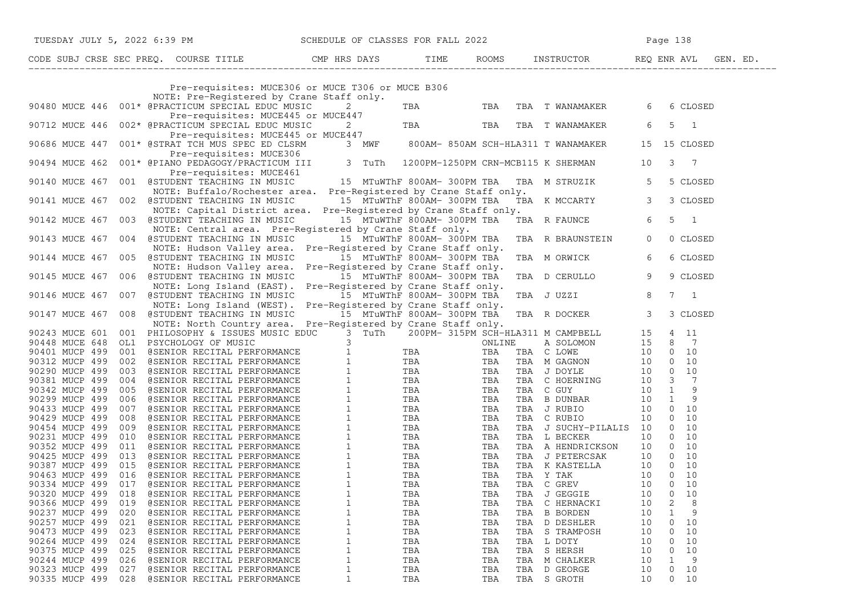| TUESDAY JULY 5, 2022 6:39 PM                                                                                                                                                                                                                                                                      |                             |            |            | SCHEDULE OF CLASSES FOR FALL 2022 2                                                                 |                                        |
|---------------------------------------------------------------------------------------------------------------------------------------------------------------------------------------------------------------------------------------------------------------------------------------------------|-----------------------------|------------|------------|-----------------------------------------------------------------------------------------------------|----------------------------------------|
| CODE SUBJ CRSE SEC PREQ. COURSE TITLE CMP HRS DAYS TIME ROOMS INSTRUCTOR REQ ENR AVL GEN. ED.                                                                                                                                                                                                     |                             |            |            |                                                                                                     |                                        |
| Pre-requisites: MUCE306 or MUCE T306 or MUCE B306                                                                                                                                                                                                                                                 |                             |            |            |                                                                                                     |                                        |
| NOTE: Pre-Registered by Crane Staff only.                                                                                                                                                                                                                                                         |                             |            |            |                                                                                                     |                                        |
| 001* @PRACTICUM SPECIAL EDUC MUSIC<br>90480 MUCE 446                                                                                                                                                                                                                                              | $\overline{2}$              |            |            | TBA TBA TBA TWANAMAKER                                                                              | 6<br>6 CLOSED                          |
| Pre-requisites: MUCE445 or MUCE447                                                                                                                                                                                                                                                                |                             |            |            |                                                                                                     |                                        |
| 002* @PRACTICUM SPECIAL EDUC MUSIC<br>90712 MUCE 446                                                                                                                                                                                                                                              |                             |            |            | $\frac{2}{5447}$ --<br>2 TBA TBA TBA TWANAMAKER                                                     | 5<br>6<br>$\overline{1}$               |
| Pre-requisites: MUCE445 or MUCE447<br>001* @STRAT TCH MUS SPEC ED CLSRM 3 MWF 800AM-850AM SCH-HLA311 T WANAMAKER 15 15 CLOSED                                                                                                                                                                     |                             |            |            |                                                                                                     |                                        |
| 90686 MUCE 447                                                                                                                                                                                                                                                                                    |                             |            |            |                                                                                                     |                                        |
| Pre-requisites: MUCE306<br>001* @PIANO PEDAGOGY/PRACTICUM III 3 TuTh 1200PM-1250PM CRN-MCB115 K SHERMAN 10<br>90494 MUCE 462                                                                                                                                                                      |                             |            |            |                                                                                                     | 3<br>$\overline{7}$                    |
| Pre-requisites: MUCE461                                                                                                                                                                                                                                                                           |                             |            |            |                                                                                                     |                                        |
| 90140 MUCE 467<br>001 @STUDENT TEACHING IN MUSIC 15 MTuWThF 800AM-300PM TBA                                                                                                                                                                                                                       |                             |            |            | TBA M STRUZIK 5                                                                                     | 5 CLOSED                               |
| NOTE: Buffalo/Rochester area. Pre-Registered by Crane Staff only.                                                                                                                                                                                                                                 |                             |            |            |                                                                                                     |                                        |
| NOTE: Burralo/Rochester area. Pre-Registered by Crane Starf only.<br>002 GSTUDENT TEACHING IN MUSIC 15 MTuWThF 800AM-300PM TBA TBA K MCCARTY 3<br>90141 MUCE 467                                                                                                                                  |                             |            |            |                                                                                                     | 3 CLOSED                               |
| NOTE: Capital District area. Pre-Registered by Crane Staff only.<br>NOTE: Capital District area.  Pre-Registered by Crane Staff only.<br>003   @STUDENT TEACHING IN MUSIC                 15   MTuWThF  800AM-  300PM  TBA    TBA   R  FAUNCE                                                     |                             |            |            |                                                                                                     |                                        |
| 90142 MUCE 467                                                                                                                                                                                                                                                                                    |                             |            |            |                                                                                                     | $6\overline{6}$<br>5<br>$\overline{1}$ |
| NOTE: Central area. Pre-Registered by Crane Staff only.<br>90143 MUCE 467 004 @STUDENT TEACHING IN MUSIC 15 MTuWThF 800AM-300PM TBA                                                                                                                                                               |                             |            |            |                                                                                                     | $\overline{0}$                         |
| NOTE: Hudson Valley area. Pre-Registered by Crane Staff only.                                                                                                                                                                                                                                     |                             |            |            | TBA R BRAUNSTEIN                                                                                    | 0 CLOSED                               |
| 90144 MUCE 467 005 @STUDENT TEACHING IN MUSIC                                                                                                                                                                                                                                                     | 15 MTuWThF 800AM- 300PM TBA |            |            | TBA M ORWICK                                                                                        | 6 CLOSED<br>6                          |
| NOTE: Hudson Valley area. Pre-Registered by Crane Staff only.                                                                                                                                                                                                                                     |                             |            |            |                                                                                                     |                                        |
| 90145 MUCE 467 006 @STUDENT TEACHING IN MUSIC 15 MTuWThF 800AM-300PM TBA                                                                                                                                                                                                                          |                             |            |            | TBA D CERULLO                                                                                       | 9<br>9 CLOSED                          |
| NOTE: Long Island (EAST). Pre-Registered by Crane Staff only.                                                                                                                                                                                                                                     |                             |            |            |                                                                                                     |                                        |
| 007 @STUDENT TEACHING IN MUSIC 300 15 MTuWThF 800AM-300PM TBA<br>90146 MUCE 467                                                                                                                                                                                                                   |                             |            |            | TBA J UZZI                                                                                          | 8<br>$7\quad1$                         |
| NOTE: Long Island (WEST). Pre-Registered by Crane Staff only.                                                                                                                                                                                                                                     |                             |            |            | Pre-Registered by Crane Staff only.<br>15  MTuWThF 800AM- 300PM TBA   TBA  R DOCKER               3 |                                        |
| 90147 MUCE 467<br>008 @STUDENT TEACHING IN MUSIC                                                                                                                                                                                                                                                  |                             |            |            |                                                                                                     | 3 CLOSED                               |
| NOTE: North Country area. Pre-Registered by Crane Staff only.<br>90243 MUCE 601 001 PRILOGOPHY 4 ISSUES MUSIC EDUCE 3 TUTH 200PM-315PM SCHEILARD A SCHOOM 1911 PRA 115 4 115 4 115 4 12 3 3 1000 101 PRILOGOPHY 4 ISSUES MUSIC EDUCE 499 002 48ENIOR RECITAL PERFORMANCE 1<br>190401 MUCE 499 002 |                             |            |            |                                                                                                     |                                        |
|                                                                                                                                                                                                                                                                                                   |                             |            |            |                                                                                                     |                                        |
|                                                                                                                                                                                                                                                                                                   |                             |            |            |                                                                                                     |                                        |
|                                                                                                                                                                                                                                                                                                   |                             |            |            |                                                                                                     |                                        |
|                                                                                                                                                                                                                                                                                                   |                             |            |            |                                                                                                     |                                        |
|                                                                                                                                                                                                                                                                                                   |                             |            |            |                                                                                                     |                                        |
|                                                                                                                                                                                                                                                                                                   |                             |            |            |                                                                                                     |                                        |
|                                                                                                                                                                                                                                                                                                   |                             |            |            |                                                                                                     |                                        |
|                                                                                                                                                                                                                                                                                                   |                             |            |            |                                                                                                     |                                        |
|                                                                                                                                                                                                                                                                                                   |                             |            |            |                                                                                                     |                                        |
|                                                                                                                                                                                                                                                                                                   |                             |            |            |                                                                                                     |                                        |
|                                                                                                                                                                                                                                                                                                   |                             |            |            |                                                                                                     |                                        |
|                                                                                                                                                                                                                                                                                                   |                             |            |            |                                                                                                     |                                        |
|                                                                                                                                                                                                                                                                                                   |                             |            |            |                                                                                                     |                                        |
|                                                                                                                                                                                                                                                                                                   |                             |            |            |                                                                                                     |                                        |
|                                                                                                                                                                                                                                                                                                   |                             |            |            |                                                                                                     |                                        |
| 90320 MUCP 499 018 @SENIOR RECITAL PERFORMANCE 1                                                                                                                                                                                                                                                  |                             | TBA        |            | TBA TBA J GEGGIE 10 0 10                                                                            |                                        |
| 90366 MUCP 499<br>019<br>@SENIOR RECITAL PERFORMANCE                                                                                                                                                                                                                                              | $\mathbf{1}$                | TBA        | TBA        | TBA C HERNACKI                                                                                      | 8<br>2<br>10                           |
| 90237 MUCP 499<br>020<br>@SENIOR RECITAL PERFORMANCE                                                                                                                                                                                                                                              | $\mathbf 1$                 | TBA        | TBA        | <b>B BORDEN</b><br>TBA                                                                              | 9<br>10<br>$\mathbf 1$                 |
| 90257 MUCP 499<br>021<br>@SENIOR RECITAL PERFORMANCE                                                                                                                                                                                                                                              | $\mathbf 1$                 | TBA        | TBA        | TBA<br>D DESHLER                                                                                    | 10<br>10<br>0                          |
| 90473 MUCP 499<br>023<br>@SENIOR RECITAL PERFORMANCE<br>90264 MUCP 499<br>024                                                                                                                                                                                                                     | 1<br>$\mathbf 1$            | TBA        | TBA        | S TRAMPOSH<br>TBA<br>TBA                                                                            | 10<br>10<br>0<br>10<br>10<br>0         |
| @SENIOR RECITAL PERFORMANCE<br>90375 MUCP 499<br>025<br>@SENIOR RECITAL PERFORMANCE                                                                                                                                                                                                               | $\mathbf 1$                 | TBA<br>TBA | TBA<br>TBA | L DOTY<br>S HERSH<br>TBA                                                                            | 10<br>10<br>0                          |
| 90244 MUCP 499<br>026<br>@SENIOR RECITAL PERFORMANCE                                                                                                                                                                                                                                              | $\mathbf 1$                 | TBA        | TBA        | TBA<br>M CHALKER                                                                                    | $\mathbf{1}$<br>9<br>10                |
| 90323 MUCP 499<br>@SENIOR RECITAL PERFORMANCE<br>027                                                                                                                                                                                                                                              | 1                           | TBA        | TBA        | TBA<br>D GEORGE                                                                                     | 10<br>10<br>0                          |
| 90335 MUCP 499<br>028<br>@SENIOR RECITAL PERFORMANCE                                                                                                                                                                                                                                              | 1                           | TBA        | TBA        | TBA S GROTH                                                                                         | 10<br>$\overline{0}$<br>10             |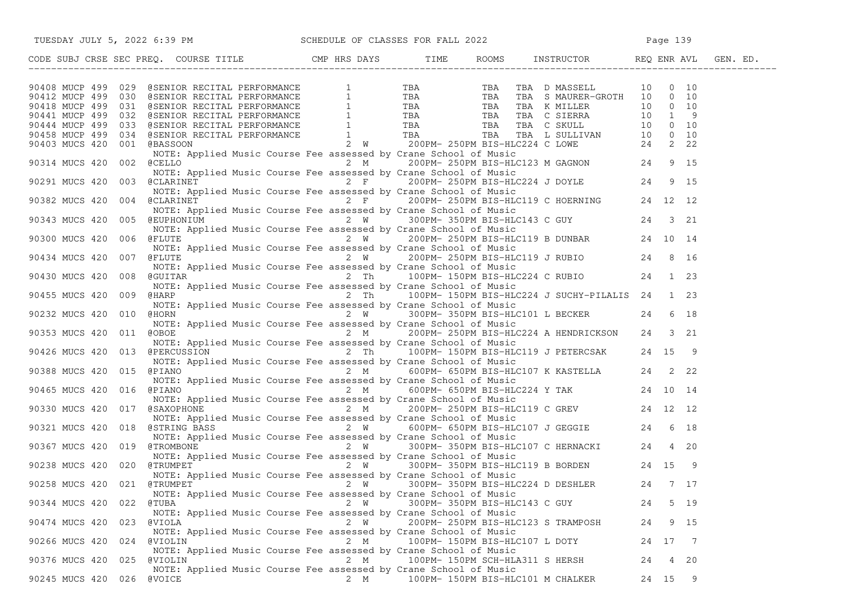| TUESDAY JULY 5, 2022 6:39 PM SCHEDULE OF CLASSES FOR FALL 2022                                                                                                                                                                                                             |     |                                |                                                                                                                                                           |    | Page 139 |          |
|----------------------------------------------------------------------------------------------------------------------------------------------------------------------------------------------------------------------------------------------------------------------------|-----|--------------------------------|-----------------------------------------------------------------------------------------------------------------------------------------------------------|----|----------|----------|
| CODE SUBJ CRSE SEC PREQ. COURSE TITLE THE CMP HRS DAYS TIME                                                                                                                                                                                                                |     |                                | ROOMS INSTRUCTOR REQ ENR AVL                                                                                                                              |    |          | GEN. ED. |
|                                                                                                                                                                                                                                                                            |     |                                |                                                                                                                                                           |    |          |          |
|                                                                                                                                                                                                                                                                            |     |                                |                                                                                                                                                           |    |          |          |
|                                                                                                                                                                                                                                                                            |     |                                |                                                                                                                                                           |    |          |          |
|                                                                                                                                                                                                                                                                            |     |                                |                                                                                                                                                           |    |          |          |
|                                                                                                                                                                                                                                                                            |     |                                |                                                                                                                                                           |    |          |          |
|                                                                                                                                                                                                                                                                            |     |                                |                                                                                                                                                           |    |          |          |
|                                                                                                                                                                                                                                                                            |     |                                |                                                                                                                                                           |    |          |          |
| 90408 MUCP 499 029 @SENIOR RECITAL PERFORMANCE 1 TBA TBA TBA DMASSELL 10 0 10<br>90412 MUCP 499 030 @SENIOR RECITAL PERFORMANCE 1 TBA TBA TBA SMAURER-GROTH 10 0 10<br>90441 MUCP 499 031 @SENIOR RECITAL PERFORMANCE 1 TBA TBA TBA                                        |     |                                |                                                                                                                                                           |    |          |          |
| NOTE: Applied Music Course Fee assessed by Crane School of Music<br>@CLARINET             2 F    200PM- 250PM BIS-HLC224 J DOYLE       24<br>90291 MUCS 420<br>003                                                                                                         |     |                                |                                                                                                                                                           |    | 9 15     |          |
| NOTE: Applied Music Course Fee assessed by Crane School of Music                                                                                                                                                                                                           |     |                                |                                                                                                                                                           |    |          |          |
| 90382 MUCS 420<br>004 @CLARINET<br>NOTE: Applied Music Course Fee assessed by Crane School of Music                                                                                                                                                                        |     |                                | and the course Fee assessed by Crane School of Music<br>2 F 200PM-250PM BIS-HLC119 C HOERNING 24 12 12<br>29 P 200PM-250PM BIS-HLC119 C HOERNING 24 12 12 |    |          |          |
| 90343 MUCS 420 005                                                                                                                                                                                                                                                         |     |                                |                                                                                                                                                           |    |          |          |
| WEUPHONIUM 2 W 300PM-350PM BIS-HLC143 C GUY 24 3 21<br>NOTE: Applied Music Course Fee assessed by Crane School of Music<br>CFLUTE 2 W 200PM-250PM BIS-HLC119 B DUNBAR 24 10 14<br>NOTE: Applied Music Course Fee assessed by Crane S<br>90300 MUCS 420 006                 |     |                                |                                                                                                                                                           |    |          |          |
| 90434 MUCS 420 007                                                                                                                                                                                                                                                         |     |                                |                                                                                                                                                           |    |          |          |
| WOLE: Applied Music Course Fee assessed by Crane School Of Music<br>The SCOPM-250PM BIS-HLC119 J RUBIO<br>NOTE: Applied Music Course Fee assessed by Crane School of Music<br>COUTTAR 2 The 100PM-150PM BIS-HLC224 C RUBIO 24 1 23<br>90430 MUCS 420 008                   |     |                                |                                                                                                                                                           |    |          |          |
| NOTE: Applied Music Course Fee assessed by Crane School of Music<br>90455 MUCS 420 009<br>@HARP                                                                                                                                                                            |     |                                | 2 Th 100PM-150PM BIS-HLC224 J SUCHY-PILALIS 24 1 23                                                                                                       |    |          |          |
| NOTE: Applied Music Course Fee assessed by Crane School of Music                                                                                                                                                                                                           |     |                                |                                                                                                                                                           |    |          |          |
| 2 W 300PM-350PM BIS-HLC101 L BECKER 24 6 18<br>90232 MUCS 420<br>@HORN<br>010                                                                                                                                                                                              |     |                                |                                                                                                                                                           |    |          |          |
| NOTE: Applied Music Course Fee assessed by Crane School of Music<br>90353 MUCS 420 011<br>@OBOE                                                                                                                                                                            |     |                                | 2 M 200PM-250PM BIS-HLC224 A HENDRICKSON 24 3 21                                                                                                          |    |          |          |
| NOTE: Applied Music Course Fee assessed by Crane School of Music<br>NOIE: Applied Music Course Fee assessed by Crane School of Music<br>@PERCUSSION           2  Th    100PM- 150PM BIS-HLC119 J PETERCSAK    24 15  9<br>90426 MUCS 420<br>013                            |     |                                |                                                                                                                                                           |    |          |          |
| NOTE: Applied Music Course Fee assessed by Crane School of Music                                                                                                                                                                                                           |     |                                |                                                                                                                                                           |    |          |          |
| 90388 MUCS 420 015<br>@PIANO                                                                                                                                                                                                                                               |     |                                |                                                                                                                                                           |    |          |          |
| NOTE: Applied Music Course Fee assessed by Crane School of Music<br>90465 MUCS 420 016<br>@PIANO<br>3PIANO<br>3PIANO 3PIANO 2 M 600PM-000PM DIS-HICLE: Applied Music Course Fee assessed by Crane School of Music<br>6SAXOPHONE 2 M 200PM-250PM BIS-HLC119 C GREV 24 12 12 |     |                                | $2 M$ 600PM-650PM BIS-HLC224 Y TAK 24 10 14                                                                                                               |    |          |          |
|                                                                                                                                                                                                                                                                            |     |                                |                                                                                                                                                           |    |          |          |
| 90330 MUCS 420 017 @SAXOPHONE                                                                                                                                                                                                                                              |     |                                |                                                                                                                                                           |    |          |          |
|                                                                                                                                                                                                                                                                            |     |                                |                                                                                                                                                           |    |          |          |
| 90321 MUCS 420 018                                                                                                                                                                                                                                                         |     |                                |                                                                                                                                                           |    |          |          |
| WOLE: Applied Music Course Fee assessed by Crane School Of Music<br>8STRING BASS 2 W 600PM-650PM BIS-HLC107 J GEGGIE 24 6 18<br>NOTE: Applied Music Course Fee assessed by Crane School of Music<br>8TROMBONE 2 W 300PM-350PM BIS-HL<br>90367 MUCS 420 019                 |     |                                |                                                                                                                                                           |    |          |          |
| NOTE: Applied Music Course Fee assessed by Crane School of Music                                                                                                                                                                                                           |     |                                |                                                                                                                                                           |    |          |          |
| 90238 MUCS 420 020 @TRUMPET<br>NOTE: Applied Music Course Fee assessed by Crane School of Music                                                                                                                                                                            |     |                                | 2 W 300PM-350PM BIS-HLC119 B BORDEN 24 15 9                                                                                                               |    |          |          |
| 90258 MUCS 420 021 @TRUMPET 2 W 300PM-350PM BIS-HLC224 D DESHLER 24 7 17<br>NOTE: Applied Music Course Fee assessed by Crane School of Music                                                                                                                               |     |                                |                                                                                                                                                           |    |          |          |
| 90344 MUCS 420 022<br>@TUBA                                                                                                                                                                                                                                                | 2 W | 300PM- 350PM BIS-HLC143 C GUY  |                                                                                                                                                           | 24 | 5 19     |          |
| NOTE: Applied Music Course Fee assessed by Crane School of Music<br>90474 MUCS 420<br>@VIOLA<br>023                                                                                                                                                                        | 2 W |                                | 200PM- 250PM BIS-HLC123 S TRAMPOSH                                                                                                                        | 24 | 9 15     |          |
| NOTE: Applied Music Course Fee assessed by Crane School of Music                                                                                                                                                                                                           |     |                                |                                                                                                                                                           |    |          |          |
| 90266 MUCS 420<br><b>@VIOLIN</b><br>024<br>NOTE: Applied Music Course Fee assessed by Crane School of Music                                                                                                                                                                | 2 M | 100PM- 150PM BIS-HLC107 L DOTY |                                                                                                                                                           |    | 24 17 7  |          |
| 90376 MUCS 420 025<br>@VIOLIN                                                                                                                                                                                                                                              | 2 M |                                | 100PM- 150PM SCH-HLA311 S HERSH                                                                                                                           | 24 | 4 20     |          |
| NOTE: Applied Music Course Fee assessed by Crane School of Music<br>90245 MUCS 420 026 @VOICE                                                                                                                                                                              |     |                                | 2 M 100PM-150PM BIS-HLC101 M CHALKER                                                                                                                      |    | 24 15 9  |          |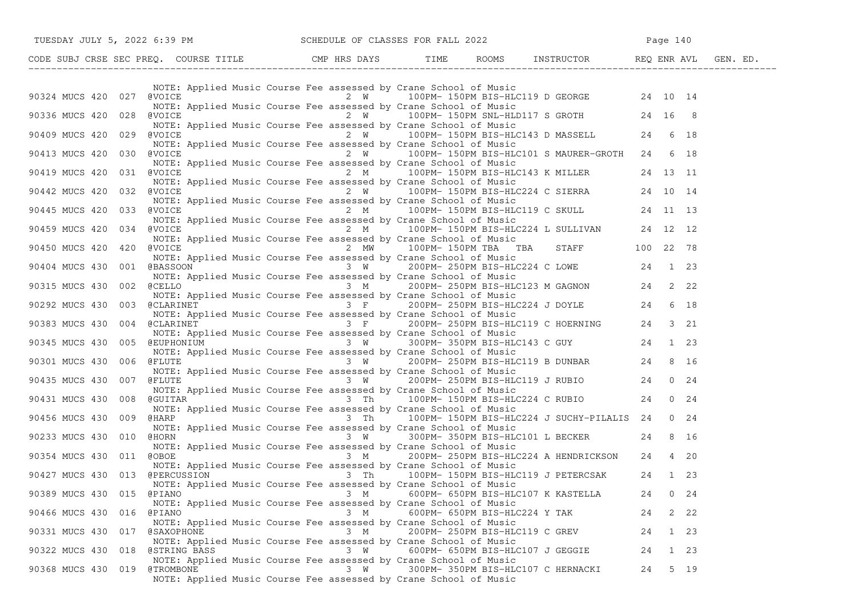| TUESDAY JULY 5, 2022 6:39 PM                                               |                                                                                                                                                                                                                                                                              | SCHEDULE OF CLASSES FOR FALL 2022                 | Page 140                              |  |
|----------------------------------------------------------------------------|------------------------------------------------------------------------------------------------------------------------------------------------------------------------------------------------------------------------------------------------------------------------------|---------------------------------------------------|---------------------------------------|--|
| CODE SUBJ CRSE SEC PREQ. COURSE TITLE CMP HRS DAYS TIME RO                 |                                                                                                                                                                                                                                                                              |                                                   | ROOMS INSTRUCTOR REQ ENR AVL GEN. ED. |  |
|                                                                            |                                                                                                                                                                                                                                                                              |                                                   |                                       |  |
| 90324 MUCS 420 027                                                         | NOTE: Applied Music Course Fee assessed by Crane School of Music                                                                                                                                                                                                             |                                                   |                                       |  |
| 90336 MUCS 420 028<br>@VOICE                                               | NOTE: Applied Music Course Fee assessed by Crane School of Music<br>NOTE: Applied Music Course Fee assessed by Crane School of Music                                                                                                                                         | 2 W 100PM-150PM SNL-HLD117 S GROTH 24 16 8        |                                       |  |
| 90409 MUCS 420 029<br>@VOICE                                               | 2 W 100PM-150PM BIS-HLC143 D MASSELL 24 6 18<br>NOTE: Applied Music Course Fee assessed by Crane School of Music                                                                                                                                                             |                                                   |                                       |  |
| 90413 MUCS 420<br>030<br>@VOICE                                            | NOTE: Applied Music Course Fee assessed by Crane School of Music                                                                                                                                                                                                             | 2 W 100PM-150PM BIS-HLC101 S MAURER-GROTH 24 6 18 |                                       |  |
| 90419 MUCS 420 031<br>@VOICE                                               |                                                                                                                                                                                                                                                                              | 2 M 100PM-150PM BIS-HLC143 K MILLER 24 13 11      |                                       |  |
| 032<br>@VOICE<br>90442 MUCS 420                                            | NOTE: Applied Music Course Fee assessed by Crane School of Music<br>NOTE: Applied Music Course Fee assessed by Crane School of Music<br>NOICE 2 W 100PM-150PM BIS-HLC224 C SIERRA 24 10 14<br>NOTE: Applied Music Course Fee assessed by Crane School of Music               |                                                   |                                       |  |
| 90445 MUCS 420 033<br>@VOICE                                               | 2 M 100PM-150PM BIS-HLC119 C SKULL 24 11 13<br>NOTE: Applied Music Course Fee assessed by Crane School of Music                                                                                                                                                              |                                                   |                                       |  |
| 90459 MUCS 420<br>034                                                      | @VOICE <sup>1</sup> 100PM-150PM BIS-HLC224 L SULLIVAN 24 12 12<br>NOTE: Applied Music Course Fee assessed by Crane School of Music                                                                                                                                           |                                                   |                                       |  |
| 90450 MUCS 420 420<br>@VOICE                                               | NOTE: Applied Music Course Fee assessed by Crane School of Music                                                                                                                                                                                                             | 2 MW 100PM-150PM TBA TBA STAFF 100 22 78          |                                       |  |
| 90404 MUCS 430<br>001                                                      | @BASSOON 6 1 23                                                                                                                                                                                                                                                              |                                                   |                                       |  |
| 90315 MUCS 430<br>002<br>@CELLO                                            | NOTE: Applied Music Course Fee assessed by Crane School of Music                                                                                                                                                                                                             |                                                   |                                       |  |
| 90292 MUCS 430 003                                                         | $\frac{1}{3}$ F 200PM-250PM BIS-HLC224 J DOYLE 24                                                                                                                                                                                                                            |                                                   | 6 18                                  |  |
| 90383 MUCS 430<br>004<br><b>@CLARINET</b>                                  | ACTERINET<br>MOTE: Applied Music Course Fee assessed by Crane School of Music<br>MOTE: Applied Music Course Fee assessed by Crane School of Music<br>ACTARINET 3 F (200PM-250PM BIS-HLC119 C HOERNING 24<br>NOTE: Applied Music Course Fee assessed by Crane School of Music |                                                   | 3 21                                  |  |
| 90345 MUCS 430 005 @EUPHONIUM                                              | experience that is a season of the control of Music Course of the SODPM-350PM BIS-HLC143 C GUY<br>NOTE: Applied Music Course Fee assessed by Crane School of Music<br>@FLUTE<br>The Source Fee assessed by Crane School of Music HLC119                                      |                                                   | 1 23                                  |  |
| 90301 MUCS 430<br>006<br>@FLUTE                                            | NOTE: Applied Music Course Fee assessed by Crane School of Music                                                                                                                                                                                                             |                                                   | 8 16                                  |  |
| 90435 MUCS 430<br>007<br>@FLUTE                                            | NOTE: Applied Music Course Fee assessed by Crane School of Music                                                                                                                                                                                                             | 3 W 200PM-250PM BIS-HLC119 J RUBIO 24             | $0 \t 24$                             |  |
| 90431 MUCS 430<br>008                                                      | $\sqrt{9}$ eGUITAR $\sqrt{24}$ 3 Th $\sqrt{100}$ PM-150PM BIS-HLC224 C RUBIO 24<br>NOTE: Applied Music Course Fee assessed by Crane School of Music                                                                                                                          |                                                   | $0 \t 24$                             |  |
| 90456 MUCS 430 009<br>@HARP                                                | NOTE: Applied Music Course Fee assessed by Crane School of Music                                                                                                                                                                                                             | 3 Th 100PM-150PM BIS-HLC224 J SUCHY-PILALIS 24    | $0 \t 24$                             |  |
| 90233 MUCS 430<br>@HORN<br>010                                             | $3 \tW$ 300PM 350PM BIS-HLC101 L BECKER 24<br>NOTE: Applied Music Course Fee assessed by Crane School of Music                                                                                                                                                               |                                                   | 8 16                                  |  |
| 90354 MUCS 430 011 @OBOE                                                   | NOTE: Applied Music Course Fee assessed by Crane School of Music                                                                                                                                                                                                             | 3 M 200PM-250PM BIS-HLC224 A HENDRICKSON 24       | 4 20                                  |  |
| 90427 MUCS 430 013 @PERCUSSION 6 6 2010 100PM-150PM BIS-HLC119 J PETERCSAK | NOTE: Applied Music Course Fee assessed by Crane School of Music                                                                                                                                                                                                             |                                                   | 24 1 23                               |  |
| 90389 MUCS 430<br>015<br>@PIANO                                            | 3 M<br>NOTE: Applied Music Course Fee assessed by Crane School of Music                                                                                                                                                                                                      | 600PM- 650PM BIS-HLC107 K KASTELLA                | 24<br>$0 \quad 24$                    |  |
| 90466 MUCS 430<br>016<br>@PIANO                                            | 3 M<br>NOTE: Applied Music Course Fee assessed by Crane School of Music                                                                                                                                                                                                      | 600PM- 650PM BIS-HLC224 Y TAK                     | 24<br>$2 \t 22$                       |  |
| 90331 MUCS 430 017<br>@SAXOPHONE                                           | 3 M<br>NOTE: Applied Music Course Fee assessed by Crane School of Music                                                                                                                                                                                                      | 200PM- 250PM BIS-HLC119 C GREV                    | 24<br>1 23                            |  |
| 90322 MUCS 430<br>018<br>@STRING BASS                                      | 3 W<br>NOTE: Applied Music Course Fee assessed by Crane School of Music                                                                                                                                                                                                      | 600PM- 650PM BIS-HLC107 J GEGGIE                  | 1 23<br>24                            |  |
| 90368 MUCS 430 019<br>@TROMBONE                                            | 3 W<br>NOTE: Applied Music Course Fee assessed by Crane School of Music                                                                                                                                                                                                      | 300PM- 350PM BIS-HLC107 C HERNACKI                | 5 19<br>24                            |  |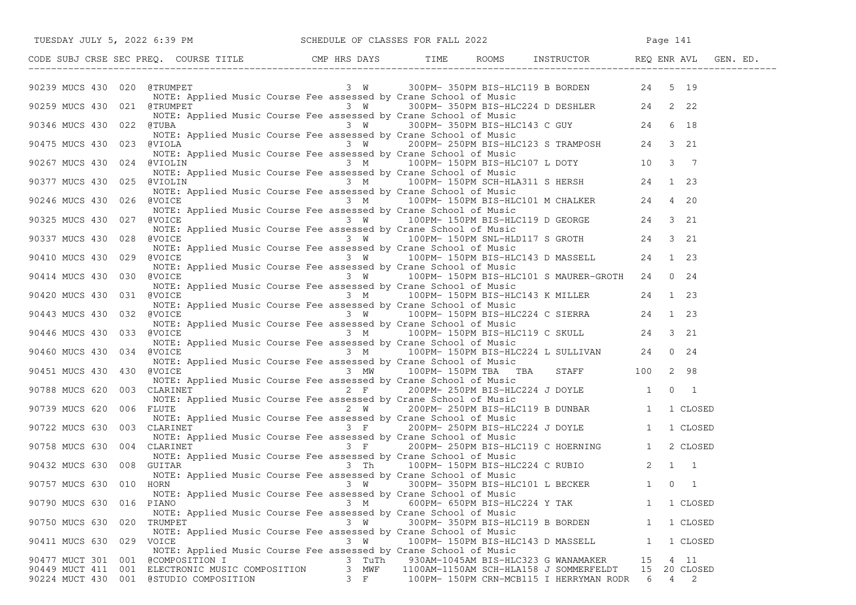|                                   | TUESDAY JULY 5, 2022 6:39 PM SCHEDULE OF CLASSES FOR FALL 2022                                                                                                                                                                                                                                              |                          |                                                                                                                                                                                    |                                               |  |
|-----------------------------------|-------------------------------------------------------------------------------------------------------------------------------------------------------------------------------------------------------------------------------------------------------------------------------------------------------------|--------------------------|------------------------------------------------------------------------------------------------------------------------------------------------------------------------------------|-----------------------------------------------|--|
|                                   | CODE SUBJ CRSE SEC PREQ. COURSE TITLE CMP HRS DAYS TIME ROOMS INSTRUCTOR REQ ENR AVL GEN. ED.                                                                                                                                                                                                               |                          |                                                                                                                                                                                    |                                               |  |
|                                   | 90239 MUCS 430 020 @TRUMPET 3 W 300PM-350PM BIS-HLC119 B BORDEN 24 5 19                                                                                                                                                                                                                                     |                          |                                                                                                                                                                                    |                                               |  |
| 90259 MUCS 430 021 @TRUMPET       | NOTE: Applied Music Course Fee assessed by Crane School of Music<br>@TRUMPET            3  W     300PM- 350PM BIS-HLC224 D DESHLER     24  2 22<br>NOTE: Applied Music Course Fee assessed by Crane School of Music                                                                                         |                          |                                                                                                                                                                                    |                                               |  |
|                                   | NOTE: Applied Music Course Fee assessed by Crane School of Music<br>NOTE: Applied Music Course Fee assessed by Crane School of Music<br>3 W 300PM-350PM BIS-HLC143 C GUY 24 6 18<br>90475 MUCS 430 023 @VIOLA NOTE: Applied Music Course Fee assessed by Crane School of Music<br>90475 MUCS 430 023 @VIOLA |                          |                                                                                                                                                                                    |                                               |  |
|                                   | NOTE: Applied Music Course Fee assessed by Crane School of Music                                                                                                                                                                                                                                            |                          |                                                                                                                                                                                    |                                               |  |
| 90267 MUCS 430 024 @VIOLIN        | NOTE: Applied Music Course Fee assessed by Crane School of Music                                                                                                                                                                                                                                            |                          | Music Course Fee assessed by Crane School of Music<br>3 Music Course The concealing 100PM BIS-HLC107 L DOTY<br>2 Music Course The concealing Curse Change of Music Course of Music |                                               |  |
| 90377 MUCS 430                    | NOTE: Applied music course ree assessed by crane School of music<br>3 M 100PM-150PM SCH-HLA311 S HERSH 24 1 23<br>NOTE: Applied Music Course Fee assessed by Crane School of Music                                                                                                                          |                          |                                                                                                                                                                                    |                                               |  |
| 90246 MUCS 430                    | 026 @VOICE                                                                                                                                                                                                                                                                                                  |                          | ic Course Fee assessed by Crane School of Music<br>3 M 100PM-150PM BIS-HLC101 M CHALKER 24 4 20                                                                                    |                                               |  |
| 90325 MUCS 430 027 @VOICE         | NOTE: Applied Music Course Fee assessed by Crane School of Music<br>NOTE: Applied Music Course Fee assessed by Crane School of Music                                                                                                                                                                        |                          | Applied Husic Course ree assessed by Crane School of Husic<br>3 W 100PM-150PM BIS-HLC119 D GEORGE 24 3 21                                                                          |                                               |  |
| 90337 MUCS 430 028 @VOICE         | NOTE: Applied Music Course Fee assessed by Crane School of Music                                                                                                                                                                                                                                            |                          | 3 W 100PM-150PM SNL-HLD117 S GROTH 24 3 21<br>urse Fee assessed by Crane School of Music                                                                                           |                                               |  |
| 90410 MUCS 430 029                | @VOICE<br>NOTE: Applied Music Course Fee assessed by Crane School of Music                                                                                                                                                                                                                                  |                          | 3 W 100PM-150PM BIS-HLC143 D MASSELL 24 1 23                                                                                                                                       |                                               |  |
| 90414 MUCS 430 030 @VOICE         | NOTE: Applied Music Course Fee assessed by Crane School of Music                                                                                                                                                                                                                                            |                          | 3 W 100PM-150PM BIS-HLC101 S MAURER-GROTH 24 0 24                                                                                                                                  |                                               |  |
| 90420 MUCS 430 031 @VOICE         | NOTE: Applied Music Course Fee assessed by Crane School of Music                                                                                                                                                                                                                                            |                          | $3 \t M$ 100PM-150PM BIS-HLC143 K MILLER 24 1 23                                                                                                                                   |                                               |  |
| 90443 MUCS 430 032 @VOICE         | NOTE: Applied Music Course Fee assessed by Crane School of Music                                                                                                                                                                                                                                            |                          | Applied Haste course for assessed by crane sensor of haste<br>3 W 100PM-150PM BIS-HLC224 C SIERRA 24 1 23                                                                          |                                               |  |
| 90446 MUCS 430 033 @VOICE         | WOICE 3 M 100PM-150PM BIS-HLC119 C SKULL 24 3 21<br>NOTE: Applied Music Course Fee assessed by Crane School of Music                                                                                                                                                                                        |                          |                                                                                                                                                                                    |                                               |  |
| 90460 MUCS 430                    | $100PM - 150PM - 150PM - 24$ SULLIVAN 24 0 24<br>NOTE: Applied Music Course Fee assessed by Crane School of Music                                                                                                                                                                                           |                          |                                                                                                                                                                                    |                                               |  |
| 90451 MUCS 430                    | 430 @VOICE                                                                                                                                                                                                                                                                                                  |                          | $3$ MW $100$ PM-150PM TBA TBA STAFF 100 2 98                                                                                                                                       |                                               |  |
| 90788 MUCS 620                    | NOTE: Applied Music Course Fee assessed by Crane School of Music<br>003 CLARINET 200PM-250PM BIS-HLC224 J DOYLE 1 0 1                                                                                                                                                                                       |                          |                                                                                                                                                                                    |                                               |  |
| 90739 MUCS 620                    | 006 FLUTE<br>NOTE: Applied Music Course Fee assessed by Crane School of Music                                                                                                                                                                                                                               |                          |                                                                                                                                                                                    |                                               |  |
| 90722 MUCS 630                    | CLARINET<br>NOTE: Applied Music Course Fee assessed by Crane School of Music<br>CLARINET 1 1 CLOSED<br>3 F 200PM-250PM BIS-HLC119 C HOERNING 1 2 CLOSED<br>3 F 200PM-250PM BIS-HLC119 C HOERNING 1 2 CLOSED<br>003 CLARINET                                                                                 |                          |                                                                                                                                                                                    |                                               |  |
| 90758 MUCS 630 004 CLARINET       | NOTE: Applied Music Course Fee assessed by Crane School of Music                                                                                                                                                                                                                                            |                          |                                                                                                                                                                                    |                                               |  |
| 90432 MUCS 630 008 GUITAR         | NOTE: Applied Music Course Fee assessed by Crane School of Music                                                                                                                                                                                                                                            | 3 Th                     | 100PM- 150PM BIS-HLC224 C RUBIO 2 1 1                                                                                                                                              |                                               |  |
| 90757 MUCS 630 010 HORN           |                                                                                                                                                                                                                                                                                                             |                          |                                                                                                                                                                                    |                                               |  |
| 90790 MUCS 630                    | 016 PIANO<br>NOTE: Applied Music Course Fee assessed by Crane School of Music                                                                                                                                                                                                                               | 3 M                      | 600PM- 650PM BIS-HLC224 Y TAK                                                                                                                                                      | 1 1 CLOSED                                    |  |
| 90750 MUCS 630<br>020             | TRUMPET<br>NOTE: Applied Music Course Fee assessed by Crane School of Music                                                                                                                                                                                                                                 | 3 W                      | 300PM- 350PM BIS-HLC119 B BORDEN                                                                                                                                                   | 1 CLOSED<br>$\mathbf{1}$                      |  |
| 90411 MUCS 630                    | 029 VOICE<br>NOTE: Applied Music Course Fee assessed by Crane School of Music                                                                                                                                                                                                                               | 3 W                      | 100PM- 150PM BIS-HLC143 D MASSELL                                                                                                                                                  | 1 CLOSED<br>$\mathbf{1}$                      |  |
| 90477 MUCT 301 001 @COMPOSITION I | 90449 MUCT 411 001 ELECTRONIC MUSIC COMPOSITION<br>90224 MUCT 430 001 @STUDIO COMPOSITION                                                                                                                                                                                                                   | 3 TuTh<br>3 MWF<br>$3$ F | 930AM-1045AM BIS-HLC323 G WANAMAKER<br>1100AM-1150AM SCH-HLA158 J SOMMERFELDT<br>100PM- 150PM CRN-MCB115 I HERRYMAN RODR                                                           | 4 11<br>15<br>15 20 CLOSED<br>$4\quad 2$<br>6 |  |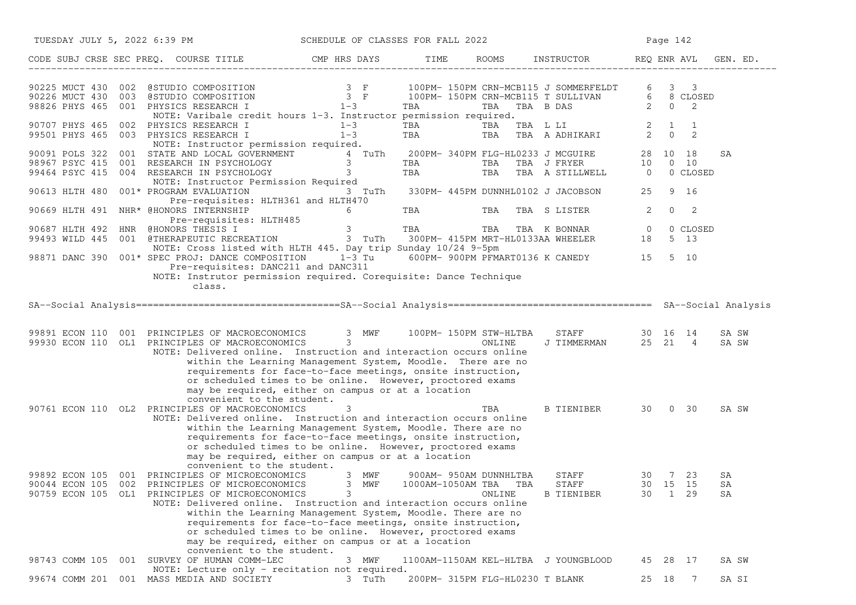| TUESDAY JULY 5, 2022 6:39 PM SCHEDULE OF CLASSES FOR FALL 2022                                                                                                                                                                                                                                                                                           |                 |            |                                                           |                                       |       | Page 142                    |                |
|----------------------------------------------------------------------------------------------------------------------------------------------------------------------------------------------------------------------------------------------------------------------------------------------------------------------------------------------------------|-----------------|------------|-----------------------------------------------------------|---------------------------------------|-------|-----------------------------|----------------|
| CODE SUBJ CRSE SEC PREQ. COURSE TITLE THE RIDAYS TIME ROOMS INSTRUCTOR THE REQ ENR AVL                                                                                                                                                                                                                                                                   |                 |            |                                                           |                                       |       |                             | GEN. ED.       |
| 90225 MUCT 430 002 @STUDIO COMPOSITION 3 F 100PM-150PM CRN-MCB115 J SOMMERFELDT 6 3<br>90226 MUCT 430 003 @STUDIO COMPOSITION 3 F 100PM-150PM CRN-MCB115 T SULLIVAN 6 8 CI<br>98826 PHYS 465 001 PHYSICS RESEARCH I 1-3 TBA TBA TBA                                                                                                                      |                 |            |                                                           |                                       |       | $3 \quad 3$<br>6 8 CLOSED   |                |
| NOTE: Varibale credit hours 1-3. Instructor permission required.                                                                                                                                                                                                                                                                                         |                 |            |                                                           |                                       |       | 2                           |                |
| 90707 PHYS 465 002 PHYSICS RESEARCH I<br>99501 PHYS 465 003 PHYSICS RESEARCH I                                                                                                                                                                                                                                                                           | $1-3$<br>$1-3$  | TBA<br>TBA |                                                           |                                       |       |                             |                |
| NOTE: Instructor permission required.<br>90091 POLS 322 001 STATE AND LOCAL GOVERNMENT $\begin{array}{cccc} 4 & 7uTh & 200PM- 340PM FLG-HL0233 J MCGUIRE & 28 & 10 & 18 \ 98967 PSYC 415 & 001 RESEARCH IN PSYCHOLOGY & 3 & TBA TBA TBA J FRYER & 10 & 0 & 10 \ 99464 PSYC 415 & 004 RESEARCH IN PSYCHOLOGY & 3 & TBA TRBA TBA R STILLWELL & 0 & 0 CLOS$ |                 |            |                                                           |                                       |       | 0 CLOSED                    | SA             |
| NOTE: Instructor Permission Required<br>90613 HLTH 480<br>001* PROGRAM EVALUATION                                                                                                                                                                                                                                                                        | 3 TuTh          |            |                                                           | 330PM- 445PM DUNNHL0102 J JACOBSON    | 25    | 9 16                        |                |
| Pre-requisites: HLTH361 and HLTH470<br>90669 HLTH 491 NHR* @HONORS INTERNSHIP                                                                                                                                                                                                                                                                            | $6\overline{6}$ | <b>TBA</b> | TBA                                                       | TBA S LISTER                          | 2     | 0<br>-2                     |                |
| Pre-requisites: HLTH485<br>90687 HLTH 492 HNR @HONORS THESIS I<br>99493 WILD 445 001 @THERAPEUTIC RECREATION 3 TuTh 300PM-415PM MRT-HL0133AA WHEELER 18                                                                                                                                                                                                  | 3 TBA           |            |                                                           | TBA TBA K BONNAR 0                    |       | 0 CLOSED<br>5 13            |                |
| NOTE: Cross listed with HLTH 445. Day trip Sunday 10/24 9-5pm<br>98871 DANC 390 001* SPEC PROJ: DANCE COMPOSITION 1-3 Tu 600PM- 900PM PFMART0136 K CANEDY 15<br>Pre-requisites: DANC211 and DANC311<br>NOTE: Instrutor permission required. Corequisite: Dance Technique<br>class.                                                                       |                 |            |                                                           |                                       |       | 5 10                        |                |
|                                                                                                                                                                                                                                                                                                                                                          |                 |            |                                                           |                                       |       |                             |                |
| 99891 ECON 110 001 PRINCIPLES OF MACROECONOMICS 3 MWF 100PM-150PM STW-HLTBA<br>99930 ECON 110 OL1 PRINCIPLES OF MACROECONOMICS 3<br>NOTE: Delivered online. Instruction and interaction occurs online                                                                                                                                                    |                 |            | ONLINE                                                    | STAFF 30 16 14<br>J TIMMERMAN 25 21 4 |       |                             | SA SW<br>SA SW |
| within the Learning Management System, Moodle. There are no<br>requirements for face-to-face meetings, onsite instruction,<br>or scheduled times to be online. However, proctored exams<br>may be required, either on campus or at a location                                                                                                            |                 |            |                                                           |                                       |       |                             |                |
| convenient to the student.<br>90761 ECON 110 OL2 PRINCIPLES OF MACROECONOMICS<br>NOTE: Delivered online. Instruction and interaction occurs online<br>within the Learning Management System, Moodle. There are no                                                                                                                                        | 3               |            | TBA                                                       | B TIENIBER 30 0 30                    |       |                             | SA SW          |
| requirements for face-to-face meetings, onsite instruction,<br>or scheduled times to be online. However, proctored exams<br>may be required, either on campus or at a location<br>convenient to the student.                                                                                                                                             |                 |            |                                                           |                                       |       |                             |                |
| 99892 ECON 105 001 PRINCIPLES OF MICROECONOMICS<br>90044 ECON 105 002 PRINCIPLES OF MICROECONOMICS 3 MWF<br>90759 ECON 105 OL1 PRINCIPLES OF MICROECONOMICS<br>NOTE: Delivered online. Instruction and interaction occurs online                                                                                                                         | 3 MWF<br>3      |            | 900AM- 950AM DUNNHLTBA<br>1000AM-1050AM TBA TBA<br>ONLINE | STAFF<br>STAFF<br><b>B TIENIBER</b>   | 30    | 30 7 23<br>30 15 15<br>1 29 | SA<br>SA<br>SA |
| within the Learning Management System, Moodle. There are no<br>requirements for face-to-face meetings, onsite instruction,<br>or scheduled times to be online. However, proctored exams<br>may be required, either on campus or at a location                                                                                                            |                 |            |                                                           |                                       |       |                             |                |
| convenient to the student.<br>001 SURVEY OF HUMAN COMM-LEC<br>98743 COMM 105                                                                                                                                                                                                                                                                             | 3 MWF           |            |                                                           | 1100AM-1150AM KEL-HLTBA J YOUNGBLOOD  | 45    | 28<br>17                    | SA SW          |
| NOTE: Lecture only - recitation not required.<br>99674 COMM 201 001 MASS MEDIA AND SOCIETY                                                                                                                                                                                                                                                               | 3 TuTh          |            | 200PM- 315PM FLG-HL0230 T BLANK                           |                                       | 25 18 | -7                          | SA SI          |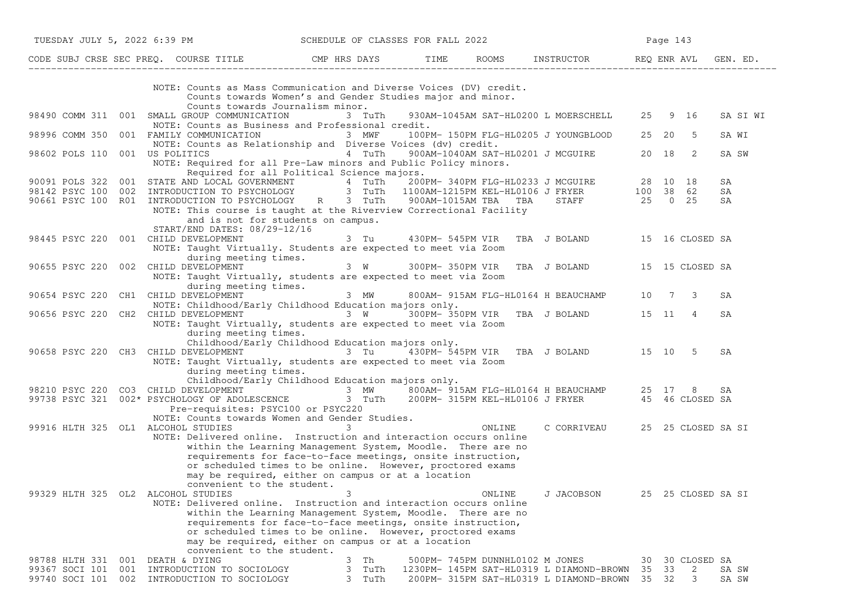| TUESDAY JULY 5, 2022 6:39 PM     |                                                                                                                                                                                                                                                                                                                                                                                  | SCHEDULE OF CLASSES FOR FALL 2022                                                                                             |                                 |                                                                                     | Page 143          |                            |                |
|----------------------------------|----------------------------------------------------------------------------------------------------------------------------------------------------------------------------------------------------------------------------------------------------------------------------------------------------------------------------------------------------------------------------------|-------------------------------------------------------------------------------------------------------------------------------|---------------------------------|-------------------------------------------------------------------------------------|-------------------|----------------------------|----------------|
|                                  | CODE SUBJ CRSE SEC PREQ. COURSE TITLE THE ROOMS INSTRUCTOR TEMPLE ROOMS AND REQ ENR AVL                                                                                                                                                                                                                                                                                          |                                                                                                                               |                                 |                                                                                     |                   |                            | GEN. ED.       |
|                                  | NOTE: Counts as Mass Communication and Diverse Voices (DV) credit.<br>Counts towards Women's and Gender Studies major and minor.<br>Counts towards Journalism minor.                                                                                                                                                                                                             |                                                                                                                               |                                 |                                                                                     |                   |                            |                |
|                                  | 98490 COMM 311 001 SMALL GROUP COMMUNICATION<br>NOTE: Counts as Business and Professional credit.                                                                                                                                                                                                                                                                                | 3 TuTh                                                                                                                        |                                 | 930AM-1045AM SAT-HL0200 L MOERSCHELL 25 9 16                                        |                   |                            | SA SI WI       |
|                                  | 98996 COMM 350 001 FAMILY COMMUNICATION 3 MWF<br>NOTE: Counts as Relationship and Diverse Voices (dv) credit.                                                                                                                                                                                                                                                                    |                                                                                                                               |                                 | 100PM- 150PM FLG-HL0205 J YOUNGBLOOD 25 20 5                                        |                   |                            | SA WI          |
|                                  | 98602 POLS 110 001 US POLITICS<br>NOTE: Required for all Pre-Law minors and Public Policy minors.<br>Required for all Political Science majors.                                                                                                                                                                                                                                  | a martin and the martin and the martin and the martin and the martin and the martin and the martin and the mar                |                                 | 900AM-1040AM SAT-HL0201 J MCGUIRE 20 18                                             |                   | $\overline{\phantom{0}}^2$ | SA SW          |
|                                  |                                                                                                                                                                                                                                                                                                                                                                                  |                                                                                                                               |                                 |                                                                                     |                   |                            | SA             |
|                                  |                                                                                                                                                                                                                                                                                                                                                                                  |                                                                                                                               |                                 |                                                                                     |                   |                            | SA             |
|                                  | 90091 POLS 322 001 STATE AND LOCAL GOVERNMENT 4 TuTh 200PM-340PM FLG-HL0233 J MCGUIRE 28 10 18<br>98142 PSYC 100 002 INTRODUCTION TO PSYCHOLOGY 3 TuTh 1100AM-1215PM KEL-HL0106 J FRYER 100 38 62<br>90661 PSYC 100 R01 INTRODUCTION<br>NOTE: This course is taught at the Riverview Correctional Facility<br>and is not for students on campus.<br>START/END DATES: 08/29-12/16 |                                                                                                                               |                                 |                                                                                     |                   |                            | SA             |
|                                  | 98445 PSYC 220 001 CHILD DEVELOPMENT                                                                                                                                                                                                                                                                                                                                             | 3 Tu   430PM- 545PM VIR TBA J BOLAND   15 16 CLOSED SA                                                                        |                                 |                                                                                     |                   |                            |                |
|                                  | NOTE: Taught Virtually. Students are expected to meet via Zoom<br>during meeting times.                                                                                                                                                                                                                                                                                          |                                                                                                                               |                                 |                                                                                     |                   |                            |                |
|                                  | 90655 PSYC 220 002 CHILD DEVELOPMENT<br>NOTE: Taught Virtually, students are expected to meet via Zoom<br>during meeting times.                                                                                                                                                                                                                                                  | 3 W 300PM-350PM VIR TBA J BOLAND 15 15 CLOSED SA                                                                              |                                 |                                                                                     |                   |                            |                |
|                                  | 90654 PSYC 220 CH1 CHILD DEVELOPMENT<br>NOTE: Childhood/Early Childhood Education majors only.                                                                                                                                                                                                                                                                                   |                                                                                                                               |                                 | 3 MW 800AM-915AM FLG-HL0164 H BEAUCHAMP 10 7 3                                      |                   |                            | SA             |
|                                  | 90656 PSYC 220 CH2 CHILD DEVELOPMENT <sup>7</sup> 3 W 300PM-350PM VIR TBA J BOLAND 15 11<br>NOTE: Taught Virtually, students are expected to meet via Zoom<br>during meeting times.<br>Childhood/Early Childhood Education majors only.                                                                                                                                          |                                                                                                                               |                                 |                                                                                     |                   | $\overline{4}$             | SA             |
|                                  | 90658 PSYC 220 CH3 CHILD DEVELOPMENT 3 Tu 430PM-545PM VIR TBA J BOLAND 15 10 5<br>NOTE: Taught Virtually, students are expected to meet via Zoom<br>during meeting times.                                                                                                                                                                                                        |                                                                                                                               |                                 |                                                                                     |                   |                            | SA             |
|                                  | Childhood/Early Childhood Education majors only.                                                                                                                                                                                                                                                                                                                                 |                                                                                                                               |                                 |                                                                                     |                   |                            |                |
|                                  | 98210 PSYC 220 CO3 CHILD DEVELOPMENT <sup>1</sup> 3 MW 7800AM-315AM FLG-HL0164 H BEAUCHAMP 25 17 8 SA<br>99738 PSYC 321 002* PSYCHOLOGY OF ADOLESCENCE 3 TuTh 200PM-315PM KEL-HL0106 J FRYER 45 46 CLOSED SA                                                                                                                                                                     |                                                                                                                               |                                 |                                                                                     |                   |                            |                |
|                                  | Pre-requisites: PSYC100 or PSYC220<br>NOTE: Counts towards Women and Gender Studies.                                                                                                                                                                                                                                                                                             |                                                                                                                               |                                 |                                                                                     |                   |                            |                |
|                                  | 99916 HLTH 325 OL1 ALCOHOL STUDIES                                                                                                                                                                                                                                                                                                                                               | $\sim$ 3                                                                                                                      | ONLINE                          | C CORRIVEAU 25 25 CLOSED SA SI                                                      |                   |                            |                |
|                                  | NOTE: Delivered online. Instruction and interaction occurs online<br>within the Learning Management System, Moodle. There are no<br>requirements for face-to-face meetings, onsite instruction,<br>or scheduled times to be online. However, proctored exams<br>may be required, either on campus or at a location<br>convenient to the student.                                 |                                                                                                                               |                                 |                                                                                     |                   |                            |                |
|                                  | 99329 HLTH 325 OL2 ALCOHOL STUDIES<br>NOTE: Delivered online. Instruction and interaction occurs online<br>requirements for face-to-face meetings, onsite instruction,<br>may be required, either on campus or at a location<br>convenient to the student.                                                                                                                       | 3<br>within the Learning Management System, Moodle. There are no<br>or scheduled times to be online. However, proctored exams | ONLINE                          | J JACOBSON                                                                          |                   | 25 25 CLOSED SA SI         |                |
|                                  | 98788 HLTH 331 001 DEATH & DYING                                                                                                                                                                                                                                                                                                                                                 | 3<br>Th                                                                                                                       | 500PM- 745PM DUNNHL0102 M JONES |                                                                                     | 30                | 30 CLOSED SA               |                |
| 99367 SOCI 101<br>99740 SOCI 101 | 001<br>INTRODUCTION TO SOCIOLOGY<br>002<br>INTRODUCTION TO SOCIOLOGY                                                                                                                                                                                                                                                                                                             | 3<br>TuTh<br>3<br>TuTh                                                                                                        |                                 | 1230PM- 145PM SAT-HL0319 L DIAMOND-BROWN<br>200PM- 315PM SAT-HL0319 L DIAMOND-BROWN | 33<br>35<br>35 32 | 2<br>3                     | SA SW<br>SA SW |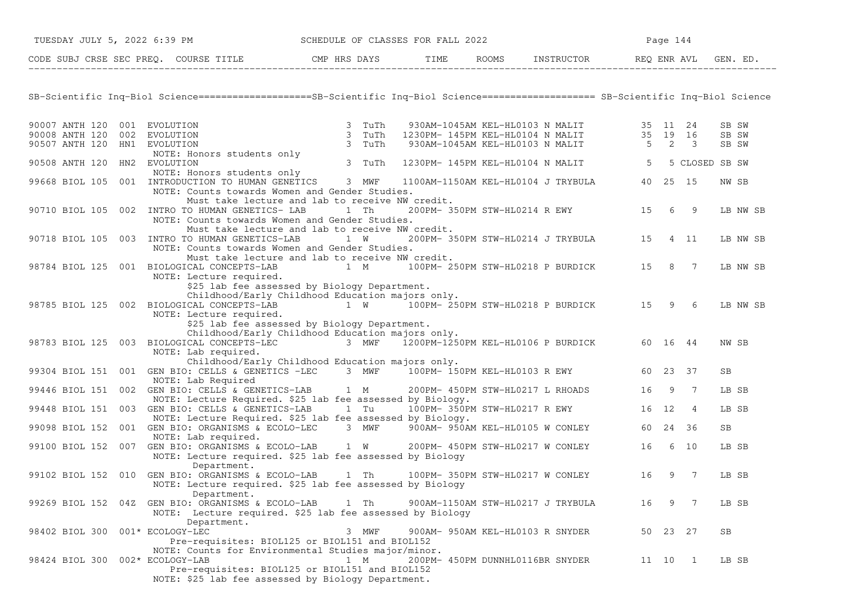| TUESDAY JULY 5, 2022 6:39 PM    |                                                                                                                                    | SCHEDULE OF CLASSES FOR FALL 2022                               |  |                                                                                                                               |         | Page 144 |   |          |
|---------------------------------|------------------------------------------------------------------------------------------------------------------------------------|-----------------------------------------------------------------|--|-------------------------------------------------------------------------------------------------------------------------------|---------|----------|---|----------|
|                                 | CODE SUBJ CRSE SEC PREQ. COURSE TITLE THE ROOMS INSTRUCTOR REQ ENR AVL GEN. ED.                                                    |                                                                 |  |                                                                                                                               |         |          |   |          |
|                                 |                                                                                                                                    |                                                                 |  |                                                                                                                               |         |          |   |          |
|                                 | SB-Scientific Inq-Biol Science===================SB-Scientific Inq-Biol Science==================== SB-Scientific Inq-Biol Science |                                                                 |  |                                                                                                                               |         |          |   |          |
| 90007 ANTH 120 001 EVOLUTION    | EVOLUTION 3 TuTh<br>EVOLUTION 3 TuTh<br>EVOLUTION 3 TuTh<br>NOTE: Honors students only<br>EVOLUTION 3 TuTh<br>EVOLUTION 3 TuTh     |                                                                 |  |                                                                                                                               |         |          |   | SB SW    |
| 90008 ANTH 120 002 EVOLUTION    |                                                                                                                                    |                                                                 |  | 930AM-1045AM KEL-HL0103 N MALIT 35 11 24<br>1230PM-145PM KEL-HL0104 N MALIT 35 19 16<br>930AM-1045AM KEL-HL0103 N MALIT 5 2 3 |         |          |   | SB SW    |
| 90507 ANTH 120 HN1 EVOLUTION    |                                                                                                                                    |                                                                 |  |                                                                                                                               |         |          |   | SB SW    |
| 90508 ANTH 120 HN2 EVOLUTION    |                                                                                                                                    |                                                                 |  | 1230PM- 145PM KEL-HL0104 N MALIT 5 5 CLOSED SB SW                                                                             |         |          |   |          |
|                                 |                                                                                                                                    |                                                                 |  |                                                                                                                               |         |          |   |          |
|                                 | NOTE: Honors students only<br>99668 BIOL 105 001 INTRODUCTION TO HUMAN GENETICS 3 MWF                                              |                                                                 |  | 1100AM-1150AM KEL-HL0104 J TRYBULA 40 25 15                                                                                   |         |          |   | NW SB    |
|                                 | NOTE: Counts towards Women and Gender Studies.                                                                                     |                                                                 |  |                                                                                                                               |         |          |   |          |
|                                 | Must take lecture and lab to receive NW credit.                                                                                    |                                                                 |  |                                                                                                                               |         |          |   |          |
|                                 | 90710 BIOL 105 002 INTRO TO HUMAN GENETICS- LAB 1 Th                                                                               |                                                                 |  | 200PM-350PM STW-HL0214 R EWY 15 6 9                                                                                           |         |          |   | LB NW SB |
|                                 | NOTE: Counts towards Women and Gender Studies.                                                                                     |                                                                 |  |                                                                                                                               |         |          |   |          |
|                                 | Must take lecture and lab to receive NW credit.<br>90718 BIOL 105 003 INTRO TO HUMAN GENETICS-LAB 1 W                              |                                                                 |  | 200PM-350PM STW-HL0214 J TRYBULA 15 4 11                                                                                      |         |          |   |          |
|                                 | NOTE: Counts towards Women and Gender Studies.                                                                                     |                                                                 |  |                                                                                                                               |         |          |   | LB NW SB |
|                                 | Must take lecture and lab to receive NW credit.                                                                                    |                                                                 |  |                                                                                                                               |         |          |   |          |
|                                 | 98784 BIOL 125 001 BIOLOGICAL CONCEPTS-LAB                                                                                         | 1 M                                                             |  | 100PM-250PM STW-HL0218 P BURDICK 15 8 7                                                                                       |         |          |   | LB NW SB |
|                                 | NOTE: Lecture required.                                                                                                            |                                                                 |  |                                                                                                                               |         |          |   |          |
|                                 | \$25 lab fee assessed by Biology Department.                                                                                       |                                                                 |  |                                                                                                                               |         |          |   |          |
|                                 | Childhood/Early Childhood Education majors only.                                                                                   |                                                                 |  |                                                                                                                               |         |          |   |          |
|                                 | 98785 BIOL 125 002 BIOLOGICAL CONCEPTS-LAB 1 W 100PM-250PM STW-HL0218 P BURDICK 15 9 6                                             |                                                                 |  |                                                                                                                               |         |          |   | LB NW SB |
|                                 | NOTE: Lecture required.<br>\$25 lab fee assessed by Biology Department.                                                            |                                                                 |  |                                                                                                                               |         |          |   |          |
|                                 | Childhood/Early Childhood Education majors only.                                                                                   |                                                                 |  |                                                                                                                               |         |          |   |          |
|                                 | 98783 BIOL 125 003 BIOLOGICAL CONCEPTS-LEC                                                                                         | 3 MWF $\overline{1}200$ PM-1250PM KEL-HL0106 P BURDICK 60 16 44 |  |                                                                                                                               |         |          |   | NW SB    |
|                                 | NOTE: Lab required.                                                                                                                |                                                                 |  |                                                                                                                               |         |          |   |          |
|                                 | Childhood/Early Childhood Education majors only.                                                                                   |                                                                 |  |                                                                                                                               |         |          |   |          |
|                                 | 99304 BIOL 151 001 GEN BIO: CELLS & GENETICS -LEC 3 MWF 100PM-150PM KEL-HL0103 R EWY 60 23 37                                      |                                                                 |  |                                                                                                                               |         |          |   | SB.      |
|                                 | NOTE: Lab Required                                                                                                                 |                                                                 |  |                                                                                                                               |         |          |   |          |
|                                 | 99446 BIOL 151 002 GEN BIO: CELLS & GENETICS-LAB 1 M                                                                               |                                                                 |  | 200PM- 450PM STW-HL0217 L RHOADS                                                                                              |         | 16 9 7   |   | LB SB    |
|                                 | NOTE: Lecture Required. \$25 lab fee assessed by Biology.<br>99448 BIOL 151 003 GEN BIO: CELLS & GENETICS-LAB 1 Tu                 |                                                                 |  | 100PM- 350PM STW-HL0217 R EWY 16 12                                                                                           |         |          | 4 | LB SB    |
|                                 | NOTE: Lecture Required. \$25 lab fee assessed by Biology.                                                                          |                                                                 |  |                                                                                                                               |         |          |   |          |
|                                 | 99098 BIOL 152 001 GEN BIO: ORGANISMS & ECOLO-LEC 3 MWF 900AM-950AM KEL-HL0105 W CONLEY 60 24 36                                   |                                                                 |  |                                                                                                                               |         |          |   | SB       |
|                                 | NOTE: Lab required.                                                                                                                |                                                                 |  |                                                                                                                               |         |          |   |          |
|                                 | 99100 BIOL 152 007 GEN BIO: ORGANISMS & ECOLO-LAB 1 W                                                                              |                                                                 |  | 200PM- 450PM STW-HL0217 W CONLEY                                                                                              | 16 6 10 |          |   | LB SB    |
|                                 | NOTE: Lecture required. \$25 lab fee assessed by Biology                                                                           |                                                                 |  |                                                                                                                               |         |          |   |          |
|                                 | Department.                                                                                                                        |                                                                 |  |                                                                                                                               |         |          |   |          |
|                                 | 99102 BIOL 152 010 GEN BIO: ORGANISMS & ECOLO-LAB 1 Th                                                                             |                                                                 |  | 100PM-350PM STW-HL0217 W CONLEY 16 9 7                                                                                        |         |          |   | LB SB    |
|                                 | NOTE: Lecture required. \$25 lab fee assessed by Biology<br>Department.                                                            |                                                                 |  |                                                                                                                               |         |          |   |          |
|                                 | 99269 BIOL 152 04Z GEN BIO: ORGANISMS & ECOLO-LAB                                                                                  | 1 Th                                                            |  | 900AM-1150AM STW-HL0217 J TRYBULA                                                                                             | 16      | 9        | 7 | LB SB    |
|                                 | NOTE: Lecture required. \$25 lab fee assessed by Biology                                                                           |                                                                 |  |                                                                                                                               |         |          |   |          |
|                                 | Department.                                                                                                                        |                                                                 |  |                                                                                                                               |         |          |   |          |
| 98402 BIOL 300 001* ECOLOGY-LEC |                                                                                                                                    | 3 MWF                                                           |  | 900AM- 950AM KEL-HL0103 R SNYDER                                                                                              |         | 50 23 27 |   | SB       |
|                                 | Pre-requisites: BIOL125 or BIOL151 and BIOL152                                                                                     |                                                                 |  |                                                                                                                               |         |          |   |          |
|                                 | NOTE: Counts for Environmental Studies major/minor.                                                                                |                                                                 |  |                                                                                                                               |         |          |   |          |
| 98424 BIOL 300 002* ECOLOGY-LAB | Pre-requisites: BIOL125 or BIOL151 and BIOL152                                                                                     | 1 M                                                             |  | 200PM- 450PM DUNNHL0116BR SNYDER                                                                                              |         | 11 10 1  |   | LB SB    |
|                                 | NOTE: \$25 lab fee assessed by Biology Department.                                                                                 |                                                                 |  |                                                                                                                               |         |          |   |          |
|                                 |                                                                                                                                    |                                                                 |  |                                                                                                                               |         |          |   |          |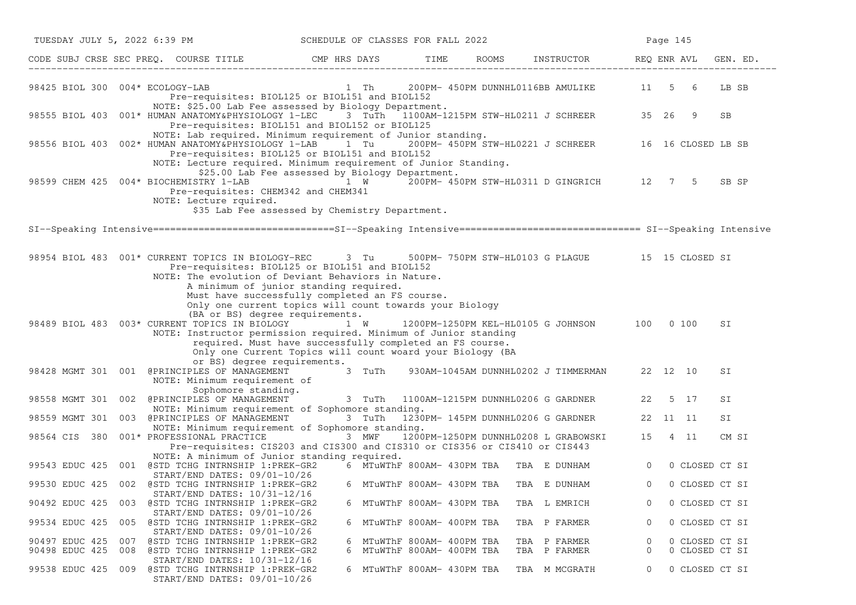|                                  | TUESDAY JULY 5, 2022 6:39 PM                                                                                                                                                                                                           | SCHEDULE OF CLASSES FOR FALL 2022                                                                                                                   |                                                        |                                                      | Page 145       |                                  |          |
|----------------------------------|----------------------------------------------------------------------------------------------------------------------------------------------------------------------------------------------------------------------------------------|-----------------------------------------------------------------------------------------------------------------------------------------------------|--------------------------------------------------------|------------------------------------------------------|----------------|----------------------------------|----------|
|                                  | CODE SUBJ CRSE SEC PREQ. COURSE TITLE THE CAP HRS DAYS TIME TIME                                                                                                                                                                       |                                                                                                                                                     |                                                        | ROOMS INSTRUCTOR REQ ENR AVL                         |                |                                  | GEN. ED. |
|                                  | 98425 BIOL 300 004* ECOLOGY-LAB<br>Pre-requisites: BIOL125 or BIOL151 and BIOL152                                                                                                                                                      | 1 Th 200PM- 450PM DUNNHL0116BB AMULIKE 11 5 6                                                                                                       |                                                        |                                                      |                |                                  | LB SB    |
|                                  | NOTE: \$25.00 Lab Fee assessed by Biology Department.<br>98555 BIOL 403 001* HUMAN ANATOMY&PHYSIOLOGY 1-LEC<br>Pre-requisites: BIOL151 and BIOL152 or BIOL125                                                                          |                                                                                                                                                     |                                                        | 3 TuTh 1100AM-1215PM STW-HL0211 J SCHREER 35 26 9    |                |                                  | SB       |
|                                  | NOTE: Lab required. Minimum requirement of Junior standing.<br>98556 BIOL 403 002* HUMAN ANATOMY&PHYSIOLOGY 1-LAB<br>Pre-requisites: BIOL125 or BIOL151 and BIOL152<br>NOTE: Lecture required. Minimum requirement of Junior Standing. | 1 Tu                                                                                                                                                |                                                        | 200PM- 450PM STW-HL0221 J SCHREER 16 16 CLOSED LB SB |                |                                  |          |
|                                  | 98599 CHEM 425 004* BIOCHEMISTRY 1-LAB 1 W 200PM- 450PM STW-HL0311 D GINGRICH 12 7 5<br>Pre-requisites: CHEM342 and CHEM341<br>NOTE: Lecture rquired.                                                                                  | \$25.00 Lab Fee assessed by Biology Department.<br>\$35 Lab Fee assessed by Chemistry Department.                                                   |                                                        |                                                      |                |                                  | SB SP    |
|                                  | SI--Speaking Intensive=============================SI--Speaking Intensive================================ SI--Speaking Intensive                                                                                                       |                                                                                                                                                     |                                                        |                                                      |                |                                  |          |
|                                  | 98954 BIOL 483  001* CURRENT TOPICS IN BIOLOGY-REC 3 Tu<br>Pre-requisites: BIOL125 or BIOL151 and BIOL152<br>NOTE: The evolution of Deviant Behaviors in Nature.                                                                       | A minimum of junior standing required.<br>Must have successfully completed an FS course.<br>Only one current topics will count towards your Biology |                                                        | 500PM- 750PM STW-HL0103 G PLAGUE 15 15 CLOSED SI     |                |                                  |          |
|                                  | (BA or BS) degree requirements.<br>98489 BIOL 483 003* CURRENT TOPICS IN BIOLOGY<br>NOTE: Instructor permission required. Minimum of Junior standing                                                                                   | 1 W<br>required. Must have successfully completed an FS course.<br>Only one Current Topics will count woard your Biology (BA                        |                                                        | 1200PM-1250PM KEL-HL0105 G JOHNSON 100 0 100         |                |                                  | SI       |
|                                  | or BS) degree requirements.<br>98428 MGMT 301 001 @PRINCIPLES OF MANAGEMENT<br>NOTE: Minimum requirement of                                                                                                                            | 3 TuTh                                                                                                                                              |                                                        | 930AM-1045AM DUNNHL0202 J TIMMERMAN 22 12 10         |                |                                  | SI       |
| 98558 MGMT 301 002               | Sophomore standing.<br>@PRINCIPLES OF MANAGEMENT 3 TuTh 1100AM-1215PM DUNNHL0206 G GARDNER<br>NOTE: Minimum requirement of Sophomore standing.                                                                                         |                                                                                                                                                     |                                                        |                                                      | 22             | 5 17                             | SI       |
|                                  | 98559 MGMT 301 003 @PRINCIPLES OF MANAGEMENT                                                                                                                                                                                           | 3 TuTh                                                                                                                                              | 1230PM- 145PM DUNNHL0206 G GARDNER                     |                                                      | 22 11 11       |                                  | SI       |
|                                  | NOTE: Minimum requirement of Sophomore standing.<br>98564 CIS 380 001* PROFESSIONAL PRACTICE 3 MWF<br>Pre-requisites: CIS203 and CIS300 and CIS310 or CIS356 or CIS410 or CIS443<br>NOTE: A minimum of Junior standing required.       |                                                                                                                                                     |                                                        | 1200PM-1250PM DUNNHL0208 L GRABOWSKI                 | 15             | 4 11                             | CM SI    |
| 99543 EDUC 425                   | 001 @STD TCHG INTRNSHIP 1:PREK-GR2                                                                                                                                                                                                     |                                                                                                                                                     | 6 MTuWThF 800AM- 430PM TBA TBA E DUNHAM                |                                                      | $\circ$        | 0 CLOSED CT SI                   |          |
|                                  | $START/END$ DATES: $09/01-10/26$<br>99530 EDUC 425 002 @STD TCHG INTRNSHIP 1:PREK-GR2                                                                                                                                                  |                                                                                                                                                     | 6 MTuWThF 800AM- 430PM TBA                             | TBA E DUNHAM                                         | $\overline{0}$ | 0 CLOSED CT SI                   |          |
| 90492 EDUC 425                   | START/END DATES: 10/31-12/16<br>@STD TCHG INTRNSHIP 1:PREK-GR2<br>003                                                                                                                                                                  |                                                                                                                                                     | 6 MTuWThF 800AM- 430PM TBA                             | TBA L EMRICH                                         | 0              | 0 CLOSED CT SI                   |          |
| 99534 EDUC 425                   | START/END DATES: 09/01-10/26<br>@STD TCHG INTRNSHIP 1:PREK-GR2<br>005<br>START/END DATES: 09/01-10/26                                                                                                                                  |                                                                                                                                                     | 6 MTuWThF 800AM- 400PM TBA                             | TBA P FARMER                                         | 0              | 0 CLOSED CT SI                   |          |
| 90497 EDUC 425<br>90498 EDUC 425 | @STD TCHG INTRNSHIP 1:PREK-GR2<br>007<br>@STD TCHG INTRNSHIP 1:PREK-GR2<br>008                                                                                                                                                         | 6                                                                                                                                                   | 6 MTuWThF 800AM- 400PM TBA<br>MTuWThF 800AM- 400PM TBA | TBA P FARMER<br>TBA P FARMER                         | 0<br>0         | 0 CLOSED CT SI<br>0 CLOSED CT SI |          |
| 99538 EDUC 425                   | START/END DATES: 10/31-12/16<br>@STD TCHG INTRNSHIP 1:PREK-GR2<br>009<br>START/END DATES: 09/01-10/26                                                                                                                                  |                                                                                                                                                     | 6 MTuWThF 800AM- 430PM TBA                             | TBA M MCGRATH                                        | 0              | 0 CLOSED CT SI                   |          |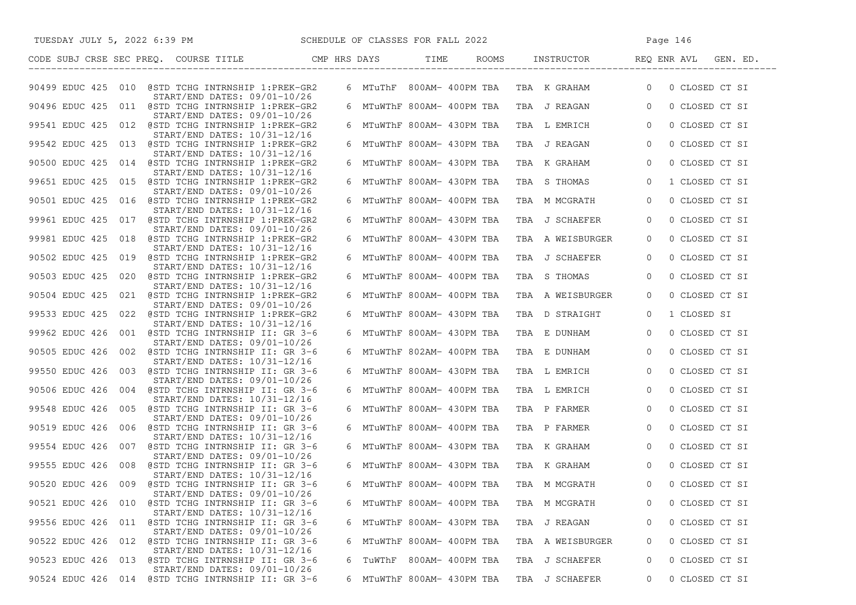| SCHEDULE OF CLASSES FOR FALL 2022<br>TUESDAY JULY 5, 2022 6:39 PM                       |   |  |                                 |                                           | Page 146                         |
|-----------------------------------------------------------------------------------------|---|--|---------------------------------|-------------------------------------------|----------------------------------|
| CODE SUBJ CRSE SEC PREQ. COURSE TITLE THE CMP HRS DAYS TIME                             |   |  | ROOMS                           |                                           | INSTRUCTOR REQ ENR AVL GEN. ED.  |
| 90499 EDUC 425 010 @STD TCHG INTRNSHIP 1:PREK-GR2<br>START/END DATES: 09/01-10/26       |   |  |                                 | 6 MTuThF 800AM-400PM TBA TBA KGRAHAM      | 0 CLOSED CT SI<br>$\overline{0}$ |
| 90496 EDUC 425 011 @STD TCHG INTRNSHIP 1:PREK-GR2                                       |   |  | 6 MTuWThF 800AM- 400PM TBA      | TBA J REAGAN                              | $\overline{0}$<br>0 CLOSED CT SI |
| $START/END$ DATES: $09/01-10/26$<br>99541 EDUC 425 012 @STD TCHG INTRNSHIP 1:PREK-GR2   |   |  | 6   MTuWThF  800AM-  430PM  TBA | TBA L EMRICH                              | $\overline{0}$<br>0 CLOSED CT SI |
| START/END DATES: 10/31-12/16<br>99542 EDUC 425 013 @STD TCHG INTRNSHIP 1:PREK-GR2       |   |  | 6 MTuWThF 800AM- 430PM TBA      | TBA J REAGAN                              | $\overline{0}$<br>0 CLOSED CT SI |
| $START/END$ DATES: $10/31-12/16$<br>90500 EDUC 425 014 @STD TCHG INTRNSHIP 1:PREK-GR2   |   |  | 6 MTuWThF 800AM- 430PM TBA      | TBA K GRAHAM                              | $\overline{0}$<br>0 CLOSED CT SI |
| $START/END$ DATES: $10/31-12/16$<br>99651 EDUC 425 015 @STD TCHG INTRNSHIP 1:PREK-GR2   |   |  | 6 MTuWThF 800AM- 430PM TBA      | TBA S THOMAS                              | 1 CLOSED CT SI<br>$\overline{0}$ |
| $START/END$ DATES: $09/01-10/26$<br>90501 EDUC 425 016 @STD TCHG INTRNSHIP 1:PREK-GR2   |   |  | 6 MTuWThF 800AM- 400PM TBA      | TBA M MCGRATH                             | $\overline{0}$<br>0 CLOSED CT SI |
| $START/END$ DATES: $10/31-12/16$<br>99961 EDUC 425 017 @STD TCHG INTRNSHIP 1:PREK-GR2   |   |  | 6 MTuWThF 800AM- 430PM TBA      | TBA J SCHAEFER                            | 0 CLOSED CT SI<br>$\overline{0}$ |
| START/END DATES: 09/01-10/26<br>99981 EDUC 425 018 @STD TCHG INTRNSHIP 1:PREK-GR2       |   |  | 6 MTuWThF 800AM- 430PM TBA      | TBA A WEISBURGER                          | 0 CLOSED CT SI<br>$\mathbf{0}$   |
| $START/END$ DATES: $10/31-12/16$<br>90502 EDUC 425 019 @STD TCHG INTRNSHIP 1:PREK-GR2   |   |  | 6 MTuWThF 800AM- 400PM TBA      | TBA J SCHAEFER                            | 0 CLOSED CT SI<br>0              |
| START/END DATES: 10/31-12/16<br>90503 EDUC 425 020 @STD TCHG INTRNSHIP 1:PREK-GR2       |   |  |                                 | TBA S THOMAS                              | 0 CLOSED CT SI                   |
| START/END DATES: 10/31-12/16                                                            |   |  | 6 MTuWThF 800AM- 400PM TBA      |                                           | $\overline{0}$                   |
| 90504 EDUC 425 021 @STD TCHG INTRNSHIP 1:PREK-GR2<br>START/END DATES: 09/01-10/26       |   |  | 6   MTuWThF  800AM-  400PM  TBA | TBA A WEISBURGER                          | 0 CLOSED CT SI<br>$\Omega$       |
| 99533 EDUC 425 022 @STD TCHG INTRNSHIP 1:PREK-GR2<br>START/END DATES: 10/31-12/16       |   |  | 6  MTuWThF 800AM- 430PM TBA     | TBA D STRAIGHT                            | 1 CLOSED SI<br>$\overline{0}$    |
| 99962 EDUC 426 001 @STD TCHG INTRNSHIP II: GR 3-6<br>START/END DATES: 09/01-10/26       |   |  | 6 MTuWThF 800AM- 430PM TBA      | TBA E DUNHAM                              | $\overline{0}$<br>0 CLOSED CT SI |
| 90505 EDUC 426 002 @STD TCHG INTRNSHIP II: GR 3-6<br>$START/END$ DATES: $10/31-12/16$   |   |  | 6 MTuWThF 802AM- 400PM TBA      | TBA E DUNHAM                              | 0 CLOSED CT SI<br>$\overline{0}$ |
| 99550 EDUC 426 003 @STD TCHG INTRNSHIP II: GR 3-6<br>START/END DATES: 09/01-10/26       |   |  | 6 MTuWThF 800AM- 430PM TBA      | TBA L EMRICH                              | $\overline{0}$<br>0 CLOSED CT SI |
| 90506 EDUC 426 004 @STD TCHG INTRNSHIP II: GR 3-6<br>$START/END$ DATES: $10/31-12/16$   |   |  | 6 MTuWThF 800AM- 400PM TBA      | TBA L EMRICH                              | 0 CLOSED CT SI<br>$\overline{0}$ |
| 99548 EDUC 426 005 @STD TCHG INTRNSHIP II: GR 3-6                                       |   |  | 6 MTuWThF 800AM- 430PM TBA      | TBA P FARMER                              | $\overline{0}$<br>0 CLOSED CT SI |
| START/END DATES: 09/01-10/26<br>90519 EDUC 426 006 @STD TCHG INTRNSHIP II: GR 3-6       |   |  |                                 | 6 MTuWThF 800AM- 400PM TBA  TBA  P FARMER | 0 CLOSED CT SI<br>$\overline{0}$ |
| START/END DATES: 10/31-12/16<br>99554 EDUC 426 007 @STD TCHG INTRNSHIP II: GR 3-6       |   |  |                                 | 6 MTuWThF 800AM- 430PM TBA TBA K GRAHAM   | 0 CLOSED CT SI<br>$\overline{0}$ |
| START/END DATES: 09/01-10/26<br>99555 EDUC 426 008 @STD TCHG INTRNSHIP II: GR 3-6       |   |  |                                 | 6 MTuWThF 800AM- 430PM TBA  TBA  K GRAHAM | 0 CLOSED CT SI<br>$\overline{0}$ |
| START/END DATES: 10/31-12/16<br>90520 EDUC 426 009 @STD TCHG INTRNSHIP II: GR 3-6       |   |  |                                 | 6 MTuWThF 800AM- 400PM TBA TBA M MCGRATH  | 0 CLOSED CT SI<br>$\Omega$       |
| START/END DATES: 09/01-10/26<br>@STD TCHG INTRNSHIP II: GR 3-6<br>90521 EDUC 426<br>010 |   |  | 6 MTuWThF 800AM- 400PM TBA      | TBA M MCGRATH                             | 0 CLOSED CT SI<br>0              |
| START/END DATES: 10/31-12/16<br>99556 EDUC 426<br>@STD TCHG INTRNSHIP II: GR 3-6<br>011 |   |  | 6 MTuWThF 800AM- 430PM TBA      | TBA J REAGAN                              | 0 CLOSED CT SI<br>0              |
| START/END DATES: 09/01-10/26<br>@STD TCHG INTRNSHIP II: GR 3-6<br>90522 EDUC 426<br>012 |   |  | 6 MTuWThF 800AM- 400PM TBA      | TBA A WEISBURGER                          | 0 CLOSED CT SI<br>0              |
| START/END DATES: 10/31-12/16<br>90523 EDUC 426<br>@STD TCHG INTRNSHIP II: GR 3-6<br>013 |   |  |                                 | J SCHAEFER                                |                                  |
| START/END DATES: 09/01-10/26                                                            | 6 |  | TuWThF 800AM- 400PM TBA         | TBA                                       | 0 CLOSED CT SI<br>0              |
| 90524 EDUC 426<br>@STD TCHG INTRNSHIP II: GR 3-6<br>014                                 |   |  | 6 MTuWThF 800AM- 430PM TBA      | TBA J SCHAEFER                            | 0 CLOSED CT SI<br>0              |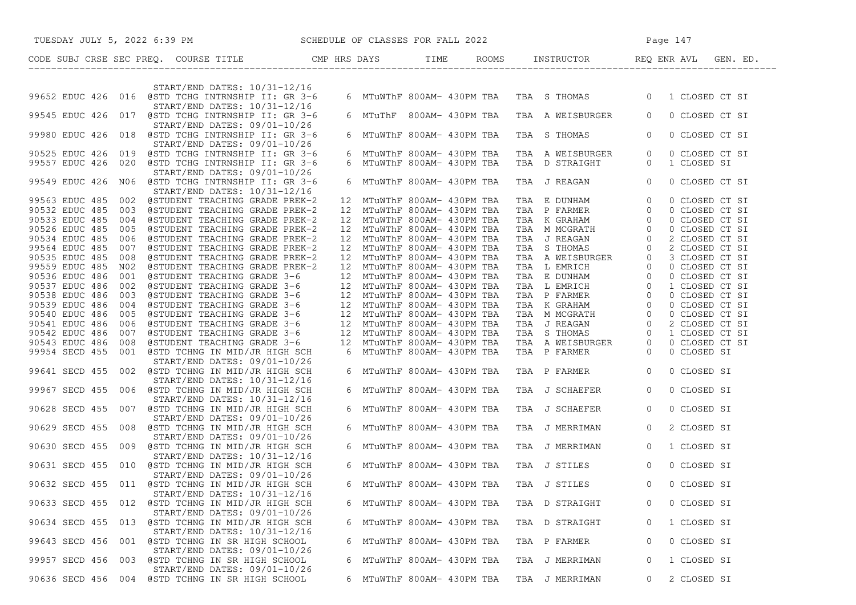| SCHEDULE OF CLASSES FOR FALL 2022<br>TUESDAY JULY 5, 2022 6:39 PM                                                                      |    |                                                          |  |                                                                                                                                                                                                                                                          |                | Page 147                      |  |
|----------------------------------------------------------------------------------------------------------------------------------------|----|----------------------------------------------------------|--|----------------------------------------------------------------------------------------------------------------------------------------------------------------------------------------------------------------------------------------------------------|----------------|-------------------------------|--|
| CODE SUBJ CRSE SEC PREQ. COURSE TITLE CMP HRS DAYS TIME ROOMS INSTRUCTOR REQ ENR AVL GEN. ED.                                          |    |                                                          |  |                                                                                                                                                                                                                                                          |                |                               |  |
|                                                                                                                                        |    |                                                          |  |                                                                                                                                                                                                                                                          |                |                               |  |
| START/END DATES: 10/31-12/16<br>99652 EDUC 426 016 @STD TCHG INTRNSHIP II: GR 3-6<br>START/END DATES: 10/31-12/16                      |    |                                                          |  | 6 MTuWThF 800AM- 430PM TBA TBA S THOMAS 0 1 CLOSED CT SI                                                                                                                                                                                                 |                |                               |  |
| 99545 EDUC 426 017 @STD TCHG INTRNSHIP II: GR 3-6<br>START/END DATES: 09/01-10/26                                                      |    |                                                          |  | 6 MTuThF 800AM- 430PM TBA TBA A WEISBURGER                                                                                                                                                                                                               | $\overline{0}$ | 0 CLOSED CT SI                |  |
| 99980 EDUC 426 018 @STD TCHG INTRNSHIP II: GR 3-6<br>START/END DATES: 09/01-10/26                                                      |    | 6 MTuWThF 800AM- 430PM TBA                               |  | TBA S THOMAS                                                                                                                                                                                                                                             | $\overline{0}$ | 0 CLOSED CT SI                |  |
| 90525 EDUC 426 019 @STD TCHG INTRNSHIP II: GR 3-6<br>99557 EDUC 426 020 @STD TCHG INTRNSHIP II: GR 3-6<br>START/END DATES: 09/01-10/26 |    | 6 MTuWThF 800AM- 430PM TBA<br>6 MTuWThF 800AM- 430PM TBA |  | TBA AWEISBURGER 0<br>TBA DSTRAIGHT 0                                                                                                                                                                                                                     |                | 0 CLOSED CT SI<br>1 CLOSED SI |  |
| 99549 EDUC 426 N06 @STD TCHG INTRNSHIP II: GR 3-6<br>START/END DATES: 10/31-12/16                                                      |    | 6 MTuWThF 800AM- 430PM TBA                               |  | TBA J REAGAN 0                                                                                                                                                                                                                                           |                | 0 CLOSED CT SI                |  |
| 99563 EDUC 485 002 @STUDENT TEACHING GRADE PREK-2                                                                                      |    | 12 MTuWThF 800AM- 430PM TBA                              |  | TBA E DUNHAM 0<br>TBA P FARMER 0<br>TBA K GRAHAM 0<br>TBA M MCGRATH 0<br>TBA J REAGAN<br>TBA J REAGAN 0<br>TBA S THOMAS 0<br>TBA A WEISBURGER 0<br>TBA L EMRICH 0<br>TBA L EMRICH 0<br>TBA L EMRICH 0<br>TBA L EMRICH 0<br>TBA L EMRICH 0<br>TBA K GRAHA |                | 0 CLOSED CT SI                |  |
| 90532 EDUC 485<br>003 @STUDENT TEACHING GRADE PREK-2                                                                                   |    | 12 MTuWThF 800AM- 430PM TBA                              |  |                                                                                                                                                                                                                                                          |                | 0 CLOSED CT SI                |  |
| 90533 EDUC 485<br>004 @STUDENT TEACHING GRADE PREK-2                                                                                   |    | 12 MTuWThF 800AM- 430PM TBA                              |  |                                                                                                                                                                                                                                                          |                | 0 CLOSED CT SI                |  |
| 90526 EDUC 485<br>@STUDENT TEACHING GRADE PREK-2<br>005                                                                                | 12 | MTuWThF 800AM- 430PM TBA                                 |  |                                                                                                                                                                                                                                                          |                | 0 CLOSED CT SI                |  |
| @STUDENT TEACHING GRADE PREK-2<br>90534 EDUC 485<br>006                                                                                |    | 12 MTuWThF 800AM- 430PM TBA                              |  |                                                                                                                                                                                                                                                          |                | 2 CLOSED CT SI                |  |
| 99564 EDUC 485<br>@STUDENT TEACHING GRADE PREK-2<br>007                                                                                |    | 12 MTuWThF 800AM- 430PM TBA                              |  |                                                                                                                                                                                                                                                          |                | 2 CLOSED CT SI                |  |
| 90535 EDUC 485<br>008<br>@STUDENT TEACHING GRADE PREK-2                                                                                |    | 12 MTuWThF 800AM- 430PM TBA                              |  |                                                                                                                                                                                                                                                          |                | 3 CLOSED CT SI                |  |
|                                                                                                                                        |    |                                                          |  |                                                                                                                                                                                                                                                          |                |                               |  |
| 99559 EDUC 485<br>N02<br>@STUDENT TEACHING GRADE PREK-2                                                                                |    | 12 MTuWThF 800AM- 430PM TBA                              |  |                                                                                                                                                                                                                                                          |                | 0 CLOSED CT SI                |  |
| 90536 EDUC 486<br>001<br>@STUDENT TEACHING GRADE 3-6                                                                                   |    | 12 MTuWThF 800AM- 430PM TBA                              |  |                                                                                                                                                                                                                                                          |                | 0 CLOSED CT SI                |  |
| 90537 EDUC 486<br>002 @STUDENT TEACHING GRADE 3-6                                                                                      |    | 12 MTuWThF 800AM- 430PM TBA                              |  |                                                                                                                                                                                                                                                          |                | 1 CLOSED CT SI                |  |
| 90538 EDUC 486<br>003 @STUDENT TEACHING GRADE 3-6                                                                                      |    | 12 MTuWThF 800AM- 430PM TBA                              |  |                                                                                                                                                                                                                                                          |                | 0 CLOSED CT SI                |  |
| 90539 EDUC 486<br>004 @STUDENT TEACHING GRADE 3-6                                                                                      |    | 12 MTuWThF 800AM- 430PM TBA                              |  |                                                                                                                                                                                                                                                          |                | 0 CLOSED CT SI                |  |
| 90540 EDUC 486<br>005<br>@STUDENT TEACHING GRADE 3-6                                                                                   |    | 12 MTuWThF 800AM- 430PM TBA                              |  |                                                                                                                                                                                                                                                          |                | 0 CLOSED CT SI                |  |
| 90541 EDUC 486 006 @STUDENT TEACHING GRADE 3-6                                                                                         |    | 12 MTuWThF 800AM- 430PM TBA                              |  |                                                                                                                                                                                                                                                          |                | 2 CLOSED CT SI                |  |
| 90542 EDUC 486 007 @STUDENT TEACHING GRADE 3-6                                                                                         |    | 12 MTuWThF 800AM- 430PM TBA                              |  |                                                                                                                                                                                                                                                          |                | 1 CLOSED CT SI                |  |
| 90543 EDUC 486 008<br>@STUDENT TEACHING GRADE 3-6                                                                                      |    | 12 MTuWThF 800AM- 430PM TBA                              |  |                                                                                                                                                                                                                                                          |                | 0 CLOSED CT SI                |  |
| 99954 SECD 455 001 @STD TCHNG IN MID/JR HIGH SCH                                                                                       |    | 6 MTuWThF 800AM- 430PM TBA                               |  |                                                                                                                                                                                                                                                          |                | 0 CLOSED SI                   |  |
| START/END DATES: 09/01-10/26                                                                                                           |    |                                                          |  |                                                                                                                                                                                                                                                          |                |                               |  |
| 99641 SECD 455 002 @STD TCHNG IN MID/JR HIGH SCH                                                                                       |    | 6 MTuWThF 800AM- 430PM TBA                               |  | TBA P FARMER 0                                                                                                                                                                                                                                           |                | 0 CLOSED SI                   |  |
| START/END DATES: 10/31-12/16<br>99967 SECD 455 006 @STD TCHNG IN MID/JR HIGH SCH                                                       |    | 6 MTuWThF 800AM- 430PM TBA                               |  | TBA J SCHAEFER                                                                                                                                                                                                                                           | $\overline{0}$ | 0 CLOSED SI                   |  |
| START/END DATES: 10/31-12/16<br>90628 SECD 455 007 @STD TCHNG IN MID/JR HIGH SCH                                                       |    | 6 MTuWThF 800AM- 430PM TBA                               |  | TBA J SCHAEFER                                                                                                                                                                                                                                           | $\overline{0}$ | 0 CLOSED SI                   |  |
| START/END DATES: 09/01-10/26<br>90629 SECD 455 008 @STD TCHNG IN MID/JR HIGH SCH                                                       |    | 6 MTuWThF 800AM- 430PM TBA                               |  | TBA J MERRIMAN                                                                                                                                                                                                                                           | $\circ$        | 2 CLOSED SI                   |  |
| START/END DATES: 09/01-10/26<br>90630 SECD 455 009 @STD TCHNG IN MID/JR HIGH SCH                                                       |    |                                                          |  | 6 MTuWThF 800AM- 430PM TBA TBA J MERRIMAN                                                                                                                                                                                                                | $\overline{0}$ | 1 CLOSED SI                   |  |
| START/END DATES: 10/31-12/16<br>90631 SECD 455 010 @STD TCHNG IN MID/JR HIGH SCH                                                       |    |                                                          |  | 6 MTuWThF 800AM- 430PM TBA TBA J STILES                                                                                                                                                                                                                  | $\overline{0}$ | 0 CLOSED SI                   |  |
| START/END DATES: 09/01-10/26<br>90632 SECD 455 011 @STD TCHNG IN MID/JR HIGH SCH                                                       |    |                                                          |  | 6 MTuWThF 800AM- 430PM TBA TBA J STILES                                                                                                                                                                                                                  | $\Omega$       | 0 CLOSED SI                   |  |
| START/END DATES: 10/31-12/16<br>90633 SECD 455 012 @STD TCHNG IN MID/JR HIGH SCH                                                       |    | 6 MTuWThF 800AM- 430PM TBA                               |  | TBA D STRAIGHT                                                                                                                                                                                                                                           | 0              | 0 CLOSED SI                   |  |
| START/END DATES: 09/01-10/26<br>90634 SECD 455 013 @STD TCHNG IN MID/JR HIGH SCH                                                       |    | 6 MTuWThF 800AM- 430PM TBA                               |  | TBA D STRAIGHT                                                                                                                                                                                                                                           | 0              | 1 CLOSED SI                   |  |
| START/END DATES: 10/31-12/16<br>99643 SECD 456<br>@STD TCHNG IN SR HIGH SCHOOL<br>001                                                  |    | 6 MTuWThF 800AM- 430PM TBA                               |  | TBA P FARMER                                                                                                                                                                                                                                             | 0              | 0 CLOSED SI                   |  |
| START/END DATES: 09/01-10/26<br>99957 SECD 456<br>@STD TCHNG IN SR HIGH SCHOOL<br>003                                                  | 6  | MTuWThF 800AM- 430PM TBA                                 |  | J MERRIMAN<br>TBA                                                                                                                                                                                                                                        | 0              | 1 CLOSED SI                   |  |
| START/END DATES: 09/01-10/26<br>90636 SECD 456<br>004 @STD TCHNG IN SR HIGH SCHOOL                                                     |    | 6 MTuWThF 800AM- 430PM TBA                               |  | TBA J MERRIMAN                                                                                                                                                                                                                                           | 0              | 2 CLOSED SI                   |  |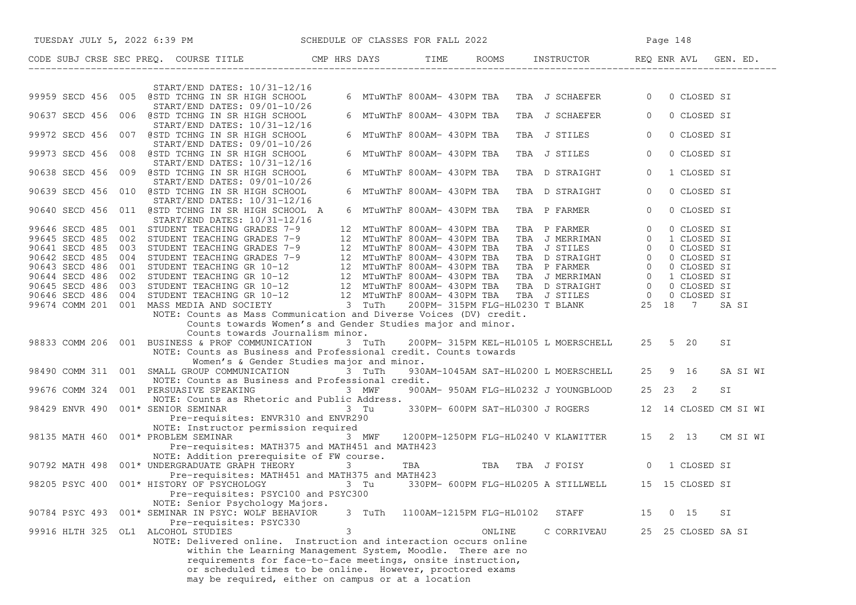| TUESDAY JULY 5, 2022 6:39 PM SCHEDULE OF CLASSES FOR FALL 2022                                                                                                                                                                                                                                                     |        |                          |                                             |                                                    |
|--------------------------------------------------------------------------------------------------------------------------------------------------------------------------------------------------------------------------------------------------------------------------------------------------------------------|--------|--------------------------|---------------------------------------------|----------------------------------------------------|
| CODE SUBJ CRSE SEC PREQ. COURSE TITLE TIME CMP HRS DAYS TIME ROOMS INSTRUCTOR THEQ ENR AVL GEN. ED.                                                                                                                                                                                                                |        |                          |                                             |                                                    |
| START/END DATES: 10/31-12/16                                                                                                                                                                                                                                                                                       |        |                          |                                             |                                                    |
| 99959 SECD 456 005 @STD TCHNG IN SR HIGH SCHOOL<br>START/END DATES: 09/01-10/26                                                                                                                                                                                                                                    |        |                          | 6 MTuWThF 800AM- 430PM TBA TBA J SCHAEFER 0 | 0 CLOSED SI                                        |
| 90637 SECD 456 006 @STD TCHNG IN SR HIGH SCHOOL<br>START/END DATES: 10/31-12/16                                                                                                                                                                                                                                    |        |                          | 6 MTuWThF 800AM- 430PM TBA TBA J SCHAEFER   | $\overline{0}$<br>0 CLOSED SI                      |
| 99972 SECD 456 007 @STD TCHNG IN SR HIGH SCHOOL<br>START/END DATES: 09/01-10/26                                                                                                                                                                                                                                    |        |                          | 6 MTuWThF 800AM- 430PM TBA TBA J STILES     | $\overline{0}$<br>0 CLOSED SI                      |
| 99973 SECD 456 008 @STD TCHNG IN SR HIGH SCHOOL<br>START/END DATES: 10/31-12/16                                                                                                                                                                                                                                    |        |                          | 6 MTuWThF 800AM- 430PM TBA TBA J STILES     | $\circ$<br>0 CLOSED SI                             |
| 90638 SECD 456 009 @STD TCHNG IN SR HIGH SCHOOL                                                                                                                                                                                                                                                                    |        |                          | 6 MTuWThF 800AM- 430PM TBA  TBA  D STRAIGHT | $\overline{0}$<br>1 CLOSED SI                      |
| START/END DATES: 09/01-10/26<br>90639 SECD 456 010 @STD TCHNG IN SR HIGH SCHOOL                                                                                                                                                                                                                                    |        |                          | 6 MTuWThF 800AM- 430PM TBA TBA D STRAIGHT   | 0 CLOSED SI<br>$\overline{0}$                      |
| START/END DATES: 10/31-12/16<br>90640 SECD 456 011 @STD TCHNG IN SR HIGH SCHOOL A                                                                                                                                                                                                                                  |        |                          | 6 MTuWThF 800AM- 430PM TBA TBA P FARMER     | $\overline{0}$<br>0 CLOSED SI                      |
| START/END DATES: 10/31-12/16<br>99646 SECD 485 001 STUDENT TEACHING GRADES 7-9 12 MTUWThF 800AM- 430PM TBA TBA P FARMER 00 0 CLOSED SI<br>99645 SECD 485 002 STUDENT TEACHING GRADES 7-9 12 MTUWThF 800AM- 430PM TBA TBA J MERRIMAN 0 1 CLOSED SI<br>90641 SECD 485                                                |        |                          |                                             |                                                    |
|                                                                                                                                                                                                                                                                                                                    |        |                          |                                             |                                                    |
|                                                                                                                                                                                                                                                                                                                    |        |                          |                                             |                                                    |
|                                                                                                                                                                                                                                                                                                                    |        |                          |                                             |                                                    |
|                                                                                                                                                                                                                                                                                                                    |        |                          |                                             |                                                    |
|                                                                                                                                                                                                                                                                                                                    |        |                          |                                             |                                                    |
|                                                                                                                                                                                                                                                                                                                    |        |                          |                                             |                                                    |
|                                                                                                                                                                                                                                                                                                                    |        |                          |                                             |                                                    |
|                                                                                                                                                                                                                                                                                                                    |        |                          |                                             |                                                    |
| NOTE: Counts as Mass Communication and Diverse Voices (DV) credit.<br>Counts towards Women's and Gender Studies major and minor.<br>Counts towards Journalism minor.<br>98833 COMM 206 001 BUSINESS & PROF COMMUNICATION                                                                                           | 3 TuTh |                          |                                             | 200PM- 315PM KEL-HL0105 L MOERSCHELL 25 5 20<br>SI |
| NOTE: Counts as Business and Professional credit. Counts towards                                                                                                                                                                                                                                                   |        |                          |                                             |                                                    |
| Women's & Gender Studies major and minor.                                                                                                                                                                                                                                                                          |        |                          |                                             | 930AM-1045AM SAT-HL0200 L MOERSCHELL 25 9 16       |
| 98490 COMM 311 001 SMALL GROUP COMMUNICATION 3 TuTh                                                                                                                                                                                                                                                                |        |                          |                                             | SA SI WI                                           |
| NOTE: Counts as Business and Professional credit.<br>99676 COMM 324 001 PERSUASIVE SPEAKING                                                                                                                                                                                                                        | 3 MWF  |                          |                                             | 900AM- 950AM FLG-HL0232 J YOUNGBLOOD 25 23 2<br>SI |
| NOTE: Counts as Rhetoric and Public Address.                                                                                                                                                                                                                                                                       |        |                          |                                             |                                                    |
| 98429 ENVR 490 001* SENIOR SEMINAR 3 Tu 330PM- 600PM SAT-HL0300 J ROGERS 12 14 CLOSED CM SI WI<br>Pre-requisites: ENVR310 and ENVR290                                                                                                                                                                              |        |                          |                                             |                                                    |
| NOTE: Instructor permission required                                                                                                                                                                                                                                                                               |        |                          |                                             |                                                    |
| 98135 MATH 460 001* PROBLEM SEMINAR 1 13 MWF 1200PM-1250PM FLG-HL0240 V KLAWITTER 15 2 13<br>Pre-requisites: MATH375 and MATH451 and MATH423                                                                                                                                                                       |        |                          |                                             | CM SI WI                                           |
| ELETIEURISM AND THE EXAMPLE OF THE COURSE.<br>NOTE: Addition prerequisite of FW course.<br>90792 MATH 498 001* UNDERGRADUATE GRAPH THEORY 3 TBA TBA TBA J FOISY 0 1 CLOSED SI                                                                                                                                      |        |                          |                                             |                                                    |
| 98205 PSYC 400 001* HISTORY OF PSYCHOLOGY 3 Tu 330PM- 600PM FLG-HL0205 A STILLWELL 15 15 CLOSED SI<br>Pre-requisites: PSYC100 and PSYC300<br>NOTE: Senior Psychology Majors.                                                                                                                                       |        |                          |                                             |                                                    |
| 001* SEMINAR IN PSYC: WOLF BEHAVIOR<br>90784 PSYC 493<br>Pre-requisites: PSYC330                                                                                                                                                                                                                                   | 3 TuTh | 1100AM-1215PM FLG-HL0102 | STAFF                                       | $0\quad 15$<br>SI<br>15                            |
| OL1 ALCOHOL STUDIES<br>99916 HLTH 325                                                                                                                                                                                                                                                                              | 3      |                          | ONLINE<br>C CORRIVEAU                       | 25 25 CLOSED SA SI                                 |
| NOTE: Delivered online. Instruction and interaction occurs online<br>within the Learning Management System, Moodle. There are no<br>requirements for face-to-face meetings, onsite instruction,<br>or scheduled times to be online. However, proctored exams<br>may be required, either on campus or at a location |        |                          |                                             |                                                    |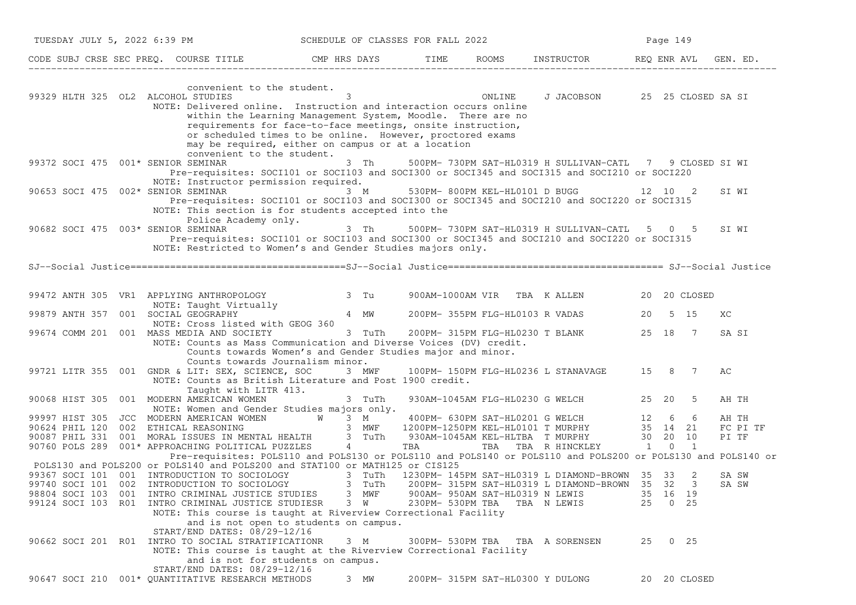|                                     | TUESDAY JULY 5, 2022 6:39 PM SCHEDULE OF CLASSES FOR FALL 2022                                                                                                                                                                                                                             |             |                  |                                 |                                                          | Page 149 |              |                   |
|-------------------------------------|--------------------------------------------------------------------------------------------------------------------------------------------------------------------------------------------------------------------------------------------------------------------------------------------|-------------|------------------|---------------------------------|----------------------------------------------------------|----------|--------------|-------------------|
|                                     | CODE SUBJ CRSE SEC PREQ. COURSE TITLE THE ROOMS INSTRUCTOR REQ ENR AVL GEN. ED.                                                                                                                                                                                                            |             |                  |                                 |                                                          |          |              |                   |
| 99329 HLTH 325 OL2 ALCOHOL STUDIES  | convenient to the student.<br>NOTE: Delivered online. Instruction and interaction occurs online<br>within the Learning Management System, Moodle. There are no<br>requirements for face-to-face meetings, onsite instruction,<br>or scheduled times to be online. However, proctored exams | 3 ONLINE    |                  |                                 | J JACOBSON 25 25 CLOSED SA SI                            |          |              |                   |
| 99372 SOCI 475 001* SENIOR SEMINAR  | may be required, either on campus or at a location<br>convenient to the student.<br>Pre-requisites: SOCI101 or SOCI103 and SOCI300 or SOCI345 and SOCI315 and SOCI210 or SOCI220<br>NOTE: Instructor permission required.                                                                  | 3 Th        |                  |                                 | 500PM- 730PM SAT-HL0319 H SULLIVAN-CATL 7 9 CLOSED SI WI |          |              |                   |
|                                     | 90653 SOCI 475 $002*$ SENIOR SEMINAR 3 M<br>Pre-requisites: SOCI101 or SOCI103 and SOCI300 or SOCI345 and SOCI210 and SOCI220 or SOCI315<br>NOTE: This section is for students accepted into the                                                                                           |             |                  |                                 | 530PM-800PM KEL-HL0101 D BUGG 12 10 2                    |          |              | SI WI             |
| 90682 SOCI 475 003* SENIOR SEMINAR  | Police Academy only.<br>Pre-requisites: SOCI101 or SOCI103 and SOCI300 or SOCI345 and SOCI210 and SOCI220 or SOCI315<br>NOTE: Restricted to Women's and Gender Studies majors only.                                                                                                        |             |                  |                                 | 3 Th 500PM-730PM SAT-HL0319 H SULLIVAN-CATL 5 0 5        |          |              | SI WI             |
|                                     |                                                                                                                                                                                                                                                                                            |             |                  |                                 |                                                          |          |              |                   |
|                                     | 99472 ANTH 305 VR1 APPLYING ANTHROPOLOGY 3 Tu                                                                                                                                                                                                                                              |             |                  |                                 | 900AM-1000AM VIR TBA K ALLEN 20 20 CLOSED                |          |              |                   |
| 99879 ANTH 357 001 SOCIAL GEOGRAPHY | NOTE: Taught Virtually<br>SOCTAL GEOGRAPHY 4 MW<br>NOTE: Cross listed with GEOG 360                                                                                                                                                                                                        |             |                  |                                 | 200PM- 355PM FLG-HL0103 R VADAS                          | 20 5 15  |              | ХC                |
|                                     | 99674 COMM 201 001 MASS MEDIA AND SOCIETY<br>NOTE: Counts as Mass Communication and Diverse Voices (DV) credit.<br>Counts towards Women's and Gender Studies major and minor.<br>Counts towards Journalism minor.                                                                          | 3 TuTh      |                  |                                 | 200PM-315PM FLG-HL0230 T BLANK 25 18 7                   |          |              | SA SI             |
|                                     | 99721 LITR 355 001 GNDR & LIT: SEX, SCIENCE, SOC 3 MWF 100PM-150PM FLG-HL0236 L STANAVAGE 15 8 7<br>NOTE: Counts as British Literature and Post 1900 credit.<br>Taught with LITR 413.                                                                                                      |             |                  |                                 |                                                          |          |              | АC                |
|                                     | 90068 HIST 305 001 MODERN AMERICAN WOMEN<br>NOTE: Women and Gender Studies majors only.                                                                                                                                                                                                    | 3 TuTh      |                  |                                 | 930AM-1045AM FLG-HL0230 G WELCH 25 20                    |          | 5            | AH TH             |
|                                     | 99997 HIST 305 JCC MODERN AMERICAN WOMEN W 3 M<br>90624 PHIL 120 002 ETHICAL REASONING 3 MWF 1200PM-1250PM KEL-HL0101 T MURPHY 35 14 21<br>90087 PHIL 331 001 MORAL ISSUES IN MENTAL HEALTH 3 TuTh 930AM-1045AM KEL-HLTBA T MURPHY 3                                                       |             |                  |                                 |                                                          |          |              | AH TH             |
|                                     |                                                                                                                                                                                                                                                                                            |             |                  |                                 |                                                          |          |              | FC PI TF<br>PI TF |
|                                     |                                                                                                                                                                                                                                                                                            |             |                  |                                 |                                                          |          |              |                   |
|                                     | Pre-requisites: POLS110 and POLS130 or POLS110 and POLS140 or POLS110 and POLS200 or POLS130 and POLS140 or                                                                                                                                                                                |             |                  |                                 |                                                          |          |              |                   |
|                                     | POLS130 and POLS200 or POLS140 and POLS200 and STAT100 or MATH125 or CIS125                                                                                                                                                                                                                |             |                  |                                 |                                                          |          |              | SA SW             |
|                                     | 99367 SOCI 101 001 INTRODUCTION TO SOCIOLOGY 3 TuTh 1230PM-145PM SAT-HL0319 L DIAMOND-BROWN 35 33 2<br>99740 SOCI 101 002 INTRODUCTION TO SOCIOLOGY 3 TuTh 200PM-315PM SAT-HL0319 L DIAMOND-BROWN 35 32 3                                                                                  |             |                  |                                 | 200PM- 315PM SAT-HL0319 L DIAMOND-BROWN 35 32 3          |          |              | SA SW             |
|                                     | 98804 SOCI 103 001 INTRO CRIMINAL JUSTICE STUDIES                                                                                                                                                                                                                                          | 3 MWF       |                  | 900AM- 950AM SAT-HL0319 N LEWIS |                                                          | 35 16 19 |              |                   |
|                                     | 99124 SOCI 103 R01 INTRO CRIMINAL JUSTICE STUDIESR<br>NOTE: This course is taught at Riverview Correctional Facility<br>and is not open to students on campus.                                                                                                                             | $3 \quad W$ | 230PM- 530PM TBA |                                 | TBA N LEWIS                                              | 25 0 25  |              |                   |
|                                     | START/END DATES: 08/29-12/16<br>90662 SOCI 201 R01 INTRO TO SOCIAL STRATIFICATIONR                                                                                                                                                                                                         | 3 M         |                  |                                 | 300PM- 530PM TBA TBA A SORENSEN                          | 25 0 25  |              |                   |
|                                     | NOTE: This course is taught at the Riverview Correctional Facility<br>and is not for students on campus.<br>START/END DATES: 08/29-12/16                                                                                                                                                   |             |                  |                                 |                                                          |          |              |                   |
|                                     | 90647 SOCI 210 001* QUANTITATIVE RESEARCH METHODS                                                                                                                                                                                                                                          | 3 MW        |                  |                                 | 200PM- 315PM SAT-HL0300 Y DULONG                         |          | 20 20 CLOSED |                   |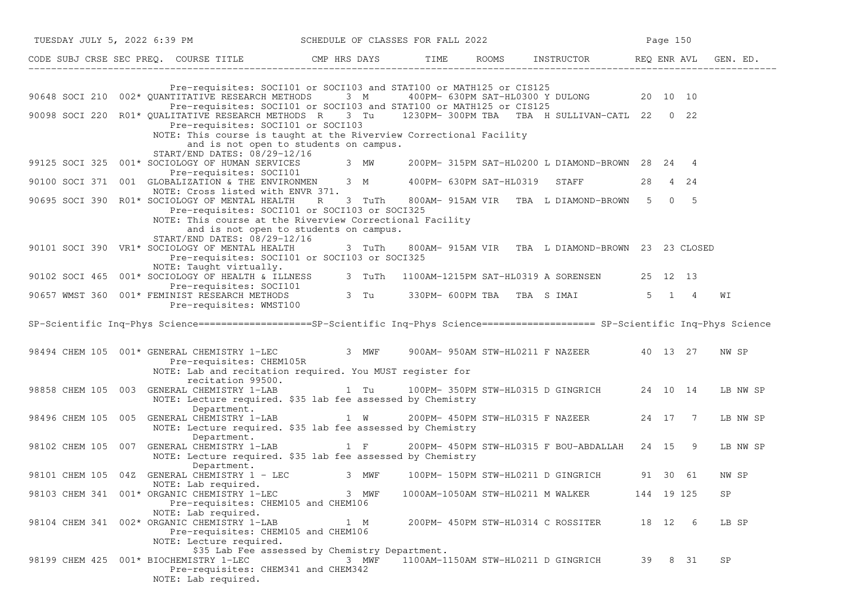| TUESDAY JULY 5, 2022 6:39 PM SCHEDULE OF CLASSES FOR FALL 2022                                                                                                                                                                                      |                                                                                                                                            |                                   |                                                         | Page 150 |            |          |
|-----------------------------------------------------------------------------------------------------------------------------------------------------------------------------------------------------------------------------------------------------|--------------------------------------------------------------------------------------------------------------------------------------------|-----------------------------------|---------------------------------------------------------|----------|------------|----------|
| CODE SUBJ CRSE SEC PREQ. COURSE TITLE TIME ROOMS INSTRUCTOR REQ ENR AVL GEN. ED.                                                                                                                                                                    |                                                                                                                                            |                                   |                                                         |          |            |          |
| 90648 SOCI 210 002* QUANTITATIVE RESEARCH METHODS 3 M                                                                                                                                                                                               | Pre-requisites: SOCI101 or SOCI103 and STAT100 or MATH125 or CIS125<br>Pre-requisites: SOCI101 or SOCI103 and STAT100 or MATH125 or CIS125 |                                   | 400PM- 630PM SAT-HL0300 Y DULONG 20 10 10               |          |            |          |
| 90098 SOCI 220 R01* QUALITATIVE RESEARCH METHODS R 3 Tu 1230PM-300PM TBA TBA H SULLIVAN-CATL 22 0 22                                                                                                                                                |                                                                                                                                            |                                   |                                                         |          |            |          |
| Pre-requisites: SOCI101 or SOCI103<br>NOTE: This course is taught at the Riverview Correctional Facility<br>START/END DATES: 08/29-12/16                                                                                                            | and is not open to students on campus.                                                                                                     |                                   |                                                         |          |            |          |
| 99125 SOCI 325 001* SOCIOLOGY OF HUMAN SERVICES 3 MW 200PM-315PM SAT-HL0200 L DIAMOND-BROWN 28 24 4                                                                                                                                                 |                                                                                                                                            |                                   |                                                         |          |            |          |
| Pre-requisites: SOCI101<br>90100 SOCI 371 001 GLOBALIZATION & THE ENVIRONMEN 3 M 400PM- 630PM SAT-HL0319 STAFF<br>NOTE: Cross listed with ENVR 371.                                                                                                 |                                                                                                                                            |                                   |                                                         |          | 28 4 24    |          |
| 90695 SOCI 390 R01* SOCIOLOGY OF MENTAL HEALTH<br>NOTE: This course at the Riverview Correctional Facility                                                                                                                                          | R<br>3 TuTh<br>Pre-requisites: SOCI101 or SOCI103 or SOCI325                                                                               |                                   | 800AM-915AM VIR TBA L DIAMOND-BROWN 5 0 5               |          |            |          |
| START/END DATES: 08/29-12/16<br>90101 SOCI 390 VR1* SOCIOLOGY OF MENTAL HEALTH                                                                                                                                                                      | and is not open to students on campus.<br>Pre-requisites: SOCI101 or SOCI103 or SOCI325                                                    |                                   | 3 TuTh 800AM-915AM VIR TBA L DIAMOND-BROWN 23 23 CLOSED |          |            |          |
| NOTE: Taught virtually.<br>90102 SOCI 465 001* SOCIOLOGY OF HEALTH & ILLNESS 3 TuTh 1100AM-1215PM SAT-HL0319 A SORENSEN 25 12 13<br>Pre-requisites: SOCI101<br>90657 WMST 360 001* FEMINIST RESEARCH METHODS 3 Tu 330PM- 600PM TBA TBA S IMAI 5 1 4 |                                                                                                                                            |                                   |                                                         |          |            |          |
| Pre-requisites: WMST100                                                                                                                                                                                                                             |                                                                                                                                            |                                   |                                                         |          |            | WΙ       |
| SP-Scientific Inq-Phys Science===================SP-Scientific Inq-Phys Science==================== SP-Scientific Inq-Phys Science                                                                                                                  |                                                                                                                                            |                                   |                                                         |          |            |          |
| 98494 CHEM 105 001* GENERAL CHEMISTRY 1-LEC 3 MWF 900AM-950AM STW-HL0211 F NAZEER 40 13 27<br>Pre-requisites: CHEM105R<br>NOTE: Lab and recitation required. You MUST register for                                                                  |                                                                                                                                            |                                   |                                                         |          |            | NW SP    |
| recitation 99500.<br>98858 CHEM 105 003 GENERAL CHEMISTRY 1-LAB 1 Tu 100PM-350PM STW-HL0315 D GINGRICH 24 10 14<br>NOTE: Lecture required. \$35 lab fee assessed by Chemistry                                                                       |                                                                                                                                            |                                   |                                                         |          |            | LB NW SP |
| Department.<br>98496 CHEM 105 005 GENERAL CHEMISTRY 1-LAB 1 W<br>NOTE: Lecture required. \$35 lab fee assessed by Chemistry<br>Department.                                                                                                          |                                                                                                                                            |                                   | 200PM- 450PM STW-HL0315 F NAZEER 24 17 7                |          |            | LB NW SP |
| 98102 CHEM 105 007 GENERAL CHEMISTRY 1-LAB<br>NOTE: Lecture required. \$35 lab fee assessed by Chemistry                                                                                                                                            | $1 \tF$                                                                                                                                    |                                   | 200PM- 450PM STW-HL0315 F BOU-ABDALLAH 24 15 9          |          |            | LB NW SP |
| Department.<br>98101 CHEM 105 04Z GENERAL CHEMISTRY 1 - LEC 3 MWF<br>NOTE: Lab required.                                                                                                                                                            |                                                                                                                                            |                                   | 100PM- 150PM STW-HL0211 D GINGRICH 91 30 61             |          |            | NW SP    |
| 98103 CHEM 341 001* ORGANIC CHEMISTRY 1-LEC<br>Pre-requisites: CHEM105 and CHEM106<br>NOTE: Lab required.                                                                                                                                           | 3 MWF                                                                                                                                      | 1000AM-1050AM STW-HL0211 M WALKER |                                                         |          | 144 19 125 | SP       |
| 98104 CHEM 341 002* ORGANIC CHEMISTRY 1-LAB<br>Pre-requisites: CHEM105 and CHEM106<br>NOTE: Lecture required.                                                                                                                                       | 1 M                                                                                                                                        |                                   | 200PM- 450PM STW-HL0314 C ROSSITER                      |          | 18 12 6    | LB SP    |
| 98199 CHEM 425 001* BIOCHEMISTRY 1-LEC<br>Pre-requisites: CHEM341 and CHEM342<br>NOTE: Lab required.                                                                                                                                                | \$35 Lab Fee assessed by Chemistry Department.<br>3 MWF                                                                                    |                                   | 1100AM-1150AM STW-HL0211 D GINGRICH                     | 39       | 8 31       | SP       |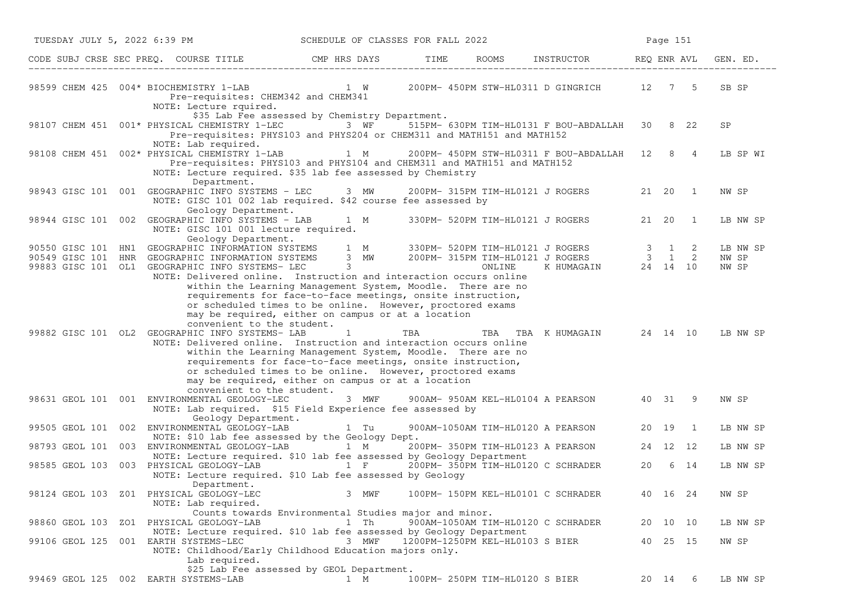| TUESDAY JULY 5, 2022 6:39 PM |                                                                                                                                                                                                                                                                                                           | SCHEDULE OF CLASSES FOR FALL 2022                                                                                                                                                                                                                                                                                                                                                                                                               |                                 |                                |                                               |       | Page 151       |                            |
|------------------------------|-----------------------------------------------------------------------------------------------------------------------------------------------------------------------------------------------------------------------------------------------------------------------------------------------------------|-------------------------------------------------------------------------------------------------------------------------------------------------------------------------------------------------------------------------------------------------------------------------------------------------------------------------------------------------------------------------------------------------------------------------------------------------|---------------------------------|--------------------------------|-----------------------------------------------|-------|----------------|----------------------------|
|                              | CODE SUBJ CRSE SEC PREQ. COURSE TITLE THE CMP HRS DAYS TIME                                                                                                                                                                                                                                               |                                                                                                                                                                                                                                                                                                                                                                                                                                                 |                                 |                                | ROOMS INSTRUCTOR REQ ENR AVL                  |       |                | GEN. ED.                   |
|                              | 98599 CHEM 425 004* BIOCHEMISTRY 1-LAB<br>Pre-requisites: CHEM342 and CHEM341<br>NOTE: Lecture rquired.                                                                                                                                                                                                   | 1 W                                                                                                                                                                                                                                                                                                                                                                                                                                             |                                 |                                | 200PM- 450PM STW-HL0311 D GINGRICH 12 7 5     |       |                | SB SP                      |
|                              | 98107 CHEM 451 001* PHYSICAL CHEMISTRY 1-LEC<br>NOTE: Lab required.                                                                                                                                                                                                                                       | \$35 Lab Fee assessed by Chemistry Department.<br>3 WF<br>Pre-requisites: PHYS103 and PHYS204 or CHEM311 and MATH151 and MATH152                                                                                                                                                                                                                                                                                                                |                                 |                                | 515PM- 630PM TIM-HL0131 F BOU-ABDALLAH        |       | 30 8 22        | SP                         |
|                              | 98108 CHEM 451 002* PHYSICAL CHEMISTRY 1-LAB<br>NOTE: Lecture required. \$35 lab fee assessed by Chemistry                                                                                                                                                                                                | $1 \quad M$<br>Pre-requisites: PHYS103 and PHYS104 and CHEM311 and MATH151 and MATH152                                                                                                                                                                                                                                                                                                                                                          |                                 |                                | 200PM- 450PM STW-HL0311 F BOU-ABDALLAH 12 8 4 |       |                | LB SP WI                   |
|                              | Department.<br>98943 GISC 101 001 GEOGRAPHIC INFO SYSTEMS - LEC 3 MW 200PM-315PM TIM-HL0121 J ROGERS<br>NOTE: GISC 101 002 lab required. \$42 course fee assessed by<br>Geology Department.                                                                                                               |                                                                                                                                                                                                                                                                                                                                                                                                                                                 |                                 |                                |                                               |       | 21  20  1      | NW SP                      |
|                              | 98944 GISC 101 002 GEOGRAPHIC INFO SYSTEMS - LAB 1 M<br>NOTE: GISC 101 001 lecture required.<br>Geology Department.                                                                                                                                                                                       |                                                                                                                                                                                                                                                                                                                                                                                                                                                 |                                 |                                | 330PM- 520PM TIM-HL0121 J ROGERS              | 21 20 | $\overline{1}$ | LB NW SP                   |
|                              | 90550 GISC 101 HN1 GEOGRAPHIC INFORMATION SYSTEMS 1 M 330PM-520PM TIM-HL0121 JROGERS 3 1 2<br>90549 GISC 101 HNR GEOGRAPHIC INFORMATION SYSTEMS 3 MW 200PM-315PM TIM-HL0121 JROGERS 3 1 2<br>99883 GISC 101 OL1 GEOGRAPHIC INFO SYST<br>NOTE: Delivered online. Instruction and interaction occurs online | within the Learning Management System, Moodle. There are no                                                                                                                                                                                                                                                                                                                                                                                     |                                 |                                |                                               |       |                | LB NW SP<br>NW SP<br>NW SP |
|                              | convenient to the student.<br>99882 GISC 101 OL2 GEOGRAPHIC INFO SYSTEMS- LAB<br>NOTE: Delivered online. Instruction and interaction occurs online<br>convenient to the student.                                                                                                                          | requirements for face-to-face meetings, onsite instruction,<br>or scheduled times to be online. However, proctored exams<br>may be required, either on campus or at a location<br>$\mathbf{1}$<br>within the Learning Management System, Moodle. There are no<br>requirements for face-to-face meetings, onsite instruction,<br>or scheduled times to be online. However, proctored exams<br>may be required, either on campus or at a location | TBA                             |                                | TBA TBA KHUMAGAIN 24 14 10                    |       |                | LB NW SP                   |
|                              | 98631 GEOL 101 001 ENVIRONMENTAL GEOLOGY-LEC<br>NOTE: Lab required. \$15 Field Experience fee assessed by<br>Geology Department.                                                                                                                                                                          | 3 MWF                                                                                                                                                                                                                                                                                                                                                                                                                                           |                                 |                                | 900AM- 950AM KEL-HL0104 A PEARSON 40 31       |       | - 9            | NW SP                      |
|                              | 99505 GEOL 101 002 ENVIRONMENTAL GEOLOGY-LAB                                                                                                                                                                                                                                                              | 1 Tu                                                                                                                                                                                                                                                                                                                                                                                                                                            |                                 |                                | 900AM-1050AM TIM-HL0120 A PEARSON             | 20 19 | $\overline{1}$ | LB NW SP                   |
| 98793 GEOL 101               | NOTE: \$10 lab fee assessed by the Geology Dept.<br>003 ENVIRONMENTAL GEOLOGY-LAB 1 M 200PM-350PM TIM-HL0123 A PEARSON                                                                                                                                                                                    |                                                                                                                                                                                                                                                                                                                                                                                                                                                 |                                 |                                |                                               |       | 24 12 12       | LB NW SP                   |
|                              | NOTE: Lecture required. \$10 lab fee assessed by Geology Department<br>98585 GEOL 103 003 PHYSICAL GEOLOGY-LAB<br>NOTE: Lecture required. \$10 Lab fee assessed by Geology                                                                                                                                | $1 \quad F$                                                                                                                                                                                                                                                                                                                                                                                                                                     |                                 |                                | 200PM- 350PM TIM-HL0120 C SCHRADER            | 20    | 6 14           | LB NW SP                   |
|                              | Department.<br>98124 GEOL 103 Z01 PHYSICAL GEOLOGY-LEC<br>NOTE: Lab required.                                                                                                                                                                                                                             | 3 MWF                                                                                                                                                                                                                                                                                                                                                                                                                                           |                                 |                                | 100PM- 150PM KEL-HL0101 C SCHRADER            |       | 40 16 24       | NW SP                      |
|                              | 98860 GEOL 103 ZO1 PHYSICAL GEOLOGY-LAB                                                                                                                                                                                                                                                                   | Counts towards Environmental Studies major and minor.<br>1 Th                                                                                                                                                                                                                                                                                                                                                                                   |                                 |                                | 900AM-1050AM TIM-HL0120 C SCHRADER            |       | 20 10 10       | LB NW SP                   |
|                              | NOTE: Lecture required. \$10 lab fee assessed by Geology Department<br>99106 GEOL 125 001 EARTH SYSTEMS-LEC<br>NOTE: Childhood/Early Childhood Education majors only.                                                                                                                                     | 3 MWF                                                                                                                                                                                                                                                                                                                                                                                                                                           | 1200PM-1250PM KEL-HL0103 S BIER |                                |                                               |       | 40 25 15       | NW SP                      |
|                              | Lab required.<br>99469 GEOL 125 002 EARTH SYSTEMS-LAB                                                                                                                                                                                                                                                     | \$25 Lab Fee assessed by GEOL Department.<br>1 M                                                                                                                                                                                                                                                                                                                                                                                                |                                 | 100PM- 250PM TIM-HL0120 S BIER |                                               |       | 20 14<br>6     | LB NW SP                   |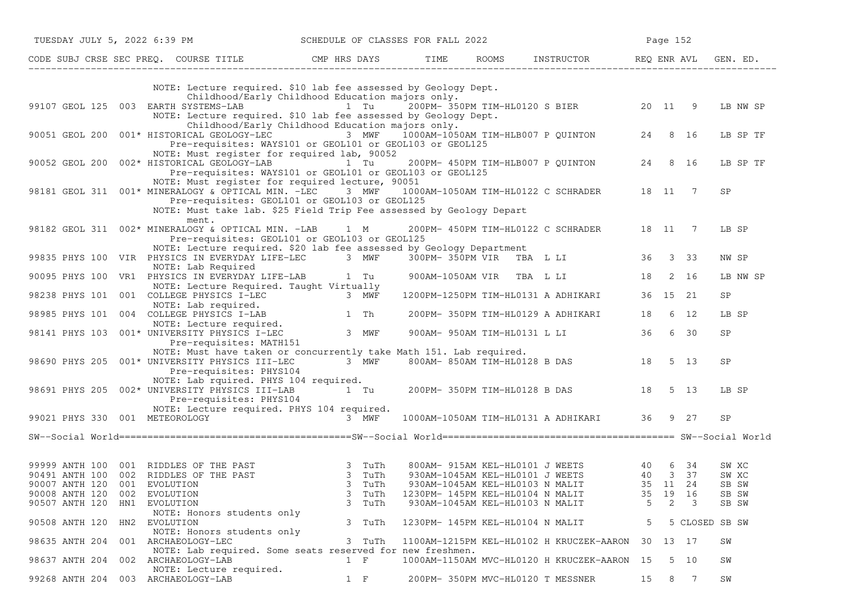| TUESDAY JULY 5, 2022 6:39 PM                                                                                     |                                                                                                                                                                                                                         |                        | SCHEDULE OF CLASSES FOR FALL 2022 |                                                                                                                                  |         | Page 152        |                         |
|------------------------------------------------------------------------------------------------------------------|-------------------------------------------------------------------------------------------------------------------------------------------------------------------------------------------------------------------------|------------------------|-----------------------------------|----------------------------------------------------------------------------------------------------------------------------------|---------|-----------------|-------------------------|
|                                                                                                                  | CODE SUBJ CRSE SEC PREQ. COURSE TITLE THE CMP HRS DAYS TIME                                                                                                                                                             |                        |                                   | ROOMS INSTRUCTOR REQ ENR AVL GEN. ED.                                                                                            |         |                 |                         |
|                                                                                                                  | NOTE: Lecture required. \$10 lab fee assessed by Geology Dept.                                                                                                                                                          |                        |                                   |                                                                                                                                  |         |                 |                         |
|                                                                                                                  | Childhood/Early Childhood Education majors only.<br>99107 GEOL 125 003 EARTH SYSTEMS-LAB<br>NOTE: Lecture required. \$10 lab fee assessed by Geology Dept.                                                              |                        |                                   |                                                                                                                                  |         |                 | LB NW SP                |
|                                                                                                                  | Childhood/Early Childhood Education majors only.<br>90051 GEOL 200 001* HISTORICAL GEOLOGY-LEC 3 MWF<br>Pre-requisites: WAYS101 or GEOL101 or GEOL103 or GEOL125                                                        |                        |                                   | 1000AM-1050AM TIM-HLB007 P QUINTON                                                                                               |         | 24 8 16         | LB SP TF                |
| 90052 GEOL 200 002* HISTORICAL GEOLOGY-LAB                                                                       | NOTE: Must register for required lab, 90052<br>Pre-requisites: WAYS101 or GEOL101 or GEOL103 or GEOL125                                                                                                                 | 1 Tu                   |                                   | 200PM- 450PM TIM-HLB007 P QUINTON                                                                                                | 24      | 8 16            | LB SP TF                |
|                                                                                                                  | NOTE: Must register for required lecture, 90051<br>98181 GEOL 311 001* MINERALOGY & OPTICAL MIN. -LEC<br>Pre-requisites: GEOL101 or GEOL103 or GEOL125                                                                  | 3 MWF                  |                                   | 1000AM-1050AM TIM-HL0122 C SCHRADER 18 11                                                                                        |         | 7               | <b>SP</b>               |
|                                                                                                                  | NOTE: Must take lab. \$25 Field Trip Fee assessed by Geology Depart<br>ment.<br>98182 GEOL 311 002* MINERALOGY & OPTICAL MIN. -LAB 1 M                                                                                  |                        |                                   | 200PM- 450PM TIM-HL0122 C SCHRADER 18 11 7                                                                                       |         |                 | LB SP                   |
|                                                                                                                  | Pre-requisites: GEOL101 or GEOL103 or GEOL125<br>NOTE: Lecture required. \$20 lab fee assessed by Geology Department<br>99835 PHYS 100 VIR PHYSICS IN EVERYDAY LIFE-LEC 3 MWF                                           |                        | 300PM-350PM VIR TBA L LI          |                                                                                                                                  |         | 36 3 33         | NW SP                   |
|                                                                                                                  | NOTE: Lab Required<br>90095 PHYS 100 VR1 PHYSICS IN EVERYDAY LIFE-LAB 1 Tu                                                                                                                                              |                        |                                   | 900AM-1050AM VIR TBA L LI                                                                                                        | 18      | 2 16            | LB NW SP                |
|                                                                                                                  | NOTE: Lecture Required. Taught Virtually                                                                                                                                                                                |                        |                                   | 1200PM-1250PM TIM-HL0131 A ADHIKARI                                                                                              |         | 36 15 21        | SP                      |
|                                                                                                                  |                                                                                                                                                                                                                         |                        |                                   | 200PM- 350PM TIM-HL0129 A ADHIKARI                                                                                               | 18      | 6 12            | LB SP                   |
|                                                                                                                  | 98238 PHYS 101 001 COLLEGE PHYSICS I-LEC<br>NOTE: Lab required.<br>98985 PHYS 101 004 COLLEGE PHYSICS I-LAB<br>NOTE: Lecture required.<br>98141 PHYS 103 001* UNIVERSITY PHYSICS I-LEC 3 MWF<br>Pre-requisites: MATH151 |                        |                                   | 900AM- 950AM TIM-HL0131 L LI                                                                                                     | 36      | 6 30            | SP                      |
|                                                                                                                  | NOTE: Must have taken or concurrently take Math 151. Lab required.<br>98690 PHYS 205 001* UNIVERSITY PHYSICS III-LEC<br>Pre-requisites: PHYS104                                                                         | 3 MWF                  |                                   | 800AM-850AM TIM-HL0128 B DAS 18                                                                                                  |         | 5 13            | <b>SP</b>               |
|                                                                                                                  | NOTE: Lab rquired. PHYS 104 required.<br>98691 PHYS 205 002* UNIVERSITY PHYSICS III-LAB<br>Pre-requisites: PHYS104                                                                                                      |                        |                                   | $1$ Tu $200$ PM-350PM TIM-HL0128 B DAS $18$ 5 13                                                                                 |         |                 | LB SP                   |
| 99021 PHYS 330 001 METEOROLOGY                                                                                   | NOTE: Lecture required. PHYS 104 required.                                                                                                                                                                              | 3 MWF                  |                                   | 1000AM-1050AM TIM-HL0131 A ADHIKARI 36 9 27                                                                                      |         |                 | SP                      |
|                                                                                                                  |                                                                                                                                                                                                                         |                        |                                   |                                                                                                                                  |         |                 |                         |
| 99999 ANTH 100 001 RIDDLES OF THE PAST<br>90491 ANTH 100 002 RIDDLES OF THE PAST<br>90007 ANTH 120 001 EVOLUTION | 3 TuTh<br>3 TuTh<br>3 TuTh                                                                                                                                                                                              | 3 TuTh                 |                                   | 800AM-915AM KEL-HL0101 J WEETS 40 6 34<br>930AM-1045AM KEL-HL0101 J WEETS 40 3 37<br>35 11 24<br>930AM-1045AM KEL-HL0103 N MALIT |         |                 | SW XC<br>SW XC<br>SB SW |
| 90008 ANTH 120<br>002<br>90507 ANTH 120<br>HN1                                                                   | EVOLUTION<br>EVOLUTION                                                                                                                                                                                                  | 3<br>TuTh<br>3<br>TuTh | 1230PM- 145PM KEL-HL0104 N MALIT  | 930AM-1045AM KEL-HL0103 N MALIT                                                                                                  | 35<br>5 | 19 16<br>2<br>3 | SB SW<br>SB SW          |
| 90508 ANTH 120<br>HN2                                                                                            | NOTE: Honors students only<br>EVOLUTION                                                                                                                                                                                 | 3 TuTh                 | 1230PM- 145PM KEL-HL0104 N MALIT  |                                                                                                                                  | 5       |                 | 5 CLOSED SB SW          |
| 98635 ANTH 204                                                                                                   | NOTE: Honors students only<br>001 ARCHAEOLOGY-LEC                                                                                                                                                                       | 3 TuTh                 |                                   | 1100AM-1215PM KEL-HL0102 H KRUCZEK-AARON                                                                                         | 30      | 13 17           | SW                      |
| 98637 ANTH 204                                                                                                   | NOTE: Lab required. Some seats reserved for new freshmen.<br>002 ARCHAEOLOGY-LAB                                                                                                                                        | $1 \quad F$            |                                   | 1000AM-1150AM MVC-HL0120 H KRUCZEK-AARON 15                                                                                      |         | 5 10            | SW                      |
| 99268 ANTH 204 003 ARCHAEOLOGY-LAB                                                                               | NOTE: Lecture required.                                                                                                                                                                                                 | $1 \quad F$            |                                   | 200PM- 350PM MVC-HL0120 T MESSNER                                                                                                | 15      | 8 7             | SW                      |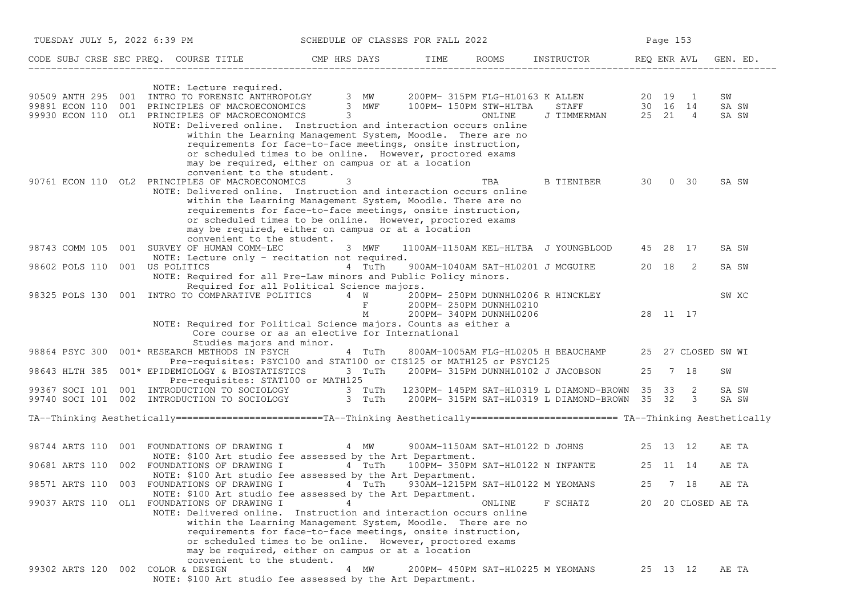| TUESDAY JULY 5, 2022 6:39 PM |                                                                                                                                                                                                                                                                                                                                                                                                                                                                                                                        | SCHEDULE OF CLASSES FOR FALL 2022 |      |                                                                                          |                                                 |          | Page 153 |                    |                      |
|------------------------------|------------------------------------------------------------------------------------------------------------------------------------------------------------------------------------------------------------------------------------------------------------------------------------------------------------------------------------------------------------------------------------------------------------------------------------------------------------------------------------------------------------------------|-----------------------------------|------|------------------------------------------------------------------------------------------|-------------------------------------------------|----------|----------|--------------------|----------------------|
|                              | CODE SUBJ CRSE SEC PREQ. COURSE TITLE THE CMP HRS DAYS                                                                                                                                                                                                                                                                                                                                                                                                                                                                 |                                   | TIME |                                                                                          | ROOMS INSTRUCTOR REQ ENR AVL                    |          |          |                    | GEN. ED.             |
|                              | NOTE: Lecture required.<br>90509 ANTH 295 001 INTRO TO FORENSIC ANTHROPOLGY 3 MW 200PM-315PM FLG-HL0163 K ALLEN 20 19 1<br>99891 ECON 110 001 PRINCIPLES OF MACROECONOMICS 3 MWF 100PM-150PM STW-HLTBA STAFF 30 16 14<br>99930 ECON 110 OL1 PRINCIPLES OF MACROECONOMICS 3<br>NOTE: Delivered online. Instruction and interaction occurs online<br>within the Learning Management System, Moodle. There are no<br>requirements for face-to-face meetings, onsite instruction,                                          |                                   |      | ONLINE                                                                                   | STAFF 30 16 14<br>J TIMMERMAN 25 21 4           |          |          |                    | SW<br>SA SW<br>SA SW |
|                              | or scheduled times to be online. However, proctored exams<br>may be required, either on campus or at a location<br>convenient to the student.<br>90761 ECON 110 OL2 PRINCIPLES OF MACROECONOMICS<br>NOTE: Delivered online. Instruction and interaction occurs online<br>within the Learning Management System, Moodle. There are no<br>requirements for face-to-face meetings, onsite instruction,<br>or scheduled times to be online. However, proctored exams<br>may be required, either on campus or at a location | 3                                 |      | TBA                                                                                      | B TIENIBER                                      | 30 —     |          | 0 30               | SA SW                |
|                              | convenient to the student.<br>98743 COMM 105 001 SURVEY OF HUMAN COMM-LEC                                                                                                                                                                                                                                                                                                                                                                                                                                              | 3 MWF                             |      |                                                                                          | 1100AM-1150AM KEL-HLTBA J YOUNGBLOOD            |          | 45 28 17 |                    | SA SW                |
| 98602 POLS 110               | NOTE: Lecture only - recitation not required.<br>001 US POLITICS<br>NOTE: Required for all Pre-Law minors and Public Policy minors.                                                                                                                                                                                                                                                                                                                                                                                    | 4 TuTh                            |      |                                                                                          | 900AM-1040AM SAT-HL0201 J MCGUIRE               |          | 20 18 2  |                    | SA SW                |
|                              | Required for all Political Science majors.<br>98325 POLS 130 001 INTRO TO COMPARATIVE POLITICS 4 W                                                                                                                                                                                                                                                                                                                                                                                                                     | $\mathbf{F}$<br>М                 |      | 200PM- 250PM DUNNHL0206 R HINCKLEY<br>200PM- 250PM DUNNHL0210<br>200PM- 340PM DUNNHL0206 |                                                 |          | 28 11 17 |                    | SW XC                |
|                              | NOTE: Required for Political Science majors. Counts as either a<br>Core course or as an elective for International<br>Studies majors and minor.                                                                                                                                                                                                                                                                                                                                                                        |                                   |      |                                                                                          |                                                 |          |          |                    |                      |
| 98864 PSYC 300               | 001* RESEARCH METHODS IN PSYCH<br>Pre-requisites: PSYC100 and STAT100 or CIS125 or MATH125 or PSYC125                                                                                                                                                                                                                                                                                                                                                                                                                  | 4 TuTh                            |      |                                                                                          | 800AM-1005AM FLG-HL0205 H BEAUCHAMP             |          |          | 25 27 CLOSED SW WI |                      |
| 98643 HLTH 385               | 001* EPIDEMIOLOGY & BIOSTATISTICS<br>Pre-requisites: STAT100 or MATH125                                                                                                                                                                                                                                                                                                                                                                                                                                                | 3 TuTh                            |      |                                                                                          | 200PM- 315PM DUNNHL0102 J JACOBSON              | 25       | 7 18     |                    | SW                   |
|                              | 99367 SOCI 101 001 INTRODUCTION TO SOCIOLOGY 3 TuTh 1230PM-145PM SAT-HL0319 L DIAMOND-BROWN 35 33 2<br>99740 SOCI 101 002 INTRODUCTION TO SOCIOLOGY 3 TuTh                                                                                                                                                                                                                                                                                                                                                             |                                   |      |                                                                                          | 200PM- 315PM SAT-HL0319 L DIAMOND-BROWN 35 32 3 |          |          |                    | SA SW<br>SA SW       |
|                              | TA--Thinking Aesthetically========================TA--Thinking Aesthetically======================== TA--Thinking Aesthetically                                                                                                                                                                                                                                                                                                                                                                                        |                                   |      |                                                                                          |                                                 |          |          |                    |                      |
| 98744 ARTS 110               | 001 FOUNDATIONS OF DRAWING I                                                                                                                                                                                                                                                                                                                                                                                                                                                                                           | 4 MW                              |      |                                                                                          | 900AM-1150AM SAT-HL0122 D JOHNS                 | 25 13 12 |          |                    | AE TA                |
|                              | NOTE: \$100 Art studio fee assessed by the Art Department.<br>90681 ARTS 110 002 FOUNDATIONS OF DRAWING I                                                                                                                                                                                                                                                                                                                                                                                                              | 4 TuTh                            |      |                                                                                          | 100PM- 350PM SAT-HL0122 N INFANTE               | 25 11 14 |          |                    | AE TA                |
|                              | NOTE: \$100 Art studio fee assessed by the Art Department.<br>98571 ARTS 110 003 FOUNDATIONS OF DRAWING I 4 TuTh<br>NOTE: \$100 Art studio fee assessed by the Art Department.                                                                                                                                                                                                                                                                                                                                         |                                   |      | 930AM-1215PM SAT-HL0122 M YEOMANS                                                        |                                                 | 25       | 7 18     |                    | AE TA                |
|                              | 99037 ARTS 110 OL1 FOUNDATIONS OF DRAWING I<br>NOTE: Delivered online. Instruction and interaction occurs online<br>within the Learning Management System, Moodle. There are no<br>requirements for face-to-face meetings, onsite instruction,<br>or scheduled times to be online. However, proctored exams<br>may be required, either on campus or at a location<br>convenient to the student.                                                                                                                        | 4                                 |      | ONLINE                                                                                   | F SCHATZ                                        |          |          | 20 20 CLOSED AE TA |                      |
| 99302 ARTS 120               | 002 COLOR & DESIGN<br>NOTE: \$100 Art studio fee assessed by the Art Department.                                                                                                                                                                                                                                                                                                                                                                                                                                       | 4 MW                              |      | 200PM- 450PM SAT-HL0225 M YEOMANS                                                        |                                                 |          | 25 13 12 |                    | AE TA                |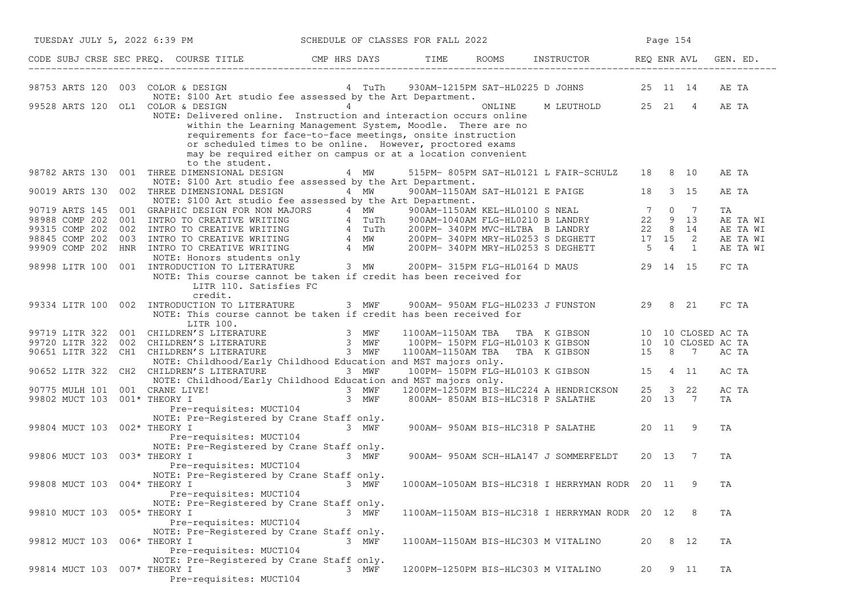| TUESDAY JULY 5, 2022 6:39 PM                                                                                                                                                                                                                                                                                                                                                        | SCHEDULE OF CLASSES FOR FALL 2022              |        |                                                                                           |    | Page 154 |                |                                                    |
|-------------------------------------------------------------------------------------------------------------------------------------------------------------------------------------------------------------------------------------------------------------------------------------------------------------------------------------------------------------------------------------|------------------------------------------------|--------|-------------------------------------------------------------------------------------------|----|----------|----------------|----------------------------------------------------|
| CODE SUBJ CRSE SEC PREQ. COURSE TITLE THE ROOMS TIME ROOMS INSTRUCTOR THE REQ ENR AVL                                                                                                                                                                                                                                                                                               |                                                |        |                                                                                           |    |          |                | GEN. ED.                                           |
| 98753 ARTS 120 003 COLOR & DESIGN<br>NOTE: \$100 Art studio fee assessed by the Art Department.                                                                                                                                                                                                                                                                                     | 4 TuTh                                         |        | 930AM-1215PM SAT-HL0225 D JOHNS 25 11 14                                                  |    |          |                | AE TA                                              |
| 99528 ARTS 120 OL1 COLOR & DESIGN<br>NOTE: Delivered online. Instruction and interaction occurs online<br>within the Learning Management System, Moodle. There are no<br>requirements for face-to-face meetings, onsite instruction<br>or scheduled times to be online. However, proctored exams<br>may be required either on campus or at a location convenient<br>to the student. | $4\overline{ }$                                | ONLINE | M LEUTHOLD 25 21                                                                          |    |          | $\overline{4}$ | AE TA                                              |
| 98782 ARTS 130 001 THREE DIMENSIONAL DESIGN<br>NOTE: \$100 Art studio fee assessed by the Art Department.<br>90019 ARTS 130<br>002 THREE DIMENSIONAL DESIGN                                                                                                                                                                                                                         | 4 MW<br>4 MW                                   |        | 515PM-805PM SAT-HL0121 L FAIR-SCHULZ 18 8 10<br>900AM-1150AM SAT-HL0121 E PAIGE 18        |    |          | 3 15           | AE TA<br>AE TA                                     |
| NOTE: \$100 Art studio fee assessed by the Art Department.                                                                                                                                                                                                                                                                                                                          |                                                |        |                                                                                           |    |          |                |                                                    |
| 90719 ARTS 145 001 EXPHID ATT STUD ATT STUDIE assessed by the Art Department.<br>98988 COMP 202 001 GRAPHIC DESIGN FOR NON MAJORS 4 MW 900AM-1150AM FLG-HLO100 S NEAL 7 0 7<br>98988 COMP 202 001 INTRO TO CREATIVE WRITING 4 TuTh                                                                                                                                                  |                                                |        |                                                                                           |    |          |                | TA<br>AE TA WI<br>AE TA WI<br>AE TA WI<br>AE TA WI |
| NOTE: This course cannot be taken if credit has been received for<br>LITR 110. Satisfies FC<br>credit.                                                                                                                                                                                                                                                                              |                                                |        |                                                                                           |    |          |                | FC TA                                              |
| 99334 LITR 100 002 INTRODUCTION TO LITERATURE<br>NOTE: This course cannot be taken if credit has been received for<br>LITR 100.                                                                                                                                                                                                                                                     | 3 MWF 900AM-950AM FLG-HL0233 J FUNSTON 29 8 21 |        |                                                                                           |    |          |                | FC TA                                              |
| 99719 LITR 322 001 CHILDREN'S LITERATURE 3 MWF 1100AM-1150AM TBA TBA K GIBSON 10 10 CLOSED AC TA<br>99720 LITR 322 002 CHILDREN'S LITERATURE 3 MWF 100PM-150PM FLG-HL0103 K GIBSON 10 10 CLOSED AC TA<br>90651 LITR 322 CH1 CHILDREN<br>NOTE: Childhood/Early Childhood Education and MST majors only.                                                                              |                                                |        |                                                                                           |    |          |                |                                                    |
| 90652 LITR 322 CH2 CHILDREN'S LITERATURE 3 MWF<br>NOTE: Childhood/Early Childhood Education and MST majors only.                                                                                                                                                                                                                                                                    |                                                |        | 100PM-150PM FLG-HL0103 K GIBSON 15 4 11                                                   |    |          |                | AC TA                                              |
| 90775 MULH 101 001 CRANE LIVE!<br>$\mathbf{E}$ , we have the contract of $\mathbf{E}$<br>99802 MUCT 103 001* THEORY I                                                                                                                                                                                                                                                               | 3 MWF                                          |        | 3 MWF 1200PM-1250PM BIS-HLC224 A HENDRICKSON 25 3 22<br>800AM- 850AM BIS-HLC318 P SALATHE |    | 20 13 7  |                | AC TA<br>TA                                        |
| Pre-requisites: MUCT104<br>NOTE: Pre-Registered by Crane Staff only.<br>99804 MUCT 103 002* THEORY I<br>Pre-requisites: MUCT104                                                                                                                                                                                                                                                     | 3 MWF                                          |        | 900AM- 950AM BIS-HLC318 P SALATHE                                                         |    | 20 11    | - 9            | TA                                                 |
| NOTE: Pre-Registered by Crane Staff only.<br>99806 MUCT 103 003* THEORY I<br>Pre-requisites: MUCT104                                                                                                                                                                                                                                                                                | 3 MWF                                          |        | 900AM- 950AM SCH-HLA147 J SOMMERFELDT                                                     |    | 20 13    | 7              | ΤA                                                 |
| NOTE: Pre-Registered by Crane Staff only.<br>99808 MUCT 103 004* THEORY I 3 MWF<br>Pre-requisites: MUCT104                                                                                                                                                                                                                                                                          |                                                |        | 1000AM-1050AM BIS-HLC318 I HERRYMAN RODR 20 11                                            |    |          |                | ΤA                                                 |
| NOTE: Pre-Registered by Crane Staff only.<br>99810 MUCT 103 005* THEORY I<br>Pre-requisites: MUCT104                                                                                                                                                                                                                                                                                | 3 MWF                                          |        | 1100AM-1150AM BIS-HLC318 I HERRYMAN RODR 20 12                                            |    |          | -8             | ΤA                                                 |
| NOTE: Pre-Registered by Crane Staff only.<br>99812 MUCT 103 006* THEORY I<br>Pre-requisites: MUCT104                                                                                                                                                                                                                                                                                | 3 MWF                                          |        | 1100AM-1150AM BIS-HLC303 M VITALINO                                                       | 20 |          | 8 12           | ΤA                                                 |
| NOTE: Pre-Registered by Crane Staff only.<br>99814 MUCT 103 007* THEORY I<br>Pre-requisites: MUCT104                                                                                                                                                                                                                                                                                | MWF<br>3.                                      |        | 1200PM-1250PM BIS-HLC303 M VITALINO                                                       | 20 |          | 9 11           | TA                                                 |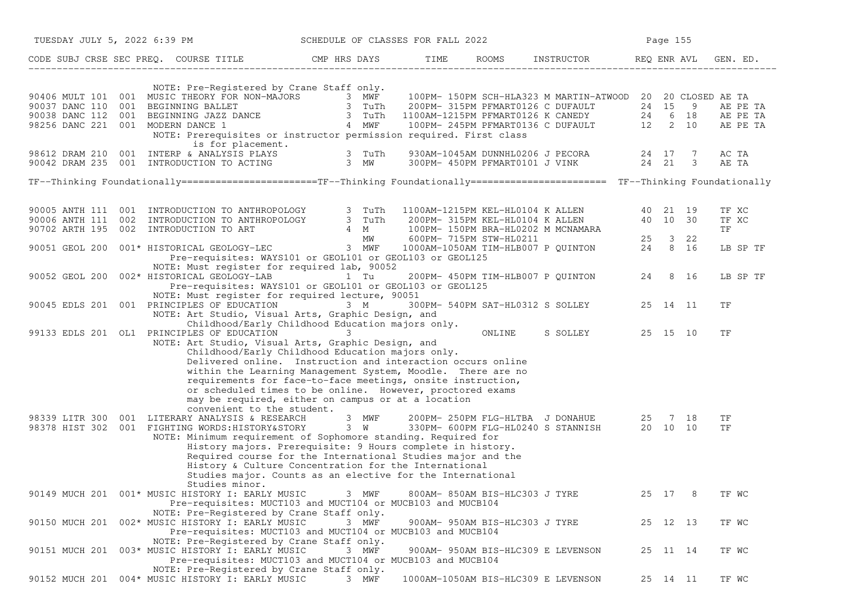| TUESDAY JULY 5, 2022 6:39 PM |                                                                                                                                                                                                                                                                                                                                                                                                                                                                                                                                                                                           | SCHEDULE OF CLASSES FOR FALL 2022 |                                |                                           | Page 155 |                                                    |
|------------------------------|-------------------------------------------------------------------------------------------------------------------------------------------------------------------------------------------------------------------------------------------------------------------------------------------------------------------------------------------------------------------------------------------------------------------------------------------------------------------------------------------------------------------------------------------------------------------------------------------|-----------------------------------|--------------------------------|-------------------------------------------|----------|----------------------------------------------------|
|                              | CODE SUBJ CRSE SEC PREQ. COURSE TITLE THE RIS DAYS TIME ROOMS INSTRUCTOR THE REQ ENR AVL                                                                                                                                                                                                                                                                                                                                                                                                                                                                                                  |                                   |                                |                                           |          | GEN. ED.                                           |
|                              | NOTE: Pre-Registered by Crane Staff only.<br>90406 MULT 101 001 MUSIC THEORY FOR NON-MAJORS 3 MWF 100PM-150PM SCH-HLA323 M MARTIN-ATWOOD 20 20 CLOSED AE TA<br>90037 DANC 110 001 BEGINNING BALLET 3 TUTh 200PM-315PM PFMART0126 C DUFAULT 24 15 9 AE PE<br>98256 DANC 221 001 MO<br>NOTE: Prerequisites or instructor permission required. First class<br>is for placement.<br>98612 DRAM 210 001 INTERP & ANALYSIS PLAYS 3 TUTh 930AM-1045AM DUNNHL0206 J PECORA 24 17 7<br>90042 DRAM 235 001 INTRODUCTION TO ACTING 3 MW 300PM-450PM PFMART0101 J VINK 24 21 3                        |                                   |                                |                                           |          | AE PE TA<br>AE PE TA<br>AE PE TA<br>AC TA<br>AE TA |
|                              | TF--Thinking Foundationally======================TF--Thinking Foundationally======================== TF--Thinking Foundationally                                                                                                                                                                                                                                                                                                                                                                                                                                                          |                                   |                                |                                           |          |                                                    |
|                              | 90005 ANTH 111 001 INTRODUCTION TO ANTHROPOLOGY 3 TuTh 1100AM-1215PM KEL-HL0104 K ALLEN 40 21 19<br>90006 ANTH 111 002 INTRODUCTION TO ANTHROPOLOGY 3 TuTh 200PM-315PM KEL-HL0104 K ALLEN 40 10 30<br>90051 GEOL 200 001* HISTORICAL                                                                                                                                                                                                                                                                                                                                                      |                                   |                                |                                           |          | TF XC<br>TF XC<br>TF                               |
|                              | Pre-requisites: WAYS101 or GEOL101 or GEOL103 or GEOL125<br>NOTE: Must register for required lab, 90052                                                                                                                                                                                                                                                                                                                                                                                                                                                                                   |                                   |                                |                                           |          | LB SP TF                                           |
|                              | 90052 GEOL 200 002* HISTORICAL GEOLOGY-LAB 1 Tu 200PM-450PM TIM-HLB007 P QUINTON 24 8 16<br>Pre-requisites: WAYS101 or GEOL101 or GEOL103 or GEOL125<br>NOTE: Must register for required lecture, 90051                                                                                                                                                                                                                                                                                                                                                                                   |                                   |                                |                                           |          | LB SP TF                                           |
|                              | 90045 EDLS 201 001 PRINCIPLES OF EDUCATION 3 M<br>NOTE: Art Studio, Visual Arts, Graphic Design, and                                                                                                                                                                                                                                                                                                                                                                                                                                                                                      |                                   |                                | 300PM- 540PM SAT-HL0312 S SOLLEY 25 14 11 |          | ΤF                                                 |
|                              | Childhood/Early Childhood Education majors only.<br>99133 EDLS 201 OL1 PRINCIPLES OF EDUCATION<br>NOTE: Art Studio, Visual Arts, Graphic Design, and<br>Childhood/Early Childhood Education majors only.<br>Delivered online. Instruction and interaction occurs online<br>within the Learning Management System, Moodle. There are no                                                                                                                                                                                                                                                    | 3                                 | ONLINE                         | S SOLLEY 25 15 10                         |          | TF                                                 |
|                              | requirements for face-to-face meetings, onsite instruction,<br>or scheduled times to be online. However, proctored exams<br>may be required, either on campus or at a location<br>convenient to the student.                                                                                                                                                                                                                                                                                                                                                                              |                                   |                                |                                           |          |                                                    |
|                              | 98339 LITR 300 001 LITERARY ANALYSIS & RESEARCH<br>98339 LITR 300 001 LITERARY ANALYSIS & RESEARCH 3 MWF 200PM-250PM FLG-HLTBA J DONAHUE 25 7 18<br>98378 HIST 302 001 FIGHTING WORDS:HISTORY&STORY 3 W 330PM-600PM FLG-HL0240 S STANNISH 20 10 10<br>NOTE: Minimum requirement of Sophomore standing. Required for<br>History majors. Prerequisite: 9 Hours complete in history.<br>Required course for the International Studies major and the<br>History & Culture Concentration for the International<br>Studies major. Counts as an elective for the International<br>Studies minor. |                                   |                                |                                           |          | ΤF<br>TF                                           |
|                              | 90149 MUCH 201 001* MUSIC HISTORY I: EARLY MUSIC<br>Pre-requisites: MUCT103 and MUCT104 or MUCB103 and MUCB104<br>NOTE: Pre-Registered by Crane Staff only.                                                                                                                                                                                                                                                                                                                                                                                                                               | 3 MWF                             | 800AM- 850AM BIS-HLC303 J TYRE |                                           | 25 17 8  | TF WC                                              |
|                              | 90150 MUCH 201 002* MUSIC HISTORY I: EARLY MUSIC<br>Pre-requisites: MUCT103 and MUCT104 or MUCB103 and MUCB104<br>NOTE: Pre-Registered by Crane Staff only.                                                                                                                                                                                                                                                                                                                                                                                                                               | 3 MWF                             | 900AM- 950AM BIS-HLC303 J TYRE |                                           | 25 12 13 | TF WC                                              |
|                              | 90151 MUCH 201 003* MUSIC HISTORY I: EARLY MUSIC<br>Pre-requisites: MUCT103 and MUCT104 or MUCB103 and MUCB104                                                                                                                                                                                                                                                                                                                                                                                                                                                                            | 3 MWF                             |                                | 900AM- 950AM BIS-HLC309 E LEVENSON        | 25 11 14 | TF WC                                              |
|                              | NOTE: Pre-Registered by Crane Staff only.<br>90152 MUCH 201 004* MUSIC HISTORY I: EARLY MUSIC                                                                                                                                                                                                                                                                                                                                                                                                                                                                                             | 3 MWF                             |                                | 1000AM-1050AM BIS-HLC309 E LEVENSON       | 25 14 11 | TF WC                                              |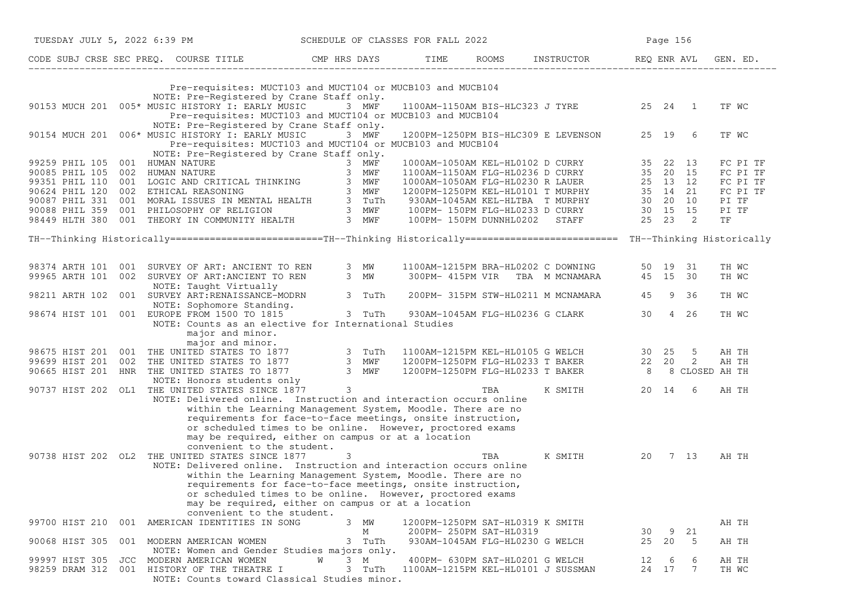|                |     | TUESDAY JULY 5, 2022 6:39 PM SCHEDULE OF CLASSES FOR FALL 2022                                                                                                                                                                                           |   |   |        |                                    |     |                                             | Page 156 |       |         |       |          |
|----------------|-----|----------------------------------------------------------------------------------------------------------------------------------------------------------------------------------------------------------------------------------------------------------|---|---|--------|------------------------------------|-----|---------------------------------------------|----------|-------|---------|-------|----------|
|                |     | CODE SUBJ CRSE SEC PREQ. COURSE TITLE THE HRS DAYS TIME ROOMS INSTRUCTOR REQ ENRAVL                                                                                                                                                                      |   |   |        |                                    |     |                                             |          |       |         |       | GEN. ED. |
|                |     | Pre-requisites: MUCT103 and MUCT104 or MUCB103 and MUCB104                                                                                                                                                                                               |   |   |        |                                    |     |                                             |          |       |         |       |          |
|                |     | NOTE: Pre-Registered by Crane Staff only.                                                                                                                                                                                                                |   |   |        |                                    |     |                                             |          |       |         |       |          |
|                |     | 90153 MUCH 201 005* MUSIC HISTORY I: EARLY MUSIC 3 MWF<br>Pre-requisites: MUCT103 and MUCT104 or MUCB103 and MUCB104                                                                                                                                     |   |   |        |                                    |     | 1100AM-1150AM BIS-HLC323 J TYRE 25 24 1     |          |       |         | TF WC |          |
|                |     | NOTE: Pre-Registered by Crane Staff only.                                                                                                                                                                                                                |   |   |        |                                    |     |                                             |          |       |         |       |          |
|                |     | 90154 MUCH 201 006* MUSIC HISTORY I: EARLY MUSIC 3 MWF                                                                                                                                                                                                   |   |   |        |                                    |     | 1200PM-1250PM BIS-HLC309 E LEVENSON 25 19 6 |          |       |         | TF WC |          |
|                |     | Pre-requisites: MUCT103 and MUCT104 or MUCB103 and MUCB104<br>NOTE: Pre-Registered by Crane Staff only.                                                                                                                                                  |   |   |        |                                    |     |                                             |          |       |         |       |          |
|                |     |                                                                                                                                                                                                                                                          |   |   |        |                                    |     |                                             |          |       |         |       | FC PI TF |
|                |     |                                                                                                                                                                                                                                                          |   |   |        |                                    |     |                                             |          |       |         |       | FC PI TF |
|                |     |                                                                                                                                                                                                                                                          |   |   |        |                                    |     |                                             |          |       |         |       | FC PI TF |
|                |     |                                                                                                                                                                                                                                                          |   |   |        |                                    |     |                                             |          |       |         |       | FC PI TF |
|                |     |                                                                                                                                                                                                                                                          |   |   |        |                                    |     |                                             |          |       |         | PI TF |          |
|                |     |                                                                                                                                                                                                                                                          |   |   |        |                                    |     |                                             |          |       |         | PI TF |          |
|                |     | 99259 PHIL 105 001 HUMAN NATURE<br>90085 PHIL 105 002 HUMAN NATURE<br>90085 PHIL 105 002 HUMAN NATURE<br>90085 PHIL 110 001 LOGIC AND CRITICAL THINKING<br>90087 PHIL 120 002 ETHICAL REASONING<br>90087 PHIL 331 001 MORAL ISSUES IN ME                 |   |   |        |                                    |     |                                             |          |       |         | TF    |          |
|                |     | TH--Thinking Historically=========================TH--Thinking Historically========================= TH--Thinking Historically                                                                                                                           |   |   |        |                                    |     |                                             |          |       |         |       |          |
|                |     |                                                                                                                                                                                                                                                          |   |   |        |                                    |     |                                             |          |       |         |       |          |
|                |     | 98374 ARTH 101 001 SURVEY OF ART: ANCIENT TO REN 3 MW 1100AM-1215PM BRA-HL0202 C DOWNING 50 19 31                                                                                                                                                        |   |   |        |                                    |     |                                             |          |       |         | TH WC |          |
|                |     | 99965 ARTH 101 002 SURVEY OF ART:ANCIENT TO REN 3 MW                                                                                                                                                                                                     |   |   |        |                                    |     | 300PM-415PM VIR TBA M MCNAMARA 45 15 30     |          |       |         | TH WC |          |
|                |     | NOTE: Taught Virtually                                                                                                                                                                                                                                   |   |   |        |                                    |     |                                             |          |       |         |       |          |
|                |     | NOTE: Taught Virtually<br>98211 ARTH 102 001 SURVEY ART:RENAISSANCE-MODRN 3 TuTh                                                                                                                                                                         |   |   |        |                                    |     | 200PM- 315PM STW-HL0211 M MCNAMARA          |          |       | 45 9 36 | TH WC |          |
|                |     | NOTE: Sophomore Standing.<br>98674 HIST 101 001 EUROPE FROM 1500 TO 1815 3 TuTh 930AM-1045AM FLG-HL0236 G CLARK                                                                                                                                          |   |   |        |                                    |     |                                             | 30       |       | 4 26    | TH WC |          |
|                |     | NOTE: Counts as an elective for International Studies                                                                                                                                                                                                    |   |   |        |                                    |     |                                             |          |       |         |       |          |
|                |     | major and minor.                                                                                                                                                                                                                                         |   |   |        |                                    |     |                                             |          |       |         |       |          |
|                |     |                                                                                                                                                                                                                                                          |   |   |        |                                    |     |                                             |          |       |         |       |          |
|                |     | major and minor.<br>major and minor.<br>98675 HIST 201 001 THE UNITED STATES TO 1877 3 TuTh 1100AM-1215PM KEL-HL0105 G WELCH 30 25 5 AH TH<br>99699 HIST 201 002 THE UNITED STATES TO 1877 3 MWF 1200PM-1250PM FLG-HL0233 T BAKER 22 20 2 AH TH<br>90665 |   |   |        |                                    |     |                                             |          |       |         |       |          |
|                |     |                                                                                                                                                                                                                                                          |   |   |        |                                    |     |                                             |          |       |         |       |          |
|                |     |                                                                                                                                                                                                                                                          |   |   |        |                                    |     |                                             |          |       |         |       |          |
|                |     |                                                                                                                                                                                                                                                          |   |   |        |                                    |     |                                             |          |       |         |       |          |
|                |     |                                                                                                                                                                                                                                                          |   |   |        |                                    |     |                                             |          |       |         |       |          |
|                |     |                                                                                                                                                                                                                                                          |   |   |        |                                    |     |                                             |          |       |         |       |          |
|                |     | NOTE: Delivered online. Instruction and interaction occurs online                                                                                                                                                                                        |   |   |        |                                    |     |                                             |          |       |         |       |          |
|                |     | within the Learning Management System, Moodle. There are no                                                                                                                                                                                              |   |   |        |                                    |     |                                             |          |       |         |       |          |
|                |     | requirements for face-to-face meetings, onsite instruction,                                                                                                                                                                                              |   |   |        |                                    |     |                                             |          |       |         |       |          |
|                |     | or scheduled times to be online. However, proctored exams                                                                                                                                                                                                |   |   |        |                                    |     |                                             |          |       |         |       |          |
|                |     | may be required, either on campus or at a location                                                                                                                                                                                                       |   |   |        |                                    |     |                                             |          |       |         |       |          |
|                |     | convenient to the student.                                                                                                                                                                                                                               |   |   |        |                                    |     |                                             |          |       |         |       |          |
|                |     | 90738 HIST 202 OL2 THE UNITED STATES SINCE 1877                                                                                                                                                                                                          |   | 3 |        |                                    | TBA | K SMITH 20 7 13                             |          |       |         | AH TH |          |
|                |     | NOTE: Delivered online. Instruction and interaction occurs online                                                                                                                                                                                        |   |   |        |                                    |     |                                             |          |       |         |       |          |
|                |     | within the Learning Management System, Moodle. There are no                                                                                                                                                                                              |   |   |        |                                    |     |                                             |          |       |         |       |          |
|                |     | requirements for face-to-face meetings, onsite instruction,                                                                                                                                                                                              |   |   |        |                                    |     |                                             |          |       |         |       |          |
|                |     | or scheduled times to be online. However, proctored exams                                                                                                                                                                                                |   |   |        |                                    |     |                                             |          |       |         |       |          |
|                |     | may be required, either on campus or at a location                                                                                                                                                                                                       |   |   |        |                                    |     |                                             |          |       |         |       |          |
|                |     | convenient to the student.                                                                                                                                                                                                                               |   |   |        |                                    |     |                                             |          |       |         |       |          |
| 99700 HIST 210 |     | 001 AMERICAN IDENTITIES IN SONG                                                                                                                                                                                                                          |   |   | 3 MW   | 1200PM-1250PM SAT-HL0319 K SMITH   |     |                                             |          |       |         | AH TH |          |
|                |     |                                                                                                                                                                                                                                                          |   |   | М      | 200PM- 250PM SAT-HL0319            |     |                                             | 30       | 9     | 21      |       |          |
| 90068 HIST 305 |     | 001 MODERN AMERICAN WOMEN                                                                                                                                                                                                                                |   |   | 3 TuTh | 930AM-1045AM FLG-HL0230 G WELCH    |     |                                             |          | 25 20 | - 5     | AH TH |          |
|                |     | NOTE: Women and Gender Studies majors only.                                                                                                                                                                                                              |   |   |        |                                    |     |                                             |          |       |         |       |          |
| 99997 HIST 305 | JCC | MODERN AMERICAN WOMEN                                                                                                                                                                                                                                    | W |   | 3 M    | 400PM- 630PM SAT-HL0201 G WELCH    |     |                                             | 12       | 6     | 6       | AH TH |          |
| 98259 DRAM 312 | 001 | HISTORY OF THE THEATRE I                                                                                                                                                                                                                                 |   |   | 3 TuTh | 1100AM-1215PM KEL-HL0101 J SUSSMAN |     |                                             |          | 24 17 | 7       | TH WC |          |
|                |     | NOTE: Counts toward Classical Studies minor.                                                                                                                                                                                                             |   |   |        |                                    |     |                                             |          |       |         |       |          |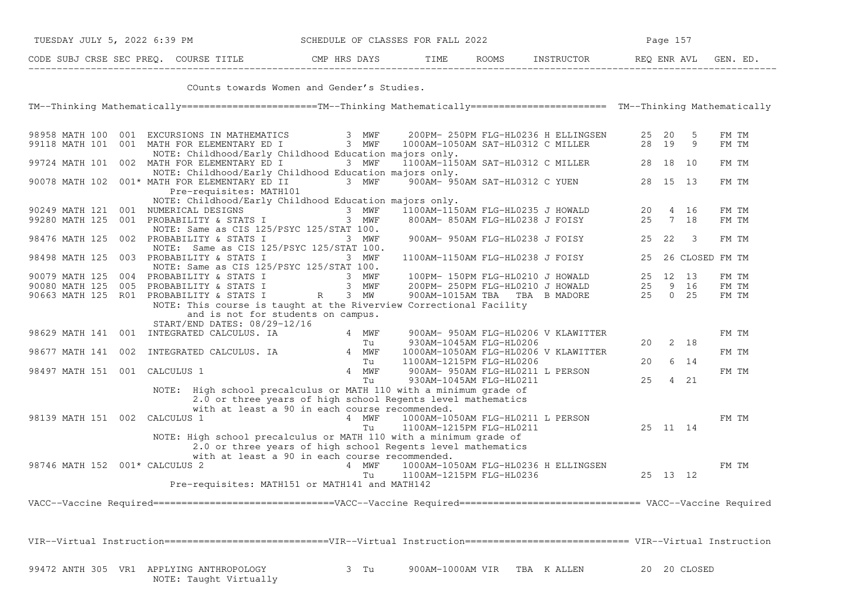| TUESDAY JULY 5, 2022 6:39 PM          | SCHEDULE OF CLASSES FOR FALL 2022 |      |              | Page 157   |             |         |  |  |
|---------------------------------------|-----------------------------------|------|--------------|------------|-------------|---------|--|--|
| CODE SUBJ CRSE SEC PREO. COURSE TITLE | CMP HRS DAYS                      | TIME | <b>ROOMS</b> | INSTRUCTOR | REO ENR AVL | GEN. ED |  |  |

−−−−−−−−−−−−−−−−−−−−−−−−−−−−−−−−−−−−−−−−−−−−−−−−−−−−−−−−−−−−−−−−−−−−−−−−−−−−−−−−−−−−−−−−−−−−−−−−−−−−−−−−−−−−−−−−−−−−−−−−−−−−−−−−−−−− COunts towards Women and Gender's Studies.

TM−−Thinking Mathematically========================TM−−Thinking Mathematically======================== TM−−Thinking Mathematically

| 98958 MATH 100     | 001 |                                | EXCURSIONS IN MATHEMATICS                              |                 | 3 MWF | 200PM- 250PM FLG-HL0236 H ELLINGSEN                                                                                                |            |    | 25 20           | 5               | FM TM |  |
|--------------------|-----|--------------------------------|--------------------------------------------------------|-----------------|-------|------------------------------------------------------------------------------------------------------------------------------------|------------|----|-----------------|-----------------|-------|--|
| 99118 MATH 101     |     |                                | 001 MATH FOR ELEMENTARY ED I                           |                 | 3 MWF | 1000AM-1050AM SAT-HL0312 C MILLER                                                                                                  |            |    | 28 19           | 9               | FM TM |  |
|                    |     |                                | NOTE: Childhood/Early Childhood Education majors only. |                 |       |                                                                                                                                    |            |    |                 |                 |       |  |
|                    |     |                                | 99724 MATH 101 002 MATH FOR ELEMENTARY ED I            |                 | 3 MWF | 1100AM-1150AM SAT-HL0312 C MILLER                                                                                                  |            |    | 28 18 10        |                 | FM TM |  |
|                    |     |                                | NOTE: Childhood/Early Childhood Education majors only. |                 |       |                                                                                                                                    |            |    |                 |                 |       |  |
| 90078 MATH 102     |     |                                | 001* MATH FOR ELEMENTARY ED II                         |                 | 3 MWF | 900AM- 950AM SAT-HL0312 C YUEN                                                                                                     |            |    | 28 15 13        |                 | FM TM |  |
|                    |     |                                | Pre-requisites: MATH101                                |                 |       |                                                                                                                                    |            |    |                 |                 |       |  |
|                    |     |                                | NOTE: Childhood/Early Childhood Education majors only. |                 |       |                                                                                                                                    |            |    |                 |                 |       |  |
| 90249 MATH 121     |     |                                | 001 NUMERICAL DESIGNS                                  |                 | 3 MWF | 1100AM-1150AM FLG-HL0235 J HOWALD                                                                                                  |            | 20 |                 | 4 16            | FM TM |  |
| 99280 MATH 125     |     |                                | 001 PROBABILITY & STATS I                              |                 | 3 MWF | 800AM- 850AM FLG-HL0238 J FOISY                                                                                                    |            | 25 | $7\overline{ }$ | 18              | FM TM |  |
|                    |     |                                | NOTE: Same as CIS 125/PSYC 125/STAT 100.               |                 |       |                                                                                                                                    |            |    |                 |                 |       |  |
| 98476 MATH 125     |     |                                | 002 PROBABILITY & STATS I                              |                 | 3 MWF | 900AM- 950AM FLG-HL0238 J FOISY                                                                                                    |            | 25 | 22              | 3               | FM TM |  |
|                    |     |                                | NOTE: Same as CIS 125/PSYC 125/STAT 100.               |                 |       |                                                                                                                                    |            |    |                 |                 |       |  |
| 98498 MATH 125     |     |                                | 003 PROBABILITY & STATS I                              |                 | 3 MWF | 1100AM-1150AM FLG-HL0238 J FOISY                                                                                                   |            | 25 |                 | 26 CLOSED FM TM |       |  |
|                    |     |                                | NOTE: Same as CIS 125/PSYC 125/STAT 100.               |                 |       |                                                                                                                                    |            |    |                 |                 |       |  |
| 90079 MATH 125     |     |                                | 004 PROBABILITY & STATS I                              |                 | 3 MWF | 100PM- 150PM FLG-HL0210 J HOWALD                                                                                                   |            | 25 |                 | 12 13           | FM TM |  |
| 90080 MATH 125     |     |                                | 005 PROBABILITY & STATS I                              |                 | 3 MWF | 200PM- 250PM FLG-HL0210 J HOWALD                                                                                                   |            | 25 | 9               | 16              | FM TM |  |
|                    |     |                                | 90663 MATH 125 R01 PROBABILITY & STATS I               |                 | 3 MW  |                                                                                                                                    |            | 25 | $\overline{0}$  | 25              | FM TM |  |
|                    |     |                                |                                                        | $R_{\parallel}$ |       | 900AM-1015AM TBA TBA B MADORE                                                                                                      |            |    |                 |                 |       |  |
|                    |     |                                |                                                        |                 |       | NOTE: This course is taught at the Riverview Correctional Facility                                                                 |            |    |                 |                 |       |  |
|                    |     |                                | and is not for students on campus.                     |                 |       |                                                                                                                                    |            |    |                 |                 |       |  |
|                    |     |                                | START/END DATES: 08/29-12/16                           |                 |       |                                                                                                                                    |            |    |                 |                 |       |  |
|                    |     |                                | 98629 MATH 141 001 INTEGRATED CALCULUS. IA             |                 | 4 MWF | 900AM- 950AM FLG-HL0206 V KLAWITTER                                                                                                |            |    |                 |                 | FM TM |  |
|                    |     |                                |                                                        |                 | Tu    | 930AM-1045AM FLG-HL0206                                                                                                            |            | 20 |                 | $2 \quad 18$    |       |  |
| 98677 MATH 141 002 |     |                                | INTEGRATED CALCULUS. IA                                |                 | 4 MWF | 1000AM-1050AM FLG-HL0206 V KLAWITTER                                                                                               |            |    |                 |                 | FM TM |  |
|                    |     |                                |                                                        |                 | Tu    | 1100AM-1215PM FLG-HL0206                                                                                                           |            | 20 |                 | 6 14            |       |  |
| 98497 MATH 151 001 |     | CALCULUS 1                     |                                                        |                 | 4 MWF | 900AM- 950AM FLG-HL0211 L PERSON                                                                                                   |            |    |                 |                 | FM TM |  |
|                    |     |                                |                                                        |                 | Tu    | 930AM-1045AM FLG-HL0211                                                                                                            |            | 25 |                 | 4 21            |       |  |
|                    |     |                                |                                                        |                 |       | NOTE: High school precalculus or MATH 110 with a minimum grade of                                                                  |            |    |                 |                 |       |  |
|                    |     |                                |                                                        |                 |       | 2.0 or three years of high school Regents level mathematics                                                                        |            |    |                 |                 |       |  |
|                    |     |                                | with at least a 90 in each course recommended.         |                 |       |                                                                                                                                    |            |    |                 |                 |       |  |
|                    |     | 98139 MATH 151 002 CALCULUS 1  |                                                        |                 | 4 MWF | 1000AM-1050AM FLG-HL0211 L PERSON                                                                                                  |            |    |                 |                 | FM TM |  |
|                    |     |                                |                                                        |                 | Tu    | 1100AM-1215PM FLG-HL0211                                                                                                           |            |    | 25 11 14        |                 |       |  |
|                    |     |                                |                                                        |                 |       | NOTE: High school precalculus or MATH 110 with a minimum grade of                                                                  |            |    |                 |                 |       |  |
|                    |     |                                |                                                        |                 |       | 2.0 or three years of high school Regents level mathematics                                                                        |            |    |                 |                 |       |  |
|                    |     |                                | with at least a 90 in each course recommended.         |                 |       |                                                                                                                                    |            |    |                 |                 |       |  |
|                    |     | 98746 MATH 152 001* CALCULUS 2 |                                                        |                 | 4 MWF | 1000AM-1050AM FLG-HL0236 H ELLINGSEN                                                                                               |            |    |                 |                 | FM TM |  |
|                    |     |                                |                                                        |                 | Tu    | 1100AM-1215PM FLG-HL0236                                                                                                           |            |    | 25 13 12        |                 |       |  |
|                    |     |                                | Pre-requisites: MATH151 or MATH141 and MATH142         |                 |       |                                                                                                                                    |            |    |                 |                 |       |  |
|                    |     |                                |                                                        |                 |       |                                                                                                                                    |            |    |                 |                 |       |  |
|                    |     |                                |                                                        |                 |       | VACC--Vaccine Required===============================VACC--Vaccine Required============================= VACC--Vaccine Required    |            |    |                 |                 |       |  |
|                    |     |                                |                                                        |                 |       |                                                                                                                                    |            |    |                 |                 |       |  |
|                    |     |                                |                                                        |                 |       |                                                                                                                                    |            |    |                 |                 |       |  |
|                    |     |                                |                                                        |                 |       |                                                                                                                                    |            |    |                 |                 |       |  |
|                    |     |                                |                                                        |                 |       | VIR--Virtual Instruction==============================VIR--Virtual Instruction=========================== VIR--Virtual Instruction |            |    |                 |                 |       |  |
|                    |     |                                |                                                        |                 |       |                                                                                                                                    |            |    |                 |                 |       |  |
|                    |     |                                |                                                        |                 |       |                                                                                                                                    |            |    |                 |                 |       |  |
|                    |     |                                | 99472 ANTH 305 VR1 APPLYING ANTHROPOLOGY               |                 | 3 Tu  | 900AM-1000AM VIR                                                                                                                   | TBA KALLEN |    |                 | 20 20 CLOSED    |       |  |
|                    |     |                                | NOTE: Taught Virtually                                 |                 |       |                                                                                                                                    |            |    |                 |                 |       |  |
|                    |     |                                |                                                        |                 |       |                                                                                                                                    |            |    |                 |                 |       |  |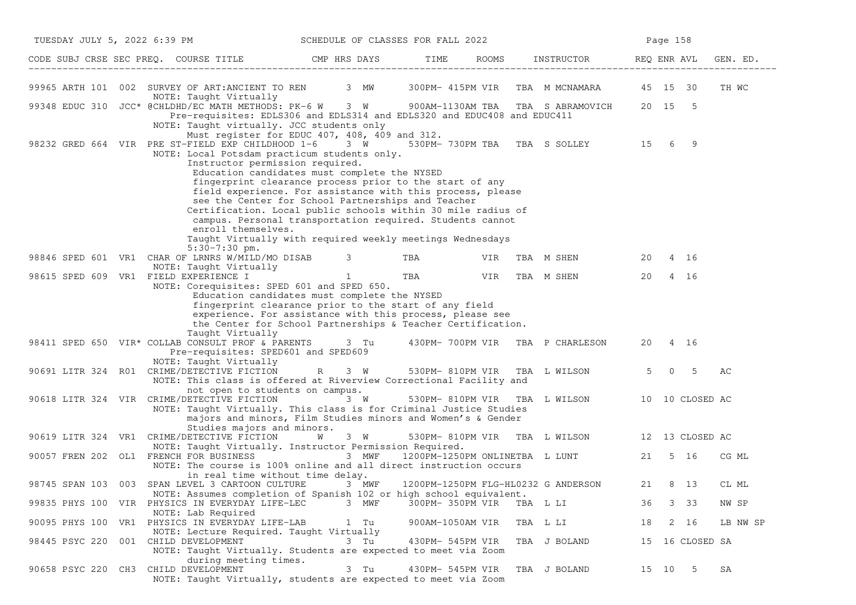| TUESDAY JULY 5, 2022 6:39 PM |                                                                                                                                                                                                            | SCHEDULE OF CLASSES FOR FALL 2022                                                                                                                                                                                                                                                                                                                                                                         |                  | Page 158                                     |             |                     |          |  |
|------------------------------|------------------------------------------------------------------------------------------------------------------------------------------------------------------------------------------------------------|-----------------------------------------------------------------------------------------------------------------------------------------------------------------------------------------------------------------------------------------------------------------------------------------------------------------------------------------------------------------------------------------------------------|------------------|----------------------------------------------|-------------|---------------------|----------|--|
|                              | CODE SUBJ CRSE SEC PREQ. COURSE TITLE CMP HRS DAYS TIME ROOMS INSTRUCTOR REQ ENR AVL                                                                                                                       |                                                                                                                                                                                                                                                                                                                                                                                                           |                  |                                              |             |                     | GEN. ED. |  |
|                              | 99965 ARTH 101 002 SURVEY OF ART:ANCIENT TO REN 3 MW 300PM-415PM VIR TBA M MCNAMARA 45 15 30<br>NOTE: Taught Virtually                                                                                     |                                                                                                                                                                                                                                                                                                                                                                                                           |                  |                                              |             |                     | TH WC    |  |
|                              | 99348 EDUC 310 JCC* @CHLDHD/EC MATH METHODS: PK-6 W 3 W 900AM-1130AM TBA TBA S ABRAMOVICH 20 15 5<br>NOTE: Taught virtually. JCC students only                                                             | Pre-requisites: EDLS306 and EDLS314 and EDLS320 and EDUC408 and EDUC411                                                                                                                                                                                                                                                                                                                                   |                  |                                              |             |                     |          |  |
|                              | 98232 GRED 664 VIR PRE ST-FIELD EXP CHILDHOOD 1-6 3 W 530PM-730PM TBA TBA S SOLLEY 15<br>NOTE: Local Potsdam practicum students only.<br>Instructor permission required.<br>enroll themselves.             | Must register for EDUC 407, 408, 409 and 312.<br>Education candidates must complete the NYSED<br>fingerprint clearance process prior to the start of any<br>field experience. For assistance with this process, please<br>see the Center for School Partnerships and Teacher<br>Certification. Local public schools within 30 mile radius of<br>campus. Personal transportation required. Students cannot |                  |                                              | 6           | 9                   |          |  |
|                              |                                                                                                                                                                                                            | Taught Virtually with required weekly meetings Wednesdays                                                                                                                                                                                                                                                                                                                                                 |                  |                                              |             |                     |          |  |
|                              | $5:30-7:30$ pm.<br>98846 SPED 601 VR1 CHAR OF LRNRS W/MILD/MO DISAB 3                                                                                                                                      |                                                                                                                                                                                                                                                                                                                                                                                                           | TBA VIR          | TBA M SHEN                                   | 20 4 16     |                     |          |  |
|                              | NOTE: Taught Virtually<br>98615 SPED 609 VR1 FIELD EXPERIENCE I<br>NOTE: Corequisites: SPED 601 and SPED 650.                                                                                              | $\frac{1}{1}$                                                                                                                                                                                                                                                                                                                                                                                             | TBA VIR          | TBA M SHEN                                   | 20          | 4 16                |          |  |
|                              | Taught Virtually<br>98411 SPED 650 VIR* COLLAB CONSULT PROF & PARENTS 3 Tu 430PM-700PM VIR TBA P CHARLESON<br>Pre-requisites: SPED601 and SPED609                                                          | Education candidates must complete the NYSED<br>fingerprint clearance prior to the start of any field<br>experience. For assistance with this process, please see<br>the Center for School Partnerships & Teacher Certification.                                                                                                                                                                          |                  |                                              | 20 4 16     |                     |          |  |
|                              | NOTE: Taught Virtually<br>90691 LITR 324 R01 CRIME/DETECTIVE FICTION R<br>NOTE: This class is offered at Riverview Correctional Facility and                                                               | $3 \tW$                                                                                                                                                                                                                                                                                                                                                                                                   | 530PM- 810PM VIR | TBA L WILSON                                 | $5^{\circ}$ | 5<br>$\overline{0}$ | AC       |  |
|                              | not open to students on campus.<br>90618 LITR 324 VIR CRIME/DETECTIVE FICTION 3 W<br>NOTE: Taught Virtually. This class is for Criminal Justice Studies                                                    | majors and minors, Film Studies minors and Women's & Gender                                                                                                                                                                                                                                                                                                                                               |                  | 530PM-810PM VIR TBA L WILSON 10 10 CLOSED AC |             |                     |          |  |
|                              | Studies majors and minors.<br>90619 LITR 324 VR1 CRIME/DETECTIVE FICTION                                                                                                                                   | 3 W<br><b>W</b>                                                                                                                                                                                                                                                                                                                                                                                           |                  | 530PM-810PM VIR TBA L WILSON 12 13 CLOSED AC |             |                     |          |  |
|                              | NOTE: Taught Virtually. Instructor Permission Required.<br>90057 FREN 202 OL1 FRENCH FOR BUSINESS<br>NOTE: The course is 100% online and all direct instruction occurs<br>in real time without time delay. | 3 MWF                                                                                                                                                                                                                                                                                                                                                                                                     |                  | 1200PM-1250PM ONLINETBA L LUNT 21 5 16       |             |                     | CG ML    |  |
|                              | 98745 SPAN 103 003 SPAN LEVEL 3 CARTOON CULTURE 3 MWF<br>NOTE: Assumes completion of Spanish 102 or high school equivalent.                                                                                |                                                                                                                                                                                                                                                                                                                                                                                                           |                  | 1200PM-1250PM FLG-HL0232 G ANDERSON          | 21          | 8 13                | CL ML    |  |
|                              | 99835 PHYS 100 VIR PHYSICS IN EVERYDAY LIFE-LEC                                                                                                                                                            | 3 MWF                                                                                                                                                                                                                                                                                                                                                                                                     | 300PM- 350PM VIR | TBA L LI                                     | 36          | 3 33                | NW SP    |  |
| 90095 PHYS 100 VR1           | NOTE: Lab Required<br>PHYSICS IN EVERYDAY LIFE-LAB<br>NOTE: Lecture Required. Taught Virtually                                                                                                             | 1 Tu                                                                                                                                                                                                                                                                                                                                                                                                      | 900AM-1050AM VIR | TBA L LI                                     | 18          | 2 16                | LB NW SP |  |
| 98445 PSYC 220               | 001 CHILD DEVELOPMENT<br>NOTE: Taught Virtually. Students are expected to meet via Zoom                                                                                                                    | 3 Tu                                                                                                                                                                                                                                                                                                                                                                                                      | 430PM- 545PM VIR | TBA J BOLAND                                 |             | 15 16 CLOSED SA     |          |  |
| 90658 PSYC 220 CH3           | during meeting times.<br>CHILD DEVELOPMENT<br>NOTE: Taught Virtually, students are expected to meet via Zoom                                                                                               | 3 Tu                                                                                                                                                                                                                                                                                                                                                                                                      | 430PM- 545PM VIR | TBA J BOLAND                                 | 15 10       | -5                  | SA       |  |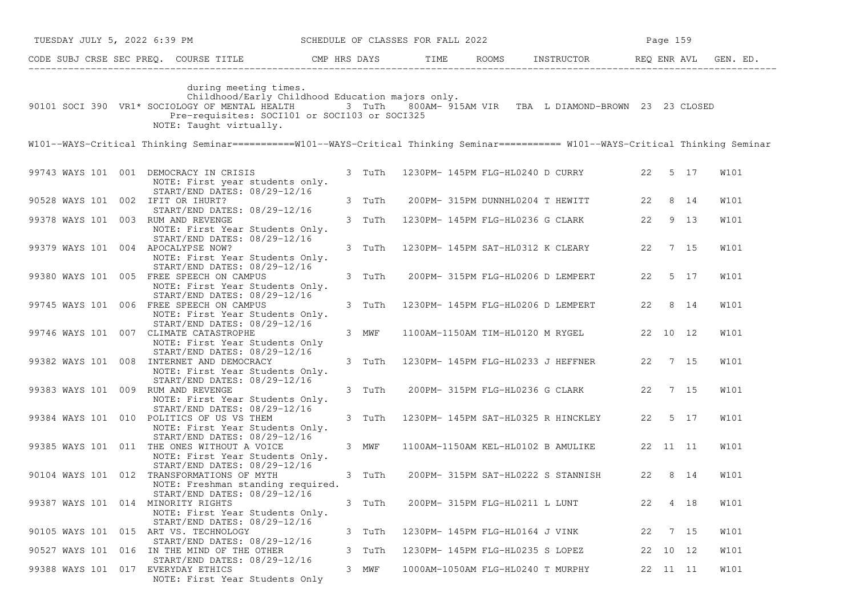| TUESDAY JULY 5, 2022 6:39 PM SCHEDULE OF CLASSES FOR FALL 2022                                                                                                                                                                                                   |        |                                 |                                |                                             |    | Page 159 |      |             |
|------------------------------------------------------------------------------------------------------------------------------------------------------------------------------------------------------------------------------------------------------------------|--------|---------------------------------|--------------------------------|---------------------------------------------|----|----------|------|-------------|
| CODE SUBJ CRSE SEC PREQ. COURSE TITLE THE ROOMS INSTRUCTOR REQ ENR AVL GEN. ED.                                                                                                                                                                                  |        |                                 |                                |                                             |    |          |      |             |
| during meeting times.<br>Childhood/Early Childhood Education majors only.<br>90101 SOCI 390 VR1* SOCIOLOGY OF MENTAL HEALTH 3 TuTh 800AM- 915AM VIR TBA L DIAMOND-BROWN 23 23 CLOSED<br>Pre-requisites: SOCI101 or SOCI103 or SOCI325<br>NOTE: Taught virtually. |        |                                 |                                |                                             |    |          |      |             |
| W101--WAYS-Critical Thinking Seminar===========W101--WAYS-Critical Thinking Seminar========== W101--WAYS-Critical Thinking Seminar                                                                                                                               |        |                                 |                                |                                             |    |          |      |             |
| 99743 WAYS 101 001 DEMOCRACY IN CRISIS<br>NOTE: First year students only.                                                                                                                                                                                        | 3 TuTh |                                 |                                | 1230PM- 145PM FLG-HL0240 D CURRY 22 5 17    |    |          |      | W101        |
| START/END DATES: 08/29-12/16<br>90528 WAYS 101 002 IFIT OR IHURT?<br>START/END DATES: 08/29-12/16                                                                                                                                                                | 3 TuTh |                                 |                                | 200PM-315PM DUNNHL0204 T HEWITT 22 8 14     |    |          |      | W101        |
| 99378 WAYS 101 003 RUM AND REVENGE<br>NOTE: First Year Students Only.                                                                                                                                                                                            | 3 TuTh |                                 |                                | 1230PM- 145PM FLG-HL0236 G CLARK 22 9 13    |    |          |      | W101        |
| START/END DATES: 08/29-12/16<br>99379 WAYS 101 004 APOCALYPSE NOW?<br>NOTE: First Year Students Only.<br>START/END DATES: 08/29-12/16                                                                                                                            | 3 TuTh |                                 |                                | 1230PM- 145PM SAT-HL0312 K CLEARY 22 7 15   |    |          |      | W101        |
| 99380 WAYS 101 005 FREE SPEECH ON CAMPUS<br>NOTE: First Year Students Only.                                                                                                                                                                                      | 3 TuTh |                                 |                                | 200PM- 315PM FLG-HL0206 D LEMPERT 22 5 17   |    |          |      | W101        |
| START/END DATES: 08/29-12/16<br>99745 WAYS 101 006 FREE SPEECH ON CAMPUS<br>NOTE: First Year Students Only.<br>START/END DATES: 08/29-12/16                                                                                                                      | 3 TuTh |                                 |                                | 1230PM- 145PM FLG-HL0206 D LEMPERT 22 8 14  |    |          |      | W101        |
| 99746 WAYS 101 007 CLIMATE CATASTROPHE<br>NOTE: First Year Students Only                                                                                                                                                                                         | 3 MWF  |                                 |                                | 1100AM-1150AM TIM-HL0120 M RYGEL 22 10 12   |    |          |      | W101        |
| START/END DATES: 08/29-12/16<br>99382 WAYS 101 008 INTERNET AND DEMOCRACY<br>NOTE: First Year Students Only.                                                                                                                                                     | 3 TuTh |                                 |                                | 1230PM- 145PM FLG-HL0233 J HEFFNER 22 7 15  |    |          |      | W101        |
| START/END DATES: 08/29-12/16<br>99383 WAYS 101 009 RUM AND REVENGE<br>NOTE: First Year Students Only.                                                                                                                                                            | 3 TuTh |                                 |                                | 200PM- 315PM FLG-HL0236 G CLARK 22 7 15     |    |          |      | W101        |
| START/END DATES: 08/29-12/16<br>99384 WAYS 101 010 POLITICS OF US VS THEM<br>NOTE: First Year Students Only.                                                                                                                                                     | 3 TuTh |                                 |                                | 1230PM- 145PM SAT-HL0325 R HINCKLEY 22 5 17 |    |          |      | <b>W101</b> |
| START/END DATES: 08/29-12/16<br>99385 WAYS 101 011 THE ONES WITHOUT A VOICE<br>NOTE: First Year Students Only.                                                                                                                                                   | 3 MWF  |                                 |                                | 1100AM-1150AM KEL-HL0102 B AMULIKE 22 11 11 |    |          |      | <b>W101</b> |
| START/END DATES: 08/29-12/16<br>90104 WAYS 101 012 TRANSFORMATIONS OF MYTH<br>NOTE: Freshman standing required.                                                                                                                                                  | 3 TuTh |                                 |                                | 200PM- 315PM SAT-HL0222 S STANNISH 22 8 14  |    |          |      | W101        |
| START/END DATES: 08/29-12/16<br>99387 WAYS 101 014 MINORITY RIGHTS<br>NOTE: First Year Students Only.                                                                                                                                                            | 3 TuTh |                                 | 200PM- 315PM FLG-HL0211 L LUNT |                                             | 22 |          | 4 18 | W101        |
| START/END DATES: 08/29-12/16<br>90105 WAYS 101 015 ART VS. TECHNOLOGY                                                                                                                                                                                            | 3 TuTh | 1230PM- 145PM FLG-HL0164 J VINK |                                |                                             | 22 |          | 7 15 | W101        |
| START/END DATES: 08/29-12/16<br>90527 WAYS 101 016 IN THE MIND OF THE OTHER<br>START/END DATES: 08/29-12/16                                                                                                                                                      | 3 TuTh |                                 |                                | 1230PM- 145PM FLG-HL0235 S LOPEZ            |    | 22 10 12 |      | W101        |
| 99388 WAYS 101 017 EVERYDAY ETHICS<br>NOTE: First Year Students Only                                                                                                                                                                                             | 3 MWF  |                                 |                                | 1000AM-1050AM FLG-HL0240 T MURPHY           |    | 22 11 11 |      | W101        |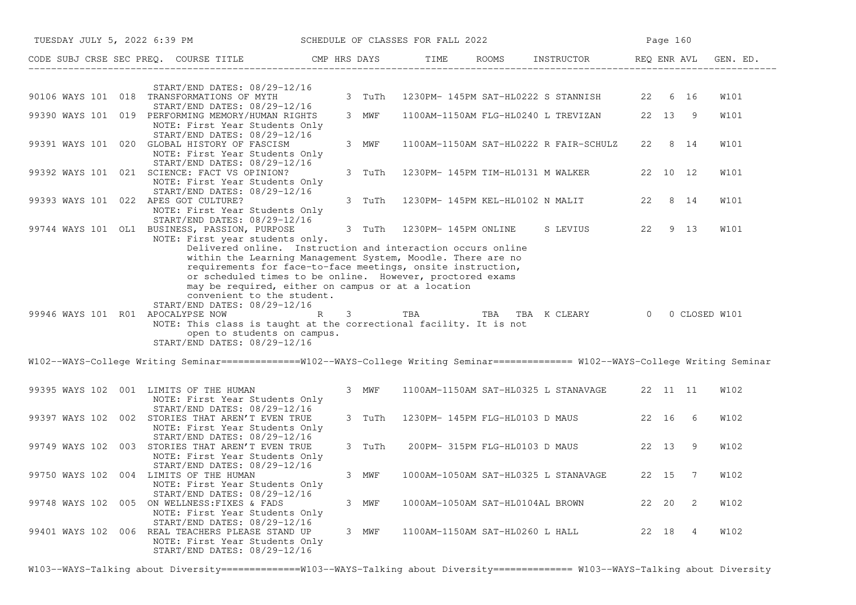| TUESDAY JULY 5, 2022 6:39 PM SCHEDULE OF CLASSES FOR FALL 2022                                                                                                                                                                                                                                                                                                                                                                                                                          |                                |                      |                                            |       | Page 160 |                |               |
|-----------------------------------------------------------------------------------------------------------------------------------------------------------------------------------------------------------------------------------------------------------------------------------------------------------------------------------------------------------------------------------------------------------------------------------------------------------------------------------------|--------------------------------|----------------------|--------------------------------------------|-------|----------|----------------|---------------|
| CODE SUBJ CRSE SEC PREQ. COURSE TITLE THE CMP HRS DAYS                                                                                                                                                                                                                                                                                                                                                                                                                                  |                                | TIME                 | ROOMS INSTRUCTOR REQ ENR AVL               |       |          |                | GEN. ED.      |
| START/END DATES: 08/29-12/16<br>90106 WAYS 101 018 TRANSFORMATIONS OF MYTH<br>START/END DATES: 08/29-12/16                                                                                                                                                                                                                                                                                                                                                                              | 3 TuTh                         |                      | 1230PM- 145PM SAT-HL0222 S STANNISH        |       | 22 6 16  |                | W101          |
| 99390 WAYS 101 019 PERFORMING MEMORY/HUMAN RIGHTS<br>NOTE: First Year Students Only                                                                                                                                                                                                                                                                                                                                                                                                     | 3 MWF                          |                      | 1100AM-1150AM FLG-HL0240 L TREVIZAN        |       | 22 13 9  |                | W101          |
| START/END DATES: 08/29-12/16<br>99391 WAYS 101 020 GLOBAL HISTORY OF FASCISM<br>NOTE: First Year Students Only<br>START/END DATES: 08/29-12/16                                                                                                                                                                                                                                                                                                                                          | 3 MWF                          |                      | 1100AM-1150AM SAT-HL0222 R FAIR-SCHULZ     |       | 22 8 14  |                | W101          |
| 99392 WAYS 101 021 SCIENCE: FACT VS OPINION?<br>NOTE: First Year Students Only<br>START/END DATES: 08/29-12/16                                                                                                                                                                                                                                                                                                                                                                          | 3 TuTh                         |                      | 1230PM- 145PM TIM-HL0131 M WALKER          |       | 22 10 12 |                | W101          |
| 99393 WAYS 101 022 APES GOT CULTURE?<br>NOTE: First Year Students Only<br>$START/END$ DATES: $08/29-12/16$                                                                                                                                                                                                                                                                                                                                                                              | 3 TuTh                         |                      | 1230PM- 145PM KEL-HL0102 N MALIT           | 22    | 8 14     |                | W101          |
| 99744 WAYS 101 OL1 BUSINESS, PASSION, PURPOSE<br>NOTE: First year students only.<br>Delivered online. Instruction and interaction occurs online                                                                                                                                                                                                                                                                                                                                         | 3 TuTh                         | 1230PM- 145PM ONLINE | S LEVIUS                                   |       | 22 9 13  |                | <b>W101</b>   |
| within the Learning Management System, Moodle. There are no<br>requirements for face-to-face meetings, onsite instruction,<br>or scheduled times to be online. However, proctored exams<br>may be required, either on campus or at a location<br>convenient to the student.<br>START/END DATES: 08/29-12/16<br>99946 WAYS 101 R01 APOCALYPSE NOW R<br>NOTE: This class is taught at the correctional facility. It is not<br>open to students on campus.<br>START/END DATES: 08/29-12/16 | $3 \left( \frac{1}{2} \right)$ | <b>TBA</b>           | TBA TBA K CLEARY 0                         |       |          |                | 0 CLOSED W101 |
| W102--WAYS-College Writing Seminar==============W102--WAYS-College Writing Seminar============= W102--WAYS-College Writing Seminar                                                                                                                                                                                                                                                                                                                                                      |                                |                      |                                            |       |          |                |               |
| 99395 WAYS 102 001 LIMITS OF THE HUMAN<br>NOTE: First Year Students Only<br>START/END DATES: 08/29-12/16                                                                                                                                                                                                                                                                                                                                                                                | 3 MWF                          |                      | 1100AM-1150AM SAT-HL0325 L STANAVAGE       |       | 22 11 11 |                | W102          |
| 99397 WAYS 102 002 STORIES THAT AREN'T EVEN TRUE<br>NOTE: First Year Students Only<br>START/END DATES: 08/29-12/16                                                                                                                                                                                                                                                                                                                                                                      | 3 TuTh                         |                      | 1230PM- 145PM FLG-HL0103 D MAUS  22 16 6   |       |          |                | <b>W102</b>   |
| 99749 WAYS 102 003 STORIES THAT AREN'T EVEN TRUE<br>NOTE: First Year Students Only<br>START/END DATES: 08/29-12/16                                                                                                                                                                                                                                                                                                                                                                      | 3 TuTh                         |                      | 200PM- 315PM FLG-HL0103 D MAUS             | 22 13 |          | 9              | <b>W102</b>   |
| 99750 WAYS 102 004 LIMITS OF THE HUMAN<br>NOTE: First Year Students Only                                                                                                                                                                                                                                                                                                                                                                                                                | 3 MWF                          |                      | 1000AM-1050AM SAT-HL0325 L STANAVAGE 22 15 |       |          | $\overline{7}$ | <b>W102</b>   |
| START/END DATES: 08/29-12/16<br>99748 WAYS 102 005 ON WELLNESS: FIXES & FADS<br>NOTE: First Year Students Only<br>START/END DATES: 08/29-12/16                                                                                                                                                                                                                                                                                                                                          | 3 MWF                          |                      | 1000AM-1050AM SAT-HL0104AL BROWN           | 22 20 |          | 2              | <b>W102</b>   |
| 99401 WAYS 102 006 REAL TEACHERS PLEASE STAND UP<br>NOTE: First Year Students Only<br>START/END DATES: 08/29-12/16                                                                                                                                                                                                                                                                                                                                                                      | 3 MWF                          |                      | 1100AM-1150AM SAT-HL0260 L HALL            | 22 18 |          | $\overline{4}$ | W102          |

W103--WAYS-Talking about Diversity==============W103--WAYS-Talking about Diversity============== W103--WAYS-Talking about Diversity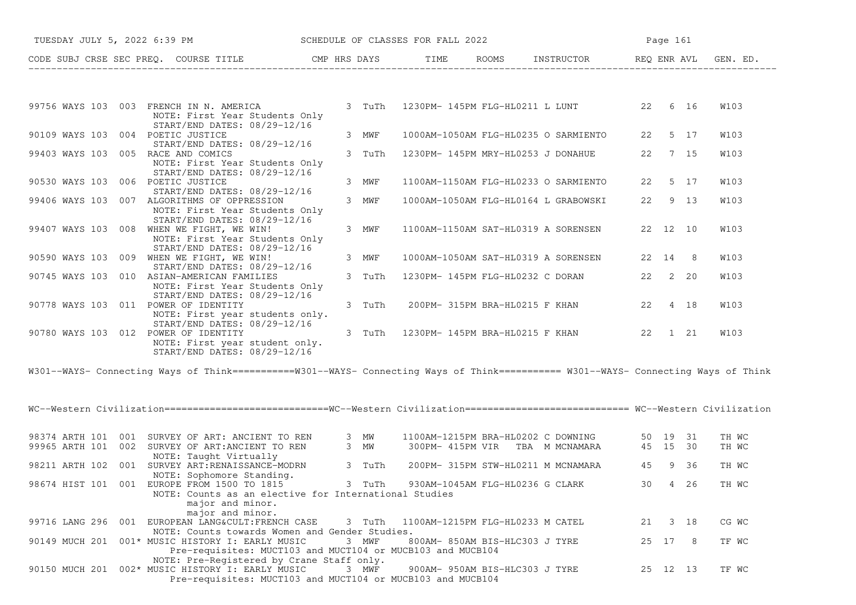| TUESDAY JULY 5, 2022 6:39 PM         | SCHEDULE OF CLASSES FOR FALL 2022                                                                                                                                |        |                                  |                                |                                                                               |    | Page 161 |         |                |
|--------------------------------------|------------------------------------------------------------------------------------------------------------------------------------------------------------------|--------|----------------------------------|--------------------------------|-------------------------------------------------------------------------------|----|----------|---------|----------------|
|                                      | CODE SUBJ CRSE SEC PREQ. COURSE TITLE CMP HRS DAYS TIME ROOMS INSTRUCTOR REQ ENR AVL GEN. ED.                                                                    |        |                                  |                                |                                                                               |    |          |         |                |
|                                      |                                                                                                                                                                  |        |                                  |                                |                                                                               |    |          |         |                |
|                                      | 99756 WAYS 103 003 FRENCH IN N. AMERICA<br>NOTE: First Year Students Only<br>START/END DATES: 08/29-12/16                                                        | 3 TuTh |                                  |                                | 1230PM- 145PM FLG-HL0211 L LUNT 22 6 16                                       |    |          |         | W103           |
| 90109 WAYS 103 004 POETIC JUSTICE    | START/END DATES: 08/29-12/16                                                                                                                                     | 3 MWF  |                                  |                                | 1000AM-1050AM FLG-HL0235 O SARMIENTO                                          |    | 22 5 17  |         | W103           |
| 99403 WAYS 103 005 RACE AND COMICS   | NOTE: First Year Students Only<br>START/END DATES: 08/29-12/16                                                                                                   | 3 TuTh |                                  |                                | 1230PM- 145PM MRY-HL0253 J DONAHUE                                            | 22 | 7 15     |         | W103           |
| 90530 WAYS 103 006 POETIC JUSTICE    |                                                                                                                                                                  | 3 MWF  |                                  |                                | 1100AM-1150AM FLG-HL0233 O SARMIENTO                                          |    | 22 5 17  |         | W103           |
|                                      | START/END DATES: 08/29-12/16<br>99406 WAYS 103 007 ALGORITHMS OF OPPRESSION<br>NOTE: First Year Students Only<br>START/END DATES: 08/29-12/16                    | 3 MWF  |                                  |                                | 1000AM-1050AM FLG-HL0164 L GRABOWSKI                                          |    | 22 9 13  |         | W103           |
|                                      | 99407 WAYS 103 008 WHEN WE FIGHT, WE WIN!<br>NOTE: First Year Students Only<br>START/END DATES: 08/29-12/16                                                      | 3 MWF  |                                  |                                | 1100AM-1150AM SAT-HL0319 A SORENSEN                                           |    | 22 12 10 |         | W103           |
|                                      | 90590 WAYS 103 009 WHEN WE FIGHT, WE WIN!<br>START/END DATES: 08/29-12/16                                                                                        | 3 MWF  |                                  |                                | 1000AM-1050AM SAT-HL0319 A SORENSEN                                           |    | 22 14 8  |         | W103           |
|                                      | 90745 WAYS 103 010 ASIAN-AMERICAN FAMILIES<br>NOTE: First Year Students Only<br>START/END DATES: 08/29-12/16                                                     | 3 TuTh |                                  |                                | 1230PM- 145PM FLG-HL0232 C DORAN                                              |    | 22 2 20  |         | W103           |
| 90778 WAYS 103 011 POWER OF IDENTITY | NOTE: First year students only.<br>START/END DATES: 08/29-12/16                                                                                                  | 3 TuTh |                                  |                                | 200PM- 315PM BRA-HL0215 F KHAN                                                |    | 22 4 18  |         | W103           |
| 90780 WAYS 103 012 POWER OF IDENTITY | NOTE: First year student only.<br>START/END DATES: 08/29-12/16                                                                                                   | 3 TuTh |                                  |                                | 1230PM- 145PM BRA-HL0215 F KHAN 22 1 21                                       |    |          |         | W103           |
|                                      | W301--WAYS- Connecting Ways of Think===========W301--WAYS- Connecting Ways of Think=========== W301--WAYS- Connecting Ways of Think                              |        |                                  |                                |                                                                               |    |          |         |                |
|                                      | WC--Western Civilization==============================WC--Western Civilization=========================== WC--Western Civilization                               |        |                                  |                                |                                                                               |    |          |         |                |
|                                      | 98374 ARTH 101 001 SURVEY OF ART: ANCIENT TO REN 3 MW<br>99965 ARTH 101 002 SURVEY OF ART: ANCIENT TO REN<br>NOTE: Taught Virtually                              | 3 MW   |                                  |                                | 1100AM-1215PM BRA-HL0202 C DOWNING<br>300PM-415PM VIR TBA M MCNAMARA 45 15 30 |    | 50 19 31 |         | TH WC<br>TH WC |
|                                      | 98211 ARTH 102 001 SURVEY ART: RENAISSANCE-MODRN<br>NOTE: Sophomore Standing.                                                                                    | 3 TuTh |                                  |                                | 200PM- 315PM STW-HL0211 M MCNAMARA 45 9 36                                    |    |          |         | TH WC          |
|                                      | 98674 HIST 101 001 EUROPE FROM 1500 TO 1815 3 TuTh<br>NOTE: Counts as an elective for International Studies<br>major and minor.                                  |        |                                  |                                | 930AM-1045AM FLG-HL0236 G CLARK                                               |    |          | 30 4 26 | TH WC          |
|                                      | major and minor.<br>99716 LANG 296 001 EUROPEAN LANG&CULT: FRENCH CASE                                                                                           | 3 TuTh | 1100AM-1215PM FLG-HL0233 M CATEL |                                |                                                                               |    | 21 3 18  |         | CG WC          |
|                                      | NOTE: Counts towards Women and Gender Studies.<br>90149 MUCH 201 001* MUSIC HISTORY I: EARLY MUSIC<br>Pre-requisites: MUCT103 and MUCT104 or MUCB103 and MUCB104 | 3 MWF  |                                  | 800AM- 850AM BIS-HLC303 J TYRE |                                                                               |    | 25 17 8  |         | TF WC          |
|                                      | NOTE: Pre-Registered by Crane Staff only.<br>90150 MUCH 201 002* MUSIC HISTORY I: EARLY MUSIC<br>Pre-requisites: MUCT103 and MUCT104 or MUCB103 and MUCB104      | 3 MWF  |                                  | 900AM- 950AM BIS-HLC303 J TYRE |                                                                               |    | 25 12 13 |         | TF WC          |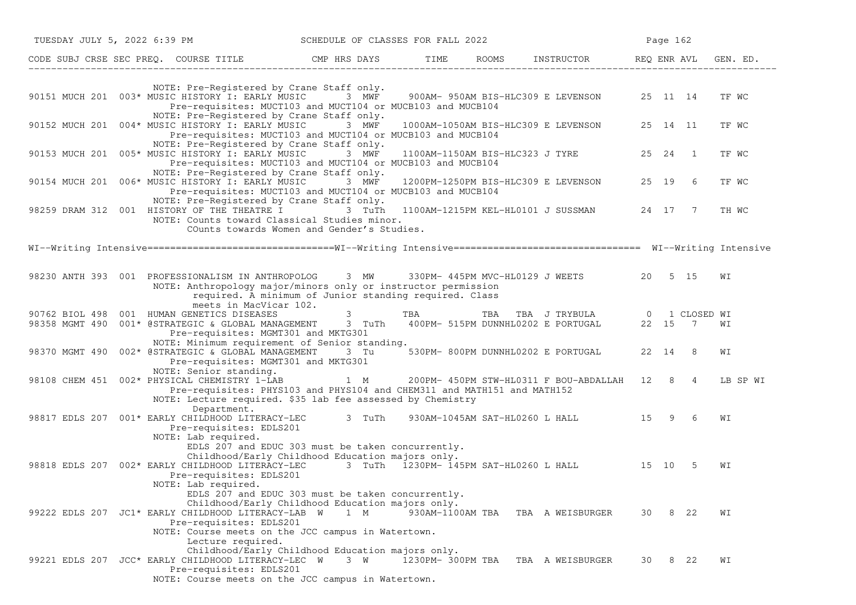| TUESDAY JULY 5, 2022 6:39 PM |  |                                                                                                                                                                                                                     |        | SCHEDULE OF CLASSES FOR FALL 2022 |  |                                                                            |    | Page 162  |      |          |
|------------------------------|--|---------------------------------------------------------------------------------------------------------------------------------------------------------------------------------------------------------------------|--------|-----------------------------------|--|----------------------------------------------------------------------------|----|-----------|------|----------|
|                              |  | CODE SUBJ CRSE SEC PREQ. COURSE TITLE THE ROOMS INSTRUCTOR TEME ROOMS AND REQ ENR AVL                                                                                                                               |        |                                   |  |                                                                            |    |           |      | GEN. ED. |
|                              |  | NOTE: Pre-Registered by Crane Staff only.<br>90151 MUCH 201 003* MUSIC HISTORY I: EARLY MUSIC 3 MWF 900AM-950AM BIS-HLC309 E LEVENSON 25 11 14<br>Pre-requisites: MUCT103 and MUCT104 or MUCB103 and MUCB104        |        |                                   |  |                                                                            |    |           |      | TF WC    |
|                              |  | NOTE: Pre-Registered by Crane Staff only.<br>90152 MUCH 201 004* MUSIC HISTORY I: EARLY MUSIC<br>Pre-requisites: MUCT103 and MUCT104 or MUCB103 and MUCB104<br>NOTE: Pre-Registered by Crane Staff only.            | 3 MWF  |                                   |  | 1000AM-1050AM BIS-HLC309 E LEVENSON 25 14 11                               |    |           |      | TF WC    |
|                              |  | 90153 MUCH 201 005* MUSIC HISTORY I: EARLY MUSIC<br>Pre-requisites: MUCT103 and MUCT104 or MUCB103 and MUCB104                                                                                                      | 3 MWF  |                                   |  | 1100AM-1150AM BIS-HLC323 J TYRE                                            |    | 25  24  1 |      | TF WC    |
|                              |  | NOTE: Pre-Registered by Crane Staff only.<br>90154 MUCH 201 006* MUSIC HISTORY I: EARLY MUSIC 3 MWF 1200PM-1250PM BIS-HLC309 E LEVENSON<br>Pre-requisites: MUCT103 and MUCT104 or MUCB103 and MUCB104               |        |                                   |  |                                                                            |    | 25 19 6   |      | TF WC    |
|                              |  | NOTE: Pre-Registered by Crane Staff only.<br>98259 DRAM 312 001 HISTORY OF THE THEATRE I<br>NOTE: Counts toward Classical Studies minor.<br>COunts towards Women and Gender's Studies.                              | 3 TuTh |                                   |  | 1100AM-1215PM KEL-HL0101 J SUSSMAN 24 17 7                                 |    |           |      | TH WC    |
|                              |  |                                                                                                                                                                                                                     |        |                                   |  |                                                                            |    |           |      |          |
|                              |  | 98230 ANTH 393 001 PROFESSIONALISM IN ANTHROPOLOG 3 MW<br>NOTE: Anthropology major/minors only or instructor permission<br>required. A minimum of Junior standing required. Class                                   |        |                                   |  | 330PM- 445PM MVC-HL0129 J WEETS 20 5 15                                    |    |           |      | WI       |
|                              |  | meets in MacVicar 102.<br>90762 BIOL 498 001 HUMAN GENETICS DISEASES<br>98358 MGMT 490 001* @STRATEGIC & GLOBAL MANAGEMENT 3 TuTh 400PM- 515PM DUNNHL0202 E PORTUGAL 22 15 7<br>Pre-requisites: MGMT301 and MKTG301 |        | $3$ TBA                           |  | TBA TBA J TRYBULA 0 1 CLOSED WI                                            |    |           |      | WΙ       |
|                              |  | NOTE: Minimum requirement of Senior standing.<br>98370 MGMT 490 002* @STRATEGIC & GLOBAL MANAGEMENT<br>Pre-requisites: MGMT301 and MKTG301<br>NOTE: Senior standing.                                                | 3 Tu   |                                   |  | 530PM- 800PM DUNNHL0202 E PORTUGAL                                         |    | 22 14 8   |      | WΙ       |
|                              |  | 98108 CHEM 451 002* PHYSICAL CHEMISTRY 1-LAB<br>Pre-requisites: PHYS103 and PHYS104 and CHEM311 and MATH151 and MATH152<br>NOTE: Lecture required. \$35 lab fee assessed by Chemistry                               |        |                                   |  | 1 M 200PM-450PM STW-HL0311 F BOU-ABDALLAH 12 8 4                           |    |           |      | LB SP WI |
|                              |  | Department.<br>98817 EDLS 207 001* EARLY CHILDHOOD LITERACY-LEC<br>Pre-requisites: EDLS201<br>NOTE: Lab required.<br>EDLS 207 and EDUC 303 must be taken concurrently.                                              | 3 TuTh |                                   |  | 930AM-1045AM SAT-HL0260 L HALL 15 9 6                                      |    |           |      | WΙ       |
|                              |  | Childhood/Early Childhood Education majors only.<br>98818 EDLS 207 002* EARLY CHILDHOOD LITERACY-LEC<br>Pre-requisites: EDLS201<br>NOTE: Lab required.<br>EDLS 207 and EDUC 303 must be taken concurrently.         |        |                                   |  | 3 TuTh $\overline{1}230$ PM- $\overline{1}45$ PM SAT-HL0260 L HALL $15$ 10 |    |           | - 5  | WΙ       |
|                              |  | Childhood/Early Childhood Education majors only.<br>99222 EDLS 207 JC1* EARLY CHILDHOOD LITERACY-LAB W<br>Pre-requisites: EDLS201<br>NOTE: Course meets on the JCC campus in Watertown.                             | 1 M    |                                   |  | 930AM-1100AM TBA TBA A WEISBURGER                                          |    | 30        | 8 22 | WI       |
|                              |  | Lecture required.<br>Childhood/Early Childhood Education majors only.<br>99221 EDLS 207 JCC* EARLY CHILDHOOD LITERACY-LEC W<br>Pre-requisites: EDLS201<br>NOTE: Course meets on the JCC campus in Watertown.        | 3 W    | 1230PM- 300PM TBA                 |  | TBA A WEISBURGER                                                           | 30 |           | 8 22 | WΙ       |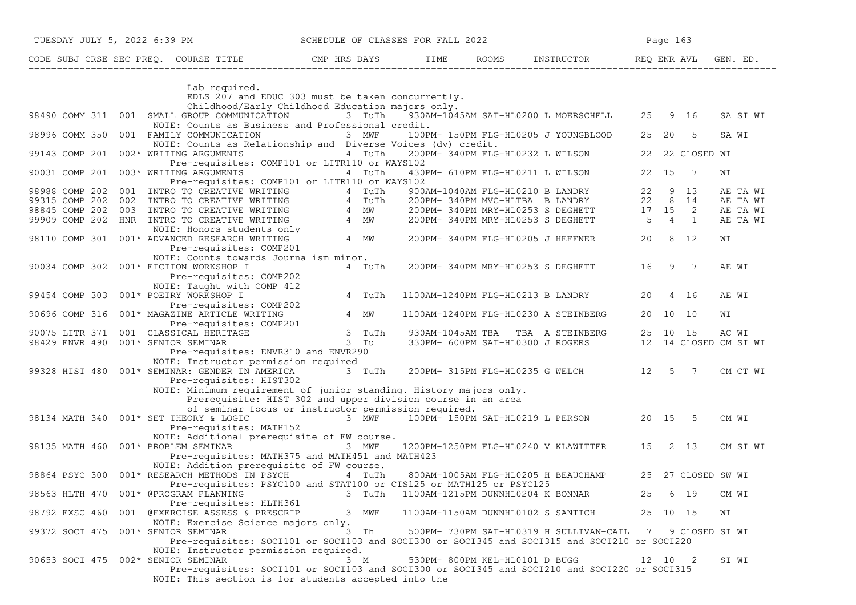| CODE SUBJ CRSE SEC PREQ. COURSE TITLE THE ROOMS INSTRUCTOR THE ROOMS EN REQ ENR AVL GEN. ED.                                                                                                                                               |        |                                |                                                                                                                                                                             |       |                    |          |
|--------------------------------------------------------------------------------------------------------------------------------------------------------------------------------------------------------------------------------------------|--------|--------------------------------|-----------------------------------------------------------------------------------------------------------------------------------------------------------------------------|-------|--------------------|----------|
| Lab required.                                                                                                                                                                                                                              |        |                                |                                                                                                                                                                             |       |                    |          |
| EDLS 207 and EDUC 303 must be taken concurrently.                                                                                                                                                                                          |        |                                |                                                                                                                                                                             |       |                    |          |
| Childhood/Early Childhood Education majors only.                                                                                                                                                                                           |        |                                |                                                                                                                                                                             |       |                    |          |
| 98490 COMM 311 001 SMALL GROUP COMMUNICATION<br>NOTE: Counts as Business and Professional credit.                                                                                                                                          | 3 TuTh |                                | 930AM-1045AM SAT-HL0200 L MOERSCHELL 25 9 16                                                                                                                                |       |                    | SA SI WI |
| 98996 COMM 350 001 FAMILY COMMUNICATION                                                                                                                                                                                                    | 3 MWF  |                                | 100PM- 150PM FLG-HL0205 J YOUNGBLOOD                                                                                                                                        |       | 25 20 5            | SA WI    |
| NOTE: Counts as Relationship and Diverse Voices (dv) credit.                                                                                                                                                                               |        |                                |                                                                                                                                                                             |       |                    |          |
| 99143 COMP 201 002* WRITING ARGUMENTS                                                                                                                                                                                                      | 4 TuTh |                                | 200PM- 340PM FLG-HL0232 L WILSON                                                                                                                                            |       | 22 22 CLOSED WI    |          |
| Pre-requisites: COMP101 or LITR110 or WAYS102                                                                                                                                                                                              |        |                                |                                                                                                                                                                             |       |                    |          |
| 90031 COMP 201 003* WRITING ARGUMENTS 4 TuTh                                                                                                                                                                                               |        |                                | 430PM- 610PM FLG-HL0211 L WILSON                                                                                                                                            | 22 15 | $\overline{7}$     | WI       |
| Pre-requisites: COMP101 or LITR110 or WAYS102                                                                                                                                                                                              |        |                                |                                                                                                                                                                             |       |                    |          |
| 98988 COMP 202 001 INTRO TO CREATIVE WRITING 4 TuTh                                                                                                                                                                                        |        |                                | 900AM-1040AM FLG-HL0210 B LANDRY 22 9 13<br>200PM- 340PM MVC-HLTBA B LANDRY 22 8 14<br>200PM- 340PM MRY-HL0253 S DEGHETT 17 15 2<br>200PM- 340PM MRY-HL0253 S DEGHETT 5 4 1 |       |                    | AE TA WI |
|                                                                                                                                                                                                                                            |        |                                |                                                                                                                                                                             |       |                    | AE TA WI |
|                                                                                                                                                                                                                                            |        |                                |                                                                                                                                                                             |       |                    | AE TA WI |
| 99305 COMP 202 002 INTRO TO CREATIVE WRITING 4 TUTH<br>98845 COMP 202 002 INTRO TO CREATIVE WRITING 4 TUTH<br>98845 COMP 202 003 INTRO TO CREATIVE WRITING 4 MW<br>99909 COMP 202 HNR INTRO TO CREATIVE WRITING 4 MW<br>98110 COMP 301 001 |        |                                |                                                                                                                                                                             |       |                    | AE TA WI |
|                                                                                                                                                                                                                                            |        |                                | 200PM-340PM FLG-HL0205 J HEFFNER 20 8 12                                                                                                                                    |       |                    | WI       |
| Pre-requisites: COMP201                                                                                                                                                                                                                    |        |                                |                                                                                                                                                                             |       |                    |          |
| NOTE: Counts towards Journalism minor.                                                                                                                                                                                                     |        |                                |                                                                                                                                                                             |       |                    |          |
| 90034 COMP 302 001* FICTION WORKSHOP I                                                                                                                                                                                                     | 4 TuTh |                                | 200PM-340PM MRY-HL0253 S DEGHETT 16                                                                                                                                         |       | 9 7                | AE WI    |
| Pre-requisites: COMP202                                                                                                                                                                                                                    |        |                                |                                                                                                                                                                             |       |                    |          |
| NOTE: Taught with COMP 412                                                                                                                                                                                                                 |        |                                |                                                                                                                                                                             |       |                    |          |
| 99454 COMP 303 001* POETRY WORKSHOP I                                                                                                                                                                                                      | 4 TuTh |                                | 1100AM-1240PM FLG-HL0213 B LANDRY                                                                                                                                           | 20    | 4 16               | AE WI    |
| Pre-requisites: COMP202                                                                                                                                                                                                                    |        |                                |                                                                                                                                                                             |       |                    |          |
| 90696 COMP 316 001* MAGAZINE ARTICLE WRITING 4 MW                                                                                                                                                                                          |        |                                | 1100AM-1240PM FLG-HL0230 A STEINBERG                                                                                                                                        |       | 20 10 10           | WI       |
| Pre-requisites: COMP201                                                                                                                                                                                                                    |        |                                |                                                                                                                                                                             |       |                    |          |
| 90075 LITR 371 001 CLASSICAL HERITAGE 3 TuTh<br>98429 ENVR 490 001* SENIOR SEMINAR 3 Tu                                                                                                                                                    |        |                                | 930AM-1045AM TBA TBA A STEINBERG 25 10 15 AC WI<br>330PM- 600PM SAT-HL0300 J ROGERS 12 14 CLOSED CM SI WI                                                                   |       |                    |          |
|                                                                                                                                                                                                                                            |        |                                |                                                                                                                                                                             |       |                    |          |
| Pre-requisites: ENVR310 and ENVR290                                                                                                                                                                                                        |        |                                |                                                                                                                                                                             |       |                    |          |
| NOTE: Instructor permission required                                                                                                                                                                                                       |        |                                |                                                                                                                                                                             |       |                    |          |
| 99328 HIST 480 001* SEMINAR: GENDER IN AMERICA 3 TuTh<br>Pre-requisites: HIST302                                                                                                                                                           |        |                                | 200PM- 315PM FLG-HL0235 G WELCH 12 5 7                                                                                                                                      |       |                    | CM CT WI |
| NOTE: Minimum requirement of junior standing. History majors only.                                                                                                                                                                         |        |                                |                                                                                                                                                                             |       |                    |          |
| Prerequisite: HIST 302 and upper division course in an area                                                                                                                                                                                |        |                                |                                                                                                                                                                             |       |                    |          |
| of seminar focus or instructor permission required.                                                                                                                                                                                        |        |                                |                                                                                                                                                                             |       |                    |          |
| 98134 MATH 340 001* SET THEORY & LOGIC                                                                                                                                                                                                     |        |                                | 3 MWF 100PM-150PM SAT-HL0219 L PERSON 20 15 5                                                                                                                               |       |                    | CM WI    |
| Pre-requisites: MATH152                                                                                                                                                                                                                    |        |                                |                                                                                                                                                                             |       |                    |          |
| NOTE: Additional prerequisite of FW course.                                                                                                                                                                                                |        |                                |                                                                                                                                                                             |       |                    |          |
| 98135 MATH 460 001* PROBLEM SEMINAR 1 1 1 3 MWF                                                                                                                                                                                            |        |                                | 1200PM-1250PM FLG-HL0240 V KLAWITTER 15 2 13                                                                                                                                |       |                    | CM SI WI |
| Pre-requisites: MATH375 and MATH451 and MATH423                                                                                                                                                                                            |        |                                |                                                                                                                                                                             |       |                    |          |
| NOTE: Addition prerequisite of FW course.                                                                                                                                                                                                  |        |                                |                                                                                                                                                                             |       |                    |          |
| 98864 PSYC 300 001* RESEARCH METHODS IN PSYCH 4 TuTh                                                                                                                                                                                       |        |                                | 800AM-1005AM FLG-HL0205 H BEAUCHAMP                                                                                                                                         |       | 25 27 CLOSED SW WI |          |
| Pre-requisites: PSYC100 and STAT100 or CIS125 or MATH125 or PSYC125                                                                                                                                                                        |        |                                |                                                                                                                                                                             |       |                    |          |
| 98563 HLTH 470 001* @PROGRAM PLANNING                                                                                                                                                                                                      | 3 TuTh |                                | 1100AM-1215PM DUNNHL0204 K BONNAR                                                                                                                                           | 25    | 6 19               | CM WI    |
| Pre-requisites: HLTH361                                                                                                                                                                                                                    |        |                                |                                                                                                                                                                             |       |                    |          |
| 001 @EXERCISE ASSESS & PRESCRIP<br>98792 EXSC 460                                                                                                                                                                                          | 3 MWF  |                                | 1100AM-1150AM DUNNHL0102 S SANTICH                                                                                                                                          |       | 25 10 15           | WI       |
| NOTE: Exercise Science majors only.                                                                                                                                                                                                        | 3 Th   |                                | 500PM- 730PM SAT-HL0319 H SULLIVAN-CATL                                                                                                                                     |       |                    |          |
| 99372 SOCI 475 001* SENIOR SEMINAR<br>Pre-requisites: SOCI101 or SOCI103 and SOCI300 or SOCI345 and SOCI315 and SOCI210 or SOCI220                                                                                                         |        |                                |                                                                                                                                                                             | 7     | 9 CLOSED SI WI     |          |
| NOTE: Instructor permission required.                                                                                                                                                                                                      |        |                                |                                                                                                                                                                             |       |                    |          |
| 90653 SOCI 475 002* SENIOR SEMINAR                                                                                                                                                                                                         | 3 M    | 530PM- 800PM KEL-HL0101 D BUGG |                                                                                                                                                                             |       | 12 10 2            | SI WI    |
| Pre-requisites: SOCI101 or SOCI103 and SOCI300 or SOCI345 and SOCI210 and SOCI220 or SOCI315                                                                                                                                               |        |                                |                                                                                                                                                                             |       |                    |          |
|                                                                                                                                                                                                                                            |        |                                |                                                                                                                                                                             |       |                    |          |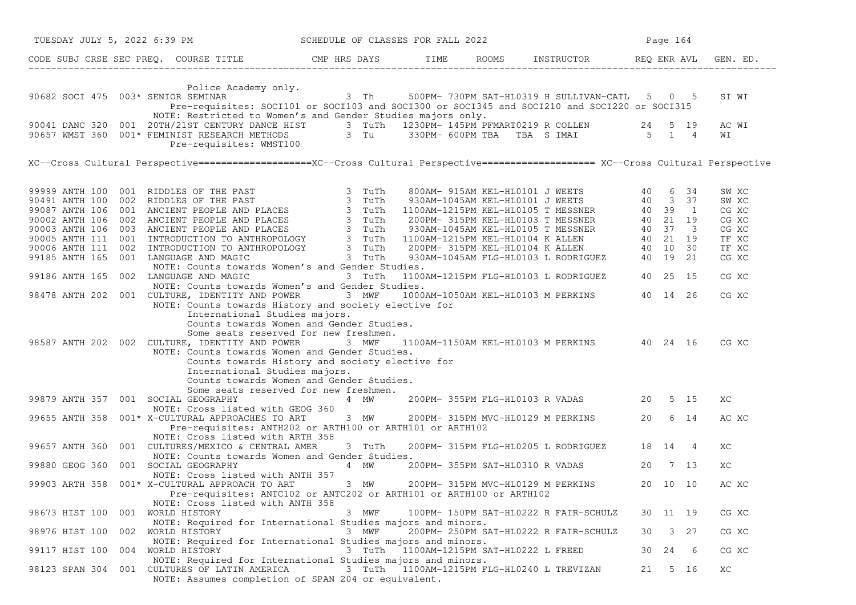| TUESDAY JULY 5, 2022 6:39 PM                                                                                                                                                                                                                                                                                                                                                                                          | SCHEDULE OF CLASSES FOR FALL 2022 |                                  | Page 164 |                                                                                              |    |          |          |                                                                      |
|-----------------------------------------------------------------------------------------------------------------------------------------------------------------------------------------------------------------------------------------------------------------------------------------------------------------------------------------------------------------------------------------------------------------------|-----------------------------------|----------------------------------|----------|----------------------------------------------------------------------------------------------|----|----------|----------|----------------------------------------------------------------------|
| CODE SUBJ CRSE SEC PREQ. COURSE TITLE THE THE ROOMS INSTRUCTOR REQ ENR AVL GEN. ED.                                                                                                                                                                                                                                                                                                                                   |                                   |                                  |          |                                                                                              |    |          |          |                                                                      |
| Police Academy only.<br>90682 SOCI 475 003* SENIOR SEMINAR<br>Pre-requisites: SOCI101 or SOCI103 and SOCI300 or SOCI345 and SOCI210 and SOCI220 or SOCI315                                                                                                                                                                                                                                                            |                                   |                                  |          | $3$ Th 500PM-730PM SAT-HL0319 H SULLIVAN-CATL 5 0 5                                          |    |          |          | SI WI                                                                |
| NOTE: Restricted to Women's and Gender Studies majors only.<br>90041 DANC 320 001 20TH/21ST CENTURY DANCE HIST 3 TuTh 1230PM-145PM PFMART0219 R COLLEN 24 5 19<br>90657 WMST 360 001* FEMINIST RESEARCH METHODS 3 Tu 330PM-600PM TBA TBA S IMAI 5 1 4<br>Pre-requisites: WMST100                                                                                                                                      |                                   |                                  |          |                                                                                              |    |          |          | AC WI<br>WΙ                                                          |
| XC--Cross Cultural Perspective=====================XC--Cross Cultural Perspective=================== XC--Cross Cultural Perspective                                                                                                                                                                                                                                                                                   |                                   |                                  |          |                                                                                              |    |          |          |                                                                      |
| NOTE: Counts towards Women's and Gender Studies.                                                                                                                                                                                                                                                                                                                                                                      |                                   |                                  |          |                                                                                              |    |          |          | SW XC<br>SW XC<br>CG XC<br>CG XC<br>CG XC<br>TF XC<br>TF XC<br>CG XC |
| 99186 ANTH 165 002 LANGUAGE AND MAGIC 3 TuTh<br>NOTE: Counts towards Women's and Gender Studies.<br>98478 ANTH 202 001 CULTURE, IDENTITY AND POWER 3 MWF                                                                                                                                                                                                                                                              |                                   |                                  |          | 1100AM-1215PM FLG-HL0103 L RODRIGUEZ 40 25 15<br>1000AM-1050AM KEL-HL0103 M PERKINS 40 14 26 |    |          |          | CG XC<br>CG XC                                                       |
| NOTE: Counts towards History and society elective for<br>International Studies majors.<br>Counts towards Women and Gender Studies.<br>Some seats reserved for new freshmen.<br>98587 ANTH 202 002 CULTURE, IDENTITY AND POWER 3 MWF<br>NOTE: Counts towards Women and Gender Studies.<br>Counts towards History and society elective for<br>International Studies majors.<br>Counts towards Women and Gender Studies. |                                   |                                  |          | 1100AM-1150AM KEL-HL0103 M PERKINS 40 24 16                                                  |    |          |          | CG XC                                                                |
| Some seats reserved for new freshmen.<br>99879 ANTH 357 001 SOCIAL GEOGRAPHY<br>NOTE: Cross listed with GEOG 360                                                                                                                                                                                                                                                                                                      | 4 MW                              |                                  |          | 200PM-355PM FLG-HL0103 R VADAS 20 5 15                                                       |    |          |          | XC                                                                   |
| 99655 ANTH 358 001* X-CULTURAL APPROACHES TO ART<br>Pre-requisites: ANTH202 or ARTH100 or ARTH101 or ARTH102<br>NOTE: Cross listed with ARTH 358                                                                                                                                                                                                                                                                      | 3 MW                              |                                  |          | 200PM-315PM MVC-HL0129 M PERKINS 20 6 14                                                     |    |          |          | AC XC                                                                |
| 99657 ANTH 360 001 CULTURES/MEXICO & CENTRAL AMER<br>NOTE: Counts towards Women and Gender Studies.                                                                                                                                                                                                                                                                                                                   | 3 TuTh                            |                                  |          | 200PM- 315PM FLG-HL0205 L RODRIGUEZ 18 14 4                                                  |    |          |          | XC                                                                   |
| 99880 GEOG 360 001 SOCIAL GEOGRAPHY                                                                                                                                                                                                                                                                                                                                                                                   | 4 MW                              |                                  |          | 200PM-355PM SAT-HL0310 R VADAS 20 7 13                                                       |    |          |          | XC                                                                   |
| NOTE: Cross listed with ANTH 357<br>99903 ARTH 358 001* X-CULTURAL APPROACH TO ART<br>Pre-requisites: ANTC102 or ANTC202 or ARTH101 or ARTH100 or ARTH102<br>NOTE: Cross listed with ANTH 358                                                                                                                                                                                                                         | 3 MW                              |                                  |          | 200PM- 315PM MVC-HL0129 M PERKINS                                                            |    | 20 10 10 |          | AC XC                                                                |
| WORLD HISTORY<br>98673 HIST 100<br>001<br>NOTE: Required for International Studies majors and minors.                                                                                                                                                                                                                                                                                                                 | 3 MWF                             |                                  |          | 100PM- 150PM SAT-HL0222 R FAIR-SCHULZ                                                        |    | 30 11 19 |          | CG XC                                                                |
| WORLD HISTORY<br>98976 HIST 100<br>002<br>NOTE: Required for International Studies majors and minors.                                                                                                                                                                                                                                                                                                                 | 3 MWF                             |                                  |          | 200PM- 250PM SAT-HL0222 R FAIR-SCHULZ                                                        | 30 |          | $3 \t27$ | CG XC                                                                |
| 99117 HIST 100<br>004<br>WORLD HISTORY<br>NOTE: Required for International Studies majors and minors.                                                                                                                                                                                                                                                                                                                 | 3 TuTh                            | 1100AM-1215PM SAT-HL0222 L FREED |          |                                                                                              | 30 | 24       | 6        | CG XC                                                                |
| 001 CULTURES OF LATIN AMERICA<br>98123 SPAN 304<br>NOTE: Assumes completion of SPAN 204 or equivalent.                                                                                                                                                                                                                                                                                                                | 3 TuTh                            |                                  |          | 1100AM-1215PM FLG-HL0240 L TREVIZAN                                                          | 21 |          | 5 16     | XC                                                                   |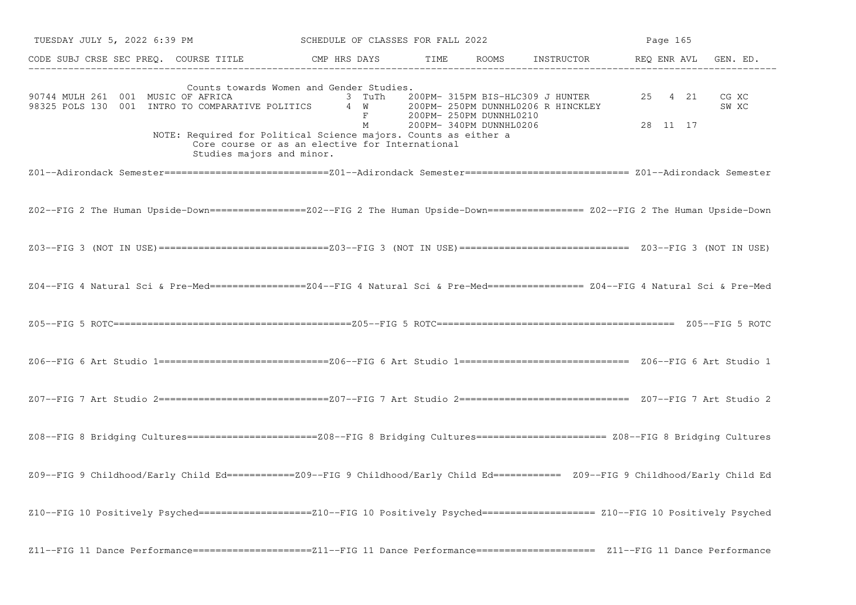| TUESDAY JULY 5, 2022 6:39 PM                                                                                                                                                           | SCHEDULE OF CLASSES FOR FALL 2022                                                                                                |      |                                                    | Page 165                                                               |                     |                |
|----------------------------------------------------------------------------------------------------------------------------------------------------------------------------------------|----------------------------------------------------------------------------------------------------------------------------------|------|----------------------------------------------------|------------------------------------------------------------------------|---------------------|----------------|
| CODE SUBJ CRSE SEC PREQ. COURSE TITLE THE CMP HRS DAYS                                                                                                                                 |                                                                                                                                  | TIME |                                                    | ROOMS INSTRUCTOR REQ ENR AVL GEN. ED.                                  |                     |                |
| 90744 MULH 261 001 MUSIC OF AFRICA<br>98325 POLS 130 001 INTRO TO COMPARATIVE POLITICS<br>NOTE: Required for Political Science majors. Counts as either a<br>Studies majors and minor. | Counts towards Women and Gender Studies.<br>3 TuTh<br>4 W<br>$F$ and $F$<br>М<br>Core course or as an elective for International |      | 200PM- 250PM DUNNHL0210<br>200PM- 340PM DUNNHL0206 | 200PM- 315PM BIS-HLC309 J HUNTER<br>200PM- 250PM DUNNHL0206 R HINCKLEY | 25 4 21<br>28 11 17 | CG XC<br>SW XC |
|                                                                                                                                                                                        |                                                                                                                                  |      |                                                    |                                                                        |                     |                |
| Z02--FIG 2 The Human Upside-Down=================Z02--FIG 2 The Human Upside-Down================= Z02--FIG 2 The Human Upside-Down                                                    |                                                                                                                                  |      |                                                    |                                                                        |                     |                |
|                                                                                                                                                                                        |                                                                                                                                  |      |                                                    |                                                                        |                     |                |
| Z04--FIG 4 Natural Sci & Pre-Med=================Z04--FIG 4 Natural Sci & Pre-Med================= Z04--FIG 4 Natural Sci & Pre-Med                                                    |                                                                                                                                  |      |                                                    |                                                                        |                     |                |
|                                                                                                                                                                                        |                                                                                                                                  |      |                                                    |                                                                        |                     |                |
|                                                                                                                                                                                        |                                                                                                                                  |      |                                                    |                                                                        |                     |                |
|                                                                                                                                                                                        |                                                                                                                                  |      |                                                    |                                                                        |                     |                |
|                                                                                                                                                                                        |                                                                                                                                  |      |                                                    |                                                                        |                     |                |
| Z09--FIG 9 Childhood/Early Child Ed===========Z09--FIG 9 Childhood/Early Child Ed=========== Z09--FIG 9 Childhood/Early Child Ed                                                       |                                                                                                                                  |      |                                                    |                                                                        |                     |                |
| Z10--FIG 10 Positively Psyched===================Z10--FIG 10 Positively Psyched=================== Z10--FIG 10 Positively Psyched                                                      |                                                                                                                                  |      |                                                    |                                                                        |                     |                |
| Z11--FIG 11 Dance Performance======================Z11--FIG 11 Dance Performance==================== Z11--FIG 11 Dance Performance                                                     |                                                                                                                                  |      |                                                    |                                                                        |                     |                |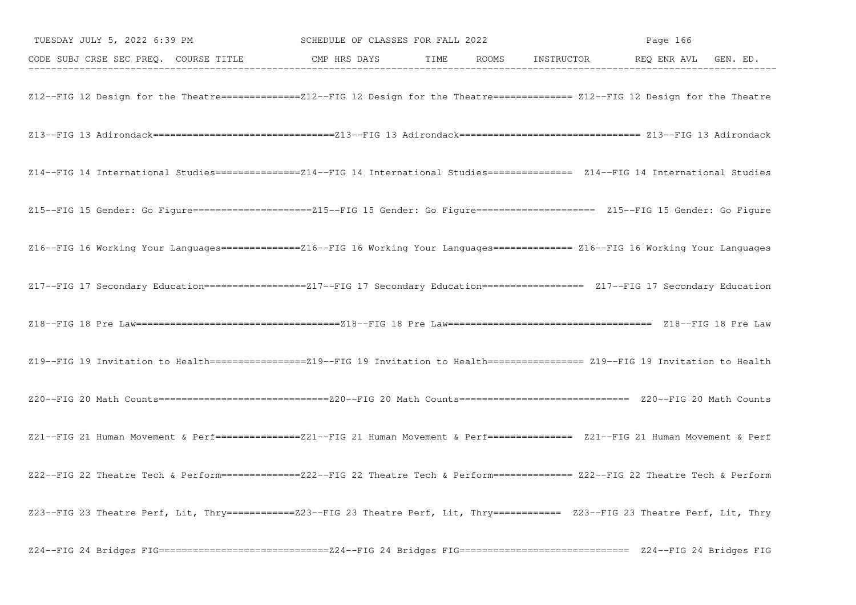| TUESDAY JULY 5, 2022 6:39 PM SCHEDULE OF CLASSES FOR FALL 2022                                                                        |  | Page 166 |  |
|---------------------------------------------------------------------------------------------------------------------------------------|--|----------|--|
| CODE SUBJ CRSE SEC PREQ. COURSE TITLE CMP HRS DAYS TIME ROOMS INSTRUCTOR REQ ENR AVL GEN. ED.                                         |  |          |  |
| Z12--FIG 12 Design for the Theatre==============212--FIG 12 Design for the Theatre============== Z12--FIG 12 Design for the Theatre   |  |          |  |
|                                                                                                                                       |  |          |  |
| Z14--FIG 14 International Studies===============214--FIG 14 International Studies============== Z14--FIG 14 International Studies     |  |          |  |
| Z15--FIG 15 Gender: Go Figure========================215--FIG 15 Gender: Go Figure===================== Z15--FIG 15 Gender: Go Figure |  |          |  |
| Z16--FIG 16 Working Your Languages==============216--FIG 16 Working Your Languages============= Z16--FIG 16 Working Your Languages    |  |          |  |
| Z17--FIG 17 Secondary Education==================217--FIG 17 Secondary Education================== Z17--FIG 17 Secondary Education    |  |          |  |
|                                                                                                                                       |  |          |  |
| Z19--FIG 19 Invitation to Health=================Z19--FIG 19 Invitation to Health================= Z19--FIG 19 Invitation to Health   |  |          |  |
|                                                                                                                                       |  |          |  |
| Z21--FIG 21 Human Movement & Perf===============221--FIG 21 Human Movement & Perf============== Z21--FIG 21 Human Movement & Perf     |  |          |  |
| Z22--FIG 22 Theatre Tech & Perform==============222--FIG 22 Theatre Tech & Perform============= Z22--FIG 22 Theatre Tech & Perform    |  |          |  |
| Z23--FIG 23 Theatre Perf, Lit, Thry =============Z23--FIG 23 Theatre Perf, Lit, Thry =========== Z23--FIG 23 Theatre Perf, Lit, Thry  |  |          |  |
|                                                                                                                                       |  |          |  |